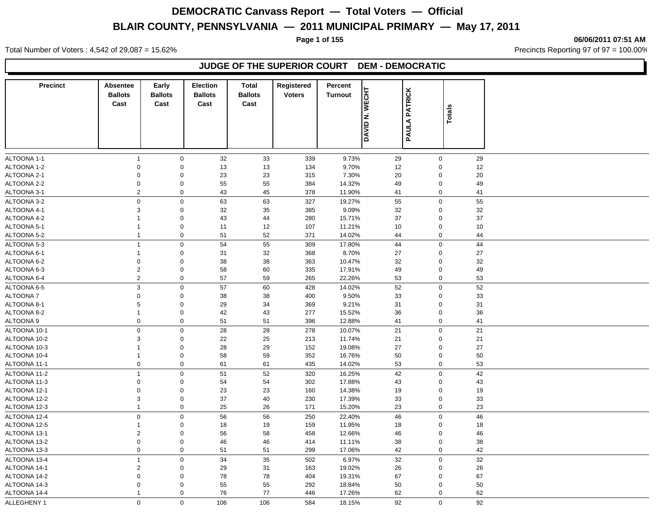#### **Page 1 of 155 06/06/2011 07:51 AM**

Total Number of Voters : 4,542 of 29,087 = 15.62% Precincts Reporting 97 of 97 = 100.00%

### **JUDGE OF THE SUPERIOR COURT DEM - DEMOCRATIC**

| <b>Precinct</b> | Absentee                | Early          | Election       | <b>Total</b>   | Registered    | Percent                           |                |             |    |  |
|-----------------|-------------------------|----------------|----------------|----------------|---------------|-----------------------------------|----------------|-------------|----|--|
|                 | <b>Ballots</b>          | <b>Ballots</b> | <b>Ballots</b> | <b>Ballots</b> | <b>Voters</b> | <b>N. WECHT</b><br><b>Turnout</b> | <b>PATRICK</b> |             |    |  |
|                 | Cast                    | Cast           | Cast           | Cast           |               |                                   |                |             |    |  |
|                 |                         |                |                |                |               |                                   |                | Totals      |    |  |
|                 |                         |                |                |                |               |                                   |                |             |    |  |
|                 |                         |                |                |                |               | <b>ONAD</b>                       | <b>PAULA</b>   |             |    |  |
|                 |                         |                |                |                |               |                                   |                |             |    |  |
| ALTOONA 1-1     | $\mathbf{1}$            | $\mathbf 0$    | 32             | 33             | 339           | 9.73%                             | 29             | $\mathsf 0$ | 29 |  |
| ALTOONA 1-2     | $\mathbf 0$             | $\mathbf 0$    | 13             | 13             | 134           | 9.70%                             | 12             | $\mathbf 0$ | 12 |  |
| ALTOONA 2-1     | 0                       | $\mathbf 0$    | 23             | 23             | 315           | 7.30%                             | 20             | $\mathbf 0$ | 20 |  |
| ALTOONA 2-2     | $\mathbf 0$             | $\mathbf 0$    | 55             | 55             | 384           | 14.32%                            | 49             | $\mathbf 0$ | 49 |  |
| ALTOONA 3-1     | $\overline{2}$          | $\mathbf 0$    | 43             | 45             | 378           | 11.90%                            | 41             | $\mathbf 0$ | 41 |  |
| ALTOONA 3-2     | $\mathsf 0$             | $\mathsf 0$    | 63             | 63             | 327           | 19.27%                            | 55             | $\pmb{0}$   | 55 |  |
| ALTOONA 4-1     | 3                       | $\mathbf 0$    | 32             | 35             | 385           | 9.09%                             | 32             | $\mathbf 0$ | 32 |  |
| ALTOONA 4-2     | $\mathbf{1}$            | $\mathbf 0$    | 43             | 44             | 280           | 15.71%                            | 37             | $\mathbf 0$ | 37 |  |
| ALTOONA 5-1     | $\mathbf{1}$            | $\mathbf 0$    | 11             | 12             | 107           | 11.21%                            | 10             | $\mathbf 0$ | 10 |  |
| ALTOONA 5-2     | $\mathbf{1}$            | $\mathbf 0$    | 51             | 52             | 371           | 14.02%                            | 44             | $\mathbf 0$ | 44 |  |
| ALTOONA 5-3     | $\mathbf{1}$            | $\mathsf 0$    | 54             | 55             | 309           | 17.80%                            | 44             | $\pmb{0}$   | 44 |  |
| ALTOONA 6-1     | $\mathbf{1}$            | $\mathbf 0$    | 31             | 32             | 368           | 8.70%                             | 27             | $\mathbf 0$ | 27 |  |
| ALTOONA 6-2     | $\mathbf 0$             | $\mathbf 0$    | 38             | 38             | 363           | 10.47%                            | 32             | $\mathbf 0$ | 32 |  |
| ALTOONA 6-3     | $\overline{2}$          | $\mathbf 0$    | 58             | 60             | 335           | 17.91%                            | 49             | $\mathsf 0$ | 49 |  |
| ALTOONA 6-4     | $\overline{2}$          | $\mathbf 0$    | 57             | 59             | 265           | 22.26%                            | 53             | $\mathbf 0$ | 53 |  |
| ALTOONA 6-5     | $\mathsf 3$             | $\mathbf 0$    | 57             | 60             | 428           | 14.02%                            | 52             | $\mathsf 0$ | 52 |  |
| ALTOONA 7       | $\mathbf 0$             | $\mathbf 0$    | 38             | 38             | 400           | 9.50%                             | 33             | $\mathbf 0$ | 33 |  |
| ALTOONA 8-1     | 5                       | $\mathbf 0$    | 29             | 34             | 369           | 9.21%                             | 31             | $\mathsf 0$ | 31 |  |
| ALTOONA 8-2     | $\mathbf{1}$            | $\mathbf 0$    | 42             | 43             | 277           | 15.52%                            | 36             | $\mathbf 0$ | 36 |  |
| ALTOONA 9       | $\mathbf 0$             | $\mathbf 0$    | 51             | 51             | 396           | 12.88%                            | 41             | $\pmb{0}$   | 41 |  |
| ALTOONA 10-1    | $\mathbf 0$             | $\mathbf 0$    | 28             | 28             | 278           | 10.07%                            | 21             | $\pmb{0}$   | 21 |  |
| ALTOONA 10-2    | 3                       | $\mathbf 0$    | 22             | 25             | 213           | 11.74%                            | 21             | $\mathbf 0$ | 21 |  |
| ALTOONA 10-3    | $\mathbf{1}$            | $\mathbf 0$    | 28             | 29             | 152           | 19.08%                            | 27             | $\mathbf 0$ | 27 |  |
| ALTOONA 10-4    | $\mathbf{1}$            | $\mathsf 0$    | 58             | 59             | 352           | 16.76%                            | 50             | $\pmb{0}$   | 50 |  |
| ALTOONA 11-1    | $\mathbf 0$             | $\mathbf 0$    | 61             | 61             | 435           | 14.02%                            | 53             | $\mathbf 0$ | 53 |  |
| ALTOONA 11-2    | $\mathbf{1}$            | $\mathbf 0$    | 51             | 52             | 320           | 16.25%                            | 42             | $\mathsf 0$ | 42 |  |
| ALTOONA 11-3    | $\mathbf 0$             | $\mathbf 0$    | 54             | 54             | 302           | 17.88%                            | 43             | $\mathbf 0$ | 43 |  |
| ALTOONA 12-1    | $\mathbf 0$             | $\mathbf 0$    | 23             | 23             | 160           | 14.38%                            | 19             | $\mathbf 0$ | 19 |  |
| ALTOONA 12-2    | 3                       | $\mathbf 0$    | 37             | 40             | 230           | 17.39%                            | 33             | $\mathbf 0$ | 33 |  |
| ALTOONA 12-3    | $\mathbf{1}$            | $\mathbf 0$    | 25             | 26             | 171           | 15.20%                            | 23             | $\mathbf 0$ | 23 |  |
| ALTOONA 12-4    | $\mathbf 0$             | $\mathbf 0$    | 56             | 56             | 250           | 22.40%                            | 46             | $\mathsf 0$ | 46 |  |
| ALTOONA 12-5    | $\mathbf{1}$            | $\mathsf 0$    | 18             | 19             | 159           | 11.95%                            | 18             | $\mathbf 0$ | 18 |  |
| ALTOONA 13-1    | $\overline{c}$          | $\mathbf 0$    | 56             | 58             | 458           | 12.66%                            | 46             | $\mathbf 0$ | 46 |  |
| ALTOONA 13-2    | $\mathbf 0$             | $\mathbf 0$    | 46             | 46             | 414           | 11.11%                            | 38             | $\mathbf 0$ | 38 |  |
| ALTOONA 13-3    | $\mathbf 0$             | $\mathbf 0$    | 51             | 51             | 299           | 17.06%                            | 42             | $\mathbf 0$ | 42 |  |
| ALTOONA 13-4    | $\mathbf{1}$            | $\pmb{0}$      | 34             | 35             | 502           | 6.97%                             | 32             | $\pmb{0}$   | 32 |  |
| ALTOONA 14-1    | $\overline{\mathbf{c}}$ | $\mathbf 0$    | 29             | 31             | 163           | 19.02%                            | 26             | $\mathbf 0$ | 26 |  |
| ALTOONA 14-2    | 0                       | $\mathbf 0$    | 78             | 78             | 404           | 19.31%                            | 67             | $\mathbf 0$ | 67 |  |
| ALTOONA 14-3    | 0                       | $\mathbf 0$    | 55             | 55             | 292           | 18.84%                            | 50             | $\mathbf 0$ | 50 |  |
| ALTOONA 14-4    | $\mathbf{1}$            | $\mathbf 0$    | 76             | 77             | 446           | 17.26%                            | 62             | $\mathbf 0$ | 62 |  |
| ALLEGHENY 1     | $\mathbf 0$             | $\mathbf 0$    | 106            | 106            | 584           | 18.15%                            | 92             | $\mathsf 0$ | 92 |  |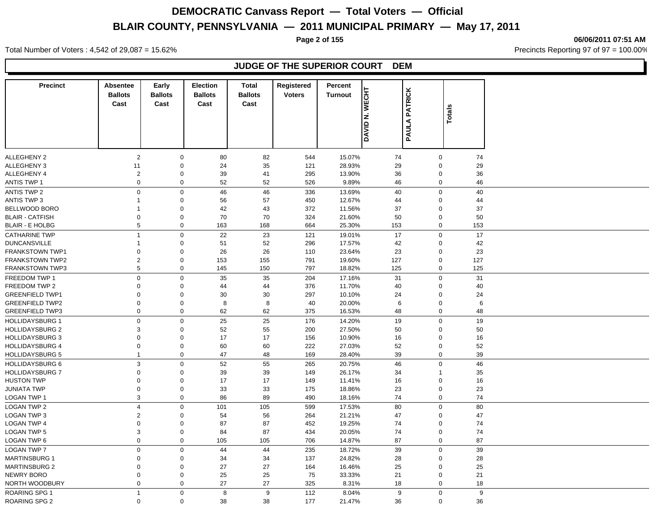**Page 2 of 155 06/06/2011 07:51 AM**

Total Number of Voters : 4,542 of 29,087 = 15.62% Precincts Reporting 97 of 97 = 100.00%

### **JUDGE OF THE SUPERIOR COURT DEM**

| <b>Precinct</b>        | <b>Absentee</b><br><b>Ballots</b><br>Cast | Early<br><b>Ballots</b><br>Cast | <b>Election</b><br><b>Ballots</b><br>Cast | <b>Total</b><br><b>Ballots</b><br>Cast | Registered<br><b>Voters</b> | Percent<br><b>WECHT</b><br><b>Turnout</b> | <b>PATRICK</b> |                  |     |
|------------------------|-------------------------------------------|---------------------------------|-------------------------------------------|----------------------------------------|-----------------------------|-------------------------------------------|----------------|------------------|-----|
|                        |                                           |                                 |                                           |                                        |                             | z<br><b>OKYID</b>                         | PAULA          | <b>Totals</b>    |     |
| <b>ALLEGHENY 2</b>     | $\overline{2}$                            | $\mathbf 0$                     | 80                                        | 82                                     | 544                         | 15.07%                                    | 74             | $\boldsymbol{0}$ | 74  |
| ALLEGHENY 3            | 11                                        | $\mathbf 0$                     | 24                                        | 35                                     | 121                         | 28.93%                                    | 29             | $\boldsymbol{0}$ | 29  |
| ALLEGHENY 4            | $\sqrt{2}$                                | $\mathbf 0$                     | 39                                        | 41                                     | 295                         | 13.90%                                    | 36             | $\pmb{0}$        | 36  |
| <b>ANTIS TWP 1</b>     | $\mathbf 0$                               | $\mathbf 0$                     | 52                                        | 52                                     | 526                         | 9.89%                                     | 46             | $\mathbf 0$      | 46  |
| <b>ANTIS TWP 2</b>     | $\mathbf 0$                               | $\mathbf 0$                     | 46                                        | 46                                     | 336                         | 13.69%                                    | 40             | $\boldsymbol{0}$ | 40  |
| <b>ANTIS TWP 3</b>     | 1                                         | $\mathbf 0$                     | 56                                        | 57                                     | 450                         | 12.67%                                    | 44             | $\mathbf 0$      | 44  |
| BELLWOOD BORO          | 1                                         | $\mathbf 0$                     | 42                                        | 43                                     | 372                         | 11.56%                                    | 37             | $\mathbf 0$      | 37  |
| <b>BLAIR - CATFISH</b> | $\mathbf 0$                               | $\mathbf 0$                     | 70                                        | 70                                     | 324                         | 21.60%                                    | 50             | $\mathbf 0$      | 50  |
| <b>BLAIR - E HOLBG</b> | 5                                         | $\mathbf 0$                     | 163                                       | 168                                    | 664                         | 25.30%                                    | 153            | $\mathbf 0$      | 153 |
| <b>CATHARINE TWP</b>   | $\mathbf{1}$                              | $\mathbf 0$                     | 22                                        | 23                                     | 121                         | 19.01%                                    | 17             | $\boldsymbol{0}$ | 17  |
| <b>DUNCANSVILLE</b>    | 1                                         | $\mathbf 0$                     | 51                                        | 52                                     | 296                         | 17.57%                                    | 42             | $\mathbf 0$      | 42  |
| <b>FRANKSTOWN TWP1</b> | 0                                         | $\mathbf 0$                     | 26                                        | 26                                     | 110                         | 23.64%                                    | 23             | $\mathbf 0$      | 23  |
| <b>FRANKSTOWN TWP2</b> | $\overline{c}$                            | $\mathbf 0$                     | 153                                       | 155                                    | 791                         | 19.60%                                    | 127            | $\boldsymbol{0}$ | 127 |
| <b>FRANKSTOWN TWP3</b> | 5                                         | $\mathbf 0$                     | 145                                       | 150                                    | 797                         | 18.82%                                    | 125            | $\mathbf 0$      | 125 |
| FREEDOM TWP 1          | $\mathbf 0$                               | $\mathbf 0$                     | 35                                        | 35                                     | 204                         | 17.16%                                    | 31             | $\boldsymbol{0}$ | 31  |
| FREEDOM TWP 2          | 0                                         | $\mathbf 0$                     | 44                                        | 44                                     | 376                         | 11.70%                                    | 40             | $\mathbf 0$      | 40  |
| <b>GREENFIELD TWP1</b> | $\mathbf 0$                               | $\mathbf 0$                     | 30                                        | 30                                     | 297                         | 10.10%                                    | 24             | $\mathbf 0$      | 24  |
| <b>GREENFIELD TWP2</b> | $\mathbf 0$                               | $\mathbf 0$                     | 8                                         | 8                                      | 40                          | 20.00%                                    | 6              | $\mathbf 0$      | 6   |
| <b>GREENFIELD TWP3</b> | $\mathbf 0$                               | $\mathbf 0$                     | 62                                        | 62                                     | 375                         | 16.53%                                    | 48             | $\mathbf 0$      | 48  |
| <b>HOLLIDAYSBURG 1</b> | 0                                         | $\mathbf 0$                     | 25                                        | 25                                     | 176                         | 14.20%                                    | 19             | $\mathbf 0$      | 19  |
| <b>HOLLIDAYSBURG 2</b> | $\ensuremath{\mathsf{3}}$                 | $\pmb{0}$                       | 52                                        | 55                                     | 200                         | 27.50%                                    | 50             | $\mathbf 0$      | 50  |
| <b>HOLLIDAYSBURG 3</b> | $\Omega$                                  | $\mathbf 0$                     | 17                                        | 17                                     | 156                         | 10.90%                                    | 16             | $\mathbf 0$      | 16  |
| <b>HOLLIDAYSBURG 4</b> | $\mathbf 0$                               | $\mathbf 0$                     | 60                                        | 60                                     | 222                         | 27.03%                                    | 52             | $\mathbf 0$      | 52  |
| <b>HOLLIDAYSBURG 5</b> | $\mathbf{1}$                              | $\mathbf 0$                     | 47                                        | 48                                     | 169                         | 28.40%                                    | 39             | $\mathbf 0$      | 39  |
| <b>HOLLIDAYSBURG 6</b> | 3                                         | $\mathbf 0$                     | 52                                        | 55                                     | 265                         | 20.75%                                    | 46             | $\mathbf 0$      | 46  |
| <b>HOLLIDAYSBURG 7</b> | 0                                         | $\mathbf 0$                     | 39                                        | 39                                     | 149                         | 26.17%                                    | 34             | $\overline{1}$   | 35  |
| <b>HUSTON TWP</b>      | 0                                         | $\mathbf 0$                     | 17                                        | 17                                     | 149                         | 11.41%                                    | 16             | $\pmb{0}$        | 16  |
| <b>JUNIATA TWP</b>     | $\mathbf 0$                               | $\mathbf 0$                     | 33                                        | 33                                     | 175                         | 18.86%                                    | 23             | $\mathbf 0$      | 23  |
| LOGAN TWP 1            | 3                                         | $\mathbf 0$                     | 86                                        | 89                                     | 490                         | 18.16%                                    | 74             | $\mathbf 0$      | 74  |
| <b>LOGAN TWP 2</b>     | 4                                         | $\mathbf 0$                     | 101                                       | 105                                    | 599                         | 17.53%                                    | 80             | $\mathbf 0$      | 80  |
| <b>LOGAN TWP 3</b>     | $\overline{c}$                            | $\mathbf 0$                     | 54                                        | 56                                     | 264                         | 21.21%                                    | 47             | $\pmb{0}$        | 47  |
| <b>LOGAN TWP 4</b>     | $\mathbf 0$                               | $\mathbf 0$                     | 87                                        | 87                                     | 452                         | 19.25%                                    | 74             | $\mathbf 0$      | 74  |
| <b>LOGAN TWP 5</b>     | 3                                         | $\mathbf 0$                     | 84                                        | 87                                     | 434                         | 20.05%                                    | 74             | $\mathbf 0$      | 74  |
| LOGAN TWP 6            | $\mathbf 0$                               | $\mathbf 0$                     | 105                                       | 105                                    | 706                         | 14.87%                                    | 87             | $\mathbf 0$      | 87  |
| <b>LOGAN TWP 7</b>     | $\pmb{0}$                                 | $\mathbf 0$                     | 44                                        | 44                                     | 235                         | 18.72%                                    | 39             | $\mathbf 0$      | 39  |
| <b>MARTINSBURG 1</b>   | $\mathbf 0$                               | $\mathbf 0$                     | 34                                        | 34                                     | 137                         | 24.82%                                    | 28             | $\mathbf 0$      | 28  |
| <b>MARTINSBURG 2</b>   | $\Omega$                                  | $\mathbf 0$                     | 27                                        | 27                                     | 164                         | 16.46%                                    | 25             | $\mathbf 0$      | 25  |
| <b>NEWRY BORO</b>      | $\mathbf 0$                               | $\mathbf 0$                     | 25                                        | 25                                     | 75                          | 33.33%                                    | 21             | $\mathbf 0$      | 21  |
| NORTH WOODBURY         | $\mathbf 0$                               | $\mathbf 0$                     | 27                                        | 27                                     | 325                         | 8.31%                                     | 18             | $\mathbf 0$      | 18  |
| <b>ROARING SPG 1</b>   | $\mathbf{1}$                              | $\mathbf 0$                     | 8                                         | 9                                      | 112                         | 8.04%                                     | 9              | $\mathsf 0$      | 9   |
| <b>ROARING SPG 2</b>   | $\mathbf 0$                               | $\mathbf 0$                     | 38                                        | 38                                     | 177                         | 21.47%                                    | 36             | $\mathbf 0$      | 36  |
|                        |                                           |                                 |                                           |                                        |                             |                                           |                |                  |     |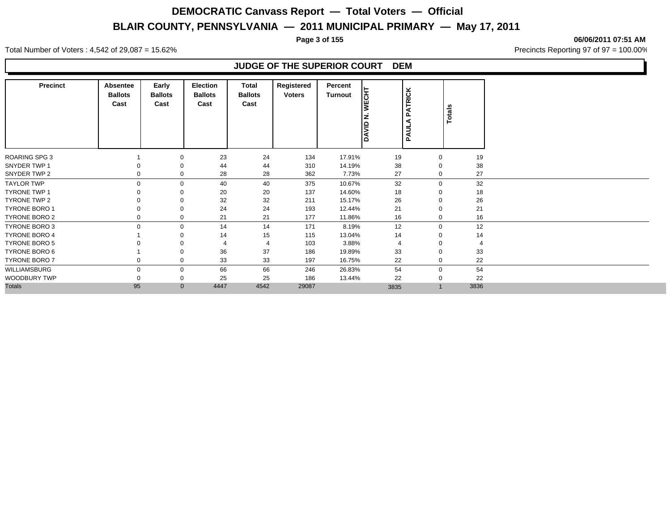**Page 3 of 155 06/06/2011 07:51 AM**

Total Number of Voters : 4,542 of 29,087 = 15.62% Precincts Reporting 97 of 97 = 100.00%

### **JUDGE OF THE SUPERIOR COURT DEM**

| <b>Precinct</b>      | Absentee<br><b>Ballots</b><br>Cast | Early<br><b>Ballots</b><br>Cast | <b>Election</b><br><b>Ballots</b><br>Cast | Total<br><b>Ballots</b><br>Cast | Registered<br><b>Voters</b> | Percent<br><b>Turnout</b> | <b>WECHT</b><br>z<br><b>DAVID</b> | <b>ATRICK</b><br>$\mathbf{a}$<br>◀<br><b>PAUL</b> | Totals         |      |
|----------------------|------------------------------------|---------------------------------|-------------------------------------------|---------------------------------|-----------------------------|---------------------------|-----------------------------------|---------------------------------------------------|----------------|------|
| <b>ROARING SPG 3</b> |                                    | $\mathbf 0$                     | 23                                        | 24                              | 134                         | 17.91%                    | 19                                |                                                   | $\mathbf 0$    | 19   |
| SNYDER TWP 1         |                                    | 0                               | 44                                        | 44                              | 310                         | 14.19%                    | 38                                |                                                   | 0              | 38   |
| SNYDER TWP 2         | $\Omega$                           | $\mathbf 0$                     | 28                                        | 28                              | 362                         | 7.73%                     | 27                                |                                                   | $\mathbf 0$    | 27   |
| <b>TAYLOR TWP</b>    | $\Omega$                           | $\mathbf 0$                     | 40                                        | 40                              | 375                         | 10.67%                    | 32                                |                                                   | $\mathbf 0$    | 32   |
| <b>TYRONE TWP 1</b>  |                                    | 0                               | 20                                        | 20                              | 137                         | 14.60%                    | 18                                |                                                   | 0              | 18   |
| TYRONE TWP 2         |                                    | 0                               | 32                                        | 32                              | 211                         | 15.17%                    | 26                                |                                                   | 0              | 26   |
| <b>TYRONE BORO 1</b> |                                    | 0                               | 24                                        | 24                              | 193                         | 12.44%                    | 21                                |                                                   | 0              | 21   |
| <b>TYRONE BORO 2</b> |                                    | 0                               | 21                                        | 21                              | 177                         | 11.86%                    | 16                                |                                                   | 0              | 16   |
| TYRONE BORO 3        | $\Omega$                           | $\mathbf 0$                     | 14                                        | 14                              | 171                         | 8.19%                     | 12                                |                                                   | $\mathbf{0}$   | 12   |
| <b>TYRONE BORO 4</b> |                                    | 0                               | 14                                        | 15                              | 115                         | 13.04%                    | 14                                |                                                   | 0              | 14   |
| <b>TYRONE BORO 5</b> |                                    | 0                               |                                           | 4                               | 103                         | 3.88%                     | $\overline{4}$                    |                                                   | 0              |      |
| TYRONE BORO 6        |                                    | 0                               | 36                                        | 37                              | 186                         | 19.89%                    | 33                                |                                                   | 0              | 33   |
| TYRONE BORO 7        | 0                                  | 0                               | 33                                        | 33                              | 197                         | 16.75%                    | 22                                |                                                   | $\mathbf 0$    | 22   |
| WILLIAMSBURG         | 0                                  | $\mathbf 0$                     | 66                                        | 66                              | 246                         | 26.83%                    | 54                                |                                                   | 0              | 54   |
| <b>WOODBURY TWP</b>  | 0                                  | 0                               | 25                                        | 25                              | 186                         | 13.44%                    | 22                                |                                                   | 0              | 22   |
| <b>Totals</b>        | 95                                 | $\mathbf{0}$                    | 4447                                      | 4542                            | 29087                       |                           | 3835                              |                                                   | $\overline{1}$ | 3836 |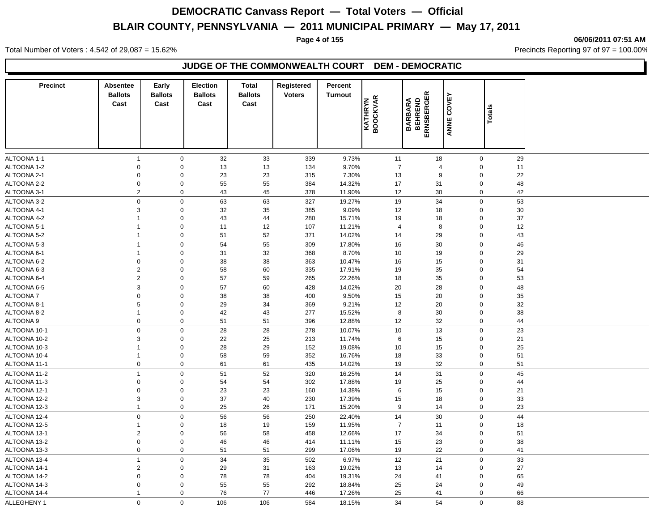**Page 4 of 155 06/06/2011 07:51 AM**

Total Number of Voters : 4,542 of 29,087 = 15.62% Precincts Reporting 97 of 97 = 100.00%

### **JUDGE OF THE COMMONWEALTH COURT DEM - DEMOCRATIC**

| <b>Precinct</b>              | Absentee<br><b>Ballots</b><br>Cast | Early<br><b>Ballots</b><br>Cast | <b>Election</b><br><b>Ballots</b><br>Cast | <b>Total</b><br><b>Ballots</b><br>Cast | Registered<br><b>Voters</b> | Percent<br>Turnout | <b>BOOCKVAR</b><br>KATHRYN |                | <b>BARBARA<br/>BEHREND<br/>ERNSBERGER</b> | COVEY<br>ANNE  | <b>Totals</b> |          |
|------------------------------|------------------------------------|---------------------------------|-------------------------------------------|----------------------------------------|-----------------------------|--------------------|----------------------------|----------------|-------------------------------------------|----------------|---------------|----------|
|                              |                                    |                                 |                                           |                                        |                             |                    |                            |                |                                           |                |               |          |
| ALTOONA 1-1                  | $\overline{1}$                     | $\mathbf 0$                     | 32                                        | 33                                     | 339                         | 9.73%              |                            | 11             | 18                                        | $\mathbf 0$    |               | 29       |
| ALTOONA 1-2                  | $\Omega$                           | $\mathsf 0$                     | 13                                        | 13                                     | 134                         | 9.70%              |                            | $\overline{7}$ | 4                                         | $\Omega$       |               | 11       |
| ALTOONA 2-1                  | $\mathbf 0$                        | $\mathbf 0$                     | 23                                        | 23                                     | 315                         | 7.30%              |                            | 13             | 9                                         | $\mathbf 0$    |               | 22       |
| ALTOONA 2-2                  | 0                                  | $\mathbf 0$                     | 55                                        | 55                                     | 384                         | 14.32%             |                            | 17             | 31                                        | $\mathbf 0$    |               | 48       |
| ALTOONA 3-1                  | $\overline{c}$                     | $\mathbf 0$                     | 43                                        | 45                                     | 378                         | 11.90%             |                            | 12             | 30                                        | $\mathbf 0$    |               | 42       |
| ALTOONA 3-2                  | $\mathbf 0$                        | $\mathbf 0$                     | 63                                        | 63                                     | 327                         | 19.27%             |                            | 19             | 34                                        | $\mathbf 0$    |               | 53       |
| ALTOONA 4-1                  | 3                                  | $\mathsf 0$                     | 32                                        | 35                                     | 385                         | 9.09%              |                            | 12             | 18                                        | $\overline{0}$ |               | 30       |
| ALTOONA 4-2                  | $\mathbf{1}$                       | $\mathbf 0$                     | 43                                        | 44                                     | 280                         | 15.71%             |                            | 19             | 18                                        | $\overline{0}$ |               | 37       |
| ALTOONA 5-1                  | $\mathbf{1}$                       | $\mathbf 0$                     | 11                                        | 12                                     | 107                         | 11.21%             |                            | $\overline{4}$ | 8                                         | $\overline{0}$ |               | 12       |
| ALTOONA 5-2                  | 1                                  | $\mathbf 0$                     | 51                                        | 52                                     | 371                         | 14.02%             |                            | 14             | 29                                        | $\mathbf 0$    |               | 43       |
| ALTOONA 5-3                  | $\mathbf{1}$                       | $\mathbf 0$                     | 54                                        | 55                                     | 309                         | 17.80%             |                            | 16             | 30                                        | $\mathbf 0$    |               | 46       |
| ALTOONA 6-1                  | $\mathbf{1}$                       | $\mathbf 0$                     | 31                                        | 32                                     | 368                         | 8.70%              |                            | 10             | 19                                        | $\mathbf 0$    |               | 29       |
| ALTOONA 6-2                  | $\mathbf 0$                        | $\mathbf 0$                     | 38                                        | 38                                     | 363                         | 10.47%             |                            | 16             | 15                                        | $\mathbf 0$    |               | 31       |
| ALTOONA 6-3                  | $\overline{c}$                     | $\mathbf 0$                     | 58                                        | 60                                     | 335                         | 17.91%             |                            | 19             | 35                                        | $\overline{0}$ |               | 54       |
| ALTOONA 6-4                  | $\overline{c}$                     | $\mathbf 0$                     | 57                                        | 59                                     | 265                         | 22.26%             |                            | 18             | 35                                        | $\mathbf 0$    |               | 53       |
| ALTOONA 6-5                  | $\mathbf{3}$                       | $\mathbf 0$                     | 57                                        | 60                                     | 428                         | 14.02%             |                            | 20             | 28                                        | $\mathbf 0$    |               | 48       |
| <b>ALTOONA7</b>              | $\mathbf 0$                        | $\mathbf 0$                     | 38                                        | 38                                     | 400                         | 9.50%              |                            | 15             | 20                                        | $\mathbf 0$    |               | 35       |
| ALTOONA 8-1                  | 5                                  | $\mathbf 0$                     | 29                                        | 34                                     | 369                         | 9.21%              |                            | 12             | 20                                        | $\mathbf 0$    |               | 32       |
| ALTOONA 8-2                  | $\mathbf{1}$                       | $\mathbf 0$                     | 42                                        | 43                                     | 277                         | 15.52%             |                            | 8              | 30                                        | $\mathbf 0$    |               | 38       |
| <b>ALTOONA 9</b>             | $\mathbf 0$                        | $\pmb{0}$                       | 51                                        | 51                                     | 396                         | 12.88%             |                            | 12             | 32                                        | $\mathbf 0$    |               | 44       |
| ALTOONA 10-1                 | $\mathbf 0$                        | $\mathbf 0$                     | 28                                        | 28                                     | 278                         | 10.07%             |                            | 10             | 13                                        | $\mathbf 0$    |               | 23       |
| ALTOONA 10-2                 | 3                                  | $\mathbf 0$                     | 22                                        | 25                                     | 213                         | 11.74%             |                            | 6              | 15                                        | $\overline{0}$ |               | 21       |
| ALTOONA 10-3                 | $\mathbf{1}$                       | $\mathbf 0$                     | 28                                        | 29                                     | 152                         | 19.08%             |                            | 10             | 15                                        | $\mathbf 0$    |               | 25       |
| ALTOONA 10-4                 | $\mathbf{1}$                       | $\mathbf 0$                     | 58                                        | 59                                     | 352                         | 16.76%             |                            | 18             | 33                                        | $\mathbf 0$    |               | 51       |
| ALTOONA 11-1                 | $\mathbf 0$                        | $\mathsf 0$                     | 61                                        | 61                                     | 435                         | 14.02%             |                            | 19             | 32                                        | $\mathbf 0$    |               | 51       |
| ALTOONA 11-2                 | $\overline{1}$                     | $\mathbf 0$                     | 51                                        | 52                                     | 320                         | 16.25%             |                            | 14             | 31                                        | $\mathbf 0$    |               | 45       |
| ALTOONA 11-3                 | $\mathbf 0$                        | $\mathbf 0$                     | 54                                        | 54                                     | 302                         | 17.88%             |                            | 19             | 25                                        | $\mathbf 0$    |               | 44       |
| ALTOONA 12-1                 | $\mathbf 0$                        | $\mathbf 0$                     | 23                                        | 23                                     | 160                         | 14.38%             |                            | 6              | 15                                        | $\mathbf 0$    |               | 21       |
| ALTOONA 12-2                 | 3                                  | $\mathbf 0$                     | 37                                        | 40                                     | 230                         | 17.39%             |                            | 15             | 18                                        | $\mathbf 0$    |               | 33       |
| ALTOONA 12-3                 | $\mathbf{1}$                       | $\mathbf 0$                     | 25                                        | 26                                     | 171                         | 15.20%             |                            | 9              | 14                                        | $\pmb{0}$      |               | 23       |
|                              | $\mathbf 0$                        | $\mathbf 0$                     |                                           |                                        | 250                         |                    |                            |                |                                           | $\mathbf 0$    |               | 44       |
| ALTOONA 12-4                 | $\mathbf{1}$                       |                                 | 56                                        | 56                                     |                             | 22.40%             |                            | 14             | 30                                        | $\mathbf 0$    |               |          |
| ALTOONA 12-5                 |                                    | $\mathbf 0$                     | 18                                        | 19                                     | 159                         | 11.95%             |                            | $\overline{7}$ | 11                                        | $\overline{0}$ |               | 18       |
| ALTOONA 13-1                 | $\overline{c}$<br>$\pmb{0}$        | $\mathbf 0$<br>$\mathsf 0$      | 56                                        | 58                                     | 458<br>414                  | 12.66%             |                            | 17             | 34                                        | $\overline{0}$ |               | 51       |
| ALTOONA 13-2<br>ALTOONA 13-3 | $\mathbf 0$                        | $\mathbf 0$                     | 46<br>51                                  | 46<br>51                               | 299                         | 11.11%<br>17.06%   |                            | 15<br>19       | 23<br>22                                  | $\mathbf 0$    |               | 38<br>41 |
|                              |                                    |                                 |                                           |                                        |                             |                    |                            |                |                                           |                |               |          |
| ALTOONA 13-4                 | $\mathbf{1}$                       | $\mathbf 0$                     | 34                                        | 35                                     | 502                         | 6.97%              |                            | 12             | 21                                        | $\mathbf 0$    |               | 33       |
| ALTOONA 14-1                 | $\overline{2}$                     | $\mathbf 0$                     | 29                                        | 31                                     | 163                         | 19.02%             |                            | 13             | 14                                        | $\mathbf 0$    |               | 27       |
| ALTOONA 14-2                 | $\mathbf 0$                        | $\mathbf 0$                     | 78                                        | 78                                     | 404                         | 19.31%             |                            | 24             | 41                                        | $\mathbf 0$    |               | 65       |
| ALTOONA 14-3                 | $\mathbf 0$                        | $\mathbf 0$                     | 55                                        | 55                                     | 292                         | 18.84%             |                            | 25             | 24                                        | $\Omega$       |               | 49       |
| ALTOONA 14-4                 | $\mathbf{1}$                       | 0                               | 76                                        | 77                                     | 446                         | 17.26%             |                            | 25             | 41                                        | $\mathbf 0$    |               | 66       |
| ALLEGHENY 1                  | $\mathbf 0$                        | $\mathbf 0$                     | 106                                       | 106                                    | 584                         | 18.15%             |                            | 34             | 54                                        | $\Omega$       |               | 88       |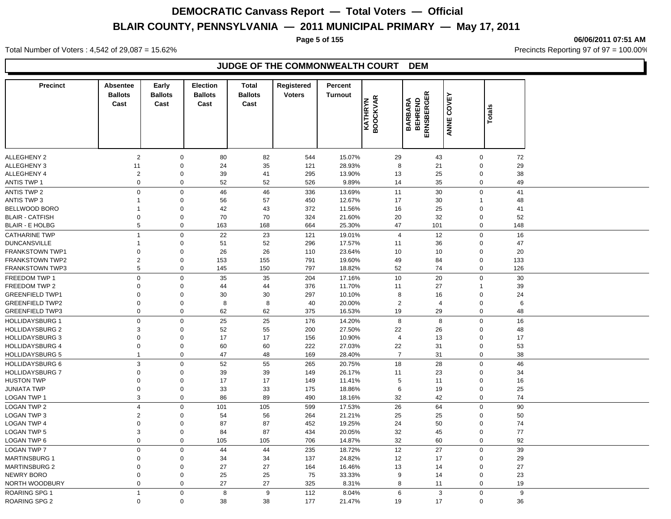**Page 5 of 155 06/06/2011 07:51 AM**

Total Number of Voters : 4,542 of 29,087 = 15.62% Precincts Reporting 97 of 97 = 100.00%

### **JUDGE OF THE COMMONWEALTH COURT DEM**

| <b>Precinct</b>        | <b>Absentee</b><br><b>Ballots</b> | Early<br><b>Ballots</b> | Election<br><b>Ballots</b> | <b>Total</b><br><b>Ballots</b> | Registered<br><b>Voters</b> | Percent<br>Turnout |                                   |                                   | ĸ              |                            |          |
|------------------------|-----------------------------------|-------------------------|----------------------------|--------------------------------|-----------------------------|--------------------|-----------------------------------|-----------------------------------|----------------|----------------------------|----------|
|                        | Cast                              | Cast                    | Cast                       | Cast                           |                             |                    | <b>BOOCKVAR</b><br><b>KATHRYN</b> | ERNSBERGER<br>BEHREND<br>ARABRARA | COVEY<br>面     | ANNE                       | Totals   |
| <b>ALLEGHENY 2</b>     | $\overline{2}$                    | $\boldsymbol{0}$        | 80                         | 82                             | 544                         | 15.07%             | 29                                |                                   | 43             | $\mathbf 0$                | 72       |
| ALLEGHENY 3            | 11                                | 0                       | 24                         | 35                             | 121                         | 28.93%             | 8                                 |                                   | 21             | $\mathbf 0$                | 29       |
| ALLEGHENY 4            | $\overline{2}$                    | 0                       | 39                         | 41                             | 295                         | 13.90%             | 13                                |                                   | 25             | $\mathbf 0$                | 38       |
| <b>ANTIS TWP 1</b>     | $\mathbf 0$                       | $\mathbf 0$             | 52                         | 52                             | 526                         | 9.89%              | 14                                |                                   | 35             | $\mathbf 0$                | 49       |
| <b>ANTIS TWP 2</b>     | $\mathsf 0$                       | $\mathsf 0$             | 46                         | 46                             | 336                         | 13.69%             | 11                                |                                   | 30             | $\mathbf 0$                | 41       |
| ANTIS TWP 3            | 1                                 | $\mathbf 0$             | 56                         | 57                             | 450                         | 12.67%             | 17                                |                                   | 30             | $\overline{1}$             | 48       |
| BELLWOOD BORO          | 1                                 | $\mathbf 0$             | 42                         | 43                             | 372                         | 11.56%             | 16                                |                                   | 25             | $\mathbf 0$                | 41       |
| <b>BLAIR - CATFISH</b> | 0                                 | $\boldsymbol{0}$        | 70                         | 70                             | 324                         | 21.60%             | 20                                |                                   | 32             | $\mathbf 0$                | 52       |
| <b>BLAIR - E HOLBG</b> | $\,$ 5 $\,$                       | $\mathsf 0$             | 163                        | 168                            | 664                         | 25.30%             | 47                                |                                   | 101            | $\mathbf 0$                | 148      |
| <b>CATHARINE TWP</b>   | $\overline{1}$                    | $\mathbf 0$             | 22                         | 23                             | 121                         | 19.01%             | $\overline{4}$                    |                                   | 12             | $\mathbf 0$                | 16       |
| <b>DUNCANSVILLE</b>    | 1                                 | 0                       | 51                         | 52                             | 296                         | 17.57%             | 11                                |                                   | 36             | $\mathbf 0$                | 47       |
| <b>FRANKSTOWN TWP1</b> | $\mathbf 0$                       | $\mathbf 0$             | 26                         | 26                             | 110                         | 23.64%             | 10                                |                                   | 10             | $\mathbf 0$                | 20       |
| <b>FRANKSTOWN TWP2</b> | $\overline{c}$                    | $\boldsymbol{0}$        | 153                        | 155                            | 791                         | 19.60%             | 49                                |                                   | 84             | $\mathbf 0$                | 133      |
| <b>FRANKSTOWN TWP3</b> | 5                                 | $\mathsf 0$             | 145                        | 150                            | 797                         | 18.82%             | 52                                |                                   | 74             | $\mathbf 0$                | 126      |
| FREEDOM TWP 1          | $\mathsf 0$                       | $\mathsf 0$             | 35                         | 35                             | 204                         | 17.16%             | 10                                |                                   | 20             | $\mathbf 0$                | 30       |
| FREEDOM TWP 2          | $\Omega$                          | 0                       | 44                         | 44                             | 376                         | 11.70%             | 11                                |                                   | 27             | $\overline{1}$             | 39       |
| <b>GREENFIELD TWP1</b> | 0                                 | 0                       | 30                         | 30                             | 297                         | 10.10%             | 8                                 |                                   | 16             | $\Omega$                   | 24       |
| <b>GREENFIELD TWP2</b> | 0                                 | $\boldsymbol{0}$        | 8                          | 8                              | 40                          | 20.00%             | $\overline{2}$                    |                                   | $\overline{4}$ | $\Omega$                   | 6        |
| <b>GREENFIELD TWP3</b> | $\mathbf 0$                       | $\mathbf 0$             | 62                         | 62                             | 375                         | 16.53%             | 19                                |                                   | 29             | $\mathbf 0$                | 48       |
| <b>HOLLIDAYSBURG 1</b> | $\mathsf 0$                       | $\mathsf 0$             | 25                         | 25                             | 176                         | 14.20%             | 8                                 |                                   | 8              | $\mathbf 0$                | 16       |
| <b>HOLLIDAYSBURG 2</b> | 3                                 | $\boldsymbol{0}$        | 52                         | 55                             | 200                         | 27.50%             | 22                                |                                   | 26             | $\mathbf 0$                | 48       |
| <b>HOLLIDAYSBURG 3</b> | $\mathbf 0$                       | $\mathbf 0$             | 17                         | 17                             | 156                         | 10.90%             | $\overline{4}$                    |                                   | 13             | $\mathbf 0$                | 17       |
| <b>HOLLIDAYSBURG 4</b> | 0                                 | $\pmb{0}$               | 60                         | 60                             | 222                         | 27.03%             | 22                                |                                   | 31             | $\pmb{0}$                  | 53       |
| <b>HOLLIDAYSBURG 5</b> | $\overline{1}$                    | $\mathsf 0$             | 47                         | 48                             | 169                         | 28.40%             | $\overline{7}$                    |                                   | 31             | $\mathbf 0$                | 38       |
| <b>HOLLIDAYSBURG 6</b> | 3                                 | $\mathbf 0$             | 52                         |                                | 265                         | 20.75%             | 18                                |                                   | 28             | $\mathbf 0$                | 46       |
| <b>HOLLIDAYSBURG 7</b> | $\mathbf 0$                       | $\mathbf 0$             | 39                         | 55<br>39                       | 149                         | 26.17%             | 11                                |                                   | 23             | $\mathbf 0$                | 34       |
| <b>HUSTON TWP</b>      | $\mathbf 0$                       | $\mathbf 0$             | 17                         | 17                             | 149                         | 11.41%             | $\sqrt{5}$                        |                                   | 11             | $\mathbf 0$                | 16       |
| JUNIATA TWP            | $\mathbf 0$                       | $\pmb{0}$               | 33                         | 33                             | 175                         | 18.86%             | 6                                 |                                   | 19             | $\mathbf 0$                | 25       |
| <b>LOGAN TWP 1</b>     | 3                                 | $\mathsf 0$             | 86                         | 89                             | 490                         | 18.16%             | 32                                |                                   | 42             | $\mathbf 0$                | 74       |
|                        |                                   |                         |                            |                                |                             |                    |                                   |                                   |                | $\Omega$                   | 90       |
| <b>LOGAN TWP 2</b>     | 4                                 | $\mathbf 0$             | 101                        | 105                            | 599                         | 17.53%             | 26                                |                                   | 64             |                            |          |
| <b>LOGAN TWP 3</b>     | $\overline{c}$                    | 0                       | 54                         | 56                             | 264                         | 21.21%             | 25                                |                                   | 25             | $\mathbf 0$<br>$\Omega$    | 50       |
| <b>LOGAN TWP 4</b>     | 0                                 | 0                       | 87                         | 87                             | 452                         | 19.25%             | 24                                |                                   | 50             |                            | 74<br>77 |
| <b>LOGAN TWP 5</b>     | 3<br>$\pmb{0}$                    | 0<br>$\pmb{0}$          | 84                         | 87                             | 434                         | 20.05%             | 32                                |                                   | 45             | $\mathbf 0$<br>$\mathbf 0$ | 92       |
| LOGAN TWP 6            |                                   |                         | 105                        | 105                            | 706                         | 14.87%             | 32                                |                                   | 60             |                            |          |
| <b>LOGAN TWP 7</b>     | $\mathsf 0$                       | $\mathsf 0$             | 44                         | 44                             | 235                         | 18.72%             | 12                                |                                   | 27             | $\mathbf 0$                | 39       |
| <b>MARTINSBURG 1</b>   | 0                                 | 0                       | 34                         | 34                             | 137                         | 24.82%             | 12                                |                                   | 17             | $\mathbf 0$                | 29       |
| <b>MARTINSBURG 2</b>   | 0                                 | $\boldsymbol{0}$        | 27                         | 27                             | 164                         | 16.46%             | 13                                |                                   | 14             | $\mathbf 0$                | 27       |
| <b>NEWRY BORO</b>      | 0                                 | $\boldsymbol{0}$        | 25                         | 25                             | 75                          | 33.33%             | 9                                 |                                   | 14             | $\mathbf 0$                | 23       |
| NORTH WOODBURY         | $\mathbf 0$                       | $\mathbf 0$             | 27                         | 27                             | 325                         | 8.31%              | 8                                 |                                   | 11             | $\mathbf 0$                | 19       |
| <b>ROARING SPG 1</b>   | $\overline{1}$                    | $\mathsf 0$             | 8                          | 9                              | 112                         | 8.04%              | 6                                 |                                   | 3              | $\mathbf 0$                | 9        |
| <b>ROARING SPG 2</b>   | $\mathbf 0$                       | $\mathbf 0$             | 38                         | 38                             | 177                         | 21.47%             | 19                                |                                   | 17             | $\mathbf 0$                | 36       |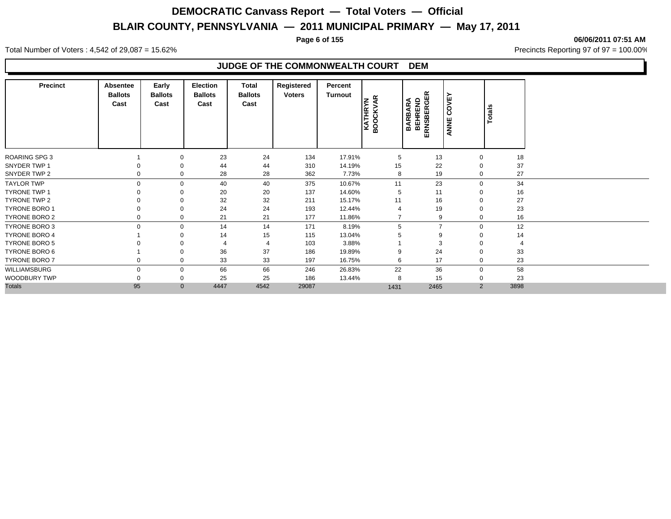**Page 6 of 155 06/06/2011 07:51 AM**

Total Number of Voters : 4,542 of 29,087 = 15.62% Precincts Reporting 97 of 97 = 100.00%

### **JUDGE OF THE COMMONWEALTH COURT DEM**

| <b>Precinct</b>      | Absentee<br><b>Ballots</b><br>Cast | Early<br><b>Ballots</b><br>Cast | Election<br><b>Ballots</b><br>Cast | Total<br><b>Ballots</b><br>Cast | Registered<br><b>Voters</b> | Percent<br><b>Turnout</b> | Æ<br>z<br><b>KATHRYN</b><br>BOOCKVA | $\propto$<br>RNSBERGE<br><b>BARBARA</b><br>BEHREND<br>ш | OVE<br>$\circ$<br>ANNE | Totals |
|----------------------|------------------------------------|---------------------------------|------------------------------------|---------------------------------|-----------------------------|---------------------------|-------------------------------------|---------------------------------------------------------|------------------------|--------|
| <b>ROARING SPG 3</b> |                                    |                                 | 23                                 | 24                              | 134                         | 17.91%                    | 5                                   | 13                                                      | $\mathbf 0$            | 18     |
| SNYDER TWP 1         |                                    |                                 | 44                                 | 44                              | 310                         | 14.19%                    | 15                                  | 22                                                      | $\Omega$               | 37     |
| SNYDER TWP 2         |                                    | 0                               | 28                                 | 28                              | 362                         | 7.73%                     | 8                                   | 19                                                      | $\mathbf 0$            | 27     |
| <b>TAYLOR TWP</b>    | $\Omega$                           | $\mathbf 0$                     | 40                                 | 40                              | 375                         | 10.67%                    | 11                                  | 23                                                      | $\mathbf 0$            | 34     |
| <b>TYRONE TWP 1</b>  |                                    |                                 | 20                                 | 20                              | 137                         | 14.60%                    | 5                                   | 11                                                      | -0                     | 16     |
| TYRONE TWP 2         |                                    |                                 | 32                                 | 32                              | 211                         | 15.17%                    | 11                                  | 16                                                      | $\Omega$               | 27     |
| <b>TYRONE BORO 1</b> |                                    | 0                               | 24                                 | 24                              | 193                         | 12.44%                    |                                     | 19                                                      | $\mathbf 0$            | 23     |
| TYRONE BORO 2        |                                    | $\mathbf 0$                     | 21                                 | 21                              | 177                         | 11.86%                    |                                     | 9                                                       | $\mathbf 0$            | 16     |
| <b>TYRONE BORO 3</b> |                                    | $\Omega$                        | 14                                 | 14                              | 171                         | 8.19%                     | 5                                   | $\overline{ }$                                          | $\Omega$               | 12     |
| <b>TYRONE BORO 4</b> |                                    |                                 | 14                                 | 15                              | 115                         | 13.04%                    |                                     | 9                                                       | $\Omega$               | 14     |
| <b>TYRONE BORO 5</b> |                                    |                                 |                                    | $\overline{4}$                  | 103                         | 3.88%                     |                                     | 3                                                       |                        |        |
| TYRONE BORO 6        |                                    |                                 | 36                                 | 37                              | 186                         | 19.89%                    | 9                                   | 24                                                      | $\Omega$               | 33     |
| TYRONE BORO 7        |                                    | $\mathbf 0$                     | 33                                 | 33                              | 197                         | 16.75%                    | 6                                   | 17                                                      | $\mathbf 0$            | 23     |
| WILLIAMSBURG         |                                    | $\mathbf 0$                     | 66                                 | 66                              | 246                         | 26.83%                    | 22                                  | 36                                                      | $\mathbf 0$            | 58     |
| WOODBURY TWP         |                                    | $\mathbf 0$                     | 25                                 | 25                              | 186                         | 13.44%                    | 8                                   | 15                                                      | 0                      | 23     |
| <b>Totals</b>        | 95                                 | $\mathbf{0}$                    | 4447                               | 4542                            | 29087                       |                           | 1431                                | 2465                                                    | $\overline{2}$         | 3898   |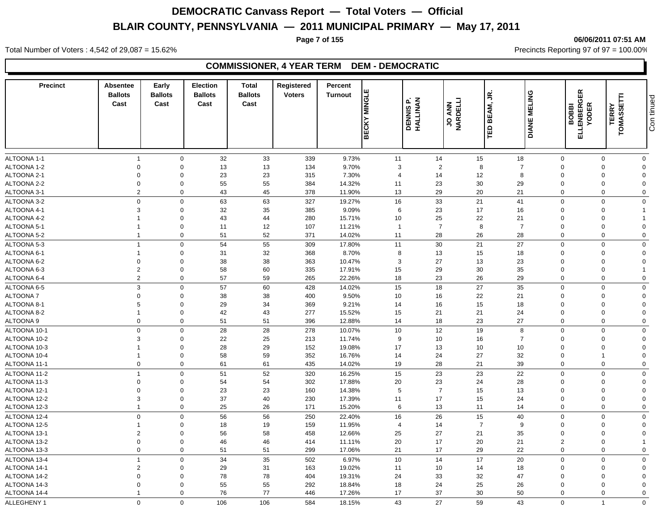#### **Page 7 of 155 06/06/2011 07:51 AM**

Total Number of Voters : 4,542 of 29,087 = 15.62% Precincts Reporting 97 of 97 = 100.00%

### **COMMISSIONER, 4 YEAR TERM DEM - DEMOCRATIC**

| <b>Precinct</b>              | Absentee<br><b>Ballots</b><br>Cast | Early<br><b>Ballots</b><br>Cast | <b>Election</b><br><b>Ballots</b><br>Cast | <b>Total</b><br><b>Ballots</b><br>Cast | Registered<br><b>Voters</b> | Percent<br><b>Turnout</b> | ш<br><b>NINGLI</b><br><b>BECKY</b> | <b>DENNIS P.<br/>HALLINAN</b> | JO ANN<br>MARDELLI | υŚ.<br>BEAM,         | <b>DIANE MELING</b> | <b>ELLENBERGER</b><br><b>YODER</b><br><b>BOBBI</b> | <b>TERRY</b><br>TOMASSETTI | Con tinued     |
|------------------------------|------------------------------------|---------------------------------|-------------------------------------------|----------------------------------------|-----------------------------|---------------------------|------------------------------------|-------------------------------|--------------------|----------------------|---------------------|----------------------------------------------------|----------------------------|----------------|
|                              |                                    |                                 |                                           |                                        |                             |                           |                                    |                               |                    | ΓED                  |                     |                                                    |                            |                |
| ALTOONA 1-1                  | $\overline{1}$                     | $\mathbf 0$                     | 32                                        | 33                                     | 339                         | 9.73%                     | 11                                 | 14                            |                    | 15                   | 18                  | $\mathbf 0$                                        | $\mathbf 0$                | $\mathbf 0$    |
| ALTOONA 1-2                  | $\mathbf 0$                        | $\mathbf 0$                     | 13                                        | 13                                     | 134                         | 9.70%                     | 3                                  | $\overline{2}$                |                    | 8                    | $\overline{7}$      | $\Omega$                                           | $\Omega$                   | $\mathbf{0}$   |
| ALTOONA 2-1                  | $\mathbf 0$                        | $\Omega$                        | 23                                        | 23                                     | 315                         | 7.30%                     | $\overline{4}$                     | 14                            |                    | 12                   | 8                   | $\Omega$                                           | $\Omega$                   | $\Omega$       |
| ALTOONA 2-2                  | $\mathbf 0$                        | $\Omega$                        | 55                                        | 55                                     | 384                         | 14.32%                    | 11                                 | 23                            |                    | 30                   | 29                  | $\Omega$                                           | $\Omega$                   | $\Omega$       |
| ALTOONA 3-1                  | $\overline{2}$                     | $\mathbf 0$                     | 43                                        | 45                                     | 378                         | 11.90%                    | 13                                 | 29                            |                    | 20                   | 21                  | $\Omega$                                           | $\Omega$                   | $\mathbf 0$    |
| ALTOONA 3-2                  | $\mathbf 0$                        | $\mathbf 0$                     | 63                                        | 63                                     | 327                         | 19.27%                    | 16                                 | 33                            |                    | 21                   | 41                  | $\mathbf 0$                                        | $\Omega$                   | $\mathbf 0$    |
| ALTOONA 4-1                  | $\mathbf{3}$                       | $\mathbf 0$                     | 32                                        | 35                                     | 385                         | 9.09%                     | 6                                  | 23                            |                    | 17                   | 16                  | $\Omega$                                           | $\Omega$                   |                |
| ALTOONA 4-2                  |                                    | $\Omega$                        | 43                                        | 44                                     | 280                         | 15.71%                    | 10                                 | 25                            |                    | 22                   | 21                  | $\Omega$                                           | $\Omega$                   |                |
| ALTOONA 5-1                  |                                    | $\mathbf 0$                     | 11                                        | 12                                     | 107                         | 11.21%                    | $\mathbf{1}$                       | $\overline{7}$                |                    | 8                    | $\overline{7}$      | $\Omega$                                           | $\Omega$                   | $\Omega$       |
| ALTOONA 5-2                  | $\overline{1}$                     | $\mathbf 0$                     | 51                                        | 52                                     | 371                         | 14.02%                    | 11                                 | 28                            |                    | 26                   | 28                  | $\mathbf 0$                                        | $\Omega$                   | $\Omega$       |
| ALTOONA 5-3                  | $\overline{1}$                     | $\Omega$                        | 54                                        | 55                                     | 309                         | 17.80%                    | 11                                 | 30                            |                    | 21                   | 27                  | $\mathbf 0$                                        | $\Omega$                   | $\mathbf 0$    |
| ALTOONA 6-1                  | $\overline{1}$                     | $\mathbf 0$                     | 31                                        | 32                                     | 368                         | 8.70%                     | 8                                  | 13                            |                    | 15                   | 18                  | $\Omega$                                           | $\Omega$                   | $\mathbf{0}$   |
| ALTOONA 6-2                  | $\mathbf 0$                        | $\Omega$                        | 38                                        | 38                                     | 363                         | 10.47%                    | 3                                  | 27                            |                    | 13                   | 23                  | $\Omega$                                           | $\Omega$                   | $\Omega$       |
| ALTOONA 6-3                  | $\overline{2}$                     | $\mathbf 0$                     | 58                                        | 60                                     | 335                         | 17.91%                    | 15                                 | 29                            |                    | 30                   | 35                  | $\Omega$                                           | $\Omega$                   |                |
| ALTOONA 6-4                  | $\overline{2}$                     | $\mathbf 0$                     | 57                                        | 59                                     | 265                         | 22.26%                    | 18                                 | 23                            |                    | 26                   | 29                  | $\mathbf 0$                                        | $\Omega$                   | $\mathbf 0$    |
| ALTOONA 6-5                  | $\mathbf{3}$                       | $\Omega$                        | 57                                        | 60                                     | 428                         | 14.02%                    | 15                                 | 18                            |                    | 27                   | 35                  | $\Omega$                                           | $\Omega$                   | $\mathbf 0$    |
| ALTOONA 7                    | $\Omega$                           | $\Omega$                        | 38                                        | 38                                     | 400                         | 9.50%                     | 10                                 | 16                            |                    | 22                   | 21                  | $\Omega$                                           | $\Omega$                   | $\Omega$       |
| ALTOONA 8-1                  | 5                                  | $\Omega$                        | 29                                        | 34                                     | 369                         | 9.21%                     | 14                                 | 16                            |                    | 15                   | 18                  | $\Omega$                                           | $\Omega$                   | $\Omega$       |
| ALTOONA 8-2                  | $\overline{1}$                     | $\mathbf 0$                     | 42                                        | 43                                     | 277                         | 15.52%                    | 15                                 | 21                            |                    | 21                   | 24                  | $\Omega$                                           | $\Omega$                   | $\overline{0}$ |
| ALTOONA 9                    | $\mathbf 0$                        | $\mathbf 0$                     | 51                                        | 51                                     | 396                         | 12.88%                    | 14                                 | 18                            |                    | 23                   | 27                  | $\mathbf 0$                                        | $\mathbf 0$                | $\mathbf 0$    |
| ALTOONA 10-1                 | $\mathbf 0$                        | $\Omega$                        | 28                                        | 28                                     | 278                         | 10.07%                    | 10                                 | 12                            |                    | 19                   | 8                   | $\Omega$                                           | $\Omega$                   | $\mathbf 0$    |
| ALTOONA 10-2                 | 3                                  | $\Omega$                        | 22                                        | 25                                     | 213                         | 11.74%                    | 9                                  | 10                            |                    | 16                   | $\overline{7}$      | $\Omega$                                           | $\Omega$                   | $\Omega$       |
| ALTOONA 10-3                 |                                    | $\mathbf 0$                     | 28                                        | 29                                     | 152                         | 19.08%                    | 17                                 | 13                            |                    | 10                   | 10                  | $\Omega$                                           | $\Omega$                   | $\overline{0}$ |
| ALTOONA 10-4                 | $\overline{1}$                     | $\mathbf 0$                     | 58                                        | 59                                     | 352                         | 16.76%                    | 14                                 | 24                            |                    | 27                   | 32                  | $\mathbf 0$                                        | $\mathbf 1$                | $\Omega$       |
| ALTOONA 11-1                 | $\mathbf 0$                        | $\mathbf 0$                     | 61                                        | 61                                     | 435                         | 14.02%                    | 19                                 | 28                            |                    | 21                   | 39                  | $\mathbf 0$                                        | $\mathbf 0$                | $\mathbf 0$    |
| ALTOONA 11-2                 | $\overline{1}$                     | $\Omega$                        | 51                                        | 52                                     | 320                         | 16.25%                    | 15                                 | 23                            |                    | 23                   | 22                  | $\Omega$                                           | $\Omega$                   | $\mathbf 0$    |
| ALTOONA 11-3                 | $\mathbf 0$                        | $\mathbf 0$                     | 54                                        | 54                                     | 302                         | 17.88%                    | 20                                 | 23                            |                    | 24                   | 28                  | $\Omega$                                           | $\Omega$                   | $\Omega$       |
| ALTOONA 12-1                 | $\Omega$                           | $\mathbf 0$                     | 23                                        | 23                                     | 160                         | 14.38%                    | 5                                  | $\overline{7}$                |                    | 15                   | 13                  | $\Omega$                                           | $\Omega$                   | $\Omega$       |
| ALTOONA 12-2                 | $\mathbf{3}$                       | $\mathbf 0$                     | 37                                        | 40                                     | 230                         | 17.39%                    | 11                                 | 17                            |                    | 15                   | 24                  | $\Omega$                                           | $\mathbf 0$                | $\Omega$       |
| ALTOONA 12-3                 | $\overline{1}$                     | $\mathbf 0$                     | 25                                        | 26                                     | 171                         | 15.20%                    | 6                                  | 13                            |                    | 11                   | 14                  | $\mathbf 0$                                        | $\Omega$                   | $\mathbf 0$    |
| ALTOONA 12-4                 | $\mathbf{0}$                       | $\mathbf 0$                     | 56                                        |                                        | 250                         | 22.40%                    |                                    | 26                            |                    |                      |                     | $\Omega$                                           | $\Omega$                   | $\mathbf 0$    |
| ALTOONA 12-5                 | $\overline{1}$                     | $\mathbf 0$                     | 18                                        | 56<br>19                               | 159                         | 11.95%                    | 16<br>$\overline{4}$               | 14                            |                    | 15<br>$\overline{7}$ | 40<br>9             | $\Omega$                                           | $\Omega$                   | $\Omega$       |
|                              | $\overline{2}$                     | $\mathbf 0$                     |                                           | 58                                     |                             |                           | 25                                 | 27                            |                    | 21                   | 35                  | $\Omega$                                           | $\Omega$                   | $\Omega$       |
| ALTOONA 13-1                 | $\boldsymbol{0}$                   | $\mathbf 0$                     | 56                                        | 46                                     | 458<br>414                  | 12.66%                    | 20                                 | 17                            |                    | 20                   | 21                  | $\overline{2}$                                     | $\Omega$                   |                |
| ALTOONA 13-2<br>ALTOONA 13-3 | $\mathbf 0$                        | $\mathbf 0$                     | 46<br>51                                  | 51                                     | 299                         | 11.11%<br>17.06%          | 21                                 | 17                            |                    | 29                   | 22                  | $\mathbf 0$                                        | $\Omega$                   | $\mathbf 0$    |
|                              |                                    |                                 |                                           |                                        |                             |                           |                                    |                               |                    |                      |                     |                                                    |                            |                |
| ALTOONA 13-4                 | $\overline{1}$                     | $\mathbf 0$                     | 34                                        | 35                                     | 502                         | 6.97%                     | 10                                 | 14                            |                    | 17                   | 20                  | $\Omega$                                           | $\Omega$                   | $\mathbf 0$    |
| ALTOONA 14-1                 | $\overline{2}$                     | $\mathbf 0$                     | 29                                        | 31                                     | 163                         | 19.02%                    | 11                                 | 10                            |                    | 14                   | 18                  | $\Omega$                                           | $\Omega$                   | $\Omega$       |
| ALTOONA 14-2                 | $\mathbf 0$                        | $\mathbf 0$                     | 78                                        | 78                                     | 404                         | 19.31%                    | 24                                 | 33                            |                    | 32                   | 47                  | $\Omega$                                           | $\Omega$                   | $\Omega$       |
| ALTOONA 14-3                 | $\Omega$                           | $\Omega$                        | 55                                        | 55                                     | 292                         | 18.84%                    | 18                                 | 24                            |                    | 25                   | 26                  | $\Omega$                                           | $\Omega$                   | $\Omega$       |
| ALTOONA 14-4                 | $\overline{1}$                     | $\Omega$                        | 76                                        | 77                                     | 446                         | 17.26%                    | 17                                 | 37                            |                    | 30                   | 50                  | $\Omega$                                           | $\Omega$                   | $\overline{0}$ |
| ALLEGHENY 1                  | $\mathbf 0$                        | $\Omega$                        | 106                                       | 106                                    | 584                         | 18.15%                    | 43                                 | 27                            |                    | 59                   | 43                  | $\Omega$                                           | $\overline{1}$             | $\mathbf 0$    |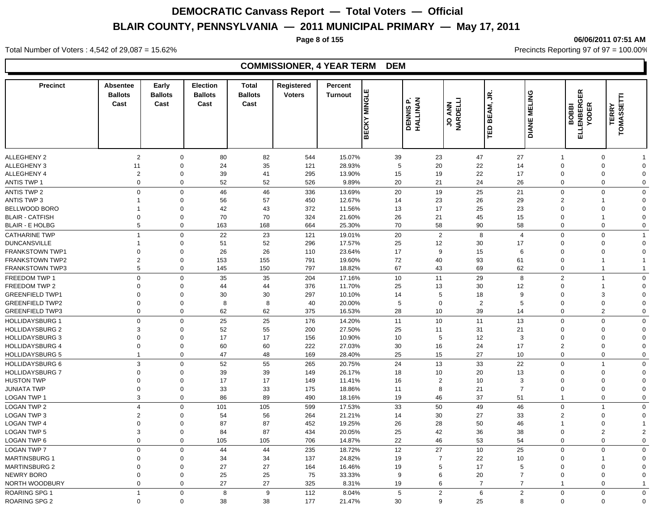**Page 8 of 155 06/06/2011 07:51 AM**

#### Total Number of Voters : 4,542 of 29,087 = 15.62% Precincts Reporting 97 of 97 = 100.00%

### **COMMISSIONER, 4 YEAR TERM DEM**

| <b>Precinct</b>                                  | <b>Absentee</b><br><b>Ballots</b><br>Cast | Early<br><b>Ballots</b><br>Cast | <b>Election</b><br><b>Ballots</b><br>Cast | <b>Total</b><br><b>Ballots</b><br>Cast | Registered<br><b>Voters</b> | Percent<br><b>Turnout</b> | ш<br><b>NINGLI</b><br><b>BECKY</b> | DENNIS P.<br>HALLINAN |                | JO ANN         | ≤,<br>BEAM,<br>TED | <b>DIANE MELING</b>                       | <b>ELLENBERGER</b><br><b>YODER</b><br>BOBBI | Ê<br><b>TERRY</b><br>TOMASS                  |
|--------------------------------------------------|-------------------------------------------|---------------------------------|-------------------------------------------|----------------------------------------|-----------------------------|---------------------------|------------------------------------|-----------------------|----------------|----------------|--------------------|-------------------------------------------|---------------------------------------------|----------------------------------------------|
|                                                  |                                           |                                 |                                           |                                        |                             |                           |                                    |                       |                |                |                    |                                           |                                             |                                              |
| ALLEGHENY 2<br><b>ALLEGHENY 3</b>                | $\overline{2}$                            | $\mathbf 0$<br>$\mathbf 0$      | 80                                        | 82                                     | 544                         | 15.07%<br>28.93%          |                                    | 39<br>5               | 23             | 47             | 27<br>14           | -1                                        | $\mathbf 0$                                 | 0<br>$\mathbf 0$<br>$\Omega$                 |
|                                                  | 11                                        |                                 | 24                                        | 35<br>41                               | 121                         |                           |                                    |                       | 20             | 22             | 17                 |                                           | $\mathbf 0$                                 | $\Omega$                                     |
| ALLEGHENY 4<br><b>ANTIS TWP 1</b>                | $\overline{c}$<br>$\mathbf 0$             | $\mathbf 0$<br>$\mathbf 0$      | 39<br>52                                  | 52                                     | 295<br>526                  | 13.90%<br>9.89%           |                                    | 15<br>20              | 19<br>21       | 22<br>24       | 26                 |                                           | $\mathbf 0$                                 | 0<br>$\mathbf 0$<br>$\mathbf 0$              |
|                                                  |                                           |                                 |                                           |                                        |                             |                           |                                    |                       |                |                |                    |                                           |                                             |                                              |
| <b>ANTIS TWP 2</b><br><b>ANTIS TWP 3</b>         | $\mathbf 0$                               | $\mathbf 0$<br>$\mathbf 0$      | 46<br>56                                  | 46<br>57                               | 336<br>450                  | 13.69%<br>12.67%          |                                    | 20<br>14              | 19<br>23       | 25<br>26       | 21<br>29           |                                           | $\mathbf 0$<br>$\overline{2}$               | $\mathbf 0$<br>$\mathbf 0$<br>$\Omega$<br>-1 |
| BELLWOOD BORO                                    | -1                                        | $\mathbf 0$                     | 42                                        | 43                                     | 372                         | 11.56%                    |                                    | 13                    | 17             |                |                    |                                           | $\Omega$                                    | $\mathbf 0$<br>$\Omega$                      |
| <b>BLAIR - CATFISH</b>                           | $\Omega$                                  | $\mathbf 0$                     | 70                                        | 70                                     | 324                         | 21.60%                    |                                    | 26                    | 21             | 25<br>45       | 23<br>15           |                                           | $\Omega$                                    | $\overline{1}$<br>$\Omega$                   |
| <b>BLAIR - E HOLBG</b>                           | 5                                         | $\mathbf 0$                     | 163                                       | 168                                    | 664                         | 25.30%                    |                                    | 70                    | 58             | 90             | 58                 |                                           | $\mathbf 0$                                 | $\mathbf 0$<br>$\mathbf 0$                   |
|                                                  | $\overline{1}$                            | $\mathbf 0$                     |                                           |                                        |                             |                           |                                    |                       |                |                |                    |                                           |                                             |                                              |
| <b>CATHARINE TWP</b><br><b>DUNCANSVILLE</b>      | $\overline{1}$                            | $\mathbf 0$                     | 22<br>51                                  | 23<br>52                               | 121<br>296                  | 19.01%<br>17.57%          |                                    | 20<br>25              | 2<br>12        | 8<br>30        | 17                 | $\overline{4}$                            | $\mathbf 0$<br>$\mathbf 0$                  | $\mathbf 0$<br>-1<br>0<br>$\Omega$           |
| <b>FRANKSTOWN TWP1</b>                           | $\mathbf 0$                               | $\Omega$                        | 26                                        | 26                                     | 110                         | 23.64%                    |                                    | 17                    | 9              | 15             |                    | 6                                         | $\Omega$                                    | $\Omega$<br>$\Omega$                         |
| <b>FRANKSTOWN TWP2</b>                           | $\overline{2}$                            | $\mathbf 0$                     | 153                                       | 155                                    | 791                         | 19.60%                    |                                    | 72                    | 40             | 93             | 61                 |                                           | $\mathbf 0$                                 | $\mathbf 1$                                  |
| <b>FRANKSTOWN TWP3</b>                           | 5                                         | $\mathbf 0$                     | 145                                       | 150                                    | 797                         | 18.82%                    |                                    | 67                    | 43             | 69             | 62                 |                                           | $\mathbf 0$                                 | $\mathbf{1}$                                 |
|                                                  | $\Omega$                                  | $\mathbf 0$                     |                                           |                                        | 204                         |                           |                                    | 10                    | 11             | 29             |                    |                                           | $\overline{2}$                              | $\overline{1}$<br>$\mathbf 0$                |
| FREEDOM TWP 1<br>FREEDOM TWP 2                   | $\Omega$                                  | $\Omega$                        | 35<br>44                                  | 35<br>44                               | 376                         | 17.16%<br>11.70%          |                                    | 25                    | 13             | 30             | 12                 | 8                                         | $\Omega$                                    | $\overline{1}$<br>$\Omega$                   |
| <b>GREENFIELD TWP1</b>                           | $\Omega$                                  | $\Omega$                        | 30                                        | 30                                     | 297                         | 10.10%                    |                                    | 14                    | 5              | 18             |                    | 9                                         | $\Omega$                                    | 3<br>$\Omega$                                |
| <b>GREENFIELD TWP2</b>                           | $\Omega$                                  | $\mathbf 0$                     | 8                                         | 8                                      | 40                          | 20.00%                    |                                    | 5                     | $\Omega$       | $\overline{2}$ |                    | 5                                         | $\Omega$                                    | $\mathbf 0$<br>$\Omega$                      |
| <b>GREENFIELD TWP3</b>                           | $\mathbf 0$                               | $\mathbf 0$                     | 62                                        | 62                                     | 375                         | 16.53%                    |                                    | 28                    | 10             | 39             | 14                 |                                           | $\mathbf 0$                                 | $\overline{2}$<br>$\Omega$                   |
| <b>HOLLIDAYSBURG 1</b>                           | $\mathbf 0$                               | $\mathbf 0$                     | 25                                        | 25                                     | 176                         | 14.20%                    |                                    | 11                    | 10             | 11             | 13                 |                                           | $\mathbf 0$                                 | $\mathbf 0$<br>$\Omega$                      |
| <b>HOLLIDAYSBURG 2</b>                           | 3                                         | $\Omega$                        | 52                                        | 55                                     | 200                         | 27.50%                    |                                    | 25                    | 11             | 31             | 21                 |                                           | $\Omega$                                    | $\mathbf 0$<br>$\Omega$                      |
| <b>HOLLIDAYSBURG 3</b>                           | $\mathbf 0$                               | $\Omega$                        | 17                                        | 17                                     | 156                         | 10.90%                    |                                    | 10                    | 5              | 12             |                    | 3                                         | $\Omega$                                    | $\mathbf 0$<br>$\Omega$                      |
| <b>HOLLIDAYSBURG 4</b>                           | $\mathbf 0$                               | $\mathbf 0$                     | 60                                        | 60                                     | 222                         | 27.03%                    |                                    | 30                    | 16             | 24             | 17                 |                                           | $\overline{2}$                              | $\mathbf 0$<br>$\mathbf 0$                   |
| <b>HOLLIDAYSBURG 5</b>                           | $\mathbf{1}$                              | $\mathbf 0$                     | 47                                        | 48                                     | 169                         | 28.40%                    |                                    | 25                    | 15             | 27             | 10                 |                                           | $\mathbf 0$                                 | $\mathbf 0$<br>$\mathbf 0$                   |
|                                                  | $\mathbf{3}$                              | $\Omega$                        |                                           |                                        |                             |                           |                                    |                       |                | 33             | 22                 |                                           | $\mathbf 0$                                 | $\mathbf 0$<br>$\overline{1}$                |
| <b>HOLLIDAYSBURG 6</b><br><b>HOLLIDAYSBURG 7</b> | $\Omega$                                  | $\Omega$                        | 52<br>39                                  | 55<br>39                               | 265<br>149                  | 20.75%<br>26.17%          |                                    | 24<br>18              | 13<br>10       | 20             | 13                 |                                           | $\Omega$                                    | 0<br>$\Omega$                                |
| <b>HUSTON TWP</b>                                | $\Omega$                                  | $\mathbf 0$                     | 17                                        | 17                                     | 149                         | 11.41%                    |                                    | 16                    | $\overline{2}$ | 10             |                    | 3                                         | $\Omega$                                    | 0<br>$\Omega$                                |
| JUNIATA TWP                                      | $\mathbf 0$                               | $\mathbf 0$                     | 33                                        | 33                                     | 175                         | 18.86%                    |                                    | 11                    | 8              | 21             |                    | $\overline{7}$                            | $\Omega$                                    | 0<br>$\Omega$                                |
| LOGAN TWP 1                                      | 3                                         | $\mathbf 0$                     | 86                                        | 89                                     | 490                         | 18.16%                    |                                    | 19                    | 46             | 37             | 51                 |                                           | $\overline{1}$                              | $\mathbf 0$<br>$\mathbf 0$                   |
| <b>LOGAN TWP 2</b>                               | $\overline{4}$                            | $\mathbf 0$                     | 101                                       | 105                                    | 599                         | 17.53%                    |                                    | 33                    | 50             | 49             | 46                 |                                           | $\mathbf 0$                                 | $\Omega$<br>$\overline{1}$                   |
| <b>LOGAN TWP 3</b>                               | $\overline{2}$                            | $\mathbf 0$                     | 54                                        | 56                                     | 264                         | 21.21%                    |                                    | 14                    | 30             | 27             | 33                 |                                           | $\overline{2}$                              | $\mathbf 0$<br>$\Omega$                      |
| <b>LOGAN TWP 4</b>                               | $\mathbf 0$                               | $\mathbf 0$                     | 87                                        | 87                                     | 452                         | 19.25%                    |                                    | 26                    | 28             | 50             | 46                 |                                           | $\overline{1}$                              | $\mathbf 0$                                  |
| <b>LOGAN TWP 5</b>                               | 3                                         | $\mathbf 0$                     | 84                                        | 87                                     | 434                         | 20.05%                    |                                    | 25                    | 42             | 36             | 38                 |                                           | $\mathbf 0$                                 | $\overline{2}$<br>$\overline{2}$             |
| <b>LOGAN TWP 6</b>                               | $\mathbf 0$                               | $\mathbf 0$                     | 105                                       | 105                                    | 706                         | 14.87%                    |                                    | 22                    | 46             | 53             | 54                 |                                           | $\mathbf 0$                                 | $\mathbf 0$<br>$\mathbf 0$                   |
| <b>LOGAN TWP 7</b>                               | $\mathbf 0$                               | $\mathbf 0$                     | 44                                        | 44                                     | 235                         | 18.72%                    |                                    | 12                    | 27             | 10             | 25                 |                                           | $\mathbf 0$                                 | $\mathbf 0$<br>$\mathbf 0$                   |
| <b>MARTINSBURG 1</b>                             | $\mathbf 0$                               | $\mathbf 0$                     | 34                                        | 34                                     | 137                         | 24.82%                    |                                    | 19                    | $\overline{7}$ | 22             | 10                 |                                           | $\mathbf 0$                                 | $\mathbf 0$<br>$\overline{1}$                |
| <b>MARTINSBURG 2</b>                             | $\mathbf 0$                               | $\mathbf 0$                     | 27                                        | 27                                     | 164                         | 16.46%                    |                                    | 19                    | 5              | 17             | 5                  |                                           | $\mathbf 0$                                 | 0<br>$\mathbf 0$                             |
| NEWRY BORO                                       | $\mathbf 0$                               | $\mathbf 0$                     | 25                                        | 25                                     | 75                          | 33.33%                    |                                    | 9                     | 6              | 20             |                    | $\overline{7}$                            | $\mathbf 0$                                 | $\mathbf 0$<br>$\Omega$                      |
| NORTH WOODBURY                                   | $\mathbf 0$                               | $\Omega$                        | 27                                        | 27                                     | 325                         | 8.31%                     |                                    | 19                    | 6              | $\overline{7}$ |                    | $\overline{7}$<br>$\overline{\mathbf{1}}$ |                                             | 0                                            |
| ROARING SPG 1                                    | $\overline{1}$                            | $\Omega$                        | 8                                         | 9                                      | 112                         | 8.04%                     |                                    | 5                     | $\overline{2}$ | $6\phantom{1}$ |                    | $\overline{2}$                            | $\mathbf 0$                                 | $\mathbf 0$<br>$\mathbf 0$                   |
| <b>ROARING SPG 2</b>                             | $\mathbf 0$                               | $\Omega$                        | 38                                        | 38                                     | 177                         | 21.47%                    |                                    | 30                    | 9              | 25             |                    | 8                                         | $\mathbf 0$                                 | $\mathbf 0$<br>$\Omega$                      |
|                                                  |                                           |                                 |                                           |                                        |                             |                           |                                    |                       |                |                |                    |                                           |                                             |                                              |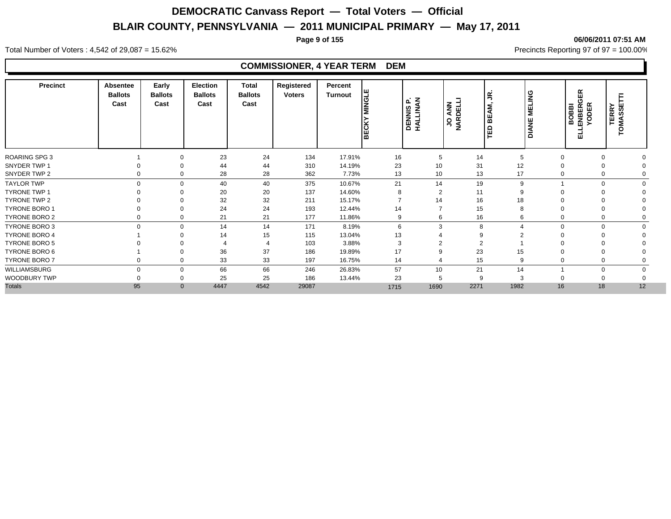**Page 9 of 155 06/06/2011 07:51 AM**

Total Number of Voters : 4,542 of 29,087 = 15.62% Precincts Reporting 97 of 97 = 100.00%

### **COMMISSIONER, 4 YEAR TERM DEM**

| <b>Precinct</b>      | Absentee<br><b>Ballots</b><br>Cast | Early<br><b>Ballots</b><br>Cast | <b>Election</b><br><b>Ballots</b><br>Cast | <b>Total</b><br><b>Ballots</b><br>Cast | Registered<br><b>Voters</b> | Percent<br><b>Turnout</b> | <b>MINGLE</b><br><b>BECKY</b> | いる<br>௳<br><b>DENNIS</b><br>HALLINA | JO ANN<br>NARDELLI | g<br>AM,<br>빎<br>$\mathbf \Omega$<br>퍋 | <b>MELING</b><br><b>DIANE</b> | <b>GER</b><br><b>YODER</b><br>BOBBI<br>ENBER<br>긆 | TERRY<br>"OMASSET |
|----------------------|------------------------------------|---------------------------------|-------------------------------------------|----------------------------------------|-----------------------------|---------------------------|-------------------------------|-------------------------------------|--------------------|----------------------------------------|-------------------------------|---------------------------------------------------|-------------------|
| ROARING SPG 3        |                                    | $\Omega$                        | 23                                        | 24                                     | 134                         | 17.91%                    | 16                            | 5                                   | 14                 | 5                                      | $\Omega$                      | $\Omega$                                          |                   |
| SNYDER TWP 1         |                                    | $\Omega$                        | 44                                        | 44                                     | 310                         | 14.19%                    | 23                            | 10                                  | 31                 | 12                                     |                               | $\Omega$                                          |                   |
| SNYDER TWP 2         |                                    | 0<br>$\mathbf 0$                | 28                                        | 28                                     | 362                         | 7.73%                     | 13                            | 10                                  | 13                 | 17                                     | $\Omega$                      | $\Omega$                                          |                   |
| <b>TAYLOR TWP</b>    |                                    | $\mathbf 0$<br>$\Omega$         | 40                                        | 40                                     | 375                         | 10.67%                    | 21                            | 14                                  | 19                 | 9                                      |                               | $\Omega$                                          |                   |
| <b>TYRONE TWP 1</b>  |                                    | $\Omega$                        | 20                                        | 20                                     | 137                         | 14.60%                    | 8                             | $\overline{2}$                      | 11                 | 9                                      |                               |                                                   |                   |
| TYRONE TWP 2         |                                    | $\Omega$                        | 32                                        | 32                                     | 211                         | 15.17%                    |                               | 14                                  | 16                 | 18                                     |                               | $\Omega$                                          |                   |
| <b>TYRONE BORO 1</b> |                                    | $\Omega$                        | 24                                        | 24                                     | 193                         | 12.44%                    | 14                            | $\overline{7}$                      | 15                 | 8                                      | $\Omega$                      | $\Omega$                                          |                   |
| <b>TYRONE BORO 2</b> |                                    | $\mathbf 0$<br>0                | 21                                        | 21                                     | 177                         | 11.86%                    | 9                             | 6                                   | 16                 | 6                                      | 0                             | 0                                                 |                   |
| <b>TYRONE BORO 3</b> |                                    | $\mathbf 0$<br>$\mathbf 0$      | 14                                        | 14                                     | 171                         | 8.19%                     | 6                             | 3                                   | 8                  |                                        | $\mathbf 0$                   | $\mathbf 0$                                       | $\Omega$          |
| <b>TYRONE BORO 4</b> |                                    | $\Omega$                        | 14                                        | 15                                     | 115                         | 13.04%                    | 13                            | $\overline{4}$                      | 9                  |                                        |                               |                                                   |                   |
| <b>TYRONE BORO 5</b> |                                    |                                 |                                           |                                        | 103                         | 3.88%                     | 3                             | C<br>∠                              | $\overline{2}$     |                                        |                               |                                                   |                   |
| TYRONE BORO 6        |                                    | $\Omega$                        | 36                                        | 37                                     | 186                         | 19.89%                    | 17                            | 9                                   | 23                 | 15                                     |                               | $\Omega$                                          |                   |
| TYRONE BORO 7        |                                    | $\Omega$                        | 33                                        | 33                                     | 197                         | 16.75%                    | 14                            | $\overline{4}$                      | 15                 | 9                                      |                               | $\Omega$                                          |                   |
| WILLIAMSBURG         |                                    | $\Omega$<br>$\mathbf 0$         | 66                                        | 66                                     | 246                         | 26.83%                    | 57                            | 10                                  | 21                 | 14                                     |                               | $\Omega$                                          |                   |
| WOODBURY TWP         |                                    | 0                               | 25                                        | 25                                     | 186                         | 13.44%                    | 23                            | 5                                   | 9                  | 3                                      |                               |                                                   |                   |
| <b>Totals</b>        | 95                                 | $\Omega$                        | 4447                                      | 4542                                   | 29087                       |                           | 1715                          | 1690                                | 2271               | 1982                                   | 16                            | 18                                                | 12                |
|                      |                                    |                                 |                                           |                                        |                             |                           |                               |                                     |                    |                                        |                               |                                                   |                   |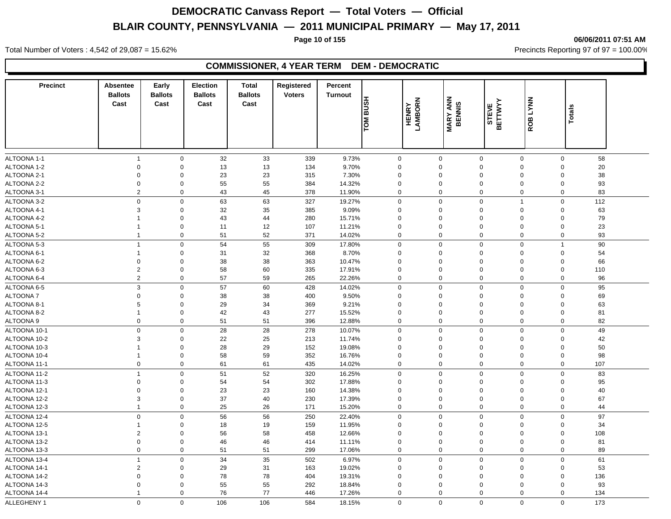**Page 10 of 155 06/06/2011 07:51 AM**

Total Number of Voters : 4,542 of 29,087 = 15.62% Precincts Reporting 97 of 97 = 100.00%

#### **COMMISSIONER, 4 YEAR TERM DEM - DEMOCRATIC**

| <b>Precinct</b> | <b>Absentee</b><br><b>Ballots</b><br>Cast | Early<br><b>Ballots</b><br>Cast | <b>Election</b><br><b>Ballots</b><br>Cast | <b>Total</b><br><b>Ballots</b><br>Cast | Registered<br><b>Voters</b> | Percent<br><b>Turnout</b><br><b>HSUB</b><br><b>NOL</b> |             | <b>HENRY</b><br>LAMBORN | <b>MARY ANN</b><br>BENNIS | STEVE<br>BETTWYY | <b>LYNN</b><br>ROB | <b>Totals</b>  |     |
|-----------------|-------------------------------------------|---------------------------------|-------------------------------------------|----------------------------------------|-----------------------------|--------------------------------------------------------|-------------|-------------------------|---------------------------|------------------|--------------------|----------------|-----|
|                 |                                           |                                 |                                           |                                        |                             |                                                        |             |                         |                           |                  |                    |                |     |
| ALTOONA 1-1     | $\mathbf{1}$                              | $\mathbf 0$                     | 32                                        | 33                                     | 339                         | 9.73%                                                  | $\mathbf 0$ | $\mathsf 0$             | $\mathbf 0$               |                  | $\mathbf 0$        | $\mathbf 0$    | 58  |
| ALTOONA 1-2     | $\mathbf 0$                               | $\mathbf 0$                     | 13                                        | 13                                     | 134                         | 9.70%                                                  | 0           | $\mathbf 0$             | $\mathbf 0$               |                  | 0                  | $\mathbf 0$    | 20  |
| ALTOONA 2-1     | $\Omega$                                  | $\Omega$                        | 23                                        | 23                                     | 315                         | 7.30%                                                  | 0           | $\Omega$                | $\mathbf 0$               |                  | $\Omega$           | $\Omega$       | 38  |
| ALTOONA 2-2     | $\mathbf 0$                               | $\Omega$                        | 55                                        | 55                                     | 384                         | 14.32%                                                 | 0           | $\Omega$                | $\mathbf 0$               |                  | $\mathbf 0$        | $\Omega$       | 93  |
| ALTOONA 3-1     | $\overline{2}$                            | $\mathbf 0$                     | 43                                        | 45                                     | 378                         | 11.90%                                                 | 0           | $\mathbf 0$             | $\mathbf 0$               |                  | 0                  | $\mathbf 0$    | 83  |
| ALTOONA 3-2     | $\mathbf 0$                               | $\mathbf 0$                     | 63                                        | 63                                     | 327                         | 19.27%                                                 | $\mathbf 0$ | $\mathbf 0$             | $\mathbf 0$               | $\overline{1}$   |                    | $\mathbf 0$    | 112 |
| ALTOONA 4-1     | 3                                         | $\mathbf 0$                     | 32                                        | 35                                     | 385                         | 9.09%                                                  | 0           | $\mathbf 0$             | $\mathbf 0$               |                  | 0                  | $\mathsf 0$    | 63  |
| ALTOONA 4-2     | $\mathbf{1}$                              | $\mathbf 0$                     | 43                                        | 44                                     | 280                         | 15.71%                                                 | 0           | $\Omega$                | $\mathbf 0$               |                  | 0                  | $\mathbf 0$    | 79  |
| ALTOONA 5-1     |                                           | $\mathbf 0$                     | 11                                        | 12                                     | 107                         | 11.21%                                                 | 0           | $\mathbf 0$             | $\mathbf 0$               |                  | 0                  | $\mathbf 0$    | 23  |
| ALTOONA 5-2     | $\mathbf{1}$                              | $\mathsf 0$                     | 51                                        | 52                                     | 371                         | 14.02%                                                 | 0           | $\mathsf 0$             | $\mathbf 0$               |                  | 0                  | $\mathbf 0$    | 93  |
| ALTOONA 5-3     | $\overline{1}$                            | $\mathsf 0$                     | 54                                        | 55                                     | 309                         | 17.80%                                                 | 0           | $\mathsf 0$             | $\mathbf 0$               |                  | 0                  | $\overline{1}$ | 90  |
| ALTOONA 6-1     | -1                                        | 0                               | 31                                        | 32                                     | 368                         | 8.70%                                                  | 0           | $\Omega$                | $\mathbf 0$               |                  | 0                  | $\mathbf 0$    | 54  |
| ALTOONA 6-2     | $\Omega$                                  | $\mathbf 0$                     | 38                                        | 38                                     | 363                         | 10.47%                                                 | $\Omega$    | $\Omega$                | $\mathbf 0$               |                  | $\mathbf 0$        | $\mathbf 0$    | 66  |
| ALTOONA 6-3     | $\sqrt{2}$                                | $\mathbf 0$                     | 58                                        | 60                                     | 335                         | 17.91%                                                 | 0           | $\Omega$                | $\Omega$                  |                  | $\Omega$           | $\mathbf 0$    | 110 |
| ALTOONA 6-4     | 2                                         | $\Omega$                        | 57                                        | 59                                     | 265                         | 22.26%                                                 | 0           | $\Omega$                | $\mathbf 0$               |                  | $\mathbf 0$        | $\Omega$       | 96  |
| ALTOONA 6-5     | 3                                         | $\mathbf 0$                     | 57                                        | 60                                     | 428                         | 14.02%                                                 | 0           | $\mathbf 0$             | $\mathbf 0$               |                  | 0                  | $\mathbf 0$    | 95  |
| ALTOONA 7       | $\Omega$                                  | $\mathbf 0$                     | 38                                        | 38                                     | 400                         | 9.50%                                                  | 0           | $\Omega$                | $\mathbf 0$               |                  | 0                  | 0              | 69  |
| ALTOONA 8-1     | 5                                         | $\overline{0}$                  | 29                                        | 34                                     | 369                         | 9.21%                                                  | 0           | $\Omega$                | $\mathbf 0$               |                  | $\mathbf 0$        | $\mathbf 0$    | 63  |
| ALTOONA 8-2     | $\mathbf{1}$                              | $\mathbf 0$                     | 42                                        | 43                                     | 277                         | 15.52%                                                 | 0           | $\mathbf 0$             | $\mathbf 0$               |                  | 0                  | $\mathbf 0$    | 81  |
| ALTOONA 9       | $\mathbf 0$                               | $\mathbf 0$                     | 51                                        | 51                                     | 396                         | 12.88%                                                 | 0           | $\mathbf 0$             | $\mathbf 0$               |                  | 0                  | $\mathbf 0$    | 82  |
| ALTOONA 10-1    | $\mathbf 0$                               | $\mathbf 0$                     | 28                                        | 28                                     | 278                         | 10.07%                                                 | 0           | $\mathbf 0$             | $\mathbf 0$               |                  | 0                  | 0              | 49  |
| ALTOONA 10-2    | 3                                         | $\mathbf 0$                     | 22                                        | 25                                     | 213                         | 11.74%                                                 | 0           | $\Omega$                | $\mathbf 0$               |                  | 0                  | $\Omega$       | 42  |
| ALTOONA 10-3    | -1                                        | $\mathbf 0$                     | 28                                        | 29                                     | 152                         | 19.08%                                                 | 0           | $\Omega$                | $\mathbf 0$               |                  | 0                  | $\mathbf 0$    | 50  |
| ALTOONA 10-4    | $\mathbf{1}$                              | $\mathbf 0$                     | 58                                        | 59                                     | 352                         | 16.76%                                                 | 0           | $\mathbf 0$             | $\mathbf 0$               |                  | $\mathbf 0$        | $\mathbf 0$    | 98  |
| ALTOONA 11-1    | $\mathbf 0$                               | $\mathbf 0$                     | 61                                        | 61                                     | 435                         | 14.02%                                                 | 0           | $\mathbf 0$             | $\mathbf 0$               |                  | 0                  | 0              | 107 |
| ALTOONA 11-2    | $\overline{1}$                            | $\Omega$                        | 51                                        | 52                                     | 320                         | 16.25%                                                 | $\mathbf 0$ | $\Omega$                | $\mathbf 0$               |                  | 0                  | $\mathbf 0$    | 83  |
| ALTOONA 11-3    | $\Omega$                                  | $\Omega$                        | 54                                        | 54                                     | 302                         | 17.88%                                                 | $\Omega$    | $\Omega$                | $\mathbf 0$               |                  | 0                  | $\mathbf 0$    | 95  |
| ALTOONA 12-1    | $\mathbf 0$                               | 0                               | 23                                        | 23                                     | 160                         | 14.38%                                                 | 0           | $\mathbf 0$             | $\mathbf 0$               |                  | $\mathbf 0$        | $\mathbf 0$    | 40  |
| ALTOONA 12-2    | 3                                         | $\mathbf 0$                     | 37                                        | 40                                     | 230                         | 17.39%                                                 | 0           | $\mathbf 0$             | $\mathbf 0$               |                  | 0                  | $\mathbf 0$    | 67  |
| ALTOONA 12-3    | $\mathbf{1}$                              | 0                               | 25                                        | 26                                     | 171                         | 15.20%                                                 | 0           | $\mathbf 0$             | $\mathbf 0$               |                  | 0                  | 0              | 44  |
|                 |                                           |                                 |                                           |                                        |                             |                                                        |             | $\Omega$                |                           |                  |                    |                |     |
| ALTOONA 12-4    | $\mathbf 0$                               | $\mathbf 0$                     | 56                                        | 56                                     | 250                         | 22.40%                                                 | $\Omega$    |                         | $\mathbf 0$               |                  | $\mathbf 0$        | $\Omega$       | 97  |
| ALTOONA 12-5    | $\mathbf{1}$                              | $\Omega$                        | 18                                        | 19                                     | 159                         | 11.95%                                                 | $\Omega$    | $\Omega$                | $\mathbf 0$               |                  | $\Omega$           | $\Omega$       | 34  |
| ALTOONA 13-1    | $\overline{2}$                            | 0                               | 56                                        | 58                                     | 458                         | 12.66%                                                 | 0           | $\mathbf 0$             | $\mathbf 0$               |                  | $\mathbf 0$        | $\mathbf 0$    | 108 |
| ALTOONA 13-2    | $\mathbf 0$                               | $\mathbf 0$                     | 46                                        | 46                                     | 414                         | 11.11%                                                 | 0           | $\mathbf 0$             | $\mathbf 0$               |                  | $\mathbf 0$        | $\mathbf 0$    | 81  |
| ALTOONA 13-3    | $\mathbf 0$                               | 0                               | 51                                        | 51                                     | 299                         | 17.06%                                                 | 0           | $\mathbf 0$             | $\mathbf 0$               |                  | 0                  | $\mathbf 0$    | 89  |
| ALTOONA 13-4    | $\mathbf{1}$                              | $\mathbf 0$                     | 34                                        | 35                                     | 502                         | 6.97%                                                  | $\mathbf 0$ | $\Omega$                | $\mathbf 0$               |                  | $\mathbf 0$        | $\mathbf 0$    | 61  |
| ALTOONA 14-1    | $\sqrt{2}$                                | $\Omega$                        | 29                                        | 31                                     | 163                         | 19.02%                                                 | $\Omega$    | $\Omega$                | $\mathbf 0$               |                  | $\mathbf 0$        | $\Omega$       | 53  |
| ALTOONA 14-2    | 0                                         | $\Omega$                        | 78                                        | 78                                     | 404                         | 19.31%                                                 | $\Omega$    | $\mathbf 0$             | $\mathbf 0$               |                  | $\Omega$           | $\mathbf 0$    | 136 |
| ALTOONA 14-3    | $\Omega$                                  | $\Omega$                        | 55                                        | 55                                     | 292                         | 18.84%                                                 | 0           | $\Omega$                | $\mathbf 0$               |                  | 0                  | $\Omega$       | 93  |
| ALTOONA 14-4    | $\overline{1}$                            | 0                               | 76                                        | 77                                     | 446                         | 17.26%                                                 | 0           | $\mathbf 0$             | $\mathbf 0$               |                  | 0                  | $\mathbf 0$    | 134 |
| ALLEGHENY 1     | $\Omega$                                  | $\Omega$                        | 106                                       | 106                                    | 584                         | 18.15%                                                 | $\Omega$    | $\Omega$                | $\Omega$                  |                  | $\Omega$           | $\Omega$       | 173 |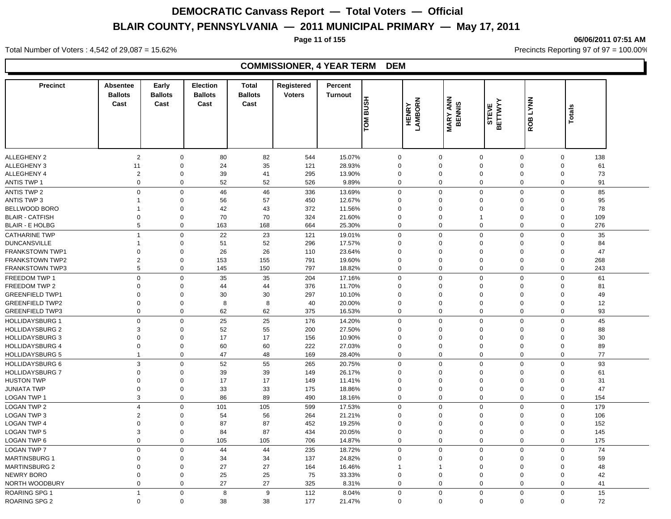**Page 11 of 155 06/06/2011 07:51 AM**

#### Total Number of Voters : 4,542 of 29,087 = 15.62% Precincts Reporting 97 of 97 = 100.00%

### **COMMISSIONER, 4 YEAR TERM DEM**

| <b>Precinct</b>        | <b>Absentee</b><br><b>Ballots</b> | Early<br><b>Ballots</b> | Election<br><b>Ballots</b> | <b>Total</b><br><b>Ballots</b> | Registered<br><b>Voters</b> | Percent<br><b>Turnout</b> |              |              |                           |                  |             |                    |  |
|------------------------|-----------------------------------|-------------------------|----------------------------|--------------------------------|-----------------------------|---------------------------|--------------|--------------|---------------------------|------------------|-------------|--------------------|--|
|                        | Cast                              | Cast                    | Cast                       | Cast                           |                             | <b>HSUB</b>               |              | LAMBORN      | <b>MARY ANN</b><br>BENNIS | STEVE<br>BETTWYY | ROB LYNN    |                    |  |
|                        |                                   |                         |                            |                                |                             | <b>NOT</b>                |              | <b>HENRY</b> |                           |                  |             | Totals             |  |
|                        |                                   |                         |                            |                                |                             |                           |              |              |                           |                  |             |                    |  |
|                        |                                   |                         |                            |                                |                             |                           |              |              |                           |                  |             |                    |  |
| <b>ALLEGHENY 2</b>     | $\overline{2}$                    | 0                       | 80                         | 82                             | 544                         | 15.07%                    | $\mathbf 0$  |              | 0                         | $\mathbf 0$      | 0           | 138<br>$\mathbf 0$ |  |
| ALLEGHENY 3            | 11                                | $\mathbf 0$             | 24                         | 35                             | 121                         | 28.93%                    | $\Omega$     |              | $\Omega$                  | $\Omega$         | $\mathbf 0$ | 61<br>$\Omega$     |  |
| ALLEGHENY 4            | $\overline{c}$                    | $\mathbf 0$             | 39                         | 41                             | 295                         | 13.90%                    | 0            |              | $\mathbf 0$               | $\Omega$         | 0           | 73<br>$\mathbf 0$  |  |
| <b>ANTIS TWP 1</b>     | $\mathbf 0$                       | $\Omega$                | 52                         | 52                             | 526                         | 9.89%                     | 0            |              | $\Omega$                  | $\mathbf 0$      | $\mathbf 0$ | $\Omega$<br>91     |  |
| <b>ANTIS TWP 2</b>     | $\mathbf 0$                       | $\mathbf 0$             | 46                         | 46                             | 336                         | 13.69%                    | $\mathbf{0}$ |              | $\mathbf 0$               | $\mathbf 0$      | $\mathbf 0$ | 85<br>$\mathbf 0$  |  |
| <b>ANTIS TWP 3</b>     | $\mathbf 1$                       | $\Omega$                | 56                         | 57                             | 450                         | 12.67%                    | $\Omega$     |              | $\Omega$                  | $\Omega$         | 0           | 95<br>$\Omega$     |  |
| BELLWOOD BORO          | -1                                | $\mathbf 0$             | 42                         | 43                             | 372                         | 11.56%                    | $\Omega$     |              | $\Omega$                  | $\Omega$         | $\mathbf 0$ | 78<br>0            |  |
| <b>BLAIR - CATFISH</b> | $\mathbf 0$                       | $\mathbf 0$             | 70                         | 70                             | 324                         | 21.60%                    | 0            |              | $\Omega$                  | $\overline{1}$   | $\Omega$    | $\mathbf 0$<br>109 |  |
| <b>BLAIR - E HOLBG</b> | 5                                 | 0                       | 163                        | 168                            | 664                         | 25.30%                    | 0            |              | $\Omega$                  | $\mathbf 0$      | 0           | 276<br>0           |  |
| <b>CATHARINE TWP</b>   | $\mathbf{1}$                      | $\mathbf 0$             | 22                         | 23                             | 121                         | 19.01%                    | $\mathbf 0$  |              | $\mathbf 0$               | $\mathbf 0$      | $\mathbf 0$ | $\mathbf 0$<br>35  |  |
| <b>DUNCANSVILLE</b>    | $\mathbf{1}$                      | $\Omega$                | 51                         | 52                             | 296                         | 17.57%                    | $\Omega$     |              | $\Omega$                  | $\Omega$         | 0           | $\mathbf 0$<br>84  |  |
| <b>FRANKSTOWN TWP1</b> | $\Omega$                          | $\Omega$                | 26                         | 26                             | 110                         | 23.64%                    | $\Omega$     |              | $\Omega$                  | $\Omega$         | $\Omega$    | 47<br>$\Omega$     |  |
| <b>FRANKSTOWN TWP2</b> | $\overline{2}$                    | 0                       | 153                        | 155                            | 791                         | 19.60%                    | 0            |              | $\mathbf 0$               | $\mathbf 0$      | 0           | 268<br>$\mathbf 0$ |  |
| <b>FRANKSTOWN TWP3</b> | 5                                 | 0                       | 145                        | 150                            | 797                         | 18.82%                    | 0            |              | $\mathbf 0$               | $\mathbf 0$      | 0           | 243<br>0           |  |
| FREEDOM TWP 1          | $\mathbf 0$                       | $\Omega$                | 35                         | 35                             | 204                         | 17.16%                    | 0            |              | $\Omega$                  | $\Omega$         | $\mathbf 0$ | $\mathbf 0$<br>61  |  |
| FREEDOM TWP 2          | $\Omega$                          | $\Omega$                | 44                         | 44                             | 376                         | 11.70%                    | $\Omega$     |              | $\Omega$                  | $\Omega$         | $\Omega$    | 81<br>$\Omega$     |  |
| <b>GREENFIELD TWP1</b> | $\Omega$                          | $\Omega$                | $30\,$                     | 30                             | 297                         | 10.10%                    | $\Omega$     |              | $\Omega$                  | $\mathbf 0$      | $\Omega$    | 49<br>$\Omega$     |  |
| <b>GREENFIELD TWP2</b> | $\mathbf 0$                       | 0                       | 8                          | 8                              | 40                          | 20.00%                    | 0            |              | $\mathbf 0$               | $\mathbf 0$      | $\mathbf 0$ | 12<br>$\mathbf 0$  |  |
| <b>GREENFIELD TWP3</b> | 0                                 | 0                       | 62                         | 62                             | 375                         | 16.53%                    | 0            |              | 0                         | $\mathbf 0$      | 0           | 93<br>0            |  |
| <b>HOLLIDAYSBURG 1</b> | $\mathbf 0$                       | $\mathbf 0$             | 25                         | 25                             | 176                         | 14.20%                    | 0            |              | $\Omega$                  | $\mathbf 0$      | $\mathbf 0$ | 45<br>$\mathbf 0$  |  |
| <b>HOLLIDAYSBURG 2</b> | 3                                 | $\Omega$                | 52                         | 55                             | 200                         | 27.50%                    | $\Omega$     |              | $\Omega$                  | $\mathbf 0$      | $\Omega$    | 88<br>$\Omega$     |  |
| <b>HOLLIDAYSBURG 3</b> | $\Omega$                          | $\Omega$                | 17                         | 17                             | 156                         | 10.90%                    | $\Omega$     |              | $\Omega$                  | $\mathbf 0$      | $\Omega$    | 30<br>$\Omega$     |  |
| <b>HOLLIDAYSBURG 4</b> | $\Omega$                          | $\Omega$                | 60                         | 60                             | 222                         | 27.03%                    | 0            |              | $\Omega$                  | $\mathbf 0$      | 0           | 89<br>$\Omega$     |  |
| <b>HOLLIDAYSBURG 5</b> | $\mathbf{1}$                      | 0                       | 47                         | 48                             | 169                         | 28.40%                    | 0            |              | $\Omega$                  | $\Omega$         | 0           | 77<br>0            |  |
| <b>HOLLIDAYSBURG 6</b> | $\mathfrak{Z}$                    | $\mathbf 0$             | 52                         | 55                             | 265                         | 20.75%                    | 0            |              | $\Omega$                  | $\mathbf 0$      | $\mathbf 0$ | 93<br>$\Omega$     |  |
| <b>HOLLIDAYSBURG 7</b> | $\Omega$                          | $\Omega$                | 39                         | 39                             | 149                         | 26.17%                    | $\Omega$     |              | $\Omega$                  | $\mathbf 0$      | $\Omega$    | 61<br>$\Omega$     |  |
| <b>HUSTON TWP</b>      | $\Omega$                          | $\Omega$                | 17                         | 17                             | 149                         | 11.41%                    | 0            |              | $\Omega$                  | $\mathbf 0$      | $\Omega$    | 31<br>$\Omega$     |  |
| JUNIATA TWP            | $\Omega$                          | 0                       | 33                         | 33                             | 175                         | 18.86%                    | 0            |              | $\mathbf 0$               | $\Omega$         | $\mathbf 0$ | 47<br>$\Omega$     |  |
| LOGAN TWP 1            | 3                                 | $\Omega$                | 86                         | 89                             | 490                         | 18.16%                    | 0            |              | $\mathbf 0$               | $\Omega$         | 0           | 154<br>0           |  |
| <b>LOGAN TWP 2</b>     | $\overline{4}$                    | $\Omega$                | 101                        | 105                            | 599                         | 17.53%                    | $\mathbf 0$  |              | $\Omega$                  | $\mathbf 0$      | $\mathbf 0$ | $\mathbf 0$<br>179 |  |
| LOGAN TWP 3            | 2                                 | $\Omega$                | 54                         | 56                             | 264                         | 21.21%                    | 0            |              | $\Omega$                  | $\mathbf 0$      | 0           | 106<br>$\mathbf 0$ |  |
| <b>LOGAN TWP 4</b>     | $\mathbf 0$                       | $\Omega$                | 87                         | 87                             | 452                         | 19.25%                    | 0            |              | $\Omega$                  | $\Omega$         | $\Omega$    | 152<br>$\mathbf 0$ |  |
| LOGAN TWP 5            | 3                                 | $\mathbf 0$             | 84                         | 87                             | 434                         | 20.05%                    | 0            |              | $\mathbf 0$               | $\mathbf 0$      | $\mathbf 0$ | 145<br>$\Omega$    |  |
| LOGAN TWP 6            | $\mathbf 0$                       | $\pmb{0}$               | 105                        | 105                            | 706                         | 14.87%                    | 0            |              | $\mathbf 0$               | $\Omega$         | $\mathbf 0$ | 175<br>$\mathbf 0$ |  |
| <b>LOGAN TWP 7</b>     | $\Omega$                          | $\Omega$                | 44                         | 44                             | 235                         | 18.72%                    | 0            |              | $\Omega$                  | $\mathbf 0$      | 0           | 74<br>$\mathbf 0$  |  |
| <b>MARTINSBURG 1</b>   | $\Omega$                          | 0                       | 34                         | 34                             | 137                         | 24.82%                    | 0            |              | $\Omega$                  | $\mathbf 0$      | $\mathbf 0$ | 59<br>$\Omega$     |  |
| <b>MARTINSBURG 2</b>   | $\Omega$                          | $\mathbf 0$             | 27                         | 27                             | 164                         | 16.46%                    | 1            |              | -1                        | $\mathbf 0$      | 0           | 48<br>$\Omega$     |  |
| NEWRY BORO             | $\Omega$                          | $\mathbf 0$             | 25                         | 25                             | 75                          | 33.33%                    | 0            |              | $\mathbf 0$               | $\mathbf 0$      | $\Omega$    | 42<br>$\Omega$     |  |
| NORTH WOODBURY         | $\mathbf 0$                       | $\Omega$                | 27                         | 27                             | 325                         | 8.31%                     | 0            |              | $\mathbf 0$               | $\mathbf 0$      | $\mathbf 0$ | $\mathbf 0$<br>41  |  |
| <b>ROARING SPG 1</b>   | $\mathbf{1}$                      | $\mathbf 0$             | 8                          | 9                              | 112                         | 8.04%                     | 0            |              | $\Omega$                  | $\mathbf 0$      | $\mathbf 0$ | 15<br>$\mathbf 0$  |  |
| ROARING SPG 2          | $\mathbf 0$                       | $\mathbf 0$             | 38                         | 38                             | 177                         | 21.47%                    | 0            |              | $\mathbf 0$               | $\Omega$         | $\mathbf 0$ | 72<br>$\Omega$     |  |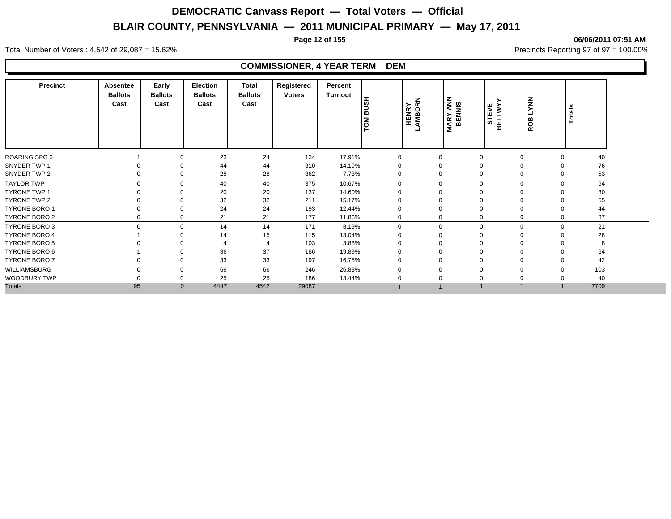**Page 12 of 155 06/06/2011 07:51 AM**

#### Total Number of Voters : 4,542 of 29,087 = 15.62% Precincts Reporting 97 of 97 = 100.00%

### **COMMISSIONER, 4 YEAR TERM DEM**

| <b>Precinct</b>      | Absentee<br><b>Ballots</b><br>Cast | Early<br><b>Ballots</b><br>Cast | Election<br><b>Ballots</b><br>Cast | Total<br><b>Ballots</b><br>Cast | Registered<br><b>Voters</b> | Percent<br>Turnout | <b>HSNB</b><br>$\overline{\widetilde{\mathsf{P}}}$ | <b>HENRY</b><br>AMBORN | <b>MARY ANN</b><br>BENNIS | STEVE<br>BETTWY | <b>LYNN</b><br>ROB          | Totals |  |
|----------------------|------------------------------------|---------------------------------|------------------------------------|---------------------------------|-----------------------------|--------------------|----------------------------------------------------|------------------------|---------------------------|-----------------|-----------------------------|--------|--|
| <b>ROARING SPG 3</b> |                                    |                                 | 23                                 | 24                              | 134                         | 17.91%             | 0                                                  | $\Omega$               | $\overline{0}$            |                 | $\mathbf 0$<br>$\mathbf 0$  | 40     |  |
| SNYDER TWP 1         |                                    |                                 | 44                                 | 44                              | 310                         | 14.19%             | 0                                                  |                        | $\Omega$                  |                 | $\mathbf 0$<br>$\Omega$     | 76     |  |
| SNYDER TWP 2         |                                    |                                 | 28                                 | 28                              | 362                         | 7.73%              | 0                                                  |                        | $\mathbf 0$               |                 | 0<br>$\Omega$               | 53     |  |
| <b>TAYLOR TWP</b>    |                                    |                                 | 40                                 | 40                              | 375                         | 10.67%             | $\Omega$                                           | $\Omega$               | $\Omega$                  |                 | $\mathbf 0$<br>$\Omega$     | 64     |  |
| <b>TYRONE TWP 1</b>  |                                    |                                 | 20                                 | 20                              | 137                         | 14.60%             |                                                    |                        |                           | ∩               |                             | 30     |  |
| TYRONE TWP 2         |                                    |                                 | 32                                 | 32                              | 211                         | 15.17%             |                                                    |                        | $\Omega$                  |                 | $\Omega$                    | 55     |  |
| <b>TYRONE BORO 1</b> |                                    |                                 | 24                                 | 24                              | 193                         | 12.44%             | 0                                                  |                        | $\Omega$                  | 0               |                             | 44     |  |
| TYRONE BORO 2        |                                    |                                 | 21                                 | 21                              | 177                         | 11.86%             | 0                                                  |                        | 0                         |                 | 0<br>$\Omega$               | 37     |  |
| <b>TYRONE BORO 3</b> | $\Omega$                           | 0                               | 14                                 | 14                              | 171                         | 8.19%              | $\mathbf 0$                                        | $\Omega$               | $\mathbf 0$               |                 | $\mathbf{0}$<br>$\mathbf 0$ | 21     |  |
| <b>TYRONE BORO 4</b> |                                    |                                 | 14                                 | 15                              | 115                         | 13.04%             |                                                    |                        | $\Omega$                  |                 | $\mathbf 0$                 | 28     |  |
| <b>TYRONE BORO 5</b> |                                    |                                 |                                    |                                 | 103                         | 3.88%              |                                                    |                        | 0                         |                 | $\Omega$                    | 8      |  |
| TYRONE BORO 6        |                                    |                                 | 36                                 | 37                              | 186                         | 19.89%             | $\Omega$                                           |                        | $\Omega$                  |                 | 0                           | 64     |  |
| <b>TYRONE BORO 7</b> |                                    |                                 | 33                                 | 33                              | 197                         | 16.75%             | 0                                                  | $\Omega$               | $\mathbf 0$               |                 | 0<br>$\mathbf 0$            | 42     |  |
| WILLIAMSBURG         |                                    |                                 | 66                                 | 66                              | 246                         | 26.83%             | $\Omega$                                           | $\Omega$               | $\Omega$                  |                 | $\mathbf 0$<br>$\Omega$     | 103    |  |
| WOODBURY TWP         |                                    |                                 | 25                                 | 25                              | 186                         | 13.44%             |                                                    |                        |                           |                 |                             | 40     |  |
| <b>Totals</b>        | 95                                 | $\mathbf{0}$                    | 4447                               | 4542                            | 29087                       |                    |                                                    |                        |                           |                 |                             | 7709   |  |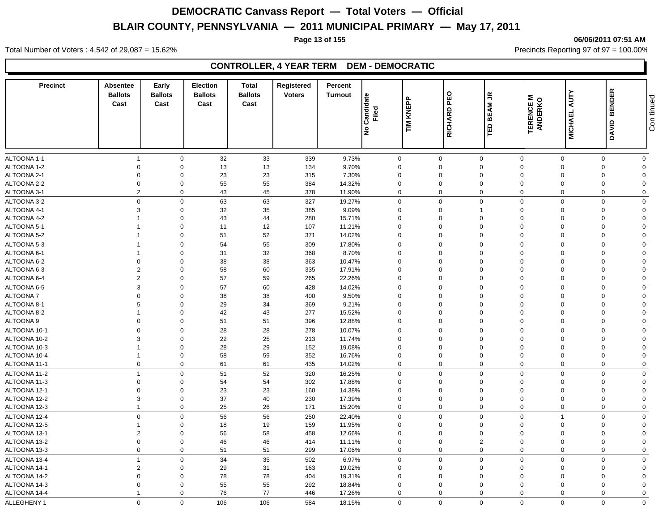#### **Page 13 of 155 06/06/2011 07:51 AM**

Total Number of Voters : 4,542 of 29,087 = 15.62% Precincts Reporting 97 of 97 = 100.00%

### **CONTROLLER, 4 YEAR TERM DEM - DEMOCRATIC**

| <b>Precinct</b>              | Absentee<br><b>Ballots</b><br>Cast | Early<br><b>Ballots</b><br>Cast | <b>Election</b><br><b>Ballots</b><br>Cast | Total<br><b>Ballots</b><br>Cast | Registered<br><b>Voters</b> | Percent<br><b>Turnout</b> | Candidate<br>Filed         | KNEPP |                     | $\tilde{\vec{r}}$<br><b>BEAM</b> |                              |                     | <b>BENDER</b>           | Con tinued                    |
|------------------------------|------------------------------------|---------------------------------|-------------------------------------------|---------------------------------|-----------------------------|---------------------------|----------------------------|-------|---------------------|----------------------------------|------------------------------|---------------------|-------------------------|-------------------------------|
|                              |                                    |                                 |                                           |                                 |                             |                           | ١ş                         | M∐    | RICHARD PEO         | $\mathbf{a}$                     | <b>TERENCE M<br/>ANDERKO</b> | <b>MICHAEL AUTY</b> | DAVID                   |                               |
| ALTOONA 1-1                  | $\overline{1}$                     | $\mathsf 0$                     | 32                                        | 33                              | 339                         | 9.73%                     | $\mathbf 0$                |       | $\mathbf 0$         | $\mathbf 0$                      | $\mathbf 0$                  | $\mathbf 0$         | $\mathbf 0$             | $\mathbf 0$                   |
| ALTOONA 1-2                  | $\mathbf 0$                        | $\Omega$                        | 13                                        | 13                              | 134                         | 9.70%                     | $\Omega$                   |       | $\Omega$            | $\mathbf 0$                      | $\Omega$                     | $\Omega$            | $\Omega$                | $\mathbf 0$                   |
| ALTOONA 2-1                  | $\mathbf 0$                        | $\Omega$                        | 23                                        | 23                              | 315                         | 7.30%                     | $\Omega$                   |       | $\Omega$            | $\mathbf 0$                      | $\Omega$                     | $\Omega$            | $\Omega$                | $\Omega$                      |
| ALTOONA 2-2                  | $\mathbf 0$                        | $\mathbf 0$                     | 55                                        | 55                              | 384                         | 14.32%                    | $\Omega$                   |       | $\Omega$            | $\mathbf 0$                      | $\Omega$                     | $\Omega$            | $\Omega$                | $\Omega$                      |
| ALTOONA 3-1                  | $\overline{2}$                     | $\mathbf 0$                     | 43                                        | 45                              | 378                         | 11.90%                    | 0                          |       | $\Omega$            | $\mathbf 0$                      | $\Omega$                     | $\Omega$            | $\Omega$                | $\Omega$                      |
| ALTOONA 3-2                  | $\mathbf 0$                        | $\mathbf 0$                     | 63                                        | 63                              | 327                         | 19.27%                    | 0                          |       | $\mathbf 0$         | $\mathsf 0$                      | $\mathbf 0$                  | $\Omega$            | $\Omega$                | $\Omega$                      |
| ALTOONA 4-1                  | 3                                  | $\mathbf 0$                     | 32                                        | $35\,$                          | 385                         | 9.09%                     | $\Omega$                   |       | $\Omega$            | $\mathbf{1}$                     | $\Omega$                     | $\Omega$            | $\Omega$                | $\Omega$                      |
| ALTOONA 4-2                  |                                    | $\Omega$                        | 43                                        | 44                              | 280                         | 15.71%                    | $\Omega$                   |       | $\Omega$            | $\mathbf 0$                      | $\Omega$                     | $\Omega$            | $\Omega$                | $\Omega$                      |
| ALTOONA 5-1                  |                                    | $\mathbf 0$                     | 11                                        | 12                              | 107                         | 11.21%                    | $\Omega$                   |       | $\Omega$            | $\mathbf 0$                      | $\Omega$                     | $\Omega$            | $\Omega$                | $\Omega$                      |
| ALTOONA 5-2                  | $\overline{1}$                     | $\mathbf 0$                     | 51                                        | 52                              | 371                         | 14.02%                    | 0                          |       | $\mathbf 0$         | $\mathbf 0$                      | $\mathbf 0$                  | $\mathbf 0$         | $\mathbf 0$             | $\overline{0}$                |
| ALTOONA 5-3                  | $\overline{1}$                     | $\mathbf 0$                     | 54                                        | 55                              | 309                         | 17.80%                    | $\mathbf 0$                |       | $\Omega$            | $\mathsf 0$                      | $\Omega$                     | $\Omega$            | $\Omega$                | $\mathbf 0$                   |
| ALTOONA 6-1                  |                                    | $\mathbf 0$                     | 31                                        | 32                              | 368                         | 8.70%                     | $\Omega$                   |       | $\Omega$            | $\mathbf 0$                      | $\Omega$                     | $\Omega$            | $\Omega$                | $\Omega$                      |
| ALTOONA 6-2                  | $\mathbf 0$                        | $\mathbf 0$                     | 38                                        | 38                              | 363                         | 10.47%                    | $\Omega$                   |       | $\Omega$            | $\mathsf 0$                      | $\Omega$                     | $\Omega$            | $\Omega$                | $\Omega$                      |
| ALTOONA 6-3                  | $\overline{2}$                     | $\mathbf 0$                     | 58                                        | 60                              | 335                         | 17.91%                    | $\mathbf 0$                |       | $\mathbf 0$         | $\mathbf 0$                      | $\mathbf 0$                  | $\Omega$            | $\Omega$                | $\overline{0}$                |
| ALTOONA 6-4                  | $\overline{2}$                     | $\mathbf 0$                     | 57                                        | 59                              | 265                         | 22.26%                    | 0                          |       | $\mathbf 0$         | $\mathbf 0$                      | $\mathbf 0$                  | $\Omega$            | $\mathbf 0$             | $\mathbf 0$                   |
| ALTOONA 6-5                  | $\mathbf{3}$                       | $\Omega$                        | 57                                        | 60                              | 428                         | 14.02%                    | $\Omega$                   |       | $\Omega$            | $\mathbf 0$                      | $\mathbf 0$                  | $\Omega$            | $\Omega$                | $\mathbf 0$                   |
| ALTOONA 7                    | $\Omega$                           | $\mathbf 0$                     | 38                                        | 38                              | 400                         | 9.50%                     | $\Omega$                   |       | $\Omega$            | $\mathbf 0$                      | $\Omega$                     |                     | $\Omega$                | $\Omega$                      |
| ALTOONA 8-1                  | 5                                  | $\mathbf 0$                     | 29                                        | 34                              | 369                         | 9.21%                     | $\mathbf 0$                |       | $\mathbf 0$         | $\mathbf 0$                      | $\mathbf 0$                  |                     | $\Omega$                | $\Omega$                      |
| ALTOONA 8-2                  | $\overline{1}$                     | $\mathbf 0$                     | 42                                        | 43                              | 277                         | 15.52%                    | $\mathbf 0$                |       | $\mathbf 0$         | $\mathbf 0$                      | $\overline{0}$               | $\Omega$            | $\mathbf 0$             | $\Omega$                      |
| ALTOONA 9                    | $\mathbf 0$                        | $\mathbf 0$                     | 51                                        | 51                              | 396                         | 12.88%                    | $\mathbf 0$                |       | $\mathbf 0$         | $\mathbf 0$                      | $\mathbf 0$                  | $\Omega$            | $\Omega$                | $\mathbf 0$                   |
| ALTOONA 10-1                 | $\mathbf{0}$                       | $\mathbf 0$                     | 28                                        | 28                              | 278                         | 10.07%                    | $\mathbf{0}$               |       | $\mathbf 0$         | $\mathbf 0$                      | $\Omega$                     | $\Omega$            | $\Omega$                | $\mathbf 0$                   |
| ALTOONA 10-2                 | 3                                  | $\mathbf 0$                     | 22                                        | 25                              | 213                         | 11.74%                    | $\mathbf 0$                |       | $\mathbf 0$         | $\mathbf 0$                      | $\mathbf 0$                  | $\Omega$            | $\Omega$                | $\overline{0}$                |
| ALTOONA 10-3                 |                                    | $\mathbf 0$                     | 28                                        | 29                              | 152                         | 19.08%                    | $\mathbf 0$                |       | 0                   | $\mathbf 0$                      | $\mathbf 0$                  | $\Omega$            | $\mathbf 0$             | $\Omega$                      |
| ALTOONA 10-4                 | $\overline{1}$                     | $\mathbf 0$                     | 58                                        | 59                              | 352                         | 16.76%                    | $\mathbf 0$                |       | $\mathbf 0$         | $\mathbf 0$                      | $\mathbf 0$                  | $\Omega$            | $\Omega$                | $\Omega$                      |
| ALTOONA 11-1                 | $\mathbf 0$                        | $\mathbf 0$                     | 61                                        | 61                              | 435                         | 14.02%                    | $\mathbf 0$                |       | $\mathbf 0$         | $\mathbf 0$                      | $\mathbf 0$                  | $\Omega$            | $\Omega$                | $\mathbf 0$                   |
| ALTOONA 11-2                 | $\overline{1}$                     | $\mathbf 0$                     | 51                                        | 52                              | 320                         | 16.25%                    | $\Omega$                   |       | $\Omega$            | $\mathbf 0$                      | $\Omega$                     | $\Omega$            | $\Omega$                | $\mathbf 0$                   |
| ALTOONA 11-3                 | $\mathbf 0$                        | $\mathbf 0$                     | 54                                        | 54                              | 302                         | 17.88%                    | $\mathbf 0$                |       | $\mathbf 0$         | $\mathbf 0$                      | $\mathbf 0$                  | $\Omega$            | $\mathbf 0$             | $\Omega$                      |
| ALTOONA 12-1                 | $\overline{0}$                     | $\mathbf 0$                     | 23                                        | 23                              | 160                         | 14.38%                    | $\mathbf 0$                |       | 0                   | $\mathbf 0$                      | $\mathbf 0$                  | $\Omega$            | $\Omega$                | $\Omega$                      |
| ALTOONA 12-2                 | $\mathbf{3}$                       | $\mathbf 0$                     | 37                                        | 40                              | 230                         | 17.39%                    | $\mathbf 0$                |       | 0                   | $\pmb{0}$                        | $\overline{0}$               | $\Omega$            | $\Omega$                | $\Omega$                      |
| ALTOONA 12-3                 | $\overline{1}$                     | $\mathbf 0$                     | 25                                        | 26                              | 171                         | 15.20%                    | $\Omega$                   |       | $\Omega$            | $\mathbf 0$                      | $\Omega$                     | $\mathbf 0$         | $\Omega$                | $\mathbf 0$                   |
|                              |                                    |                                 |                                           |                                 |                             |                           |                            |       | $\mathbf 0$         |                                  | $\overline{0}$               |                     |                         |                               |
| ALTOONA 12-4                 | $\mathbf 0$<br>$\overline{1}$      | $\mathbf 0$                     | 56                                        | 56                              | 250                         | 22.40%                    | 0<br>$\mathbf 0$           |       | $\mathbf 0$         | $\mathbf 0$                      | $\mathbf 0$                  | $\Omega$            | $\mathbf 0$<br>$\Omega$ | $\mathbf 0$<br>$\mathbf 0$    |
| ALTOONA 12-5                 |                                    | $\mathbf 0$                     | 18                                        | 19                              | 159                         | 11.95%                    |                            |       |                     | $\mathbf 0$                      |                              | $\Omega$            | $\Omega$                |                               |
| ALTOONA 13-1                 | $\overline{2}$<br>$\mathbf 0$      | $\mathbf 0$<br>$\mathsf 0$      | 56                                        | 58                              | 458                         | 12.66%                    | $\mathbf 0$<br>$\mathbf 0$ |       | 0<br>$\overline{0}$ | $\pmb{0}$                        | $\mathbf 0$<br>$\mathbf 0$   | $\Omega$            | $\mathbf 0$             | $\mathbf 0$<br>$\overline{0}$ |
| ALTOONA 13-2<br>ALTOONA 13-3 | $\mathbf 0$                        | $\mathbf 0$                     | 46<br>51                                  | 46<br>51                        | 414<br>299                  | 11.11%<br>17.06%          | 0                          |       | $\mathbf 0$         | $\overline{2}$<br>$\mathbf 0$    | $\Omega$                     | $\mathbf 0$         | $\mathbf 0$             | $\mathbf 0$                   |
|                              |                                    |                                 |                                           |                                 |                             |                           |                            |       |                     |                                  |                              |                     |                         |                               |
| ALTOONA 13-4                 | $\overline{1}$                     | $\mathbf 0$                     | 34                                        | 35                              | 502                         | 6.97%                     | $\mathbf 0$                |       | $\mathbf 0$         | $\mathbf 0$                      | $\mathbf 0$                  | $\Omega$            | $\Omega$                | $\mathbf 0$                   |
| ALTOONA 14-1                 | $\overline{2}$                     | $\mathbf 0$                     | 29                                        | 31                              | 163                         | 19.02%                    | $\mathbf 0$                |       | $\mathbf 0$         | $\mathbf 0$                      | $\mathbf 0$                  | $\Omega$            | $\Omega$                | $\Omega$                      |
| ALTOONA 14-2                 | $\mathbf 0$                        | $\mathbf 0$                     | 78                                        | 78                              | 404                         | 19.31%                    | $\Omega$                   |       | $\mathbf 0$         | $\mathbf 0$                      | $\Omega$                     | $\Omega$            | $\Omega$                | $\Omega$                      |
| ALTOONA 14-3                 | $\mathbf 0$                        | $\mathbf 0$                     | 55                                        | 55                              | 292                         | 18.84%                    | $\mathbf 0$                |       | $\mathbf 0$         | $\mathbf 0$                      | $\Omega$                     | $\Omega$            | $\Omega$                | $\Omega$                      |
| ALTOONA 14-4                 | $\overline{1}$                     | $\mathbf 0$                     | 76                                        | 77                              | 446                         | 17.26%                    | $\mathbf 0$                |       | $\mathbf 0$         | $\mathbf 0$                      | $\Omega$                     | $\Omega$            | $\Omega$                | $\Omega$                      |
| ALLEGHENY 1                  | $\Omega$                           | $\Omega$                        | 106                                       | 106                             | 584                         | 18.15%                    | $\Omega$                   |       | $\mathbf 0$         | $\mathbf 0$                      | $\mathbf 0$                  | $\Omega$            | $\Omega$                | $\mathbf 0$                   |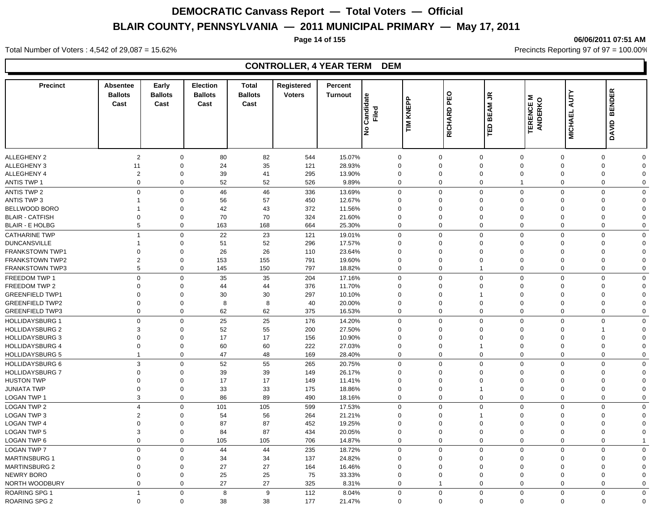#### **Page 14 of 155 06/06/2011 07:51 AM**

Total Number of Voters : 4,542 of 29,087 = 15.62% Precincts Reporting 97 of 97 = 100.00%

| <b>Precinct</b>                   | Absentee<br><b>Ballots</b><br>Cast | Early<br><b>Ballots</b><br>Cast | <b>Election</b><br><b>Ballots</b><br>Cast | <b>Total</b><br><b>Ballots</b><br>Cast | Registered<br><b>Voters</b> | Percent<br><b>Turnout</b> | Candidate<br>Filed<br>lş | KNEPP<br>$\sum_{i=1}^{n}$ | PEO<br>RICHARD              | $\tilde{\vec{r}}$<br><b>BEAM</b><br>TED | Σ<br><b>TERENCE M<br/>ANDERKO</b> | <b>MICHAEL AUTY</b>              | <b>BENDER</b><br><b>DAVID</b>          |
|-----------------------------------|------------------------------------|---------------------------------|-------------------------------------------|----------------------------------------|-----------------------------|---------------------------|--------------------------|---------------------------|-----------------------------|-----------------------------------------|-----------------------------------|----------------------------------|----------------------------------------|
|                                   |                                    |                                 |                                           |                                        |                             |                           |                          |                           |                             |                                         |                                   |                                  |                                        |
| ALLEGHENY 2                       | $\overline{2}$                     | $\mathbf 0$                     | 80                                        | 82                                     | 544                         | 15.07%                    | $\mathbf 0$              |                           | $\mathbf 0$                 | $\mathbf 0$                             | $\mathbf 0$                       | $\mathbf 0$                      | 0<br>$\Omega$                          |
| <b>ALLEGHENY 3</b>                | 11                                 | $\mathbf 0$                     | 24                                        | 35                                     | 121                         | 28.93%                    | $\Omega$                 |                           | $\mathbf 0$                 | $\mathbf 0$                             | $\Omega$                          | $\Omega$                         | $\mathbf 0$<br>$\Omega$                |
| ALLEGHENY 4                       | $\overline{c}$                     | $\mathbf 0$                     | 39                                        | 41                                     | 295                         | 13.90%                    | $\mathbf 0$              |                           | $\mathbf 0$                 | $\mathbf 0$                             | $\Omega$                          | $\mathbf 0$                      | $\mathbf 0$<br>$\Omega$                |
| <b>ANTIS TWP 1</b>                | $\mathbf 0$                        |                                 | $\mathbf 0$<br>52                         | 52                                     | 526                         | 9.89%                     | $\mathbf 0$              |                           | $\mathbf 0$                 | $\mathbf 0$                             | $\mathbf{1}$                      | $\overline{0}$                   | $\mathbf 0$<br>$\mathbf 0$             |
| <b>ANTIS TWP 2</b>                | $\mathbf 0$                        |                                 | $\mathbf 0$<br>46                         | 46                                     | 336                         | 13.69%                    | $\mathbf 0$              |                           | $\mathbf 0$                 | $\mathbf 0$                             | $\mathbf 0$                       | $\Omega$                         | $\mathbf 0$<br>$\Omega$                |
| <b>ANTIS TWP 3</b>                | -1                                 | $\mathbf 0$                     | 56                                        | 57                                     | 450                         | 12.67%                    | $\Omega$                 |                           | $\Omega$                    | $\mathbf 0$                             | $\Omega$                          | $\Omega$                         | $\Omega$<br>$\Omega$                   |
| <b>BELLWOOD BORO</b>              | -1                                 | 0                               | 42                                        | 43                                     | 372                         | 11.56%                    | $\Omega$                 |                           | $\Omega$                    | $\mathbf 0$                             | $\Omega$                          | $\Omega$                         | $\Omega$<br>$\Omega$                   |
| <b>BLAIR - CATFISH</b>            | $\mathbf 0$                        | $\mathbf 0$                     | 70                                        | 70                                     | 324                         | 21.60%                    | $\Omega$                 |                           | $\Omega$                    | $\mathbf 0$                             | $\Omega$                          | $\Omega$                         | $\mathbf 0$<br>$\Omega$                |
| <b>BLAIR - E HOLBG</b>            | 5                                  |                                 | $\mathbf 0$<br>163                        | 168                                    | 664                         | 25.30%                    | $\Omega$                 |                           | $\mathbf 0$                 | $\mathbf 0$                             | $\mathbf 0$                       | $\Omega$                         | $\mathbf 0$<br>$\Omega$                |
| <b>CATHARINE TWP</b>              | $\overline{1}$                     |                                 | $\mathbf 0$<br>22                         | 23                                     | 121                         | 19.01%                    | $\mathbf 0$              |                           | $\mathbf 0$                 | $\mathbf 0$                             | $\mathbf 0$                       | $\Omega$                         | $\mathbf 0$<br>$\Omega$                |
| <b>DUNCANSVILLE</b>               | $\overline{1}$                     | $\mathbf 0$                     | 51                                        | 52                                     | 296                         | 17.57%                    | $\mathbf 0$              |                           | $\mathbf 0$                 | $\mathbf 0$                             | $\mathbf 0$                       | $\Omega$                         | 0<br>$\Omega$                          |
| <b>FRANKSTOWN TWP1</b>            | $\mathbf 0$                        | $\mathbf 0$                     | 26                                        | 26                                     | 110                         | 23.64%                    | $\Omega$                 |                           | $\Omega$                    | $\mathbf 0$                             | $\Omega$                          | $\Omega$                         | $\Omega$<br>$\Omega$                   |
| <b>FRANKSTOWN TWP2</b>            | $\overline{2}$                     | $\mathbf 0$                     | 153                                       | 155                                    | 791                         | 19.60%                    | $\mathbf 0$              |                           | $\mathbf 0$                 | $\mathbf 0$                             | $\Omega$                          | $\mathbf 0$                      | $\mathbf 0$<br>$\Omega$                |
| <b>FRANKSTOWN TWP3</b>            | 5                                  |                                 | $\mathbf 0$<br>145                        | 150                                    | 797                         | 18.82%                    | $\Omega$                 |                           | $\mathbf 0$                 | $\mathbf{1}$                            | $\mathbf 0$                       | $\overline{0}$                   | $\mathbf 0$<br>$\Omega$                |
| FREEDOM TWP 1                     | $\Omega$                           |                                 | 35<br>$\mathbf 0$                         | 35                                     | 204                         | 17.16%                    | $\mathbf 0$              |                           | $\Omega$                    | $\mathbf 0$                             | $\mathbf 0$                       | $\Omega$                         | 0<br>$\mathbf 0$                       |
| FREEDOM TWP 2                     | $\Omega$                           | $\Omega$                        | 44                                        | 44                                     | 376                         | 11.70%                    | $\Omega$                 |                           | $\Omega$                    | $\mathbf 0$                             | $\Omega$                          | $\Omega$                         | $\Omega$<br>$\Omega$                   |
| <b>GREENFIELD TWP1</b>            | $\mathbf 0$                        | $\Omega$                        | 30                                        | 30                                     | 297                         | 10.10%                    | $\Omega$                 |                           | $\Omega$                    | $\mathbf{1}$                            | $\Omega$                          | $\Omega$                         | $\mathbf 0$<br>$\Omega$                |
| <b>GREENFIELD TWP2</b>            | $\mathbf 0$                        | $\Omega$                        | 8                                         | 8                                      | 40                          | 20.00%                    | $\Omega$                 |                           | $\Omega$                    | $\mathbf 0$                             | $\Omega$                          | $\Omega$                         | $\mathbf 0$<br>$\Omega$                |
| <b>GREENFIELD TWP3</b>            | $\mathbf 0$                        | $\Omega$                        | 62                                        | 62                                     | 375                         | 16.53%                    | $\Omega$                 |                           | $\Omega$                    | $\mathbf 0$                             | $\Omega$                          | $\Omega$                         | $\mathbf 0$<br>$\Omega$                |
| <b>HOLLIDAYSBURG 1</b>            | $\mathbf 0$                        | $\mathbf 0$                     | 25                                        | 25                                     | 176                         | 14.20%                    | $\mathbf 0$              |                           | $\mathbf 0$                 | $\mathbf 0$                             | $\mathbf 0$                       | $\Omega$                         | $\mathbf 0$<br>$\Omega$                |
| <b>HOLLIDAYSBURG 2</b>            | 3                                  | $\mathbf 0$                     | 52                                        | 55                                     | 200                         | 27.50%                    | $\Omega$                 |                           | $\Omega$                    | $\mathbf 0$                             | $\Omega$                          | $\Omega$                         | 1<br>$\Omega$                          |
| <b>HOLLIDAYSBURG 3</b>            | $\mathbf 0$                        | $\mathbf 0$                     | 17                                        | 17                                     | 156                         | 10.90%                    | $\Omega$                 |                           | $\Omega$                    | $\mathbf 0$                             | $\Omega$                          | $\Omega$                         | $\mathbf 0$<br>$\Omega$                |
| <b>HOLLIDAYSBURG 4</b>            | $\mathbf 0$<br>$\overline{1}$      | $\mathbf 0$                     | 60                                        | 60                                     | 222                         | 27.03%                    | $\mathbf 0$              |                           | $\mathbf 0$<br>$\mathbf 0$  | $\mathbf{1}$                            | $\mathbf 0$                       | $\overline{0}$<br>$\overline{0}$ | $\mathbf 0$<br>$\Omega$                |
| <b>HOLLIDAYSBURG 5</b>            |                                    |                                 | $\mathbf 0$<br>47                         | 48                                     | 169                         | 28.40%                    | $\mathbf 0$              |                           |                             | $\mathbf 0$                             | $\mathbf 0$                       |                                  | $\mathbf 0$<br>$\mathbf 0$             |
| <b>HOLLIDAYSBURG 6</b>            | $\mathbf{3}$                       | $\Omega$                        | 52                                        | 55                                     | 265                         | 20.75%                    | $\mathbf 0$              |                           | $\Omega$                    | $\mathbf 0$                             | $\Omega$                          | $\Omega$                         | $\mathbf 0$<br>$\mathbf 0$             |
| HOLLIDAYSBURG 7                   | $\Omega$                           | $\Omega$                        | 39                                        | 39                                     | 149                         | 26.17%                    | $\Omega$                 |                           | $\Omega$                    | $\mathbf 0$                             | $\Omega$                          | $\Omega$                         | $\Omega$<br>$\Omega$                   |
| <b>HUSTON TWP</b>                 | $\mathbf 0$                        | $\Omega$                        | 17                                        | 17                                     | 149                         | 11.41%                    | $\Omega$<br>$\Omega$     |                           | $\Omega$<br>$\Omega$        | $\mathbf 0$<br>$\mathbf{1}$             | $\Omega$                          | $\Omega$<br>$\Omega$             | 0<br>$\Omega$<br>$\Omega$              |
| JUNIATA TWP                       | $\mathbf 0$<br>$\mathbf{3}$        | $\mathbf 0$<br>$\mathbf 0$      | 33<br>86                                  | 33<br>89                               | 175<br>490                  | 18.86%                    | $\mathbf 0$              |                           | $\mathbf 0$                 | $\mathbf 0$                             | $\mathbf 0$<br>$\mathbf 0$        | $\overline{0}$                   | 0<br>$\mathbf 0$<br>$\mathbf 0$        |
| LOGAN TWP 1                       |                                    |                                 |                                           |                                        |                             | 18.16%                    |                          |                           |                             |                                         |                                   |                                  |                                        |
| <b>LOGAN TWP 2</b>                | $\overline{4}$                     | $\mathbf 0$                     | 101                                       | 105                                    | 599                         | 17.53%                    | $\Omega$                 |                           | $\Omega$                    | $\mathbf 0$                             | $\Omega$                          | $\Omega$                         | $\mathbf 0$<br>$\Omega$                |
| <b>LOGAN TWP 3</b>                | $\overline{2}$                     | $\mathbf 0$                     | 54                                        | 56                                     | 264                         | 21.21%                    | $\Omega$<br>$\Omega$     |                           | $\Omega$                    | $\mathbf{1}$                            | $\Omega$                          | $\Omega$                         | $\Omega$<br>$\Omega$                   |
| <b>LOGAN TWP 4</b>                | $\mathbf 0$                        | $\mathbf 0$                     | 87                                        | 87                                     | 452                         | 19.25%                    |                          |                           | $\Omega$                    | $\mathbf 0$                             | $\Omega$                          | $\Omega$                         | $\mathbf 0$<br>$\Omega$                |
| <b>LOGAN TWP 5</b><br>LOGAN TWP 6 | 3<br>$\mathbf 0$                   | $\mathbf 0$<br>$\mathbf 0$      | 84<br>105                                 | 87<br>105                              | 434<br>706                  | 20.05%<br>14.87%          | $\Omega$<br>$\mathbf 0$  |                           | $\mathbf 0$<br>$\mathbf 0$  | $\mathbf 0$<br>$\mathbf 0$              | $\Omega$<br>$\mathbf 0$           | $\overline{0}$<br>$\overline{0}$ | $\mathbf 0$<br>$\Omega$<br>$\mathbf 0$ |
|                                   |                                    |                                 |                                           |                                        |                             |                           |                          |                           |                             |                                         |                                   |                                  |                                        |
| <b>LOGAN TWP 7</b>                | $\mathbf 0$                        | $\mathbf 0$                     | 44                                        | 44                                     | 235                         | 18.72%                    | $\mathbf 0$              |                           | $\mathbf 0$                 | $\mathbf 0$                             | $\Omega$                          | $\overline{0}$                   | $\mathbf 0$<br>$\mathbf 0$             |
| <b>MARTINSBURG 1</b>              | $\mathbf 0$                        | $\mathbf 0$                     | 34                                        | 34                                     | 137                         | 24.82%                    | $\mathbf 0$              |                           | $\mathbf 0$                 | $\mathbf 0$                             | $\Omega$                          | $\mathbf 0$                      | 0<br>$\mathbf 0$                       |
| <b>MARTINSBURG 2</b>              | $\mathbf 0$                        | $\mathbf 0$                     | 27                                        | 27                                     | 164                         | 16.46%                    | $\mathbf 0$              |                           | $\mathbf 0$                 | $\mathbf 0$                             | $\Omega$                          | $\mathbf 0$                      | $\mathbf 0$<br>$\Omega$                |
| NEWRY BORO                        | $\mathbf 0$<br>$\mathbf 0$         | $\mathbf 0$                     | 25                                        | 25                                     | 75                          | 33.33%                    | $\mathbf 0$              |                           | $\mathbf 0$<br>$\mathbf{1}$ | $\mathbf 0$                             | $\mathbf 0$                       | $\mathbf 0$<br>$\overline{0}$    | 0<br>$\Omega$                          |
| NORTH WOODBURY                    |                                    | $\mathbf 0$                     | 27                                        | 27                                     | 325                         | 8.31%                     | $\mathbf 0$              |                           |                             | $\mathbf 0$                             | $\mathbf 0$                       |                                  | 0<br>$\mathbf 0$                       |
| <b>ROARING SPG 1</b>              | $\overline{1}$                     |                                 | $\mathbf{0}$<br>8                         | 9                                      | 112                         | 8.04%                     | $\mathbf 0$              |                           | $\Omega$                    | $\mathbf 0$                             | $\mathbf 0$                       | $\Omega$                         | $\mathbf 0$<br>$\Omega$                |
| <b>ROARING SPG 2</b>              | $\mathbf 0$                        |                                 | $\mathbf 0$<br>38                         | 38                                     | 177                         | 21.47%                    | $\Omega$                 |                           | $\Omega$                    | $\Omega$                                | $\mathbf 0$                       | $\mathbf 0$                      | $\mathbf 0$<br>$\Omega$                |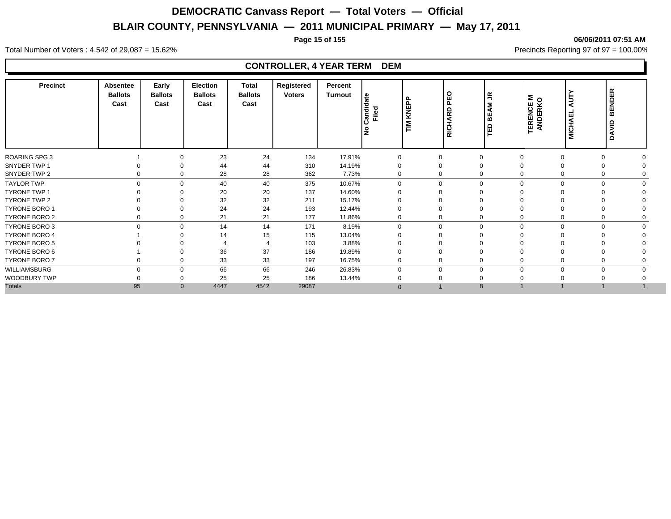#### **Page 15 of 155 06/06/2011 07:51 AM**

Total Number of Voters : 4,542 of 29,087 = 15.62% Precincts Reporting 97 of 97 = 100.00%

| <b>Precinct</b>      | Absentee<br><b>Ballots</b><br>Cast | Early<br><b>Ballots</b><br>Cast | Election<br><b>Ballots</b><br>Cast | <b>Total</b><br><b>Ballots</b><br>Cast | Registered<br><b>Voters</b> | Percent<br>Turnout | le<br>Candida<br>Filed<br>١ş | ௳<br>KNEPI<br>$\sum_{i=1}^{n}$ | PEO<br>ARD<br><b>RICH</b>    | $\tilde{\mathbf{r}}$<br>ξ<br>밂<br>ΓĒ | <b>TERENCE M<br/>ANDERKO</b> | ЦT<br>ш<br><b>MICHA</b> | <b>BENDER</b><br>DAVID |  |
|----------------------|------------------------------------|---------------------------------|------------------------------------|----------------------------------------|-----------------------------|--------------------|------------------------------|--------------------------------|------------------------------|--------------------------------------|------------------------------|-------------------------|------------------------|--|
| <b>ROARING SPG 3</b> |                                    | $\Omega$                        | 23                                 | 24                                     | 134                         | 17.91%             | $\Omega$                     | 0                              | $\mathbf 0$                  |                                      | $\Omega$                     |                         | $\Omega$               |  |
| SNYDER TWP 1         |                                    | $\Omega$                        | 44                                 | 44                                     | 310                         | 14.19%             | 0                            | 0                              | 0                            |                                      |                              |                         |                        |  |
| SNYDER TWP 2         | $\mathbf 0$                        | $\Omega$                        | 28                                 | 28                                     | 362                         | 7.73%              | 0                            |                                | 0<br>$\mathbf 0$             |                                      | $\Omega$                     |                         |                        |  |
| <b>TAYLOR TWP</b>    | $\Omega$                           | $\Omega$                        | 40                                 | 40                                     | 375                         | 10.67%             | $\Omega$                     |                                | 0                            | $\mathbf 0$                          |                              | $\Omega$                | $\Omega$<br>$\Omega$   |  |
| <b>TYRONE TWP 1</b>  |                                    | $\Omega$                        | 20                                 | 20                                     | 137                         | 14.60%             |                              | $\Omega$                       | $\Omega$                     |                                      |                              |                         |                        |  |
| TYRONE TWP 2         |                                    | $\Omega$                        | 32                                 | 32                                     | 211                         | 15.17%             |                              | 0                              | $\Omega$                     |                                      |                              |                         |                        |  |
| TYRONE BORO 1        |                                    | $\Omega$                        | 24                                 | 24                                     | 193                         | 12.44%             |                              | $\Omega$                       | $\Omega$                     |                                      |                              |                         |                        |  |
| TYRONE BORO 2        | 0                                  | 0                               | 21                                 | 21                                     | 177                         | 11.86%             | 0                            |                                | 0<br>$\mathbf 0$             |                                      | 0                            |                         | 0                      |  |
| <b>TYRONE BORO 3</b> | $\mathbf 0$                        | $\mathbf 0$                     | 14                                 | 14                                     | 171                         | 8.19%              | $\Omega$                     |                                | 0                            | $\mathbf 0$<br>$\Omega$              |                              | $\mathbf 0$             | $\mathbf 0$            |  |
| <b>TYRONE BORO 4</b> |                                    | ∩                               | 14                                 | 15                                     | 115                         | 13.04%             |                              | 0                              | $\Omega$                     |                                      |                              |                         |                        |  |
| TYRONE BORO 5        |                                    |                                 |                                    |                                        | 103                         | 3.88%              |                              |                                |                              |                                      |                              |                         |                        |  |
| TYRONE BORO 6        |                                    | $\Omega$                        | 36                                 | 37                                     | 186                         | 19.89%             |                              |                                | $\mathbf 0$                  |                                      |                              |                         |                        |  |
| TYRONE BORO 7        |                                    | $\Omega$                        | 33                                 | 33                                     | 197                         | 16.75%             | $\Omega$                     | 0                              | $\Omega$                     |                                      |                              |                         |                        |  |
| WILLIAMSBURG         | $\Omega$                           | $\Omega$                        | 66                                 | 66                                     | 246                         | 26.83%             | 0                            |                                | $\mathbf{0}$<br>$\mathbf{0}$ |                                      | $\Omega$                     |                         | $\mathbf 0$            |  |
| WOODBURY TWP         |                                    | $\Omega$                        | 25                                 | 25                                     | 186                         | 13.44%             |                              |                                | $\mathbf 0$                  |                                      |                              |                         |                        |  |
| <b>Totals</b>        | 95                                 | $\mathbf{0}$                    | 4447                               | 4542                                   | 29087                       |                    | $\Omega$                     |                                | 8                            |                                      |                              |                         |                        |  |
|                      |                                    |                                 |                                    |                                        |                             |                    |                              |                                |                              |                                      |                              |                         |                        |  |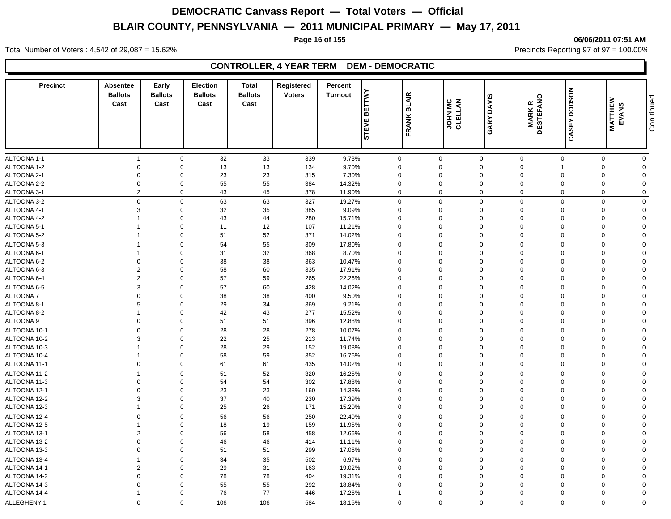#### **Page 16 of 155 06/06/2011 07:51 AM**

Total Number of Voters : 4,542 of 29,087 = 15.62% Precincts Reporting 97 of 97 = 100.00%

### **CONTROLLER, 4 YEAR TERM DEM - DEMOCRATIC**

| <b>Precinct</b> | Absentee<br><b>Ballots</b><br>Cast | Early<br><b>Ballots</b><br>Cast | <b>Election</b><br><b>Ballots</b><br>Cast | <b>Total</b><br><b>Ballots</b><br>Cast | Registered<br><b>Voters</b> | Percent<br><b>Turnout</b> | È<br>ш<br> ក<br>Ш<br><b>STEVI</b> | <b>BLAIR</b><br>FRANK | <b>JOHN MC</b><br>CLELLAN | <b>DAVIS</b><br>GARY | <b>MARKR</b><br>DESTEFANO | <b>CASEY DODSON</b> | <b>MATTHEW</b><br>EVANS | Con tinued     |
|-----------------|------------------------------------|---------------------------------|-------------------------------------------|----------------------------------------|-----------------------------|---------------------------|-----------------------------------|-----------------------|---------------------------|----------------------|---------------------------|---------------------|-------------------------|----------------|
|                 |                                    |                                 |                                           |                                        |                             |                           |                                   |                       |                           |                      |                           |                     |                         |                |
| ALTOONA 1-1     | $\overline{1}$                     | $\mathbf 0$                     | 32                                        | 33                                     | 339                         | 9.73%                     | $\mathbf 0$                       | $\mathbf 0$           |                           | $\mathbf 0$          | $\mathbf 0$               | $\mathbf 0$         | $\mathbf 0$             | $\mathbf 0$    |
| ALTOONA 1-2     | $\mathbf 0$                        | $\mathbf 0$                     | 13                                        | 13                                     | 134                         | 9.70%                     | $\mathbf 0$                       | $\Omega$              |                           | $\mathbf 0$          | $\mathbf 0$               |                     | $\Omega$                | $\Omega$       |
| ALTOONA 2-1     | $\mathbf 0$                        | $\Omega$                        | 23                                        | 23                                     | 315                         | 7.30%                     | $\mathbf 0$                       | $\Omega$              |                           | $\mathbf 0$          | 0                         | $\Omega$            | $\Omega$                | $\Omega$       |
| ALTOONA 2-2     | $\mathbf 0$                        | $\mathbf 0$                     | 55                                        | 55                                     | 384                         | 14.32%                    | $\mathbf 0$                       | $\mathbf 0$           |                           | $\mathbf 0$          | $\mathbf 0$               | $\Omega$            | $\Omega$                | $\Omega$       |
| ALTOONA 3-1     | $\overline{2}$                     | $\mathbf 0$                     | 43                                        | 45                                     | 378                         | 11.90%                    | 0                                 | $\mathbf 0$           |                           | $\mathbf 0$          | $\mathbf 0$               | $\Omega$            | $\Omega$                | $\Omega$       |
| ALTOONA 3-2     | $\mathbf 0$                        | $\Omega$                        | 63                                        | 63                                     | 327                         | 19.27%                    | 0                                 | $\Omega$              |                           | $\mathbf 0$          | $\mathbf 0$               | $\Omega$            | $\Omega$                | $\Omega$       |
| ALTOONA 4-1     | 3                                  | $\mathbf 0$                     | 32                                        | 35                                     | 385                         | 9.09%                     | $\mathbf 0$                       | $\mathbf 0$           |                           | $\mathbf 0$          | $\mathbf 0$               | $\Omega$            | $\Omega$                | $\mathbf 0$    |
| ALTOONA 4-2     |                                    | $\Omega$                        | 43                                        | 44                                     | 280                         | 15.71%                    | $\mathbf 0$                       | 0                     |                           | $\mathbf 0$          | $\mathbf 0$               | $\Omega$            | $\Omega$                | $\Omega$       |
| ALTOONA 5-1     |                                    | $\mathbf 0$                     | 11                                        | 12                                     | 107                         | 11.21%                    | $\mathbf 0$                       | $\mathbf 0$           |                           | $\mathbf 0$          | $\mathbf 0$               | $\Omega$            | $\Omega$                | $\overline{0}$ |
| ALTOONA 5-2     | $\overline{1}$                     | $\mathbf 0$                     | 51                                        | 52                                     | 371                         | 14.02%                    | 0                                 | $\mathbf 0$           |                           | $\mathbf 0$          | $\mathbf 0$               | $\mathbf 0$         | $\Omega$                | $\mathbf 0$    |
| ALTOONA 5-3     | $\overline{1}$                     | $\mathbf 0$                     | 54                                        | 55                                     | 309                         | 17.80%                    | 0                                 | $\mathbf 0$           |                           | $\pmb{0}$            | $\mathbf 0$               | $\Omega$            | $\Omega$                | $\Omega$       |
| ALTOONA 6-1     |                                    | $\Omega$                        | 31                                        | 32                                     | 368                         | 8.70%                     | $\Omega$                          | $\Omega$              |                           | $\mathbf 0$          | $\Omega$                  | $\Omega$            | $\Omega$                | $\Omega$       |
| ALTOONA 6-2     | $\mathbf 0$                        | $\mathbf 0$                     | 38                                        | 38                                     | 363                         | 10.47%                    | $\mathbf 0$                       | $\mathbf 0$           |                           | $\mathbf 0$          | $\mathbf 0$               |                     | $\Omega$                | $\Omega$       |
| ALTOONA 6-3     | $\overline{2}$                     | $\mathbf 0$                     | 58                                        | 60                                     | 335                         | 17.91%                    | $\mathbf 0$                       | $\mathbf 0$           |                           | $\mathbf 0$          | $\mathbf 0$               | $\Omega$            | $\Omega$                | $\Omega$       |
| ALTOONA 6-4     | $\overline{2}$                     | $\mathbf 0$                     | 57                                        | 59                                     | 265                         | 22.26%                    | 0                                 | $\mathbf 0$           |                           | $\mathbf 0$          | $\mathbf 0$               | $\mathbf 0$         | $\mathbf 0$             | $\mathbf 0$    |
| ALTOONA 6-5     | $\mathbf{3}$                       | $\mathbf 0$                     | 57                                        | 60                                     | 428                         | 14.02%                    | $\Omega$                          | $\Omega$              |                           | $\mathbf 0$          | $\mathbf 0$               | $\Omega$            | $\Omega$                | $\mathbf 0$    |
| ALTOONA 7       | $\mathbf 0$                        | $\mathbf 0$                     | 38                                        | 38                                     | 400                         | 9.50%                     | $\Omega$                          | $\Omega$              |                           | $\mathbf 0$          | $\Omega$                  | $\Omega$            | $\Omega$                | $\Omega$       |
| ALTOONA 8-1     | 5                                  | $\mathbf 0$                     | 29                                        | 34                                     | 369                         | 9.21%                     | $\mathbf 0$                       | $\mathbf 0$           |                           | $\mathbf 0$          | $\mathbf 0$               | $\Omega$            | $\Omega$                | $\overline{0}$ |
| ALTOONA 8-2     | $\overline{1}$                     | $\mathbf 0$                     | 42                                        | 43                                     | 277                         | 15.52%                    | $\mathbf 0$                       | $\mathbf 0$           |                           | $\pmb{0}$            | $\mathbf 0$               | $\Omega$            | $\mathbf 0$             | $\overline{0}$ |
| ALTOONA 9       | $\mathbf 0$                        | $\mathbf 0$                     | 51                                        | 51                                     | 396                         | 12.88%                    | $\mathbf 0$                       | $\mathbf 0$           |                           | $\mathbf 0$          | $\mathbf 0$               | $\mathbf 0$         | $\Omega$                | $\mathbf 0$    |
| ALTOONA 10-1    | $\mathbf 0$                        | $\mathbf 0$                     | 28                                        | 28                                     | 278                         | 10.07%                    | 0                                 | $\mathbf 0$           |                           | $\mathbf 0$          | $\mathbf 0$               | $\Omega$            | $\Omega$                | $\mathbf 0$    |
| ALTOONA 10-2    | 3                                  | $\mathbf 0$                     | 22                                        | 25                                     | 213                         | 11.74%                    | $\Omega$                          | $\Omega$              |                           | $\mathbf 0$          | $\Omega$                  | $\Omega$            | $\Omega$                | $\Omega$       |
| ALTOONA 10-3    |                                    | $\mathbf 0$                     | 28                                        | 29                                     | 152                         | 19.08%                    | $\mathbf 0$                       | 0                     |                           | $\mathbf 0$          | $\Omega$                  | $\Omega$            | $\Omega$                | $\Omega$       |
| ALTOONA 10-4    | $\overline{1}$                     | $\mathbf 0$                     | 58                                        | 59                                     | 352                         | 16.76%                    | $\Omega$                          | 0                     |                           | $\mathbf 0$          | $\mathbf 0$               | $\Omega$            | $\Omega$                | $\Omega$       |
| ALTOONA 11-1    | $\mathbf 0$                        | $\mathbf 0$                     | 61                                        | 61                                     | 435                         | 14.02%                    | $\mathbf 0$                       | $\mathbf 0$           |                           | $\mathbf 0$          | $\mathbf 0$               | $\Omega$            | $\Omega$                | $\mathbf 0$    |
| ALTOONA 11-2    | $\overline{1}$                     | $\mathbf 0$                     | 51                                        | 52                                     | 320                         | 16.25%                    | $\Omega$                          | $\Omega$              |                           | $\mathbf 0$          | $\Omega$                  | $\Omega$            | $\Omega$                | $\Omega$       |
| ALTOONA 11-3    | $\mathbf 0$                        | $\mathbf 0$                     | 54                                        | 54                                     | 302                         | 17.88%                    | $\mathbf 0$                       | $\mathbf 0$           |                           | $\mathbf 0$          | $\mathbf 0$               | $\Omega$            | $\Omega$                | $\Omega$       |
| ALTOONA 12-1    | $\mathbf 0$                        | $\mathbf 0$                     | 23                                        | 23                                     | 160                         | 14.38%                    | $\Omega$                          | $\Omega$              |                           | $\mathbf 0$          | $\Omega$                  | $\Omega$            | $\Omega$                | $\mathbf{0}$   |
| ALTOONA 12-2    | $\mathbf{3}$                       | $\mathbf 0$                     | 37                                        | 40                                     | 230                         | 17.39%                    | $\mathbf 0$                       | $\mathbf 0$           |                           | $\mathbf 0$          | $\mathbf 0$               | $\Omega$            | $\Omega$                | $\mathbf 0$    |
| ALTOONA 12-3    | $\overline{1}$                     | $\mathbf 0$                     | 25                                        | 26                                     | 171                         | 15.20%                    | $\mathbf 0$                       | $\mathbf 0$           |                           | $\mathbf 0$          | $\mathbf 0$               | $\Omega$            | $\Omega$                | $\mathbf 0$    |
| ALTOONA 12-4    | $\mathbf 0$                        | $\mathbf 0$                     | 56                                        | 56                                     | 250                         | 22.40%                    | 0                                 | $\mathbf 0$           |                           | $\mathsf 0$          | $\mathbf 0$               | $\Omega$            | $\Omega$                | $\mathbf 0$    |
| ALTOONA 12-5    | $\overline{1}$                     | $\mathbf 0$                     | 18                                        | 19                                     | 159                         | 11.95%                    | $\mathbf 0$                       | $\mathbf 0$           |                           | $\mathbf 0$          | $\Omega$                  | $\Omega$            | $\Omega$                | $\Omega$       |
| ALTOONA 13-1    | $\overline{2}$                     | $\mathbf 0$                     | 56                                        | 58                                     | 458                         | 12.66%                    | $\mathbf 0$                       | $\mathbf 0$           |                           | $\mathbf 0$          | $\mathbf 0$               | $\Omega$            | $\Omega$                | $\Omega$       |
| ALTOONA 13-2    | $\mathbf 0$                        | $\mathbf 0$                     | 46                                        | 46                                     | 414                         | 11.11%                    | $\Omega$                          | $\mathbf 0$           |                           | $\mathbf 0$          | $\mathbf 0$               | $\Omega$            | $\Omega$                | $\Omega$       |
| ALTOONA 13-3    | $\mathbf 0$                        | $\mathbf 0$                     | 51                                        | 51                                     | 299                         | 17.06%                    | 0                                 | $\mathbf 0$           |                           | $\mathbf 0$          | $\Omega$                  | $\Omega$            | $\Omega$                | $\mathbf 0$    |
| ALTOONA 13-4    | $\mathbf{1}$                       | $\mathbf 0$                     | 34                                        | 35                                     | 502                         | 6.97%                     | 0                                 | $\mathbf 0$           |                           | $\mathbf 0$          | $\mathbf 0$               | $\mathbf 0$         | $\Omega$                | $\mathbf 0$    |
| ALTOONA 14-1    | $\overline{2}$                     | $\mathbf 0$                     | 29                                        | 31                                     | 163                         | 19.02%                    | $\mathbf 0$                       | $\mathbf 0$           |                           | $\mathbf 0$          | $\mathbf 0$               | $\Omega$            | $\Omega$                | $\Omega$       |
| ALTOONA 14-2    | $\mathbf 0$                        | $\mathbf 0$                     | 78                                        | 78                                     | 404                         | 19.31%                    | $\Omega$                          | $\mathbf 0$           |                           | $\mathbf 0$          | $\mathbf 0$               | $\Omega$            | $\Omega$                | $\Omega$       |
| ALTOONA 14-3    | $\mathbf 0$                        | $\mathbf 0$                     | 55                                        | 55                                     | 292                         |                           | $\Omega$                          | $\mathbf 0$           |                           | $\mathbf 0$          | $\Omega$                  | $\Omega$            | $\Omega$                | $\Omega$       |
| ALTOONA 14-4    | $\overline{1}$                     | $\mathbf 0$                     | 76                                        | 77                                     | 446                         | 18.84%<br>17.26%          | $\overline{1}$                    | $\mathbf 0$           |                           | $\mathbf 0$          | $\Omega$                  | $\Omega$            | $\mathbf 0$             | $\mathbf 0$    |
|                 |                                    |                                 |                                           |                                        |                             |                           |                                   |                       |                           |                      |                           |                     |                         |                |
| ALLEGHENY 1     | $\Omega$                           | $\Omega$                        | 106                                       | 106                                    | 584                         | 18.15%                    | $\mathbf 0$                       | $\mathbf 0$           |                           | $\Omega$             | $\Omega$                  | $\Omega$            | $\Omega$                | $\mathbf 0$    |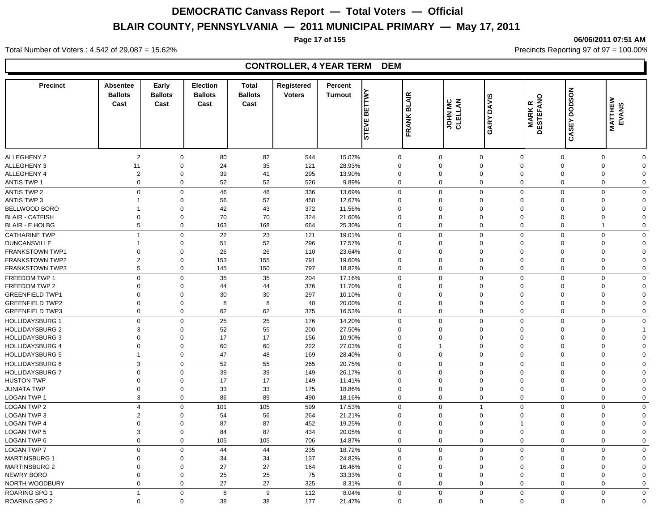**Page 17 of 155 06/06/2011 07:51 AM**

#### Total Number of Voters : 4,542 of 29,087 = 15.62% Precincts Reporting 97 of 97 = 100.00%

| <b>Precinct</b>                                  | <b>Absentee</b><br><b>Ballots</b><br>Cast | Early<br><b>Ballots</b><br>Cast | <b>Election</b><br><b>Ballots</b><br>Cast | <b>Total</b><br><b>Ballots</b><br>Cast | Registered<br><b>Voters</b> | Percent<br><b>Turnout</b> | <b>BETTWY</b><br><b>STEVE</b> | <b>BLAIR</b><br><b>FRANK</b> | JOHN MC<br>CLELLAN      | <b>DAVIS</b><br><b>GARY</b> | <b>MARKR<br/>DESTEFANO</b> | <b>DODSON</b><br><b>CASEY</b> | <b>MATTHEW<br/>EVANS</b> |                            |
|--------------------------------------------------|-------------------------------------------|---------------------------------|-------------------------------------------|----------------------------------------|-----------------------------|---------------------------|-------------------------------|------------------------------|-------------------------|-----------------------------|----------------------------|-------------------------------|--------------------------|----------------------------|
|                                                  |                                           |                                 |                                           |                                        |                             |                           |                               |                              |                         |                             |                            |                               |                          |                            |
|                                                  |                                           |                                 |                                           |                                        |                             |                           |                               |                              |                         |                             |                            |                               |                          |                            |
| <b>ALLEGHENY 2</b>                               | $\overline{2}$                            | $\mathbf 0$                     | 80                                        | 82                                     | 544                         | 15.07%                    | $\Omega$                      | $\mathbf 0$                  | $\mathbf 0$<br>$\Omega$ | $\mathbf 0$<br>$\Omega$     | $\mathbf 0$<br>$\Omega$    | $\mathbf 0$                   | $\mathbf 0$              | $\mathbf 0$                |
| <b>ALLEGHENY 3</b>                               | 11                                        | $\mathbf 0$                     | 24                                        | 35                                     | 121                         | 28.93%                    |                               |                              |                         |                             |                            | $\mathbf 0$                   | $\Omega$                 | $\mathbf 0$                |
| <b>ALLEGHENY 4</b><br><b>ANTIS TWP 1</b>         | $\overline{2}$<br>$\mathbf 0$             | $\mathbf 0$<br>$\mathbf 0$      | 39<br>52                                  | 41<br>52                               | 295<br>526                  | 13.90%<br>9.89%           | $\mathbf 0$                   | $\mathbf 0$                  | $\Omega$<br>$\mathbf 0$ | 0<br>$\mathbf 0$            | $\mathbf 0$<br>$\mathbf 0$ | $\mathbf 0$<br>$\mathbf 0$    | $\Omega$<br>$\mathbf 0$  | $\mathbf 0$<br>$\mathbf 0$ |
|                                                  |                                           |                                 |                                           |                                        |                             |                           |                               |                              |                         |                             |                            |                               |                          |                            |
| <b>ANTIS TWP 2</b>                               | $\mathbf 0$                               | $\mathbf 0$                     | 46                                        | 46<br>57                               | 336                         | 13.69%                    | $\Omega$                      | $\mathbf 0$                  | $\Omega$<br>$\Omega$    | $\mathbf 0$<br>$\Omega$     | $\Omega$<br>$\Omega$       | $\mathbf 0$<br>$\Omega$       | $\mathbf 0$<br>$\Omega$  | $\mathbf 0$<br>$\mathbf 0$ |
| <b>ANTIS TWP 3</b>                               | -1                                        | $\mathbf 0$<br>$\mathbf 0$      | 56                                        | 43                                     | 450<br>372                  | 12.67%                    |                               |                              | $\Omega$                | $\Omega$                    |                            | $\Omega$                      | $\Omega$                 | $\mathbf 0$                |
| BELLWOOD BORO<br><b>BLAIR - CATFISH</b>          | -1<br>$\mathbf 0$                         | $\Omega$                        | 42<br>70                                  | 70                                     | 324                         | 11.56%<br>21.60%          | $\Omega$<br>$\Omega$          |                              | $\Omega$                | $\Omega$                    | $\Omega$<br>$\Omega$       | $\mathbf 0$                   | $\Omega$                 | $\Omega$                   |
| <b>BLAIR - E HOLBG</b>                           | 5                                         | $\mathbf 0$                     | 163                                       | 168                                    | 664                         | 25.30%                    | $\Omega$                      |                              | $\mathbf 0$             | $\mathbf 0$                 | $\Omega$                   | $\mathbf 0$                   |                          | $\mathbf 0$                |
|                                                  |                                           |                                 |                                           |                                        |                             |                           |                               |                              |                         |                             |                            |                               |                          |                            |
| <b>CATHARINE TWP</b>                             | $\overline{1}$                            | $\mathbf 0$                     | 22                                        | 23                                     | 121                         | 19.01%                    |                               | $\mathbf 0$                  | $\Omega$                | $\mathbf 0$                 | $\mathbf 0$                | $\mathbf 0$                   | $\mathbf 0$              | $\mathbf 0$                |
| <b>DUNCANSVILLE</b>                              | $\overline{1}$                            | $\mathbf 0$                     | 51                                        | 52                                     | 296                         | 17.57%                    | $\Omega$<br>$\Omega$          |                              | $\Omega$<br>$\Omega$    | $\mathbf 0$<br>$\Omega$     | $\Omega$                   | $\mathbf 0$<br>$\Omega$       | $\Omega$                 | $\mathbf 0$                |
| <b>FRANKSTOWN TWP1</b><br><b>FRANKSTOWN TWP2</b> | $\overline{0}$<br>$\overline{2}$          | $\mathbf 0$<br>$\mathbf 0$      | 26<br>153                                 | 26<br>155                              | 110<br>791                  | 23.64%<br>19.60%          | $\mathbf 0$                   |                              | $\Omega$                | $\mathbf 0$                 | $\Omega$<br>$\mathbf 0$    | $\mathbf 0$                   | $\Omega$<br>$\Omega$     | $\mathbf 0$<br>$\mathbf 0$ |
| <b>FRANKSTOWN TWP3</b>                           | 5                                         | $\mathbf 0$                     | 145                                       | 150                                    | 797                         | 18.82%                    |                               | $\mathbf 0$                  | $\Omega$                | $\mathbf 0$                 | $\mathbf 0$                | $\mathbf 0$                   | $\mathbf 0$              | $\mathbf 0$                |
|                                                  |                                           |                                 |                                           |                                        |                             |                           |                               |                              |                         |                             |                            |                               |                          |                            |
| FREEDOM TWP 1                                    | $\mathbf 0$                               | $\mathbf 0$                     | 35                                        | 35                                     | 204                         | 17.16%                    |                               | $\mathbf 0$                  | $\Omega$                | $\mathbf 0$                 | $\Omega$                   | $\Omega$<br>$\Omega$          | $\mathbf 0$              | $\mathbf 0$                |
| FREEDOM TWP 2                                    | $\mathbf 0$                               | $\Omega$                        | 44                                        | 44                                     | 376                         | 11.70%                    | $\Omega$                      |                              | $\Omega$                | $\Omega$                    | $\Omega$                   |                               | $\Omega$                 | $\mathbf 0$                |
| <b>GREENFIELD TWP1</b>                           | $\mathbf 0$                               | $\Omega$                        | 30                                        | 30                                     | 297                         | 10.10%                    | $\Omega$                      |                              | $\Omega$                | $\Omega$                    | $\Omega$                   | $\Omega$                      | $\Omega$                 | $\mathbf 0$                |
| <b>GREENFIELD TWP2</b>                           | $\mathbf 0$                               | $\Omega$                        | 8                                         | 8                                      | 40                          | 20.00%                    | $\Omega$                      |                              | $\Omega$                | $\Omega$                    | $\Omega$                   | $\mathbf 0$                   | $\Omega$                 | $\Omega$                   |
| <b>GREENFIELD TWP3</b>                           | $\mathbf 0$                               | $\Omega$                        | 62                                        | 62                                     | 375                         | 16.53%                    | $\Omega$                      |                              | $\mathbf 0$             | $\mathbf 0$                 | $\Omega$                   | $\mathbf 0$                   | $\mathbf 0$              | $\mathbf 0$                |
| <b>HOLLIDAYSBURG 1</b>                           | $\mathbf 0$                               | $\mathbf 0$                     | 25                                        | 25                                     | 176                         | 14.20%                    |                               | $\mathbf 0$                  | $\Omega$                | $\Omega$                    | $\Omega$                   | $\Omega$                      | $\mathbf 0$              | $\mathbf 0$                |
| <b>HOLLIDAYSBURG 2</b>                           | 3                                         | $\mathbf 0$                     | 52                                        | 55                                     | 200                         | 27.50%                    | $\Omega$                      |                              | $\Omega$                | $\mathbf 0$                 | $\Omega$                   | $\Omega$                      | $\Omega$                 |                            |
| <b>HOLLIDAYSBURG 3</b>                           | $\Omega$                                  | $\overline{0}$                  | 17                                        | 17                                     | 156                         | 10.90%                    | $\Omega$                      |                              | $\Omega$                | $\Omega$                    | $\Omega$                   | $\Omega$                      | $\Omega$                 | $\mathbf 0$                |
| <b>HOLLIDAYSBURG 4</b>                           | $\mathbf 0$                               | $\mathbf 0$                     | 60                                        | 60                                     | 222                         | 27.03%                    | $\mathbf 0$                   |                              | $\mathbf{1}$            | $\mathbf 0$                 | $\mathbf 0$                | $\mathbf 0$                   | $\Omega$                 | $\mathbf 0$                |
| <b>HOLLIDAYSBURG 5</b>                           | $\overline{1}$                            | $\mathbf 0$                     | 47                                        | 48                                     | 169                         | 28.40%                    |                               | $\mathbf 0$                  | $\mathbf 0$             | $\mathbf 0$                 | $\mathbf 0$                | $\mathbf 0$                   | $\mathbf 0$              | $\mathbf 0$                |
| <b>HOLLIDAYSBURG 6</b>                           | $\mathbf{3}$                              | $\Omega$                        | 52                                        | 55                                     | 265                         | 20.75%                    | $\Omega$                      |                              | $\Omega$                | $\Omega$                    | $\Omega$                   | $\Omega$                      | $\Omega$                 | $\mathbf 0$                |
| <b>HOLLIDAYSBURG 7</b>                           | $\mathbf 0$                               | $\Omega$                        | 39                                        | 39                                     | 149                         | 26.17%                    | $\Omega$                      |                              | $\Omega$                | $\Omega$                    | $\Omega$                   | $\Omega$                      | $\Omega$                 | $\mathbf 0$                |
| <b>HUSTON TWP</b>                                | $\Omega$                                  | $\Omega$                        | 17                                        | 17                                     | 149                         | 11.41%                    | $\Omega$                      |                              | $\Omega$                | $\Omega$                    | $\Omega$                   | $\mathbf 0$                   | $\Omega$                 | $\mathbf 0$                |
| <b>JUNIATA TWP</b>                               | $\mathbf 0$                               | $\Omega$                        | 33                                        | 33                                     | 175                         | 18.86%                    | $\Omega$                      |                              | $\Omega$                | 0                           | $\Omega$                   | $\mathbf 0$                   | $\Omega$                 | $\Omega$                   |
| LOGAN TWP 1                                      | $\mathbf{3}$                              | $\mathbf 0$                     | 86                                        | 89                                     | 490                         | 18.16%                    | $\mathbf 0$                   |                              | $\mathbf 0$             | $\pmb{0}$                   | $\mathbf 0$                | $\mathbf 0$                   | $\mathbf 0$              | $\mathbf 0$                |
| <b>LOGAN TWP 2</b>                               | $\overline{4}$                            | $\mathbf 0$                     | 101                                       | 105                                    | 599                         | 17.53%                    | $\Omega$                      |                              | $\Omega$                | $\overline{1}$              | $\Omega$                   | $\Omega$                      | $\Omega$                 | $\mathbf 0$                |
| <b>LOGAN TWP 3</b>                               | $\overline{2}$                            | $\overline{0}$                  | 54                                        | 56                                     | 264                         | 21.21%                    | $\Omega$                      |                              | $\Omega$                | $\mathbf 0$                 | $\Omega$                   | $\Omega$                      | $\Omega$                 | $\mathbf 0$                |
| <b>LOGAN TWP 4</b>                               | $\mathbf 0$                               | $\mathbf 0$                     | 87                                        | 87                                     | 452                         | 19.25%                    | $\Omega$                      |                              | $\Omega$                | $\mathbf 0$                 | 1                          | $\mathbf 0$                   | $\Omega$                 | $\mathbf 0$                |
| <b>LOGAN TWP 5</b>                               | 3                                         | $\mathbf 0$                     | 84                                        | 87                                     | 434                         | 20.05%                    | $\Omega$                      |                              | $\Omega$                | $\mathbf 0$                 | $\mathbf 0$                | $\mathbf 0$                   | $\Omega$                 | $\mathbf 0$                |
| LOGAN TWP 6                                      | $\mathbf 0$                               | $\mathbf 0$                     | 105                                       | 105                                    | 706                         | 14.87%                    |                               | $\mathbf 0$                  | $\mathbf 0$             | $\mathbf 0$                 | $\mathbf 0$                | $\mathbf 0$                   | $\mathbf 0$              | $\mathbf 0$                |
| <b>LOGAN TWP 7</b>                               | $\mathbf 0$                               | $\mathbf 0$                     | 44                                        | 44                                     | 235                         | 18.72%                    | $\Omega$                      |                              | $\Omega$                | $\mathbf 0$                 | $\Omega$                   | $\Omega$                      | $\Omega$                 | $\mathbf 0$                |
| <b>MARTINSBURG 1</b>                             | $\mathbf 0$                               | $\mathbf 0$                     | 34                                        | 34                                     | 137                         | 24.82%                    | $\mathbf 0$                   |                              | $\Omega$                | $\mathbf 0$                 | $\mathbf 0$                | $\mathbf 0$                   | $\Omega$                 | $\mathbf 0$                |
| <b>MARTINSBURG 2</b>                             | $\overline{0}$                            | $\mathbf 0$                     | 27                                        | 27                                     | 164                         | 16.46%                    | $\mathbf 0$                   |                              | $\Omega$                | 0                           | $\mathbf 0$                | $\mathbf 0$                   | $\Omega$                 | $\mathbf 0$                |
| NEWRY BORO                                       | $\overline{0}$                            | $\mathbf 0$                     | 25                                        | 25                                     | 75                          | 33.33%                    | $\mathbf 0$                   |                              | $\Omega$                | 0                           | $\mathbf 0$                | $\mathbf 0$                   | $\Omega$                 | $\mathbf 0$                |
| NORTH WOODBURY                                   | $\mathbf 0$                               | $\mathbf 0$                     | 27                                        | 27                                     | 325                         | 8.31%                     | $\mathbf 0$                   |                              | $\mathbf 0$             | 0                           | $\mathbf 0$                | $\Omega$                      | $\mathbf 0$              | $\mathbf 0$                |
| ROARING SPG 1                                    | $\overline{1}$                            | $\mathbf 0$                     | 8                                         | 9                                      | 112                         | 8.04%                     |                               | $\Omega$                     | $\Omega$                | $\Omega$                    | $\Omega$                   | $\Omega$                      | $\Omega$                 | $\mathbf 0$                |
| <b>ROARING SPG 2</b>                             | $\mathbf 0$                               | $\Omega$                        | 38                                        | 38                                     | 177                         | 21.47%                    |                               | $\Omega$                     | $\Omega$                | $\mathbf{0}$                | $\mathbf 0$                | $\mathbf 0$                   | $\Omega$                 | $\Omega$                   |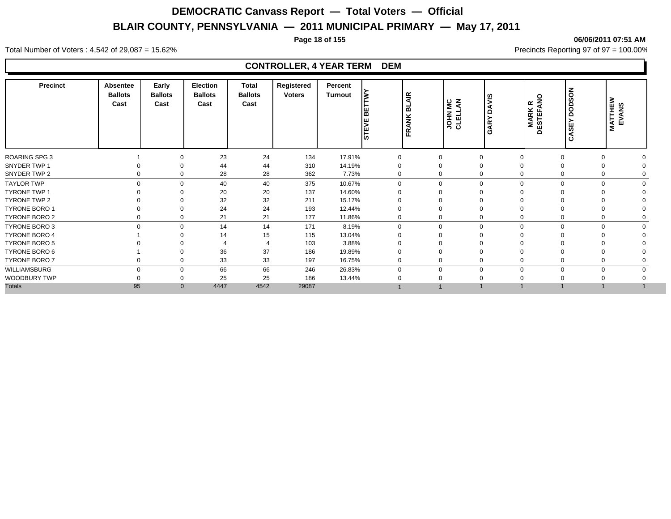**Page 18 of 155 06/06/2011 07:51 AM**

#### Total Number of Voters : 4,542 of 29,087 = 15.62% Precincts Reporting 97 of 97 = 100.00%

| <b>Precinct</b>      | Absentee<br><b>Ballots</b><br>Cast | Early<br><b>Ballots</b><br>Cast | <b>Election</b><br><b>Ballots</b><br>Cast | Total<br><b>Ballots</b><br>Cast | Registered<br><b>Voters</b> | Percent<br>Turnout | <b>BETTW</b><br><b>STEVE</b> | <b>BLAIR</b><br><b>FRANK</b> | $rac{c}{\epsilon}$<br><b>JOHN</b><br>CLELL | <b>AVIS</b><br>Õ<br>ARY<br>Ö | <b>QNA</b><br>$\propto$<br><b>MARK</b><br>DESTEFA | <b>DODSON</b><br>CASEY | <b>MATTHEW<br/>EVANS</b> |  |
|----------------------|------------------------------------|---------------------------------|-------------------------------------------|---------------------------------|-----------------------------|--------------------|------------------------------|------------------------------|--------------------------------------------|------------------------------|---------------------------------------------------|------------------------|--------------------------|--|
| <b>ROARING SPG 3</b> |                                    | $\Omega$                        | 23                                        | 24                              | 134                         | 17.91%             | 0                            |                              |                                            | 0                            |                                                   | $\Omega$               |                          |  |
| SNYDER TWP 1         |                                    | $\Omega$                        | 44                                        | 44                              | 310                         | 14.19%             | $\Omega$                     |                              | $\Omega$                                   |                              |                                                   |                        |                          |  |
| SNYDER TWP 2         | 0                                  | $\Omega$                        | 28                                        | 28                              | 362                         | 7.73%              | $\Omega$                     |                              | $\Omega$                                   | 0                            |                                                   |                        |                          |  |
| <b>TAYLOR TWP</b>    | $\mathbf{0}$                       | $\mathbf 0$                     | 40                                        | 40                              | 375                         | 10.67%             | $\mathbf 0$                  |                              | $\Omega$                                   | $\mathbf 0$                  | $\Omega$                                          | $\Omega$               | $\Omega$                 |  |
| <b>TYRONE TWP 1</b>  |                                    | $\Omega$                        | 20                                        | 20                              | 137                         | 14.60%             | $\Omega$                     |                              |                                            |                              |                                                   |                        |                          |  |
| TYRONE TWP 2         |                                    | 0                               | 32                                        | 32                              | 211                         | 15.17%             | $\Omega$                     |                              |                                            |                              |                                                   |                        |                          |  |
| <b>TYRONE BORO 1</b> |                                    | $\Omega$                        | 24                                        | 24                              | 193                         | 12.44%             | $\Omega$                     |                              |                                            | $\Omega$                     |                                                   |                        |                          |  |
| <b>TYRONE BORO 2</b> | 0                                  | 0                               | 21                                        | 21                              | 177                         | 11.86%             | 0                            |                              | 0                                          | 0                            | $\Omega$                                          | $\Omega$               |                          |  |
| <b>TYRONE BORO 3</b> | $\Omega$                           | $\mathbf 0$                     | 14                                        | 14                              | 171                         | 8.19%              | $\Omega$                     |                              | $\Omega$                                   | $\mathbf 0$                  | $\Omega$                                          | $\Omega$               | $\Omega$                 |  |
| <b>TYRONE BORO 4</b> |                                    | 0                               | 14                                        | 15                              | 115                         | 13.04%             | $\Omega$                     |                              |                                            |                              |                                                   |                        |                          |  |
| <b>TYRONE BORO 5</b> |                                    |                                 |                                           |                                 | 103                         | 3.88%              | $\Omega$                     |                              |                                            |                              |                                                   |                        |                          |  |
| TYRONE BORO 6        |                                    |                                 | 36                                        | 37                              | 186                         | 19.89%             | $\Omega$                     |                              |                                            |                              |                                                   |                        |                          |  |
| <b>TYRONE BORO 7</b> | 0                                  | 0                               | 33                                        | 33                              | 197                         | 16.75%             | 0                            |                              | 0                                          | 0                            |                                                   |                        |                          |  |
| WILLIAMSBURG         | $\mathbf 0$                        | $\mathbf 0$                     | 66                                        | 66                              | 246                         | 26.83%             | $\Omega$                     |                              | $\Omega$                                   | $\mathbf 0$                  | $\Omega$                                          | $\Omega$               | $\Omega$                 |  |
| WOODBURY TWP         |                                    | 0                               | 25                                        | 25                              | 186                         | 13.44%             |                              |                              |                                            |                              |                                                   |                        |                          |  |
| <b>Totals</b>        | 95                                 | $\mathbf{0}$                    | 4447                                      | 4542                            | 29087                       |                    |                              |                              |                                            |                              |                                                   |                        |                          |  |
|                      |                                    |                                 |                                           |                                 |                             |                    |                              |                              |                                            |                              |                                                   |                        |                          |  |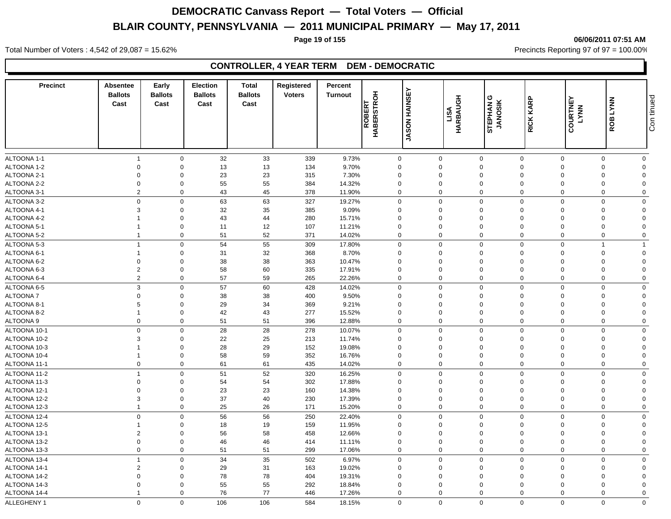**Page 19 of 155 06/06/2011 07:51 AM**

Total Number of Voters : 4,542 of 29,087 = 15.62% Precincts Reporting 97 of 97 = 100.00%

### **CONTROLLER, 4 YEAR TERM DEM - DEMOCRATIC**

| <b>Precinct</b> | <b>Absentee</b><br><b>Ballots</b><br>Cast | Early<br><b>Ballots</b><br>Cast | <b>Election</b><br><b>Ballots</b><br>Cast | Total<br><b>Ballots</b><br>Cast | Registered<br><b>Voters</b> | Percent<br><b>Turnout</b> | <b>ROBERT</b><br>HABERSTROH | <b>JASON HAINSEY</b> | HARBAUGH<br>LISA | STEPHAN G<br>JANOSIK | RICK KARP      | <b>COURTNEY</b><br><b>LYNN</b> | ROB LYNN    | Con tinued     |
|-----------------|-------------------------------------------|---------------------------------|-------------------------------------------|---------------------------------|-----------------------------|---------------------------|-----------------------------|----------------------|------------------|----------------------|----------------|--------------------------------|-------------|----------------|
|                 |                                           |                                 |                                           |                                 |                             |                           |                             |                      |                  |                      |                |                                |             |                |
| ALTOONA 1-1     | $\overline{1}$                            | $\mathbf 0$                     | 32                                        | 33                              | 339                         | 9.73%                     | $\mathbf 0$                 |                      | $\mathbf 0$      | $\mathbf 0$          | $\mathbf 0$    | $\mathbf 0$                    | $\mathbf 0$ | $\mathbf 0$    |
| ALTOONA 1-2     | $\mathbf 0$                               | $\mathbf 0$                     | 13                                        | 13                              | 134                         | 9.70%                     | $\Omega$                    |                      | $\Omega$         | $\mathbf 0$          | $\Omega$       | $\Omega$                       | $\Omega$    | $\mathbf 0$    |
| ALTOONA 2-1     | $\mathbf 0$                               | $\Omega$                        | 23                                        | 23                              | 315                         | 7.30%                     | $\Omega$                    |                      | $\Omega$         | $\mathbf 0$          | $\Omega$       | $\Omega$                       | $\Omega$    | $\Omega$       |
| ALTOONA 2-2     | $\mathbf 0$                               | $\mathbf 0$                     | 55                                        | 55                              | 384                         | 14.32%                    | $\mathbf 0$                 |                      | $\mathbf 0$      | $\mathbf 0$          | $\mathbf 0$    | $\Omega$                       | $\Omega$    | $\Omega$       |
| ALTOONA 3-1     | $\overline{2}$                            | $\mathbf 0$                     | 43                                        | 45                              | 378                         | 11.90%                    | 0                           |                      | $\mathbf 0$      | $\mathbf 0$          | $\mathbf 0$    | $\mathbf 0$                    | $\Omega$    | $\Omega$       |
| ALTOONA 3-2     | $\mathbf 0$                               | $\Omega$                        | 63                                        | 63                              | 327                         | 19.27%                    | $\Omega$                    |                      | $\Omega$         | $\mathbf 0$          | $\Omega$       | $\Omega$                       | $\Omega$    | $\Omega$       |
| ALTOONA 4-1     | 3                                         | $\Omega$                        | 32                                        | 35                              | 385                         | 9.09%                     | $\mathbf 0$                 |                      | $\Omega$         | $\mathbf 0$          | $\mathbf 0$    | $\Omega$                       | $\Omega$    | $\Omega$       |
| ALTOONA 4-2     |                                           | $\Omega$                        | 43                                        | 44                              | 280                         | 15.71%                    | $\mathbf 0$                 |                      | $\Omega$         | $\mathbf 0$          | $\mathbf 0$    | $\Omega$                       | $\Omega$    | $\Omega$       |
| ALTOONA 5-1     |                                           | $\mathbf 0$                     | 11                                        | 12                              | 107                         | 11.21%                    | $\mathbf 0$                 |                      | $\mathbf 0$      | $\mathbf 0$          | $\mathbf 0$    | $\Omega$                       | $\Omega$    | $\Omega$       |
| ALTOONA 5-2     | $\overline{1}$                            | $\mathbf 0$                     | 51                                        | 52                              | 371                         | 14.02%                    | 0                           |                      | $\mathbf 0$      | $\mathbf 0$          | $\mathbf 0$    | $\mathbf 0$                    | $\mathbf 0$ | $\overline{0}$ |
| ALTOONA 5-3     | $\overline{1}$                            | $\mathbf 0$                     | 54                                        | 55                              | 309                         | 17.80%                    | 0                           |                      | $\mathbf 0$      | $\mathsf 0$          | $\Omega$       | $\Omega$                       |             |                |
| ALTOONA 6-1     |                                           | $\Omega$                        | 31                                        | 32                              | 368                         | 8.70%                     | $\Omega$                    |                      | $\Omega$         | $\mathbf 0$          | $\Omega$       | $\Omega$                       | $\Omega$    | $\Omega$       |
| ALTOONA 6-2     | $\mathbf 0$                               | $\mathbf 0$                     | 38                                        | 38                              | 363                         | 10.47%                    | $\Omega$                    |                      | $\Omega$         | $\mathbf 0$          | $\Omega$       | $\Omega$                       | $\Omega$    | $\Omega$       |
| ALTOONA 6-3     | $\overline{2}$                            | $\mathbf 0$                     | 58                                        | 60                              | 335                         | 17.91%                    | $\Omega$                    |                      | $\Omega$         | $\mathbf 0$          | $\Omega$       | $\Omega$                       | $\Omega$    | $\Omega$       |
| ALTOONA 6-4     | 2                                         | $\mathbf 0$                     | 57                                        | 59                              | 265                         | 22.26%                    | 0                           |                      | $\mathbf 0$      | $\mathbf 0$          | $\Omega$       | $\Omega$                       | $\Omega$    | $\mathbf 0$    |
| ALTOONA 6-5     | $\mathbf{3}$                              | $\mathbf 0$                     | 57                                        | 60                              | 428                         | 14.02%                    | $\mathbf 0$                 |                      | $\mathbf 0$      | $\mathbf 0$          | $\mathbf 0$    | $\Omega$                       | $\Omega$    | $\mathbf 0$    |
| ALTOONA 7       | $\Omega$                                  | $\Omega$                        | 38                                        | 38                              | 400                         | 9.50%                     | $\mathbf 0$                 |                      | $\Omega$         | $\mathbf 0$          | $\Omega$       | $\Omega$                       | $\Omega$    | $\Omega$       |
| ALTOONA 8-1     | 5                                         | $\Omega$                        | 29                                        | 34                              | 369                         | 9.21%                     | $\Omega$                    |                      | $\Omega$         | $\mathbf 0$          | $\Omega$       |                                | $\Omega$    | $\Omega$       |
| ALTOONA 8-2     |                                           | $\mathbf 0$                     | 42                                        | 43                              | 277                         | 15.52%                    | $\mathbf 0$                 |                      | $\mathbf 0$      | $\mathbf 0$          | $\overline{0}$ | $\Omega$                       | $\Omega$    | $\Omega$       |
| ALTOONA 9       | $\mathbf 0$                               | $\mathbf 0$                     | 51                                        | 51                              | 396                         | 12.88%                    | $\mathbf 0$                 |                      | $\mathbf 0$      | $\mathbf 0$          | $\mathbf 0$    | $\Omega$                       | $\Omega$    | $\mathbf 0$    |
| ALTOONA 10-1    | $\mathbf 0$                               | $\Omega$                        | 28                                        | 28                              | 278                         | 10.07%                    | 0                           |                      | $\Omega$         | $\mathbf 0$          | $\Omega$       | $\Omega$                       | $\Omega$    | $\mathbf 0$    |
| ALTOONA 10-2    | 3                                         | $\mathbf 0$                     | 22                                        | 25                              | 213                         | 11.74%                    | $\Omega$                    |                      | $\mathbf 0$      | $\mathbf 0$          | $\mathbf 0$    | $\Omega$                       | $\Omega$    | $\Omega$       |
| ALTOONA 10-3    |                                           | $\mathbf 0$                     | 28                                        | 29                              | 152                         | 19.08%                    | $\mathbf 0$                 |                      | $\mathbf 0$      | $\mathbf 0$          | $\mathbf 0$    | $\Omega$                       | $\Omega$    | $\Omega$       |
| ALTOONA 10-4    | $\overline{1}$                            | $\mathbf 0$                     | 58                                        | 59                              | 352                         | 16.76%                    | $\mathbf 0$                 |                      | $\mathbf 0$      | $\mathbf 0$          | $\mathbf 0$    | $\Omega$                       | $\mathbf 0$ | $\Omega$       |
| ALTOONA 11-1    | $\mathbf 0$                               | $\mathbf 0$                     | 61                                        | 61                              | 435                         | 14.02%                    | 0                           |                      | $\mathbf 0$      | $\mathbf 0$          | $\mathbf 0$    | $\Omega$                       | $\mathbf 0$ | $\Omega$       |
| ALTOONA 11-2    | $\overline{1}$                            | $\Omega$                        | 51                                        | 52                              | 320                         | 16.25%                    | $\Omega$                    |                      | $\Omega$         | $\mathbf 0$          | $\Omega$       | $\Omega$                       | $\Omega$    | $\Omega$       |
| ALTOONA 11-3    | $\mathbf 0$                               | $\mathbf 0$                     | 54                                        | 54                              | 302                         | 17.88%                    | $\Omega$                    |                      | $\Omega$         | $\mathbf 0$          | $\Omega$       | $\Omega$                       | $\Omega$    | $\Omega$       |
| ALTOONA 12-1    | $\Omega$                                  | $\mathbf 0$                     | 23                                        | 23                              | 160                         | 14.38%                    | $\Omega$                    |                      | $\Omega$         | $\mathbf 0$          | $\Omega$       | $\Omega$                       | $\Omega$    | $\Omega$       |
| ALTOONA 12-2    | $\mathbf{3}$                              | $\mathbf 0$                     | 37                                        | 40                              | 230                         | 17.39%                    | $\mathbf 0$                 |                      | $\mathbf 0$      | $\mathbf 0$          | $\overline{0}$ | $\Omega$                       | $\Omega$    | $\Omega$       |
| ALTOONA 12-3    | $\overline{1}$                            | $\mathbf 0$                     | 25                                        | 26                              | 171                         | 15.20%                    | $\mathbf 0$                 |                      | $\mathbf 0$      | $\mathbf 0$          | $\mathbf 0$    | $\mathbf 0$                    | $\Omega$    | $\mathbf 0$    |
| ALTOONA 12-4    | $\mathbf 0$                               | $\mathbf 0$                     | 56                                        | 56                              | 250                         | 22.40%                    | $\mathbf 0$                 |                      | $\mathbf 0$      | $\mathsf 0$          | $\Omega$       | $\Omega$                       | $\Omega$    | $\mathbf 0$    |
| ALTOONA 12-5    |                                           | $\mathbf 0$                     | 18                                        | 19                              | 159                         | 11.95%                    | $\mathbf 0$                 |                      | $\mathbf 0$      | $\mathbf 0$          | $\Omega$       | $\Omega$                       | $\Omega$    | $\Omega$       |
| ALTOONA 13-1    | $\overline{2}$                            | $\mathbf 0$                     | 56                                        | 58                              | 458                         | 12.66%                    | $\mathbf 0$                 |                      | $\mathbf 0$      | $\mathbf 0$          | $\mathbf 0$    | $\Omega$                       | $\Omega$    | $\Omega$       |
| ALTOONA 13-2    | $\mathbf 0$                               | $\mathbf 0$                     | 46                                        | 46                              | 414                         | 11.11%                    | $\mathbf 0$                 |                      | $\mathbf 0$      | $\mathbf 0$          | $\mathbf 0$    | $\Omega$                       | $\Omega$    | $\Omega$       |
| ALTOONA 13-3    | $\mathbf 0$                               | $\mathbf 0$                     | 51                                        | 51                              | 299                         | 17.06%                    | $\mathbf 0$                 |                      | $\mathbf 0$      | $\mathbf 0$          | $\mathbf 0$    | $\Omega$                       | $\Omega$    | $\mathbf 0$    |
| ALTOONA 13-4    | $\overline{1}$                            | $\mathbf 0$                     | 34                                        | 35                              | 502                         | 6.97%                     | 0                           |                      | $\Omega$         | $\mathbf 0$          | $\mathbf 0$    | $\Omega$                       | $\Omega$    | $\mathbf 0$    |
| ALTOONA 14-1    | $\overline{2}$                            | $\mathbf 0$                     | 29                                        | 31                              | 163                         | 19.02%                    | $\mathbf 0$                 |                      | $\mathbf 0$      | $\mathbf 0$          | $\mathbf 0$    | $\Omega$                       | $\Omega$    | $\Omega$       |
| ALTOONA 14-2    | $\mathbf 0$                               | $\mathbf 0$                     | 78                                        | 78                              | 404                         | 19.31%                    | $\mathbf 0$                 |                      | $\mathbf 0$      | $\mathbf 0$          | $\mathbf 0$    |                                | $\Omega$    | $\Omega$       |
| ALTOONA 14-3    | $\mathbf 0$                               | $\mathbf 0$                     | 55                                        | 55                              | 292                         | 18.84%                    | $\mathbf 0$                 |                      | $\mathbf 0$      | $\mathbf 0$          | $\mathbf 0$    | $\Omega$                       | $\Omega$    | $\Omega$       |
| ALTOONA 14-4    | $\overline{1}$                            | $\Omega$                        | 76                                        | 77                              | 446                         | 17.26%                    | $\mathbf 0$                 |                      | $\mathbf 0$      | $\mathbf 0$          | $\mathbf 0$    | $\Omega$                       | $\Omega$    | $\mathbf 0$    |
|                 |                                           |                                 |                                           |                                 |                             |                           |                             |                      |                  |                      |                |                                |             |                |
| ALLEGHENY 1     | $\mathbf 0$                               | $\Omega$                        | 106                                       | 106                             | 584                         | 18.15%                    | $\Omega$                    |                      | $\Omega$         | $\Omega$             | $\Omega$       | $\Omega$                       | $\Omega$    | $\mathbf 0$    |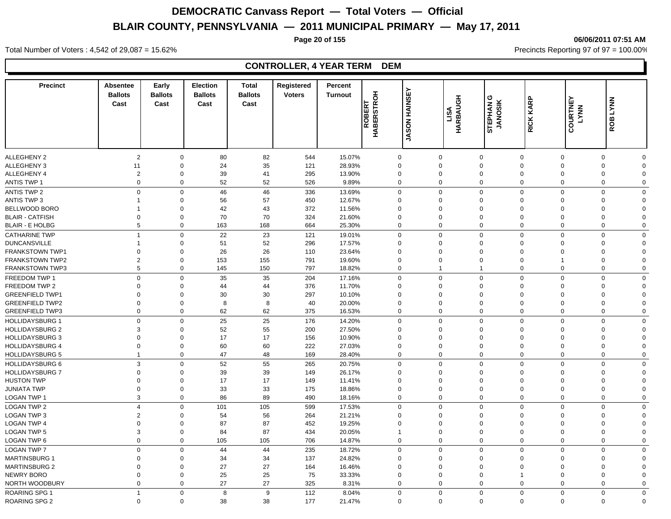**Page 20 of 155 06/06/2011 07:51 AM**

#### Total Number of Voters : 4,542 of 29,087 = 15.62% Precincts Reporting 97 of 97 = 100.00%

| <b>Precinct</b>        | <b>Absentee</b><br><b>Ballots</b><br>Cast | Early<br><b>Ballots</b><br>Cast | <b>Election</b><br><b>Ballots</b><br>Cast | <b>Total</b><br><b>Ballots</b><br>Cast | Registered<br><b>Voters</b> | Percent<br><b>Turnout</b> | <b>ROBERT</b><br>HABERSTROH | <b>HAINSEY</b> | HARBAUGH<br>LISA | STEPHANG<br><b>JANOSIK</b> | RICK KARP                     | COURTNEY<br>LYNN | <b>ROB LYNN</b>            |
|------------------------|-------------------------------------------|---------------------------------|-------------------------------------------|----------------------------------------|-----------------------------|---------------------------|-----------------------------|----------------|------------------|----------------------------|-------------------------------|------------------|----------------------------|
|                        |                                           |                                 |                                           |                                        |                             |                           |                             | <b>NOSAL</b>   |                  |                            |                               |                  |                            |
| <b>ALLEGHENY 2</b>     | $\sqrt{2}$                                | $\mathbf 0$                     | 80                                        | 82                                     | 544                         | 15.07%                    | $\Omega$                    |                | 0                | $\mathbf 0$                | $\mathbf 0$<br>$\mathbf 0$    |                  | $\mathbf 0$<br>$\Omega$    |
| <b>ALLEGHENY 3</b>     | 11                                        | $\mathbf 0$                     | 24                                        | 35                                     | 121                         | 28.93%                    | $\Omega$                    | $\Omega$       |                  | $\mathbf 0$                | $\mathbf 0$<br>$\Omega$       |                  | $\mathbf 0$<br>$\Omega$    |
| ALLEGHENY 4            | $\overline{c}$                            | $\mathbf 0$                     | 39                                        | 41                                     | 295                         | 13.90%                    | $\Omega$                    | $\Omega$       |                  | $\mathbf 0$                | $\Omega$<br>$\Omega$          |                  | $\mathbf 0$<br>$\Omega$    |
| <b>ANTIS TWP 1</b>     | $\mathsf 0$                               | $\mathbf 0$                     | 52                                        | 52                                     | 526                         | 9.89%                     | $\Omega$                    |                | 0                | $\mathbf 0$                | $\mathbf 0$<br>$\mathbf{0}$   |                  | 0<br>$\mathbf 0$           |
| <b>ANTIS TWP 2</b>     | $\mathbf 0$                               | $\mathbf 0$                     | 46                                        | 46                                     | 336                         | 13.69%                    | $\Omega$                    |                | $\mathbf 0$      | $\mathbf 0$                | $\mathbf 0$<br>$\mathbf 0$    |                  | $\mathbf 0$<br>$\mathbf 0$ |
| ANTIS TWP 3            | 1                                         | $\mathbf 0$                     | 56                                        | 57                                     | 450                         | 12.67%                    | $\Omega$                    | $\Omega$       |                  | $\mathbf 0$                | $\Omega$<br>$\Omega$          |                  | $\mathbf 0$<br>$\Omega$    |
| BELLWOOD BORO          |                                           | $\mathbf 0$                     | 42                                        | 43                                     | 372                         | 11.56%                    | $\Omega$                    | $\mathbf 0$    |                  | $\mathbf 0$                | $\Omega$<br>$\mathbf 0$       |                  | $\mathbf 0$<br>$\Omega$    |
| <b>BLAIR - CATFISH</b> | $\mathbf 0$                               | $\mathbf 0$                     | 70                                        | 70                                     | 324                         | 21.60%                    | $\mathbf 0$                 | $\mathbf 0$    |                  | $\mathbf 0$                | $\mathbf 0$<br>$\mathbf 0$    |                  | $\mathbf 0$<br>$\Omega$    |
| <b>BLAIR - E HOLBG</b> | 5                                         | $\mathbf 0$                     | 163                                       | 168                                    | 664                         | 25.30%                    | $\mathbf 0$                 |                | $\mathbf 0$      | $\mathbf 0$                | $\mathbf 0$<br>$\mathbf 0$    |                  | $\mathbf 0$<br>$\mathbf 0$ |
| <b>CATHARINE TWP</b>   | $\mathbf{1}$                              | $\mathbf 0$                     | 22                                        | 23                                     | 121                         | 19.01%                    | $\Omega$                    |                | $\mathbf{0}$     | $\mathsf 0$                | $\mathbf 0$<br>$\mathbf 0$    |                  | $\mathsf 0$<br>$\Omega$    |
| <b>DUNCANSVILLE</b>    | 1                                         | $\mathbf 0$                     | 51                                        | 52                                     | 296                         | 17.57%                    | $\Omega$                    | $\Omega$       |                  | $\mathbf 0$                | $\Omega$<br>$\Omega$          |                  | $\mathbf 0$<br>$\Omega$    |
| <b>FRANKSTOWN TWP1</b> | $\Omega$                                  | $\mathbf 0$                     | 26                                        | 26                                     | 110                         | 23.64%                    | $\Omega$                    | $\Omega$       |                  | $\mathbf 0$                | $\Omega$<br>$\Omega$          |                  | $\mathbf 0$<br>$\Omega$    |
| <b>FRANKSTOWN TWP2</b> | $\overline{2}$                            | $\mathbf 0$                     | 153                                       | 155                                    | 791                         | 19.60%                    | $\mathbf 0$                 | $\mathbf 0$    |                  | $\mathbf 0$                | $\Omega$<br>-1                |                  | 0<br>$\Omega$              |
| <b>FRANKSTOWN TWP3</b> | 5                                         | $\mathbf 0$                     | 145                                       | 150                                    | 797                         | 18.82%                    | $\Omega$                    | $\overline{1}$ |                  | $\mathbf{1}$               | $\mathbf 0$<br>$\mathbf 0$    |                  | 0<br>$\Omega$              |
| FREEDOM TWP 1          | $\mathbf 0$                               | $\mathbf 0$                     | 35                                        | 35                                     | 204                         | 17.16%                    | $\Omega$                    |                | $\mathbf 0$      | $\mathbf 0$                | $\mathbf 0$<br>$\mathbf 0$    |                  | $\mathbf 0$<br>$\mathbf 0$ |
| FREEDOM TWP 2          | $\Omega$                                  | $\mathbf 0$                     | 44                                        | 44                                     | 376                         | 11.70%                    | $\Omega$                    | $\Omega$       |                  | $\mathbf 0$                | $\Omega$<br>$\Omega$          |                  | $\Omega$<br>$\Omega$       |
| <b>GREENFIELD TWP1</b> | $\Omega$                                  | $\mathbf 0$                     | 30                                        | 30                                     | 297                         | 10.10%                    | $\mathbf 0$                 | $\mathbf 0$    |                  | $\mathbf 0$                | $\mathbf 0$<br>$\mathbf 0$    |                  | 0<br>$\Omega$              |
| <b>GREENFIELD TWP2</b> | $\mathbf 0$                               | $\mathbf 0$                     | 8                                         | 8                                      | 40                          | 20.00%                    | $\mathbf 0$                 | $\mathbf 0$    |                  | $\mathbf 0$                | $\mathbf 0$<br>$\overline{0}$ |                  | $\mathbf 0$<br>$\Omega$    |
| <b>GREENFIELD TWP3</b> | $\mathbf 0$                               | $\mathbf 0$                     | 62                                        | 62                                     | 375                         | 16.53%                    | $\mathbf 0$                 |                | 0                | $\mathbf 0$                | $\mathbf 0$<br>$\mathbf 0$    |                  | $\mathbf 0$<br>$\mathbf 0$ |
| <b>HOLLIDAYSBURG 1</b> | $\mathbf 0$                               | $\mathbf 0$                     | 25                                        | 25                                     | 176                         | 14.20%                    | $\Omega$                    | $\Omega$       |                  | $\mathbf{0}$               | $\mathbf 0$<br>$\Omega$       |                  | $\mathbf 0$<br>$\Omega$    |
| <b>HOLLIDAYSBURG 2</b> | 3                                         | $\mathbf 0$                     | 52                                        | 55                                     | 200                         | 27.50%                    | $\Omega$                    | $\Omega$       |                  | $\mathbf 0$                | $\Omega$<br>$\Omega$          |                  | $\mathbf 0$<br>$\Omega$    |
| <b>HOLLIDAYSBURG 3</b> | $\Omega$                                  | $\Omega$                        | 17                                        | 17                                     | 156                         | 10.90%                    | $\Omega$                    | $\Omega$       |                  | $\mathbf 0$                | $\Omega$<br>$\Omega$          |                  | $\mathbf 0$<br>$\Omega$    |
| <b>HOLLIDAYSBURG 4</b> | $\mathbf 0$                               | $\mathbf 0$                     | 60                                        | 60                                     | 222                         | 27.03%                    | $\mathbf 0$                 | $\mathbf 0$    |                  | $\mathbf 0$                | $\Omega$<br>$\mathbf 0$       |                  | 0<br>$\Omega$              |
| <b>HOLLIDAYSBURG 5</b> | $\mathbf{1}$                              | $\mathbf 0$                     | 47                                        | 48                                     | 169                         | 28.40%                    | $\mathbf 0$                 |                | $\mathbf 0$      | $\mathbf 0$                | $\mathbf 0$<br>$\mathbf 0$    |                  | $\mathbf 0$<br>$\mathbf 0$ |
| HOLLIDAYSBURG 6        | 3                                         | $\mathbf 0$                     | 52                                        | 55                                     | 265                         | 20.75%                    | $\Omega$                    |                | $\mathbf 0$      | $\mathbf 0$                | $\mathbf 0$<br>$\mathbf 0$    |                  | $\mathbf 0$<br>$\mathbf 0$ |
| <b>HOLLIDAYSBURG 7</b> | $\mathbf 0$                               | $\mathbf 0$                     | 39                                        | 39                                     | 149                         | 26.17%                    | $\Omega$                    | $\Omega$       |                  | $\mathbf 0$                | $\Omega$<br>$\Omega$          |                  | $\mathbf 0$<br>$\Omega$    |
| <b>HUSTON TWP</b>      | $\mathbf 0$                               | $\mathbf 0$                     | 17                                        | 17                                     | 149                         | 11.41%                    | $\mathbf 0$                 | $\mathbf 0$    |                  | $\mathbf 0$                | $\mathbf 0$<br>$\mathbf 0$    |                  | 0<br>$\Omega$              |
| <b>JUNIATA TWP</b>     | $\mathbf 0$                               | $\mathbf 0$                     | 33                                        | 33                                     | 175                         | 18.86%                    | $\mathbf 0$                 | $\mathbf 0$    |                  | $\mathbf 0$                | $\mathbf 0$<br>$\mathbf 0$    |                  | 0<br>$\Omega$              |
| <b>LOGAN TWP 1</b>     | 3                                         | $\mathbf 0$                     | 86                                        | 89                                     | 490                         | 18.16%                    | $\mathbf 0$                 |                | $\mathbf 0$      | $\mathbf 0$                | $\mathbf 0$<br>$\mathbf 0$    |                  | $\mathbf 0$<br>$\mathbf 0$ |
| <b>LOGAN TWP 2</b>     | $\overline{4}$                            | $\mathbf 0$                     | 101                                       | 105                                    | 599                         | 17.53%                    | $\Omega$                    | $\Omega$       |                  | $\mathbf{0}$               | $\Omega$<br>$\Omega$          |                  | $\mathbf 0$<br>$\Omega$    |
| <b>LOGAN TWP 3</b>     | $\overline{2}$                            | $\mathbf 0$                     | 54                                        | 56                                     | 264                         | 21.21%                    | $\Omega$                    | $\Omega$       |                  | $\mathbf 0$                | $\Omega$<br>$\Omega$          |                  | $\mathbf 0$<br>$\Omega$    |
| <b>LOGAN TWP 4</b>     | $\Omega$                                  | $\mathbf 0$                     | 87                                        | 87                                     | 452                         | 19.25%                    | $\Omega$                    | $\Omega$       |                  | $\mathbf 0$                | $\Omega$<br>$\Omega$          |                  | $\mathbf 0$<br>$\Omega$    |
| <b>LOGAN TWP 5</b>     | 3                                         | $\mathbf 0$                     | 84                                        | 87                                     | 434                         | 20.05%                    |                             | $\mathbf 0$    |                  | $\mathbf 0$                | $\Omega$<br>$\Omega$          |                  | 0<br>$\Omega$              |
| <b>LOGAN TWP 6</b>     | $\mathbf 0$                               | $\mathbf 0$                     | 105                                       | 105                                    | 706                         | 14.87%                    | $\mathbf 0$                 |                | $\mathbf 0$      | $\mathbf 0$                | $\mathbf 0$<br>$\mathbf 0$    |                  | $\mathbf 0$<br>$\Omega$    |
| <b>LOGAN TWP 7</b>     | $\mathbf 0$                               | $\mathbf 0$                     | 44                                        | 44                                     | 235                         | 18.72%                    | $\Omega$                    | $\mathbf 0$    |                  | $\mathbf 0$                | $\Omega$<br>$\mathbf 0$       |                  | $\mathbf 0$<br>$\mathbf 0$ |
| <b>MARTINSBURG 1</b>   | $\Omega$                                  | $\mathbf 0$                     | 34                                        | 34                                     | 137                         | 24.82%                    | $\mathbf 0$                 | $\mathbf 0$    |                  | $\mathbf 0$                | $\mathbf 0$<br>$\mathbf 0$    |                  | 0<br>$\Omega$              |
| <b>MARTINSBURG 2</b>   | $\Omega$                                  | $\mathbf 0$                     | 27                                        | 27                                     | 164                         | 16.46%                    | $\mathbf 0$                 | $\mathbf 0$    |                  | $\mathbf 0$                | $\mathbf 0$<br>$\mathbf 0$    |                  | $\mathbf 0$<br>$\Omega$    |
| NEWRY BORO             | $\mathbf 0$                               | $\mathbf 0$                     | 25                                        | 25                                     | 75                          | 33.33%                    | $\mathbf 0$                 | $\mathbf 0$    |                  | $\mathbf 0$                | $\mathbf 0$                   |                  | 0<br>$\Omega$              |
| NORTH WOODBURY         | $\mathbf 0$                               | $\Omega$                        | 27                                        | 27                                     | 325                         | 8.31%                     | $\mathbf 0$                 | $\mathbf 0$    |                  | $\mathbf 0$                | $\mathbf 0$<br>$\mathbf 0$    |                  | 0<br>$\Omega$              |
|                        | $\overline{1}$                            |                                 |                                           | 9                                      |                             |                           | $\Omega$                    |                |                  |                            |                               |                  |                            |
| ROARING SPG 1          |                                           | $\Omega$                        | 8                                         |                                        | 112                         | 8.04%                     |                             |                | $\mathbf{0}$     | $\mathbf{0}$               | $\mathbf 0$<br>$\mathbf 0$    |                  | $\mathbf 0$<br>$\mathbf 0$ |
| <b>ROARING SPG 2</b>   | $\mathbf 0$                               | $\Omega$                        | 38                                        | 38                                     | 177                         | 21.47%                    | $\Omega$                    |                | $\mathbf 0$      | $\Omega$                   | $\mathbf 0$<br>$\mathbf 0$    |                  | $\mathbf 0$<br>$\Omega$    |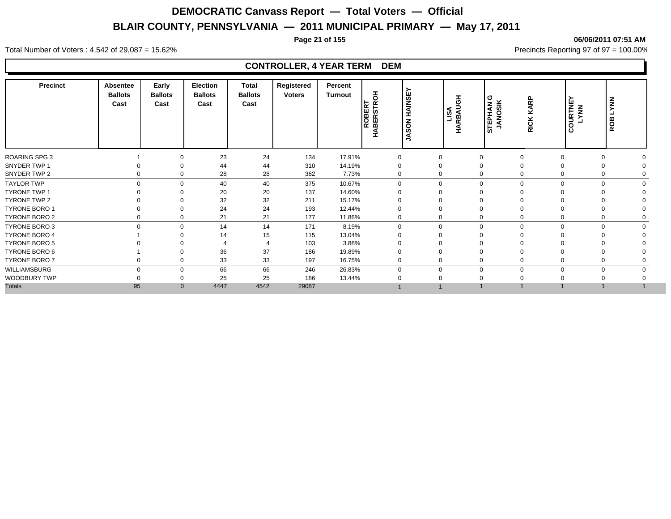**Page 21 of 155 06/06/2011 07:51 AM**

#### Total Number of Voters : 4,542 of 29,087 = 15.62% Precincts Reporting 97 of 97 = 100.00%

| <b>Precinct</b>      | Absentee<br><b>Ballots</b><br>Cast | Early<br><b>Ballots</b><br>Cast | Election<br><b>Ballots</b><br>Cast | <b>Total</b><br><b>Ballots</b><br>Cast | Registered<br><b>Voters</b> | Percent<br>Turnout | 동<br>ROBERT<br>່ທ<br>H | <b>HAINSE</b><br>SON<br>Ŝ | LISA<br>HARBAUGH | STEPHAN G<br>JANOSIK | KARP<br><b>RICK</b> | COURTNEY<br>LYNN | <b>LYNN</b><br>ROB |          |
|----------------------|------------------------------------|---------------------------------|------------------------------------|----------------------------------------|-----------------------------|--------------------|------------------------|---------------------------|------------------|----------------------|---------------------|------------------|--------------------|----------|
| <b>ROARING SPG 3</b> |                                    | $\Omega$                        | 23                                 | 24                                     | 134                         | 17.91%             | $\mathbf 0$            |                           | $\mathbf{0}$     | $\mathbf 0$          |                     | $\Omega$         | $\Omega$           |          |
| SNYDER TWP 1         |                                    | $\Omega$                        | 44                                 | 44                                     | 310                         | 14.19%             |                        |                           | 0                | $\Omega$             |                     | $\Omega$         | $\Omega$           |          |
| SNYDER TWP 2         | 0                                  | $\Omega$                        | 28                                 | 28                                     | 362                         | 7.73%              | $\Omega$               |                           | 0                | $\mathbf 0$          |                     | 0                | $\Omega$           |          |
| <b>TAYLOR TWP</b>    | $\Omega$                           | $\Omega$                        | 40                                 | 40                                     | 375                         | 10.67%             | $\Omega$               |                           | $\mathbf 0$      | $\mathbf 0$          | $\Omega$            | $\Omega$         | $\Omega$           |          |
| <b>TYRONE TWP 1</b>  |                                    | $\Omega$                        | 20                                 | 20                                     | 137                         | 14.60%             |                        |                           | 0                | $\Omega$             |                     |                  |                    |          |
| TYRONE TWP 2         |                                    | $\Omega$                        | 32                                 | 32                                     | 211                         | 15.17%             |                        |                           | 0                | $\Omega$             |                     |                  |                    |          |
| <b>TYRONE BORO 1</b> |                                    | $\Omega$                        | 24                                 | 24                                     | 193                         | 12.44%             |                        |                           | 0                | $\Omega$             |                     |                  |                    |          |
| TYRONE BORO 2        |                                    | $\Omega$                        | 21                                 | 21                                     | 177                         | 11.86%             | $\mathbf 0$            |                           | 0                | $\mathbf 0$          |                     |                  |                    |          |
| <b>TYRONE BORO 3</b> | $\Omega$                           | $\Omega$                        | 14                                 | 14                                     | 171                         | 8.19%              | $\Omega$               |                           | 0                | $\mathbf 0$          | $\Omega$            | $\mathbf 0$      | $\mathbf 0$        | $\Omega$ |
| TYRONE BORO 4        |                                    | ∩                               | 14                                 | 15                                     | 115                         | 13.04%             |                        |                           | $\Omega$         | $\Omega$             |                     |                  |                    |          |
| <b>TYRONE BORO 5</b> |                                    |                                 |                                    |                                        | 103                         | 3.88%              |                        |                           |                  |                      |                     |                  |                    |          |
| TYRONE BORO 6        |                                    |                                 | 36                                 | 37                                     | 186                         | 19.89%             |                        |                           |                  | $\Omega$             |                     |                  |                    |          |
| TYRONE BORO 7        |                                    | $\Omega$                        | 33                                 | 33                                     | 197                         | 16.75%             | $\Omega$               |                           | 0                | $\Omega$             |                     |                  |                    |          |
| WILLIAMSBURG         | $\Omega$                           | $\Omega$                        | 66                                 | 66                                     | 246                         | 26.83%             |                        |                           | $\Omega$         | $\mathbf 0$          |                     | $\Omega$         | $\Omega$           |          |
| WOODBURY TWP         |                                    | $\Omega$                        | 25                                 | 25                                     | 186                         | 13.44%             |                        |                           |                  | $\Omega$             |                     |                  |                    |          |
| <b>Totals</b>        | 95                                 | $\mathbf{0}$                    | 4447                               | 4542                                   | 29087                       |                    |                        |                           |                  |                      |                     |                  |                    |          |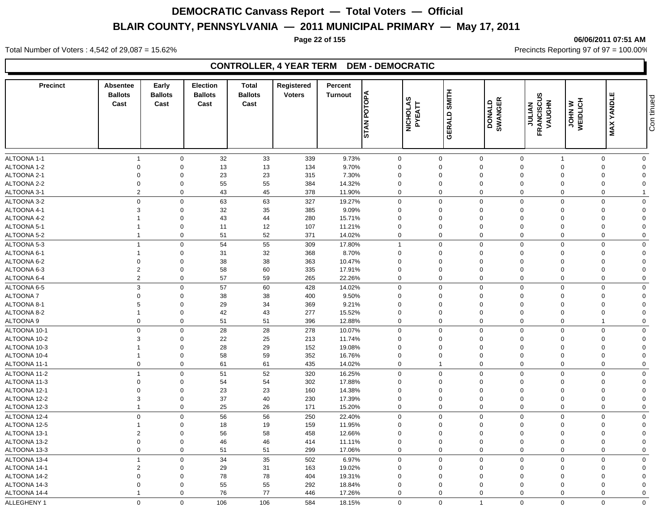#### **Page 22 of 155 06/06/2011 07:51 AM**

Total Number of Voters : 4,542 of 29,087 = 15.62% Precincts Reporting 97 of 97 = 100.00%

### **CONTROLLER, 4 YEAR TERM DEM - DEMOCRATIC**

| <b>Precinct</b> | Absentee<br><b>Ballots</b><br>Cast | Early<br><b>Ballots</b><br>Cast | <b>Election</b><br><b>Ballots</b><br>Cast | <b>Total</b><br><b>Ballots</b><br>Cast | Registered<br><b>Voters</b> | Percent<br><b>Turnout</b> | POTOPA<br><b>STAN</b>   | NICHOLAS<br>PYEATT | <b>SMITH</b><br>GERALD  | <b>DONALD<br/>SWANGER</b>  | <b>JULIAN<br/>FRANCISCUS</b><br>VAUGHN | <b>JOHN W</b><br>WEIDLICH | ш<br><b>MAX YANDL</b>   | Con tinued              |
|-----------------|------------------------------------|---------------------------------|-------------------------------------------|----------------------------------------|-----------------------------|---------------------------|-------------------------|--------------------|-------------------------|----------------------------|----------------------------------------|---------------------------|-------------------------|-------------------------|
|                 |                                    |                                 |                                           |                                        |                             |                           |                         |                    |                         |                            |                                        |                           |                         |                         |
| ALTOONA 1-1     | $\overline{1}$                     | $\mathbf 0$<br>$\Omega$         | 32                                        | 33                                     | 339                         | 9.73%                     | $\mathbf 0$             |                    | $\mathbf 0$<br>$\Omega$ | $\mathbf 0$                | $\mathbf 0$<br>$\Omega$                | -1<br>$\Omega$            | $\mathbf 0$<br>$\Omega$ | $\mathbf 0$<br>$\Omega$ |
| ALTOONA 1-2     | $\mathbf 0$                        | $\Omega$                        | 13                                        | $13$                                   | 134                         | 9.70%                     | $\Omega$                |                    |                         | $\mathbf 0$                |                                        |                           | $\Omega$                |                         |
| ALTOONA 2-1     | $\mathbf 0$                        |                                 | 23                                        | 23                                     | 315                         | 7.30%                     | $\Omega$                |                    | $\Omega$<br>$\Omega$    | $\mathbf 0$                | $\Omega$                               | $\Omega$<br>$\Omega$      | $\Omega$                | $\Omega$<br>$\Omega$    |
| ALTOONA 2-2     | $\mathbf 0$<br>2                   | $\mathbf 0$<br>$\Omega$         | 55                                        | 55                                     | 384                         | 14.32%                    | $\Omega$<br>$\mathbf 0$ |                    | $\Omega$                | $\mathbf 0$<br>$\mathbf 0$ | $\Omega$<br>$\Omega$                   | $\Omega$                  | $\Omega$                |                         |
| ALTOONA 3-1     |                                    |                                 | 43                                        | 45                                     | 378                         | 11.90%                    |                         |                    |                         |                            |                                        |                           |                         |                         |
| ALTOONA 3-2     | $\mathbf 0$                        | $\mathbf 0$                     | 63                                        | 63                                     | 327                         | 19.27%                    | 0                       |                    | $\mathbf 0$             | $\mathbf 0$                | $\mathbf 0$                            | $\mathbf 0$               | $\Omega$                | $\Omega$                |
| ALTOONA 4-1     | 3                                  | $\mathbf 0$                     | 32                                        | 35                                     | 385                         | 9.09%                     | $\Omega$                |                    | $\Omega$                | $\mathbf 0$                | $\Omega$                               | $\Omega$                  | $\Omega$                | $\mathbf 0$             |
| ALTOONA 4-2     |                                    | $\Omega$                        | 43                                        | 44                                     | 280                         | 15.71%                    | $\Omega$                |                    | $\Omega$                | $\mathbf 0$                | $\Omega$                               | $\Omega$                  | $\Omega$                | $\Omega$                |
| ALTOONA 5-1     |                                    | $\mathbf 0$                     | 11                                        | 12                                     | 107                         | 11.21%                    | $\mathbf 0$             |                    | $\mathbf 0$             | $\mathbf 0$                | $\Omega$                               | $\Omega$                  | $\Omega$                | $\Omega$                |
| ALTOONA 5-2     | $\overline{1}$                     | $\mathbf 0$                     | 51                                        | 52                                     | 371                         | 14.02%                    | $\mathbf 0$             |                    | $\Omega$                | $\mathbf 0$                | $\Omega$                               | $\mathbf 0$               | $\Omega$                | $\mathbf 0$             |
| ALTOONA 5-3     | $\overline{1}$                     | $\mathbf 0$                     | 54                                        | 55                                     | 309                         | 17.80%                    | $\mathbf{1}$            |                    | $\mathbf 0$             | $\mathbf 0$                | $\mathbf 0$                            | $\mathbf 0$               | $\Omega$                | $\mathbf 0$             |
| ALTOONA 6-1     | $\overline{1}$                     | $\mathbf 0$                     | 31                                        | 32                                     | 368                         | 8.70%                     | $\mathbf 0$             |                    | $\mathbf 0$             | $\mathbf 0$                | $\mathbf 0$                            | $\Omega$                  | $\Omega$                | $\Omega$                |
| ALTOONA 6-2     | $\mathbf 0$                        | $\Omega$                        | 38                                        | 38                                     | 363                         | 10.47%                    | $\mathbf 0$             |                    | $\Omega$                | $\mathbf 0$                | $\Omega$                               | $\Omega$                  | $\Omega$                | $\Omega$                |
| ALTOONA 6-3     | $\overline{c}$                     | $\mathbf 0$                     | 58                                        | 60                                     | 335                         | 17.91%                    | $\mathbf 0$             |                    | $\mathbf 0$             | $\mathbf 0$                | $\overline{0}$                         | $\Omega$                  | $\Omega$                | $\Omega$                |
| ALTOONA 6-4     | $\overline{2}$                     | $\mathbf 0$                     | 57                                        | 59                                     | 265                         | 22.26%                    | 0                       |                    | $\mathbf 0$             | $\mathbf 0$                | $\mathbf 0$                            | $\Omega$                  | $\Omega$                | $\mathbf 0$             |
| ALTOONA 6-5     | $\mathbf{3}$                       | $\Omega$                        | 57                                        | 60                                     | 428                         | 14.02%                    | $\Omega$                |                    | $\Omega$                | $\mathbf 0$                | $\mathbf 0$                            | $\Omega$                  | $\Omega$                | $\Omega$                |
| ALTOONA 7       | $\mathbf 0$                        | $\Omega$                        | 38                                        | 38                                     | 400                         | 9.50%                     | $\Omega$                |                    | $\Omega$                | $\mathbf 0$                | $\Omega$                               | $\Omega$                  | $\Omega$                | $\Omega$                |
| ALTOONA 8-1     | 5                                  | $\Omega$                        | 29                                        | 34                                     | 369                         | 9.21%                     | $\mathbf 0$             |                    | $\Omega$                | $\mathbf 0$                | $\mathbf 0$                            | $\Omega$                  | $\Omega$                | $\Omega$                |
| ALTOONA 8-2     |                                    | $\mathbf 0$                     | 42                                        | 43                                     | 277                         | 15.52%                    | $\mathbf 0$             |                    | $\mathbf 0$             | $\mathbf 0$                | $\mathbf 0$                            | $\Omega$                  | $\Omega$                | $\overline{0}$          |
| ALTOONA 9       | $\mathbf 0$                        | $\mathbf 0$                     | 51                                        | 51                                     | 396                         | 12.88%                    | $\mathbf 0$             |                    | $\mathbf 0$             | $\mathbf 0$                | $\mathbf 0$                            | $\mathbf 0$               | 1                       | $\overline{0}$          |
| ALTOONA 10-1    | $\mathbf 0$                        | $\mathbf 0$                     | 28                                        | 28                                     | 278                         | 10.07%                    | $\mathbf 0$             |                    | $\mathbf 0$             | $\mathbf 0$                | $\mathbf 0$                            | $\Omega$                  | $\Omega$                | $\mathbf 0$             |
| ALTOONA 10-2    | 3                                  | $\Omega$                        | 22                                        | 25                                     | 213                         | 11.74%                    | $\Omega$                |                    | $\Omega$                | $\mathbf 0$                | $\Omega$                               | $\Omega$                  | $\Omega$                | $\Omega$                |
| ALTOONA 10-3    |                                    | $\mathbf 0$                     | 28                                        | 29                                     | 152                         | 19.08%                    | $\Omega$                |                    | $\Omega$                | $\mathbf 0$                | $\Omega$                               | $\Omega$                  | $\Omega$                | $\Omega$                |
| ALTOONA 10-4    | $\overline{1}$                     | $\mathbf 0$                     | 58                                        | 59                                     | 352                         | 16.76%                    | $\mathbf 0$             |                    | $\mathbf 0$             | $\mathbf 0$                | $\mathbf 0$                            | $\Omega$                  | $\Omega$                | $\Omega$                |
| ALTOONA 11-1    | $\mathbf 0$                        | $\mathbf 0$                     | 61                                        | 61                                     | 435                         | 14.02%                    | 0                       |                    | $\overline{1}$          | $\mathbf 0$                | $\Omega$                               | $\Omega$                  | $\Omega$                | $\Omega$                |
| ALTOONA 11-2    | $\overline{1}$                     | $\Omega$                        | 51                                        | 52                                     | 320                         | 16.25%                    | $\Omega$                |                    | $\mathbf 0$             | $\mathbf 0$                | $\mathbf 0$                            | $\Omega$                  | $\Omega$                | $\Omega$                |
| ALTOONA 11-3    | $\mathbf 0$                        | $\mathbf 0$                     | 54                                        | 54                                     | 302                         | 17.88%                    | $\mathbf 0$             |                    | $\mathbf 0$             | $\mathbf 0$                | $\mathbf 0$                            | $\Omega$                  | $\Omega$                | $\Omega$                |
| ALTOONA 12-1    | $\overline{0}$                     | $\mathbf 0$                     | 23                                        | 23                                     | 160                         | 14.38%                    | $\mathbf 0$             |                    | $\mathbf 0$             | $\mathbf 0$                | $\Omega$                               | $\Omega$                  | $\Omega$                | $\Omega$                |
| ALTOONA 12-2    | 3                                  | $\mathbf 0$                     | 37                                        | 40                                     | 230                         | 17.39%                    | $\mathbf 0$             |                    | $\mathbf 0$             | $\mathbf 0$                | $\overline{0}$                         | $\Omega$                  | $\Omega$                | $\Omega$                |
| ALTOONA 12-3    | $\overline{1}$                     | $\mathbf 0$                     | 25                                        | 26                                     | 171                         | 15.20%                    | $\mathbf 0$             |                    | $\mathbf 0$             | $\mathbf 0$                | $\mathbf 0$                            | $\Omega$                  | $\Omega$                | $\mathbf 0$             |
| ALTOONA 12-4    | $\mathbf 0$                        | $\mathbf 0$                     | 56                                        | 56                                     | 250                         | 22.40%                    | $\mathbf 0$             |                    | $\mathbf 0$             | $\mathbf 0$                | $\mathbf 0$                            | $\Omega$                  | $\Omega$                | $\mathbf 0$             |
| ALTOONA 12-5    |                                    | $\mathbf 0$                     | 18                                        | 19                                     | 159                         | 11.95%                    | $\mathbf 0$             |                    | $\mathbf 0$             | $\mathbf 0$                | $\mathbf 0$                            | $\Omega$                  | $\Omega$                | $\Omega$                |
| ALTOONA 13-1    | $\overline{2}$                     | $\mathbf 0$                     | 56                                        | 58                                     | 458                         | 12.66%                    | $\mathbf 0$             |                    | $\mathbf 0$             | $\mathbf 0$                | $\mathbf 0$                            |                           | $\Omega$                | $\Omega$                |
| ALTOONA 13-2    | $\mathbf 0$                        | $\mathbf 0$                     | 46                                        | 46                                     | 414                         | 11.11%                    | $\mathbf 0$             |                    | $\mathbf 0$             | $\mathbf 0$                | $\mathbf 0$                            | $\Omega$                  | $\mathbf 0$             | $\Omega$                |
| ALTOONA 13-3    | $\mathbf 0$                        | $\mathbf 0$                     | 51                                        | 51                                     | 299                         | 17.06%                    | $\mathbf 0$             |                    | $\mathbf 0$             | $\mathbf 0$                | $\overline{0}$                         | $\Omega$                  | $\Omega$                | $\mathbf 0$             |
| ALTOONA 13-4    | $\overline{1}$                     | $\mathbf 0$                     | 34                                        | 35                                     | 502                         | 6.97%                     | $\mathbf 0$             |                    | $\Omega$                | $\mathbf 0$                | $\mathbf 0$                            | $\Omega$                  | $\Omega$                | $\mathbf 0$             |
| ALTOONA 14-1    | $\overline{2}$                     | $\mathbf 0$                     | 29                                        | 31                                     | 163                         | 19.02%                    | $\Omega$                |                    | $\Omega$                | $\mathbf 0$                | $\Omega$                               | $\Omega$                  | $\Omega$                | $\Omega$                |
| ALTOONA 14-2    | $\mathbf 0$                        | $\mathbf 0$                     | 78                                        | 78                                     | 404                         | 19.31%                    | $\Omega$                |                    | $\Omega$                | $\mathbf 0$                | $\Omega$                               |                           | $\Omega$                | $\Omega$                |
| ALTOONA 14-3    | $\mathbf 0$                        | $\mathbf 0$                     | 55                                        | 55                                     | 292                         | 18.84%                    | $\mathbf 0$             |                    | 0                       | $\mathbf 0$                | $\mathbf 0$                            | $\Omega$                  | $\Omega$                | $\Omega$                |
| ALTOONA 14-4    | $\overline{1}$                     | $\Omega$                        | 76                                        | 77                                     | 446                         | 17.26%                    | $\mathbf 0$             |                    | $\mathbf 0$             | $\mathbf 0$                | $\mathbf 0$                            | $\Omega$                  | $\Omega$                | $\mathbf 0$             |
| ALLEGHENY 1     | $\mathbf 0$                        | $\Omega$                        | 106                                       | 106                                    | 584                         | 18.15%                    | $\Omega$                |                    | $\Omega$                | $\overline{1}$             | $\Omega$                               | $\Omega$                  | $\Omega$                | $\Omega$                |
|                 |                                    |                                 |                                           |                                        |                             |                           |                         |                    |                         |                            |                                        |                           |                         |                         |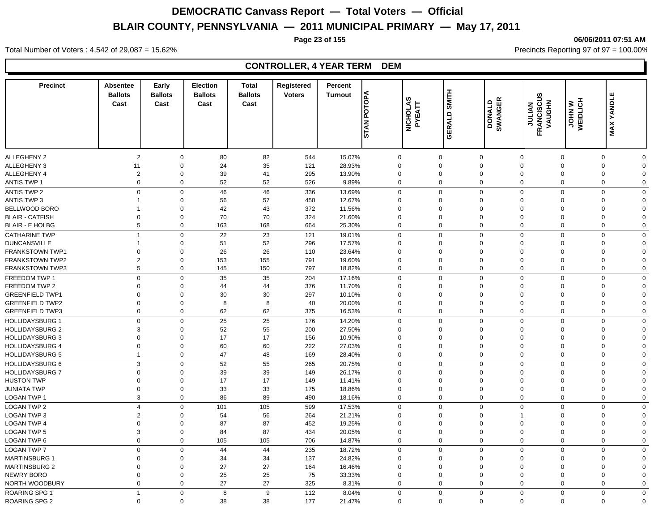**Page 23 of 155 06/06/2011 07:51 AM**

#### Total Number of Voters : 4,542 of 29,087 = 15.62% Precincts Reporting 97 of 97 = 100.00%

| <b>ALLEGHENY 2</b><br>$\overline{2}$<br>80<br>15.07%<br>$\mathbf 0$<br>82<br>544<br>$\Omega$<br>$\mathbf 0$<br>$\mathbf 0$<br>$\mathbf 0$<br>$\mathbf 0$<br>0<br>$\Omega$<br>35<br>ALLEGHENY 3<br>11<br>$\mathbf 0$<br>24<br>121<br>28.93%<br>$\Omega$<br>$\mathbf 0$<br>$\Omega$<br>0<br>$\Omega$<br>$\Omega$<br>$\Omega$<br>ALLEGHENY 4<br>$\overline{c}$<br>$\mathbf 0$<br>39<br>41<br>295<br>13.90%<br>$\mathbf 0$<br>$\mathbf 0$<br>$\mathbf 0$<br>$\mathbf 0$<br>0<br>0<br>$\Omega$<br>$\mathbf 0$<br>$\mathbf 0$<br>52<br>52<br>526<br>$\Omega$<br>$\mathbf 0$<br>$\mathbf 0$<br><b>ANTIS TWP 1</b><br>9.89%<br>$\mathbf 0$<br>$\mathbf 0$<br>0<br>$\mathbf 0$<br>$\mathbf 0$<br>46<br>336<br><b>ANTIS TWP 2</b><br>$\mathbf 0$<br>46<br>13.69%<br>$\mathbf 0$<br>$\mathbf 0$<br>$\mathbf 0$<br>$\mathbf 0$<br>$\mathbf 0$<br>$\mathbf 0$<br><b>ANTIS TWP 3</b><br>56<br>57<br>450<br>12.67%<br>$\Omega$<br>$\mathbf 0$<br>$\mathbf 0$<br>$\mathbf 0$<br>$\mathbf 0$<br>$\Omega$<br>$\Omega$<br>$\Omega$<br>1<br>BELLWOOD BORO<br>$\mathbf 0$<br>42<br>43<br>372<br>11.56%<br>$\mathbf 0$<br>$\mathbf 0$<br>$\Omega$<br>$\Omega$<br>$\Omega$<br>$\Omega$<br>$\Omega$<br>-1<br><b>BLAIR - CATFISH</b><br>70<br>$\Omega$<br>$\mathbf 0$<br>70<br>324<br>21.60%<br>$\Omega$<br>$\mathbf 0$<br>$\Omega$<br>$\Omega$<br>$\Omega$<br>$\Omega$<br>$\Omega$<br>5<br>664<br>$\mathbf 0$<br><b>BLAIR - E HOLBG</b><br>$\mathbf 0$<br>163<br>168<br>25.30%<br>$\Omega$<br>$\mathbf 0$<br>$\mathbf 0$<br>$\mathbf 0$<br>$\mathbf 0$<br><b>CATHARINE TWP</b><br>$\mathbf 0$<br>22<br>23<br>121<br>19.01%<br>$\Omega$<br>$\mathbf 0$<br>$\mathbf 0$<br>$\mathbf 0$<br>$\mathbf 0$<br>$\mathbf 0$<br>$\Omega$<br>$\overline{1}$<br><b>DUNCANSVILLE</b><br>51<br>52<br>296<br>17.57%<br>$\mathbf 0$<br>$\Omega$<br>$\mathbf 0$<br>$\mathbf 0$<br>$\mathbf 0$<br>$\Omega$<br>0<br>$\Omega$<br>-1<br>26<br><b>FRANKSTOWN TWP1</b><br>26<br>23.64%<br>$\Omega$<br>$\mathbf 0$<br>110<br>$\Omega$<br>$\mathbf 0$<br>$\Omega$<br>$\Omega$<br>$\mathbf 0$<br>$\Omega$<br>$\Omega$<br>$\overline{2}$<br><b>FRANKSTOWN TWP2</b><br>$\mathbf 0$<br>153<br>155<br>791<br>19.60%<br>$\mathbf 0$<br>$\mathbf 0$<br>$\Omega$<br>$\Omega$<br>$\Omega$<br>$\Omega$<br>$\Omega$<br>5<br>$\mathbf 0$<br>150<br>797<br>$\Omega$<br>$\mathbf 0$<br>$\mathbf 0$<br>$\mathbf 0$<br><b>FRANKSTOWN TWP3</b><br>145<br>18.82%<br>$\mathbf 0$<br>$\mathbf 0$<br>$\Omega$<br>FREEDOM TWP 1<br>$\mathbf 0$<br>35<br>204<br>17.16%<br>$\mathbf 0$<br>$\mathbf 0$<br>$\mathbf 0$<br>$\mathbf 0$<br>35<br>$\mathbf 0$<br>0<br>$\mathbf 0$<br>FREEDOM TWP 2<br>$\mathbf 0$<br>$\Omega$<br>44<br>44<br>376<br>11.70%<br>$\Omega$<br>$\mathbf 0$<br>$\Omega$<br>$\Omega$<br>0<br>$\Omega$<br>$\Omega$<br>297<br><b>GREENFIELD TWP1</b><br>30<br>30<br>$\mathbf 0$<br>$\Omega$<br>$\Omega$<br>10.10%<br>$\Omega$<br>$\Omega$<br>$\Omega$<br>$\Omega$<br>0<br>$\Omega$<br>40<br><b>GREENFIELD TWP2</b><br>$\mathbf 0$<br>8<br>8<br>20.00%<br>$\Omega$<br>$\mathbf 0$<br>$\Omega$<br>$\Omega$<br>$\mathbf 0$<br>$\Omega$<br>$\Omega$<br>$\Omega$<br>$\mathbf 0$<br>$\mathbf 0$<br>62<br>62<br>375<br>16.53%<br>$\Omega$<br>$\mathbf 0$<br>$\mathbf 0$<br>$\Omega$<br>$\mathbf 0$<br>$\mathbf 0$<br><b>GREENFIELD TWP3</b><br>25<br>25<br>176<br>$\mathbf 0$<br><b>HOLLIDAYSBURG 1</b><br>$\mathbf 0$<br>$\mathbf 0$<br>$\Omega$<br>$\mathbf 0$<br>$\Omega$<br>$\mathbf 0$<br>14.20%<br>0<br>$\Omega$<br><b>HOLLIDAYSBURG 2</b><br>52<br>55<br>200<br>27.50%<br>3<br>$\mathbf 0$<br>$\Omega$<br>$\mathbf 0$<br>$\mathbf 0$<br>$\mathbf 0$<br>$\Omega$<br>$\mathbf 0$<br>$\Omega$<br><b>HOLLIDAYSBURG 3</b><br>17<br>17<br>156<br>$\mathbf 0$<br>$\mathbf 0$<br>$\Omega$<br>10.90%<br>$\Omega$<br>$\Omega$<br>$\Omega$<br>$\Omega$<br>$\Omega$<br>$\Omega$<br><b>HOLLIDAYSBURG 4</b><br>$\mathbf 0$<br>60<br>60<br>222<br>27.03%<br>$\mathbf 0$<br>$\mathbf 0$<br>$\mathbf 0$<br>$\mathbf 0$<br>0<br>$\mathbf 0$<br>$\mathbf 0$<br>$\Omega$<br><b>HOLLIDAYSBURG 5</b><br>$\mathbf 0$<br>47<br>48<br>169<br>$\mathbf 0$<br>$\mathbf 0$<br>$\mathbf 0$<br>$\mathbf 0$<br>28.40%<br>0<br>$\mathbf 0$<br>$\mathbf 0$<br>$\mathbf{1}$<br>$\mathfrak{S}$<br>55<br>HOLLIDAYSBURG 6<br>$\Omega$<br>52<br>265<br>20.75%<br>$\Omega$<br>$\mathbf 0$<br>$\mathbf 0$<br>$\mathbf 0$<br>$\Omega$<br>$\mathbf 0$<br><b>HOLLIDAYSBURG 7</b><br>39<br>39<br>$\Omega$<br>149<br>26.17%<br>$\Omega$<br>$\mathbf 0$<br>$\Omega$<br>0<br>0<br>$\mathbf 0$<br>$\mathbf 0$<br>$\Omega$<br><b>HUSTON TWP</b><br>17<br>17<br>149<br>$\mathbf 0$<br>$\mathbf 0$<br>$\mathbf 0$<br>11.41%<br>$\mathbf 0$<br>$\mathbf 0$<br>$\mathbf 0$<br>$\mathbf 0$<br>0<br>$\Omega$<br>33<br>33<br><b>JUNIATA TWP</b><br>$\mathbf 0$<br>$\mathbf 0$<br>175<br>18.86%<br>$\mathbf 0$<br>$\mathbf 0$<br>$\mathbf 0$<br>$\mathbf 0$<br>$\mathbf 0$<br>0<br>$\Omega$<br>LOGAN TWP 1<br>3<br>86<br>89<br>490<br>$\mathbf 0$<br>$\mathbf 0$<br>$\mathbf 0$<br>$\mathbf 0$<br>$\mathbf 0$<br>$\mathbf 0$<br>$\mathbf 0$<br>18.16%<br><b>LOGAN TWP 2</b><br>$\mathbf 0$<br>105<br>599<br>17.53%<br>$\mathbf 0$<br>$\mathbf 0$<br>$\overline{4}$<br>101<br>$\Omega$<br>$\Omega$<br>$\Omega$<br>$\Omega$<br>$\Omega$<br>LOGAN TWP 3<br>$\overline{2}$<br>56<br>21.21%<br>$\Omega$<br>54<br>264<br>$\Omega$<br>$\mathbf 0$<br>$\Omega$<br>$\mathbf 0$<br>$\Omega$<br>$\Omega$<br>87<br>87<br><b>LOGAN TWP 4</b><br>$\Omega$<br>$\mathbf 0$<br>452<br>19.25%<br>$\Omega$<br>$\Omega$<br>$\mathbf 0$<br>$\Omega$<br>$\Omega$<br>0<br>$\Omega$<br>3<br>87<br>434<br><b>LOGAN TWP 5</b><br>$\mathbf 0$<br>84<br>20.05%<br>$\mathbf 0$<br>$\mathbf 0$<br>$\mathbf 0$<br>$\mathbf 0$<br>$\mathbf 0$<br>0<br>$\mathbf 0$<br>$\mathbf 0$<br>LOGAN TWP 6<br>$\mathbf 0$<br>105<br>105<br>706<br>14.87%<br>$\mathbf 0$<br>0<br>$\mathbf 0$<br>$\mathbf 0$<br>$\mathbf 0$<br>0<br>$\mathbf 0$<br><b>LOGAN TWP 7</b><br>$\Omega$<br>235<br>$\mathbf 0$<br>44<br>18.72%<br>$\Omega$<br>$\Omega$<br>$\mathbf 0$<br>$\Omega$<br>$\Omega$<br>$\mathbf 0$<br>$\Omega$<br>44<br><b>MARTINSBURG 1</b><br>$\mathbf 0$<br>34<br>34<br>137<br>24.82%<br>$\Omega$<br>$\mathbf 0$<br>$\Omega$<br>$\Omega$<br>$\Omega$<br>$\Omega$<br>0<br>$\Omega$<br>27<br>27<br><b>MARTINSBURG 2</b><br>$\Omega$<br>$\mathbf 0$<br>164<br>16.46%<br>$\Omega$<br>$\mathbf 0$<br>0<br>$\Omega$<br>$\Omega$<br>$\Omega$<br>$\Omega$<br>25<br>NEWRY BORO<br>$\mathbf 0$<br>25<br>75<br>33.33%<br>$\Omega$<br>$\mathbf 0$<br>$\Omega$<br>$\mathbf 0$<br>0<br>0<br>$\Omega$<br>$\Omega$<br>27<br>$\mathbf 0$<br>27<br>NORTH WOODBURY<br>$\Omega$<br>325<br>$\Omega$<br>$\Omega$<br>$\mathbf 0$<br>$\Omega$<br>$\Omega$<br>$\mathbf 0$<br>8.31%<br>$\Omega$<br><b>ROARING SPG 1</b><br>$\mathbf 0$<br>8<br>9<br>112<br>8.04%<br>$\Omega$<br>$\mathbf{0}$<br>$\mathbf 0$<br>$\mathbf 0$<br>$\mathbf 0$<br>$\mathbf 0$<br>$\overline{1}$<br>$\mathbf 0$<br>$\Omega$<br>21.47%<br>$\Omega$<br>$\Omega$ | <b>Precinct</b>      | Absentee<br><b>Ballots</b><br>Cast | Early<br><b>Ballots</b><br>Cast | <b>Election</b><br><b>Ballots</b><br>Cast | <b>Total</b><br><b>Ballots</b><br>Cast | Registered<br><b>Voters</b> | Percent<br><b>Turnout</b> | POTOPA<br><b>STAN</b> | NICHOLAS<br>PYEATT | SMITH<br>GERALD | DONALD<br>SWANGER | <b>FRANCISCUS</b><br>FRANCISCUS | <b>JOHN W</b><br>WEIDLICH<br>VAUGHN | <b>MAX YANDLE</b> |  |
|-------------------------------------------------------------------------------------------------------------------------------------------------------------------------------------------------------------------------------------------------------------------------------------------------------------------------------------------------------------------------------------------------------------------------------------------------------------------------------------------------------------------------------------------------------------------------------------------------------------------------------------------------------------------------------------------------------------------------------------------------------------------------------------------------------------------------------------------------------------------------------------------------------------------------------------------------------------------------------------------------------------------------------------------------------------------------------------------------------------------------------------------------------------------------------------------------------------------------------------------------------------------------------------------------------------------------------------------------------------------------------------------------------------------------------------------------------------------------------------------------------------------------------------------------------------------------------------------------------------------------------------------------------------------------------------------------------------------------------------------------------------------------------------------------------------------------------------------------------------------------------------------------------------------------------------------------------------------------------------------------------------------------------------------------------------------------------------------------------------------------------------------------------------------------------------------------------------------------------------------------------------------------------------------------------------------------------------------------------------------------------------------------------------------------------------------------------------------------------------------------------------------------------------------------------------------------------------------------------------------------------------------------------------------------------------------------------------------------------------------------------------------------------------------------------------------------------------------------------------------------------------------------------------------------------------------------------------------------------------------------------------------------------------------------------------------------------------------------------------------------------------------------------------------------------------------------------------------------------------------------------------------------------------------------------------------------------------------------------------------------------------------------------------------------------------------------------------------------------------------------------------------------------------------------------------------------------------------------------------------------------------------------------------------------------------------------------------------------------------------------------------------------------------------------------------------------------------------------------------------------------------------------------------------------------------------------------------------------------------------------------------------------------------------------------------------------------------------------------------------------------------------------------------------------------------------------------------------------------------------------------------------------------------------------------------------------------------------------------------------------------------------------------------------------------------------------------------------------------------------------------------------------------------------------------------------------------------------------------------------------------------------------------------------------------------------------------------------------------------------------------------------------------------------------------------------------------------------------------------------------------------------------------------------------------------------------------------------------------------------------------------------------------------------------------------------------------------------------------------------------------------------------------------------------------------------------------------------------------------------------------------------------------------------------------------------------------------------------------------------------------------------------------------------------------------------------------------------------------------------------------------------------------------------------------------------------------------------------------------------------------------------------------------------------------------------------------------------------------------------------------------------------------------------------------------------------------------------------------------------------------------------------------------------------------------------------------------------------------------------------------------------------------------------------------------------------------------------------------------------------------------------------------------------------------------------------------------------------------------------------------------------------------------------------------------------------------------------------------------------------------------------------------------------------------------------------------------------------------------------------------------------------------------------------------------------------------------------------------------------------------------------------------------------------------------------------------------------------------------------------------------------------------------------------------------------------------------------------------------------------------------------------------------------------------------------------------|----------------------|------------------------------------|---------------------------------|-------------------------------------------|----------------------------------------|-----------------------------|---------------------------|-----------------------|--------------------|-----------------|-------------------|---------------------------------|-------------------------------------|-------------------|--|
| $\mathbf 0$<br>$\mathbf 0$<br>$\mathbf 0$<br>$\mathbf 0$<br>$\mathbf 0$<br>$\mathbf 0$<br>$\mathbf 0$<br>$\Omega$                                                                                                                                                                                                                                                                                                                                                                                                                                                                                                                                                                                                                                                                                                                                                                                                                                                                                                                                                                                                                                                                                                                                                                                                                                                                                                                                                                                                                                                                                                                                                                                                                                                                                                                                                                                                                                                                                                                                                                                                                                                                                                                                                                                                                                                                                                                                                                                                                                                                                                                                                                                                                                                                                                                                                                                                                                                                                                                                                                                                                                                                                                                                                                                                                                                                                                                                                                                                                                                                                                                                                                                                                                                                                                                                                                                                                                                                                                                                                                                                                                                                                                                                                                                                                                                                                                                                                                                                                                                                                                                                                                                                                                                                                                                                                                                                                                                                                                                                                                                                                                                                                                                                                                                                                                                                                                                                                                                                                                                                                                                                                                                                                                                                                                                                                                                                                                                                                                                                                                                                                                                                                                                                                                                                                                                                                                                                                                                                                                                                                                                                                                                                                                                                                                                                                                                                                                     |                      |                                    |                                 |                                           |                                        |                             |                           |                       |                    |                 |                   |                                 |                                     |                   |  |
|                                                                                                                                                                                                                                                                                                                                                                                                                                                                                                                                                                                                                                                                                                                                                                                                                                                                                                                                                                                                                                                                                                                                                                                                                                                                                                                                                                                                                                                                                                                                                                                                                                                                                                                                                                                                                                                                                                                                                                                                                                                                                                                                                                                                                                                                                                                                                                                                                                                                                                                                                                                                                                                                                                                                                                                                                                                                                                                                                                                                                                                                                                                                                                                                                                                                                                                                                                                                                                                                                                                                                                                                                                                                                                                                                                                                                                                                                                                                                                                                                                                                                                                                                                                                                                                                                                                                                                                                                                                                                                                                                                                                                                                                                                                                                                                                                                                                                                                                                                                                                                                                                                                                                                                                                                                                                                                                                                                                                                                                                                                                                                                                                                                                                                                                                                                                                                                                                                                                                                                                                                                                                                                                                                                                                                                                                                                                                                                                                                                                                                                                                                                                                                                                                                                                                                                                                                                                                                                                                       |                      |                                    |                                 |                                           |                                        |                             |                           |                       |                    |                 |                   |                                 |                                     |                   |  |
|                                                                                                                                                                                                                                                                                                                                                                                                                                                                                                                                                                                                                                                                                                                                                                                                                                                                                                                                                                                                                                                                                                                                                                                                                                                                                                                                                                                                                                                                                                                                                                                                                                                                                                                                                                                                                                                                                                                                                                                                                                                                                                                                                                                                                                                                                                                                                                                                                                                                                                                                                                                                                                                                                                                                                                                                                                                                                                                                                                                                                                                                                                                                                                                                                                                                                                                                                                                                                                                                                                                                                                                                                                                                                                                                                                                                                                                                                                                                                                                                                                                                                                                                                                                                                                                                                                                                                                                                                                                                                                                                                                                                                                                                                                                                                                                                                                                                                                                                                                                                                                                                                                                                                                                                                                                                                                                                                                                                                                                                                                                                                                                                                                                                                                                                                                                                                                                                                                                                                                                                                                                                                                                                                                                                                                                                                                                                                                                                                                                                                                                                                                                                                                                                                                                                                                                                                                                                                                                                                       |                      |                                    |                                 |                                           |                                        |                             |                           |                       |                    |                 |                   |                                 |                                     |                   |  |
|                                                                                                                                                                                                                                                                                                                                                                                                                                                                                                                                                                                                                                                                                                                                                                                                                                                                                                                                                                                                                                                                                                                                                                                                                                                                                                                                                                                                                                                                                                                                                                                                                                                                                                                                                                                                                                                                                                                                                                                                                                                                                                                                                                                                                                                                                                                                                                                                                                                                                                                                                                                                                                                                                                                                                                                                                                                                                                                                                                                                                                                                                                                                                                                                                                                                                                                                                                                                                                                                                                                                                                                                                                                                                                                                                                                                                                                                                                                                                                                                                                                                                                                                                                                                                                                                                                                                                                                                                                                                                                                                                                                                                                                                                                                                                                                                                                                                                                                                                                                                                                                                                                                                                                                                                                                                                                                                                                                                                                                                                                                                                                                                                                                                                                                                                                                                                                                                                                                                                                                                                                                                                                                                                                                                                                                                                                                                                                                                                                                                                                                                                                                                                                                                                                                                                                                                                                                                                                                                                       |                      |                                    |                                 |                                           |                                        |                             |                           |                       |                    |                 |                   |                                 |                                     |                   |  |
|                                                                                                                                                                                                                                                                                                                                                                                                                                                                                                                                                                                                                                                                                                                                                                                                                                                                                                                                                                                                                                                                                                                                                                                                                                                                                                                                                                                                                                                                                                                                                                                                                                                                                                                                                                                                                                                                                                                                                                                                                                                                                                                                                                                                                                                                                                                                                                                                                                                                                                                                                                                                                                                                                                                                                                                                                                                                                                                                                                                                                                                                                                                                                                                                                                                                                                                                                                                                                                                                                                                                                                                                                                                                                                                                                                                                                                                                                                                                                                                                                                                                                                                                                                                                                                                                                                                                                                                                                                                                                                                                                                                                                                                                                                                                                                                                                                                                                                                                                                                                                                                                                                                                                                                                                                                                                                                                                                                                                                                                                                                                                                                                                                                                                                                                                                                                                                                                                                                                                                                                                                                                                                                                                                                                                                                                                                                                                                                                                                                                                                                                                                                                                                                                                                                                                                                                                                                                                                                                                       |                      |                                    |                                 |                                           |                                        |                             |                           |                       |                    |                 |                   |                                 |                                     |                   |  |
|                                                                                                                                                                                                                                                                                                                                                                                                                                                                                                                                                                                                                                                                                                                                                                                                                                                                                                                                                                                                                                                                                                                                                                                                                                                                                                                                                                                                                                                                                                                                                                                                                                                                                                                                                                                                                                                                                                                                                                                                                                                                                                                                                                                                                                                                                                                                                                                                                                                                                                                                                                                                                                                                                                                                                                                                                                                                                                                                                                                                                                                                                                                                                                                                                                                                                                                                                                                                                                                                                                                                                                                                                                                                                                                                                                                                                                                                                                                                                                                                                                                                                                                                                                                                                                                                                                                                                                                                                                                                                                                                                                                                                                                                                                                                                                                                                                                                                                                                                                                                                                                                                                                                                                                                                                                                                                                                                                                                                                                                                                                                                                                                                                                                                                                                                                                                                                                                                                                                                                                                                                                                                                                                                                                                                                                                                                                                                                                                                                                                                                                                                                                                                                                                                                                                                                                                                                                                                                                                                       |                      |                                    |                                 |                                           |                                        |                             |                           |                       |                    |                 |                   |                                 |                                     |                   |  |
|                                                                                                                                                                                                                                                                                                                                                                                                                                                                                                                                                                                                                                                                                                                                                                                                                                                                                                                                                                                                                                                                                                                                                                                                                                                                                                                                                                                                                                                                                                                                                                                                                                                                                                                                                                                                                                                                                                                                                                                                                                                                                                                                                                                                                                                                                                                                                                                                                                                                                                                                                                                                                                                                                                                                                                                                                                                                                                                                                                                                                                                                                                                                                                                                                                                                                                                                                                                                                                                                                                                                                                                                                                                                                                                                                                                                                                                                                                                                                                                                                                                                                                                                                                                                                                                                                                                                                                                                                                                                                                                                                                                                                                                                                                                                                                                                                                                                                                                                                                                                                                                                                                                                                                                                                                                                                                                                                                                                                                                                                                                                                                                                                                                                                                                                                                                                                                                                                                                                                                                                                                                                                                                                                                                                                                                                                                                                                                                                                                                                                                                                                                                                                                                                                                                                                                                                                                                                                                                                                       |                      |                                    |                                 |                                           |                                        |                             |                           |                       |                    |                 |                   |                                 |                                     |                   |  |
|                                                                                                                                                                                                                                                                                                                                                                                                                                                                                                                                                                                                                                                                                                                                                                                                                                                                                                                                                                                                                                                                                                                                                                                                                                                                                                                                                                                                                                                                                                                                                                                                                                                                                                                                                                                                                                                                                                                                                                                                                                                                                                                                                                                                                                                                                                                                                                                                                                                                                                                                                                                                                                                                                                                                                                                                                                                                                                                                                                                                                                                                                                                                                                                                                                                                                                                                                                                                                                                                                                                                                                                                                                                                                                                                                                                                                                                                                                                                                                                                                                                                                                                                                                                                                                                                                                                                                                                                                                                                                                                                                                                                                                                                                                                                                                                                                                                                                                                                                                                                                                                                                                                                                                                                                                                                                                                                                                                                                                                                                                                                                                                                                                                                                                                                                                                                                                                                                                                                                                                                                                                                                                                                                                                                                                                                                                                                                                                                                                                                                                                                                                                                                                                                                                                                                                                                                                                                                                                                                       |                      |                                    |                                 |                                           |                                        |                             |                           |                       |                    |                 |                   |                                 |                                     |                   |  |
|                                                                                                                                                                                                                                                                                                                                                                                                                                                                                                                                                                                                                                                                                                                                                                                                                                                                                                                                                                                                                                                                                                                                                                                                                                                                                                                                                                                                                                                                                                                                                                                                                                                                                                                                                                                                                                                                                                                                                                                                                                                                                                                                                                                                                                                                                                                                                                                                                                                                                                                                                                                                                                                                                                                                                                                                                                                                                                                                                                                                                                                                                                                                                                                                                                                                                                                                                                                                                                                                                                                                                                                                                                                                                                                                                                                                                                                                                                                                                                                                                                                                                                                                                                                                                                                                                                                                                                                                                                                                                                                                                                                                                                                                                                                                                                                                                                                                                                                                                                                                                                                                                                                                                                                                                                                                                                                                                                                                                                                                                                                                                                                                                                                                                                                                                                                                                                                                                                                                                                                                                                                                                                                                                                                                                                                                                                                                                                                                                                                                                                                                                                                                                                                                                                                                                                                                                                                                                                                                                       |                      |                                    |                                 |                                           |                                        |                             |                           |                       |                    |                 |                   |                                 |                                     |                   |  |
|                                                                                                                                                                                                                                                                                                                                                                                                                                                                                                                                                                                                                                                                                                                                                                                                                                                                                                                                                                                                                                                                                                                                                                                                                                                                                                                                                                                                                                                                                                                                                                                                                                                                                                                                                                                                                                                                                                                                                                                                                                                                                                                                                                                                                                                                                                                                                                                                                                                                                                                                                                                                                                                                                                                                                                                                                                                                                                                                                                                                                                                                                                                                                                                                                                                                                                                                                                                                                                                                                                                                                                                                                                                                                                                                                                                                                                                                                                                                                                                                                                                                                                                                                                                                                                                                                                                                                                                                                                                                                                                                                                                                                                                                                                                                                                                                                                                                                                                                                                                                                                                                                                                                                                                                                                                                                                                                                                                                                                                                                                                                                                                                                                                                                                                                                                                                                                                                                                                                                                                                                                                                                                                                                                                                                                                                                                                                                                                                                                                                                                                                                                                                                                                                                                                                                                                                                                                                                                                                                       |                      |                                    |                                 |                                           |                                        |                             |                           |                       |                    |                 |                   |                                 |                                     |                   |  |
|                                                                                                                                                                                                                                                                                                                                                                                                                                                                                                                                                                                                                                                                                                                                                                                                                                                                                                                                                                                                                                                                                                                                                                                                                                                                                                                                                                                                                                                                                                                                                                                                                                                                                                                                                                                                                                                                                                                                                                                                                                                                                                                                                                                                                                                                                                                                                                                                                                                                                                                                                                                                                                                                                                                                                                                                                                                                                                                                                                                                                                                                                                                                                                                                                                                                                                                                                                                                                                                                                                                                                                                                                                                                                                                                                                                                                                                                                                                                                                                                                                                                                                                                                                                                                                                                                                                                                                                                                                                                                                                                                                                                                                                                                                                                                                                                                                                                                                                                                                                                                                                                                                                                                                                                                                                                                                                                                                                                                                                                                                                                                                                                                                                                                                                                                                                                                                                                                                                                                                                                                                                                                                                                                                                                                                                                                                                                                                                                                                                                                                                                                                                                                                                                                                                                                                                                                                                                                                                                                       |                      |                                    |                                 |                                           |                                        |                             |                           |                       |                    |                 |                   |                                 |                                     |                   |  |
|                                                                                                                                                                                                                                                                                                                                                                                                                                                                                                                                                                                                                                                                                                                                                                                                                                                                                                                                                                                                                                                                                                                                                                                                                                                                                                                                                                                                                                                                                                                                                                                                                                                                                                                                                                                                                                                                                                                                                                                                                                                                                                                                                                                                                                                                                                                                                                                                                                                                                                                                                                                                                                                                                                                                                                                                                                                                                                                                                                                                                                                                                                                                                                                                                                                                                                                                                                                                                                                                                                                                                                                                                                                                                                                                                                                                                                                                                                                                                                                                                                                                                                                                                                                                                                                                                                                                                                                                                                                                                                                                                                                                                                                                                                                                                                                                                                                                                                                                                                                                                                                                                                                                                                                                                                                                                                                                                                                                                                                                                                                                                                                                                                                                                                                                                                                                                                                                                                                                                                                                                                                                                                                                                                                                                                                                                                                                                                                                                                                                                                                                                                                                                                                                                                                                                                                                                                                                                                                                                       |                      |                                    |                                 |                                           |                                        |                             |                           |                       |                    |                 |                   |                                 |                                     |                   |  |
|                                                                                                                                                                                                                                                                                                                                                                                                                                                                                                                                                                                                                                                                                                                                                                                                                                                                                                                                                                                                                                                                                                                                                                                                                                                                                                                                                                                                                                                                                                                                                                                                                                                                                                                                                                                                                                                                                                                                                                                                                                                                                                                                                                                                                                                                                                                                                                                                                                                                                                                                                                                                                                                                                                                                                                                                                                                                                                                                                                                                                                                                                                                                                                                                                                                                                                                                                                                                                                                                                                                                                                                                                                                                                                                                                                                                                                                                                                                                                                                                                                                                                                                                                                                                                                                                                                                                                                                                                                                                                                                                                                                                                                                                                                                                                                                                                                                                                                                                                                                                                                                                                                                                                                                                                                                                                                                                                                                                                                                                                                                                                                                                                                                                                                                                                                                                                                                                                                                                                                                                                                                                                                                                                                                                                                                                                                                                                                                                                                                                                                                                                                                                                                                                                                                                                                                                                                                                                                                                                       |                      |                                    |                                 |                                           |                                        |                             |                           |                       |                    |                 |                   |                                 |                                     |                   |  |
|                                                                                                                                                                                                                                                                                                                                                                                                                                                                                                                                                                                                                                                                                                                                                                                                                                                                                                                                                                                                                                                                                                                                                                                                                                                                                                                                                                                                                                                                                                                                                                                                                                                                                                                                                                                                                                                                                                                                                                                                                                                                                                                                                                                                                                                                                                                                                                                                                                                                                                                                                                                                                                                                                                                                                                                                                                                                                                                                                                                                                                                                                                                                                                                                                                                                                                                                                                                                                                                                                                                                                                                                                                                                                                                                                                                                                                                                                                                                                                                                                                                                                                                                                                                                                                                                                                                                                                                                                                                                                                                                                                                                                                                                                                                                                                                                                                                                                                                                                                                                                                                                                                                                                                                                                                                                                                                                                                                                                                                                                                                                                                                                                                                                                                                                                                                                                                                                                                                                                                                                                                                                                                                                                                                                                                                                                                                                                                                                                                                                                                                                                                                                                                                                                                                                                                                                                                                                                                                                                       |                      |                                    |                                 |                                           |                                        |                             |                           |                       |                    |                 |                   |                                 |                                     |                   |  |
|                                                                                                                                                                                                                                                                                                                                                                                                                                                                                                                                                                                                                                                                                                                                                                                                                                                                                                                                                                                                                                                                                                                                                                                                                                                                                                                                                                                                                                                                                                                                                                                                                                                                                                                                                                                                                                                                                                                                                                                                                                                                                                                                                                                                                                                                                                                                                                                                                                                                                                                                                                                                                                                                                                                                                                                                                                                                                                                                                                                                                                                                                                                                                                                                                                                                                                                                                                                                                                                                                                                                                                                                                                                                                                                                                                                                                                                                                                                                                                                                                                                                                                                                                                                                                                                                                                                                                                                                                                                                                                                                                                                                                                                                                                                                                                                                                                                                                                                                                                                                                                                                                                                                                                                                                                                                                                                                                                                                                                                                                                                                                                                                                                                                                                                                                                                                                                                                                                                                                                                                                                                                                                                                                                                                                                                                                                                                                                                                                                                                                                                                                                                                                                                                                                                                                                                                                                                                                                                                                       |                      |                                    |                                 |                                           |                                        |                             |                           |                       |                    |                 |                   |                                 |                                     |                   |  |
|                                                                                                                                                                                                                                                                                                                                                                                                                                                                                                                                                                                                                                                                                                                                                                                                                                                                                                                                                                                                                                                                                                                                                                                                                                                                                                                                                                                                                                                                                                                                                                                                                                                                                                                                                                                                                                                                                                                                                                                                                                                                                                                                                                                                                                                                                                                                                                                                                                                                                                                                                                                                                                                                                                                                                                                                                                                                                                                                                                                                                                                                                                                                                                                                                                                                                                                                                                                                                                                                                                                                                                                                                                                                                                                                                                                                                                                                                                                                                                                                                                                                                                                                                                                                                                                                                                                                                                                                                                                                                                                                                                                                                                                                                                                                                                                                                                                                                                                                                                                                                                                                                                                                                                                                                                                                                                                                                                                                                                                                                                                                                                                                                                                                                                                                                                                                                                                                                                                                                                                                                                                                                                                                                                                                                                                                                                                                                                                                                                                                                                                                                                                                                                                                                                                                                                                                                                                                                                                                                       |                      |                                    |                                 |                                           |                                        |                             |                           |                       |                    |                 |                   |                                 |                                     |                   |  |
|                                                                                                                                                                                                                                                                                                                                                                                                                                                                                                                                                                                                                                                                                                                                                                                                                                                                                                                                                                                                                                                                                                                                                                                                                                                                                                                                                                                                                                                                                                                                                                                                                                                                                                                                                                                                                                                                                                                                                                                                                                                                                                                                                                                                                                                                                                                                                                                                                                                                                                                                                                                                                                                                                                                                                                                                                                                                                                                                                                                                                                                                                                                                                                                                                                                                                                                                                                                                                                                                                                                                                                                                                                                                                                                                                                                                                                                                                                                                                                                                                                                                                                                                                                                                                                                                                                                                                                                                                                                                                                                                                                                                                                                                                                                                                                                                                                                                                                                                                                                                                                                                                                                                                                                                                                                                                                                                                                                                                                                                                                                                                                                                                                                                                                                                                                                                                                                                                                                                                                                                                                                                                                                                                                                                                                                                                                                                                                                                                                                                                                                                                                                                                                                                                                                                                                                                                                                                                                                                                       |                      |                                    |                                 |                                           |                                        |                             |                           |                       |                    |                 |                   |                                 |                                     |                   |  |
|                                                                                                                                                                                                                                                                                                                                                                                                                                                                                                                                                                                                                                                                                                                                                                                                                                                                                                                                                                                                                                                                                                                                                                                                                                                                                                                                                                                                                                                                                                                                                                                                                                                                                                                                                                                                                                                                                                                                                                                                                                                                                                                                                                                                                                                                                                                                                                                                                                                                                                                                                                                                                                                                                                                                                                                                                                                                                                                                                                                                                                                                                                                                                                                                                                                                                                                                                                                                                                                                                                                                                                                                                                                                                                                                                                                                                                                                                                                                                                                                                                                                                                                                                                                                                                                                                                                                                                                                                                                                                                                                                                                                                                                                                                                                                                                                                                                                                                                                                                                                                                                                                                                                                                                                                                                                                                                                                                                                                                                                                                                                                                                                                                                                                                                                                                                                                                                                                                                                                                                                                                                                                                                                                                                                                                                                                                                                                                                                                                                                                                                                                                                                                                                                                                                                                                                                                                                                                                                                                       |                      |                                    |                                 |                                           |                                        |                             |                           |                       |                    |                 |                   |                                 |                                     |                   |  |
|                                                                                                                                                                                                                                                                                                                                                                                                                                                                                                                                                                                                                                                                                                                                                                                                                                                                                                                                                                                                                                                                                                                                                                                                                                                                                                                                                                                                                                                                                                                                                                                                                                                                                                                                                                                                                                                                                                                                                                                                                                                                                                                                                                                                                                                                                                                                                                                                                                                                                                                                                                                                                                                                                                                                                                                                                                                                                                                                                                                                                                                                                                                                                                                                                                                                                                                                                                                                                                                                                                                                                                                                                                                                                                                                                                                                                                                                                                                                                                                                                                                                                                                                                                                                                                                                                                                                                                                                                                                                                                                                                                                                                                                                                                                                                                                                                                                                                                                                                                                                                                                                                                                                                                                                                                                                                                                                                                                                                                                                                                                                                                                                                                                                                                                                                                                                                                                                                                                                                                                                                                                                                                                                                                                                                                                                                                                                                                                                                                                                                                                                                                                                                                                                                                                                                                                                                                                                                                                                                       |                      |                                    |                                 |                                           |                                        |                             |                           |                       |                    |                 |                   |                                 |                                     |                   |  |
|                                                                                                                                                                                                                                                                                                                                                                                                                                                                                                                                                                                                                                                                                                                                                                                                                                                                                                                                                                                                                                                                                                                                                                                                                                                                                                                                                                                                                                                                                                                                                                                                                                                                                                                                                                                                                                                                                                                                                                                                                                                                                                                                                                                                                                                                                                                                                                                                                                                                                                                                                                                                                                                                                                                                                                                                                                                                                                                                                                                                                                                                                                                                                                                                                                                                                                                                                                                                                                                                                                                                                                                                                                                                                                                                                                                                                                                                                                                                                                                                                                                                                                                                                                                                                                                                                                                                                                                                                                                                                                                                                                                                                                                                                                                                                                                                                                                                                                                                                                                                                                                                                                                                                                                                                                                                                                                                                                                                                                                                                                                                                                                                                                                                                                                                                                                                                                                                                                                                                                                                                                                                                                                                                                                                                                                                                                                                                                                                                                                                                                                                                                                                                                                                                                                                                                                                                                                                                                                                                       |                      |                                    |                                 |                                           |                                        |                             |                           |                       |                    |                 |                   |                                 |                                     |                   |  |
|                                                                                                                                                                                                                                                                                                                                                                                                                                                                                                                                                                                                                                                                                                                                                                                                                                                                                                                                                                                                                                                                                                                                                                                                                                                                                                                                                                                                                                                                                                                                                                                                                                                                                                                                                                                                                                                                                                                                                                                                                                                                                                                                                                                                                                                                                                                                                                                                                                                                                                                                                                                                                                                                                                                                                                                                                                                                                                                                                                                                                                                                                                                                                                                                                                                                                                                                                                                                                                                                                                                                                                                                                                                                                                                                                                                                                                                                                                                                                                                                                                                                                                                                                                                                                                                                                                                                                                                                                                                                                                                                                                                                                                                                                                                                                                                                                                                                                                                                                                                                                                                                                                                                                                                                                                                                                                                                                                                                                                                                                                                                                                                                                                                                                                                                                                                                                                                                                                                                                                                                                                                                                                                                                                                                                                                                                                                                                                                                                                                                                                                                                                                                                                                                                                                                                                                                                                                                                                                                                       |                      |                                    |                                 |                                           |                                        |                             |                           |                       |                    |                 |                   |                                 |                                     |                   |  |
|                                                                                                                                                                                                                                                                                                                                                                                                                                                                                                                                                                                                                                                                                                                                                                                                                                                                                                                                                                                                                                                                                                                                                                                                                                                                                                                                                                                                                                                                                                                                                                                                                                                                                                                                                                                                                                                                                                                                                                                                                                                                                                                                                                                                                                                                                                                                                                                                                                                                                                                                                                                                                                                                                                                                                                                                                                                                                                                                                                                                                                                                                                                                                                                                                                                                                                                                                                                                                                                                                                                                                                                                                                                                                                                                                                                                                                                                                                                                                                                                                                                                                                                                                                                                                                                                                                                                                                                                                                                                                                                                                                                                                                                                                                                                                                                                                                                                                                                                                                                                                                                                                                                                                                                                                                                                                                                                                                                                                                                                                                                                                                                                                                                                                                                                                                                                                                                                                                                                                                                                                                                                                                                                                                                                                                                                                                                                                                                                                                                                                                                                                                                                                                                                                                                                                                                                                                                                                                                                                       |                      |                                    |                                 |                                           |                                        |                             |                           |                       |                    |                 |                   |                                 |                                     |                   |  |
|                                                                                                                                                                                                                                                                                                                                                                                                                                                                                                                                                                                                                                                                                                                                                                                                                                                                                                                                                                                                                                                                                                                                                                                                                                                                                                                                                                                                                                                                                                                                                                                                                                                                                                                                                                                                                                                                                                                                                                                                                                                                                                                                                                                                                                                                                                                                                                                                                                                                                                                                                                                                                                                                                                                                                                                                                                                                                                                                                                                                                                                                                                                                                                                                                                                                                                                                                                                                                                                                                                                                                                                                                                                                                                                                                                                                                                                                                                                                                                                                                                                                                                                                                                                                                                                                                                                                                                                                                                                                                                                                                                                                                                                                                                                                                                                                                                                                                                                                                                                                                                                                                                                                                                                                                                                                                                                                                                                                                                                                                                                                                                                                                                                                                                                                                                                                                                                                                                                                                                                                                                                                                                                                                                                                                                                                                                                                                                                                                                                                                                                                                                                                                                                                                                                                                                                                                                                                                                                                                       |                      |                                    |                                 |                                           |                                        |                             |                           |                       |                    |                 |                   |                                 |                                     |                   |  |
|                                                                                                                                                                                                                                                                                                                                                                                                                                                                                                                                                                                                                                                                                                                                                                                                                                                                                                                                                                                                                                                                                                                                                                                                                                                                                                                                                                                                                                                                                                                                                                                                                                                                                                                                                                                                                                                                                                                                                                                                                                                                                                                                                                                                                                                                                                                                                                                                                                                                                                                                                                                                                                                                                                                                                                                                                                                                                                                                                                                                                                                                                                                                                                                                                                                                                                                                                                                                                                                                                                                                                                                                                                                                                                                                                                                                                                                                                                                                                                                                                                                                                                                                                                                                                                                                                                                                                                                                                                                                                                                                                                                                                                                                                                                                                                                                                                                                                                                                                                                                                                                                                                                                                                                                                                                                                                                                                                                                                                                                                                                                                                                                                                                                                                                                                                                                                                                                                                                                                                                                                                                                                                                                                                                                                                                                                                                                                                                                                                                                                                                                                                                                                                                                                                                                                                                                                                                                                                                                                       |                      |                                    |                                 |                                           |                                        |                             |                           |                       |                    |                 |                   |                                 |                                     |                   |  |
|                                                                                                                                                                                                                                                                                                                                                                                                                                                                                                                                                                                                                                                                                                                                                                                                                                                                                                                                                                                                                                                                                                                                                                                                                                                                                                                                                                                                                                                                                                                                                                                                                                                                                                                                                                                                                                                                                                                                                                                                                                                                                                                                                                                                                                                                                                                                                                                                                                                                                                                                                                                                                                                                                                                                                                                                                                                                                                                                                                                                                                                                                                                                                                                                                                                                                                                                                                                                                                                                                                                                                                                                                                                                                                                                                                                                                                                                                                                                                                                                                                                                                                                                                                                                                                                                                                                                                                                                                                                                                                                                                                                                                                                                                                                                                                                                                                                                                                                                                                                                                                                                                                                                                                                                                                                                                                                                                                                                                                                                                                                                                                                                                                                                                                                                                                                                                                                                                                                                                                                                                                                                                                                                                                                                                                                                                                                                                                                                                                                                                                                                                                                                                                                                                                                                                                                                                                                                                                                                                       |                      |                                    |                                 |                                           |                                        |                             |                           |                       |                    |                 |                   |                                 |                                     |                   |  |
|                                                                                                                                                                                                                                                                                                                                                                                                                                                                                                                                                                                                                                                                                                                                                                                                                                                                                                                                                                                                                                                                                                                                                                                                                                                                                                                                                                                                                                                                                                                                                                                                                                                                                                                                                                                                                                                                                                                                                                                                                                                                                                                                                                                                                                                                                                                                                                                                                                                                                                                                                                                                                                                                                                                                                                                                                                                                                                                                                                                                                                                                                                                                                                                                                                                                                                                                                                                                                                                                                                                                                                                                                                                                                                                                                                                                                                                                                                                                                                                                                                                                                                                                                                                                                                                                                                                                                                                                                                                                                                                                                                                                                                                                                                                                                                                                                                                                                                                                                                                                                                                                                                                                                                                                                                                                                                                                                                                                                                                                                                                                                                                                                                                                                                                                                                                                                                                                                                                                                                                                                                                                                                                                                                                                                                                                                                                                                                                                                                                                                                                                                                                                                                                                                                                                                                                                                                                                                                                                                       |                      |                                    |                                 |                                           |                                        |                             |                           |                       |                    |                 |                   |                                 |                                     |                   |  |
|                                                                                                                                                                                                                                                                                                                                                                                                                                                                                                                                                                                                                                                                                                                                                                                                                                                                                                                                                                                                                                                                                                                                                                                                                                                                                                                                                                                                                                                                                                                                                                                                                                                                                                                                                                                                                                                                                                                                                                                                                                                                                                                                                                                                                                                                                                                                                                                                                                                                                                                                                                                                                                                                                                                                                                                                                                                                                                                                                                                                                                                                                                                                                                                                                                                                                                                                                                                                                                                                                                                                                                                                                                                                                                                                                                                                                                                                                                                                                                                                                                                                                                                                                                                                                                                                                                                                                                                                                                                                                                                                                                                                                                                                                                                                                                                                                                                                                                                                                                                                                                                                                                                                                                                                                                                                                                                                                                                                                                                                                                                                                                                                                                                                                                                                                                                                                                                                                                                                                                                                                                                                                                                                                                                                                                                                                                                                                                                                                                                                                                                                                                                                                                                                                                                                                                                                                                                                                                                                                       |                      |                                    |                                 |                                           |                                        |                             |                           |                       |                    |                 |                   |                                 |                                     |                   |  |
|                                                                                                                                                                                                                                                                                                                                                                                                                                                                                                                                                                                                                                                                                                                                                                                                                                                                                                                                                                                                                                                                                                                                                                                                                                                                                                                                                                                                                                                                                                                                                                                                                                                                                                                                                                                                                                                                                                                                                                                                                                                                                                                                                                                                                                                                                                                                                                                                                                                                                                                                                                                                                                                                                                                                                                                                                                                                                                                                                                                                                                                                                                                                                                                                                                                                                                                                                                                                                                                                                                                                                                                                                                                                                                                                                                                                                                                                                                                                                                                                                                                                                                                                                                                                                                                                                                                                                                                                                                                                                                                                                                                                                                                                                                                                                                                                                                                                                                                                                                                                                                                                                                                                                                                                                                                                                                                                                                                                                                                                                                                                                                                                                                                                                                                                                                                                                                                                                                                                                                                                                                                                                                                                                                                                                                                                                                                                                                                                                                                                                                                                                                                                                                                                                                                                                                                                                                                                                                                                                       |                      |                                    |                                 |                                           |                                        |                             |                           |                       |                    |                 |                   |                                 |                                     |                   |  |
|                                                                                                                                                                                                                                                                                                                                                                                                                                                                                                                                                                                                                                                                                                                                                                                                                                                                                                                                                                                                                                                                                                                                                                                                                                                                                                                                                                                                                                                                                                                                                                                                                                                                                                                                                                                                                                                                                                                                                                                                                                                                                                                                                                                                                                                                                                                                                                                                                                                                                                                                                                                                                                                                                                                                                                                                                                                                                                                                                                                                                                                                                                                                                                                                                                                                                                                                                                                                                                                                                                                                                                                                                                                                                                                                                                                                                                                                                                                                                                                                                                                                                                                                                                                                                                                                                                                                                                                                                                                                                                                                                                                                                                                                                                                                                                                                                                                                                                                                                                                                                                                                                                                                                                                                                                                                                                                                                                                                                                                                                                                                                                                                                                                                                                                                                                                                                                                                                                                                                                                                                                                                                                                                                                                                                                                                                                                                                                                                                                                                                                                                                                                                                                                                                                                                                                                                                                                                                                                                                       |                      |                                    |                                 |                                           |                                        |                             |                           |                       |                    |                 |                   |                                 |                                     |                   |  |
|                                                                                                                                                                                                                                                                                                                                                                                                                                                                                                                                                                                                                                                                                                                                                                                                                                                                                                                                                                                                                                                                                                                                                                                                                                                                                                                                                                                                                                                                                                                                                                                                                                                                                                                                                                                                                                                                                                                                                                                                                                                                                                                                                                                                                                                                                                                                                                                                                                                                                                                                                                                                                                                                                                                                                                                                                                                                                                                                                                                                                                                                                                                                                                                                                                                                                                                                                                                                                                                                                                                                                                                                                                                                                                                                                                                                                                                                                                                                                                                                                                                                                                                                                                                                                                                                                                                                                                                                                                                                                                                                                                                                                                                                                                                                                                                                                                                                                                                                                                                                                                                                                                                                                                                                                                                                                                                                                                                                                                                                                                                                                                                                                                                                                                                                                                                                                                                                                                                                                                                                                                                                                                                                                                                                                                                                                                                                                                                                                                                                                                                                                                                                                                                                                                                                                                                                                                                                                                                                                       |                      |                                    |                                 |                                           |                                        |                             |                           |                       |                    |                 |                   |                                 |                                     |                   |  |
|                                                                                                                                                                                                                                                                                                                                                                                                                                                                                                                                                                                                                                                                                                                                                                                                                                                                                                                                                                                                                                                                                                                                                                                                                                                                                                                                                                                                                                                                                                                                                                                                                                                                                                                                                                                                                                                                                                                                                                                                                                                                                                                                                                                                                                                                                                                                                                                                                                                                                                                                                                                                                                                                                                                                                                                                                                                                                                                                                                                                                                                                                                                                                                                                                                                                                                                                                                                                                                                                                                                                                                                                                                                                                                                                                                                                                                                                                                                                                                                                                                                                                                                                                                                                                                                                                                                                                                                                                                                                                                                                                                                                                                                                                                                                                                                                                                                                                                                                                                                                                                                                                                                                                                                                                                                                                                                                                                                                                                                                                                                                                                                                                                                                                                                                                                                                                                                                                                                                                                                                                                                                                                                                                                                                                                                                                                                                                                                                                                                                                                                                                                                                                                                                                                                                                                                                                                                                                                                                                       |                      |                                    |                                 |                                           |                                        |                             |                           |                       |                    |                 |                   |                                 |                                     |                   |  |
|                                                                                                                                                                                                                                                                                                                                                                                                                                                                                                                                                                                                                                                                                                                                                                                                                                                                                                                                                                                                                                                                                                                                                                                                                                                                                                                                                                                                                                                                                                                                                                                                                                                                                                                                                                                                                                                                                                                                                                                                                                                                                                                                                                                                                                                                                                                                                                                                                                                                                                                                                                                                                                                                                                                                                                                                                                                                                                                                                                                                                                                                                                                                                                                                                                                                                                                                                                                                                                                                                                                                                                                                                                                                                                                                                                                                                                                                                                                                                                                                                                                                                                                                                                                                                                                                                                                                                                                                                                                                                                                                                                                                                                                                                                                                                                                                                                                                                                                                                                                                                                                                                                                                                                                                                                                                                                                                                                                                                                                                                                                                                                                                                                                                                                                                                                                                                                                                                                                                                                                                                                                                                                                                                                                                                                                                                                                                                                                                                                                                                                                                                                                                                                                                                                                                                                                                                                                                                                                                                       |                      |                                    |                                 |                                           |                                        |                             |                           |                       |                    |                 |                   |                                 |                                     |                   |  |
|                                                                                                                                                                                                                                                                                                                                                                                                                                                                                                                                                                                                                                                                                                                                                                                                                                                                                                                                                                                                                                                                                                                                                                                                                                                                                                                                                                                                                                                                                                                                                                                                                                                                                                                                                                                                                                                                                                                                                                                                                                                                                                                                                                                                                                                                                                                                                                                                                                                                                                                                                                                                                                                                                                                                                                                                                                                                                                                                                                                                                                                                                                                                                                                                                                                                                                                                                                                                                                                                                                                                                                                                                                                                                                                                                                                                                                                                                                                                                                                                                                                                                                                                                                                                                                                                                                                                                                                                                                                                                                                                                                                                                                                                                                                                                                                                                                                                                                                                                                                                                                                                                                                                                                                                                                                                                                                                                                                                                                                                                                                                                                                                                                                                                                                                                                                                                                                                                                                                                                                                                                                                                                                                                                                                                                                                                                                                                                                                                                                                                                                                                                                                                                                                                                                                                                                                                                                                                                                                                       |                      |                                    |                                 |                                           |                                        |                             |                           |                       |                    |                 |                   |                                 |                                     |                   |  |
|                                                                                                                                                                                                                                                                                                                                                                                                                                                                                                                                                                                                                                                                                                                                                                                                                                                                                                                                                                                                                                                                                                                                                                                                                                                                                                                                                                                                                                                                                                                                                                                                                                                                                                                                                                                                                                                                                                                                                                                                                                                                                                                                                                                                                                                                                                                                                                                                                                                                                                                                                                                                                                                                                                                                                                                                                                                                                                                                                                                                                                                                                                                                                                                                                                                                                                                                                                                                                                                                                                                                                                                                                                                                                                                                                                                                                                                                                                                                                                                                                                                                                                                                                                                                                                                                                                                                                                                                                                                                                                                                                                                                                                                                                                                                                                                                                                                                                                                                                                                                                                                                                                                                                                                                                                                                                                                                                                                                                                                                                                                                                                                                                                                                                                                                                                                                                                                                                                                                                                                                                                                                                                                                                                                                                                                                                                                                                                                                                                                                                                                                                                                                                                                                                                                                                                                                                                                                                                                                                       |                      |                                    |                                 |                                           |                                        |                             |                           |                       |                    |                 |                   |                                 |                                     |                   |  |
|                                                                                                                                                                                                                                                                                                                                                                                                                                                                                                                                                                                                                                                                                                                                                                                                                                                                                                                                                                                                                                                                                                                                                                                                                                                                                                                                                                                                                                                                                                                                                                                                                                                                                                                                                                                                                                                                                                                                                                                                                                                                                                                                                                                                                                                                                                                                                                                                                                                                                                                                                                                                                                                                                                                                                                                                                                                                                                                                                                                                                                                                                                                                                                                                                                                                                                                                                                                                                                                                                                                                                                                                                                                                                                                                                                                                                                                                                                                                                                                                                                                                                                                                                                                                                                                                                                                                                                                                                                                                                                                                                                                                                                                                                                                                                                                                                                                                                                                                                                                                                                                                                                                                                                                                                                                                                                                                                                                                                                                                                                                                                                                                                                                                                                                                                                                                                                                                                                                                                                                                                                                                                                                                                                                                                                                                                                                                                                                                                                                                                                                                                                                                                                                                                                                                                                                                                                                                                                                                                       |                      |                                    |                                 |                                           |                                        |                             |                           |                       |                    |                 |                   |                                 |                                     |                   |  |
|                                                                                                                                                                                                                                                                                                                                                                                                                                                                                                                                                                                                                                                                                                                                                                                                                                                                                                                                                                                                                                                                                                                                                                                                                                                                                                                                                                                                                                                                                                                                                                                                                                                                                                                                                                                                                                                                                                                                                                                                                                                                                                                                                                                                                                                                                                                                                                                                                                                                                                                                                                                                                                                                                                                                                                                                                                                                                                                                                                                                                                                                                                                                                                                                                                                                                                                                                                                                                                                                                                                                                                                                                                                                                                                                                                                                                                                                                                                                                                                                                                                                                                                                                                                                                                                                                                                                                                                                                                                                                                                                                                                                                                                                                                                                                                                                                                                                                                                                                                                                                                                                                                                                                                                                                                                                                                                                                                                                                                                                                                                                                                                                                                                                                                                                                                                                                                                                                                                                                                                                                                                                                                                                                                                                                                                                                                                                                                                                                                                                                                                                                                                                                                                                                                                                                                                                                                                                                                                                                       |                      |                                    |                                 |                                           |                                        |                             |                           |                       |                    |                 |                   |                                 |                                     |                   |  |
|                                                                                                                                                                                                                                                                                                                                                                                                                                                                                                                                                                                                                                                                                                                                                                                                                                                                                                                                                                                                                                                                                                                                                                                                                                                                                                                                                                                                                                                                                                                                                                                                                                                                                                                                                                                                                                                                                                                                                                                                                                                                                                                                                                                                                                                                                                                                                                                                                                                                                                                                                                                                                                                                                                                                                                                                                                                                                                                                                                                                                                                                                                                                                                                                                                                                                                                                                                                                                                                                                                                                                                                                                                                                                                                                                                                                                                                                                                                                                                                                                                                                                                                                                                                                                                                                                                                                                                                                                                                                                                                                                                                                                                                                                                                                                                                                                                                                                                                                                                                                                                                                                                                                                                                                                                                                                                                                                                                                                                                                                                                                                                                                                                                                                                                                                                                                                                                                                                                                                                                                                                                                                                                                                                                                                                                                                                                                                                                                                                                                                                                                                                                                                                                                                                                                                                                                                                                                                                                                                       |                      |                                    |                                 |                                           |                                        |                             |                           |                       |                    |                 |                   |                                 |                                     |                   |  |
|                                                                                                                                                                                                                                                                                                                                                                                                                                                                                                                                                                                                                                                                                                                                                                                                                                                                                                                                                                                                                                                                                                                                                                                                                                                                                                                                                                                                                                                                                                                                                                                                                                                                                                                                                                                                                                                                                                                                                                                                                                                                                                                                                                                                                                                                                                                                                                                                                                                                                                                                                                                                                                                                                                                                                                                                                                                                                                                                                                                                                                                                                                                                                                                                                                                                                                                                                                                                                                                                                                                                                                                                                                                                                                                                                                                                                                                                                                                                                                                                                                                                                                                                                                                                                                                                                                                                                                                                                                                                                                                                                                                                                                                                                                                                                                                                                                                                                                                                                                                                                                                                                                                                                                                                                                                                                                                                                                                                                                                                                                                                                                                                                                                                                                                                                                                                                                                                                                                                                                                                                                                                                                                                                                                                                                                                                                                                                                                                                                                                                                                                                                                                                                                                                                                                                                                                                                                                                                                                                       |                      |                                    |                                 |                                           |                                        |                             |                           |                       |                    |                 |                   |                                 |                                     |                   |  |
|                                                                                                                                                                                                                                                                                                                                                                                                                                                                                                                                                                                                                                                                                                                                                                                                                                                                                                                                                                                                                                                                                                                                                                                                                                                                                                                                                                                                                                                                                                                                                                                                                                                                                                                                                                                                                                                                                                                                                                                                                                                                                                                                                                                                                                                                                                                                                                                                                                                                                                                                                                                                                                                                                                                                                                                                                                                                                                                                                                                                                                                                                                                                                                                                                                                                                                                                                                                                                                                                                                                                                                                                                                                                                                                                                                                                                                                                                                                                                                                                                                                                                                                                                                                                                                                                                                                                                                                                                                                                                                                                                                                                                                                                                                                                                                                                                                                                                                                                                                                                                                                                                                                                                                                                                                                                                                                                                                                                                                                                                                                                                                                                                                                                                                                                                                                                                                                                                                                                                                                                                                                                                                                                                                                                                                                                                                                                                                                                                                                                                                                                                                                                                                                                                                                                                                                                                                                                                                                                                       |                      |                                    |                                 |                                           |                                        |                             |                           |                       |                    |                 |                   |                                 |                                     |                   |  |
|                                                                                                                                                                                                                                                                                                                                                                                                                                                                                                                                                                                                                                                                                                                                                                                                                                                                                                                                                                                                                                                                                                                                                                                                                                                                                                                                                                                                                                                                                                                                                                                                                                                                                                                                                                                                                                                                                                                                                                                                                                                                                                                                                                                                                                                                                                                                                                                                                                                                                                                                                                                                                                                                                                                                                                                                                                                                                                                                                                                                                                                                                                                                                                                                                                                                                                                                                                                                                                                                                                                                                                                                                                                                                                                                                                                                                                                                                                                                                                                                                                                                                                                                                                                                                                                                                                                                                                                                                                                                                                                                                                                                                                                                                                                                                                                                                                                                                                                                                                                                                                                                                                                                                                                                                                                                                                                                                                                                                                                                                                                                                                                                                                                                                                                                                                                                                                                                                                                                                                                                                                                                                                                                                                                                                                                                                                                                                                                                                                                                                                                                                                                                                                                                                                                                                                                                                                                                                                                                                       |                      |                                    |                                 |                                           |                                        |                             |                           |                       |                    |                 |                   |                                 |                                     |                   |  |
|                                                                                                                                                                                                                                                                                                                                                                                                                                                                                                                                                                                                                                                                                                                                                                                                                                                                                                                                                                                                                                                                                                                                                                                                                                                                                                                                                                                                                                                                                                                                                                                                                                                                                                                                                                                                                                                                                                                                                                                                                                                                                                                                                                                                                                                                                                                                                                                                                                                                                                                                                                                                                                                                                                                                                                                                                                                                                                                                                                                                                                                                                                                                                                                                                                                                                                                                                                                                                                                                                                                                                                                                                                                                                                                                                                                                                                                                                                                                                                                                                                                                                                                                                                                                                                                                                                                                                                                                                                                                                                                                                                                                                                                                                                                                                                                                                                                                                                                                                                                                                                                                                                                                                                                                                                                                                                                                                                                                                                                                                                                                                                                                                                                                                                                                                                                                                                                                                                                                                                                                                                                                                                                                                                                                                                                                                                                                                                                                                                                                                                                                                                                                                                                                                                                                                                                                                                                                                                                                                       | <b>ROARING SPG 2</b> |                                    |                                 | 38                                        | 38                                     | 177                         |                           |                       |                    | $\mathbf 0$     |                   | $\mathbf 0$                     | $\mathbf 0$                         | $\mathbf 0$       |  |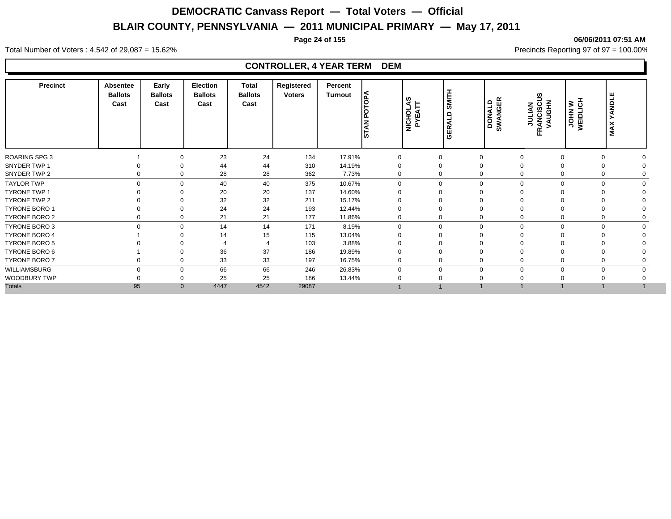#### **Page 24 of 155 06/06/2011 07:51 AM**

Total Number of Voters : 4,542 of 29,087 = 15.62% Precincts Reporting 97 of 97 = 100.00%

| Precinct             | <b>Absentee</b><br><b>Ballots</b><br>Cast | Early<br><b>Ballots</b><br>Cast | <b>Election</b><br><b>Ballots</b><br>Cast | <b>Total</b><br><b>Ballots</b><br>Cast | Registered<br><b>Voters</b> | Percent<br>Turnout | <b>PA</b><br>١٤<br><b>STAN</b> | ທ<br><b>NICHOLAS</b><br>∢<br>ш<br>≿ | <b>SMITH</b><br>GERALD  | <b>DONALD<br/>SWANGER</b> | ဖာ<br><b>VAUGHN</b><br><b>FRANCISCU</b><br>FRANCISCU | JOHN W<br>WEIDLICH | ш<br>YANDLI<br><b>MAX</b> |
|----------------------|-------------------------------------------|---------------------------------|-------------------------------------------|----------------------------------------|-----------------------------|--------------------|--------------------------------|-------------------------------------|-------------------------|---------------------------|------------------------------------------------------|--------------------|---------------------------|
| <b>ROARING SPG 3</b> |                                           | $\Omega$                        | 23                                        | 24                                     | 134                         | 17.91%             | 0                              |                                     | 0<br>$\mathbf 0$        |                           | $\mathbf 0$                                          | $\mathbf 0$        |                           |
| SNYDER TWP 1         |                                           |                                 | 44                                        | 44                                     | 310                         | 14.19%             | 0                              | 0                                   | $\Omega$                |                           |                                                      | $\Omega$           |                           |
| SNYDER TWP 2         |                                           | 0<br>$\Omega$                   | 28                                        | 28                                     | 362                         | 7.73%              | 0                              |                                     | 0<br>$\Omega$           |                           | 0                                                    | 0                  |                           |
| <b>TAYLOR TWP</b>    |                                           | $\Omega$<br>$\Omega$            | 40                                        | 40                                     | 375                         | 10.67%             | $\Omega$                       |                                     | $\mathbf 0$<br>$\Omega$ |                           | $\Omega$                                             | $\Omega$           | $\Omega$                  |
| TYRONE TWP 1         |                                           |                                 | 20                                        | 20                                     | 137                         | 14.60%             |                                |                                     | $\Omega$                |                           |                                                      |                    |                           |
| TYRONE TWP 2         |                                           | $\Omega$                        | 32                                        | 32                                     | 211                         | 15.17%             |                                |                                     | 0                       |                           |                                                      |                    |                           |
| TYRONE BORO 1        |                                           | $\Omega$                        | 24                                        | 24                                     | 193                         | 12.44%             |                                | 0                                   |                         |                           |                                                      |                    |                           |
| TYRONE BORO 2        |                                           | 0<br>0                          | 21                                        | 21                                     | 177                         | 11.86%             | 0                              |                                     | 0<br>$\Omega$           |                           | 0                                                    | 0                  |                           |
| TYRONE BORO 3        |                                           | $\Omega$<br>$\Omega$            | 14                                        | 14                                     | 171                         | 8.19%              | 0                              |                                     | 0<br>$\Omega$           | ∩                         | $\Omega$                                             | $\Omega$           |                           |
| <b>TYRONE BORO 4</b> |                                           | $\Omega$                        | 14                                        | 15                                     | 115                         | 13.04%             |                                |                                     | 0<br>$\Omega$           |                           |                                                      |                    |                           |
| <b>TYRONE BORO 5</b> |                                           |                                 |                                           |                                        | 103                         | 3.88%              |                                |                                     |                         |                           |                                                      |                    |                           |
| TYRONE BORO 6        |                                           |                                 | 36                                        | 37                                     | 186                         | 19.89%             |                                |                                     | 0<br>$\Omega$           |                           |                                                      | $\Omega$           |                           |
| <b>TYRONE BORO 7</b> |                                           | 0                               | 33                                        | 33                                     | 197                         | 16.75%             | $\mathbf 0$                    |                                     | 0<br>$\mathbf 0$        |                           |                                                      | $\mathbf 0$        |                           |
| WILLIAMSBURG         |                                           | $\mathbf 0$<br>$\Omega$         | 66                                        | 66                                     | 246                         | 26.83%             | $\Omega$                       |                                     | $\Omega$<br>0           | $\Omega$                  | $\Omega$                                             | $\mathbf 0$        |                           |
| WOODBURY TWP         |                                           | 0                               | 25                                        | 25                                     | 186                         | 13.44%             |                                | 0                                   |                         |                           |                                                      |                    |                           |
| <b>Totals</b>        | 95                                        | $\mathbf{0}$                    | 4447                                      | 4542                                   | 29087                       |                    |                                |                                     |                         |                           |                                                      |                    |                           |
|                      |                                           |                                 |                                           |                                        |                             |                    |                                |                                     |                         |                           |                                                      |                    |                           |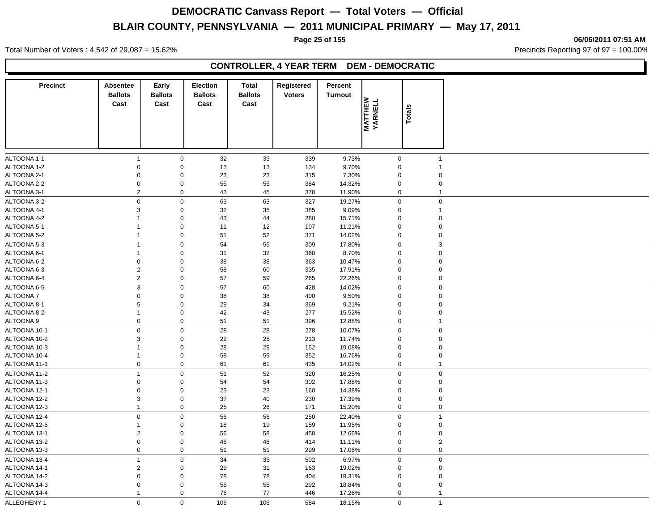**Page 25 of 155 06/06/2011 07:51 AM**

Total Number of Voters : 4,542 of 29,087 = 15.62% Precincts Reporting 97 of 97 = 100.00%

### **CONTROLLER, 4 YEAR TERM DEM - DEMOCRATIC**

| <b>Precinct</b> | <b>Absentee</b><br><b>Ballots</b><br>Cast | Early<br><b>Ballots</b><br>Cast | <b>Election</b><br><b>Ballots</b><br>Cast | <b>Total</b><br><b>Ballots</b><br>Cast | Registered<br><b>Voters</b> | Percent<br><b>Turnout</b> |                           |                |
|-----------------|-------------------------------------------|---------------------------------|-------------------------------------------|----------------------------------------|-----------------------------|---------------------------|---------------------------|----------------|
|                 |                                           |                                 |                                           |                                        |                             |                           | <b>MATTHEW</b><br>YARNELL | Totals         |
| ALTOONA 1-1     | $\mathbf{1}$                              | $\mathbf 0$                     | 32                                        | 33                                     | 339                         | 9.73%                     | $\mathbf 0$               | $\overline{1}$ |
| ALTOONA 1-2     | $\mathsf 0$                               | $\mathbf 0$                     | 13                                        | 13                                     | 134                         | 9.70%                     | $\mathbf 0$               | $\overline{1}$ |
| ALTOONA 2-1     | $\mathsf 0$                               | $\mathbf 0$                     | 23                                        | 23                                     | 315                         | 7.30%                     | $\mathbf 0$               | $\mathbf 0$    |
| ALTOONA 2-2     | $\mathbf 0$                               | $\mathbf 0$                     | 55                                        | 55                                     | 384                         | 14.32%                    | $\mathbf 0$               | $\mathbf 0$    |
| ALTOONA 3-1     | $\sqrt{2}$                                | $\mathsf 0$                     | 43                                        | 45                                     | 378                         | 11.90%                    | $\mathbf 0$               | $\overline{1}$ |
| ALTOONA 3-2     | $\mathbf 0$                               | $\mathbf 0$                     | 63                                        | 63                                     | 327                         | 19.27%                    | $\mathsf 0$               | $\pmb{0}$      |
| ALTOONA 4-1     | 3                                         | $\mathbf 0$                     | 32                                        | 35                                     | 385                         | 9.09%                     | $\mathbf 0$               | $\mathbf{1}$   |
| ALTOONA 4-2     | $\mathbf{1}$                              | $\mathbf 0$                     | 43                                        | 44                                     | 280                         | 15.71%                    | $\Omega$                  | $\mathbf 0$    |
| ALTOONA 5-1     | 1                                         | $\mathbf 0$                     | 11                                        | 12                                     | 107                         | 11.21%                    | $\mathbf 0$               | $\mathbf 0$    |
| ALTOONA 5-2     | $\mathbf{1}$                              | $\mathbf 0$                     | 51                                        | 52                                     | 371                         | 14.02%                    | $\mathbf 0$               | $\pmb{0}$      |
| ALTOONA 5-3     | $\mathbf{1}$                              | $\mathbf 0$                     | 54                                        | 55                                     | 309                         | 17.80%                    | $\mathbf 0$               | $\mathbf{3}$   |
| ALTOONA 6-1     | $\mathbf{1}$                              | $\mathbf 0$                     | 31                                        | 32                                     | 368                         | 8.70%                     | $\Omega$                  | $\mathbf 0$    |
| ALTOONA 6-2     | $\mathbf 0$                               | $\mathbf 0$                     | 38                                        | 38                                     | 363                         | 10.47%                    | $\Omega$                  | $\mathbf 0$    |
| ALTOONA 6-3     | $\sqrt{2}$                                | $\mathsf 0$                     | 58                                        | 60                                     | 335                         | 17.91%                    | $\Omega$                  | $\pmb{0}$      |
| ALTOONA 6-4     | $\overline{2}$                            | $\mathbf 0$                     | 57                                        | 59                                     | 265                         | 22.26%                    | $\boldsymbol{0}$          | $\mathbf 0$    |
| ALTOONA 6-5     | $\ensuremath{\mathsf{3}}$                 | $\mathbf 0$                     | 57                                        | 60                                     | 428                         | 14.02%                    | $\mathbf 0$               | $\mathbf 0$    |
| <b>ALTOONA7</b> | $\mathbf 0$                               | $\mathbf 0$                     | 38                                        | 38                                     | 400                         | 9.50%                     | $\Omega$                  | $\mathbf 0$    |
| ALTOONA 8-1     | $\,$ 5 $\,$                               | $\mathbf 0$                     | 29                                        | 34                                     | 369                         | 9.21%                     | $\Omega$                  | $\mathbf 0$    |
| ALTOONA 8-2     | $\mathbf{1}$                              | $\mathsf 0$                     | 42                                        | 43                                     | 277                         | 15.52%                    | $\mathbf 0$               | $\pmb{0}$      |
| ALTOONA 9       | $\mathbf 0$                               | $\mathsf 0$                     | 51                                        | 51                                     | 396                         | 12.88%                    | $\mathbf 0$               | $\overline{1}$ |
| ALTOONA 10-1    | $\mathbf 0$                               | $\mathsf 0$                     | 28                                        | 28                                     | 278                         | 10.07%                    | $\Omega$                  | $\mathbf 0$    |
| ALTOONA 10-2    | $\mathsf 3$                               | $\mathbf 0$                     | 22                                        | 25                                     | 213                         | 11.74%                    | $\Omega$                  | $\mathbf 0$    |
| ALTOONA 10-3    | $\mathbf{1}$                              | $\mathbf 0$                     | 28                                        | 29                                     | 152                         | 19.08%                    | $\mathbf 0$               | $\mathbf 0$    |
| ALTOONA 10-4    | $\mathbf{1}$                              | $\mathbf 0$                     | 58                                        | 59                                     | 352                         | 16.76%                    | $\mathbf 0$               | $\mathbf 0$    |
| ALTOONA 11-1    | $\mathbf 0$                               | $\mathbf 0$                     | 61                                        | 61                                     | 435                         | 14.02%                    | $\mathbf 0$               | $\mathbf{1}$   |
| ALTOONA 11-2    | $\overline{1}$                            | $\mathbf 0$                     | 51                                        | 52                                     | 320                         | 16.25%                    | $\mathbf 0$               | $\mathbf 0$    |
| ALTOONA 11-3    | $\mathsf 0$                               | $\mathbf 0$                     | 54                                        | 54                                     | 302                         | 17.88%                    | $\mathbf 0$               | $\mathbf 0$    |
| ALTOONA 12-1    | $\mathbf 0$                               | $\mathbf 0$                     | 23                                        | 23                                     | 160                         | 14.38%                    | $\mathbf 0$               | $\pmb{0}$      |
| ALTOONA 12-2    | 3                                         | $\mathsf 0$                     | 37                                        | 40                                     | 230                         | 17.39%                    | $\mathbf 0$               | $\mathbf 0$    |
| ALTOONA 12-3    | $\mathbf{1}$                              | $\mathbf 0$                     | 25                                        | 26                                     | 171                         | 15.20%                    | $\mathbf 0$               | $\pmb{0}$      |
| ALTOONA 12-4    | $\mathbf 0$                               | $\mathbf 0$                     | 56                                        | 56                                     | 250                         | 22.40%                    | $\mathbf 0$               | $\overline{1}$ |
| ALTOONA 12-5    | $\mathbf{1}$                              | $\mathbf 0$                     | 18                                        | 19                                     | 159                         | 11.95%                    | $\mathbf 0$               | $\pmb{0}$      |
| ALTOONA 13-1    | 2                                         | $\mathbf 0$                     | 56                                        | 58                                     | 458                         | 12.66%                    | $\mathbf 0$               | $\mathbf 0$    |
| ALTOONA 13-2    | $\mathsf{O}\xspace$                       | $\mathsf 0$                     | 46                                        | 46                                     | 414                         | 11.11%                    | $\mathbf 0$               | $\overline{2}$ |
| ALTOONA 13-3    | $\pmb{0}$                                 | $\mathsf 0$                     | 51                                        | 51                                     | 299                         | 17.06%                    | 0                         | $\pmb{0}$      |
| ALTOONA 13-4    | $\mathbf{1}$                              | $\mathbf 0$                     | 34                                        | 35                                     | 502                         | 6.97%                     | $\mathbf 0$               | $\mathbf 0$    |
| ALTOONA 14-1    | 2                                         | $\mathbf 0$                     | 29                                        | 31                                     | 163                         | 19.02%                    | $\mathbf 0$               | $\mathbf 0$    |
| ALTOONA 14-2    | $\mathbf 0$                               | $\mathbf 0$                     | 78                                        | 78                                     | 404                         | 19.31%                    | $\mathbf 0$               | $\mathbf 0$    |
| ALTOONA 14-3    | $\mathbf 0$                               | $\mathbf 0$                     | 55                                        | 55                                     | 292                         | 18.84%                    | $\mathbf 0$               | $\mathbf 0$    |
| ALTOONA 14-4    | $\mathbf{1}$                              | $\mathbf 0$                     | 76                                        | 77                                     | 446                         | 17.26%                    | $\mathbf 0$               | $\overline{1}$ |
| ALLEGHENY 1     | $\mathbf 0$                               | $\mathbf 0$                     | 106                                       | 106                                    | 584                         | 18.15%                    | $\mathbf 0$               | $\overline{1}$ |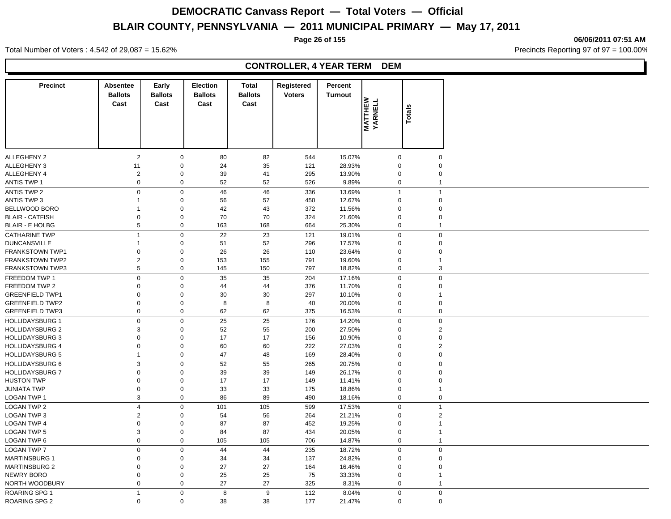**Page 26 of 155 06/06/2011 07:51 AM**

Total Number of Voters : 4,542 of 29,087 = 15.62% Precincts Reporting 97 of 97 = 100.00%

| <b>Precinct</b>        | <b>Absentee</b><br><b>Ballots</b> | Early<br><b>Ballots</b> | <b>Election</b><br><b>Ballots</b> | <b>Total</b><br><b>Ballots</b> | Registered<br><b>Voters</b> | Percent<br><b>Turnout</b> |                           |                         |
|------------------------|-----------------------------------|-------------------------|-----------------------------------|--------------------------------|-----------------------------|---------------------------|---------------------------|-------------------------|
|                        | Cast                              | Cast                    | Cast                              | Cast                           |                             |                           | <b>MATTHEW</b><br>YARNELL |                         |
|                        |                                   |                         |                                   |                                |                             |                           |                           | <b>Totals</b>           |
|                        |                                   |                         |                                   |                                |                             |                           |                           |                         |
|                        |                                   |                         |                                   |                                |                             |                           |                           |                         |
|                        |                                   |                         |                                   |                                |                             |                           |                           |                         |
| <b>ALLEGHENY 2</b>     | $\overline{2}$                    | $\mathbf 0$             | 80                                | 82                             | 544                         | 15.07%                    | $\mathbf 0$               | $\mathbf 0$             |
| ALLEGHENY 3            | 11                                | $\boldsymbol{0}$        | 24                                | 35                             | 121                         | 28.93%                    | $\mathbf 0$               | $\mathbf 0$             |
| ALLEGHENY 4            | 2                                 | $\mathbf 0$             | 39                                | 41                             | 295                         | 13.90%                    | $\mathbf 0$               | $\mathbf 0$             |
| ANTIS TWP 1            | 0                                 | $\mathbf 0$             | 52                                | 52                             | 526                         | 9.89%                     | $\mathbf 0$               | $\overline{1}$          |
| <b>ANTIS TWP 2</b>     | $\pmb{0}$                         | $\pmb{0}$               | 46                                | 46                             | 336                         | 13.69%                    | $\mathbf{1}$              | $\overline{1}$          |
| <b>ANTIS TWP 3</b>     | 1                                 | $\pmb{0}$               | 56                                | 57                             | 450                         | 12.67%                    | $\mathbf 0$               | $\pmb{0}$               |
| BELLWOOD BORO          | 1                                 | $\pmb{0}$               | 42                                | 43                             | 372                         | 11.56%                    | $\mathbf 0$               | $\pmb{0}$               |
| <b>BLAIR - CATFISH</b> | 0                                 | $\pmb{0}$               | 70                                | 70                             | 324                         | 21.60%                    | $\mathbf 0$               | $\pmb{0}$               |
| <b>BLAIR - E HOLBG</b> | 5                                 | $\pmb{0}$               | 163                               | 168                            | 664                         | 25.30%                    | $\mathbf 0$               | $\overline{1}$          |
| <b>CATHARINE TWP</b>   | $\overline{1}$                    | $\mathbf 0$             | 22                                | 23                             | 121                         | 19.01%                    | $\Omega$                  | $\mathbf 0$             |
| <b>DUNCANSVILLE</b>    | 1                                 | $\pmb{0}$               | 51                                | 52                             | 296                         | 17.57%                    | $\Omega$                  | $\mathbf 0$             |
| <b>FRANKSTOWN TWP1</b> | 0                                 | $\pmb{0}$               | 26                                | 26                             | 110                         | 23.64%                    | $\mathbf 0$               | $\mathbf 0$             |
| <b>FRANKSTOWN TWP2</b> | $\mathbf{2}$                      | $\mathbf 0$             | 153                               | 155                            | 791                         | 19.60%                    | 0                         | $\overline{\mathbf{1}}$ |
| <b>FRANKSTOWN TWP3</b> | 5                                 | $\pmb{0}$               | 145                               | 150                            | 797                         | 18.82%                    | $\mathbf 0$               | 3                       |
| FREEDOM TWP 1          | 0                                 | $\mathbf 0$             | 35                                | 35                             | 204                         | 17.16%                    | $\mathbf 0$               | $\pmb{0}$               |
| FREEDOM TWP 2          | 0                                 | $\pmb{0}$               | 44                                | 44                             | 376                         | 11.70%                    | $\mathbf 0$               | $\pmb{0}$               |
| <b>GREENFIELD TWP1</b> | 0                                 | $\pmb{0}$               | 30                                | 30                             | 297                         | 10.10%                    | $\mathbf 0$               | $\overline{1}$          |
| <b>GREENFIELD TWP2</b> | 0                                 | $\mathbf 0$             | 8                                 | 8                              | 40                          | 20.00%                    | $\mathbf 0$               | $\pmb{0}$               |
| <b>GREENFIELD TWP3</b> | 0                                 | $\pmb{0}$               | 62                                | 62                             | 375                         | 16.53%                    | $\mathbf 0$               | $\pmb{0}$               |
| <b>HOLLIDAYSBURG 1</b> | $\pmb{0}$                         | $\mathbf 0$             | 25                                | 25                             | 176                         | 14.20%                    | $\mathbf 0$               | $\mathbf 0$             |
| <b>HOLLIDAYSBURG 2</b> | 3                                 | $\pmb{0}$               | 52                                | 55                             | 200                         | 27.50%                    | $\mathbf 0$               | $\overline{2}$          |
| <b>HOLLIDAYSBURG 3</b> | 0                                 | $\pmb{0}$               | 17                                | 17                             | 156                         | 10.90%                    | $\mathbf 0$               | $\mathbf 0$             |
| <b>HOLLIDAYSBURG 4</b> | 0                                 | $\mathbf 0$             | 60                                | 60                             | 222                         | 27.03%                    | 0                         | $\overline{2}$          |
| <b>HOLLIDAYSBURG 5</b> | $\mathbf{1}$                      | $\mathbf 0$             | 47                                | 48                             | 169                         | 28.40%                    | $\mathbf 0$               | $\mathbf 0$             |
| <b>HOLLIDAYSBURG 6</b> | 3                                 | $\pmb{0}$               | 52                                | 55                             | 265                         | 20.75%                    | $\mathbf 0$               | $\pmb{0}$               |
| <b>HOLLIDAYSBURG 7</b> | 0                                 | $\pmb{0}$               | 39                                | 39                             | 149                         | 26.17%                    | $\mathbf 0$               | $\pmb{0}$               |
| <b>HUSTON TWP</b>      | 0                                 | $\pmb{0}$               | 17                                | 17                             | 149                         | 11.41%                    | $\mathbf 0$               | $\pmb{0}$               |
| <b>JUNIATA TWP</b>     | 0                                 | $\mathbf 0$             | 33                                | 33                             | 175                         | 18.86%                    | $\mathbf 0$               | $\overline{1}$          |
| LOGAN TWP 1            | 3                                 | $\mathbf 0$             | 86                                | 89                             | 490                         | 18.16%                    | $\mathbf 0$               | $\pmb{0}$               |
| <b>LOGAN TWP 2</b>     | $\overline{4}$                    | $\mathbf 0$             | 101                               | 105                            | 599                         | 17.53%                    | $\overline{0}$            | $\overline{1}$          |
| <b>LOGAN TWP 3</b>     | $\mathbf{2}$                      | $\boldsymbol{0}$        | 54                                | 56                             | 264                         | 21.21%                    | $\mathbf 0$               | $\overline{2}$          |
| <b>LOGAN TWP 4</b>     | 0                                 | $\pmb{0}$               | 87                                | 87                             | 452                         | 19.25%                    | $\mathbf 0$               | $\overline{1}$          |
| LOGAN TWP 5            | 3                                 | $\pmb{0}$               | 84                                | 87                             | 434                         | 20.05%                    | 0                         | $\mathbf 1$             |
| <b>LOGAN TWP 6</b>     | 0                                 | $\pmb{0}$               | 105                               | 105                            | 706                         | 14.87%                    | $\mathbf 0$               | $\overline{1}$          |
| <b>LOGAN TWP 7</b>     | 0                                 | $\pmb{0}$               | 44                                | 44                             | 235                         | 18.72%                    | $\mathbf 0$               | $\pmb{0}$               |
| <b>MARTINSBURG 1</b>   | 0                                 | 0                       | 34                                | 34                             | 137                         | 24.82%                    | $\mathbf 0$               | $\pmb{0}$               |
| <b>MARTINSBURG 2</b>   | 0                                 | $\pmb{0}$               | 27                                | 27                             | 164                         | 16.46%                    | $\mathbf 0$               | $\pmb{0}$               |
| <b>NEWRY BORO</b>      | 0                                 | $\mathbf 0$             | 25                                | 25                             | 75                          | 33.33%                    | $\mathbf 0$               | $\overline{1}$          |
| NORTH WOODBURY         | 0                                 | $\pmb{0}$               | 27                                | 27                             | 325                         | 8.31%                     | $\mathbf 0$               | $\overline{1}$          |
| <b>ROARING SPG 1</b>   | $\mathbf{1}$                      | $\mathbf 0$             | 8                                 | 9                              | 112                         | 8.04%                     | $\mathbf 0$               | $\mathbf 0$             |
| ROARING SPG 2          | $\mathbf 0$                       | $\mathbf 0$             | 38                                | 38                             | 177                         | 21.47%                    | $\mathbf 0$               | $\mathbf 0$             |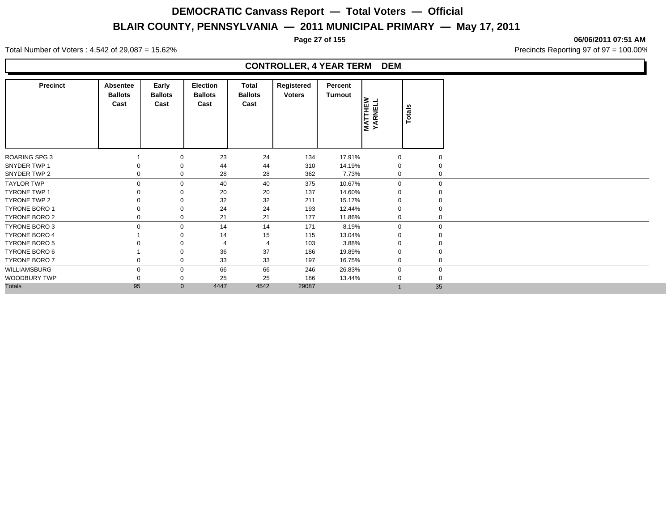**Page 27 of 155 06/06/2011 07:51 AM**

Total Number of Voters : 4,542 of 29,087 = 15.62% Precincts Reporting 97 of 97 = 100.00%

| Precinct             | Absentee<br><b>Ballots</b><br>Cast | Early<br><b>Ballots</b><br>Cast | <b>Election</b><br><b>Ballots</b><br>Cast | Total<br><b>Ballots</b><br>Cast | Registered<br><b>Voters</b> | Percent<br>Turnout | <b>MATTHEW</b><br>YARNELL | <b>Totals</b> |
|----------------------|------------------------------------|---------------------------------|-------------------------------------------|---------------------------------|-----------------------------|--------------------|---------------------------|---------------|
| <b>ROARING SPG 3</b> |                                    | 0                               | 23                                        | 24                              | 134                         | 17.91%             | $\mathbf 0$               |               |
| SNYDER TWP 1         |                                    |                                 | 44                                        | 44                              | 310                         | 14.19%             | $\mathbf 0$               |               |
| SNYDER TWP 2         |                                    |                                 | 28                                        | 28                              | 362                         | 7.73%              | 0                         | $\mathbf 0$   |
| <b>TAYLOR TWP</b>    |                                    | $\Omega$                        | 40                                        | 40                              | 375                         | 10.67%             | $\overline{0}$            | $\mathbf 0$   |
| <b>TYRONE TWP 1</b>  |                                    |                                 | 20                                        | 20                              | 137                         | 14.60%             | 0                         |               |
| TYRONE TWP 2         |                                    |                                 | 32                                        | 32                              | 211                         | 15.17%             | $\mathbf 0$               |               |
| <b>TYRONE BORO 1</b> |                                    |                                 | 24                                        | 24                              | 193                         | 12.44%             | $\mathbf 0$               | $\mathbf 0$   |
| TYRONE BORO 2        |                                    | 0                               | 21                                        | 21                              | 177                         | 11.86%             | 0                         | $\mathbf 0$   |
| TYRONE BORO 3        |                                    | $\mathbf 0$                     | 14                                        | 14                              | 171                         | 8.19%              | $\mathbf 0$               | $\mathbf 0$   |
| <b>TYRONE BORO 4</b> |                                    |                                 | 14                                        | 15                              | 115                         | 13.04%             | $\mathbf 0$               |               |
| <b>TYRONE BORO 5</b> |                                    |                                 |                                           | $\overline{4}$                  | 103                         | 3.88%              | $\mathbf 0$               |               |
| TYRONE BORO 6        |                                    |                                 | 36                                        | 37                              | 186                         | 19.89%             | $\Omega$                  |               |
| <b>TYRONE BORO 7</b> |                                    | 0                               | 33                                        | 33                              | 197                         | 16.75%             | $\mathbf 0$               | $\mathbf 0$   |
| WILLIAMSBURG         |                                    | 0                               | 66                                        | 66                              | 246                         | 26.83%             | $\mathbf 0$               | $\mathbf 0$   |
| WOODBURY TWP         |                                    |                                 | 25                                        | 25                              | 186                         | 13.44%             | $\mathbf 0$               | $\mathbf 0$   |
| <b>Totals</b>        | 95                                 | $\mathbf{0}$                    | 4447                                      | 4542                            | 29087                       |                    |                           | 35            |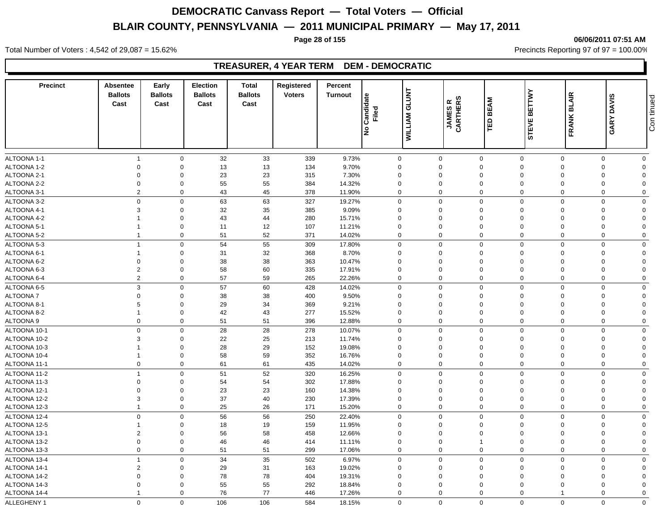#### **Page 28 of 155 06/06/2011 07:51 AM**

Total Number of Voters : 4,542 of 29,087 = 15.62% Precincts Reporting 97 of 97 = 100.00%

### **TREASURER, 4 YEAR TERM DEM - DEMOCRATIC**

| <b>Precinct</b>            | Absentee<br><b>Ballots</b><br>Cast | Early<br><b>Ballots</b><br>Cast | <b>Election</b><br><b>Ballots</b><br>Cast | <b>Total</b><br><b>Ballots</b><br>Cast | Registered<br><b>Voters</b> | Percent<br><b>Turnout</b> | Candidate<br>Filed<br>ے∣   | <b>GLUNT</b><br><b>WILLIAM</b> | <b>JAMESR</b><br>CARTHERS  | <b>BEAM</b><br>ΈD          | <b>BETTWY</b><br><b>STEVE</b> | <b>BLAIR</b><br><b>FRANK</b> | GARY DAVIS  | Con tinued     |
|----------------------------|------------------------------------|---------------------------------|-------------------------------------------|----------------------------------------|-----------------------------|---------------------------|----------------------------|--------------------------------|----------------------------|----------------------------|-------------------------------|------------------------------|-------------|----------------|
|                            |                                    |                                 |                                           |                                        |                             |                           |                            |                                |                            |                            |                               |                              |             |                |
| ALTOONA 1-1                | $\overline{1}$                     | $\mathbf 0$                     | 32                                        | 33                                     | 339                         | 9.73%                     | $\mathbf 0$                |                                | $\mathbf 0$                | $\mathbf 0$                | $\mathbf 0$                   | $\mathbf 0$                  | $\mathbf 0$ | $\mathbf 0$    |
| ALTOONA 1-2                | $\mathbf 0$                        | $\mathbf 0$                     | 13                                        | 13                                     | 134                         | 9.70%                     | 0                          |                                | $\mathbf 0$                | $\mathbf 0$                | $\mathbf 0$                   | $\Omega$                     | $\Omega$    | $\Omega$       |
| ALTOONA 2-1                | $\mathbf 0$                        | $\Omega$                        | 23                                        | 23                                     | 315                         | 7.30%                     | $\mathbf 0$                |                                | $\mathbf 0$                | $\mathbf 0$                | $\Omega$                      | $\Omega$                     | $\Omega$    | $\Omega$       |
| ALTOONA 2-2                | $\mathbf 0$                        | $\mathbf 0$                     | 55                                        | 55                                     | 384                         | 14.32%                    | $\mathbf 0$                |                                | $\mathbf 0$                | $\mathbf 0$                | $\mathbf 0$                   | $\Omega$                     | $\Omega$    | $\Omega$       |
| ALTOONA 3-1                | $\overline{2}$                     | $\mathbf 0$                     | 43                                        | 45                                     | 378                         | 11.90%                    | 0                          |                                | $\mathbf 0$                | $\mathbf 0$                | $\mathbf 0$                   | $\Omega$                     | $\Omega$    | $\Omega$       |
| ALTOONA 3-2                | $\mathbf 0$                        | $\mathbf 0$                     | 63                                        | 63                                     | 327                         | 19.27%                    | 0                          |                                | $\mathbf 0$                | $\mathbf 0$                | $\mathbf 0$                   | $\mathbf 0$                  | $\mathbf 0$ | $\mathbf 0$    |
| ALTOONA 4-1                | 3                                  | $\mathbf 0$                     | 32                                        | 35                                     | 385                         | 9.09%                     | 0                          |                                | $\mathbf 0$                | $\mathbf 0$                | $\mathbf 0$                   | $\Omega$                     | $\Omega$    | $\Omega$       |
| ALTOONA 4-2                |                                    | $\mathbf 0$                     | 43                                        | 44                                     | 280                         | 15.71%                    | $\mathbf 0$                |                                | $\mathbf 0$                | $\mathbf 0$                | $\mathbf 0$                   | $\Omega$                     | $\Omega$    | $\Omega$       |
| ALTOONA 5-1                | -1                                 | $\mathbf 0$                     | 11                                        | 12                                     | 107                         | 11.21%                    | $\mathbf 0$                |                                | $\mathbf 0$                | $\mathbf 0$                | $\mathbf 0$                   | $\Omega$                     | $\Omega$    | $\Omega$       |
| ALTOONA 5-2                | $\overline{1}$                     | $\mathbf 0$                     | 51                                        | 52                                     | 371                         | 14.02%                    | $\mathbf 0$                |                                | $\mathbf 0$                | $\mathbf 0$                | $\mathbf 0$                   | $\Omega$                     | $\Omega$    | $\mathbf 0$    |
| ALTOONA 5-3                | $\overline{1}$                     | $\mathbf 0$                     | 54                                        | 55                                     | 309                         | 17.80%                    | 0                          |                                | $\mathbf 0$                | $\mathbf 0$                | $\mathbf 0$                   | $\mathbf 0$                  | $\Omega$    | $\mathbf 0$    |
| ALTOONA 6-1                | $\overline{1}$                     | $\mathbf 0$                     | 31                                        | 32                                     | 368                         | 8.70%                     | $\mathbf 0$                |                                | $\mathbf 0$                | $\mathbf 0$                | $\mathbf 0$                   | $\Omega$                     | $\Omega$    | $\Omega$       |
| ALTOONA 6-2                | $\mathbf 0$                        | $\mathbf 0$                     | 38                                        | 38                                     | 363                         | 10.47%                    | $\mathbf 0$                |                                | $\Omega$                   | $\mathbf 0$                | $\Omega$                      | $\Omega$                     | $\Omega$    | $\Omega$       |
| ALTOONA 6-3                | $\overline{2}$                     | $\Omega$                        | 58                                        | 60                                     | 335                         | 17.91%                    | $\mathbf 0$                |                                | $\mathbf 0$                | $\mathbf 0$                | $\mathbf 0$                   | $\Omega$                     | $\Omega$    | $\Omega$       |
| ALTOONA 6-4                | $\overline{2}$                     | $\mathbf 0$                     | 57                                        | 59                                     | 265                         | 22.26%                    | $\mathbf 0$                |                                | $\mathbf 0$                | $\mathbf 0$                | $\Omega$                      | $\Omega$                     | $\Omega$    | $\mathbf 0$    |
|                            | $\mathbf{3}$                       | $\mathbf 0$                     |                                           | 60                                     |                             |                           | 0                          |                                |                            | $\mathbf 0$                | $\mathbf 0$                   | $\mathbf 0$                  | $\mathbf 0$ | $\mathbf 0$    |
| ALTOONA 6-5                | $\mathbf 0$                        | $\mathbf 0$                     | 57<br>38                                  | 38                                     | 428                         | 14.02%                    | $\mathbf 0$                |                                | $\mathbf 0$<br>$\mathbf 0$ | $\mathbf 0$                | $\mathbf 0$                   | $\Omega$                     | $\Omega$    | $\Omega$       |
| ALTOONA 7                  | 5                                  | $\Omega$                        |                                           |                                        | 400                         | 9.50%                     |                            |                                | $\Omega$                   |                            | $\mathbf 0$                   | $\Omega$                     | $\Omega$    | $\Omega$       |
| ALTOONA 8-1<br>ALTOONA 8-2 |                                    | $\mathbf 0$                     | 29<br>42                                  | 34<br>43                               | 369<br>277                  | 9.21%<br>15.52%           | $\mathbf 0$<br>$\mathbf 0$ |                                | $\mathbf 0$                | $\mathbf 0$<br>$\mathbf 0$ | $\mathbf 0$                   | $\Omega$                     | $\Omega$    | $\Omega$       |
| ALTOONA 9                  | $\mathbf 0$                        | $\mathbf 0$                     | 51                                        | 51                                     | 396                         | 12.88%                    | 0                          |                                | $\mathbf 0$                | $\mathbf 0$                | $\mathbf 0$                   | $\mathbf 0$                  | $\Omega$    | $\mathbf 0$    |
|                            |                                    |                                 |                                           |                                        |                             |                           |                            |                                |                            |                            |                               |                              |             |                |
| ALTOONA 10-1               | $\mathbf 0$                        | $\mathbf 0$                     | 28                                        | 28                                     | 278                         | 10.07%                    | 0                          |                                | $\mathbf 0$                | $\pmb{0}$                  | $\mathbf 0$                   | $\Omega$                     | $\Omega$    | $\mathbf 0$    |
| ALTOONA 10-2               | 3                                  | $\Omega$                        | 22                                        | 25                                     | 213                         | 11.74%                    | $\mathbf 0$                |                                | $\mathbf 0$                | $\mathbf 0$                | $\mathbf 0$                   | $\Omega$                     | $\Omega$    | $\Omega$       |
| ALTOONA 10-3               |                                    | $\mathbf 0$                     | 28                                        | 29                                     | 152                         | 19.08%                    | $\mathbf 0$                |                                | $\mathbf 0$                | $\mathbf 0$                | $\mathbf 0$                   | $\Omega$                     | $\Omega$    | $\Omega$       |
| ALTOONA 10-4               |                                    | $\mathbf 0$                     | 58                                        | 59                                     | 352                         | 16.76%                    | $\mathbf 0$                |                                | $\mathbf 0$                | $\mathbf 0$                | $\mathbf 0$                   | $\Omega$                     | $\Omega$    | $\Omega$       |
| ALTOONA 11-1               | $\mathbf 0$                        | $\mathbf 0$                     | 61                                        | 61                                     | 435                         | 14.02%                    | 0                          |                                | $\mathbf 0$                | $\mathbf 0$                | $\mathbf 0$                   | $\Omega$                     | $\Omega$    | $\mathbf 0$    |
| ALTOONA 11-2               | $\overline{1}$                     | $\Omega$                        | 51                                        | 52                                     | 320                         | 16.25%                    | $\Omega$                   |                                | $\Omega$                   | $\mathbf 0$                | $\Omega$                      | $\Omega$                     | $\Omega$    | $\Omega$       |
| ALTOONA 11-3               | $\mathbf 0$                        | $\Omega$                        | 54                                        | 54                                     | 302                         | 17.88%                    | 0                          |                                | $\Omega$                   | $\mathbf 0$                | $\Omega$                      | $\Omega$                     | $\Omega$    | $\Omega$       |
| ALTOONA 12-1               | $\overline{0}$                     | $\mathbf 0$                     | 23                                        | 23                                     | 160                         | 14.38%                    | $\mathbf 0$                |                                | $\mathbf 0$                | $\mathbf 0$                | $\mathbf 0$                   | $\Omega$                     | $\Omega$    | $\overline{0}$ |
| ALTOONA 12-2               | 3                                  | $\mathbf 0$                     | 37                                        | 40                                     | 230                         | 17.39%                    | $\mathbf 0$                |                                | $\mathbf 0$                | $\mathbf 0$                | $\mathbf 0$                   | $\Omega$                     | $\mathbf 0$ | $\overline{0}$ |
| ALTOONA 12-3               | $\overline{1}$                     | $\mathbf 0$                     | 25                                        | 26                                     | 171                         | 15.20%                    | $\mathbf 0$                |                                | $\mathbf 0$                | $\mathbf 0$                | $\mathbf 0$                   | $\mathbf 0$                  | $\mathbf 0$ | $\mathbf 0$    |
| ALTOONA 12-4               | $\mathbf 0$                        | $\Omega$                        | 56                                        | 56                                     | 250                         | 22.40%                    | $\Omega$                   |                                | $\Omega$                   | $\mathbf 0$                | $\Omega$                      | $\Omega$                     | $\Omega$    | $\mathbf 0$    |
| ALTOONA 12-5               |                                    | $\mathbf 0$                     | 18                                        | 19                                     | 159                         | 11.95%                    | $\Omega$                   |                                | $\Omega$                   | $\mathbf 0$                | $\Omega$                      | $\Omega$                     | $\Omega$    | $\Omega$       |
| ALTOONA 13-1               | $\overline{2}$                     | $\mathbf 0$                     | 56                                        | 58                                     | 458                         | 12.66%                    | $\mathbf 0$                |                                | $\mathbf 0$                | $\mathbf 0$                | $\mathbf 0$                   |                              | $\Omega$    | $\Omega$       |
| ALTOONA 13-2               | $\mathbf 0$                        | $\mathbf 0$                     | 46                                        | 46                                     | 414                         | 11.11%                    | $\mathbf 0$                |                                | $\mathbf 0$                | $\mathbf{1}$               | $\mathbf 0$                   | $\Omega$                     | $\mathbf 0$ | $\overline{0}$ |
| ALTOONA 13-3               | $\mathbf 0$                        | $\mathbf 0$                     | 51                                        | 51                                     | 299                         | 17.06%                    | $\mathbf 0$                |                                | $\mathbf 0$                | $\mathbf 0$                | $\overline{0}$                | $\Omega$                     | $\Omega$    | $\mathbf 0$    |
| ALTOONA 13-4               | $\overline{1}$                     | $\mathbf 0$                     | 34                                        | 35                                     | 502                         | 6.97%                     | $\Omega$                   |                                | $\Omega$                   | $\mathbf 0$                | $\mathbf 0$                   | $\Omega$                     | $\Omega$    | $\mathbf 0$    |
| ALTOONA 14-1               | $\overline{2}$                     | $\mathbf 0$                     | 29                                        | 31                                     | 163                         | 19.02%                    | $\Omega$                   |                                | $\Omega$                   | $\mathbf 0$                | $\Omega$                      | $\Omega$                     | $\Omega$    | $\Omega$       |
| ALTOONA 14-2               | $\mathbf 0$                        | $\mathbf 0$                     | 78                                        | 78                                     | 404                         | 19.31%                    | $\Omega$                   |                                | 0                          | $\mathbf 0$                | $\Omega$                      | $\Omega$                     | $\Omega$    | $\Omega$       |
| ALTOONA 14-3               | $\mathbf 0$                        | $\mathbf 0$                     | 55                                        | 55                                     | 292                         | 18.84%                    | $\Omega$                   |                                | $\mathbf 0$                | $\mathbf 0$                | $\Omega$                      | $\Omega$                     | $\Omega$    | $\Omega$       |
| ALTOONA 14-4               | $\overline{1}$                     | $\Omega$                        | 76                                        | 77                                     | 446                         | 17.26%                    | $\mathbf 0$                |                                | $\mathbf 0$                | $\mathbf 0$                | $\mathbf 0$                   |                              | $\Omega$    | $\mathbf 0$    |
| ALLEGHENY 1                | $\mathbf 0$                        | $\Omega$                        | 106                                       | 106                                    | 584                         | 18.15%                    | $\Omega$                   |                                | $\Omega$                   | $\Omega$                   | $\Omega$                      | $\Omega$                     | $\Omega$    | $\mathbf 0$    |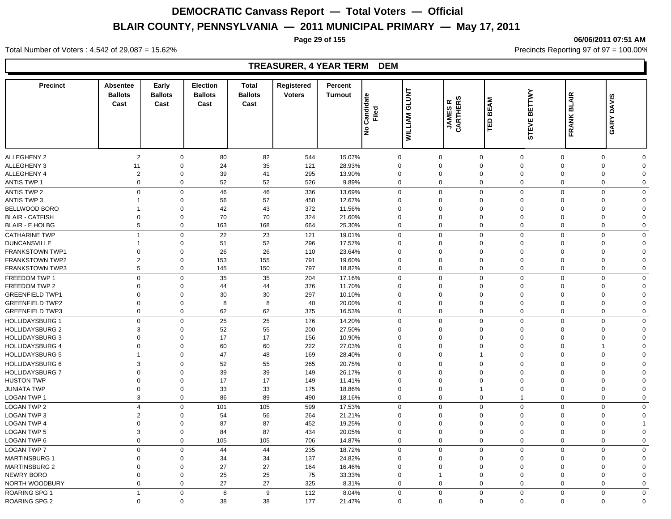**Page 29 of 155 06/06/2011 07:51 AM**

#### Total Number of Voters : 4,542 of 29,087 = 15.62% Precincts Reporting 97 of 97 = 100.00%

#### **TREASURER, 4 YEAR TERM DEM**

| <b>Precinct</b>        | <b>Absentee</b><br><b>Ballots</b><br>Cast | Early<br><b>Ballots</b><br>Cast | Election<br><b>Ballots</b><br>Cast | <b>Total</b><br><b>Ballots</b><br>Cast | Registered<br><b>Voters</b> | Percent<br><b>Turnout</b> | Candidate<br>Filed | <b>GLUNT</b><br><b>WILLIAM</b> | <b>JAMESR</b><br>CARTHERS | <b>BEAM</b><br>ΤĒ                             | <b>BETTWY</b><br>STEVE | FRANK BLAIR | <b>DAVIS</b><br>GARY |
|------------------------|-------------------------------------------|---------------------------------|------------------------------------|----------------------------------------|-----------------------------|---------------------------|--------------------|--------------------------------|---------------------------|-----------------------------------------------|------------------------|-------------|----------------------|
|                        |                                           |                                 |                                    |                                        |                             |                           | ے                  |                                |                           |                                               |                        |             |                      |
| <b>ALLEGHENY 2</b>     | $\overline{2}$                            | $\mathbf 0$                     | 80                                 | 82                                     | 544                         | 15.07%                    | $\mathbf 0$        | $\Omega$                       |                           | $\mathbf 0$<br>$\mathbf 0$                    | $\mathbf 0$            | $\mathbf 0$ | $\Omega$             |
| <b>ALLEGHENY 3</b>     | 11                                        | $\Omega$                        | 24                                 | 35                                     | 121                         | 28.93%                    | $\mathbf 0$        | $\Omega$                       |                           | $\mathbf 0$<br>$\mathbf 0$                    | $\Omega$               | $\mathbf 0$ | $\Omega$             |
| <b>ALLEGHENY 4</b>     | $\overline{2}$                            | $\Omega$                        | 39                                 | 41                                     | 295                         | 13.90%                    | $\Omega$           | $\Omega$                       |                           | $\mathbf 0$<br>$\Omega$                       | $\Omega$               | $\mathbf 0$ | $\Omega$             |
| ANTIS TWP 1            | $\pmb{0}$                                 | 0                               | 52                                 | 52                                     | 526                         | 9.89%                     | $\Omega$           | $\mathbf 0$                    |                           | $\mathbf 0$<br>$\mathbf 0$                    | $\Omega$               | 0           | $\Omega$             |
| <b>ANTIS TWP 2</b>     | $\mathsf 0$                               | $\mathbf 0$                     | 46                                 | 46                                     | 336                         | 13.69%                    | $\mathbf 0$        | 0                              |                           | $\mathbf 0$<br>$\mathbf 0$                    | $\mathbf 0$            | $\mathbf 0$ | $\Omega$             |
| <b>ANTIS TWP 3</b>     | 1                                         | $\Omega$                        | 56                                 | 57                                     | 450                         | 12.67%                    | $\Omega$           | $\Omega$                       |                           | $\mathbf 0$<br>$\Omega$                       | $\Omega$               | $\mathbf 0$ | $\Omega$             |
| BELLWOOD BORO          | 1                                         | $\mathbf 0$                     | 42                                 | 43                                     | 372                         | 11.56%                    | $\Omega$           | $\Omega$                       |                           | $\mathbf 0$<br>$\Omega$                       | $\Omega$               | $\mathbf 0$ | $\Omega$             |
| <b>BLAIR - CATFISH</b> | $\overline{0}$                            | $\mathbf 0$                     | 70                                 | 70                                     | 324                         | 21.60%                    | $\mathbf 0$        | $\mathbf 0$                    |                           | $\mathbf 0$<br>$\mathbf 0$                    | $\overline{0}$         | $\mathbf 0$ | $\Omega$             |
| <b>BLAIR - E HOLBG</b> | 5                                         | 0                               | 163                                | 168                                    | 664                         | 25.30%                    | $\mathbf 0$        | 0                              |                           | $\mathbf 0$<br>$\mathbf 0$                    | $\overline{0}$         | $\mathbf 0$ | $\mathbf 0$          |
| <b>CATHARINE TWP</b>   | $\overline{1}$                            | $\mathbf 0$                     | 22                                 | 23                                     | 121                         | 19.01%                    | $\Omega$           | $\Omega$                       |                           | $\mathsf 0$<br>$\mathbf 0$                    | $\Omega$               | $\mathsf 0$ | $\Omega$             |
| <b>DUNCANSVILLE</b>    | 1                                         | $\Omega$                        | 51                                 | 52                                     | 296                         | 17.57%                    | $\Omega$           | $\Omega$                       |                           | $\mathbf 0$<br>$\Omega$                       | $\Omega$               | $\Omega$    | $\Omega$             |
| <b>FRANKSTOWN TWP1</b> | $\Omega$                                  | $\Omega$                        | 26                                 | 26                                     | 110                         | 23.64%                    | $\Omega$           | $\Omega$                       |                           | $\mathbf 0$<br>$\Omega$                       | $\Omega$               | $\mathbf 0$ | $\Omega$             |
| <b>FRANKSTOWN TWP2</b> | $\overline{2}$                            | 0                               | 153                                | 155                                    | 791                         | 19.60%                    | $\Omega$           | $\mathbf 0$                    |                           | $\mathbf 0$<br>$\Omega$                       | $\mathbf 0$            | 0           | $\Omega$             |
| <b>FRANKSTOWN TWP3</b> | $\,$ 5 $\,$                               | 0                               | 145                                | 150                                    | 797                         | 18.82%                    | $\Omega$           | $\mathbf 0$                    |                           | $\mathbf{0}$<br>$\mathbf 0$                   | $\mathbf 0$            | 0           | $\Omega$             |
| FREEDOM TWP 1          | $\mathbf 0$                               | $\mathbf 0$                     | 35                                 | 35                                     | 204                         | 17.16%                    | $\Omega$           | $\mathbf 0$                    |                           | $\mathbf 0$<br>$\mathbf 0$                    | $\overline{0}$         | $\mathbf 0$ | $\mathbf 0$          |
| FREEDOM TWP 2          | $\Omega$                                  | $\Omega$                        | 44                                 | 44                                     | 376                         | 11.70%                    | $\Omega$           | $\Omega$                       |                           | $\mathbf 0$<br>$\Omega$                       | $\Omega$               | $\Omega$    | $\Omega$             |
| <b>GREENFIELD TWP1</b> | $\mathbf 0$                               | $\mathbf 0$                     | 30                                 | 30                                     | 297                         | 10.10%                    | $\mathbf 0$        | $\mathbf 0$                    |                           | $\mathbf 0$<br>$\Omega$                       | $\mathbf 0$            | 0           | $\Omega$             |
| <b>GREENFIELD TWP2</b> | $\overline{0}$                            | $\mathbf 0$                     | 8                                  | 8                                      | 40                          | 20.00%                    | $\mathbf 0$        | $\mathbf 0$                    |                           | $\mathbf 0$<br>$\Omega$                       | $\overline{0}$         | $\mathbf 0$ | $\Omega$             |
| <b>GREENFIELD TWP3</b> | $\overline{0}$                            | 0                               | 62                                 | 62                                     | 375                         | 16.53%                    | $\mathbf 0$        | $\mathbf 0$                    |                           | $\mathbf 0$<br>$\mathbf 0$                    | $\overline{0}$         | $\mathbf 0$ | $\mathbf 0$          |
| <b>HOLLIDAYSBURG 1</b> | $\mathbf 0$                               | $\mathbf 0$                     | 25                                 | 25                                     | 176                         | 14.20%                    | $\Omega$           | $\Omega$                       |                           | $\mathbf{0}$<br>$\mathbf 0$                   | $\Omega$               | $\mathbf 0$ | $\Omega$             |
| <b>HOLLIDAYSBURG 2</b> | 3                                         | $\Omega$                        | 52                                 | 55                                     | 200                         | 27.50%                    | $\Omega$           | $\Omega$                       |                           | $\mathbf 0$<br>$\Omega$                       | $\Omega$               | $\mathbf 0$ | $\Omega$             |
| <b>HOLLIDAYSBURG 3</b> | $\Omega$                                  | $\Omega$                        | 17                                 | 17                                     | 156                         | 10.90%                    | $\Omega$           | $\Omega$                       |                           | $\mathbf 0$<br>$\Omega$                       | $\Omega$               | $\mathbf 0$ | $\Omega$             |
| <b>HOLLIDAYSBURG 4</b> | $\mathbf 0$                               | 0                               | 60                                 | 60                                     | 222                         | 27.03%                    | $\mathbf 0$        | $\mathbf 0$                    |                           | $\mathbf 0$<br>$\mathbf 0$                    | $\mathbf 0$            | $\mathbf 1$ | $\Omega$             |
|                        | $\overline{1}$                            | $\mathbf 0$                     | 47                                 | 48                                     | 169                         | 28.40%                    | $\mathbf 0$        | $\mathbf 0$                    |                           | $\mathbf 0$<br>$\mathbf{1}$                   | $\overline{0}$         | $\mathbf 0$ | $\mathbf 0$          |
| <b>HOLLIDAYSBURG 5</b> |                                           |                                 |                                    |                                        |                             |                           |                    |                                |                           |                                               |                        |             |                      |
| <b>HOLLIDAYSBURG 6</b> | 3                                         | $\mathbf 0$                     | 52                                 | 55                                     | 265                         | 20.75%                    | $\Omega$           | $\mathbf 0$                    |                           | $\mathbf 0$<br>$\mathbf 0$                    | $\overline{0}$         | $\mathbf 0$ | $\Omega$             |
| <b>HOLLIDAYSBURG 7</b> | $\Omega$                                  | $\Omega$                        | 39                                 | 39                                     | 149                         | 26.17%                    | $\Omega$           | $\Omega$                       |                           | $\mathbf 0$<br>$\Omega$                       | $\Omega$               | $\Omega$    | $\Omega$             |
| <b>HUSTON TWP</b>      | $\mathbf 0$                               | $\mathbf 0$                     | 17                                 | 17                                     | 149                         | 11.41%                    | $\mathbf 0$        | $\mathbf 0$                    |                           | $\mathbf 0$<br>$\Omega$                       | $\mathbf 0$            | 0           | $\Omega$             |
| <b>JUNIATA TWP</b>     | $\mathbf 0$                               | $\mathbf 0$                     | 33                                 | 33                                     | 175                         | 18.86%                    | $\mathbf 0$        | $\mathbf 0$                    |                           | $\mathbf{1}$<br>$\mathbf 0$<br>$\overline{1}$ | $\mathbf 0$            | 0           | $\Omega$             |
| LOGAN TWP 1            | 3                                         | $\mathbf 0$                     | 86                                 | 89                                     | 490                         | 18.16%                    | $\mathbf 0$        | $\mathbf 0$                    |                           | $\mathbf 0$                                   | $\overline{0}$         | $\mathbf 0$ | $\mathbf 0$          |
| <b>LOGAN TWP 2</b>     | $\overline{4}$                            | $\mathbf 0$                     | 101                                | 105                                    | 599                         | 17.53%                    | $\Omega$           | $\Omega$                       |                           | $\mathbf 0$<br>$\mathbf 0$                    | $\Omega$               | $\mathbf 0$ | $\Omega$             |
| <b>LOGAN TWP 3</b>     | $\overline{2}$                            | $\Omega$                        | 54                                 | 56                                     | 264                         | 21.21%                    | $\Omega$           | $\Omega$                       |                           | $\mathbf 0$<br>$\Omega$                       | $\Omega$               | $\mathbf 0$ | $\Omega$             |
| <b>LOGAN TWP 4</b>     | $\overline{0}$                            | $\mathbf 0$                     | 87                                 | 87                                     | 452                         | 19.25%                    | $\Omega$           | $\Omega$                       |                           | $\mathbf 0$<br>$\Omega$                       | $\Omega$               | $\mathbf 0$ |                      |
| <b>LOGAN TWP 5</b>     | 3                                         | 0                               | 84                                 | 87                                     | 434                         | 20.05%                    | $\Omega$           | $\mathbf 0$                    |                           | $\mathbf 0$<br>$\Omega$                       | $\Omega$               | 0           | $\Omega$             |
| LOGAN TWP 6            | $\overline{0}$                            | $\mathbf 0$                     | 105                                | 105                                    | 706                         | 14.87%                    | $\mathbf 0$        | $\mathbf 0$                    |                           | $\mathbf 0$<br>$\mathbf 0$                    | $\Omega$               | $\mathbf 0$ | $\Omega$             |
| <b>LOGAN TWP 7</b>     | $\overline{0}$                            | $\mathbf 0$                     | 44                                 | 44                                     | 235                         | 18.72%                    | $\mathbf 0$        | $\Omega$                       |                           | $\mathbf 0$<br>$\mathbf 0$                    | $\Omega$               | $\mathbf 0$ | $\Omega$             |
| <b>MARTINSBURG 1</b>   | $\mathbf 0$                               | $\mathbf 0$                     | 34                                 | 34                                     | 137                         | 24.82%                    | $\mathbf 0$        | $\mathbf 0$                    |                           | $\mathbf 0$<br>$\Omega$                       | $\mathbf 0$            | 0           | $\Omega$             |
| <b>MARTINSBURG 2</b>   | $\overline{0}$                            | $\mathbf 0$                     | 27                                 | 27                                     | 164                         | 16.46%                    | $\mathbf 0$        | $\mathbf 0$                    |                           | $\mathbf 0$<br>$\Omega$                       | $\mathbf 0$            | $\mathbf 0$ | $\Omega$             |
| NEWRY BORO             | $\mathbf 0$                               | $\mathbf 0$                     | 25                                 | 25                                     | 75                          | 33.33%                    | $\mathbf 0$        | $\mathbf{1}$                   |                           | $\mathbf 0$<br>$\mathbf 0$                    | $\mathbf 0$            | 0           | $\Omega$             |
| NORTH WOODBURY         | $\overline{0}$                            | 0                               | 27                                 | 27                                     | 325                         | 8.31%                     | $\mathbf 0$        | $\mathbf 0$                    |                           | $\mathbf 0$<br>$\mathbf 0$                    | $\mathbf 0$            | 0           | $\Omega$             |
| ROARING SPG 1          | $\overline{1}$                            | $\mathbf 0$                     | 8                                  | 9                                      | 112                         | 8.04%                     | $\Omega$           | $\Omega$                       |                           | $\mathbf 0$<br>$\mathbf 0$                    | $\mathbf 0$            | $\mathbf 0$ | $\Omega$             |
| <b>ROARING SPG 2</b>   | $\mathbf 0$                               | $\Omega$                        | 38                                 | 38                                     | 177                         | 21.47%                    | $\Omega$           | $\mathbf 0$                    |                           | $\Omega$<br>$\mathbf 0$                       | $\mathbf 0$            | $\mathbf 0$ | $\Omega$             |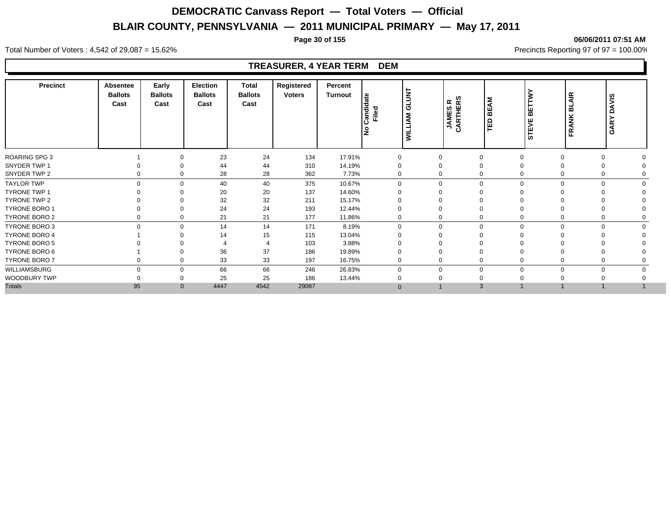**Page 30 of 155 06/06/2011 07:51 AM**

#### Total Number of Voters : 4,542 of 29,087 = 15.62% Precincts Reporting 97 of 97 = 100.00%

### **TREASURER, 4 YEAR TERM DEM**

| 23<br>24<br>134<br>17.91%<br>$\Omega$<br>0<br>$\mathbf 0$<br>$\Omega$<br>$\Omega$<br>$\Omega$<br>310<br>44<br>44<br>14.19%<br>0<br>$\Omega$<br>$\Omega$<br>$\Omega$<br>28<br>28<br>362<br>7.73%<br>$\Omega$<br>0<br>0<br>$\Omega$<br>$\Omega$<br>0<br>$\Omega$<br>40<br>$\Omega$<br>40<br>375<br>10.67%<br>$\mathbf 0$<br>$\Omega$<br>$\Omega$<br>$\Omega$<br>$\Omega$<br>$\Omega$<br>$\Omega$<br>20<br>137<br>20<br>14.60%<br>$\Omega$<br>0<br>32<br>32<br>211<br>15.17%<br>0<br>$\Omega$<br>24<br>24<br>193<br>12.44%<br>0<br>$\Omega$<br>21<br>21<br>177<br>11.86%<br>0<br>0<br>$\mathbf 0$<br>0<br>14<br>14<br>171<br>8.19%<br>$\Omega$<br>$\Omega$<br>$\Omega$<br>$\mathbf 0$<br>$\Omega$<br>$\Omega$<br>$\Omega$<br>$\Omega$<br>15<br>14<br>115<br>13.04%<br>0<br>$\Omega$<br>$\Omega$<br>103<br>3.88%<br>36<br>37<br>186<br>19.89%<br>0<br>$\Omega$<br>$\Omega$<br>33<br>33<br>197<br>16.75%<br>$\mathbf 0$<br>0<br>$\mathbf 0$<br>$\Omega$<br>$\Omega$<br>0<br>0<br>66<br>66<br>246<br>26.83%<br>0<br>$\mathbf 0$<br>0<br>$\Omega$<br>$\Omega$<br>$\Omega$<br>$\Omega$<br>$\mathbf 0$<br>25<br>25<br>186<br>13.44%<br>0<br>$\Omega$<br>$\Omega$<br>95<br>4542<br>$\mathbf{0}$<br>4447<br>29087<br>3<br>$\Omega$ | Precinct             | <b>Absentee</b><br><b>Ballots</b><br>Cast | Early<br><b>Ballots</b><br>Cast | <b>Election</b><br><b>Ballots</b><br>Cast | <b>Total</b><br><b>Ballots</b><br>Cast | Registered<br><b>Voters</b> | Percent<br>Turnout | ¦≗<br>andid<br>Filed<br>$\circ$<br>lŽ | <b>GLUNT</b><br><b>MILLIAM</b> | <b>JAMESR<br/>CARTHERS</b> | ξ<br><b>BE</b><br>ΓÊ | <b>BETTW</b><br><b>STEVE</b> | <b>AIR</b><br>ᇜ<br>FRANK | <b>DAVIS</b><br>GARY |
|-------------------------------------------------------------------------------------------------------------------------------------------------------------------------------------------------------------------------------------------------------------------------------------------------------------------------------------------------------------------------------------------------------------------------------------------------------------------------------------------------------------------------------------------------------------------------------------------------------------------------------------------------------------------------------------------------------------------------------------------------------------------------------------------------------------------------------------------------------------------------------------------------------------------------------------------------------------------------------------------------------------------------------------------------------------------------------------------------------------------------------------------------------------------------------------------------------------------------|----------------------|-------------------------------------------|---------------------------------|-------------------------------------------|----------------------------------------|-----------------------------|--------------------|---------------------------------------|--------------------------------|----------------------------|----------------------|------------------------------|--------------------------|----------------------|
| SNYDER TWP 1<br>SNYDER TWP 2<br><b>TAYLOR TWP</b><br><b>TYRONE TWP 1</b><br><b>TYRONE TWP 2</b><br><b>TYRONE BORO 1</b><br>TYRONE BORO 2<br>TYRONE BORO 3<br><b>TYRONE BORO 4</b><br>TYRONE BORO 5<br>TYRONE BORO 6<br>TYRONE BORO 7<br>WILLIAMSBURG<br>WOODBURY TWP<br><b>Totals</b>                                                                                                                                                                                                                                                                                                                                                                                                                                                                                                                                                                                                                                                                                                                                                                                                                                                                                                                                   | <b>ROARING SPG 3</b> |                                           |                                 |                                           |                                        |                             |                    |                                       |                                |                            |                      |                              |                          |                      |
|                                                                                                                                                                                                                                                                                                                                                                                                                                                                                                                                                                                                                                                                                                                                                                                                                                                                                                                                                                                                                                                                                                                                                                                                                         |                      |                                           |                                 |                                           |                                        |                             |                    |                                       |                                |                            |                      |                              |                          |                      |
|                                                                                                                                                                                                                                                                                                                                                                                                                                                                                                                                                                                                                                                                                                                                                                                                                                                                                                                                                                                                                                                                                                                                                                                                                         |                      |                                           |                                 |                                           |                                        |                             |                    |                                       |                                |                            |                      |                              |                          |                      |
|                                                                                                                                                                                                                                                                                                                                                                                                                                                                                                                                                                                                                                                                                                                                                                                                                                                                                                                                                                                                                                                                                                                                                                                                                         |                      |                                           |                                 |                                           |                                        |                             |                    |                                       |                                |                            |                      |                              |                          |                      |
|                                                                                                                                                                                                                                                                                                                                                                                                                                                                                                                                                                                                                                                                                                                                                                                                                                                                                                                                                                                                                                                                                                                                                                                                                         |                      |                                           |                                 |                                           |                                        |                             |                    |                                       |                                |                            |                      |                              |                          |                      |
|                                                                                                                                                                                                                                                                                                                                                                                                                                                                                                                                                                                                                                                                                                                                                                                                                                                                                                                                                                                                                                                                                                                                                                                                                         |                      |                                           |                                 |                                           |                                        |                             |                    |                                       |                                |                            |                      |                              |                          |                      |
|                                                                                                                                                                                                                                                                                                                                                                                                                                                                                                                                                                                                                                                                                                                                                                                                                                                                                                                                                                                                                                                                                                                                                                                                                         |                      |                                           |                                 |                                           |                                        |                             |                    |                                       |                                |                            |                      |                              |                          |                      |
|                                                                                                                                                                                                                                                                                                                                                                                                                                                                                                                                                                                                                                                                                                                                                                                                                                                                                                                                                                                                                                                                                                                                                                                                                         |                      |                                           |                                 |                                           |                                        |                             |                    |                                       |                                |                            |                      |                              |                          |                      |
|                                                                                                                                                                                                                                                                                                                                                                                                                                                                                                                                                                                                                                                                                                                                                                                                                                                                                                                                                                                                                                                                                                                                                                                                                         |                      |                                           |                                 |                                           |                                        |                             |                    |                                       |                                |                            |                      |                              |                          |                      |
|                                                                                                                                                                                                                                                                                                                                                                                                                                                                                                                                                                                                                                                                                                                                                                                                                                                                                                                                                                                                                                                                                                                                                                                                                         |                      |                                           |                                 |                                           |                                        |                             |                    |                                       |                                |                            |                      |                              |                          |                      |
|                                                                                                                                                                                                                                                                                                                                                                                                                                                                                                                                                                                                                                                                                                                                                                                                                                                                                                                                                                                                                                                                                                                                                                                                                         |                      |                                           |                                 |                                           |                                        |                             |                    |                                       |                                |                            |                      |                              |                          |                      |
|                                                                                                                                                                                                                                                                                                                                                                                                                                                                                                                                                                                                                                                                                                                                                                                                                                                                                                                                                                                                                                                                                                                                                                                                                         |                      |                                           |                                 |                                           |                                        |                             |                    |                                       |                                |                            |                      |                              |                          |                      |
|                                                                                                                                                                                                                                                                                                                                                                                                                                                                                                                                                                                                                                                                                                                                                                                                                                                                                                                                                                                                                                                                                                                                                                                                                         |                      |                                           |                                 |                                           |                                        |                             |                    |                                       |                                |                            |                      |                              |                          |                      |
|                                                                                                                                                                                                                                                                                                                                                                                                                                                                                                                                                                                                                                                                                                                                                                                                                                                                                                                                                                                                                                                                                                                                                                                                                         |                      |                                           |                                 |                                           |                                        |                             |                    |                                       |                                |                            |                      |                              |                          |                      |
|                                                                                                                                                                                                                                                                                                                                                                                                                                                                                                                                                                                                                                                                                                                                                                                                                                                                                                                                                                                                                                                                                                                                                                                                                         |                      |                                           |                                 |                                           |                                        |                             |                    |                                       |                                |                            |                      |                              |                          |                      |
|                                                                                                                                                                                                                                                                                                                                                                                                                                                                                                                                                                                                                                                                                                                                                                                                                                                                                                                                                                                                                                                                                                                                                                                                                         |                      |                                           |                                 |                                           |                                        |                             |                    |                                       |                                |                            |                      |                              |                          |                      |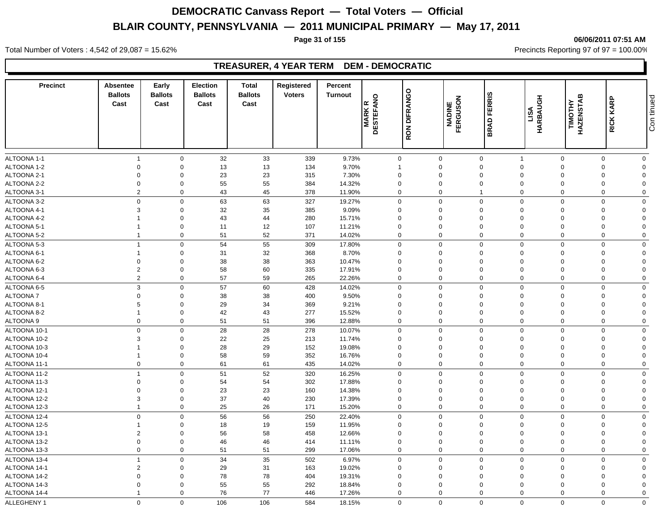#### **Page 31 of 155 06/06/2011 07:51 AM**

Total Number of Voters : 4,542 of 29,087 = 15.62% Precincts Reporting 97 of 97 = 100.00%

### **TREASURER, 4 YEAR TERM DEM - DEMOCRATIC**

| <b>Precinct</b>              | Absentee<br><b>Ballots</b><br>Cast | Early<br><b>Ballots</b><br>Cast | <b>Election</b><br><b>Ballots</b><br>Cast | Total<br><b>Ballots</b><br>Cast | Registered<br><b>Voters</b> | Percent<br><b>Turnout</b> | <b>MARK R</b><br>DESTEFANO | RON DIFRANGO | <b>NADINE</b><br>FERGUSON | <b>BRAD FERRIS</b>         | HARBAUGH<br>LISA | <b>TIMOTHY<br/>HAZENSTAB</b> | RICK KARP               | Con tinued     |
|------------------------------|------------------------------------|---------------------------------|-------------------------------------------|---------------------------------|-----------------------------|---------------------------|----------------------------|--------------|---------------------------|----------------------------|------------------|------------------------------|-------------------------|----------------|
|                              |                                    |                                 |                                           |                                 |                             |                           |                            |              |                           |                            |                  |                              |                         |                |
| ALTOONA 1-1                  | $\overline{1}$                     | $\mathbf 0$                     | 32                                        | 33                              | 339                         | 9.73%                     | $\mathbf 0$                |              | $\mathbf 0$               | $\mathbf 0$                | $\overline{1}$   | $\mathbf 0$                  | $\mathbf 0$             | $\mathbf 0$    |
| ALTOONA 1-2                  | $\mathbf 0$                        | $\mathbf 0$                     | 13                                        | 13                              | 134                         | 9.70%                     | $\mathbf{1}$               |              | $\mathbf 0$               | $\mathbf 0$                | $\overline{0}$   | $\Omega$                     | $\Omega$                | $\mathbf 0$    |
| ALTOONA 2-1                  | $\mathbf 0$                        | $\Omega$                        | 23                                        | 23                              | 315                         | 7.30%                     | $\Omega$                   |              | $\Omega$                  | $\mathbf 0$                | $\Omega$         | $\Omega$                     | $\Omega$                | $\Omega$       |
| ALTOONA 2-2                  | $\mathbf 0$                        | $\Omega$                        | 55                                        | 55                              | 384                         | 14.32%                    | $\mathbf 0$                |              | $\mathbf 0$               | $\mathbf 0$                | $\mathbf 0$      | $\Omega$                     | $\Omega$                | $\Omega$       |
| ALTOONA 3-1                  | $\overline{2}$                     | $\mathbf 0$                     | 43                                        | 45                              | 378                         | 11.90%                    | 0                          |              | $\mathbf 0$               | $\mathbf{1}$               | $\mathbf 0$      | $\Omega$                     | $\Omega$                | $\Omega$       |
| ALTOONA 3-2                  | $\mathbf 0$                        | $\mathbf 0$                     | 63                                        | 63                              | 327                         | 19.27%                    | 0                          |              | $\mathbf 0$               | $\mathbf 0$                | $\mathbf 0$      | $\Omega$                     | $\Omega$                | $\mathbf 0$    |
| ALTOONA 4-1                  | 3                                  | $\mathbf 0$                     | 32                                        | 35                              | 385                         | 9.09%                     | $\mathbf 0$                |              | $\mathbf 0$               | $\mathbf 0$                | $\mathbf 0$      | $\Omega$                     | $\Omega$                | $\Omega$       |
| ALTOONA 4-2                  |                                    | $\mathbf 0$                     | 43                                        | 44                              | 280                         | 15.71%                    | $\mathbf 0$                |              | $\Omega$                  | $\mathbf 0$                | $\mathbf 0$      | $\Omega$                     | $\Omega$                | $\Omega$       |
| ALTOONA 5-1                  |                                    | $\mathbf 0$                     | 11                                        | 12                              | 107                         | 11.21%                    | $\mathbf 0$                |              | $\mathbf 0$               | $\mathbf 0$                | $\mathbf 0$      | $\Omega$                     | $\Omega$                | $\Omega$       |
| ALTOONA 5-2                  | $\overline{1}$                     | $\mathbf 0$                     | 51                                        | 52                              | 371                         | 14.02%                    | $\Omega$                   |              | $\mathbf 0$               | $\mathbf 0$                | $\mathbf 0$      | $\Omega$                     | $\Omega$                | $\Omega$       |
| ALTOONA 5-3                  | $\overline{1}$                     | $\mathbf 0$                     | 54                                        | 55                              | 309                         | 17.80%                    | 0                          |              | $\mathbf 0$               | $\mathbf 0$                | $\mathbf 0$      | $\mathbf 0$                  | $\Omega$                | $\mathbf 0$    |
| ALTOONA 6-1                  |                                    | $\mathbf 0$                     | 31                                        | 32                              | 368                         | 8.70%                     | $\mathbf 0$                |              | $\mathbf 0$               | $\mathbf 0$                | $\mathbf 0$      | $\Omega$                     | $\Omega$                | $\Omega$       |
| ALTOONA 6-2                  | $\mathbf 0$                        | $\mathbf 0$                     | 38                                        | 38                              | 363                         | 10.47%                    | $\mathbf 0$                |              | $\Omega$                  | $\mathbf 0$                | $\Omega$         | $\Omega$                     | $\Omega$                | $\Omega$       |
| ALTOONA 6-3                  | $\overline{2}$                     | $\mathbf 0$                     | 58                                        | 60                              | 335                         | 17.91%                    | $\mathbf 0$                |              | $\Omega$                  | $\mathbf 0$                | $\mathbf 0$      | $\Omega$                     | $\Omega$                | $\Omega$       |
| ALTOONA 6-4                  | $\overline{2}$                     | $\mathbf 0$                     | 57                                        | 59                              | 265                         | 22.26%                    | 0                          |              | $\mathbf 0$               | $\mathbf 0$                | $\mathbf 0$      | $\Omega$                     | $\Omega$                | $\mathbf 0$    |
| ALTOONA 6-5                  | $\mathbf{3}$                       | $\Omega$                        | 57                                        | 60                              | 428                         | 14.02%                    | $\Omega$                   |              | $\Omega$                  | $\mathbf 0$                | $\mathbf 0$      | $\Omega$                     | $\Omega$                | $\Omega$       |
| ALTOONA 7                    | $\Omega$                           | $\Omega$                        | 38                                        | 38                              | 400                         | 9.50%                     | $\Omega$                   |              | $\Omega$                  | $\mathbf 0$                | $\Omega$         | $\Omega$                     | $\Omega$                | $\Omega$       |
| ALTOONA 8-1                  | 5                                  | $\Omega$                        | 29                                        | 34                              | 369                         | 9.21%                     | 0                          |              | $\Omega$                  | $\mathbf 0$                | $\mathbf 0$      |                              | $\Omega$                | $\Omega$       |
| ALTOONA 8-2                  |                                    | $\mathbf 0$                     | 42                                        | 43                              | 277                         | 15.52%                    | $\mathbf 0$                |              | $\mathbf 0$               | $\mathbf 0$                | $\mathbf 0$      | $\Omega$                     | $\Omega$                | $\overline{0}$ |
| ALTOONA 9                    | $\mathbf 0$                        | $\mathbf 0$                     | 51                                        | 51                              | 396                         | 12.88%                    | $\mathbf 0$                |              | $\mathbf 0$               | $\mathbf 0$                | $\mathbf 0$      | $\Omega$                     | $\mathbf 0$             | $\mathbf 0$    |
| ALTOONA 10-1                 | $\mathbf 0$                        | $\mathbf 0$                     | 28                                        | 28                              | 278                         |                           | $\mathbf{0}$               |              | $\Omega$                  | $\mathbf 0$                | $\mathbf 0$      | $\Omega$                     | $\Omega$                | $\mathbf 0$    |
|                              |                                    | $\Omega$                        |                                           |                                 |                             | 10.07%                    |                            |              | $\Omega$                  |                            | $\Omega$         | $\Omega$                     | $\Omega$                | $\Omega$       |
| ALTOONA 10-2                 | 3                                  | $\mathbf 0$                     | 22                                        | 25                              | 213                         | 11.74%                    | $\Omega$<br>$\mathbf 0$    |              | $\mathbf 0$               | $\mathbf 0$<br>$\mathbf 0$ | $\mathbf 0$      | $\Omega$                     | $\Omega$                | $\Omega$       |
| ALTOONA 10-3                 | $\overline{1}$                     | $\mathbf 0$                     | 28                                        | 29                              | 152                         | 19.08%                    | $\mathbf 0$                |              | $\mathbf 0$               | $\mathbf 0$                | $\mathbf 0$      | $\Omega$                     | $\mathbf 0$             | $\Omega$       |
| ALTOONA 10-4<br>ALTOONA 11-1 | $\mathbf 0$                        | $\mathbf 0$                     | 58<br>61                                  | 59<br>61                        | 352<br>435                  | 16.76%<br>14.02%          | 0                          |              | $\mathbf 0$               | $\mathbf 0$                | $\mathbf 0$      | $\mathbf 0$                  | $\mathbf 0$             | $\mathbf 0$    |
|                              |                                    |                                 |                                           |                                 |                             |                           |                            |              |                           |                            |                  |                              |                         |                |
| ALTOONA 11-2                 | $\overline{1}$                     | $\Omega$                        | 51                                        | 52                              | 320                         | 16.25%                    | $\Omega$                   |              | $\Omega$                  | $\mathbf 0$                | $\Omega$         | $\Omega$                     | $\Omega$                | $\Omega$       |
| ALTOONA 11-3                 | $\mathbf{0}$                       | $\mathbf 0$                     | 54                                        | 54                              | 302                         | 17.88%                    | $\Omega$                   |              | $\Omega$                  | $\mathbf 0$                | $\Omega$         | $\Omega$                     | $\Omega$                | $\Omega$       |
| ALTOONA 12-1                 | $\Omega$                           | $\mathbf 0$                     | 23                                        | 23                              | 160                         | 14.38%                    | $\Omega$                   |              | $\Omega$                  | $\mathbf 0$                | $\Omega$         | $\Omega$                     | $\Omega$                | $\Omega$       |
| ALTOONA 12-2                 | $\mathbf{3}$<br>$\overline{1}$     | $\mathbf 0$                     | 37                                        | 40                              | 230                         | 17.39%                    | $\mathbf 0$                |              | $\mathbf 0$               | $\pmb{0}$                  | $\mathbf 0$      | $\Omega$                     | $\mathbf 0$<br>$\Omega$ | $\Omega$       |
| ALTOONA 12-3                 |                                    | $\mathbf 0$                     | 25                                        | 26                              | 171                         | 15.20%                    | $\mathbf 0$                |              | $\mathbf 0$               | $\mathbf 0$                | $\mathbf 0$      | $\mathbf 0$                  |                         | $\mathbf 0$    |
| ALTOONA 12-4                 | $\mathbf 0$                        | $\mathbf 0$                     | 56                                        | 56                              | 250                         | 22.40%                    | $\mathbf 0$                |              | $\mathbf 0$               | $\mathbf 0$                | $\Omega$         | $\Omega$                     | $\Omega$                | $\mathbf 0$    |
| ALTOONA 12-5                 | $\overline{1}$                     | $\mathbf 0$                     | 18                                        | 19                              | 159                         | 11.95%                    | $\Omega$                   |              | $\mathbf 0$               | $\mathbf 0$                | $\Omega$         | $\Omega$                     | $\Omega$                | $\Omega$       |
| ALTOONA 13-1                 | $\overline{2}$                     | $\mathbf 0$                     | 56                                        | 58                              | 458                         | 12.66%                    | $\mathbf 0$                |              | 0                         | $\mathbf 0$                | $\Omega$         | $\Omega$                     | $\Omega$                | $\Omega$       |
| ALTOONA 13-2                 | $\boldsymbol{0}$                   | $\pmb{0}$                       | 46                                        | 46                              | 414                         | 11.11%                    | $\Omega$                   |              | 0                         | $\pmb{0}$                  | $\mathbf 0$      | $\Omega$                     | $\Omega$                | $\Omega$       |
| ALTOONA 13-3                 | $\mathbf 0$                        | $\mathbf 0$                     | 51                                        | 51                              | 299                         | 17.06%                    | $\mathbf 0$                |              | $\mathbf 0$               | $\mathbf 0$                | $\mathbf 0$      | $\Omega$                     | $\Omega$                | $\mathbf 0$    |
| ALTOONA 13-4                 | $\overline{1}$                     | $\mathbf 0$                     | 34                                        | 35                              | 502                         | 6.97%                     | $\mathbf 0$                |              | $\mathbf 0$               | $\mathsf 0$                | $\mathbf 0$      | $\Omega$                     | $\Omega$                | $\mathbf 0$    |
| ALTOONA 14-1                 | $\overline{2}$                     | $\mathbf 0$                     | 29                                        | 31                              | 163                         | 19.02%                    | $\mathbf 0$                |              | $\mathbf 0$               | $\mathbf 0$                | $\Omega$         | $\Omega$                     | $\Omega$                | $\Omega$       |
| ALTOONA 14-2                 | $\mathbf 0$                        | $\mathbf 0$                     | 78                                        | 78                              | 404                         | 19.31%                    | $\Omega$                   |              | $\Omega$                  | $\mathbf 0$                | $\Omega$         | $\Omega$                     | $\Omega$                | $\Omega$       |
| ALTOONA 14-3                 | $\Omega$                           | $\Omega$                        | 55                                        | 55                              | 292                         | 18.84%                    | $\mathbf 0$                |              | $\mathbf 0$               | $\mathbf 0$                | $\Omega$         |                              | $\Omega$                | $\Omega$       |
| ALTOONA 14-4                 | $\overline{1}$                     | $\Omega$                        | 76                                        | 77                              | 446                         | 17.26%                    | $\mathbf 0$                |              | $\mathbf 0$               | $\mathbf 0$                | $\mathbf 0$      | $\Omega$                     | $\Omega$                | $\mathbf 0$    |
| ALLEGHENY 1                  | $\mathbf 0$                        | $\Omega$                        | 106                                       | 106                             | 584                         | 18.15%                    | $\mathbf{0}$               |              | $\Omega$                  | $\Omega$                   | $\mathbf 0$      | $\Omega$                     | $\Omega$                | $\mathbf 0$    |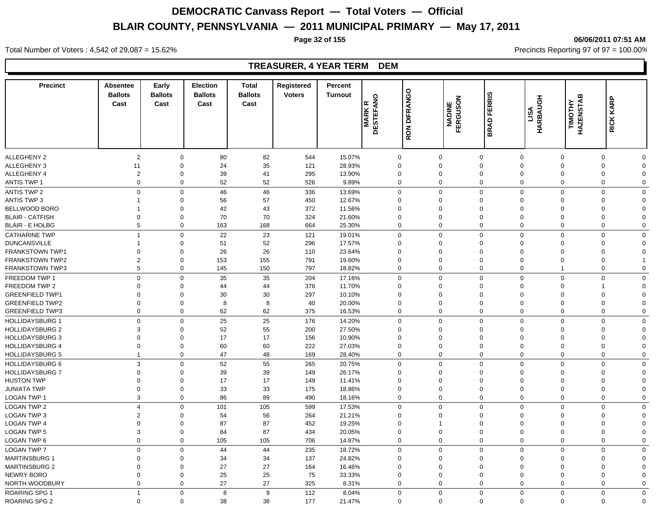**Page 32 of 155 06/06/2011 07:51 AM**

#### **Precinct Absentee Ballots Cast Cast Early Ballots Election Ballots**  Cast **Cast Total Registered Ballots**  EXERISTING **RON DIFRANGO**<br>
Cast<br> **CAST BRADINE FERGUSON**<br>
BESTEFANG BRAD FERRIS<br> **EXAD FERGUSON**<br> **EXAD FERBAUGH**<br> **EXAD FERRISTAB**<br> **EXADEL BRADINE HARBAUGH**<br> **EXADEL BRADINE HARBAUGH**<br> **EXADEL BRADINE HARBAUGH Turnout Percent MARK R<br>DESTEFANO<br>RON DIFRANGO<br>MADINE<br>FERGUSON** ALLEGHENY 2 2 0 80 82 544 15.07% 0 0 0 0 0 0 0 ALLEGHENY 3 11 0 24 35 121 28.93% 0 0 0 0 0 0 0 ALLEGHENY 4 2 0 39 41 295 13.90% 0 0 0 0 0 0 0 ANTIS TWP 1 0 0 52 52 526 9.89% 0 0 0 0 0 0 0 ANTIS TWP 2 0 46 46 336 13.69% 0 0 0 0 0 0 ANTIS TWP 3 1 0 56 57 450 12.67% 0 0 0 0 0 0 0 BELLWOOD BORO 1 0 42 43 372 11.56% 0 0 0 0 0 0 0 BLAIR - CATFISH 0 0 70 70 324 21.60% 0 0 0 0 0 0 0 BLAIR - E HOLBG 5 0 163 168 664 25.30% 0 0 0 0 0 0 CATHARINE TWP 1 0 22 23 121 19.01% 0 0 0 0 0 0 0 DUNCANSVILLE 1 0 51 52 296 17.57% 0 0 0 0 0 0 0 FRANKSTOWN TWP1 0 0 26 26 110 23.64% 0 0 0 0 0 0 0 FRANKSTOWN TWP2 2 0 153 155 791 19.60% 0 0 0 0 0 0 1 FRANKSTOWN TWP3 5 0 145 150 797 18.82% 0 0 0 0 0 FREEDOM TWP 1 0 0 35 35 204 17.16% 0 0 0 0 0 0 0 FREEDOM TWP 2 0 0 44 44 376 11.70% 0 0 0 0 0 1 0 GREENFIELD TWP1 0 0 30 30 297 10.10% 0 0 0 0 0 0 0 GREENFIELD TWP2 0 0 8 8 40 20.00% 0 0 0 0 0 0 0 GREENFIELD TWP3 0 0 62 62 375 16.53% 0 0 0 0 0 0 0 HOLLIDAYSBURG 1 0 0 25 25 176 14.20% 0 0 0 0 0 0 HOLLIDAYSBURG 2 3 0 52 55 200 27.50% 0 0 0 0 0 0 HOLLIDAYSBURG 3 0 0 17 156 10.90% 0 0 0 0 0 0 HOLLIDAYSBURG 4 0 0 60 60 222 27.03% 0 0 0 0 0 0 HOLLIDAYSBURG 5 1 0 47 48 169 28.40% 0 0 0 0 0 0 0 HOLLIDAYSBURG 6 3 0 52 55 265 20.75% 0 0 0 0 0 0 0 HOLLIDAYSBURG 7 0 0 39 39 149 26.17% 0 0 0 0 0 0 0 HUSTON TWP 0 0 17 149 11.41% 0 0 0 0 0 0 JUNIATA TWP 0 0 33 33 175 18.86% 0 0 0 0 0 0 LOGAN TWP 1 3 0 86 89 490 18.16% 0 0 0 0 0 0 0 LOGAN TWP 2 4 0 101 105 599 17.53% 0 0 0 0 0 0 0 LOGAN TWP 3 2 0 54 56 264 21.21% 0 0 0 0 0 0 0 LOGAN TWP 4 0 0 87 452 19.25% 0 1 0 0 0 0 LOGAN TWP 5 3 0 84 87 434 20.05% 0 0 0 0 0 0 0 LOGAN TWP 6 0 0 105 105 706 14.87% 0 0 0 0 0 0 0 LOGAN TWP 7 0 0 44 44 235 18.72% 0 0 0 0 0 0 MARTINSBURG 1 0 0 34 34 137 24.82% 0 0 0 0 0 0 0 MARTINSBURG 2 0 0 27 164 16.46% 0 0 0 0 0 NEWRY BORO 0 0 25 25 75 33.33% 0 0 0 0 0 0 0

NORTH WOODBURY 0 0 27 27 325 8.31% 0 0 0 0 0 0 0 ROARING SPG 1 1 0 8 9 112 8.04% 0 0 0 0 0 0 0

ROARING SPG 2 0 0 38 38 177 21.47% 0 0 0 0 0 0 0

Total Number of Voters : 4,542 of 29,087 = 15.62% Precincts Reporting 97 of 97 = 100.00%

#### **TREASURER, 4 YEAR TERM DEM**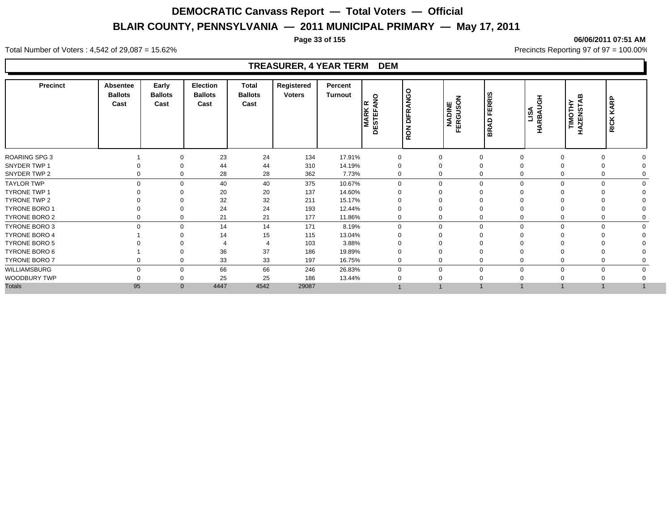**Page 33 of 155 06/06/2011 07:51 AM**

#### Total Number of Voters : 4,542 of 29,087 = 15.62% Precincts Reporting 97 of 97 = 100.00%

#### **TREASURER, 4 YEAR TERM DEM**

| <b>Precinct</b><br><b>Absentee</b><br><b>Ballots</b><br>Cast |             | Early<br><b>Ballots</b><br>Cast | <b>Election</b><br><b>Ballots</b><br>Cast | <b>Total</b><br><b>Ballots</b><br>Cast | Registered<br><b>Voters</b> | Percent<br>Turnout | $\circ$<br>l≃<br><b>MARK<br/>DESTEFA</b> | <b>DIFRANGO</b><br><b>RON</b> | <b>NADINE</b><br>FERGUSON | <b>FERRIS</b><br>$\Omega$<br>ৰ<br>옶 | $rac{1}{2}$<br><b>LISA</b><br>ARBAU<br>H | <b>TIMOTHY<br/>HAZENSTAB</b> | KARP<br><b>RICK</b>     |  |
|--------------------------------------------------------------|-------------|---------------------------------|-------------------------------------------|----------------------------------------|-----------------------------|--------------------|------------------------------------------|-------------------------------|---------------------------|-------------------------------------|------------------------------------------|------------------------------|-------------------------|--|
| <b>ROARING SPG 3</b>                                         |             | $\Omega$                        | 23                                        | 24                                     | 134                         | 17.91%             | $\mathbf 0$                              |                               | $\mathbf 0$               | $\mathbf 0$                         | $\Omega$                                 |                              | $\Omega$                |  |
| SNYDER TWP 1                                                 |             | $\Omega$                        | 44                                        | 44                                     | 310                         | 14.19%             | 0                                        | 0                             |                           | $\Omega$                            |                                          |                              | $\Omega$                |  |
| SNYDER TWP 2                                                 | 0           | $\mathbf 0$                     | 28                                        | 28                                     | 362                         | 7.73%              | 0                                        |                               | 0                         | $\Omega$                            | $\Omega$                                 |                              | $\Omega$                |  |
| <b>TAYLOR TWP</b>                                            | $\Omega$    | $\Omega$                        | 40                                        | 40                                     | 375                         | 10.67%             | $\Omega$                                 |                               | $\mathbf 0$               | $\Omega$<br>$\Omega$                |                                          | $\Omega$                     | $\Omega$                |  |
| <b>TYRONE TWP 1</b>                                          |             | $\Omega$                        | 20                                        | 20                                     | 137                         | 14.60%             |                                          |                               | 0                         |                                     |                                          |                              |                         |  |
| TYRONE TWP 2                                                 |             | $\Omega$                        | 32                                        | 32                                     | 211                         | 15.17%             |                                          |                               | 0                         | $\Omega$                            |                                          |                              |                         |  |
| <b>TYRONE BORO 1</b>                                         |             | $\Omega$                        | 24                                        | 24                                     | 193                         | 12.44%             |                                          | 0                             |                           | $\Omega$                            |                                          |                              |                         |  |
| TYRONE BORO 2                                                |             | $\Omega$                        | 21                                        | 21                                     | 177                         | 11.86%             | 0                                        |                               | 0                         | $\mathbf 0$                         |                                          |                              | 0                       |  |
| TYRONE BORO 3                                                | $\mathbf 0$ | $\mathbf 0$                     | 14                                        | 14                                     | 171                         | 8.19%              | $\Omega$                                 |                               | 0                         | $\mathbf 0$<br>$\Omega$             |                                          | $\mathbf 0$                  | $\mathbf 0$<br>$\Omega$ |  |
| <b>TYRONE BORO 4</b>                                         |             | $\Omega$                        | 14                                        | 15                                     | 115                         | 13.04%             |                                          | $\Omega$                      |                           | $\Omega$                            |                                          |                              |                         |  |
| <b>TYRONE BORO 5</b>                                         |             |                                 |                                           |                                        | 103                         | 3.88%              |                                          |                               |                           |                                     |                                          |                              |                         |  |
| TYRONE BORO 6                                                |             | $\Omega$                        | 36                                        | 37                                     | 186                         | 19.89%             |                                          |                               | $\Omega$                  | $\Omega$                            |                                          |                              | $\Omega$                |  |
| TYRONE BORO 7                                                |             | $\mathbf 0$                     | 33                                        | 33                                     | 197                         | 16.75%             | $\Omega$                                 |                               | 0                         | $\Omega$                            |                                          |                              | $\Omega$                |  |
| <b>WILLIAMSBURG</b>                                          | $\Omega$    | $\Omega$                        | 66                                        | 66                                     | 246                         | 26.83%             | $\Omega$                                 |                               | $\mathbf 0$               | $\Omega$                            | $\Omega$                                 |                              | $\Omega$                |  |
| WOODBURY TWP                                                 |             | $\Omega$                        | 25                                        | 25                                     | 186                         | 13.44%             |                                          |                               |                           |                                     |                                          |                              |                         |  |
| <b>Totals</b>                                                | 95          | $\Omega$                        | 4447                                      | 4542                                   | 29087                       |                    |                                          |                               |                           |                                     |                                          |                              |                         |  |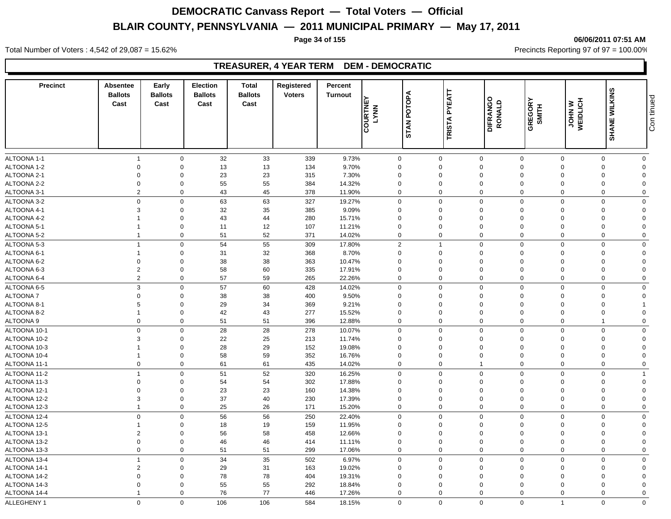**Page 34 of 155 06/06/2011 07:51 AM**

Total Number of Voters : 4,542 of 29,087 = 15.62% Precincts Reporting 97 of 97 = 100.00%

### **TREASURER, 4 YEAR TERM DEM - DEMOCRATIC**

| <b>Precinct</b>              | Absentee<br><b>Ballots</b><br>Cast | Early<br><b>Ballots</b><br>Cast | <b>Election</b><br><b>Ballots</b><br>Cast | <b>Total</b><br><b>Ballots</b><br>Cast | Registered<br><b>Voters</b> | Percent<br><b>Turnout</b> |                         | POTOPA      | <b>PYEATT</b>              | DIFRANGO<br>RONALD         |                         | <b>JOHN W</b><br>WEIDLICH |               | Con tinued              |
|------------------------------|------------------------------------|---------------------------------|-------------------------------------------|----------------------------------------|-----------------------------|---------------------------|-------------------------|-------------|----------------------------|----------------------------|-------------------------|---------------------------|---------------|-------------------------|
|                              |                                    |                                 |                                           |                                        |                             |                           | COURTNE<br><b>LYNN</b>  | <b>STAN</b> | <b>TRISTA</b>              |                            | GREGORY<br>SMITH        |                           | SHANE WILKINS |                         |
| ALTOONA 1-1                  | $\overline{1}$                     | $\mathbf 0$                     | 32                                        | 33                                     | 339                         | 9.73%                     | $\mathbf{0}$            |             | $\mathsf 0$                | $\mathbf 0$                | $\overline{0}$          | $\mathbf 0$               | $\mathbf{0}$  | $\mathbf 0$             |
| ALTOONA 1-2                  | $\mathbf 0$                        | $\mathbf 0$                     | 13                                        | $13$                                   | 134                         | 9.70%                     | $\Omega$                |             | $\mathbf 0$                | $\mathbf 0$                | $\Omega$                | $\Omega$                  | $\Omega$      | $\Omega$                |
| ALTOONA 2-1                  | $\mathbf 0$                        | $\Omega$                        | 23                                        | 23                                     | 315                         | 7.30%                     | $\mathbf 0$             |             | $\mathbf 0$                | $\mathbf 0$                | $\mathbf 0$             | $\Omega$                  | $\Omega$      | $\Omega$                |
| ALTOONA 2-2                  | $\mathbf 0$                        | $\mathbf 0$                     | 55                                        | 55                                     | 384                         | 14.32%                    | $\mathbf 0$             |             | $\mathbf 0$                | $\mathbf 0$                | $\mathbf 0$             | $\Omega$                  | $\Omega$      | $\Omega$                |
| ALTOONA 3-1                  | $\overline{2}$                     | $\mathbf 0$                     | 43                                        | 45                                     | 378                         | 11.90%                    | 0                       |             | $\mathbf 0$                | $\mathbf 0$                | $\mathbf 0$             | $\Omega$                  | $\Omega$      | $\Omega$                |
| ALTOONA 3-2                  | $\mathbf 0$                        | $\mathsf 0$                     | 63                                        | 63                                     | 327                         | 19.27%                    | $\mathbf 0$             |             | $\mathbf 0$                | $\mathbf 0$                | $\mathbf 0$             | $\Omega$                  | $\Omega$      | $\mathbf 0$             |
| ALTOONA 4-1                  | $\mathbf{3}$                       | $\mathbf 0$                     | 32                                        | 35                                     | 385                         | 9.09%                     | $\mathbf 0$             |             | $\mathbf 0$                | $\mathbf 0$                | $\mathbf 0$             | $\Omega$                  | $\Omega$      | $\mathbf 0$             |
| ALTOONA 4-2                  |                                    | $\Omega$                        | 43                                        | 44                                     | 280                         | 15.71%                    | $\mathbf 0$             |             | $\Omega$                   | $\mathbf 0$                | $\mathbf 0$             | $\Omega$                  | $\Omega$      | $\Omega$                |
| ALTOONA 5-1                  |                                    | $\mathbf 0$                     | 11                                        | 12                                     | 107                         | 11.21%                    | $\mathbf 0$             |             | $\mathbf 0$                | $\mathbf 0$                | $\mathbf 0$             | $\Omega$                  | $\Omega$      | $\Omega$                |
| ALTOONA 5-2                  | $\overline{1}$                     | $\mathbf 0$                     | 51                                        | 52                                     | 371                         | 14.02%                    | $\Omega$                |             | $\Omega$                   | $\mathbf 0$                | $\mathbf 0$             | $\mathbf 0$               | $\Omega$      | $\mathbf 0$             |
| ALTOONA 5-3                  | $\overline{1}$                     | $\mathbf 0$                     | 54                                        | 55                                     | 309                         | 17.80%                    | $\overline{2}$          |             | $\overline{1}$             | $\mathbf 0$                | $\mathbf 0$             | $\mathbf 0$               | $\Omega$      | $\mathbf 0$             |
| ALTOONA 6-1                  | $\overline{1}$                     | $\mathbf 0$                     | 31                                        | 32                                     | 368                         | 8.70%                     | $\mathbf 0$             |             | $\mathbf 0$                | $\mathbf 0$                | $\mathbf 0$             | $\Omega$                  | $\Omega$      | $\mathbf 0$             |
| ALTOONA 6-2                  | $\mathbf 0$                        | $\mathbf 0$                     | 38                                        | 38                                     | 363                         | 10.47%                    | $\mathbf 0$             |             | $\mathbf 0$                | $\mathbf 0$                | $\Omega$                | $\Omega$                  | $\Omega$      | $\Omega$                |
| ALTOONA 6-3                  | $\overline{2}$                     | $\mathbf 0$                     | 58                                        | 60                                     | 335                         | 17.91%                    | $\Omega$                |             | $\Omega$                   | $\mathbf 0$                | $\mathbf 0$             | $\Omega$                  | $\Omega$      | $\Omega$                |
| ALTOONA 6-4                  | $\overline{2}$                     | $\mathbf 0$                     | 57                                        | 59                                     | 265                         | 22.26%                    | 0                       |             | $\mathbf 0$                | $\mathbf 0$                | $\Omega$                | $\Omega$                  | $\Omega$      | $\mathbf 0$             |
| ALTOONA 6-5                  | $\mathbf{3}$                       | $\mathbf 0$                     | 57                                        | 60                                     | 428                         | 14.02%                    | $\mathbf 0$             |             | $\mathbf 0$                | $\mathsf 0$                | $\mathbf 0$             | $\Omega$                  | $\mathbf 0$   | $\mathbf 0$             |
| ALTOONA 7                    | $\overline{0}$                     | $\Omega$                        | 38                                        | 38                                     | 400                         | 9.50%                     | $\mathbf 0$             |             | $\mathbf 0$                | $\mathbf 0$                | $\Omega$                | $\Omega$                  | $\Omega$      | $\Omega$                |
| ALTOONA 8-1                  | 5                                  | $\Omega$                        | 29                                        | 34                                     | 369                         | 9.21%                     | $\Omega$                |             | $\Omega$                   | $\mathbf 0$                | $\Omega$                | $\Omega$                  | $\Omega$      |                         |
| ALTOONA 8-2                  | $\overline{1}$                     | $\mathbf 0$                     | 42                                        | 43                                     | 277                         | 15.52%                    | $\mathbf 0$             |             | $\mathbf 0$                | $\pmb{0}$                  | $\overline{0}$          | $\Omega$                  | $\Omega$      | $\Omega$                |
| ALTOONA 9                    | $\mathbf 0$                        | $\mathbf 0$                     | 51                                        | 51                                     | 396                         | 12.88%                    | $\mathbf 0$             |             | $\mathbf 0$                | $\mathbf 0$                | $\mathbf 0$             | $\Omega$                  | $\mathbf 1$   | $\mathbf 0$             |
| ALTOONA 10-1                 | $\mathbf 0$                        | $\mathbf 0$                     | 28                                        | 28                                     | 278                         | 10.07%                    | 0                       |             | $\mathbf 0$                | $\mathsf 0$                | $\mathbf 0$             | $\Omega$                  | $\Omega$      | $\mathbf 0$             |
| ALTOONA 10-2                 | 3                                  | $\mathbf 0$                     | 22                                        | 25                                     | 213                         | 11.74%                    | $\Omega$                |             | $\Omega$                   | $\mathbf 0$                | $\Omega$                | $\Omega$                  | $\Omega$      | $\Omega$                |
| ALTOONA 10-3                 |                                    | $\mathbf 0$                     | 28                                        | 29                                     | 152                         | 19.08%                    | $\mathbf 0$             |             | $\mathbf 0$                | $\mathbf 0$                | $\mathbf 0$             | $\Omega$                  | $\Omega$      | $\Omega$                |
| ALTOONA 10-4                 | $\overline{1}$                     | $\mathbf 0$                     | 58                                        | 59                                     | 352                         | 16.76%                    | $\Omega$                |             | 0                          | $\mathbf 0$                | $\mathbf 0$             | $\Omega$                  | $\Omega$      | $\mathbf 0$             |
| ALTOONA 11-1                 | $\mathbf 0$                        | $\mathbf 0$                     | 61                                        | 61                                     | 435                         | 14.02%                    | $\mathbf 0$             |             | $\boldsymbol{0}$           | $\overline{1}$             | $\mathbf 0$             | $\Omega$                  | $\Omega$      | $\mathbf 0$             |
| ALTOONA 11-2                 | $\overline{1}$                     | $\mathbf 0$                     | 51                                        | 52                                     | 320                         | 16.25%                    | $\Omega$                |             | $\Omega$                   | $\mathbf 0$                | $\Omega$                | $\Omega$                  | $\Omega$      | $\overline{1}$          |
| ALTOONA 11-3                 | $\mathbf 0$                        | $\mathbf 0$                     | 54                                        | 54                                     | 302                         | 17.88%                    | $\mathbf 0$             |             | $\mathbf 0$                | $\mathbf 0$                | $\Omega$                | $\Omega$                  | $\Omega$      | $\Omega$                |
| ALTOONA 12-1                 | $\mathbf 0$                        | $\mathbf 0$                     | 23                                        | 23                                     | 160                         | 14.38%                    | $\Omega$                |             | $\Omega$                   | $\mathbf 0$                | $\Omega$                | $\Omega$                  | $\Omega$      | $\Omega$                |
| ALTOONA 12-2                 | $\mathbf{3}$                       | $\mathbf 0$                     | 37                                        | 40                                     | 230                         | 17.39%                    | $\mathbf 0$             |             | $\mathbf 0$                | $\pmb{0}$                  | $\overline{0}$          | $\Omega$                  | $\Omega$      | $\Omega$                |
| ALTOONA 12-3                 | $\overline{1}$                     | $\mathbf 0$                     | 25                                        | 26                                     | 171                         | 15.20%                    | $\Omega$                |             | $\mathbf 0$                | $\mathbf 0$                | $\mathbf 0$             | $\mathbf 0$               | $\Omega$      | $\mathbf 0$             |
| ALTOONA 12-4                 | $\mathbf 0$                        | $\mathbf 0$                     | 56                                        | 56                                     | 250                         | 22.40%                    | $\mathsf{O}$            |             | $\mathbf 0$                | $\mathbf 0$                | $\overline{0}$          | $\Omega$                  | $\Omega$      | $\mathbf 0$             |
| ALTOONA 12-5                 | $\overline{1}$                     | $\mathbf 0$                     | 18                                        | 19                                     | 159                         | 11.95%                    | $\Omega$                |             | $\Omega$                   | $\mathbf 0$                | $\Omega$                | $\Omega$                  | $\Omega$      | $\mathbf 0$             |
| ALTOONA 13-1                 | $\overline{2}$                     | $\mathbf 0$                     | 56                                        | 58                                     | 458                         | 12.66%                    | $\mathbf 0$             |             | 0                          | $\mathbf 0$                | $\mathbf 0$             | $\Omega$                  | $\Omega$      | $\mathbf 0$             |
| ALTOONA 13-2                 | $\mathbf 0$                        | $\mathbf 0$                     | 46                                        | 46                                     | 414                         | 11.11%                    | $\mathbf 0$             |             | $\mathbf 0$                | $\mathbf 0$                | $\mathbf 0$             | $\Omega$                  | $\mathbf 0$   | $\overline{0}$          |
| ALTOONA 13-3                 | $\mathbf 0$                        | $\mathbf 0$                     | 51                                        | 51                                     | 299                         | 17.06%                    | 0                       |             | $\mathbf 0$                | $\mathbf 0$                | $\mathbf 0$             | $\mathbf 0$               | $\mathbf 0$   | $\mathbf 0$             |
|                              | $\overline{1}$                     | $\mathbf 0$                     |                                           | 35                                     |                             |                           | $\mathbf 0$             |             | $\mathbf 0$                | $\mathbf 0$                | $\mathbf 0$             | $\Omega$                  | $\mathbf 0$   |                         |
| ALTOONA 13-4                 |                                    |                                 | 34                                        |                                        | 502                         | 6.97%                     |                         |             |                            |                            |                         | $\Omega$                  | $\Omega$      | $\mathbf 0$<br>$\Omega$ |
| ALTOONA 14-1<br>ALTOONA 14-2 | $\overline{2}$<br>$\mathbf 0$      | $\mathbf 0$<br>$\mathbf 0$      | 29                                        | 31<br>78                               | 163                         | 19.02%                    | $\mathbf 0$<br>$\Omega$ |             | $\mathbf 0$<br>$\mathbf 0$ | $\mathbf 0$<br>$\mathbf 0$ | $\mathbf 0$<br>$\Omega$ | $\Omega$                  | $\Omega$      | $\Omega$                |
| ALTOONA 14-3                 | $\mathbf 0$                        | $\mathbf 0$                     | 78                                        | 55                                     | 404<br>292                  | 19.31%                    | $\mathbf 0$             |             | $\mathbf 0$                | $\mathbf 0$                | $\Omega$                | $\Omega$                  | $\Omega$      | $\Omega$                |
| ALTOONA 14-4                 | $\overline{1}$                     | $\mathbf 0$                     | 55<br>76                                  | 77                                     | 446                         | 18.84%<br>17.26%          | $\mathbf 0$             |             | $\mathbf 0$                | $\mathbf 0$                | $\Omega$                | $\Omega$                  | $\Omega$      | $\mathbf 0$             |
|                              |                                    |                                 |                                           |                                        |                             |                           |                         |             |                            |                            |                         |                           |               |                         |
| ALLEGHENY 1                  | $\Omega$                           | $\Omega$                        | 106                                       | 106                                    | 584                         | 18.15%                    | $\Omega$                |             | $\mathbf 0$                | $\mathbf 0$                | $\Omega$                | $\mathbf{1}$              | $\Omega$      | $\mathbf 0$             |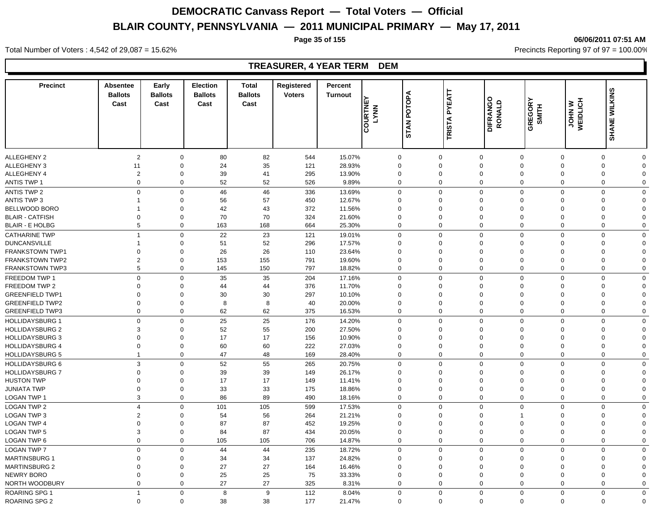**Page 35 of 155 06/06/2011 07:51 AM**

#### **Precinct Absentee Ballots Cast Cast Early Ballots Election Ballots**  Cast **Cast Total Registered Ballots Cast**<br>
Cast<br>
Cast<br>
COURTNEY<br>
COURTNEY<br>
COURTNEY<br>
COURTNEY<br>
COURTNEY<br>
COURTNEY<br>
COURTNEY<br>
COURTNEY<br>
COURTNEY<br>
COURTNEY<br>
COURTNEY<br>
COURTNEY<br>
COURTNEY<br>
COURTNEY<br>
COURTNEY<br>
COURTNEY<br>
COURTNEY<br>
COURTNEY<br>
COURTNEY<br>
COURTNEY<br>
CO **Turnout Percent COURTNEY<br>LYNN<br>STAN POTOPA<br>TRISTA PYEATT** ALLEGHENY 2 2 0 80 82 544 15.07% 0 0 0 0 0 0 0 ALLEGHENY 3 11 0 24 35 121 28.93% 0 0 0 0 0 0 0 ALLEGHENY 4 2 0 39 41 295 13.90% 0 0 0 0 0 0 0 ANTIS TWP 1 0 0 52 52 526 9.89% 0 0 0 0 0 0 0 ANTIS TWP 2 0 46 46 336 13.69% 0 0 0 0 0 0 ANTIS TWP 3 1 0 56 57 450 12.67% 0 0 0 0 0 0 0 BELLWOOD BORO 1 0 42 43 372 11.56% 0 0 0 0 0 0 0 BLAIR - CATFISH 0 0 70 70 324 21.60% 0 0 0 0 0 0 0 BLAIR - E HOLBG 5 0 163 168 664 25.30% 0 0 0 0 0 0 CATHARINE TWP 1 0 22 23 121 19.01% 0 0 0 0 0 0 0 DUNCANSVILLE 1 0 51 52 296 17.57% 0 0 0 0 0 0 0 FRANKSTOWN TWP1 0 0 26 26 110 23.64% 0 0 0 0 0 0 0 FRANKSTOWN TWP2 2 0 153 155 791 19.60% 0 0 0 0 0 0 FRANKSTOWN TWP3 5 0 145 150 797 18.82% 0 0 0 0 0 0 FREEDOM TWP 1 0 0 35 35 204 17.16% 0 0 0 0 0 0 0 FREEDOM TWP 2 0 0 44 44 376 11.70% 0 0 0 0 0 0 GREENFIELD TWP1 0 0 30 30 297 10.10% 0 0 0 0 0 0 0 GREENFIELD TWP2 0 0 8 8 40 20.00% 0 0 0 0 0 0 0 GREENFIELD TWP3 0 0 62 62 375 16.53% 0 0 0 0 0 0 0 HOLLIDAYSBURG 1 0 0 25 25 176 14.20% 0 0 0 0 0 0 HOLLIDAYSBURG 2 3 0 52 55 200 27.50% 0 0 0 0 0 0 HOLLIDAYSBURG 3 0 0 17 156 10.90% 0 0 0 0 0 0 HOLLIDAYSBURG 4 0 0 60 60 222 27.03% 0 0 0 0 0 0 HOLLIDAYSBURG 5 1 0 47 48 169 28.40% 0 0 0 0 0 0 0 HOLLIDAYSBURG 6 3 0 52 55 265 20.75% 0 0 0 0 0 0 0 HOLLIDAYSBURG 7 0 0 39 39 149 26.17% 0 0 0 0 0 0 0 HUSTON TWP 0 0 17 149 11.41% 0 0 0 0 0 0 JUNIATA TWP 0 0 33 33 175 18.86% 0 0 0 0 0 0 LOGAN TWP 1 3 0 86 89 490 18.16% 0 0 0 0 0 0 0 LOGAN TWP 2 4 0 101 105 599 17.53% 0 0 0 0 0 0 0 LOGAN TWP 3 2 0 54 56 264 21.21% 0 0 0 1 0 0 0 0 LOGAN TWP 4 0 0 87 87 452 19.25% 0 0 0 0 0 0 0 LOGAN TWP 5 3 0 84 87 434 20.05% 0 0 0 0 0 0 0 LOGAN TWP 6 0 0 105 105 706 14.87% 0 0 0 0 0 0 0 LOGAN TWP 7 0 0 44 44 235 18.72% 0 0 0 0 0 0 0 MARTINSBURG 1 0 0 34 34 137 24.82% 0 0 0 0 0 0 0 MARTINSBURG 2 0 0 27 164 16.46% 0 0 0 0 0 NEWRY BORO 0 0 25 25 75 33.33% 0 0 0 0 0 0 0 NORTH WOODBURY 0 0 27 27 325 8.31% 0 0 0 0 0 0 0

ROARING SPG 1 1 0 8 9 112 8.04% 0 0 0 0 0 0 0

ROARING SPG 2 0 0 38 38 177 21.47% 0 0 0 0 0 0 0

Total Number of Voters : 4,542 of 29,087 = 15.62% Precincts Reporting 97 of 97 = 100.00%

### **TREASURER, 4 YEAR TERM DEM**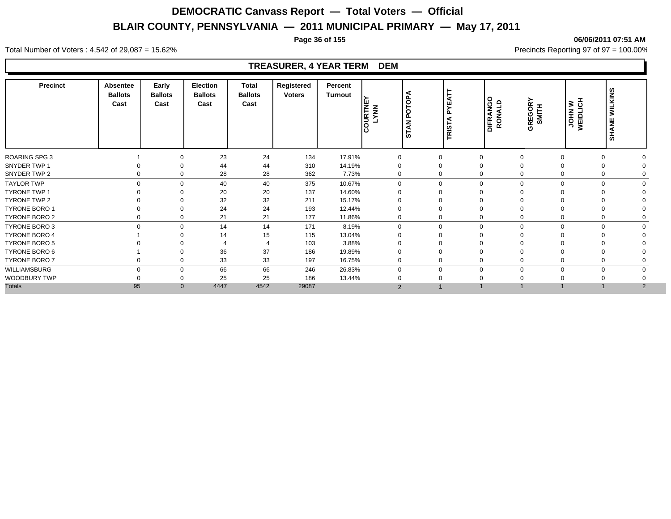#### **Page 36 of 155 06/06/2011 07:51 AM**

Total Number of Voters : 4,542 of 29,087 = 15.62% Precincts Reporting 97 of 97 = 100.00%

#### **TREASURER, 4 YEAR TERM DEM**

| <b>Precinct</b>      | Absentee<br><b>Ballots</b><br>Cast | Early<br><b>Ballots</b><br>Cast | Election<br><b>Ballots</b><br>Cast | <b>Total</b><br><b>Ballots</b><br>Cast | Registered<br><b>Voters</b> | Percent<br>Turnout | <b>COURTNE</b> | ⋖<br>POTOP<br><b>STAN</b> | YEATT<br>௨<br>⋖<br>$\overline{\text{TRIST}}$ | <b>DIFRANGO</b><br>RONALD | <b>GREGORY</b><br>SMITH | <b>JOHN W</b><br>WEIDLICH | <b>WILKINS</b><br><b>SHANE</b> |  |
|----------------------|------------------------------------|---------------------------------|------------------------------------|----------------------------------------|-----------------------------|--------------------|----------------|---------------------------|----------------------------------------------|---------------------------|-------------------------|---------------------------|--------------------------------|--|
| <b>ROARING SPG 3</b> |                                    | $\Omega$                        | 23                                 | 24                                     | 134                         | 17.91%             | $\mathbf 0$    |                           | 0                                            | $\mathbf{0}$              | $\Omega$                |                           | 0                              |  |
| SNYDER TWP 1         |                                    | $\Omega$                        | 44                                 | 44                                     | 310                         | 14.19%             | 0              |                           | 0                                            | $\mathbf 0$               | $\Omega$                |                           | $\Omega$                       |  |
| SNYDER TWP 2         | $\Omega$                           | $\Omega$                        | 28                                 | 28                                     | 362                         | 7.73%              | $\Omega$       |                           | 0                                            | $\Omega$                  | $\Omega$                |                           | $\Omega$                       |  |
| <b>TAYLOR TWP</b>    |                                    | $\Omega$<br>$\Omega$            | 40                                 | 40                                     | 375                         | 10.67%             | $\Omega$       |                           | $\mathbf 0$                                  | $\mathbf 0$<br>$\Omega$   | $\Omega$                |                           | $\Omega$                       |  |
| <b>TYRONE TWP 1</b>  |                                    | ∩                               | 20                                 | 20                                     | 137                         | 14.60%             |                |                           | 0                                            | $\Omega$                  |                         |                           |                                |  |
| TYRONE TWP 2         |                                    | $\Omega$                        | 32                                 | 32                                     | 211                         | 15.17%             |                |                           | 0                                            | $\Omega$                  |                         |                           |                                |  |
| <b>TYRONE BORO 1</b> |                                    | $\Omega$                        | 24                                 | 24                                     | 193                         | 12.44%             |                |                           | 0                                            | $\mathbf 0$               |                         |                           |                                |  |
| TYRONE BORO 2        |                                    | 0                               | 21                                 | 21                                     | 177                         | 11.86%             | $\mathbf 0$    |                           | 0                                            | $\mathbf 0$               |                         |                           |                                |  |
| TYRONE BORO 3        | $\Omega$                           | $\Omega$                        | 14                                 | 14                                     | 171                         | 8.19%              | $\Omega$       |                           | $\mathbf 0$                                  | $\mathbf 0$<br>$\Omega$   | $\Omega$                |                           | $\Omega$<br>$\Omega$           |  |
| <b>TYRONE BORO 4</b> |                                    | $\Omega$                        | 14                                 | 15                                     | 115                         | 13.04%             |                |                           | $\mathbf 0$                                  | $\mathbf 0$               |                         |                           |                                |  |
| TYRONE BORO 5        |                                    |                                 |                                    |                                        | 103                         | 3.88%              |                |                           |                                              | $\mathbf 0$               |                         |                           |                                |  |
| TYRONE BORO 6        |                                    | $\Omega$                        | 36                                 | 37                                     | 186                         | 19.89%             |                |                           | 0                                            | $\mathbf 0$               |                         |                           |                                |  |
| TYRONE BORO 7        |                                    | $\Omega$                        | 33                                 | 33                                     | 197                         | 16.75%             | $\mathbf 0$    |                           | 0                                            | $\mathbf{0}$              | $\Omega$                |                           | $\Omega$                       |  |
| WILLIAMSBURG         | $\Omega$                           | $\mathbf 0$                     | 66                                 | 66                                     | 246                         | 26.83%             | $\mathbf 0$    |                           | 0                                            | $\mathbf 0$<br>$\Omega$   | $\Omega$                |                           | $\mathbf 0$<br>$\Omega$        |  |
| WOODBURY TWP         |                                    | $\Omega$                        | 25                                 | 25                                     | 186                         | 13.44%             |                |                           | 0                                            | $\mathbf 0$               |                         |                           |                                |  |
| <b>Totals</b>        | 95                                 | $\mathbf{0}$                    | 4447                               | 4542                                   | 29087                       |                    | 2              |                           |                                              |                           |                         |                           | 2                              |  |
|                      |                                    |                                 |                                    |                                        |                             |                    |                |                           |                                              |                           |                         |                           |                                |  |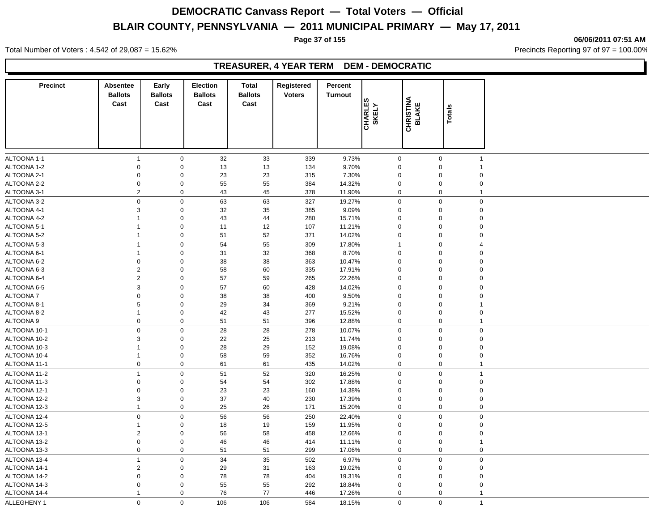**Page 37 of 155 06/06/2011 07:51 AM**

Total Number of Voters : 4,542 of 29,087 = 15.62% Precincts Reporting 97 of 97 = 100.00%

#### **TREASURER, 4 YEAR TERM DEM - DEMOCRATIC**

| 32<br>33<br>9.73%<br>$\mathbf 0$<br>339<br>$\mathbf 0$<br>$\mathbf 0$<br>$\mathbf{1}$<br>$\mathbf{1}$<br>ALTOONA 1-2<br>9.70%<br>$\mathbf 0$<br>$\mathbf 0$<br>13<br>13<br>134<br>$\mathbf 0$<br>$\mathbf 0$<br>ALTOONA 2-1<br>$\mathbf 0$<br>23<br>23<br>315<br>$\mathbf 0$<br>7.30%<br>$\Omega$<br>$\mathbf 0$<br>$\Omega$<br>ALTOONA 2-2<br>$\mathbf 0$<br>$\mathbf 0$<br>55<br>55<br>384<br>14.32%<br>$\pmb{0}$<br>$\Omega$<br>$\Omega$<br>ALTOONA 3-1<br>$\overline{2}$<br>$\mathbf 0$<br>43<br>45<br>378<br>11.90%<br>$\mathbf 0$<br>$\pmb{0}$<br>$\overline{1}$<br>63<br>0<br>$\mathbf 0$<br>63<br>327<br>19.27%<br>$\boldsymbol{0}$<br>$\mathbf 0$<br>$\Omega$<br>3<br>$\mathbf 0$<br>32<br>385<br>9.09%<br>35<br>$\mathbf 0$<br>$\mathbf 0$<br>$\mathbf 0$<br>$\mathbf 0$<br>280<br>43<br>44<br>15.71%<br>$\Omega$<br>$\mathbf 0$<br>$\Omega$<br>1<br>$\mathbf 0$<br>11<br>12<br>107<br>11.21%<br>$\pmb{0}$<br>$\mathbf 0$<br>$\mathbf 0$<br>$\mathbf 1$<br>$\mathbf 0$<br>51<br>52<br>371<br>14.02%<br>$\mathbf 0$<br>$\mathbf 0$<br>$\mathbf 0$<br>$\mathbf{1}$<br>$\overline{1}$<br>$\pmb{0}$<br>54<br>55<br>309<br>$\mathbf 0$<br>17.80%<br>$\overline{4}$<br>$\mathbf 1$<br>$\mathbf 0$<br>32<br>8.70%<br>31<br>368<br>$\mathbf 0$<br>$\mathbf{1}$<br>$\Omega$<br>$\Omega$<br>$\mathbf 0$<br>$\mathbf 0$<br>38<br>38<br>363<br>10.47%<br>$\mathbf 0$<br>$\mathbf 0$<br>$\mathbf 0$<br>$\overline{2}$<br>$\mathbf 0$<br>58<br>60<br>335<br>17.91%<br>$\mathbf 0$<br>$\pmb{0}$<br>$\Omega$<br>2<br>$\mathbf 0$<br>57<br>$\pmb{0}$<br>59<br>265<br>22.26%<br>$\mathbf 0$<br>$\mathbf 0$<br>$\mathbf{3}$<br>$\pmb{0}$<br>57<br>60<br>428<br>$\mathbf 0$<br>$\mathbf 0$<br>14.02%<br>$\mathbf 0$<br>$\mathbf 0$<br>$\mathsf 0$<br>38<br>38<br>9.50%<br>400<br>$\Omega$<br>$\mathbf 0$<br>$\Omega$<br>5<br>$\mathbf 0$<br>29<br>369<br>9.21%<br>$\mathbf 0$<br>34<br>$\Omega$<br>$\mathbf 0$<br>42<br>43<br>$\mathbf 0$<br>277<br>15.52%<br>$\mathbf 0$<br>$\mathbf 0$<br>$\mathbf 1$<br>$\mathsf 0$<br>51<br>$\pmb{0}$<br>$\mathbf 0$<br>51<br>396<br>12.88%<br>$\mathbf 0$<br>$\mathbf{1}$<br>ALTOONA 10-1<br>$\mathbf 0$<br>$\mathbf 0$<br>28<br>28<br>278<br>$\mathbf 0$<br>$\mathbf 0$<br>10.07%<br>$\mathbf 0$<br>3<br>$\mathbf 0$<br>22<br>25<br>213<br>$\mathbf 0$<br>ALTOONA 10-2<br>11.74%<br>$\mathbf 0$<br>$\Omega$<br>29<br>ALTOONA 10-3<br>$\mathbf 0$<br>28<br>152<br>19.08%<br>$\mathbf 0$<br>$\mathbf 0$<br>$\mathbf 1$<br>$\Omega$<br>$\mathbf 0$<br>ALTOONA 10-4<br>58<br>59<br>352<br>16.76%<br>$\mathbf 0$<br>$\mathbf{1}$<br>0<br>$\Omega$<br>$\mathbf 0$<br>$\mathbf 0$<br>61<br>61<br>$\mathbf 0$<br>ALTOONA 11-1<br>435<br>14.02%<br>$\mathbf 0$<br>$\mathbf{1}$<br>ALTOONA 11-2<br>$\overline{1}$<br>$\mathbf 0$<br>51<br>52<br>320<br>16.25%<br>$\mathbf 0$<br>$\mathbf 0$<br>$\overline{1}$<br>ALTOONA 11-3<br>$\mathsf 0$<br>$\mathbf 0$<br>54<br>54<br>302<br>17.88%<br>$\mathbf 0$<br>$\pmb{0}$<br>$\mathbf 0$<br>ALTOONA 12-1<br>$\mathbf 0$<br>$\mathbf 0$<br>23<br>23<br>160<br>14.38%<br>$\mathbf 0$<br>$\mathbf 0$<br>$\Omega$<br>$\mathbf 0$<br>ALTOONA 12-2<br>3<br>37<br>40<br>230<br>17.39%<br>$\mathbf 0$<br>0<br>$\Omega$<br>$\mathbf 0$<br>25<br>26<br>171<br>$\mathbf 0$<br>$\boldsymbol{0}$<br>ALTOONA 12-3<br>$\mathbf{1}$<br>15.20%<br>$\mathbf 0$<br>$\mathbf 0$<br>$\mathbf 0$<br>56<br>56<br>$\mathbf 0$<br>$\mathbf 0$<br>ALTOONA 12-4<br>250<br>22.40%<br>$\mathbf 0$<br>ALTOONA 12-5<br>$\mathbf 0$<br>18<br>19<br>159<br>11.95%<br>$\mathbf 0$<br>$\mathbf{1}$<br>$\mathbf 0$<br>$\Omega$<br>ALTOONA 13-1<br>2<br>$\mathbf 0$<br>56<br>58<br>458<br>12.66%<br>$\mathbf 0$<br>$\mathbf 0$<br>$\Omega$<br>$\mathsf{O}\xspace$<br>$\mathsf 0$<br>$\boldsymbol{0}$<br>ALTOONA 13-2<br>46<br>46<br>414<br>11.11%<br>$\mathbf 0$<br>-1<br>$\mathbf 0$<br>$\mathbf 0$<br>$\mathbf 0$<br>ALTOONA 13-3<br>51<br>51<br>299<br>17.06%<br>$\Omega$<br>$\mathbf 0$<br>ALTOONA 13-4<br>$\mathbf{1}$<br>$\mathbf 0$<br>34<br>35<br>502<br>6.97%<br>$\mathbf 0$<br>$\mathbf 0$<br>$\mathbf 0$<br>ALTOONA 14-1<br>2<br>$\mathbf 0$<br>29<br>31<br>163<br>19.02%<br>$\pmb{0}$<br>$\mathbf 0$<br>$\mathbf 0$<br>ALTOONA 14-2<br>$\mathbf 0$<br>$\mathbf 0$<br>78<br>78<br>404<br>$\mathbf 0$<br>19.31%<br>$\mathbf 0$<br>$\Omega$<br>ALTOONA 14-3<br>$\mathsf 0$<br>$\mathbf 0$<br>55<br>55<br>292<br>18.84%<br>$\Omega$<br>$\pmb{0}$<br>$\Omega$<br>ALTOONA 14-4<br>$\mathbf 0$<br>76<br>77<br>$\pmb{0}$<br>$\mathbf{1}$<br>446<br>17.26%<br>$\mathbf 0$<br>$\mathbf{1}$<br>$\mathbf 0$<br>$\mathbf 0$<br>$\Omega$<br>$\Omega$<br>$\mathbf{1}$ | <b>Precinct</b> | Absentee<br><b>Ballots</b><br>Cast | Early<br><b>Ballots</b><br>Cast | <b>Election</b><br><b>Ballots</b><br>Cast | <b>Total</b><br><b>Ballots</b><br>Cast | Registered<br><b>Voters</b> | Percent<br><b>Turnout</b> | <b>CHARLES</b><br>SKELY | <b>CHRISTINA</b><br>BLAKE | Totals |  |
|--------------------------------------------------------------------------------------------------------------------------------------------------------------------------------------------------------------------------------------------------------------------------------------------------------------------------------------------------------------------------------------------------------------------------------------------------------------------------------------------------------------------------------------------------------------------------------------------------------------------------------------------------------------------------------------------------------------------------------------------------------------------------------------------------------------------------------------------------------------------------------------------------------------------------------------------------------------------------------------------------------------------------------------------------------------------------------------------------------------------------------------------------------------------------------------------------------------------------------------------------------------------------------------------------------------------------------------------------------------------------------------------------------------------------------------------------------------------------------------------------------------------------------------------------------------------------------------------------------------------------------------------------------------------------------------------------------------------------------------------------------------------------------------------------------------------------------------------------------------------------------------------------------------------------------------------------------------------------------------------------------------------------------------------------------------------------------------------------------------------------------------------------------------------------------------------------------------------------------------------------------------------------------------------------------------------------------------------------------------------------------------------------------------------------------------------------------------------------------------------------------------------------------------------------------------------------------------------------------------------------------------------------------------------------------------------------------------------------------------------------------------------------------------------------------------------------------------------------------------------------------------------------------------------------------------------------------------------------------------------------------------------------------------------------------------------------------------------------------------------------------------------------------------------------------------------------------------------------------------------------------------------------------------------------------------------------------------------------------------------------------------------------------------------------------------------------------------------------------------------------------------------------------------------------------------------------------------------------------------------------------------------------------------------------------------------------------------------------------------------------------------------------------------------------------------------------------------------------------------------------------------------------------------------------------------------------------------------------------------------------------------------------------------------------------------------------------------------------------------------------------------------------------------------------------------------------------------------------------------------------------------------------------------------------------------------------------------------------------------------------------------------------------------------------------------------------------------------------------------------------------------------------------------------------------------------------------------------|-----------------|------------------------------------|---------------------------------|-------------------------------------------|----------------------------------------|-----------------------------|---------------------------|-------------------------|---------------------------|--------|--|
|                                                                                                                                                                                                                                                                                                                                                                                                                                                                                                                                                                                                                                                                                                                                                                                                                                                                                                                                                                                                                                                                                                                                                                                                                                                                                                                                                                                                                                                                                                                                                                                                                                                                                                                                                                                                                                                                                                                                                                                                                                                                                                                                                                                                                                                                                                                                                                                                                                                                                                                                                                                                                                                                                                                                                                                                                                                                                                                                                                                                                                                                                                                                                                                                                                                                                                                                                                                                                                                                                                                                                                                                                                                                                                                                                                                                                                                                                                                                                                                                                                                                                                                                                                                                                                                                                                                                                                                                                                                                                                                                                                                            |                 |                                    |                                 |                                           |                                        |                             |                           |                         |                           |        |  |
|                                                                                                                                                                                                                                                                                                                                                                                                                                                                                                                                                                                                                                                                                                                                                                                                                                                                                                                                                                                                                                                                                                                                                                                                                                                                                                                                                                                                                                                                                                                                                                                                                                                                                                                                                                                                                                                                                                                                                                                                                                                                                                                                                                                                                                                                                                                                                                                                                                                                                                                                                                                                                                                                                                                                                                                                                                                                                                                                                                                                                                                                                                                                                                                                                                                                                                                                                                                                                                                                                                                                                                                                                                                                                                                                                                                                                                                                                                                                                                                                                                                                                                                                                                                                                                                                                                                                                                                                                                                                                                                                                                                            | ALTOONA 1-1     |                                    |                                 |                                           |                                        |                             |                           |                         |                           |        |  |
|                                                                                                                                                                                                                                                                                                                                                                                                                                                                                                                                                                                                                                                                                                                                                                                                                                                                                                                                                                                                                                                                                                                                                                                                                                                                                                                                                                                                                                                                                                                                                                                                                                                                                                                                                                                                                                                                                                                                                                                                                                                                                                                                                                                                                                                                                                                                                                                                                                                                                                                                                                                                                                                                                                                                                                                                                                                                                                                                                                                                                                                                                                                                                                                                                                                                                                                                                                                                                                                                                                                                                                                                                                                                                                                                                                                                                                                                                                                                                                                                                                                                                                                                                                                                                                                                                                                                                                                                                                                                                                                                                                                            |                 |                                    |                                 |                                           |                                        |                             |                           |                         |                           |        |  |
|                                                                                                                                                                                                                                                                                                                                                                                                                                                                                                                                                                                                                                                                                                                                                                                                                                                                                                                                                                                                                                                                                                                                                                                                                                                                                                                                                                                                                                                                                                                                                                                                                                                                                                                                                                                                                                                                                                                                                                                                                                                                                                                                                                                                                                                                                                                                                                                                                                                                                                                                                                                                                                                                                                                                                                                                                                                                                                                                                                                                                                                                                                                                                                                                                                                                                                                                                                                                                                                                                                                                                                                                                                                                                                                                                                                                                                                                                                                                                                                                                                                                                                                                                                                                                                                                                                                                                                                                                                                                                                                                                                                            |                 |                                    |                                 |                                           |                                        |                             |                           |                         |                           |        |  |
|                                                                                                                                                                                                                                                                                                                                                                                                                                                                                                                                                                                                                                                                                                                                                                                                                                                                                                                                                                                                                                                                                                                                                                                                                                                                                                                                                                                                                                                                                                                                                                                                                                                                                                                                                                                                                                                                                                                                                                                                                                                                                                                                                                                                                                                                                                                                                                                                                                                                                                                                                                                                                                                                                                                                                                                                                                                                                                                                                                                                                                                                                                                                                                                                                                                                                                                                                                                                                                                                                                                                                                                                                                                                                                                                                                                                                                                                                                                                                                                                                                                                                                                                                                                                                                                                                                                                                                                                                                                                                                                                                                                            |                 |                                    |                                 |                                           |                                        |                             |                           |                         |                           |        |  |
|                                                                                                                                                                                                                                                                                                                                                                                                                                                                                                                                                                                                                                                                                                                                                                                                                                                                                                                                                                                                                                                                                                                                                                                                                                                                                                                                                                                                                                                                                                                                                                                                                                                                                                                                                                                                                                                                                                                                                                                                                                                                                                                                                                                                                                                                                                                                                                                                                                                                                                                                                                                                                                                                                                                                                                                                                                                                                                                                                                                                                                                                                                                                                                                                                                                                                                                                                                                                                                                                                                                                                                                                                                                                                                                                                                                                                                                                                                                                                                                                                                                                                                                                                                                                                                                                                                                                                                                                                                                                                                                                                                                            |                 |                                    |                                 |                                           |                                        |                             |                           |                         |                           |        |  |
|                                                                                                                                                                                                                                                                                                                                                                                                                                                                                                                                                                                                                                                                                                                                                                                                                                                                                                                                                                                                                                                                                                                                                                                                                                                                                                                                                                                                                                                                                                                                                                                                                                                                                                                                                                                                                                                                                                                                                                                                                                                                                                                                                                                                                                                                                                                                                                                                                                                                                                                                                                                                                                                                                                                                                                                                                                                                                                                                                                                                                                                                                                                                                                                                                                                                                                                                                                                                                                                                                                                                                                                                                                                                                                                                                                                                                                                                                                                                                                                                                                                                                                                                                                                                                                                                                                                                                                                                                                                                                                                                                                                            | ALTOONA 3-2     |                                    |                                 |                                           |                                        |                             |                           |                         |                           |        |  |
|                                                                                                                                                                                                                                                                                                                                                                                                                                                                                                                                                                                                                                                                                                                                                                                                                                                                                                                                                                                                                                                                                                                                                                                                                                                                                                                                                                                                                                                                                                                                                                                                                                                                                                                                                                                                                                                                                                                                                                                                                                                                                                                                                                                                                                                                                                                                                                                                                                                                                                                                                                                                                                                                                                                                                                                                                                                                                                                                                                                                                                                                                                                                                                                                                                                                                                                                                                                                                                                                                                                                                                                                                                                                                                                                                                                                                                                                                                                                                                                                                                                                                                                                                                                                                                                                                                                                                                                                                                                                                                                                                                                            | ALTOONA 4-1     |                                    |                                 |                                           |                                        |                             |                           |                         |                           |        |  |
|                                                                                                                                                                                                                                                                                                                                                                                                                                                                                                                                                                                                                                                                                                                                                                                                                                                                                                                                                                                                                                                                                                                                                                                                                                                                                                                                                                                                                                                                                                                                                                                                                                                                                                                                                                                                                                                                                                                                                                                                                                                                                                                                                                                                                                                                                                                                                                                                                                                                                                                                                                                                                                                                                                                                                                                                                                                                                                                                                                                                                                                                                                                                                                                                                                                                                                                                                                                                                                                                                                                                                                                                                                                                                                                                                                                                                                                                                                                                                                                                                                                                                                                                                                                                                                                                                                                                                                                                                                                                                                                                                                                            | ALTOONA 4-2     |                                    |                                 |                                           |                                        |                             |                           |                         |                           |        |  |
|                                                                                                                                                                                                                                                                                                                                                                                                                                                                                                                                                                                                                                                                                                                                                                                                                                                                                                                                                                                                                                                                                                                                                                                                                                                                                                                                                                                                                                                                                                                                                                                                                                                                                                                                                                                                                                                                                                                                                                                                                                                                                                                                                                                                                                                                                                                                                                                                                                                                                                                                                                                                                                                                                                                                                                                                                                                                                                                                                                                                                                                                                                                                                                                                                                                                                                                                                                                                                                                                                                                                                                                                                                                                                                                                                                                                                                                                                                                                                                                                                                                                                                                                                                                                                                                                                                                                                                                                                                                                                                                                                                                            | ALTOONA 5-1     |                                    |                                 |                                           |                                        |                             |                           |                         |                           |        |  |
|                                                                                                                                                                                                                                                                                                                                                                                                                                                                                                                                                                                                                                                                                                                                                                                                                                                                                                                                                                                                                                                                                                                                                                                                                                                                                                                                                                                                                                                                                                                                                                                                                                                                                                                                                                                                                                                                                                                                                                                                                                                                                                                                                                                                                                                                                                                                                                                                                                                                                                                                                                                                                                                                                                                                                                                                                                                                                                                                                                                                                                                                                                                                                                                                                                                                                                                                                                                                                                                                                                                                                                                                                                                                                                                                                                                                                                                                                                                                                                                                                                                                                                                                                                                                                                                                                                                                                                                                                                                                                                                                                                                            | ALTOONA 5-2     |                                    |                                 |                                           |                                        |                             |                           |                         |                           |        |  |
|                                                                                                                                                                                                                                                                                                                                                                                                                                                                                                                                                                                                                                                                                                                                                                                                                                                                                                                                                                                                                                                                                                                                                                                                                                                                                                                                                                                                                                                                                                                                                                                                                                                                                                                                                                                                                                                                                                                                                                                                                                                                                                                                                                                                                                                                                                                                                                                                                                                                                                                                                                                                                                                                                                                                                                                                                                                                                                                                                                                                                                                                                                                                                                                                                                                                                                                                                                                                                                                                                                                                                                                                                                                                                                                                                                                                                                                                                                                                                                                                                                                                                                                                                                                                                                                                                                                                                                                                                                                                                                                                                                                            | ALTOONA 5-3     |                                    |                                 |                                           |                                        |                             |                           |                         |                           |        |  |
|                                                                                                                                                                                                                                                                                                                                                                                                                                                                                                                                                                                                                                                                                                                                                                                                                                                                                                                                                                                                                                                                                                                                                                                                                                                                                                                                                                                                                                                                                                                                                                                                                                                                                                                                                                                                                                                                                                                                                                                                                                                                                                                                                                                                                                                                                                                                                                                                                                                                                                                                                                                                                                                                                                                                                                                                                                                                                                                                                                                                                                                                                                                                                                                                                                                                                                                                                                                                                                                                                                                                                                                                                                                                                                                                                                                                                                                                                                                                                                                                                                                                                                                                                                                                                                                                                                                                                                                                                                                                                                                                                                                            | ALTOONA 6-1     |                                    |                                 |                                           |                                        |                             |                           |                         |                           |        |  |
|                                                                                                                                                                                                                                                                                                                                                                                                                                                                                                                                                                                                                                                                                                                                                                                                                                                                                                                                                                                                                                                                                                                                                                                                                                                                                                                                                                                                                                                                                                                                                                                                                                                                                                                                                                                                                                                                                                                                                                                                                                                                                                                                                                                                                                                                                                                                                                                                                                                                                                                                                                                                                                                                                                                                                                                                                                                                                                                                                                                                                                                                                                                                                                                                                                                                                                                                                                                                                                                                                                                                                                                                                                                                                                                                                                                                                                                                                                                                                                                                                                                                                                                                                                                                                                                                                                                                                                                                                                                                                                                                                                                            | ALTOONA 6-2     |                                    |                                 |                                           |                                        |                             |                           |                         |                           |        |  |
|                                                                                                                                                                                                                                                                                                                                                                                                                                                                                                                                                                                                                                                                                                                                                                                                                                                                                                                                                                                                                                                                                                                                                                                                                                                                                                                                                                                                                                                                                                                                                                                                                                                                                                                                                                                                                                                                                                                                                                                                                                                                                                                                                                                                                                                                                                                                                                                                                                                                                                                                                                                                                                                                                                                                                                                                                                                                                                                                                                                                                                                                                                                                                                                                                                                                                                                                                                                                                                                                                                                                                                                                                                                                                                                                                                                                                                                                                                                                                                                                                                                                                                                                                                                                                                                                                                                                                                                                                                                                                                                                                                                            | ALTOONA 6-3     |                                    |                                 |                                           |                                        |                             |                           |                         |                           |        |  |
|                                                                                                                                                                                                                                                                                                                                                                                                                                                                                                                                                                                                                                                                                                                                                                                                                                                                                                                                                                                                                                                                                                                                                                                                                                                                                                                                                                                                                                                                                                                                                                                                                                                                                                                                                                                                                                                                                                                                                                                                                                                                                                                                                                                                                                                                                                                                                                                                                                                                                                                                                                                                                                                                                                                                                                                                                                                                                                                                                                                                                                                                                                                                                                                                                                                                                                                                                                                                                                                                                                                                                                                                                                                                                                                                                                                                                                                                                                                                                                                                                                                                                                                                                                                                                                                                                                                                                                                                                                                                                                                                                                                            | ALTOONA 6-4     |                                    |                                 |                                           |                                        |                             |                           |                         |                           |        |  |
|                                                                                                                                                                                                                                                                                                                                                                                                                                                                                                                                                                                                                                                                                                                                                                                                                                                                                                                                                                                                                                                                                                                                                                                                                                                                                                                                                                                                                                                                                                                                                                                                                                                                                                                                                                                                                                                                                                                                                                                                                                                                                                                                                                                                                                                                                                                                                                                                                                                                                                                                                                                                                                                                                                                                                                                                                                                                                                                                                                                                                                                                                                                                                                                                                                                                                                                                                                                                                                                                                                                                                                                                                                                                                                                                                                                                                                                                                                                                                                                                                                                                                                                                                                                                                                                                                                                                                                                                                                                                                                                                                                                            | ALTOONA 6-5     |                                    |                                 |                                           |                                        |                             |                           |                         |                           |        |  |
|                                                                                                                                                                                                                                                                                                                                                                                                                                                                                                                                                                                                                                                                                                                                                                                                                                                                                                                                                                                                                                                                                                                                                                                                                                                                                                                                                                                                                                                                                                                                                                                                                                                                                                                                                                                                                                                                                                                                                                                                                                                                                                                                                                                                                                                                                                                                                                                                                                                                                                                                                                                                                                                                                                                                                                                                                                                                                                                                                                                                                                                                                                                                                                                                                                                                                                                                                                                                                                                                                                                                                                                                                                                                                                                                                                                                                                                                                                                                                                                                                                                                                                                                                                                                                                                                                                                                                                                                                                                                                                                                                                                            | ALTOONA 7       |                                    |                                 |                                           |                                        |                             |                           |                         |                           |        |  |
|                                                                                                                                                                                                                                                                                                                                                                                                                                                                                                                                                                                                                                                                                                                                                                                                                                                                                                                                                                                                                                                                                                                                                                                                                                                                                                                                                                                                                                                                                                                                                                                                                                                                                                                                                                                                                                                                                                                                                                                                                                                                                                                                                                                                                                                                                                                                                                                                                                                                                                                                                                                                                                                                                                                                                                                                                                                                                                                                                                                                                                                                                                                                                                                                                                                                                                                                                                                                                                                                                                                                                                                                                                                                                                                                                                                                                                                                                                                                                                                                                                                                                                                                                                                                                                                                                                                                                                                                                                                                                                                                                                                            | ALTOONA 8-1     |                                    |                                 |                                           |                                        |                             |                           |                         |                           |        |  |
|                                                                                                                                                                                                                                                                                                                                                                                                                                                                                                                                                                                                                                                                                                                                                                                                                                                                                                                                                                                                                                                                                                                                                                                                                                                                                                                                                                                                                                                                                                                                                                                                                                                                                                                                                                                                                                                                                                                                                                                                                                                                                                                                                                                                                                                                                                                                                                                                                                                                                                                                                                                                                                                                                                                                                                                                                                                                                                                                                                                                                                                                                                                                                                                                                                                                                                                                                                                                                                                                                                                                                                                                                                                                                                                                                                                                                                                                                                                                                                                                                                                                                                                                                                                                                                                                                                                                                                                                                                                                                                                                                                                            | ALTOONA 8-2     |                                    |                                 |                                           |                                        |                             |                           |                         |                           |        |  |
|                                                                                                                                                                                                                                                                                                                                                                                                                                                                                                                                                                                                                                                                                                                                                                                                                                                                                                                                                                                                                                                                                                                                                                                                                                                                                                                                                                                                                                                                                                                                                                                                                                                                                                                                                                                                                                                                                                                                                                                                                                                                                                                                                                                                                                                                                                                                                                                                                                                                                                                                                                                                                                                                                                                                                                                                                                                                                                                                                                                                                                                                                                                                                                                                                                                                                                                                                                                                                                                                                                                                                                                                                                                                                                                                                                                                                                                                                                                                                                                                                                                                                                                                                                                                                                                                                                                                                                                                                                                                                                                                                                                            | ALTOONA 9       |                                    |                                 |                                           |                                        |                             |                           |                         |                           |        |  |
|                                                                                                                                                                                                                                                                                                                                                                                                                                                                                                                                                                                                                                                                                                                                                                                                                                                                                                                                                                                                                                                                                                                                                                                                                                                                                                                                                                                                                                                                                                                                                                                                                                                                                                                                                                                                                                                                                                                                                                                                                                                                                                                                                                                                                                                                                                                                                                                                                                                                                                                                                                                                                                                                                                                                                                                                                                                                                                                                                                                                                                                                                                                                                                                                                                                                                                                                                                                                                                                                                                                                                                                                                                                                                                                                                                                                                                                                                                                                                                                                                                                                                                                                                                                                                                                                                                                                                                                                                                                                                                                                                                                            |                 |                                    |                                 |                                           |                                        |                             |                           |                         |                           |        |  |
|                                                                                                                                                                                                                                                                                                                                                                                                                                                                                                                                                                                                                                                                                                                                                                                                                                                                                                                                                                                                                                                                                                                                                                                                                                                                                                                                                                                                                                                                                                                                                                                                                                                                                                                                                                                                                                                                                                                                                                                                                                                                                                                                                                                                                                                                                                                                                                                                                                                                                                                                                                                                                                                                                                                                                                                                                                                                                                                                                                                                                                                                                                                                                                                                                                                                                                                                                                                                                                                                                                                                                                                                                                                                                                                                                                                                                                                                                                                                                                                                                                                                                                                                                                                                                                                                                                                                                                                                                                                                                                                                                                                            |                 |                                    |                                 |                                           |                                        |                             |                           |                         |                           |        |  |
|                                                                                                                                                                                                                                                                                                                                                                                                                                                                                                                                                                                                                                                                                                                                                                                                                                                                                                                                                                                                                                                                                                                                                                                                                                                                                                                                                                                                                                                                                                                                                                                                                                                                                                                                                                                                                                                                                                                                                                                                                                                                                                                                                                                                                                                                                                                                                                                                                                                                                                                                                                                                                                                                                                                                                                                                                                                                                                                                                                                                                                                                                                                                                                                                                                                                                                                                                                                                                                                                                                                                                                                                                                                                                                                                                                                                                                                                                                                                                                                                                                                                                                                                                                                                                                                                                                                                                                                                                                                                                                                                                                                            |                 |                                    |                                 |                                           |                                        |                             |                           |                         |                           |        |  |
|                                                                                                                                                                                                                                                                                                                                                                                                                                                                                                                                                                                                                                                                                                                                                                                                                                                                                                                                                                                                                                                                                                                                                                                                                                                                                                                                                                                                                                                                                                                                                                                                                                                                                                                                                                                                                                                                                                                                                                                                                                                                                                                                                                                                                                                                                                                                                                                                                                                                                                                                                                                                                                                                                                                                                                                                                                                                                                                                                                                                                                                                                                                                                                                                                                                                                                                                                                                                                                                                                                                                                                                                                                                                                                                                                                                                                                                                                                                                                                                                                                                                                                                                                                                                                                                                                                                                                                                                                                                                                                                                                                                            |                 |                                    |                                 |                                           |                                        |                             |                           |                         |                           |        |  |
|                                                                                                                                                                                                                                                                                                                                                                                                                                                                                                                                                                                                                                                                                                                                                                                                                                                                                                                                                                                                                                                                                                                                                                                                                                                                                                                                                                                                                                                                                                                                                                                                                                                                                                                                                                                                                                                                                                                                                                                                                                                                                                                                                                                                                                                                                                                                                                                                                                                                                                                                                                                                                                                                                                                                                                                                                                                                                                                                                                                                                                                                                                                                                                                                                                                                                                                                                                                                                                                                                                                                                                                                                                                                                                                                                                                                                                                                                                                                                                                                                                                                                                                                                                                                                                                                                                                                                                                                                                                                                                                                                                                            |                 |                                    |                                 |                                           |                                        |                             |                           |                         |                           |        |  |
|                                                                                                                                                                                                                                                                                                                                                                                                                                                                                                                                                                                                                                                                                                                                                                                                                                                                                                                                                                                                                                                                                                                                                                                                                                                                                                                                                                                                                                                                                                                                                                                                                                                                                                                                                                                                                                                                                                                                                                                                                                                                                                                                                                                                                                                                                                                                                                                                                                                                                                                                                                                                                                                                                                                                                                                                                                                                                                                                                                                                                                                                                                                                                                                                                                                                                                                                                                                                                                                                                                                                                                                                                                                                                                                                                                                                                                                                                                                                                                                                                                                                                                                                                                                                                                                                                                                                                                                                                                                                                                                                                                                            |                 |                                    |                                 |                                           |                                        |                             |                           |                         |                           |        |  |
|                                                                                                                                                                                                                                                                                                                                                                                                                                                                                                                                                                                                                                                                                                                                                                                                                                                                                                                                                                                                                                                                                                                                                                                                                                                                                                                                                                                                                                                                                                                                                                                                                                                                                                                                                                                                                                                                                                                                                                                                                                                                                                                                                                                                                                                                                                                                                                                                                                                                                                                                                                                                                                                                                                                                                                                                                                                                                                                                                                                                                                                                                                                                                                                                                                                                                                                                                                                                                                                                                                                                                                                                                                                                                                                                                                                                                                                                                                                                                                                                                                                                                                                                                                                                                                                                                                                                                                                                                                                                                                                                                                                            |                 |                                    |                                 |                                           |                                        |                             |                           |                         |                           |        |  |
|                                                                                                                                                                                                                                                                                                                                                                                                                                                                                                                                                                                                                                                                                                                                                                                                                                                                                                                                                                                                                                                                                                                                                                                                                                                                                                                                                                                                                                                                                                                                                                                                                                                                                                                                                                                                                                                                                                                                                                                                                                                                                                                                                                                                                                                                                                                                                                                                                                                                                                                                                                                                                                                                                                                                                                                                                                                                                                                                                                                                                                                                                                                                                                                                                                                                                                                                                                                                                                                                                                                                                                                                                                                                                                                                                                                                                                                                                                                                                                                                                                                                                                                                                                                                                                                                                                                                                                                                                                                                                                                                                                                            |                 |                                    |                                 |                                           |                                        |                             |                           |                         |                           |        |  |
|                                                                                                                                                                                                                                                                                                                                                                                                                                                                                                                                                                                                                                                                                                                                                                                                                                                                                                                                                                                                                                                                                                                                                                                                                                                                                                                                                                                                                                                                                                                                                                                                                                                                                                                                                                                                                                                                                                                                                                                                                                                                                                                                                                                                                                                                                                                                                                                                                                                                                                                                                                                                                                                                                                                                                                                                                                                                                                                                                                                                                                                                                                                                                                                                                                                                                                                                                                                                                                                                                                                                                                                                                                                                                                                                                                                                                                                                                                                                                                                                                                                                                                                                                                                                                                                                                                                                                                                                                                                                                                                                                                                            |                 |                                    |                                 |                                           |                                        |                             |                           |                         |                           |        |  |
|                                                                                                                                                                                                                                                                                                                                                                                                                                                                                                                                                                                                                                                                                                                                                                                                                                                                                                                                                                                                                                                                                                                                                                                                                                                                                                                                                                                                                                                                                                                                                                                                                                                                                                                                                                                                                                                                                                                                                                                                                                                                                                                                                                                                                                                                                                                                                                                                                                                                                                                                                                                                                                                                                                                                                                                                                                                                                                                                                                                                                                                                                                                                                                                                                                                                                                                                                                                                                                                                                                                                                                                                                                                                                                                                                                                                                                                                                                                                                                                                                                                                                                                                                                                                                                                                                                                                                                                                                                                                                                                                                                                            |                 |                                    |                                 |                                           |                                        |                             |                           |                         |                           |        |  |
|                                                                                                                                                                                                                                                                                                                                                                                                                                                                                                                                                                                                                                                                                                                                                                                                                                                                                                                                                                                                                                                                                                                                                                                                                                                                                                                                                                                                                                                                                                                                                                                                                                                                                                                                                                                                                                                                                                                                                                                                                                                                                                                                                                                                                                                                                                                                                                                                                                                                                                                                                                                                                                                                                                                                                                                                                                                                                                                                                                                                                                                                                                                                                                                                                                                                                                                                                                                                                                                                                                                                                                                                                                                                                                                                                                                                                                                                                                                                                                                                                                                                                                                                                                                                                                                                                                                                                                                                                                                                                                                                                                                            |                 |                                    |                                 |                                           |                                        |                             |                           |                         |                           |        |  |
|                                                                                                                                                                                                                                                                                                                                                                                                                                                                                                                                                                                                                                                                                                                                                                                                                                                                                                                                                                                                                                                                                                                                                                                                                                                                                                                                                                                                                                                                                                                                                                                                                                                                                                                                                                                                                                                                                                                                                                                                                                                                                                                                                                                                                                                                                                                                                                                                                                                                                                                                                                                                                                                                                                                                                                                                                                                                                                                                                                                                                                                                                                                                                                                                                                                                                                                                                                                                                                                                                                                                                                                                                                                                                                                                                                                                                                                                                                                                                                                                                                                                                                                                                                                                                                                                                                                                                                                                                                                                                                                                                                                            |                 |                                    |                                 |                                           |                                        |                             |                           |                         |                           |        |  |
|                                                                                                                                                                                                                                                                                                                                                                                                                                                                                                                                                                                                                                                                                                                                                                                                                                                                                                                                                                                                                                                                                                                                                                                                                                                                                                                                                                                                                                                                                                                                                                                                                                                                                                                                                                                                                                                                                                                                                                                                                                                                                                                                                                                                                                                                                                                                                                                                                                                                                                                                                                                                                                                                                                                                                                                                                                                                                                                                                                                                                                                                                                                                                                                                                                                                                                                                                                                                                                                                                                                                                                                                                                                                                                                                                                                                                                                                                                                                                                                                                                                                                                                                                                                                                                                                                                                                                                                                                                                                                                                                                                                            |                 |                                    |                                 |                                           |                                        |                             |                           |                         |                           |        |  |
|                                                                                                                                                                                                                                                                                                                                                                                                                                                                                                                                                                                                                                                                                                                                                                                                                                                                                                                                                                                                                                                                                                                                                                                                                                                                                                                                                                                                                                                                                                                                                                                                                                                                                                                                                                                                                                                                                                                                                                                                                                                                                                                                                                                                                                                                                                                                                                                                                                                                                                                                                                                                                                                                                                                                                                                                                                                                                                                                                                                                                                                                                                                                                                                                                                                                                                                                                                                                                                                                                                                                                                                                                                                                                                                                                                                                                                                                                                                                                                                                                                                                                                                                                                                                                                                                                                                                                                                                                                                                                                                                                                                            |                 |                                    |                                 |                                           |                                        |                             |                           |                         |                           |        |  |
|                                                                                                                                                                                                                                                                                                                                                                                                                                                                                                                                                                                                                                                                                                                                                                                                                                                                                                                                                                                                                                                                                                                                                                                                                                                                                                                                                                                                                                                                                                                                                                                                                                                                                                                                                                                                                                                                                                                                                                                                                                                                                                                                                                                                                                                                                                                                                                                                                                                                                                                                                                                                                                                                                                                                                                                                                                                                                                                                                                                                                                                                                                                                                                                                                                                                                                                                                                                                                                                                                                                                                                                                                                                                                                                                                                                                                                                                                                                                                                                                                                                                                                                                                                                                                                                                                                                                                                                                                                                                                                                                                                                            |                 |                                    |                                 |                                           |                                        |                             |                           |                         |                           |        |  |
|                                                                                                                                                                                                                                                                                                                                                                                                                                                                                                                                                                                                                                                                                                                                                                                                                                                                                                                                                                                                                                                                                                                                                                                                                                                                                                                                                                                                                                                                                                                                                                                                                                                                                                                                                                                                                                                                                                                                                                                                                                                                                                                                                                                                                                                                                                                                                                                                                                                                                                                                                                                                                                                                                                                                                                                                                                                                                                                                                                                                                                                                                                                                                                                                                                                                                                                                                                                                                                                                                                                                                                                                                                                                                                                                                                                                                                                                                                                                                                                                                                                                                                                                                                                                                                                                                                                                                                                                                                                                                                                                                                                            |                 |                                    |                                 |                                           |                                        |                             |                           |                         |                           |        |  |
|                                                                                                                                                                                                                                                                                                                                                                                                                                                                                                                                                                                                                                                                                                                                                                                                                                                                                                                                                                                                                                                                                                                                                                                                                                                                                                                                                                                                                                                                                                                                                                                                                                                                                                                                                                                                                                                                                                                                                                                                                                                                                                                                                                                                                                                                                                                                                                                                                                                                                                                                                                                                                                                                                                                                                                                                                                                                                                                                                                                                                                                                                                                                                                                                                                                                                                                                                                                                                                                                                                                                                                                                                                                                                                                                                                                                                                                                                                                                                                                                                                                                                                                                                                                                                                                                                                                                                                                                                                                                                                                                                                                            |                 |                                    |                                 |                                           |                                        |                             |                           |                         |                           |        |  |
|                                                                                                                                                                                                                                                                                                                                                                                                                                                                                                                                                                                                                                                                                                                                                                                                                                                                                                                                                                                                                                                                                                                                                                                                                                                                                                                                                                                                                                                                                                                                                                                                                                                                                                                                                                                                                                                                                                                                                                                                                                                                                                                                                                                                                                                                                                                                                                                                                                                                                                                                                                                                                                                                                                                                                                                                                                                                                                                                                                                                                                                                                                                                                                                                                                                                                                                                                                                                                                                                                                                                                                                                                                                                                                                                                                                                                                                                                                                                                                                                                                                                                                                                                                                                                                                                                                                                                                                                                                                                                                                                                                                            |                 |                                    |                                 |                                           |                                        |                             |                           |                         |                           |        |  |
|                                                                                                                                                                                                                                                                                                                                                                                                                                                                                                                                                                                                                                                                                                                                                                                                                                                                                                                                                                                                                                                                                                                                                                                                                                                                                                                                                                                                                                                                                                                                                                                                                                                                                                                                                                                                                                                                                                                                                                                                                                                                                                                                                                                                                                                                                                                                                                                                                                                                                                                                                                                                                                                                                                                                                                                                                                                                                                                                                                                                                                                                                                                                                                                                                                                                                                                                                                                                                                                                                                                                                                                                                                                                                                                                                                                                                                                                                                                                                                                                                                                                                                                                                                                                                                                                                                                                                                                                                                                                                                                                                                                            |                 |                                    |                                 |                                           |                                        |                             |                           |                         |                           |        |  |
|                                                                                                                                                                                                                                                                                                                                                                                                                                                                                                                                                                                                                                                                                                                                                                                                                                                                                                                                                                                                                                                                                                                                                                                                                                                                                                                                                                                                                                                                                                                                                                                                                                                                                                                                                                                                                                                                                                                                                                                                                                                                                                                                                                                                                                                                                                                                                                                                                                                                                                                                                                                                                                                                                                                                                                                                                                                                                                                                                                                                                                                                                                                                                                                                                                                                                                                                                                                                                                                                                                                                                                                                                                                                                                                                                                                                                                                                                                                                                                                                                                                                                                                                                                                                                                                                                                                                                                                                                                                                                                                                                                                            |                 |                                    |                                 |                                           |                                        |                             |                           |                         |                           |        |  |
|                                                                                                                                                                                                                                                                                                                                                                                                                                                                                                                                                                                                                                                                                                                                                                                                                                                                                                                                                                                                                                                                                                                                                                                                                                                                                                                                                                                                                                                                                                                                                                                                                                                                                                                                                                                                                                                                                                                                                                                                                                                                                                                                                                                                                                                                                                                                                                                                                                                                                                                                                                                                                                                                                                                                                                                                                                                                                                                                                                                                                                                                                                                                                                                                                                                                                                                                                                                                                                                                                                                                                                                                                                                                                                                                                                                                                                                                                                                                                                                                                                                                                                                                                                                                                                                                                                                                                                                                                                                                                                                                                                                            | ALLEGHENY 1     |                                    |                                 | 106                                       | 106                                    | 584                         | 18.15%                    |                         |                           |        |  |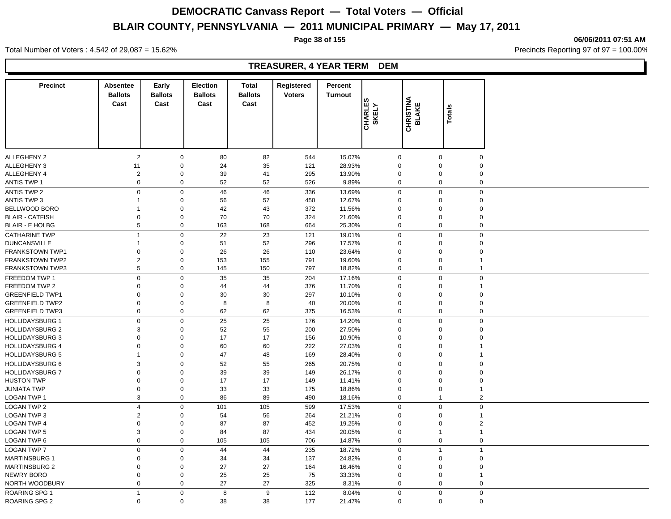**Page 38 of 155 06/06/2011 07:51 AM**

Total Number of Voters : 4,542 of 29,087 = 15.62% Precincts Reporting 97 of 97 = 100.00%

#### **TREASURER, 4 YEAR TERM DEM**

| <b>Precinct</b>        | Absentee<br><b>Ballots</b><br>Cast | Early<br><b>Ballots</b><br>Cast | <b>Election</b><br><b>Ballots</b><br>Cast | <b>Total</b><br><b>Ballots</b><br>Cast | Registered<br><b>Voters</b> | Percent<br><b>Turnout</b> |                         |                                  |                |                |
|------------------------|------------------------------------|---------------------------------|-------------------------------------------|----------------------------------------|-----------------------------|---------------------------|-------------------------|----------------------------------|----------------|----------------|
|                        |                                    |                                 |                                           |                                        |                             |                           | <b>CHARLES</b><br>SKELY | <b>CHRISTINA</b><br><b>BLAKE</b> | Totals         |                |
| <b>ALLEGHENY 2</b>     | $\overline{2}$                     | $\mathbf 0$                     | 80                                        | 82                                     | 544                         | 15.07%                    |                         | $\mathbf 0$                      | $\mathbf 0$    | $\mathbf 0$    |
| ALLEGHENY 3            | 11                                 | $\mathbf 0$                     | 24                                        | 35                                     | 121                         | 28.93%                    |                         | $\mathbf 0$                      | $\mathbf 0$    | $\Omega$       |
| ALLEGHENY 4            | $\overline{2}$                     | $\boldsymbol{0}$                | 39                                        | 41                                     | 295                         | 13.90%                    |                         | $\mathbf 0$                      | $\mathbf 0$    | $\Omega$       |
| <b>ANTIS TWP 1</b>     | $\mathbf 0$                        | $\mathbf 0$                     | 52                                        | 52                                     | 526                         | 9.89%                     |                         | $\mathbf 0$                      | $\mathbf 0$    | $\mathbf 0$    |
| ANTIS TWP 2            | $\mathbf 0$                        | $\boldsymbol{0}$                | 46                                        | 46                                     | 336                         | 13.69%                    |                         | $\mathbf 0$                      | $\pmb{0}$      | $\mathbf 0$    |
| <b>ANTIS TWP 3</b>     | 1                                  | $\mathbf 0$                     | 56                                        | 57                                     | 450                         | 12.67%                    |                         | $\mathbf 0$                      | $\mathbf 0$    | $\Omega$       |
| BELLWOOD BORO          |                                    | $\mathbf 0$                     | 42                                        | 43                                     | 372                         | 11.56%                    |                         | $\mathbf 0$                      | $\mathbf 0$    | $\Omega$       |
| <b>BLAIR - CATFISH</b> | 0                                  | $\mathbf 0$                     | 70                                        | 70                                     | 324                         | 21.60%                    |                         | $\mathbf 0$                      | $\mathbf 0$    | $\Omega$       |
| <b>BLAIR - E HOLBG</b> | 5                                  | $\mathbf 0$                     | 163                                       | 168                                    | 664                         | 25.30%                    |                         | $\mathbf 0$                      | $\mathbf 0$    | $\mathbf 0$    |
| <b>CATHARINE TWP</b>   | $\overline{1}$                     | $\mathbf 0$                     | 22                                        | 23                                     | 121                         | 19.01%                    |                         | $\mathbf 0$                      | $\mathbf 0$    | $\mathbf 0$    |
| <b>DUNCANSVILLE</b>    | 1                                  | $\mathbf 0$                     | 51                                        | 52                                     | 296                         | 17.57%                    |                         | $\mathbf 0$                      | $\mathbf 0$    | $\Omega$       |
| <b>FRANKSTOWN TWP1</b> | 0                                  | $\mathbf 0$                     | 26                                        | 26                                     | 110                         | 23.64%                    |                         | $\mathbf 0$                      | $\mathbf 0$    | $\Omega$       |
| <b>FRANKSTOWN TWP2</b> | $\overline{2}$                     | 0                               | 153                                       | 155                                    | 791                         | 19.60%                    |                         | $\mathbf 0$                      | $\mathbf 0$    |                |
| <b>FRANKSTOWN TWP3</b> | 5                                  | $\mathbf 0$                     | 145                                       | 150                                    | 797                         | 18.82%                    |                         | $\mathbf 0$                      | $\mathbf 0$    | $\mathbf{1}$   |
| FREEDOM TWP 1          | $\mathsf 0$                        | $\mathbf 0$                     | 35                                        | 35                                     | 204                         | 17.16%                    |                         | $\mathbf 0$                      | $\mathbf 0$    | $\mathbf 0$    |
| FREEDOM TWP 2          | $\Omega$                           | $\mathbf 0$                     | 44                                        | 44                                     | 376                         | 11.70%                    |                         | $\mathbf 0$                      | $\mathbf 0$    | $\mathbf{1}$   |
| <b>GREENFIELD TWP1</b> | $\Omega$                           | $\mathbf 0$                     | 30                                        | 30                                     | 297                         | 10.10%                    |                         | 0                                | $\mathbf 0$    | $\Omega$       |
| <b>GREENFIELD TWP2</b> | 0                                  | $\boldsymbol{0}$                | 8                                         | 8                                      | 40                          | 20.00%                    |                         | $\mathbf 0$                      | $\mathbf 0$    | $\Omega$       |
| <b>GREENFIELD TWP3</b> | $\mathbf 0$                        | $\boldsymbol{0}$                | 62                                        | 62                                     | 375                         | 16.53%                    |                         | $\mathbf 0$                      | $\pmb{0}$      | $\mathbf 0$    |
| <b>HOLLIDAYSBURG 1</b> | $\mathsf 0$                        | $\mathbf 0$                     | 25                                        | 25                                     | 176                         | 14.20%                    |                         | $\mathbf 0$                      | $\mathbf 0$    | $\mathbf 0$    |
| <b>HOLLIDAYSBURG 2</b> | 3                                  | $\mathbf 0$                     | 52                                        | 55                                     | 200                         | 27.50%                    |                         | $\mathbf 0$                      | $\mathbf 0$    | $\mathbf 0$    |
| <b>HOLLIDAYSBURG 3</b> | 0                                  | $\boldsymbol{0}$                | 17                                        | 17                                     | 156                         | 10.90%                    |                         | $\mathbf 0$                      | $\mathbf 0$    | $\mathbf 0$    |
| <b>HOLLIDAYSBURG 4</b> | 0                                  | $\mathbf 0$                     | 60                                        | 60                                     | 222                         | 27.03%                    |                         | $\mathbf 0$                      | $\mathbf 0$    |                |
| <b>HOLLIDAYSBURG 5</b> | 1                                  | $\mathsf{O}\xspace$             | 47                                        | 48                                     | 169                         | 28.40%                    |                         | $\mathbf 0$                      | $\pmb{0}$      | $\mathbf{1}$   |
| <b>HOLLIDAYSBURG 6</b> | 3                                  | $\mathbf 0$                     | 52                                        | 55                                     | 265                         | 20.75%                    |                         | $\mathbf 0$                      | $\mathbf 0$    | $\mathbf 0$    |
| <b>HOLLIDAYSBURG 7</b> | $\mathbf 0$                        | $\mathbf 0$                     | 39                                        | 39                                     | 149                         | 26.17%                    |                         | $\mathbf 0$                      | $\mathbf 0$    | $\mathbf 0$    |
| <b>HUSTON TWP</b>      | 0                                  | $\boldsymbol{0}$                | 17                                        | 17                                     | 149                         | 11.41%                    |                         | $\mathbf 0$                      | $\mathbf 0$    | $\mathbf 0$    |
| <b>JUNIATA TWP</b>     | 0                                  | $\boldsymbol{0}$                | 33                                        | 33                                     | 175                         | 18.86%                    |                         | $\mathbf 0$                      | $\mathbf 0$    | -1             |
| LOGAN TWP 1            | 3                                  | $\boldsymbol{0}$                | 86                                        | 89                                     | 490                         | 18.16%                    |                         | $\mathbf 0$                      | $\overline{1}$ | $\overline{2}$ |
| <b>LOGAN TWP 2</b>     | $\overline{\mathbf{4}}$            | $\mathbf 0$                     | 101                                       | 105                                    | 599                         | 17.53%                    |                         | $\mathbf 0$                      | $\mathbf 0$    | $\overline{0}$ |
| <b>LOGAN TWP 3</b>     | 2                                  | $\mathbf 0$                     | 54                                        | 56                                     | 264                         | 21.21%                    |                         | $\mathbf 0$                      | $\mathbf 0$    | $\mathbf{1}$   |
| <b>LOGAN TWP 4</b>     | $\mathbf 0$                        | $\mathbf 0$                     | 87                                        | 87                                     | 452                         | 19.25%                    |                         | $\mathbf 0$                      | $\mathbf 0$    | $\overline{2}$ |
| <b>LOGAN TWP 5</b>     | 3                                  | $\boldsymbol{0}$                | 84                                        | 87                                     | 434                         | 20.05%                    |                         | $\mathbf 0$                      | $\overline{1}$ |                |
| LOGAN TWP 6            | $\mathbf 0$                        | $\boldsymbol{0}$                | 105                                       | 105                                    | 706                         | 14.87%                    |                         | $\mathbf 0$                      | $\pmb{0}$      | $\mathbf 0$    |
| <b>LOGAN TWP 7</b>     | $\mathbf 0$                        | $\mathbf 0$                     | 44                                        | 44                                     | 235                         | 18.72%                    |                         | $\mathbf 0$                      | $\overline{1}$ | $\overline{1}$ |
| <b>MARTINSBURG 1</b>   | 0                                  | $\mathbf 0$                     | 34                                        | 34                                     | 137                         | 24.82%                    |                         | $\mathbf 0$                      | $\mathbf 0$    | $\mathbf 0$    |
| <b>MARTINSBURG 2</b>   | $\mathbf 0$                        | $\mathbf 0$                     | 27                                        | 27                                     | 164                         | 16.46%                    |                         | $\mathbf 0$                      | $\mathbf 0$    | $\mathbf 0$    |
| <b>NEWRY BORO</b>      | 0                                  | $\mathbf 0$                     | 25                                        | 25                                     | 75                          | 33.33%                    |                         | $\Omega$                         | $\mathbf 0$    |                |
| NORTH WOODBURY         | $\mathbf 0$                        | $\mathbf 0$                     | 27                                        | 27                                     | 325                         | 8.31%                     |                         | $\mathbf 0$                      | $\mathbf 0$    | $\mathbf 0$    |
| <b>ROARING SPG 1</b>   | $\overline{1}$                     | $\mathbf 0$                     | 8                                         | 9                                      | 112                         | 8.04%                     |                         | $\Omega$                         | $\mathbf 0$    | $\mathbf 0$    |
| <b>ROARING SPG 2</b>   | $\mathbf 0$                        | $\mathbf 0$                     | 38                                        | 38                                     | 177                         | 21.47%                    |                         | $\Omega$                         | $\mathbf 0$    | $\mathbf 0$    |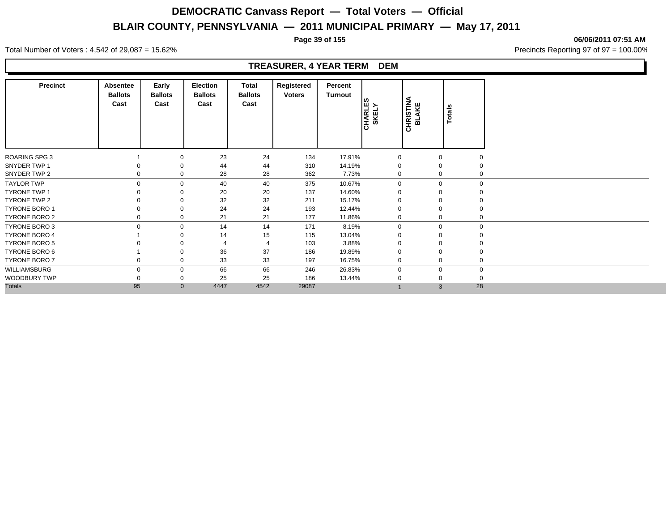**Page 39 of 155 06/06/2011 07:51 AM**

Total Number of Voters : 4,542 of 29,087 = 15.62% Precincts Reporting 97 of 97 = 100.00%

#### **TREASURER, 4 YEAR TERM DEM**

| <b>Precinct</b>      | Absentee<br><b>Ballots</b><br>Cast | Early<br><b>Ballots</b><br>Cast | <b>Election</b><br><b>Ballots</b><br>Cast | Total<br><b>Ballots</b><br>Cast | Registered<br><b>Voters</b> | Percent<br>Turnout | <b>CHARLES</b><br>SKELY | <b>CHRISTINA</b><br>BLAKE | Totals       |             |
|----------------------|------------------------------------|---------------------------------|-------------------------------------------|---------------------------------|-----------------------------|--------------------|-------------------------|---------------------------|--------------|-------------|
| <b>ROARING SPG 3</b> |                                    | $\mathbf 0$                     | 23                                        | 24                              | 134                         | 17.91%             | 0                       |                           | 0            | 0           |
| SNYDER TWP 1         |                                    | 0                               | 44                                        | 44                              | 310                         | 14.19%             | $\mathbf 0$             |                           | 0            | 0           |
| SNYDER TWP 2         | 0                                  | 0                               | 28                                        | 28                              | 362                         | 7.73%              | 0                       |                           | 0            | 0           |
| <b>TAYLOR TWP</b>    | $\Omega$                           | $\mathbf 0$                     | 40                                        | 40                              | 375                         | 10.67%             | $\mathbf 0$             |                           | $\mathbf{0}$ | $\Omega$    |
| <b>TYRONE TWP 1</b>  |                                    | 0                               | 20                                        | 20                              | 137                         | 14.60%             | 0                       |                           | 0            | 0           |
| TYRONE TWP 2         |                                    | 0                               | 32                                        | 32                              | 211                         | 15.17%             | $\Omega$                |                           | 0            | 0           |
| <b>TYRONE BORO 1</b> |                                    | 0                               | 24                                        | 24                              | 193                         | 12.44%             | 0                       |                           | 0            | 0           |
| TYRONE BORO 2        | 0                                  | 0                               | 21                                        | 21                              | 177                         | 11.86%             | $\mathbf 0$             |                           | 0            | 0           |
| TYRONE BORO 3        | 0                                  | $\mathbf 0$                     | 14                                        | 14                              | 171                         | 8.19%              | $\mathbf 0$             |                           | $\mathbf{0}$ | $\mathbf 0$ |
| <b>TYRONE BORO 4</b> |                                    | $\Omega$                        | 14                                        | 15                              | 115                         | 13.04%             | 0                       |                           |              |             |
| <b>TYRONE BORO 5</b> |                                    | $\Omega$                        |                                           | $\overline{4}$                  | 103                         | 3.88%              | $\Omega$                |                           |              | $\Omega$    |
| TYRONE BORO 6        |                                    | $\Omega$                        | 36                                        | 37                              | 186                         | 19.89%             | $\Omega$                |                           | 0            | 0           |
| <b>TYRONE BORO 7</b> | 0                                  | $\mathbf 0$                     | 33                                        | 33                              | 197                         | 16.75%             | $\mathbf 0$             |                           | $\mathbf{0}$ | $\mathbf 0$ |
| WILLIAMSBURG         | $\Omega$                           | $\mathbf 0$                     | 66                                        | 66                              | 246                         | 26.83%             | $\mathbf 0$             |                           | 0            | $\mathbf 0$ |
| WOODBURY TWP         |                                    | 0                               | 25                                        | 25                              | 186                         | 13.44%             |                         |                           | 0            | $\Omega$    |
| <b>Totals</b>        | 95                                 | $\mathbf{0}$                    | 4447                                      | 4542                            | 29087                       |                    |                         |                           | 28<br>3      |             |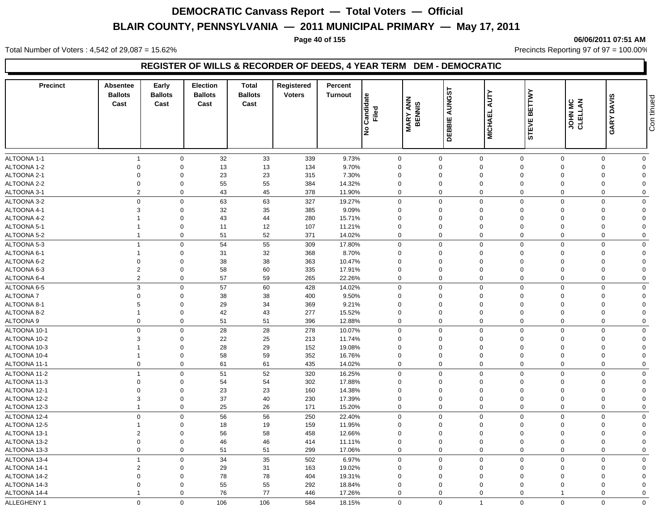#### **Page 40 of 155 06/06/2011 07:51 AM**

Total Number of Voters : 4,542 of 29,087 = 15.62% 10.00% Precincts Reporting 97 of 97 = 100.00%

#### **REGISTER OF WILLS & RECORDER OF DEEDS, 4 YEAR TERM DEM - DEMOCRATIC**

| <b>Precinct</b> | <b>Absentee</b><br><b>Ballots</b><br>Cast | Early<br><b>Ballots</b><br>Cast | <b>Election</b><br><b>Ballots</b><br>Cast | <b>Total</b><br><b>Ballots</b><br>Cast | Registered<br><b>Voters</b> | Percent<br><b>Turnout</b> | Candidate<br>Filed<br>Ιş | <b>MARY ANN<br/>BENNIS</b> | <b>AUNGST</b><br>DEBBIE | <b>AUTY</b><br><b>MICHAEL</b> | <b>BETTWY</b><br><b>STEVE</b> | <b>JOHN MC</b><br>CLELLAN | <b>DAVIS</b><br>GARY | Con tinued     |
|-----------------|-------------------------------------------|---------------------------------|-------------------------------------------|----------------------------------------|-----------------------------|---------------------------|--------------------------|----------------------------|-------------------------|-------------------------------|-------------------------------|---------------------------|----------------------|----------------|
| ALTOONA 1-1     | $\overline{1}$                            | $\mathbf 0$                     | 32                                        | 33                                     | 339                         | 9.73%                     |                          | 0                          | $\mathbf 0$             | $\mathsf 0$                   | $\mathbf 0$                   | $\Omega$                  | $\Omega$             | $\mathbf 0$    |
| ALTOONA 1-2     | $\mathbf 0$                               | $\mathbf 0$                     | 13                                        | 13                                     | 134                         | 9.70%                     |                          | $\mathbf 0$                | $\mathbf 0$             | $\mathbf 0$                   | $\mathbf 0$                   | $\Omega$                  | $\Omega$             | $\overline{0}$ |
| ALTOONA 2-1     | $\overline{0}$                            | $\mathbf 0$                     | 23                                        | 23                                     | 315                         | 7.30%                     |                          | $\mathbf 0$                | $\mathbf 0$             | $\mathbf 0$                   | $\mathbf 0$                   |                           | $\Omega$             | $\Omega$       |
| ALTOONA 2-2     | $\mathbf 0$                               | $\mathbf 0$                     | 55                                        | 55                                     | 384                         | 14.32%                    |                          | $\mathbf 0$                | $\mathbf 0$             | $\mathbf 0$                   | $\mathbf 0$                   | $\Omega$                  | $\mathbf 0$          | $\Omega$       |
| ALTOONA 3-1     | $\overline{2}$                            | $\mathbf 0$                     | 43                                        | 45                                     | 378                         | 11.90%                    |                          | $\mathbf 0$                | $\mathbf 0$             | $\mathbf 0$                   | $\mathbf 0$                   | $\Omega$                  | $\Omega$             | $\mathbf 0$    |
| ALTOONA 3-2     | $\mathbf 0$                               | $\mathbf 0$                     | 63                                        | 63                                     | 327                         | 19.27%                    |                          | 0                          | $\Omega$                | $\mathbf 0$                   | $\mathbf 0$                   | $\Omega$                  | $\Omega$             | $\mathbf 0$    |
| ALTOONA 4-1     | 3                                         | $\mathbf 0$                     | 32                                        | 35                                     | 385                         | 9.09%                     |                          | $\mathbf 0$                | $\mathbf 0$             | $\mathbf 0$                   | $\mathbf 0$                   | $\Omega$                  | $\Omega$             | $\overline{0}$ |
| ALTOONA 4-2     |                                           | $\mathbf 0$                     | 43                                        | 44                                     | 280                         | 15.71%                    |                          | $\mathbf 0$                | $\mathbf 0$             | $\mathbf 0$                   | $\mathbf 0$                   | $\Omega$                  | $\Omega$             | $\Omega$       |
| ALTOONA 5-1     | $\overline{1}$                            | $\mathbf 0$                     | 11                                        | 12                                     | 107                         | 11.21%                    |                          | $\mathbf 0$                | $\mathbf 0$             | $\mathbf 0$                   | $\mathbf 0$                   | $\Omega$                  | $\Omega$             | $\Omega$       |
| ALTOONA 5-2     | $\overline{1}$                            | $\mathbf 0$                     | 51                                        | 52                                     | 371                         | 14.02%                    |                          | $\mathbf 0$                | $\mathbf 0$             | $\mathbf 0$                   | $\mathbf 0$                   | $\Omega$                  | $\Omega$             | $\mathbf 0$    |
| ALTOONA 5-3     | $\overline{1}$                            | $\mathbf 0$                     | 54                                        | 55                                     | 309                         | 17.80%                    |                          | 0                          | $\Omega$                | $\mathbf 0$                   | $\Omega$                      | $\Omega$                  | $\Omega$             | $\mathbf 0$    |
| ALTOONA 6-1     | $\overline{1}$                            | $\mathbf 0$                     | 31                                        | 32                                     | 368                         | 8.70%                     |                          | $\mathbf 0$                | $\mathbf 0$             | $\mathbf 0$                   | $\mathbf 0$                   | $\Omega$                  | $\mathbf 0$          | $\overline{0}$ |
| ALTOONA 6-2     | $\mathbf 0$                               | $\mathbf 0$                     | 38                                        | 38                                     | 363                         | 10.47%                    |                          | $\mathbf 0$                | $\mathbf 0$             | $\mathbf 0$                   | $\mathbf 0$                   | $\Omega$                  | $\Omega$             | $\Omega$       |
| ALTOONA 6-3     | $\overline{2}$                            | $\mathbf 0$                     | 58                                        | 60                                     | 335                         | 17.91%                    |                          | $\mathbf 0$                | $\mathbf 0$             | $\mathbf 0$                   | $\mathbf 0$                   | $\Omega$                  | $\Omega$             | $\Omega$       |
| ALTOONA 6-4     | $\overline{2}$                            | $\mathbf 0$                     | 57                                        | 59                                     | 265                         | 22.26%                    |                          | $\Omega$                   | $\Omega$                | $\mathbf 0$                   | $\Omega$                      | $\Omega$                  | $\Omega$             | $\mathbf 0$    |
| ALTOONA 6-5     | $\mathbf{3}$                              | $\mathbf 0$                     | 57                                        | 60                                     | 428                         | 14.02%                    |                          | 0                          | $\Omega$                | $\mathbf 0$                   | $\mathbf 0$                   | $\Omega$                  | $\Omega$             | $\mathbf 0$    |
| ALTOONA 7       | $\mathbf 0$                               | $\mathbf 0$                     | 38                                        | 38                                     | 400                         | 9.50%                     |                          | $\mathbf 0$                | $\mathbf 0$             | $\mathbf 0$                   | $\mathbf 0$                   | $\Omega$                  | $\Omega$             | $\Omega$       |
| ALTOONA 8-1     | 5                                         | $\mathbf 0$                     | 29                                        | 34                                     | 369                         | 9.21%                     |                          | $\mathbf 0$                | $\mathbf 0$             | $\mathbf 0$                   | $\mathbf 0$                   | $\Omega$                  | $\Omega$             | $\Omega$       |
| ALTOONA 8-2     | $\overline{1}$                            | $\mathbf 0$                     | 42                                        | 43                                     | 277                         | 15.52%                    |                          | $\mathbf 0$                | 0                       | $\mathbf 0$                   | $\mathbf 0$                   | $\Omega$                  | $\Omega$             | $\Omega$       |
| ALTOONA 9       | $\mathbf 0$                               | $\mathbf 0$                     | 51                                        | 51                                     | 396                         | 12.88%                    |                          | 0                          | $\mathbf 0$             | $\mathbf 0$                   | $\mathbf 0$                   | $\mathbf 0$               | $\mathbf 0$          | $\mathbf 0$    |
| ALTOONA 10-1    | $\mathbf 0$                               | $\mathbf 0$                     | 28                                        | 28                                     | 278                         | 10.07%                    |                          | 0                          | $\mathbf 0$             | $\mathbf 0$                   | $\mathbf 0$                   | $\Omega$                  | $\Omega$             | $\mathbf 0$    |
| ALTOONA 10-2    | 3                                         | $\mathbf 0$                     | 22                                        | 25                                     | 213                         | 11.74%                    |                          | $\mathbf 0$                | $\mathbf 0$             | $\mathbf 0$                   | $\mathbf 0$                   | $\Omega$                  | $\Omega$             | $\mathbf 0$    |
| ALTOONA 10-3    |                                           | $\mathbf 0$                     | 28                                        | 29                                     | 152                         | 19.08%                    |                          | $\mathbf 0$                | 0                       | $\mathbf 0$                   | $\mathbf 0$                   | $\Omega$                  | $\Omega$             | $\Omega$       |
| ALTOONA 10-4    | $\overline{1}$                            | $\mathbf 0$                     | 58                                        | 59                                     | 352                         | 16.76%                    |                          | 0                          | $\mathbf 0$             | $\mathbf 0$                   | $\mathbf 0$                   | $\Omega$                  | $\mathbf 0$          | $\overline{0}$ |
| ALTOONA 11-1    | $\mathbf 0$                               | $\mathbf 0$                     | 61                                        | 61                                     | 435                         | 14.02%                    |                          | 0                          | $\mathbf 0$             | $\mathbf 0$                   | $\mathbf 0$                   | $\mathbf 0$               | $\mathbf 0$          | $\mathbf 0$    |
| ALTOONA 11-2    | $\overline{1}$                            | $\mathbf 0$                     | 51                                        | 52                                     | 320                         | 16.25%                    |                          | $\mathbf 0$                | $\mathbf 0$             | $\mathbf 0$                   | $\mathbf 0$                   | $\Omega$                  | $\mathbf 0$          | $\mathbf 0$    |
| ALTOONA 11-3    | $\mathbf 0$                               | $\mathbf 0$                     | 54                                        | 54                                     | 302                         | 17.88%                    |                          | $\mathbf 0$                | 0                       | $\mathbf 0$                   | $\mathbf 0$                   | $\Omega$                  | $\Omega$             | $\Omega$       |
| ALTOONA 12-1    | $\mathbf 0$                               | $\mathbf 0$                     | 23                                        | 23                                     | 160                         | 14.38%                    |                          | $\mathbf 0$                | $\mathbf 0$             | $\mathbf 0$                   | $\mathbf 0$                   | $\Omega$                  | $\Omega$             | $\Omega$       |
| ALTOONA 12-2    | $\mathbf{3}$                              | $\mathbf 0$                     | 37                                        | 40                                     | 230                         | 17.39%                    |                          | $\mathbf 0$                | $\mathbf 0$             | $\mathbf 0$                   | $\mathbf 0$                   | $\Omega$                  | $\Omega$             | $\Omega$       |
| ALTOONA 12-3    | $\overline{1}$                            | $\mathbf 0$                     | 25                                        | 26                                     | 171                         | 15.20%                    |                          | 0                          | $\mathbf 0$             | $\mathbf 0$                   | $\mathbf 0$                   | $\mathbf 0$               | $\Omega$             | $\mathbf 0$    |
| ALTOONA 12-4    | $\mathbf 0$                               | $\mathbf 0$                     | 56                                        | 56                                     | 250                         | 22.40%                    |                          | $\Omega$                   | $\mathbf 0$             | $\mathbf 0$                   | $\mathbf 0$                   | $\Omega$                  | $\Omega$             | $\mathbf 0$    |
| ALTOONA 12-5    | $\overline{1}$                            | $\mathbf 0$                     | 18                                        | 19                                     | 159                         | 11.95%                    |                          | 0                          | $\mathbf 0$             | $\mathbf 0$                   | $\mathbf 0$                   | $\Omega$                  | $\Omega$             | $\mathbf 0$    |
| ALTOONA 13-1    | $\overline{2}$                            | $\mathbf 0$                     | 56                                        | 58                                     | 458                         | 12.66%                    |                          | $\mathbf 0$                | $\mathbf 0$             | $\mathbf 0$                   | $\mathbf 0$                   | $\Omega$                  | $\Omega$             | $\overline{0}$ |
| ALTOONA 13-2    | $\mathbf 0$                               | $\mathbf 0$                     | 46                                        | 46                                     | 414                         | 11.11%                    |                          | $\mathbf 0$                | $\mathbf 0$             | $\mathbf 0$                   | $\mathbf 0$                   | $\Omega$                  | $\Omega$             | $\mathbf 0$    |
| ALTOONA 13-3    | $\mathbf 0$                               | $\mathbf 0$                     | 51                                        | 51                                     | 299                         | 17.06%                    |                          | 0                          | $\mathbf 0$             | $\mathbf 0$                   | $\mathbf 0$                   | $\Omega$                  | $\Omega$             | $\mathbf 0$    |
| ALTOONA 13-4    | $\overline{1}$                            | $\mathbf 0$                     | 34                                        | 35                                     | 502                         | 6.97%                     |                          | 0                          | $\mathbf 0$             | $\mathbf 0$                   | $\Omega$                      | $\Omega$                  | $\Omega$             | $\mathbf 0$    |
| ALTOONA 14-1    | $\overline{2}$                            | $\mathbf 0$                     | 29                                        | 31                                     | 163                         | 19.02%                    |                          | $\mathbf 0$                | $\mathbf 0$             | $\mathbf 0$                   | $\Omega$                      | $\Omega$                  | $\Omega$             | $\Omega$       |
| ALTOONA 14-2    | $\mathbf 0$                               | $\mathbf 0$                     | 78                                        | 78                                     | 404                         | 19.31%                    |                          | $\mathbf 0$                | $\mathbf 0$             | $\mathbf 0$                   | $\Omega$                      | $\Omega$                  | $\Omega$             | $\Omega$       |
| ALTOONA 14-3    | $\mathbf 0$                               | $\Omega$                        | 55                                        | 55                                     | 292                         | 18.84%                    |                          | $\mathbf 0$                | $\Omega$                | $\mathbf 0$                   | $\Omega$                      |                           | $\Omega$             | $\Omega$       |
| ALTOONA 14-4    |                                           | $\Omega$                        | 76                                        | 77                                     | 446                         | 17.26%                    |                          | $\mathbf 0$                | $\mathbf 0$             | $\mathbf 0$                   | $\mathbf 0$                   |                           | $\Omega$             | $\Omega$       |
|                 | $\mathbf 0$                               | $\mathbf 0$                     |                                           | 106                                    |                             |                           |                          | $\mathbf 0$                | $\mathbf 0$             | $\overline{1}$                | $\mathbf 0$                   | $\mathbf 0$               | $\mathbf 0$          | $\mathbf 0$    |
| ALLEGHENY 1     |                                           |                                 | 106                                       |                                        | 584                         | 18.15%                    |                          |                            |                         |                               |                               |                           |                      |                |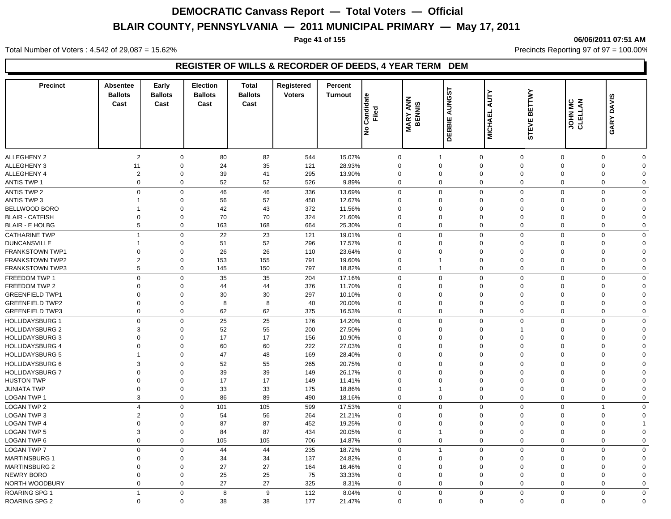**Page 41 of 155 06/06/2011 07:51 AM**

Total Number of Voters : 4,542 of 29,087 = 15.62% Precincts Reporting 97 of 97 = 100.00%

### **REGISTER OF WILLS & RECORDER OF DEEDS, 4 YEAR TERM DEM**

| <b>Precinct</b>                      | <b>Absentee</b><br><b>Ballots</b><br>Cast | Early<br><b>Ballots</b><br>Cast | <b>Election</b><br><b>Ballots</b><br>Cast | <b>Total</b><br><b>Ballots</b><br>Cast | Registered<br><b>Voters</b> | Percent<br><b>Turnout</b> | Candidate<br>Filed<br>lջ | <b>MARY ANN</b><br>BENNIS | AUNGST<br>DEBBIE           | <b>AUTY</b><br><b>MICHAEL</b> | <b>BETTWY</b><br><b>STEVE</b> | JOHN MC<br>CLELLAN         | <b>DAVIS</b><br>GARY |             |
|--------------------------------------|-------------------------------------------|---------------------------------|-------------------------------------------|----------------------------------------|-----------------------------|---------------------------|--------------------------|---------------------------|----------------------------|-------------------------------|-------------------------------|----------------------------|----------------------|-------------|
| ALLEGHENY 2                          |                                           | $\overline{2}$<br>$\mathbf 0$   | 80                                        | 82                                     | 544                         | 15.07%                    | $\Omega$                 |                           | $\mathbf 1$                | $\mathbf 0$                   | $\mathbf{0}$                  | $\mathbf 0$                | 0                    | $\Omega$    |
| <b>ALLEGHENY 3</b>                   | 11                                        | $\mathbf 0$                     | 24                                        | 35                                     | 121                         | 28.93%                    | $\Omega$                 |                           | $\Omega$                   | $\mathbf 0$                   | $\mathbf 0$                   | $\Omega$                   | $\mathbf 0$          | $\Omega$    |
| ALLEGHENY 4                          | $\overline{2}$                            | $\mathbf 0$                     | 39                                        | 41                                     | 295                         | 13.90%                    | $\mathbf 0$              |                           | 0                          | $\mathbf 0$                   | $\mathbf 0$                   | $\mathbf 0$                | 0                    | $\Omega$    |
| <b>ANTIS TWP 1</b>                   |                                           | $\mathbf 0$<br>$\mathbf 0$      | 52                                        | 52                                     | 526                         | 9.89%                     | $\Omega$                 |                           | $\mathbf{0}$               | $\mathbf 0$                   | $\mathbf 0$                   | $\mathbf 0$                | $\mathbf 0$          | $\Omega$    |
| ANTIS TWP 2                          |                                           | $\mathbf 0$<br>$\mathbf 0$      | 46                                        | 46                                     | 336                         | 13.69%                    | $\mathbf 0$              |                           | 0                          | $\mathbf 0$                   | $\mathbf 0$                   | $\mathbf 0$                | 0                    | $\mathbf 0$ |
| <b>ANTIS TWP 3</b>                   | 1                                         | $\mathbf 0$                     | 56                                        | 57                                     | 450                         | 12.67%                    | $\Omega$                 |                           | $\Omega$                   | $\mathbf 0$                   | $\mathbf 0$                   | $\Omega$                   | 0                    | $\Omega$    |
| BELLWOOD BORO                        | -1                                        | $\mathbf 0$                     | 42                                        | 43                                     | 372                         | 11.56%                    | $\mathbf 0$              |                           | 0                          | $\mathbf 0$                   | 0                             | $\mathbf 0$                | 0                    | $\mathbf 0$ |
| <b>BLAIR - CATFISH</b>               | $\mathbf 0$                               | $\mathbf 0$                     | 70                                        | 70                                     | 324                         | 21.60%                    | $\Omega$                 |                           | $\Omega$                   | $\mathbf 0$                   | $\Omega$                      | $\Omega$                   | 0                    | $\Omega$    |
| <b>BLAIR - E HOLBG</b>               |                                           | 5<br>$\mathbf 0$                | 163                                       | 168                                    | 664                         | 25.30%                    | $\Omega$                 |                           | $\mathbf 0$                | $\mathbf 0$                   | $\mathbf 0$                   | $\mathbf{0}$               | $\mathbf 0$          | $\Omega$    |
| <b>CATHARINE TWP</b>                 | $\overline{1}$                            | $\mathbf 0$                     | 22                                        | 23                                     | 121                         | 19.01%                    | $\Omega$                 |                           | $\mathbf 0$                | $\mathbf 0$                   | $\mathbf 0$                   | $\mathbf 0$                | $\mathbf 0$          | $\mathbf 0$ |
| <b>DUNCANSVILLE</b>                  | $\mathbf{1}$                              | $\mathbf 0$                     | 51                                        | 52                                     | 296                         | 17.57%                    | $\mathbf 0$              |                           | $\mathbf 0$                | $\mathbf 0$                   | $\Omega$                      | $\mathbf 0$                | 0                    | $\Omega$    |
| <b>FRANKSTOWN TWP1</b>               | $\mathbf 0$                               | $\mathbf 0$                     | 26                                        | 26                                     | 110                         | 23.64%                    | $\mathbf 0$              |                           | 0                          | $\mathbf 0$                   | $\Omega$                      | $\mathbf 0$                | 0                    | $\Omega$    |
| <b>FRANKSTOWN TWP2</b>               | $\overline{2}$                            | $\mathbf 0$                     | 153                                       | 155                                    | 791                         | 19.60%                    | $\mathbf 0$              |                           | $\overline{1}$             | $\mathbf 0$                   | $\Omega$                      | $\mathbf 0$                | 0                    | $\Omega$    |
| <b>FRANKSTOWN TWP3</b>               | 5                                         | $\mathbf 0$                     | 145                                       | 150                                    | 797                         | 18.82%                    | $\Omega$                 |                           | $\overline{1}$             | $\mathbf 0$                   | $\mathbf 0$                   | $\mathbf 0$                | $\mathbf 0$          | $\Omega$    |
| FREEDOM TWP 1                        | $\Omega$                                  | $\mathbf 0$                     | 35                                        | 35                                     | 204                         | 17.16%                    | $\Omega$                 |                           | $\mathbf 0$                | $\mathbf 0$                   | $\mathbf 0$                   | $\mathbf 0$                | $\mathbf 0$          | $\Omega$    |
| FREEDOM TWP 2                        | $\mathbf 0$                               | $\mathbf 0$                     | 44                                        | 44                                     | 376                         | 11.70%                    | $\Omega$                 |                           | $\mathbf 0$                | $\mathbf 0$                   | $\Omega$                      | $\Omega$                   | 0                    | $\Omega$    |
| <b>GREENFIELD TWP1</b>               | $\mathbf 0$                               | $\mathbf 0$                     | 30                                        | 30                                     | 297                         | 10.10%                    | $\mathbf 0$              |                           | $\mathbf 0$                | $\mathbf 0$                   | $\Omega$                      | $\mathbf 0$                | 0                    | $\Omega$    |
| <b>GREENFIELD TWP2</b>               | $\mathbf 0$                               | $\mathbf 0$                     | 8                                         | 8                                      | 40                          | 20.00%                    | $\mathbf 0$              |                           | $\mathbf 0$                | $\mathbf 0$                   | $\mathbf 0$                   | $\mathbf 0$                | $\mathbf 0$          | $\Omega$    |
| <b>GREENFIELD TWP3</b>               | $\Omega$                                  | $\mathbf 0$                     | 62                                        | 62                                     | 375                         | 16.53%                    | $\Omega$                 |                           | $\mathbf 0$                | $\mathbf 0$                   | $\mathbf 0$                   | $\mathbf 0$                | $\mathbf 0$          | $\Omega$    |
| <b>HOLLIDAYSBURG 1</b>               |                                           | $\mathbf 0$<br>$\mathbf 0$      | 25                                        | 25                                     | 176                         | 14.20%                    | $\Omega$                 |                           | $\mathbf 0$                | $\mathbf 0$                   | $\mathbf 0$                   | $\mathbf 0$                | 0                    | $\mathbf 0$ |
| <b>HOLLIDAYSBURG 2</b>               | 3                                         | 0                               | 52                                        | 55                                     | 200                         | 27.50%                    | $\Omega$                 |                           | 0                          | $\mathbf 0$                   |                               | $\Omega$                   | $\mathbf 0$          | $\Omega$    |
| <b>HOLLIDAYSBURG 3</b>               | $\mathbf 0$                               | $\mathbf 0$                     | 17                                        | 17                                     | 156                         | 10.90%                    | $\Omega$                 |                           | $\Omega$                   | $\mathbf 0$                   | $\mathbf 0$                   | $\Omega$                   | $\mathbf 0$          | $\Omega$    |
| <b>HOLLIDAYSBURG 4</b>               | $\mathbf 0$                               | 0                               | 60                                        | 60                                     | 222                         | 27.03%                    | $\mathbf 0$              |                           | 0                          | $\mathbf 0$                   | $\mathbf 0$                   | $\mathbf 0$                | 0                    | $\Omega$    |
| <b>HOLLIDAYSBURG 5</b>               | $\overline{1}$                            | $\mathbf 0$                     | 47                                        | 48                                     | 169                         | 28.40%                    | $\Omega$                 |                           | $\mathbf 0$                | $\mathbf 0$                   | $\mathbf 0$                   | $\mathbf 0$                | $\mathbf 0$          | $\Omega$    |
|                                      | 3                                         |                                 |                                           |                                        |                             |                           | $\Omega$                 |                           |                            |                               |                               |                            |                      | $\Omega$    |
| HOLLIDAYSBURG 6                      | $\Omega$                                  | $\mathbf 0$                     | 52                                        | 55                                     | 265                         | 20.75%                    | $\Omega$                 |                           | $\mathbf 0$<br>$\Omega$    | $\mathbf 0$                   | $\mathbf 0$<br>$\Omega$       | $\mathbf 0$<br>$\Omega$    | $\mathbf 0$          | $\Omega$    |
| HOLLIDAYSBURG 7<br><b>HUSTON TWP</b> | $\Omega$                                  | $\mathbf 0$<br>$\mathbf 0$      | 39<br>17                                  | 39<br>17                               | 149<br>149                  | 26.17%<br>11.41%          | $\Omega$                 |                           | $\Omega$                   | $\mathbf 0$<br>$\mathbf 0$    | $\Omega$                      | $\Omega$                   | 0<br>0               | $\Omega$    |
| <b>JUNIATA TWP</b>                   | $\mathbf 0$                               | $\mathbf 0$                     | 33                                        | 33                                     | 175                         | 18.86%                    | $\Omega$                 |                           | $\mathbf 1$                | $\mathbf 0$                   | $\mathbf 0$                   | $\Omega$                   | 0                    | $\Omega$    |
| LOGAN TWP 1                          | 3                                         | $\Omega$                        | 86                                        | 89                                     | 490                         | 18.16%                    | $\Omega$                 |                           | $\Omega$                   | $\mathsf{O}\xspace$           | $\Omega$                      | $\mathbf{0}$               | $\mathbf 0$          | $\Omega$    |
|                                      |                                           |                                 |                                           |                                        |                             |                           | $\Omega$                 |                           |                            |                               |                               |                            | $\overline{1}$       |             |
| <b>LOGAN TWP 2</b>                   | $\overline{4}$                            | $\mathbf 0$                     | 101                                       | 105                                    | 599                         | 17.53%                    | $\mathbf 0$              |                           | $\mathbf 0$<br>$\mathbf 0$ | $\mathbf 0$                   | $\mathbf 0$<br>$\mathbf 0$    | $\mathbf 0$<br>$\mathbf 0$ |                      | $\mathbf 0$ |
| <b>LOGAN TWP 3</b>                   | $\overline{2}$<br>$\mathbf 0$             | $\mathbf 0$<br>$\mathbf 0$      | 54<br>87                                  | 56<br>87                               | 264                         | 21.21%                    | $\mathbf 0$              |                           | $\mathbf 0$                | $\mathbf 0$                   | $\mathbf 0$                   | $\mathbf 0$                | 0                    | $\mathbf 0$ |
| <b>LOGAN TWP 4</b>                   | 3                                         | $\mathbf 0$                     |                                           | 87                                     | 452                         | 19.25%                    | $\mathbf 0$              |                           | $\mathbf{1}$               | $\mathbf 0$                   | $\mathbf 0$                   | $\mathbf 0$                | 0                    | $\Omega$    |
| <b>LOGAN TWP 5</b><br>LOGAN TWP 6    |                                           | $\mathbf 0$<br>$\mathbf 0$      | 84<br>105                                 | 105                                    | 434<br>706                  | 20.05%<br>14.87%          | $\Omega$                 |                           | $\mathbf 0$                | $\mathbf 0$<br>$\mathbf 0$    | $\mathbf 0$                   | $\mathbf 0$                | 0<br>$\mathbf 0$     | $\Omega$    |
|                                      |                                           |                                 |                                           |                                        |                             |                           |                          |                           |                            |                               |                               |                            |                      |             |
| <b>LOGAN TWP 7</b>                   |                                           | $\mathbf 0$<br>$\mathbf 0$      | 44                                        | 44                                     | 235                         | 18.72%                    | $\mathbf 0$              |                           | $\overline{1}$             | $\mathbf 0$                   | $\mathbf 0$                   | $\mathbf 0$                | $\mathbf 0$          | $\mathbf 0$ |
| <b>MARTINSBURG 1</b>                 | $\mathbf 0$                               | $\mathbf 0$                     | 34                                        | 34                                     | 137                         | 24.82%                    | $\mathbf 0$              |                           | $\mathbf 0$                | $\mathbf 0$                   | $\Omega$                      | $\mathbf 0$                | 0                    | $\mathbf 0$ |
| <b>MARTINSBURG 2</b>                 | $\mathbf 0$                               | $\mathbf 0$                     | 27                                        | 27                                     | 164                         | 16.46%                    | $\mathbf 0$              |                           | $\mathbf 0$                | $\mathbf 0$                   | $\Omega$                      | $\mathbf 0$                | 0                    | $\Omega$    |
| <b>NEWRY BORO</b>                    | $\mathbf 0$                               | $\mathbf 0$                     | 25                                        | 25                                     | 75                          | 33.33%                    | $\mathbf 0$              |                           | $\mathbf 0$                | $\mathbf 0$                   | $\mathbf 0$                   | $\mathbf 0$                | 0                    | $\Omega$    |
| NORTH WOODBURY                       | $\mathbf 0$                               | $\Omega$                        | 27                                        | 27                                     | 325                         | 8.31%                     | $\mathbf 0$              |                           | $\mathbf 0$                | $\mathbf 0$                   | $\Omega$                      | $\mathbf 0$                | 0                    | $\mathbf 0$ |
| <b>ROARING SPG 1</b>                 | $\overline{1}$                            | $\mathbf 0$                     | 8                                         | 9                                      | 112                         | 8.04%                     | $\Omega$                 |                           | $\mathbf 0$                | $\mathbf 0$                   | $\mathbf 0$                   | $\mathbf 0$                | $\mathbf 0$          | $\mathbf 0$ |
| <b>ROARING SPG 2</b>                 |                                           | $\mathbf 0$<br>$\Omega$         | 38                                        | 38                                     | 177                         | 21.47%                    | $\mathbf 0$              |                           | $\mathbf 0$                | $\mathbf 0$                   | $\mathbf 0$                   | $\mathbf 0$                | $\mathbf 0$          | $\Omega$    |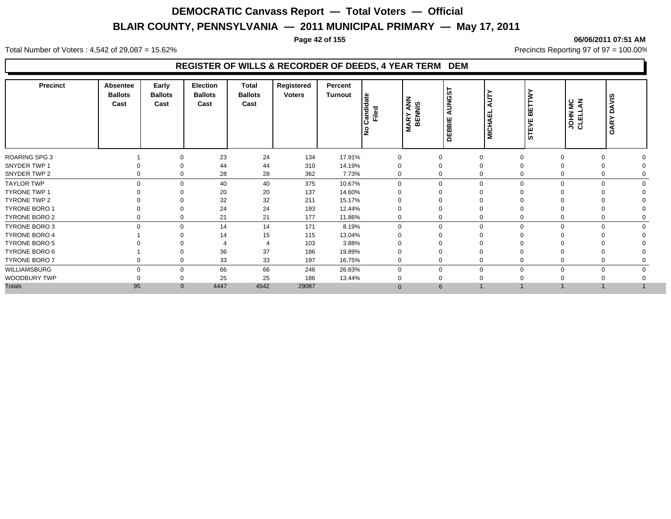#### **Page 42 of 155 06/06/2011 07:51 AM**

Total Number of Voters : 4,542 of 29,087 = 15.62% Precincts Reporting 97 of 97 = 100.00%

#### **REGISTER OF WILLS & RECORDER OF DEEDS, 4 YEAR TERM DEM**

| <b>Precinct</b>      | <b>Absentee</b><br><b>Ballots</b><br>Cast | Early<br><b>Ballots</b><br>Cast | <b>Election</b><br><b>Ballots</b><br>Cast | Total<br><b>Ballots</b><br>Cast | Registered<br><b>Voters</b> | Percent<br>Turnout | le<br>andida<br>Filed<br>ے | <b>MARY ANN</b><br>BENNIS | AUNGS <sup>-</sup><br>DEBBIE | 5<br>북<br><b>MICH)</b> | <b>BETTW</b><br><b>STEVE</b> |          | JOHN MC<br>CLELLAN | <b>DAVIS</b><br>GARY |  |
|----------------------|-------------------------------------------|---------------------------------|-------------------------------------------|---------------------------------|-----------------------------|--------------------|----------------------------|---------------------------|------------------------------|------------------------|------------------------------|----------|--------------------|----------------------|--|
| ROARING SPG 3        |                                           | $\Omega$                        | 23                                        | 24                              | 134                         | 17.91%             |                            |                           | 0                            | $\Omega$               |                              | $\Omega$ | $\Omega$           |                      |  |
| SNYDER TWP 1         |                                           | $\Omega$                        | 44                                        | 44                              | 310                         | 14.19%             |                            |                           | 0                            | $\Omega$               |                              |          | $\Omega$           |                      |  |
| SNYDER TWP 2         | 0                                         | $\mathbf 0$                     | 28                                        | 28                              | 362                         | 7.73%              | 0                          |                           | 0                            | $\Omega$               |                              |          | 0                  |                      |  |
| <b>TAYLOR TWP</b>    | $\mathbf 0$                               | $\mathbf 0$                     | 40                                        | 40                              | 375                         | 10.67%             | $\Omega$                   |                           | $\mathbf 0$                  | $\mathbf 0$            | $\Omega$                     | $\Omega$ | $\mathbf 0$        | $\Omega$             |  |
| <b>TYRONE TWP 1</b>  |                                           | $\Omega$                        | 20                                        | 20                              | 137                         | 14.60%             |                            |                           | $\Omega$                     | $\Omega$               |                              |          |                    |                      |  |
| TYRONE TWP 2         |                                           |                                 | 32                                        | 32                              | 211                         | 15.17%             |                            |                           | 0                            | $\mathbf 0$            |                              |          |                    |                      |  |
| <b>TYRONE BORO 1</b> |                                           | 0                               | 24                                        | 24                              | 193                         | 12.44%             |                            |                           | 0                            | $\mathbf 0$            |                              |          |                    |                      |  |
| TYRONE BORO 2        |                                           | $\mathbf 0$                     | 21                                        | 21                              | 177                         | 11.86%             |                            |                           | 0                            | $\Omega$               |                              |          |                    |                      |  |
| <b>TYRONE BORO 3</b> | $\mathbf 0$                               | $\mathbf 0$                     | 14                                        | 14                              | 171                         | 8.19%              | 0                          |                           | 0                            | $\mathbf 0$            | $\Omega$                     | $\Omega$ | $\mathbf 0$        |                      |  |
| <b>TYRONE BORO 4</b> |                                           |                                 | 14                                        | 15                              | 115                         | 13.04%             |                            |                           |                              | $\Omega$               |                              |          |                    |                      |  |
| <b>TYRONE BORO 5</b> |                                           |                                 |                                           |                                 | 103                         | 3.88%              |                            |                           |                              |                        |                              |          |                    |                      |  |
| TYRONE BORO 6        |                                           |                                 | 36                                        | 37                              | 186                         | 19.89%             |                            |                           |                              |                        |                              |          |                    |                      |  |
| <b>TYRONE BORO 7</b> | 0                                         | $\Omega$                        | 33                                        | 33                              | 197                         | 16.75%             | 0                          |                           | $\mathbf 0$                  | $\Omega$               |                              |          | $\Omega$           |                      |  |
| WILLIAMSBURG         | $\Omega$                                  | $\mathbf 0$                     | 66                                        | 66                              | 246                         | 26.83%             | $\Omega$                   |                           | 0                            | $\Omega$               | O                            | $\Omega$ | $\mathbf 0$        |                      |  |
| WOODBURY TWP         |                                           | $\Omega$                        | 25                                        | 25                              | 186                         | 13.44%             |                            |                           | 0                            |                        |                              |          |                    |                      |  |
| <b>Totals</b>        | 95                                        | $\mathbf{0}$                    | 4447                                      | 4542                            | 29087                       |                    | $\Omega$                   |                           | $6\overline{6}$              |                        |                              |          |                    |                      |  |
|                      |                                           |                                 |                                           |                                 |                             |                    |                            |                           |                              |                        |                              |          |                    |                      |  |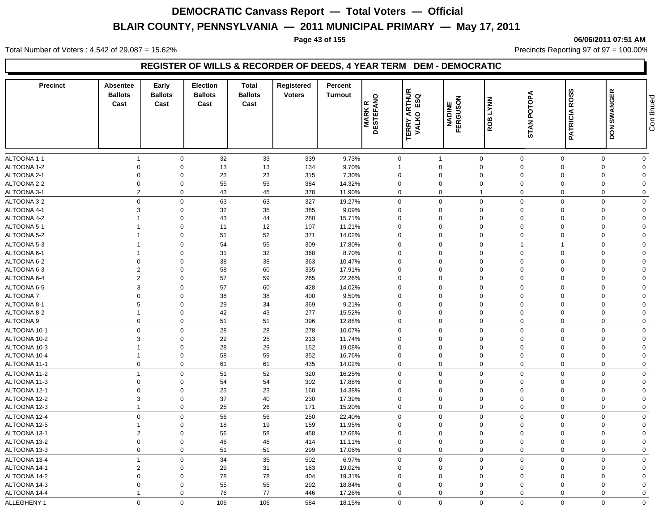**Page 43 of 155 06/06/2011 07:51 AM**

Total Number of Voters : 4,542 of 29,087 = 15.62% 10.00% Precincts Reporting 97 of 97 = 100.00%

#### **REGISTER OF WILLS & RECORDER OF DEEDS, 4 YEAR TERM DEM - DEMOCRATIC**

| <b>Precinct</b> | <b>Absentee</b><br><b>Ballots</b><br>Cast | Early<br><b>Ballots</b><br>Cast | <b>Election</b><br><b>Ballots</b><br>Cast | <b>Total</b><br><b>Ballots</b><br>Cast | Registered<br><b>Voters</b> | Percent<br><b>Turnout</b> | <b>MARKR</b><br>DESTEFANO | <b>TERRY ARTHUR<br/>VALKO ESQ</b> | NADINE<br>FERGUSON | <b>LYNN</b><br>ROB | STAN POTOPA    | <b>ROSS</b><br><b>PATRICIA</b> | <b>SWANGER</b><br><b>NOQ</b> | Con tinued     |
|-----------------|-------------------------------------------|---------------------------------|-------------------------------------------|----------------------------------------|-----------------------------|---------------------------|---------------------------|-----------------------------------|--------------------|--------------------|----------------|--------------------------------|------------------------------|----------------|
| ALTOONA 1-1     | $\overline{1}$                            | $\mathbf 0$                     | 32                                        | 33                                     | 339                         | 9.73%                     |                           | 0                                 | $\overline{1}$     | $\mathbf 0$        | $\mathbf 0$    | $\Omega$                       | $\Omega$                     | $\mathbf 0$    |
| ALTOONA 1-2     | $\mathbf 0$                               | $\mathbf 0$                     | 13                                        | 13                                     | 134                         | 9.70%                     | $\mathbf{1}$              |                                   | $\mathbf 0$        | $\mathbf 0$        | $\mathbf 0$    | $\Omega$                       | $\Omega$                     | $\overline{0}$ |
| ALTOONA 2-1     | $\overline{0}$                            | $\mathbf 0$                     | 23                                        | 23                                     | 315                         | 7.30%                     |                           | $\mathbf 0$                       | $\mathbf 0$        | $\mathbf 0$        | $\mathbf 0$    |                                | $\Omega$                     | $\Omega$       |
| ALTOONA 2-2     | $\mathbf 0$                               | $\mathbf 0$                     | 55                                        | 55                                     | 384                         | 14.32%                    |                           | $\mathbf 0$                       | $\mathbf 0$        | $\mathbf 0$        | $\mathbf 0$    | $\Omega$                       | $\mathbf 0$                  | $\Omega$       |
| ALTOONA 3-1     | $\overline{2}$                            | $\mathbf 0$                     | 43                                        | 45                                     | 378                         | 11.90%                    |                           | $\mathbf 0$                       | $\mathbf 0$        | $\overline{1}$     | $\mathbf 0$    | $\Omega$                       | $\Omega$                     | $\mathbf 0$    |
| ALTOONA 3-2     | $\mathbf 0$                               | $\mathbf 0$                     | 63                                        | 63                                     | 327                         | 19.27%                    |                           | 0                                 | $\Omega$           | $\mathbf 0$        | $\mathbf 0$    | $\Omega$                       | $\Omega$                     | $\mathbf 0$    |
| ALTOONA 4-1     | 3                                         | $\mathbf 0$                     | 32                                        | 35                                     | 385                         | 9.09%                     |                           | $\mathbf 0$                       | $\mathbf 0$        | $\mathbf 0$        | $\mathbf 0$    | $\Omega$                       | $\mathbf 0$                  | $\overline{0}$ |
| ALTOONA 4-2     |                                           | $\mathbf 0$                     | 43                                        | 44                                     | 280                         | 15.71%                    |                           | $\mathbf 0$                       | $\mathbf 0$        | $\mathbf 0$        | $\mathbf 0$    | $\Omega$                       | $\Omega$                     | $\Omega$       |
| ALTOONA 5-1     | $\overline{1}$                            | $\mathbf 0$                     | 11                                        | 12                                     | 107                         | 11.21%                    |                           | $\mathbf 0$                       | $\mathbf 0$        | $\mathbf 0$        | $\overline{0}$ | $\Omega$                       | $\Omega$                     | $\Omega$       |
| ALTOONA 5-2     | $\overline{1}$                            | $\mathbf 0$                     | 51                                        | 52                                     | 371                         | 14.02%                    |                           | $\mathbf 0$                       | $\mathbf 0$        | $\mathbf 0$        | $\mathbf 0$    | $\Omega$                       | $\Omega$                     | $\mathbf 0$    |
| ALTOONA 5-3     | $\overline{1}$                            | $\mathbf 0$                     | 54                                        | 55                                     | 309                         | 17.80%                    |                           | 0                                 | $\Omega$           | $\mathbf 0$        | $\overline{1}$ |                                | $\Omega$                     | $\mathbf 0$    |
| ALTOONA 6-1     | $\overline{1}$                            | $\mathbf 0$                     | 31                                        | 32                                     | 368                         | 8.70%                     |                           | $\mathbf 0$                       | $\mathbf 0$        | $\mathbf 0$        | $\mathbf 0$    | $\Omega$                       | $\mathbf 0$                  | $\overline{0}$ |
| ALTOONA 6-2     | $\mathbf 0$                               | $\mathbf 0$                     | 38                                        | 38                                     | 363                         | 10.47%                    |                           | $\mathbf 0$                       | $\mathbf 0$        | $\mathbf 0$        | $\mathbf 0$    | $\Omega$                       | $\Omega$                     | $\mathbf 0$    |
| ALTOONA 6-3     | $\overline{2}$                            | $\mathbf 0$                     | 58                                        | 60                                     | 335                         | 17.91%                    |                           | $\mathbf 0$                       | $\mathbf 0$        | $\mathbf 0$        | $\mathbf 0$    | $\Omega$                       | $\Omega$                     | $\Omega$       |
| ALTOONA 6-4     | $\overline{2}$                            | $\mathbf 0$                     | 57                                        | 59                                     | 265                         | 22.26%                    |                           | $\Omega$                          | $\Omega$           | $\mathbf 0$        | $\Omega$       | $\Omega$                       | $\Omega$                     | $\mathbf 0$    |
| ALTOONA 6-5     | $\mathbf{3}$                              | $\mathbf 0$                     | 57                                        | 60                                     | 428                         | 14.02%                    |                           | 0                                 | $\Omega$           | $\mathbf 0$        | $\mathbf 0$    | $\Omega$                       | $\Omega$                     | $\mathbf 0$    |
| ALTOONA 7       | $\mathbf 0$                               | $\mathbf 0$                     | 38                                        | 38                                     | 400                         | 9.50%                     |                           | $\mathbf 0$                       | 0                  | $\mathbf 0$        | $\mathbf 0$    | $\Omega$                       | $\Omega$                     | $\Omega$       |
| ALTOONA 8-1     | 5                                         | $\mathbf 0$                     | 29                                        | 34                                     | 369                         | 9.21%                     |                           | $\mathbf 0$                       | $\mathbf 0$        | $\mathbf 0$        | $\mathbf 0$    | $\Omega$                       | $\Omega$                     | $\Omega$       |
| ALTOONA 8-2     | $\overline{1}$                            | $\mathbf 0$                     | 42                                        | 43                                     | 277                         | 15.52%                    |                           | $\mathbf 0$                       | 0                  | $\mathbf 0$        | $\mathbf 0$    | $\Omega$                       | $\Omega$                     | $\Omega$       |
| ALTOONA 9       | $\mathbf 0$                               | $\mathbf 0$                     | 51                                        | 51                                     | 396                         | 12.88%                    |                           | 0                                 | $\mathbf 0$        | $\mathbf 0$        | $\mathbf 0$    | $\mathbf 0$                    | $\mathbf 0$                  | $\mathbf 0$    |
| ALTOONA 10-1    | $\mathbf 0$                               | $\mathbf 0$                     | 28                                        | 28                                     | 278                         | 10.07%                    |                           | 0                                 | $\mathbf 0$        | $\mathbf 0$        | $\mathbf 0$    | $\Omega$                       | $\Omega$                     | $\mathbf 0$    |
| ALTOONA 10-2    | 3                                         | $\mathbf 0$                     | 22                                        | 25                                     | 213                         | 11.74%                    |                           | $\mathbf 0$                       | $\mathbf 0$        | $\mathbf 0$        | $\mathbf 0$    | $\Omega$                       | $\Omega$                     | $\mathbf{0}$   |
| ALTOONA 10-3    |                                           | $\mathbf 0$                     | 28                                        | 29                                     | 152                         | 19.08%                    |                           | $\mathbf 0$                       | 0                  | $\mathbf 0$        | $\mathbf 0$    | $\Omega$                       | $\Omega$                     | $\Omega$       |
| ALTOONA 10-4    | $\overline{1}$                            | $\mathbf 0$                     | 58                                        | 59                                     | 352                         | 16.76%                    |                           | 0                                 | $\mathbf 0$        | $\mathbf 0$        | $\mathbf 0$    | $\Omega$                       | $\mathbf 0$                  | $\overline{0}$ |
| ALTOONA 11-1    | $\mathbf 0$                               | $\mathbf 0$                     | 61                                        | 61                                     | 435                         | 14.02%                    |                           | 0                                 | $\mathbf 0$        | $\mathbf 0$        | $\mathbf 0$    | $\mathbf 0$                    | $\mathbf 0$                  | $\mathbf 0$    |
| ALTOONA 11-2    | $\overline{1}$                            | $\mathbf 0$                     | 51                                        | 52                                     | 320                         | 16.25%                    |                           | $\mathbf 0$                       | $\mathbf 0$        | $\mathbf 0$        | $\mathbf 0$    | $\Omega$                       | $\mathbf 0$                  | $\mathbf 0$    |
| ALTOONA 11-3    | $\mathbf 0$                               | $\mathbf 0$                     | 54                                        | 54                                     | 302                         | 17.88%                    |                           | $\mathbf 0$                       | 0                  | $\mathbf 0$        | $\mathbf 0$    | $\Omega$                       | $\Omega$                     | $\Omega$       |
| ALTOONA 12-1    | $\mathbf 0$                               | $\mathbf 0$                     | 23                                        | 23                                     | 160                         | 14.38%                    |                           | $\mathbf 0$                       | $\mathbf 0$        | $\mathbf 0$        | $\mathbf 0$    | $\Omega$                       | $\Omega$                     | $\overline{0}$ |
| ALTOONA 12-2    | $\mathbf{3}$                              | $\mathbf 0$                     | 37                                        | 40                                     | 230                         | 17.39%                    |                           | $\mathbf 0$                       | $\mathbf 0$        | $\mathbf 0$        | $\mathbf 0$    | $\Omega$                       | $\Omega$                     | $\Omega$       |
| ALTOONA 12-3    | $\overline{1}$                            | $\mathbf 0$                     | 25                                        | 26                                     | 171                         | 15.20%                    |                           | 0                                 | $\mathbf 0$        | $\mathbf 0$        | $\mathbf 0$    | $\mathbf 0$                    | $\Omega$                     | $\mathbf 0$    |
| ALTOONA 12-4    | $\mathbf 0$                               | $\mathbf 0$                     | 56                                        | 56                                     | 250                         | 22.40%                    |                           | $\Omega$                          | $\mathbf 0$        | $\mathbf 0$        | $\mathbf 0$    | $\Omega$                       | $\Omega$                     | $\mathbf 0$    |
| ALTOONA 12-5    | $\overline{1}$                            | $\mathbf 0$                     | 18                                        | 19                                     | 159                         | 11.95%                    |                           | 0                                 | $\mathbf 0$        | $\mathbf 0$        | $\mathbf 0$    | $\Omega$                       | $\Omega$                     | $\mathbf 0$    |
| ALTOONA 13-1    | $\overline{2}$                            | $\mathbf 0$                     | 56                                        | 58                                     | 458                         | 12.66%                    |                           | $\mathbf 0$                       | $\mathbf 0$        | $\mathbf 0$        | $\mathbf 0$    | $\Omega$                       | $\Omega$                     | $\overline{0}$ |
| ALTOONA 13-2    | $\mathbf 0$                               | $\mathbf 0$                     | 46                                        | 46                                     | 414                         | 11.11%                    |                           | $\mathbf 0$                       | $\mathbf 0$        | $\mathbf 0$        | $\mathbf 0$    | $\Omega$                       | $\Omega$                     | $\mathbf{0}$   |
| ALTOONA 13-3    | $\mathbf 0$                               | $\mathbf 0$                     | 51                                        | 51                                     | 299                         | 17.06%                    |                           | 0                                 | $\mathbf 0$        | $\mathbf 0$        | $\mathbf 0$    | $\mathbf 0$                    | $\Omega$                     | $\mathbf 0$    |
| ALTOONA 13-4    | $\overline{1}$                            | $\mathbf 0$                     | 34                                        | 35                                     | 502                         | 6.97%                     |                           | 0                                 | $\mathbf 0$        | $\mathbf 0$        | $\Omega$       | $\Omega$                       | $\Omega$                     | $\mathbf 0$    |
| ALTOONA 14-1    | $\overline{2}$                            | $\mathbf 0$                     | 29                                        | 31                                     | 163                         | 19.02%                    |                           | $\mathbf 0$                       | $\mathbf 0$        | $\mathbf 0$        | $\Omega$       | $\Omega$                       | $\Omega$                     | $\Omega$       |
| ALTOONA 14-2    | $\mathbf 0$                               | $\mathbf 0$                     | 78                                        | 78                                     | 404                         | 19.31%                    |                           | $\mathbf 0$                       | $\mathbf 0$        | $\mathbf 0$        | $\Omega$       | $\Omega$                       | $\Omega$                     | $\Omega$       |
| ALTOONA 14-3    | $\mathbf 0$                               | $\Omega$                        | 55                                        | 55                                     | 292                         | 18.84%                    |                           | $\mathbf 0$                       | $\Omega$           | $\mathbf 0$        | $\Omega$       | $\Omega$                       | $\Omega$                     | $\Omega$       |
| ALTOONA 14-4    |                                           | $\Omega$                        | 76                                        | 77                                     | 446                         | 17.26%                    |                           | $\mathbf 0$                       | $\mathbf 0$        | $\mathbf 0$        | $\mathbf 0$    | $\Omega$                       | $\Omega$                     | $\Omega$       |
| ALLEGHENY 1     | $\mathbf 0$                               | $\mathbf 0$                     | 106                                       | 106                                    | 584                         | 18.15%                    |                           | $\mathbf 0$                       | $\mathbf 0$        | $\mathbf 0$        | $\mathbf 0$    | $\mathbf 0$                    | $\mathbf 0$                  | $\mathbf 0$    |
|                 |                                           |                                 |                                           |                                        |                             |                           |                           |                                   |                    |                    |                |                                |                              |                |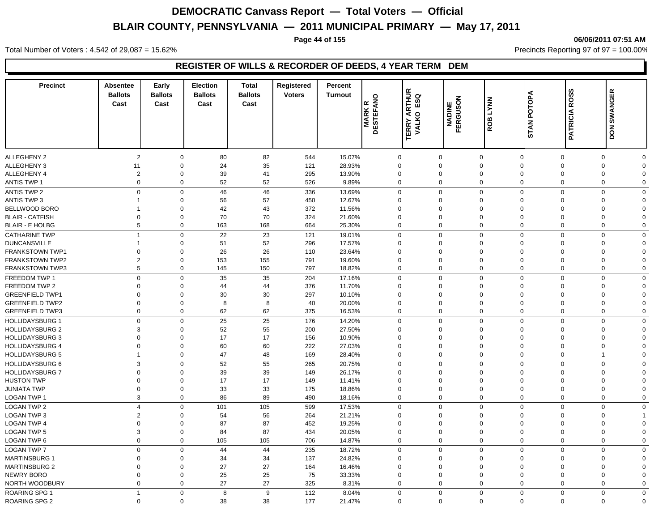#### **Page 44 of 155 06/06/2011 07:51 AM**

Total Number of Voters : 4,542 of 29,087 = 15.62% Precincts Reporting 97 of 97 = 100.00%

#### **REGISTER OF WILLS & RECORDER OF DEEDS, 4 YEAR TERM DEM**

| <b>Precinct</b>        | Absentee<br><b>Ballots</b><br>Cast | Early<br><b>Ballots</b><br>Cast | <b>Election</b><br><b>Ballots</b><br>Cast | <b>Total</b><br><b>Ballots</b><br>Cast | Registered<br><b>Voters</b> | Percent<br><b>Turnout</b> | $\circ$<br><b>DESTEFAN</b><br>l∝<br><b>MARK</b> | ARTHUR<br>σ<br>63<br>$\circ$<br>VALKO<br>VALKO | <b>NADINE<br/>FERGUSON</b> | <b>LYNN</b><br>ROB         | <b>STAN POTOPA</b>         | <b>PATRICIA ROSS</b>       | DON SWANGER                |                         |
|------------------------|------------------------------------|---------------------------------|-------------------------------------------|----------------------------------------|-----------------------------|---------------------------|-------------------------------------------------|------------------------------------------------|----------------------------|----------------------------|----------------------------|----------------------------|----------------------------|-------------------------|
|                        |                                    |                                 |                                           |                                        |                             |                           |                                                 |                                                |                            |                            |                            |                            |                            |                         |
| ALLEGHENY 2            | $\overline{2}$                     | $\mathbf 0$                     | 80                                        | 82                                     | 544                         | 15.07%                    |                                                 | $\Omega$                                       | $\mathbf 0$                | $\mathbf 0$                | $\mathbf 0$                | $\Omega$                   | $\mathbf 0$                | $\Omega$                |
| ALLEGHENY 3            | 11                                 | $\mathbf 0$                     | 24                                        | 35                                     | 121                         | 28.93%                    |                                                 | $\mathbf 0$                                    | $\mathbf 0$                | $\mathbf 0$                | $\mathbf 0$                | $\Omega$                   | $\mathbf 0$                | $\Omega$                |
| ALLEGHENY 4            | $\overline{2}$<br>0                | $\mathbf 0$<br>$\mathbf 0$      | 39<br>52                                  | 41<br>52                               | 295                         | 13.90%<br>9.89%           |                                                 | $\mathbf 0$<br>$\mathbf 0$                     | 0<br>$\mathbf 0$           | $\mathbf 0$<br>$\mathbf 0$ | $\mathbf 0$<br>$\mathbf 0$ | $\mathbf 0$<br>$\mathbf 0$ | $\mathbf 0$<br>$\mathbf 0$ | $\Omega$<br>$\mathbf 0$ |
| <b>ANTIS TWP 1</b>     |                                    |                                 |                                           |                                        | 526                         |                           |                                                 |                                                |                            |                            |                            |                            |                            |                         |
| <b>ANTIS TWP 2</b>     | $\mathbf 0$                        | $\mathbf 0$                     | 46                                        | 46                                     | 336                         | 13.69%                    |                                                 | $\Omega$                                       | $\mathbf 0$                | $\mathbf 0$                | $\mathbf 0$                | $\Omega$                   | $\mathbf 0$                | $\Omega$                |
| <b>ANTIS TWP 3</b>     | $\mathbf{1}$                       | $\mathbf{0}$                    | 56                                        | 57                                     | 450                         | 12.67%                    |                                                 | $\Omega$                                       | $\Omega$                   | $\Omega$                   | $\Omega$                   | $\Omega$                   | $\mathbf 0$                | $\Omega$                |
| BELLWOOD BORO          | $\mathbf{1}$                       | $\mathbf{0}$                    | 42                                        | 43                                     | 372                         | 11.56%                    |                                                 | $\Omega$                                       | $\Omega$                   | $\Omega$                   | $\Omega$                   | $\Omega$                   | 0                          | $\Omega$                |
| <b>BLAIR - CATFISH</b> | $\mathbf 0$                        | $\mathbf 0$                     | 70                                        | 70                                     | 324                         | 21.60%                    |                                                 | $\mathbf 0$                                    | 0                          | $\mathbf 0$                | $\mathbf 0$                | $\Omega$                   | 0                          | $\Omega$                |
| <b>BLAIR - E HOLBG</b> | 5                                  | $\mathbf 0$                     | 163                                       | 168                                    | 664                         | 25.30%                    |                                                 | $\Omega$                                       | $\mathbf 0$                | $\mathbf 0$                | $\Omega$                   | $\Omega$                   | $\mathbf 0$                | $\Omega$                |
| <b>CATHARINE TWP</b>   | $\mathbf{1}$                       | $\mathbf 0$                     | 22                                        | 23                                     | 121                         | 19.01%                    |                                                 | $\mathbf 0$                                    | $\mathbf 0$                | $\mathbf 0$                | $\mathbf 0$                | $\mathbf 0$                | $\mathbf 0$                | $\mathbf 0$             |
| <b>DUNCANSVILLE</b>    | $\mathbf{1}$                       | $\mathbf 0$                     | 51                                        | 52                                     | 296                         | 17.57%                    |                                                 | 0                                              | 0                          | $\mathbf 0$                | $\Omega$                   | $\mathbf 0$                | 0                          | $\Omega$                |
| <b>FRANKSTOWN TWP1</b> | $\Omega$                           | $\mathbf 0$                     | 26                                        | 26                                     | 110                         | 23.64%                    |                                                 | $\Omega$                                       | $\Omega$                   | $\Omega$                   | $\Omega$                   | $\Omega$                   | 0                          | $\Omega$                |
| <b>FRANKSTOWN TWP2</b> | $\overline{2}$                     | $\mathbf 0$                     | 153                                       | 155                                    | 791                         | 19.60%                    |                                                 | $\Omega$                                       | $\mathbf 0$                | $\mathbf 0$                | $\Omega$                   | $\Omega$                   | $\mathbf 0$                | $\Omega$                |
| <b>FRANKSTOWN TWP3</b> | 5                                  | $\mathbf 0$                     | 145                                       | 150                                    | 797                         | 18.82%                    |                                                 | $\Omega$                                       | 0                          | $\mathbf 0$                | $\Omega$                   | $\Omega$                   | $\mathbf 0$                | $\Omega$                |
| FREEDOM TWP 1          | $\mathbf 0$                        | $\mathbf 0$                     | 35                                        | 35                                     | 204                         | 17.16%                    |                                                 | $\overline{0}$                                 | $\mathbf 0$                | $\mathbf 0$                | $\Omega$                   | $\overline{0}$             | $\mathbf 0$                | $\Omega$                |
| FREEDOM TWP 2          | $\Omega$                           | $\mathbf 0$                     | 44                                        | 44                                     | 376                         | 11.70%                    |                                                 | 0                                              | $\mathbf 0$                | $\Omega$                   | $\Omega$                   | $\Omega$                   | 0                          | $\Omega$                |
| <b>GREENFIELD TWP1</b> | $\mathbf 0$                        | $\mathbf 0$                     | 30                                        | 30                                     | 297                         | 10.10%                    |                                                 | $\overline{0}$                                 | $\mathbf 0$                | $\mathbf 0$                | $\mathbf 0$                | $\mathbf 0$                | $\mathbf 0$                | $\Omega$                |
| <b>GREENFIELD TWP2</b> | $\mathbf 0$                        | $\mathbf 0$                     | 8                                         | 8                                      | 40                          | 20.00%                    |                                                 | $\mathbf 0$                                    | $\mathbf 0$                | $\mathbf 0$                | $\mathbf 0$                | $\mathbf 0$                | $\mathbf 0$                | $\Omega$                |
| <b>GREENFIELD TWP3</b> | 0                                  | $\mathbf 0$                     | 62                                        | 62                                     | 375                         | 16.53%                    |                                                 | $\mathbf 0$                                    | 0                          | $\mathbf 0$                | $\mathbf 0$                | $\mathbf 0$                | 0                          | $\Omega$                |
| <b>HOLLIDAYSBURG 1</b> | $\mathbf 0$                        | $\mathbf 0$                     | 25                                        | 25                                     | 176                         | 14.20%                    |                                                 | $\overline{0}$                                 | $\mathbf 0$                | $\mathbf 0$                | $\Omega$                   | $\Omega$                   | $\mathbf 0$                | $\mathbf 0$             |
| <b>HOLLIDAYSBURG 2</b> | 3                                  | $\mathbf 0$                     | 52                                        | 55                                     | 200                         | 27.50%                    |                                                 | $\Omega$                                       | $\mathbf 0$                | $\mathbf 0$                | $\Omega$                   | $\Omega$                   | $\mathbf 0$                | $\Omega$                |
| <b>HOLLIDAYSBURG 3</b> | $\Omega$                           | $\mathbf 0$                     | 17                                        | 17                                     | 156                         | 10.90%                    |                                                 | $\Omega$                                       | $\Omega$                   | $\Omega$                   | $\Omega$                   | $\Omega$                   | $\mathbf 0$                | $\Omega$                |
| <b>HOLLIDAYSBURG 4</b> | $\mathbf 0$                        | $\mathbf 0$                     | 60                                        | 60                                     | 222                         | 27.03%                    |                                                 | $\mathbf 0$                                    | $\mathbf 0$                | $\mathbf 0$                | $\mathbf 0$                | $\mathbf 0$                | $\mathbf 0$                | $\Omega$                |
| <b>HOLLIDAYSBURG 5</b> | $\overline{1}$                     | $\mathbf 0$                     | 47                                        | 48                                     | 169                         | 28.40%                    |                                                 | $\mathbf 0$                                    | $\mathbf 0$                | $\mathbf 0$                | $\mathbf 0$                | $\mathbf 0$                | $\mathbf{1}$               | $\mathbf 0$             |
| <b>HOLLIDAYSBURG 6</b> | 3                                  | $\mathbf 0$                     | 52                                        | 55                                     | 265                         | 20.75%                    |                                                 | $\Omega$                                       | $\mathbf 0$                | $\mathbf 0$                | $\Omega$                   | $\Omega$                   | $\mathbf 0$                | $\Omega$                |
| <b>HOLLIDAYSBURG 7</b> | $\Omega$                           | $\mathbf 0$                     | 39                                        | 39                                     | 149                         | 26.17%                    |                                                 | $\Omega$                                       | $\Omega$                   | $\Omega$                   | $\Omega$                   | $\Omega$                   | $\mathbf 0$                | $\Omega$                |
| <b>HUSTON TWP</b>      | $\Omega$                           | $\mathbf 0$                     | 17                                        | 17                                     | 149                         | 11.41%                    |                                                 | $\Omega$                                       | $\Omega$                   | $\Omega$                   | $\Omega$                   | $\Omega$                   | $\mathbf 0$                | $\Omega$                |
| <b>JUNIATA TWP</b>     | $\mathbf 0$                        | $\mathbf 0$                     | 33                                        | 33                                     | 175                         | 18.86%                    |                                                 | $\mathbf 0$                                    | $\mathbf 0$                | $\mathbf 0$                | $\mathbf 0$                | $\Omega$                   | $\mathbf 0$                | $\Omega$                |
| <b>LOGAN TWP 1</b>     | 3                                  | $\mathbf 0$                     | 86                                        | 89                                     | 490                         | 18.16%                    |                                                 | $\Omega$                                       | $\mathbf 0$                | $\mathbf 0$                | $\mathbf 0$                | $\mathbf 0$                | $\mathbf 0$                | $\Omega$                |
| LOGAN TWP 2            | $\overline{4}$                     | $\mathbf 0$                     | 101                                       | 105                                    | 599                         | 17.53%                    |                                                 | $\Omega$                                       | $\mathbf 0$                | $\mathbf 0$                | $\Omega$                   | $\Omega$                   | $\mathbf 0$                | $\mathbf 0$             |
| LOGAN TWP 3            | $\overline{\mathbf{c}}$            | $\mathbf{0}$                    | 54                                        | 56                                     | 264                         | 21.21%                    |                                                 | $\Omega$                                       | $\Omega$                   | $\mathbf 0$                | $\Omega$                   | $\Omega$                   | 0                          |                         |
| <b>LOGAN TWP 4</b>     | $\Omega$                           | $\mathbf{0}$                    | 87                                        | 87                                     | 452                         | 19.25%                    |                                                 | $\Omega$                                       | $\Omega$                   | $\Omega$                   | $\Omega$                   | $\Omega$                   | $\mathbf 0$                | $\Omega$                |
| LOGAN TWP 5            | 3                                  | $\mathbf 0$                     | 84                                        | 87                                     | 434                         | 20.05%                    |                                                 | $\Omega$                                       | $\mathbf 0$                | $\mathbf 0$                | $\Omega$                   | $\Omega$                   | $\mathbf 0$                | $\Omega$                |
| LOGAN TWP 6            | $\mathbf 0$                        | $\mathbf 0$                     | 105                                       | 105                                    | 706                         | 14.87%                    |                                                 | $\Omega$                                       | 0                          | $\mathbf 0$                | $\mathbf 0$                | $\mathbf 0$                | $\mathbf 0$                | $\mathbf 0$             |
| LOGAN TWP 7            | $\mathbf 0$                        | $\mathbf 0$                     | 44                                        | 44                                     | 235                         | 18.72%                    |                                                 | $\overline{0}$                                 | $\mathbf 0$                | $\mathbf 0$                | $\Omega$                   | $\overline{0}$             | $\mathbf 0$                | $\mathbf 0$             |
| <b>MARTINSBURG 1</b>   | $\Omega$                           | $\mathbf 0$                     | 34                                        | 34                                     | 137                         | 24.82%                    |                                                 | 0                                              | $\mathbf 0$                | $\mathbf 0$                | $\Omega$                   | $\mathbf 0$                | 0                          | $\Omega$                |
| <b>MARTINSBURG 2</b>   | $\Omega$                           | $\mathbf 0$                     | 27                                        | 27                                     | 164                         | 16.46%                    |                                                 | 0                                              | $\mathbf 0$                | $\mathbf 0$                | $\Omega$                   | $\mathbf 0$                | 0                          | $\Omega$                |
| <b>NEWRY BORO</b>      | $\Omega$                           | $\mathbf 0$                     | 25                                        | 25                                     | 75                          | 33.33%                    |                                                 | $\Omega$                                       | 0                          | $\mathbf 0$                | $\Omega$                   | $\Omega$                   | $\mathbf 0$                | $\Omega$                |
| NORTH WOODBURY         | 0                                  | $\mathbf 0$                     | 27                                        | 27                                     | 325                         | 8.31%                     |                                                 | $\Omega$                                       | 0                          | $\mathbf 0$                | $\Omega$                   | $\Omega$                   | 0                          | $\Omega$                |
| ROARING SPG 1          | $\mathbf{1}$                       | $\mathbf 0$                     | 8                                         | 9                                      | 112                         | 8.04%                     |                                                 | $\Omega$                                       | $\mathbf 0$                | $\mathbf 0$                | $\mathbf 0$                | $\Omega$                   | $\mathbf 0$                | $\mathbf 0$             |
| <b>ROARING SPG 2</b>   | $\mathbf 0$                        | $\mathbf 0$                     | 38                                        | 38                                     | 177                         | 21.47%                    |                                                 | $\Omega$                                       | $\mathbf 0$                | $\mathbf 0$                | $\mathbf 0$                | $\mathbf 0$                | $\mathbf 0$                | $\Omega$                |
|                        |                                    |                                 |                                           |                                        |                             |                           |                                                 |                                                |                            |                            |                            |                            |                            |                         |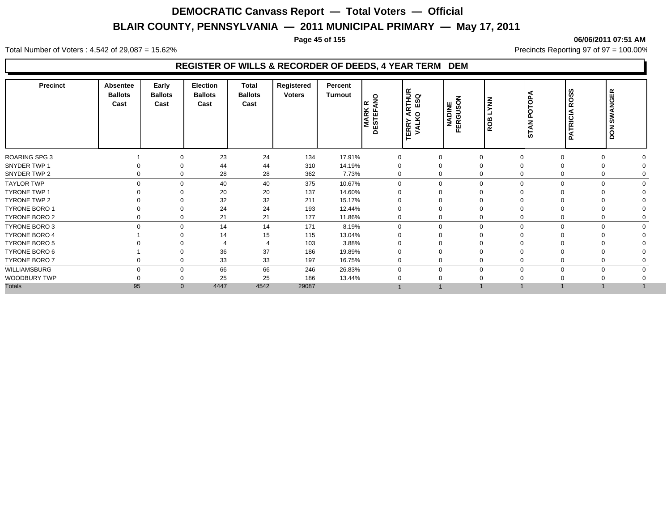#### **Page 45 of 155 06/06/2011 07:51 AM**

Total Number of Voters : 4,542 of 29,087 = 15.62% Precincts Reporting 97 of 97 = 100.00%

#### **REGISTER OF WILLS & RECORDER OF DEEDS, 4 YEAR TERM DEM**

|                   | Precinct             | <b>Absentee</b><br><b>Ballots</b><br>Cast | Early<br><b>Ballots</b><br>Cast | <b>Election</b><br><b>Ballots</b><br>Cast | Total<br><b>Ballots</b><br>Cast | Registered<br><b>Voters</b> | Percent<br>Turnout | $\circ$<br>١œ<br><b>MARK</b><br>DESTEFA | ARTHUR<br>O ESQ<br>o<br><b>ERRY</b><br>VALK | NADINE<br>FERGUSON | <b>NNX</b><br>⊐<br>ROB | <b>STAN POTOPA</b> | ဖာ<br>ဖာ<br>ğ<br><b>PATRICIA</b> | <b>DON SWANGER</b> |  |
|-------------------|----------------------|-------------------------------------------|---------------------------------|-------------------------------------------|---------------------------------|-----------------------------|--------------------|-----------------------------------------|---------------------------------------------|--------------------|------------------------|--------------------|----------------------------------|--------------------|--|
|                   | ROARING SPG 3        |                                           | $\Omega$                        | 23                                        | 24                              | 134                         | 17.91%             |                                         |                                             | 0                  | $\Omega$               |                    | $\Omega$                         | $\Omega$           |  |
|                   | SNYDER TWP 1         |                                           | $\Omega$                        | 44                                        | 44                              | 310                         | 14.19%             |                                         |                                             | 0                  | $\Omega$               |                    |                                  | $\Omega$           |  |
|                   | SNYDER TWP 2         | 0                                         | $\mathbf 0$                     | 28                                        | 28                              | 362                         | 7.73%              | 0                                       |                                             | 0                  | $\Omega$               |                    |                                  | 0                  |  |
| <b>TAYLOR TWP</b> |                      | $\mathbf 0$                               | $\mathbf 0$                     | 40                                        | 40                              | 375                         | 10.67%             | $\Omega$                                |                                             | $\mathbf 0$        | $\mathbf 0$            | $\Omega$           | $\Omega$                         | $\mathbf 0$        |  |
|                   | <b>TYRONE TWP 1</b>  |                                           | $\Omega$                        | 20                                        | 20                              | 137                         | 14.60%             |                                         |                                             | $\Omega$           | $\Omega$               |                    |                                  |                    |  |
|                   | TYRONE TWP 2         |                                           |                                 | 32                                        | 32                              | 211                         | 15.17%             |                                         |                                             | 0                  | $\Omega$               |                    |                                  |                    |  |
|                   | <b>TYRONE BORO 1</b> |                                           | 0                               | 24                                        | 24                              | 193                         | 12.44%             | 0                                       |                                             | 0                  | $\mathbf 0$            |                    |                                  |                    |  |
|                   | TYRONE BORO 2        |                                           | $\mathbf 0$                     | 21                                        | 21                              | 177                         | 11.86%             |                                         |                                             | 0                  | $\Omega$               |                    |                                  |                    |  |
|                   | <b>TYRONE BORO 3</b> | $\mathbf 0$                               | $\mathbf 0$                     | 14                                        | 14                              | 171                         | 8.19%              | 0                                       |                                             | 0                  | $\mathbf 0$            | $\Omega$           | $\Omega$                         | $\mathbf 0$        |  |
|                   | <b>TYRONE BORO 4</b> |                                           |                                 | 14                                        | 15                              | 115                         | 13.04%             |                                         |                                             |                    | $\Omega$               |                    |                                  |                    |  |
|                   | <b>TYRONE BORO 5</b> |                                           |                                 |                                           |                                 | 103                         | 3.88%              |                                         |                                             |                    |                        |                    |                                  |                    |  |
|                   | TYRONE BORO 6        |                                           |                                 | 36                                        | 37                              | 186                         | 19.89%             |                                         |                                             |                    |                        |                    |                                  |                    |  |
|                   | <b>TYRONE BORO 7</b> | 0                                         | $\Omega$                        | 33                                        | 33                              | 197                         | 16.75%             | $\Omega$                                |                                             | $\mathbf 0$        | $\Omega$               |                    |                                  | $\Omega$           |  |
|                   | WILLIAMSBURG         | $\Omega$                                  | $\mathbf 0$                     | 66                                        | 66                              | 246                         | 26.83%             | $\Omega$                                |                                             | $\mathbf 0$        | $\Omega$               | O                  | $\Omega$                         | $\mathbf 0$        |  |
|                   | WOODBURY TWP         |                                           | $\Omega$                        | 25                                        | 25                              | 186                         | 13.44%             |                                         |                                             | 0                  |                        |                    |                                  |                    |  |
| <b>Totals</b>     |                      | 95                                        | $\Omega$                        | 4447                                      | 4542                            | 29087                       |                    |                                         |                                             |                    |                        |                    |                                  |                    |  |
|                   |                      |                                           |                                 |                                           |                                 |                             |                    |                                         |                                             |                    |                        |                    |                                  |                    |  |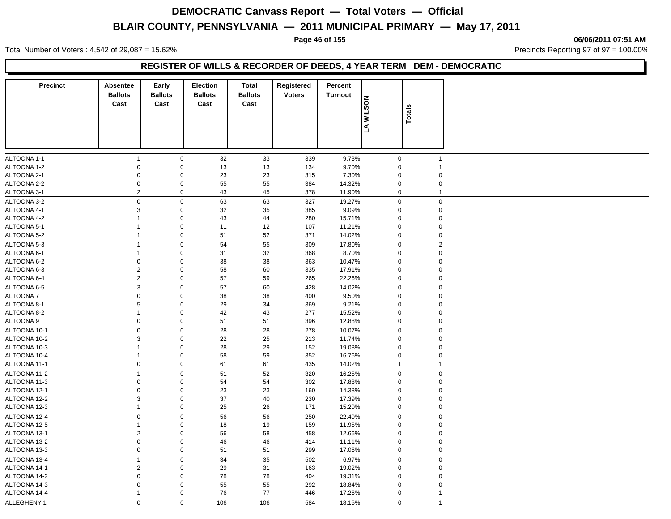**Page 46 of 155 06/06/2011 07:51 AM**

Total Number of Voters : 4,542 of 29,087 = 15.62% Precincts Reporting 97 of 97 = 100.00%

#### **REGISTER OF WILLS & RECORDER OF DEEDS, 4 YEAR TERM DEM - DEMOCRATIC**

| <b>Precinct</b>              | Absentee<br><b>Ballots</b><br>Cast | Early<br><b>Ballots</b><br>Cast         | <b>Election</b><br><b>Ballots</b><br>Cast | <b>Total</b><br><b>Ballots</b><br>Cast | Registered<br><b>Voters</b> | Percent<br>Turnout | <b>MILSON</b> | Totals                     |                            |
|------------------------------|------------------------------------|-----------------------------------------|-------------------------------------------|----------------------------------------|-----------------------------|--------------------|---------------|----------------------------|----------------------------|
|                              |                                    |                                         |                                           |                                        |                             |                    | ß             |                            |                            |
| ALTOONA 1-1                  | 1                                  | $\mathbf 0$                             | 32                                        | 33                                     | 339                         | 9.73%              |               | $\mathbf 0$                | $\mathbf{1}$               |
| ALTOONA 1-2                  | $\mathbf 0$                        | $\mathbf 0$                             | 13                                        | 13                                     | 134                         | 9.70%              |               | $\mathbf 0$                | $\mathbf{1}$               |
| ALTOONA 2-1                  | $\mathbf 0$                        | $\mathbf 0$                             | 23                                        | 23                                     | 315                         | 7.30%              |               | $\mathbf 0$                | $\mathbf 0$                |
| ALTOONA 2-2                  | $\pmb{0}$                          | $\boldsymbol{0}$                        | 55                                        | 55                                     | 384                         | 14.32%             |               | $\mathbf 0$                | $\mathbf 0$                |
| ALTOONA 3-1                  | $\boldsymbol{2}$                   | $\boldsymbol{0}$                        | 43                                        | 45                                     | 378                         | 11.90%             |               | $\mathbf 0$                | $\overline{1}$             |
| ALTOONA 3-2                  | $\mathbf 0$                        | $\mathbf 0$                             | 63                                        | 63                                     | 327                         | 19.27%             |               | $\mathbf 0$                | $\mathsf 0$                |
| ALTOONA 4-1                  | 3                                  | $\mathbf 0$                             | 32                                        | 35                                     | 385                         | 9.09%              |               | $\mathbf 0$                | $\mathbf 0$                |
| ALTOONA 4-2                  | 1                                  | $\mathbf 0$                             | 43                                        | 44                                     | 280                         | 15.71%             |               | $\mathbf 0$                | $\mathbf 0$                |
| ALTOONA 5-1                  | 1                                  | $\pmb{0}$                               | 11                                        | 12                                     | 107                         | 11.21%             |               | $\mathbf 0$                | $\mathbf 0$                |
| ALTOONA 5-2                  | 1                                  | $\boldsymbol{0}$                        | 51                                        | 52                                     | 371                         | 14.02%             |               | $\pmb{0}$                  | $\mathbf 0$                |
| ALTOONA 5-3                  | $\mathbf{1}$                       | $\mathbf 0$                             | 54                                        | 55                                     | 309                         | 17.80%             |               | $\mathbf 0$                | $\sqrt{2}$                 |
| ALTOONA 6-1                  | 1                                  | $\boldsymbol{0}$                        | 31                                        | 32                                     | 368                         | 8.70%              |               | $\mathbf 0$                | $\mathbf 0$                |
| ALTOONA 6-2                  | 0                                  | $\boldsymbol{0}$                        | 38                                        | 38                                     | 363                         | 10.47%             |               | $\mathbf 0$                | $\mathbf 0$                |
| ALTOONA 6-3                  | $\overline{2}$                     | $\mathsf{O}\xspace$                     | 58                                        | 60                                     | 335                         | 17.91%             |               | $\mathbf 0$                | $\mathbf 0$                |
| ALTOONA 6-4                  | 2                                  | $\mathbf 0$                             | 57                                        | 59                                     | 265                         | 22.26%             |               | $\mathbf 0$                | $\mathbf 0$                |
| ALTOONA 6-5                  | $\mathsf 3$                        | $\boldsymbol{0}$                        | 57                                        | 60                                     | 428                         | 14.02%             |               | $\mathbf 0$                | $\mathbf 0$                |
| ALTOONA 7                    | $\pmb{0}$                          | $\mathbf 0$                             | 38                                        | 38                                     | 400                         | 9.50%              |               | 0                          | $\mathbf 0$                |
| ALTOONA 8-1                  | 5                                  | $\boldsymbol{0}$                        | 29                                        | 34                                     | 369                         | 9.21%              |               | $\mathbf 0$                | $\mathbf 0$                |
| ALTOONA 8-2                  | 1                                  | $\boldsymbol{0}$                        | 42                                        | 43                                     | 277                         | 15.52%             |               | $\mathbf 0$                | $\mathbf 0$                |
| ALTOONA 9                    | $\boldsymbol{0}$                   | $\mathbf 0$                             | 51                                        | 51                                     | 396                         | 12.88%             |               | $\mathbf 0$                | $\mathbf 0$                |
| ALTOONA 10-1                 | $\boldsymbol{0}$                   | $\mathbf 0$                             | 28                                        | 28                                     | 278                         | 10.07%             |               | $\mathbf 0$                | $\mathbf 0$                |
| ALTOONA 10-2                 | 3                                  | $\mathbf 0$                             | 22                                        | 25                                     | 213                         | 11.74%             |               | $\mathbf 0$                | $\mathbf 0$                |
| ALTOONA 10-3                 | 1                                  | $\mathbf 0$                             | 28                                        | 29                                     | 152                         | 19.08%             |               | $\mathbf 0$                | $\mathbf 0$                |
| ALTOONA 10-4                 | 1                                  | $\mathbf 0$                             | 58                                        | 59                                     | 352                         | 16.76%             |               | $\mathbf 0$                | $\mathsf 0$                |
| ALTOONA 11-1                 | $\mathbf 0$                        | $\mathbf 0$                             | 61                                        | 61                                     | 435                         | 14.02%             |               | $\mathbf{1}$               | $\mathbf{1}$               |
|                              |                                    |                                         |                                           |                                        |                             |                    |               |                            |                            |
| ALTOONA 11-2                 | $\mathbf{1}$                       | $\mathbf 0$                             | 51                                        | 52                                     | 320                         | 16.25%             |               | $\mathbf 0$                | $\mathbf 0$                |
| ALTOONA 11-3<br>ALTOONA 12-1 | $\mathbf 0$<br>$\boldsymbol{0}$    | $\boldsymbol{0}$<br>$\mathsf{O}\xspace$ | 54<br>23                                  | 54<br>23                               | 302<br>160                  | 17.88%<br>14.38%   |               | $\mathbf 0$<br>$\mathbf 0$ | $\mathbf 0$<br>$\mathbf 0$ |
| ALTOONA 12-2                 | $\mathsf 3$                        | $\mathsf{O}\xspace$                     | 37                                        |                                        | 230                         |                    |               | $\Omega$                   | $\mathbf 0$                |
|                              | $\mathbf{1}$                       | $\mathbf 0$                             | 25                                        | 40                                     | 171                         | 17.39%             |               | $\mathbf 0$                | $\mathbf 0$                |
| ALTOONA 12-3                 |                                    |                                         |                                           | 26                                     |                             | 15.20%             |               |                            |                            |
| ALTOONA 12-4                 | $\mathbf 0$                        | $\mathbf 0$                             | 56                                        | 56                                     | 250                         | 22.40%             |               | $\mathbf 0$                | $\pmb{0}$                  |
| ALTOONA 12-5                 | 1                                  | $\boldsymbol{0}$                        | 18                                        | 19                                     | 159                         | 11.95%             |               | 0                          | $\mathbf 0$                |
| ALTOONA 13-1                 | $\sqrt{2}$                         | $\boldsymbol{0}$                        | 56                                        | 58                                     | 458                         | 12.66%             |               | $\mathbf 0$                | $\mathbf 0$                |
| ALTOONA 13-2                 | $\pmb{0}$                          | $\boldsymbol{0}$                        | 46                                        | 46                                     | 414                         | 11.11%             |               | $\mathbf 0$                | $\mathbf 0$                |
| ALTOONA 13-3                 | $\mathbf 0$                        | $\boldsymbol{0}$                        | 51                                        | 51                                     | 299                         | 17.06%             |               | $\mathbf 0$                | $\mathbf 0$                |
| ALTOONA 13-4                 | $\mathbf{1}$                       | $\mathbf 0$                             | 34                                        | 35                                     | 502                         | 6.97%              |               | $\mathbf 0$                | $\mathsf 0$                |
| ALTOONA 14-1                 | $\boldsymbol{2}$                   | $\mathbf 0$                             | 29                                        | 31                                     | 163                         | 19.02%             |               | $\mathbf 0$                | $\mathbf 0$                |
| ALTOONA 14-2                 | $\mathbf 0$                        | $\mathbf 0$                             | 78                                        | 78                                     | 404                         | 19.31%             |               | $\Omega$                   | $\mathsf 0$                |
| ALTOONA 14-3                 | $\mathbf 0$                        | $\mathbf 0$                             | 55                                        | 55                                     | 292                         | 18.84%             |               | $\mathbf 0$                | $\mathbf 0$                |
| ALTOONA 14-4                 | $\mathbf{1}$                       | $\mathbf 0$                             | 76                                        | 77                                     | 446                         | 17.26%             |               | $\mathbf 0$                | $\mathbf{1}$               |
| ALLEGHENY 1                  | $\Omega$                           | $\mathbf 0$                             | 106                                       | 106                                    | 584                         | 18.15%             |               | $\mathbf 0$                | $\mathbf{1}$               |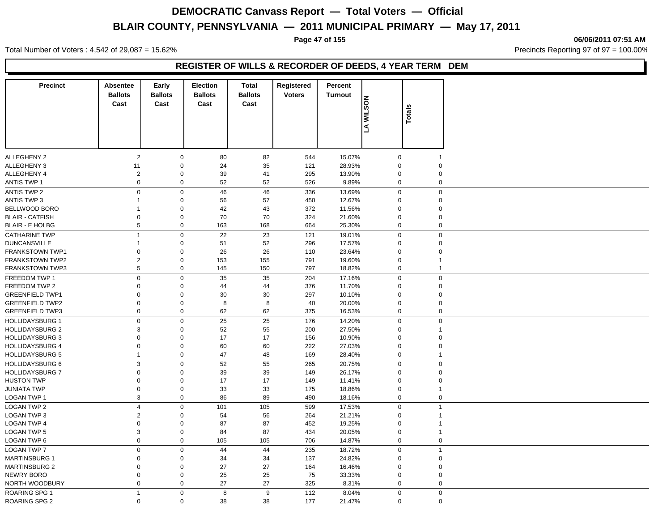**Page 47 of 155 06/06/2011 07:51 AM**

Total Number of Voters : 4,542 of 29,087 = 15.62% Precincts Reporting 97 of 97 = 100.00%

### **REGISTER OF WILLS & RECORDER OF DEEDS, 4 YEAR TERM DEM**

| <b>Precinct</b>                             | <b>Absentee</b><br><b>Ballots</b><br>Cast | Early<br><b>Ballots</b><br>Cast | <b>Election</b><br><b>Ballots</b><br>Cast | <b>Total</b><br><b>Ballots</b><br>Cast | Registered<br><b>Voters</b> | Percent<br><b>Turnout</b> | <b>MILSON</b><br>Ł | Totals      |                            |
|---------------------------------------------|-------------------------------------------|---------------------------------|-------------------------------------------|----------------------------------------|-----------------------------|---------------------------|--------------------|-------------|----------------------------|
| <b>ALLEGHENY 2</b>                          | $\overline{2}$                            | $\mathbf 0$                     | 80                                        | 82                                     | 544                         | 15.07%                    |                    | $\mathbf 0$ | $\mathbf 1$                |
| <b>ALLEGHENY 3</b>                          | 11                                        | $\boldsymbol{0}$                | 24                                        | 35                                     | 121                         | 28.93%                    |                    | $\mathbf 0$ | $\mathbf 0$                |
| <b>ALLEGHENY 4</b>                          | $\overline{2}$                            | $\mathbf 0$                     | 39                                        | 41                                     | 295                         | 13.90%                    |                    | $\mathbf 0$ | $\mathbf 0$                |
| <b>ANTIS TWP 1</b>                          | $\pmb{0}$                                 | $\mathbf 0$                     | 52                                        | 52                                     | 526                         | 9.89%                     |                    | $\mathbf 0$ | $\mathbf 0$                |
| <b>ANTIS TWP 2</b>                          | $\mathbf 0$                               | $\mathbf 0$                     | 46                                        | 46                                     | 336                         | 13.69%                    |                    | $\mathbf 0$ | $\mathsf 0$                |
| <b>ANTIS TWP 3</b>                          | $\mathbf{1}$                              | $\mathbf 0$                     | 56                                        | 57                                     | 450                         | 12.67%                    |                    | $\mathbf 0$ | $\mathsf 0$                |
| BELLWOOD BORO                               | 1                                         | $\mathbf 0$                     | 42                                        | 43                                     | 372                         | 11.56%                    |                    | $\Omega$    | $\mathsf 0$                |
| <b>BLAIR - CATFISH</b>                      | $\pmb{0}$                                 | $\mathbf 0$                     | 70                                        | 70                                     | 324                         | 21.60%                    |                    | $\mathbf 0$ | $\mathbf 0$                |
| <b>BLAIR - E HOLBG</b>                      | 5                                         | $\mathbf 0$                     | 163                                       | 168                                    | 664                         | 25.30%                    |                    | $\mathbf 0$ | $\mathsf 0$                |
| <b>CATHARINE TWP</b>                        | $\mathbf{1}$                              | $\mathbf 0$                     | 22                                        | 23                                     | 121                         | 19.01%                    |                    | $\mathbf 0$ | $\mathsf 0$                |
| <b>DUNCANSVILLE</b>                         | 1                                         | $\mathbf 0$                     | 51                                        | 52                                     | 296                         | 17.57%                    |                    | $\Omega$    | $\mathsf 0$                |
| <b>FRANKSTOWN TWP1</b>                      | $\mathbf 0$                               | $\mathbf 0$                     | 26                                        | 26                                     | 110                         | 23.64%                    |                    | $\mathbf 0$ | $\mathbf 0$                |
| <b>FRANKSTOWN TWP2</b>                      | $\overline{2}$                            | $\mathbf 0$                     | 153                                       | 155                                    | 791                         | 19.60%                    |                    | $\mathbf 0$ | $\overline{1}$             |
| <b>FRANKSTOWN TWP3</b>                      | 5                                         | $\mathbf 0$                     | 145                                       | 150                                    | 797                         | 18.82%                    |                    | $\mathbf 0$ | $\mathbf{1}$               |
| FREEDOM TWP 1                               | $\mathbf 0$                               | $\mathbf 0$                     | 35                                        | 35                                     | 204                         | 17.16%                    |                    | $\mathbf 0$ | $\mathbf 0$                |
| FREEDOM TWP 2                               | $\Omega$                                  | $\mathbf 0$                     | 44                                        | 44                                     | 376                         | 11.70%                    |                    | $\mathbf 0$ | $\mathsf 0$                |
| <b>GREENFIELD TWP1</b>                      | $\Omega$                                  | $\mathbf 0$                     | 30                                        | 30                                     | 297                         | 10.10%                    |                    | $\mathbf 0$ | $\mathsf 0$                |
| <b>GREENFIELD TWP2</b>                      | $\mathbf 0$                               | $\mathbf 0$                     | 8                                         | 8                                      | 40                          | 20.00%                    |                    | $\mathbf 0$ | $\mathbf 0$                |
| <b>GREENFIELD TWP3</b>                      | $\boldsymbol{0}$                          | $\mathbf 0$                     | 62                                        | 62                                     | 375                         | 16.53%                    |                    | $\mathbf 0$ | $\mathsf 0$                |
| <b>HOLLIDAYSBURG 1</b>                      | $\boldsymbol{0}$                          | $\mathbf 0$                     | 25                                        | 25                                     | 176                         | 14.20%                    |                    | $\mathbf 0$ | $\mathsf 0$                |
| <b>HOLLIDAYSBURG 2</b>                      | 3                                         | $\mathbf 0$                     | 52                                        | 55                                     | 200                         | 27.50%                    |                    | $\Omega$    | $\overline{1}$             |
| <b>HOLLIDAYSBURG 3</b>                      | 0                                         | $\mathbf 0$                     | 17                                        | 17                                     | 156                         | 10.90%                    |                    | $\mathbf 0$ | $\mathsf 0$                |
| <b>HOLLIDAYSBURG 4</b>                      | 0                                         | $\mathbf 0$                     | 60                                        | 60                                     | 222                         | 27.03%                    |                    | $\mathbf 0$ | $\mathbf 0$                |
| <b>HOLLIDAYSBURG 5</b>                      | 1                                         | $\mathbf 0$                     | 47                                        | 48                                     | 169                         | 28.40%                    |                    | $\mathbf 0$ | $\overline{1}$             |
| <b>HOLLIDAYSBURG 6</b>                      |                                           | $\mathbf 0$                     |                                           |                                        | 265                         | 20.75%                    |                    | $\mathbf 0$ | $\mathsf 0$                |
|                                             | $\mathsf 3$<br>$\Omega$                   |                                 | 52                                        | 55                                     |                             |                           |                    | $\mathbf 0$ |                            |
| <b>HOLLIDAYSBURG 7</b><br><b>HUSTON TWP</b> | $\Omega$                                  | $\mathbf 0$<br>$\mathbf 0$      | 39<br>17                                  | 39<br>17                               | 149<br>149                  | 26.17%<br>11.41%          |                    | $\Omega$    | $\mathsf 0$<br>$\mathbf 0$ |
| <b>JUNIATA TWP</b>                          | $\Omega$                                  | $\mathbf 0$                     | 33                                        | 33                                     | 175                         | 18.86%                    |                    | $\mathbf 0$ | $\mathbf{1}$               |
| LOGAN TWP 1                                 | $\mathsf 3$                               | $\mathbf 0$                     | 86                                        | 89                                     | 490                         | 18.16%                    |                    | $\mathbf 0$ | $\mathbf 0$                |
|                                             |                                           |                                 |                                           |                                        |                             |                           |                    |             |                            |
| <b>LOGAN TWP 2</b>                          | $\overline{\mathbf{4}}$                   | $\mathbf 0$                     | 101                                       | 105                                    | 599                         | 17.53%                    |                    | $\mathbf 0$ | $\mathbf{1}$               |
| LOGAN TWP 3                                 | 2                                         | $\mathbf 0$                     | 54                                        | 56                                     | 264                         | 21.21%                    |                    | $\Omega$    | $\overline{1}$             |
| <b>LOGAN TWP 4</b>                          | $\mathbf 0$                               | $\mathbf 0$                     | 87                                        | 87                                     | 452                         | 19.25%                    |                    | $\Omega$    | $\overline{1}$             |
| <b>LOGAN TWP 5</b>                          | 3                                         | $\mathbf 0$                     | 84                                        | 87                                     | 434                         | 20.05%                    |                    | $\mathbf 0$ | $\mathbf{1}$               |
| LOGAN TWP 6                                 | $\pmb{0}$                                 | $\mathbf 0$                     | 105                                       | 105                                    | 706                         | 14.87%                    |                    | $\mathbf 0$ | $\mathbf 0$                |
| <b>LOGAN TWP 7</b>                          | $\pmb{0}$                                 | $\mathbf 0$                     | 44                                        | 44                                     | 235                         | 18.72%                    |                    | $\mathbf 0$ | $\mathbf{1}$               |
| <b>MARTINSBURG 1</b>                        | $\Omega$                                  | $\mathbf 0$                     | 34                                        | 34                                     | 137                         | 24.82%                    |                    | $\mathbf 0$ | $\mathbf 0$                |
| <b>MARTINSBURG 2</b>                        | $\Omega$                                  | $\mathbf 0$                     | 27                                        | 27                                     | 164                         | 16.46%                    |                    | $\mathbf 0$ | $\mathbf 0$                |
| <b>NEWRY BORO</b>                           | $\Omega$                                  | $\mathbf 0$                     | 25                                        | 25                                     | 75                          | 33.33%                    |                    | $\mathbf 0$ | $\mathbf 0$                |
| NORTH WOODBURY                              | $\mathbf 0$                               | $\mathbf 0$                     | 27                                        | 27                                     | 325                         | 8.31%                     |                    | $\mathbf 0$ | $\mathbf 0$                |
| <b>ROARING SPG 1</b>                        | $\mathbf{1}$                              | $\mathbf 0$                     | 8                                         | $\boldsymbol{9}$                       | 112                         | 8.04%                     |                    | $\mathbf 0$ | $\mathbf 0$                |
| ROARING SPG 2                               | $\mathbf 0$                               | $\mathbf 0$                     | 38                                        | 38                                     | 177                         | 21.47%                    |                    | $\Omega$    | $\mathbf 0$                |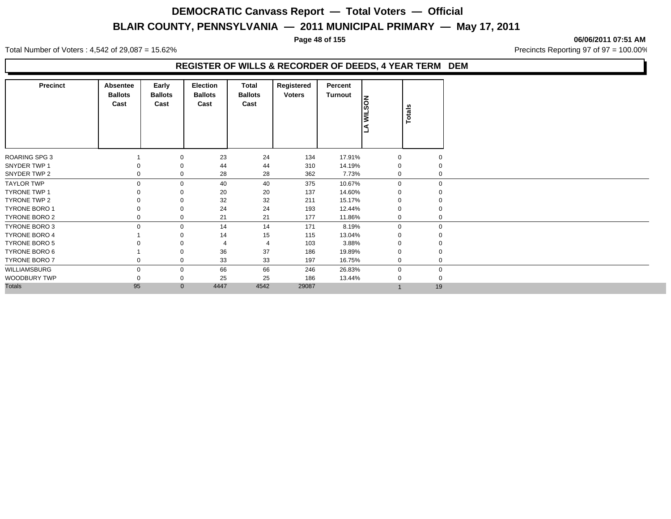**Page 48 of 155 06/06/2011 07:51 AM**

Total Number of Voters : 4,542 of 29,087 = 15.62% Precincts Reporting 97 of 97 = 100.00%

#### **REGISTER OF WILLS & RECORDER OF DEEDS, 4 YEAR TERM DEM**

| <b>Precinct</b>      | Absentee<br><b>Ballots</b><br>Cast | Early<br><b>Ballots</b><br>Cast | <b>Election</b><br><b>Ballots</b><br>Cast | Total<br><b>Ballots</b><br>Cast | Registered<br><b>Voters</b> | Percent<br>Turnout | <b>NUSON</b><br>l ef | Totals      |
|----------------------|------------------------------------|---------------------------------|-------------------------------------------|---------------------------------|-----------------------------|--------------------|----------------------|-------------|
| <b>ROARING SPG 3</b> |                                    | 0                               | 23                                        | 24                              | 134                         | 17.91%             | $\mathbf 0$          |             |
| SNYDER TWP 1         |                                    | 0                               | 44                                        | 44                              | 310                         | 14.19%             | $\Omega$             |             |
| SNYDER TWP 2         |                                    | 0                               | 28                                        | 28                              | 362                         | 7.73%              | $\Omega$             | $\mathbf 0$ |
| <b>TAYLOR TWP</b>    | 0                                  | 0                               | 40                                        | 40                              | 375                         | 10.67%             | $\Omega$             | $\mathbf 0$ |
| <b>TYRONE TWP 1</b>  |                                    | 0                               | 20                                        | 20                              | 137                         | 14.60%             |                      |             |
| TYRONE TWP 2         |                                    | $\Omega$                        | 32                                        | 32                              | 211                         | 15.17%             |                      |             |
| <b>TYRONE BORO 1</b> |                                    | 0                               | 24                                        | 24                              | 193                         | 12.44%             |                      |             |
| <b>TYRONE BORO 2</b> |                                    | 0                               | 21                                        | 21                              | 177                         | 11.86%             |                      | $\mathbf 0$ |
| TYRONE BORO 3        | $\Omega$                           | $\mathbf 0$                     | 14                                        | 14                              | 171                         | 8.19%              | $\mathbf 0$          | $\mathbf 0$ |
| <b>TYRONE BORO 4</b> |                                    | 0                               | 14                                        | 15                              | 115                         | 13.04%             | 0                    |             |
| <b>TYRONE BORO 5</b> |                                    | $\Omega$                        |                                           | $\overline{4}$                  | 103                         | 3.88%              |                      |             |
| TYRONE BORO 6        |                                    | $\Omega$                        | 36                                        | 37                              | 186                         | 19.89%             |                      |             |
| TYRONE BORO 7        | 0                                  | 0                               | 33                                        | 33                              | 197                         | 16.75%             | $\Omega$             | $\mathbf 0$ |
| WILLIAMSBURG         | $\Omega$                           | 0                               | 66                                        | 66                              | 246                         | 26.83%             | $\Omega$             | 0           |
| WOODBURY TWP         |                                    | 0                               | 25                                        | 25                              | 186                         | 13.44%             |                      | $\mathbf 0$ |
| <b>Totals</b>        | 95                                 | $\mathbf{0}$                    | 4447                                      | 4542                            | 29087                       |                    |                      | 19          |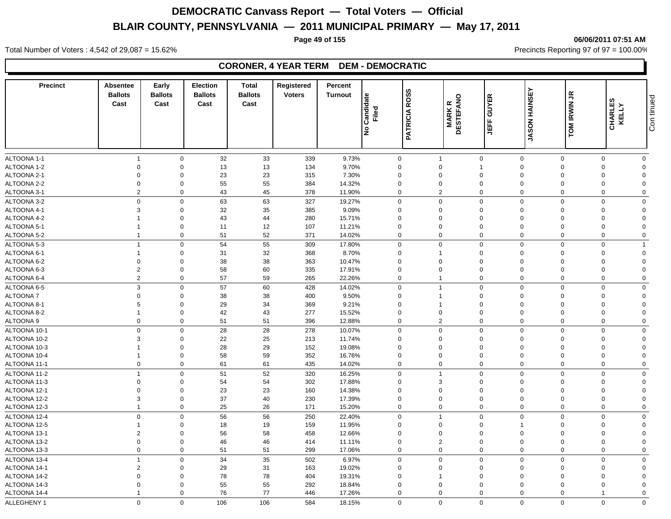**Page 49 of 155 06/06/2011 07:51 AM**

Total Number of Voters : 4,542 of 29,087 = 15.62% Precincts Reporting 97 of 97 = 100.00%

### **CORONER, 4 YEAR TERM DEM - DEMOCRATIC**

| <b>Precinct</b>            | <b>Absentee</b><br><b>Ballots</b><br>Cast | Early<br><b>Ballots</b><br>Cast | <b>Election</b><br><b>Ballots</b><br>Cast | <b>Total</b><br><b>Ballots</b><br>Cast | Registered<br><b>Voters</b> | Percent<br><b>Turnout</b> | Candidate<br>Filed<br>١ş | <b>ROSS</b><br><b>PATRICIA</b> | <b>MARKR</b><br>DESTEFANO     | <b>GUYER</b><br>肯           | <b>JASON HAINSEY</b>       | TOM IRWIN JR            | CHARLES<br>KELLY        | Con tinued              |
|----------------------------|-------------------------------------------|---------------------------------|-------------------------------------------|----------------------------------------|-----------------------------|---------------------------|--------------------------|--------------------------------|-------------------------------|-----------------------------|----------------------------|-------------------------|-------------------------|-------------------------|
|                            |                                           |                                 |                                           |                                        |                             |                           |                          |                                |                               |                             |                            |                         |                         |                         |
|                            |                                           |                                 |                                           |                                        |                             |                           |                          |                                |                               |                             |                            |                         |                         |                         |
| ALTOONA 1-1<br>ALTOONA 1-2 | $\overline{1}$<br>$\mathbf 0$             | $\mathbf 0$<br>$\mathbf 0$      | 32<br>13                                  | 33<br>13                               | 339<br>134                  | 9.73%<br>9.70%            | 0<br>$\Omega$            |                                | $\overline{1}$<br>$\mathbf 0$ | $\mathbf 0$<br>$\mathbf{1}$ | $\mathbf 0$<br>$\Omega$    | $\mathbf 0$<br>$\Omega$ | $\mathbf 0$<br>$\Omega$ | $\mathbf 0$<br>$\Omega$ |
| ALTOONA 2-1                | $\overline{0}$                            | $\Omega$                        | 23                                        | 23                                     | 315                         | 7.30%                     | $\Omega$                 |                                | $\Omega$                      | $\mathbf 0$                 | $\Omega$                   | $\Omega$                | $\Omega$                | $\Omega$                |
| ALTOONA 2-2                | $\mathbf 0$                               | $\mathbf 0$                     | 55                                        | 55                                     | 384                         | 14.32%                    | $\Omega$                 |                                | $\mathbf 0$                   | $\mathbf 0$                 | $\Omega$                   | $\Omega$                | $\Omega$                | $\Omega$                |
| ALTOONA 3-1                | $\overline{2}$                            | $\mathbf 0$                     | 43                                        | 45                                     | 378                         | 11.90%                    | 0                        |                                | $\overline{2}$                | $\mathbf 0$                 | $\mathbf 0$                | $\Omega$                | $\Omega$                | $\mathbf 0$             |
| ALTOONA 3-2                | $\mathbf 0$                               | $\mathbf 0$                     | 63                                        | 63                                     | 327                         | 19.27%                    | $\mathbf 0$              |                                | $\mathbf 0$                   | $\mathbf 0$                 | $\mathbf 0$                | $\mathbf 0$             | $\mathbf 0$             | $\mathbf 0$             |
| ALTOONA 4-1                | $\mathbf{3}$                              | $\mathbf 0$                     | 32                                        | 35                                     | 385                         | 9.09%                     | $\Omega$                 |                                | $\Omega$                      | $\mathbf 0$                 | $\Omega$                   | $\Omega$                | $\Omega$                | $\mathbf 0$             |
| ALTOONA 4-2                |                                           | $\mathbf 0$                     | 43                                        | 44                                     | 280                         | 15.71%                    | $\mathbf 0$              |                                | $\mathbf 0$                   | $\mathbf 0$                 | $\mathbf 0$                | $\Omega$                | $\Omega$                | $\Omega$                |
| ALTOONA 5-1                | $\overline{1}$                            | $\mathbf 0$                     | 11                                        | 12                                     | 107                         | 11.21%                    | $\mathbf 0$              |                                | $\mathbf 0$                   | $\mathbf 0$                 | $\mathbf 0$                | $\Omega$                | $\Omega$                | $\mathbf 0$             |
| ALTOONA 5-2                | $\overline{1}$                            | $\mathbf 0$                     | 51                                        | 52                                     | 371                         | 14.02%                    | $\mathbf 0$              |                                | $\mathbf 0$                   | $\mathbf 0$                 | $\mathbf 0$                | $\Omega$                | $\Omega$                | $\mathbf 0$             |
|                            |                                           |                                 |                                           |                                        |                             |                           |                          |                                |                               |                             |                            |                         |                         |                         |
| ALTOONA 5-3<br>ALTOONA 6-1 | $\overline{1}$<br>$\overline{1}$          | $\mathbf 0$<br>$\mathbf 0$      | 54<br>31                                  | 55<br>32                               | 309<br>368                  | 17.80%<br>8.70%           | 0<br>$\mathbf 0$         |                                | $\mathbf 0$<br>$\overline{1}$ | $\mathbf 0$<br>$\mathbf 0$  | $\mathbf 0$<br>$\mathbf 0$ | $\mathbf 0$<br>$\Omega$ | $\Omega$<br>$\Omega$    | $\mathbf 1$<br>$\Omega$ |
| ALTOONA 6-2                | $\mathbf 0$                               | $\mathbf 0$                     | 38                                        | 38                                     | 363                         | 10.47%                    | $\mathbf 0$              |                                | $\Omega$                      | $\mathbf 0$                 | $\Omega$                   | $\Omega$                | $\Omega$                | $\Omega$                |
| ALTOONA 6-3                |                                           | $\Omega$                        |                                           |                                        | 335                         | 17.91%                    | $\Omega$                 |                                | $\Omega$                      | $\mathbf 0$                 | $\overline{0}$             | $\Omega$                | $\Omega$                | $\Omega$                |
| ALTOONA 6-4                | $\overline{c}$<br>$\overline{2}$          | $\Omega$                        | 58<br>57                                  | 60<br>59                               | 265                         | 22.26%                    | $\mathbf 0$              |                                | $\overline{1}$                | $\mathbf 0$                 | $\Omega$                   | $\Omega$                | $\Omega$                | $\mathbf 0$             |
|                            |                                           |                                 |                                           |                                        |                             |                           |                          |                                |                               |                             |                            |                         |                         | $\Omega$                |
| ALTOONA 6-5                | 3                                         | $\mathbf 0$                     | 57                                        | 60                                     | 428                         | 14.02%                    | 0                        |                                | $\overline{1}$                | $\mathbf 0$                 | $\mathbf 0$                | $\mathbf 0$             | $\Omega$<br>$\Omega$    | $\Omega$                |
| <b>ALTOONA7</b>            | $\mathbf 0$                               | $\mathbf 0$                     | 38                                        | 38                                     | 400                         | 9.50%                     | $\Omega$                 |                                | -1                            | $\mathbf 0$                 | $\Omega$                   | $\Omega$                |                         |                         |
| ALTOONA 8-1                | $\sqrt{5}$                                | $\Omega$                        | 29                                        | 34                                     | 369                         | 9.21%                     | $\Omega$                 |                                | -1                            | $\mathbf 0$                 | $\Omega$                   | $\Omega$                | $\Omega$                | $\Omega$                |
| ALTOONA 8-2                |                                           | $\mathbf 0$                     | 42                                        | 43                                     | 277                         | 15.52%                    | $\mathbf 0$              |                                | $\mathbf 0$                   | $\mathbf 0$                 | $\Omega$                   | $\Omega$                | $\Omega$                | $\Omega$                |
| ALTOONA 9                  | $\mathbf 0$                               | $\mathbf 0$                     | 51                                        | 51                                     | 396                         | 12.88%                    | $\mathbf 0$              |                                | $\overline{2}$                | $\mathbf 0$                 | $\mathbf 0$                | $\mathbf 0$             | $\mathbf 0$             | $\overline{0}$          |
| ALTOONA 10-1               | $\mathbf{0}$                              | $\mathbf 0$                     | 28                                        | 28                                     | 278                         | 10.07%                    | $\mathbf 0$              |                                | $\Omega$                      | $\mathbf 0$                 | $\mathbf 0$                | $\Omega$                | $\Omega$                | $\mathbf 0$             |
| ALTOONA 10-2               | 3                                         | $\mathbf 0$                     | 22                                        | 25                                     | 213                         | 11.74%                    | $\mathbf 0$              |                                | $\Omega$                      | $\mathbf 0$                 | $\mathbf 0$                | $\Omega$                | $\Omega$                | $\Omega$                |
| ALTOONA 10-3               |                                           | $\mathbf 0$                     | 28                                        | 29                                     | 152                         | 19.08%                    | $\mathbf 0$              |                                | $\mathbf 0$                   | $\mathbf 0$                 | $\mathbf 0$                | $\Omega$                | $\Omega$                | $\overline{0}$          |
| ALTOONA 10-4               | $\overline{1}$                            | $\mathbf 0$                     | 58                                        | 59                                     | 352                         | 16.76%                    | $\mathbf 0$              |                                | $\mathbf 0$                   | $\mathbf 0$                 | $\mathbf 0$                | $\Omega$                | $\mathbf 0$             | $\Omega$                |
| ALTOONA 11-1               | $\mathbf 0$                               | $\mathbf 0$                     | 61                                        | 61                                     | 435                         | 14.02%                    | 0                        |                                | $\mathbf 0$                   | $\mathbf 0$                 | $\mathbf 0$                | $\mathbf 0$             | $\Omega$                | $\mathbf 0$             |
| ALTOONA 11-2               | $\overline{1}$                            | $\mathbf 0$                     | 51                                        | 52                                     | 320                         | 16.25%                    | $\mathbf 0$              |                                | $\overline{1}$                | $\mathsf 0$                 | $\mathbf 0$                | $\Omega$                | $\Omega$                | $\Omega$                |
| ALTOONA 11-3               | $\mathbf 0$                               | $\mathbf 0$                     | 54                                        | 54                                     | 302                         | 17.88%                    | $\mathbf 0$              |                                | 3                             | $\mathbf 0$                 | $\mathbf 0$                | $\Omega$                | $\Omega$                | $\Omega$                |
| ALTOONA 12-1               | $\overline{0}$                            | $\mathbf 0$                     | 23                                        | 23                                     | 160                         | 14.38%                    | $\mathbf 0$              |                                | $\mathbf 0$                   | $\mathbf 0$                 | $\mathbf 0$                | $\Omega$                | $\Omega$                | $\Omega$                |
| ALTOONA 12-2               | 3                                         | $\mathbf 0$                     | 37                                        | $40\,$                                 | 230                         | 17.39%                    | $\mathbf 0$              |                                | $\mathbf 0$                   | $\mathbf 0$                 | $\overline{0}$             | $\Omega$                | $\Omega$                | $\Omega$                |
| ALTOONA 12-3               | $\overline{1}$                            | $\mathsf 0$                     | 25                                        | 26                                     | 171                         | 15.20%                    | $\Omega$                 |                                | $\mathbf 0$                   | $\mathsf 0$                 | $\mathbf 0$                | $\Omega$                | $\Omega$                | $\mathbf 0$             |
| ALTOONA 12-4               | $\mathbf 0$                               | $\mathbf 0$                     | 56                                        | 56                                     | 250                         | 22.40%                    | 0                        |                                | $\overline{1}$                | $\mathsf 0$                 | $\overline{0}$             | $\Omega$                | $\Omega$                | $\mathbf 0$             |
| ALTOONA 12-5               | $\overline{1}$                            | $\mathbf 0$                     | 18                                        | 19                                     | 159                         | 11.95%                    | $\Omega$                 |                                | $\mathbf 0$                   | $\mathbf 0$                 | -1                         | $\Omega$                | $\Omega$                | $\mathbf 0$             |
| ALTOONA 13-1               | $\overline{2}$                            | $\mathbf 0$                     | 56                                        | 58                                     | 458                         | 12.66%                    | $\Omega$                 |                                | 0                             | $\mathbf 0$                 | $\mathbf 0$                | $\Omega$                | $\Omega$                | $\mathbf 0$             |
| ALTOONA 13-2               | $\boldsymbol{0}$                          | $\boldsymbol{0}$                | 46                                        | 46                                     | 414                         | 11.11%                    | $\mathbf 0$              |                                | $\overline{c}$                | $\pmb{0}$                   | $\mathbf 0$                | $\Omega$                | $\mathbf 0$             | $\overline{0}$          |
| ALTOONA 13-3               | $\mathbf 0$                               | $\mathbf 0$                     | 51                                        | 51                                     | 299                         | 17.06%                    | 0                        |                                | $\mathbf 0$                   | $\mathbf 0$                 | $\mathbf 0$                | $\mathbf 0$             | $\mathbf 0$             | $\mathbf 0$             |
| ALTOONA 13-4               | $\overline{1}$                            | $\mathbf 0$                     | 34                                        | 35                                     | 502                         | 6.97%                     | $\Omega$                 |                                | $\mathbf 0$                   | $\mathbf 0$                 | $\mathbf 0$                | $\Omega$                | $\Omega$                | $\mathbf 0$             |
| ALTOONA 14-1               | $\overline{2}$                            | $\mathbf 0$                     | 29                                        | 31                                     | 163                         | 19.02%                    | $\mathbf 0$              |                                | 0                             | $\mathbf 0$                 | $\mathbf 0$                | $\Omega$                | $\Omega$                | $\Omega$                |
| ALTOONA 14-2               | $\mathbf 0$                               | $\mathbf 0$                     | 78                                        | 78                                     | 404                         | 19.31%                    | $\Omega$                 |                                | -1                            | $\mathbf 0$                 | $\Omega$                   | $\Omega$                | $\Omega$                | $\Omega$                |
| ALTOONA 14-3               | $\mathbf 0$                               | $\mathbf 0$                     | 55                                        | 55                                     | 292                         | 18.84%                    | $\mathbf 0$              |                                | $\mathbf 0$                   | $\mathbf 0$                 | $\Omega$                   | $\Omega$                | $\Omega$                | $\Omega$                |
| ALTOONA 14-4               | $\overline{1}$                            | $\mathbf 0$                     | 76                                        | 77                                     | 446                         | 17.26%                    | $\mathbf 0$              |                                | $\mathbf 0$                   | $\mathbf 0$                 | $\Omega$                   | $\Omega$                | 1                       | $\Omega$                |
| ALLEGHENY 1                | $\Omega$                                  | $\Omega$                        | 106                                       | 106                                    | 584                         | 18.15%                    | $\Omega$                 |                                | $\mathbf 0$                   | $\mathbf 0$                 | $\Omega$                   | $\Omega$                | $\Omega$                | $\mathbf 0$             |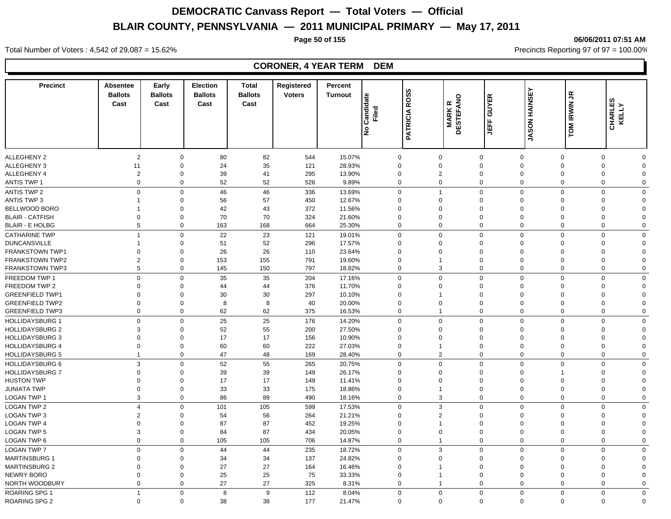**Page 50 of 155 06/06/2011 07:51 AM**

#### **Precinct Absentee Ballots Cast Cast Early Ballots Election Ballots**  Cast **Cast Total Registered Ballots Cast**<br> **Cast**<br> **Cast**<br> **Cast**<br> **PATRICIA ROSS**<br> **PATRICIA ROSS**<br> **DESTEFANO**<br> **JASON HAINSEY**<br> **CHARLES Turnout Percent Tiled<br>Filed<br>PATRICIA ROSS<br>MARK R<br>DESTEFANO** ALLEGHENY 2 2 0 80 82 544 15.07% 0 0 0 0 0 0 0 ALLEGHENY 3 11 0 24 35 121 28.93% 0 0 0 0 0 0 0 ALLEGHENY 4 2 0 39 41 295 13.90% 0 2 0 0 0 0 ANTIS TWP 1 0 0 52 52 526 9.89% 0 0 0 0 0 0 0 ANTIS TWP 2 0 46 46 336 13.69% 0 1 0 0 0 0 0 ANTIS TWP 3 1 0 56 57 450 12.67% 0 0 0 0 0 0 0 BELLWOOD BORO 1 0 42 43 372 11.56% 0 0 0 0 0 0 0 BLAIR - CATFISH 0 0 70 70 324 21.60% 0 0 0 0 0 0 0 BLAIR - E HOLBG 5 0 163 168 664 25.30% 0 0 0 0 0 0 CATHARINE TWP 1 0 22 23 121 19.01% 0 0 0 0 0 0 0 DUNCANSVILLE 1 0 51 52 296 17.57% 0 0 0 0 0 0 0 FRANKSTOWN TWP1 0 0 26 26 110 23.64% 0 0 0 0 0 0 0 FRANKSTOWN TWP2 2 0 153 155 791 19.60% 0 1 0 0 0 0 0 FRANKSTOWN TWP3 5 0 145 150 797 18.82% 0 3 0 0 0 0 0 FREEDOM TWP 1 0 0 35 35 204 17.16% 0 0 0 0 0 0 0 FREEDOM TWP 2 0 0 44 44 376 11.70% 0 0 0 0 0 0 GREENFIELD TWP1 0 0 30 30 297 10.10% 0 1 0 0 0 0 0 GREENFIELD TWP2 0 0 8 8 40 20.00% 0 0 0 0 0 0 0 GREENFIELD TWP3 0 0 62 62 375 16.53% 0 1 0 0 0 0 0 HOLLIDAYSBURG 1 0 0 25 25 176 14.20% 0 0 0 0 0 0 HOLLIDAYSBURG 2 3 0 52 55 200 27.50% 0 0 0 0 0 0 HOLLIDAYSBURG 3 0 0 17 156 10.90% 0 0 0 0 0 0 HOLLIDAYSBURG 4 0 0 60 60 222 27.03% 0 1 0 0 0 0 0 HOLLIDAYSBURG 5 1 0 47 48 169 28.40% 0 2 0 0 0 0 0 HOLLIDAYSBURG 6 3 0 52 55 265 20.75% 0 0 0 0 0 0 0 HOLLIDAYSBURG 7 0 0 39 39 149 26.17% 0 0 0 0 0 HUSTON TWP 0 0 17 149 11.41% 0 0 0 0 0 0 JUNIATA TWP 0 33 175 18.86% 0 1 0 0 0 0 LOGAN TWP 1 3 0 86 89 490 18.16% 0 3 0 0 0 0 0 LOGAN TWP 2 4 0 101 105 599 17.53% 0 3 0 0 0 0 0 LOGAN TWP 3 2 0 54 56 264 21.21% 0 2 0 0 0 0 0 LOGAN TWP 4 0 0 87 452 19.25% 0 1 0 0 0 0 LOGAN TWP 5 3 0 84 87 434 20.05% 0 0 0 0 0 0 0 LOGAN TWP 6 0 0 105 105 706 14.87% 0 1 0 0 0 0 0 LOGAN TWP 7 0 0 44 44 235 18.72% 0 3 0 0 0 0 0 MARTINSBURG 1 0 0 34 34 137 24.82% 0 0 0 0 0 0 0 MARTINSBURG 2 0 0 27 164 16.46% 0 1 0 0 0 0 NEWRY BORO 0 0 25 25 75 33.33% 0 1 0 0 0 0 0 NORTH WOODBURY 0 0 27 325 8.31% 0 1 0 0 0 0 0 ROARING SPG 1 1 0 8 9 112 8.04% 0 0 0 0 0 0 0

ROARING SPG 2 0 0 38 38 177 21.47% 0 0 0 0 0 0 0

Total Number of Voters : 4,542 of 29,087 = 15.62% Precincts Reporting 97 of 97 = 100.00%

#### **CORONER, 4 YEAR TERM DEM**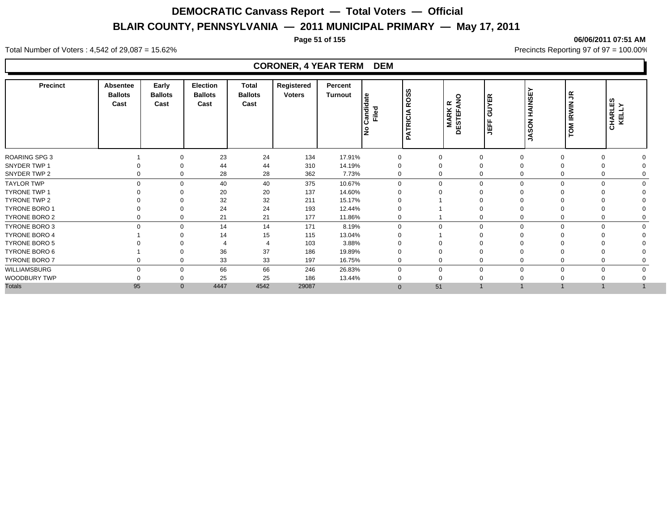**Page 51 of 155 06/06/2011 07:51 AM**

#### **Precinct Absentee Ballots Cast Early Ballots Cast Election Ballots**  Cast **Cast Total Registered Ballots Cast**<br> **Cast**<br> **Cast**<br> **Cast**<br> **PATRICIA ROSS**<br> **PATRICIA ROSS**<br> **DESTEFANO**<br> **JASON HAINSEY**<br> **CHARLES Turnout Percent Tried<br>Filed<br>PATRICIA ROSS<br>MARK R<br>DESTEFANO** ROARING SPG 3 1 0 23 24 134 17.91% 0 0 0 0 0 0 0 SNYDER TWP 1 0 0 44 44 310 14.19% 0 0 0 0 0 0 0 SNYDER TWP 2 0 0 28 28 362 7.73% 0 0 0 0 0 0 TAYLOR TWP 0 0 40 40 375 10.67% 0 0 0 0 0 0 TYRONE TWP 1 0 0 20 20 137 14.60% 0 0 0 0 0 0 0 TYRONE TWP 2 0 0 32 32 211 15.17% 0 1 0 0 0 0 0 TYRONE BORO 1 0 0 24 24 193 12.44% 0 1 0 0 0 0 0 TYRONE BORO 2 0 0 21 177 11.86% 0 1 0 0 0 TYRONE BORO 3 0 0 14 14 171 8.19% 0 0 0 0 0 0 0 TYRONE BORO 4 1 0 14 15 115 13.04% 0 1 0 0 0 0 0 TYRONE BORO 5 0 0 4 4 103 3.88% 0 0 0 TYRONE BORO 6 1 0 36 37 186 19.89% 0 0 0 0 0 0 0 TYRONE BORO 7 0 0 33 33 197 16.75% 0 0 0 0 0 0 0 WILLIAMSBURG 0 66 66 246 26.83% 0 0 0 0 0 0 WOODBURY TWP 0 0 25 25 186 13.44% 0 0 0 0 0 0 0 Totals 95 0 4447 4542 29087 0 51 1 1 1 1 1

Total Number of Voters : 4,542 of 29,087 = 15.62% Precincts Reporting 97 of 97 = 100.00%

#### **CORONER, 4 YEAR TERM DEM**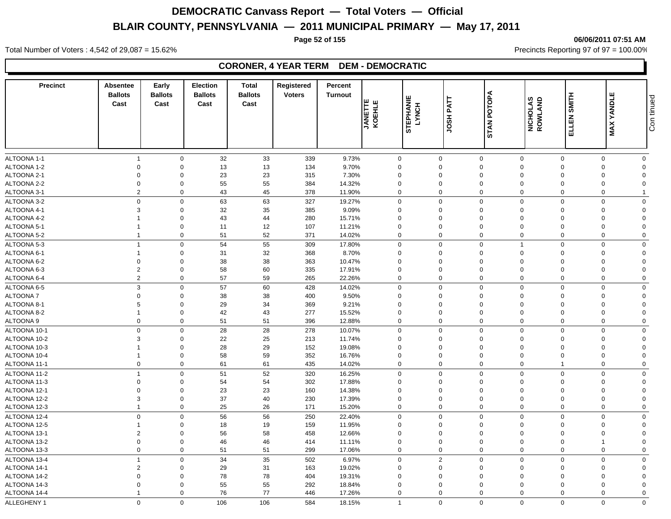**Page 52 of 155 06/06/2011 07:51 AM**

Total Number of Voters : 4,542 of 29,087 = 15.62% Precincts Reporting 97 of 97 = 100.00%

### **CORONER, 4 YEAR TERM DEM - DEMOCRATIC**

| <b>Precinct</b>            | <b>Absentee</b><br><b>Ballots</b><br>Cast | Early<br><b>Ballots</b><br>Cast | <b>Election</b><br><b>Ballots</b><br>Cast | <b>Total</b><br><b>Ballots</b><br>Cast | Registered<br><b>Voters</b> | Percent<br><b>Turnout</b> | <b>JANETTE</b><br>KOEHLE | <b>STEPHANIE</b><br>LYNCH | JOSH PATT                  | STAN POTOPA                | NICHOLAS<br>ROWLAND     | ELLEN SMITH    | ш<br><b>MAX YANDL</b> | Con tinued              |
|----------------------------|-------------------------------------------|---------------------------------|-------------------------------------------|----------------------------------------|-----------------------------|---------------------------|--------------------------|---------------------------|----------------------------|----------------------------|-------------------------|----------------|-----------------------|-------------------------|
|                            |                                           |                                 |                                           |                                        |                             |                           |                          |                           |                            |                            |                         |                |                       |                         |
|                            | $\overline{1}$                            |                                 |                                           |                                        |                             |                           |                          |                           |                            |                            |                         | $\mathbf 0$    | $\mathbf 0$           | $\mathbf 0$             |
| ALTOONA 1-1<br>ALTOONA 1-2 | $\mathbf{0}$                              | $\mathbf 0$<br>$\mathbf 0$      | 32<br>13                                  | 33<br>13                               | 339<br>134                  | 9.73%<br>9.70%            |                          | 0<br>$\Omega$             | $\mathbf 0$<br>$\mathbf 0$ | $\mathbf 0$<br>$\mathbf 0$ | $\mathbf 0$<br>$\Omega$ | $\Omega$       | $\Omega$              | $\Omega$                |
| ALTOONA 2-1                | $\overline{0}$                            | $\Omega$                        | 23                                        | 23                                     | 315                         | 7.30%                     |                          | $\Omega$                  | $\Omega$                   | $\mathbf 0$                | $\Omega$                | $\Omega$       | $\Omega$              | $\Omega$                |
| ALTOONA 2-2                | $\mathbf 0$                               | $\mathbf 0$                     | 55                                        | 55                                     | 384                         | 14.32%                    |                          | $\Omega$                  | 0                          | $\mathbf 0$                | $\Omega$                | $\Omega$       | $\Omega$              | $\Omega$                |
| ALTOONA 3-1                | $\overline{2}$                            | $\mathbf 0$                     | 43                                        | 45                                     | 378                         | 11.90%                    |                          | 0                         | $\mathbf 0$                | $\mathbf 0$                | $\mathbf 0$             | $\Omega$       | $\Omega$              |                         |
| ALTOONA 3-2                | $\mathbf 0$                               | $\mathbf 0$                     | 63                                        | 63                                     | 327                         | 19.27%                    |                          | $\mathbf 0$               | $\mathbf 0$                | $\mathbf 0$                | $\mathbf 0$             | $\mathbf 0$    | $\mathbf 0$           | $\mathbf 0$             |
| ALTOONA 4-1                | $\mathbf{3}$                              | $\mathbf 0$                     | 32                                        | 35                                     | 385                         | 9.09%                     |                          | 0                         | $\Omega$                   | $\mathbf 0$                | $\Omega$                | $\Omega$       | $\Omega$              | $\mathbf 0$             |
| ALTOONA 4-2                |                                           | $\mathbf 0$                     | 43                                        | 44                                     | 280                         | 15.71%                    |                          | $\mathbf 0$               | $\mathbf 0$                | $\mathbf 0$                | $\mathbf 0$             | $\Omega$       | $\Omega$              | $\overline{0}$          |
| ALTOONA 5-1                | $\overline{1}$                            | $\mathbf 0$                     | 11                                        | 12                                     | 107                         | 11.21%                    |                          | $\mathbf 0$               | $\mathbf 0$                | $\mathbf 0$                | $\mathbf 0$             | $\Omega$       | $\mathbf 0$           | $\mathbf 0$             |
| ALTOONA 5-2                | $\overline{1}$                            | $\mathbf 0$                     | 51                                        | 52                                     | 371                         | 14.02%                    |                          | $\mathbf 0$               | $\mathbf 0$                | $\mathbf 0$                | $\mathbf 0$             | $\Omega$       | $\Omega$              | $\mathbf 0$             |
|                            | $\overline{1}$                            |                                 |                                           |                                        |                             |                           |                          |                           | $\mathbf 0$                |                            | $\mathbf{1}$            | $\mathbf 0$    | $\Omega$              |                         |
| ALTOONA 5-3<br>ALTOONA 6-1 | $\overline{1}$                            | $\mathbf 0$<br>$\mathbf 0$      | 54<br>31                                  | 55<br>32                               | 309<br>368                  | 17.80%<br>8.70%           |                          | 0<br>$\mathbf 0$          | $\mathbf 0$                | $\mathbf 0$<br>$\mathbf 0$ | $\mathbf 0$             | $\Omega$       | $\Omega$              | $\mathbf 0$<br>$\Omega$ |
| ALTOONA 6-2                | $\mathbf 0$                               | $\mathbf 0$                     | 38                                        | 38                                     | 363                         | 10.47%                    |                          | $\mathbf 0$               | $\Omega$                   | $\mathbf 0$                | $\Omega$                | $\Omega$       | $\Omega$              | $\Omega$                |
| ALTOONA 6-3                | $\overline{c}$                            | $\Omega$                        | 58                                        | 60                                     | 335                         | 17.91%                    |                          | $\mathbf 0$               | $\Omega$                   | $\mathbf 0$                | $\mathbf 0$             | $\Omega$       | $\Omega$              | $\Omega$                |
| ALTOONA 6-4                | 2                                         | $\Omega$                        | 57                                        | 59                                     | 265                         | 22.26%                    |                          | $\mathbf 0$               | $\Omega$                   | $\mathbf 0$                | $\Omega$                | $\Omega$       | $\Omega$              | $\mathbf 0$             |
|                            |                                           |                                 |                                           |                                        |                             |                           |                          |                           |                            |                            |                         |                |                       |                         |
| ALTOONA 6-5                | 3                                         | $\mathbf 0$                     | 57                                        | 60                                     | 428                         | 14.02%                    |                          | 0                         | $\mathbf 0$                | $\mathbf 0$                | $\mathbf 0$             | $\mathbf 0$    | $\Omega$<br>$\Omega$  | $\Omega$<br>$\Omega$    |
| <b>ALTOONA7</b>            | $\mathbf 0$                               | $\mathbf 0$<br>$\Omega$         | 38                                        | 38                                     | 400                         | 9.50%                     |                          | $\Omega$                  | $\Omega$                   | $\mathbf 0$                | $\Omega$                | $\Omega$       |                       |                         |
| ALTOONA 8-1                | $\sqrt{5}$                                |                                 | 29                                        | 34                                     | 369                         | 9.21%                     |                          | $\Omega$                  | $\Omega$                   | $\mathbf 0$                | $\Omega$                | $\Omega$       | $\Omega$              | $\Omega$                |
| ALTOONA 8-2                |                                           | $\mathbf 0$                     | 42                                        | 43                                     | 277                         | 15.52%                    |                          | $\mathbf 0$               | $\mathbf 0$<br>$\mathbf 0$ | $\mathbf 0$                | $\Omega$<br>$\mathbf 0$ | $\Omega$       | $\Omega$              | $\Omega$                |
| ALTOONA 9                  | $\mathbf 0$                               | $\mathbf 0$                     | 51                                        | 51                                     | 396                         | 12.88%                    |                          | $\mathbf 0$               |                            | $\mathbf 0$                |                         | $\mathbf 0$    | $\mathbf 0$           | $\mathbf 0$             |
| ALTOONA 10-1               | $\mathbf 0$                               | $\mathbf 0$                     | 28                                        | 28                                     | 278                         | 10.07%                    |                          | $\mathbf 0$               | $\Omega$                   | $\mathbf 0$                | $\mathbf 0$             | $\Omega$       | $\Omega$              | $\mathbf 0$             |
| ALTOONA 10-2               | 3                                         | $\mathbf 0$                     | 22                                        | 25                                     | 213                         | 11.74%                    |                          | $\mathbf 0$               | $\Omega$                   | $\mathbf 0$                | $\mathbf 0$             | $\Omega$       | $\Omega$              | $\Omega$                |
| ALTOONA 10-3               |                                           | $\mathbf 0$                     | 28                                        | 29                                     | 152                         | 19.08%                    |                          | $\mathbf 0$               | $\mathbf 0$                | $\mathbf 0$                | $\mathbf 0$             | $\Omega$       | $\Omega$              | $\overline{0}$          |
| ALTOONA 10-4               | $\overline{1}$                            | $\mathbf 0$                     | 58                                        | 59                                     | 352                         | 16.76%                    |                          | $\mathbf 0$               | $\mathbf 0$                | $\mathbf 0$                | $\mathbf 0$             | $\Omega$       | $\mathbf 0$           | $\Omega$                |
| ALTOONA 11-1               | $\mathbf 0$                               | $\mathbf 0$                     | 61                                        | 61                                     | 435                         | 14.02%                    |                          | 0                         | $\mathbf 0$                | $\mathbf 0$                | $\mathbf 0$             | $\overline{1}$ | $\Omega$              | $\mathbf 0$             |
| ALTOONA 11-2               | $\overline{1}$                            | $\mathbf 0$                     | 51                                        | 52                                     | 320                         | 16.25%                    |                          | $\mathbf 0$               | $\mathbf 0$                | $\mathsf 0$                | $\mathbf 0$             | $\Omega$       | $\Omega$              | $\Omega$                |
| ALTOONA 11-3               | $\mathbf 0$                               | $\mathbf 0$                     | 54                                        | 54                                     | 302                         | 17.88%                    |                          | $\mathbf 0$               | $\mathbf 0$                | $\mathbf 0$                | $\mathbf 0$             | $\Omega$       | $\Omega$              | $\Omega$                |
| ALTOONA 12-1               | $\overline{0}$                            | $\mathbf 0$                     | 23                                        | 23                                     | 160                         | 14.38%                    |                          | $\mathbf 0$               | $\mathbf 0$                | $\mathbf 0$                | $\mathbf 0$             | $\Omega$       | $\Omega$              | $\Omega$                |
| ALTOONA 12-2               | 3                                         | $\mathbf 0$                     | 37                                        | $40\,$                                 | 230                         | 17.39%                    |                          | $\mathbf 0$               | $\mathbf 0$                | $\mathbf 0$                | $\overline{0}$          | $\Omega$       | $\Omega$              | $\Omega$                |
| ALTOONA 12-3               | $\overline{1}$                            | $\mathsf 0$                     | 25                                        | 26                                     | 171                         | 15.20%                    |                          | $\Omega$                  | $\mathbf 0$                | $\mathbf 0$                | $\mathbf 0$             | $\Omega$       | $\Omega$              | $\mathbf 0$             |
| ALTOONA 12-4               | $\mathbf 0$                               | $\mathbf 0$                     | 56                                        | 56                                     | 250                         | 22.40%                    |                          | 0                         | $\mathbf 0$                | $\mathbf 0$                | $\mathbf 0$             | $\Omega$       | $\Omega$              | $\mathbf 0$             |
| ALTOONA 12-5               | $\overline{1}$                            | $\mathbf 0$                     | 18                                        | 19                                     | 159                         | 11.95%                    |                          | $\Omega$                  | $\mathbf 0$                | $\mathbf 0$                | $\mathbf 0$             | $\Omega$       | $\Omega$              | $\mathbf 0$             |
| ALTOONA 13-1               | $\overline{2}$                            | $\mathbf 0$                     | 56                                        | 58                                     | 458                         | 12.66%                    |                          | $\Omega$                  | 0                          | $\mathbf 0$                | $\mathbf 0$             | $\Omega$       | $\Omega$              | $\mathbf 0$             |
| ALTOONA 13-2               | $\boldsymbol{0}$                          | $\boldsymbol{0}$                | 46                                        | 46                                     | 414                         | 11.11%                    |                          | $\mathbf 0$               | $\mathbf 0$                | $\pmb{0}$                  | $\mathbf 0$             | $\Omega$       | 1                     | $\overline{0}$          |
| ALTOONA 13-3               | $\mathbf 0$                               | $\mathbf 0$                     | 51                                        | 51                                     | 299                         | 17.06%                    |                          | 0                         | $\mathbf 0$                | $\mathbf 0$                | $\mathbf 0$             | $\mathbf 0$    | $\mathbf 0$           | $\mathbf 0$             |
| ALTOONA 13-4               | $\overline{1}$                            | $\mathbf 0$                     | 34                                        | 35                                     | 502                         | 6.97%                     |                          | $\Omega$                  | $\overline{2}$             | $\mathbf 0$                | $\mathbf 0$             | $\Omega$       | $\Omega$              | $\mathbf 0$             |
| ALTOONA 14-1               | $\overline{2}$                            | $\mathbf 0$                     | 29                                        | 31                                     | 163                         | 19.02%                    |                          | $\mathbf 0$               | $\mathbf 0$                | $\mathbf 0$                | $\mathbf 0$             | $\Omega$       | $\Omega$              | $\Omega$                |
| ALTOONA 14-2               | $\mathbf 0$                               | $\mathbf 0$                     | 78                                        | 78                                     | 404                         | 19.31%                    |                          | $\Omega$                  | $\mathbf 0$                | $\mathbf 0$                | $\Omega$                | $\Omega$       | $\Omega$              | $\Omega$                |
| ALTOONA 14-3               | $\mathbf 0$                               | $\mathbf 0$                     | 55                                        | 55                                     | 292                         | 18.84%                    |                          | $\mathbf 0$               | $\mathbf 0$                | $\mathbf 0$                | $\Omega$                | $\Omega$       | $\Omega$              | $\Omega$                |
| ALTOONA 14-4               | $\overline{1}$                            | $\mathbf 0$                     | 76                                        | 77                                     | 446                         | 17.26%                    |                          | 0                         | $\mathbf 0$                | $\mathbf 0$                | $\Omega$                | $\Omega$       | $\Omega$              | $\mathbf 0$             |
| <b>ALLEGHENY 1</b>         | $\Omega$                                  | $\Omega$                        | 106                                       | 106                                    | 584                         | 18.15%                    |                          | $\mathbf{1}$              | $\mathbf 0$                | $\mathbf 0$                | $\Omega$                | $\Omega$       | $\Omega$              | $\mathbf 0$             |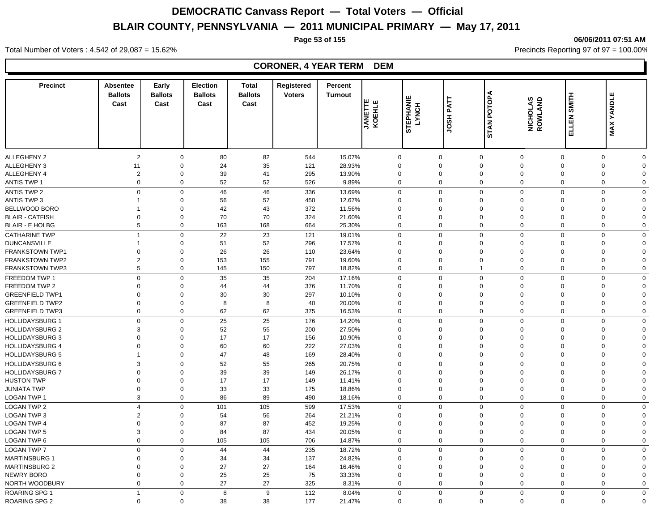**Page 53 of 155 06/06/2011 07:51 AM**

#### **Precinct Absentee Ballots Cast Cast Early Ballots Election Ballots**  Cast **Cast Total Registered Ballots**  Voters<br>
Cast<br>
Cast<br>
Cast<br>
Cast<br>
Cast<br>
Cast<br>
Cast<br>
Cast<br>
Cast<br>
Cast<br>
Cast<br>
Cast<br>
Cast<br>
Cast<br>
Cast<br>
CALCHLE<br>
CALCHLE<br>
CALCH<br>
CODOD<br>
DODDOD<br>
DODDOD<br>
DODDOD<br>
DODDOD<br>
DODDOD<br>
DODDOD<br>
DODDOD<br>
DODDOD<br>
DODDOD<br>
DODDOD<br>
DODDOD<br>
DODD **Turnout Percent TANETTE<br>KOEHLE<br>STEPHANIE<br>LYNCH<br>JOSH PATT** ALLEGHENY 2 2 0 80 82 544 15.07% 0 0 0 0 0 0 0 ALLEGHENY 3 11 0 24 35 121 28.93% 0 0 0 0 0 0 0 ALLEGHENY 4 2 0 39 41 295 13.90% 0 0 0 0 0 0 0 ANTIS TWP 1 0 0 52 52 526 9.89% 0 0 0 0 0 0 0 ANTIS TWP 2 0 46 46 336 13.69% 0 0 0 0 0 0 ANTIS TWP 3 1 0 56 57 450 12.67% 0 0 0 0 0 0 0 BELLWOOD BORO 1 0 42 43 372 11.56% 0 0 0 0 0 0 0 BLAIR - CATFISH 0 0 70 70 324 21.60% 0 0 0 0 0 0 0 BLAIR - E HOLBG 5 0 163 168 664 25.30% 0 0 0 0 0 0 CATHARINE TWP 1 0 22 23 121 19.01% 0 0 0 0 0 0 0 DUNCANSVILLE 1 0 51 52 296 17.57% 0 0 0 0 0 0 0 FRANKSTOWN TWP1 0 0 26 26 110 23.64% 0 0 0 0 0 0 0 FRANKSTOWN TWP2 2 0 153 155 791 19.60% 0 0 0 0 0 0 FRANKSTOWN TWP3 5 0 145 150 797 18.82% 0 1 0 0 0 0 FREEDOM TWP 1 0 0 35 35 204 17.16% 0 0 0 0 0 0 0 FREEDOM TWP 2 0 0 44 44 376 11.70% 0 0 0 0 0 0 GREENFIELD TWP1 0 0 30 30 297 10.10% 0 0 0 0 0 0 0 GREENFIELD TWP2 0 0 8 8 40 20.00% 0 0 0 0 0 0 0 GREENFIELD TWP3 0 0 62 62 375 16.53% 0 0 0 0 0 0 0 HOLLIDAYSBURG 1 0 0 25 25 176 14.20% 0 0 0 0 0 0 HOLLIDAYSBURG 2 3 0 52 55 200 27.50% 0 0 0 0 0 0 0 HOLLIDAYSBURG 3 0 0 17 156 10.90% 0 0 0 0 0 0 HOLLIDAYSBURG 4 0 0 60 60 222 27.03% 0 0 0 0 0 0 HOLLIDAYSBURG 5 1 0 47 48 169 28.40% 0 0 0 0 0 0 0 HOLLIDAYSBURG 6 3 0 52 55 265 20.75% 0 0 0 0 0 0 0 HOLLIDAYSBURG 7 0 0 39 39 149 26.17% 0 0 0 0 0 0 0 HUSTON TWP 0 0 17 149 11.41% 0 0 0 0 0 0 JUNIATA TWP 0 0 33 33 175 18.86% 0 0 0 0 0 0 LOGAN TWP 1 3 0 86 89 490 18.16% 0 0 0 0 0 0 0 LOGAN TWP 2 4 0 101 105 599 17.53% 0 0 0 0 0 0 0 LOGAN TWP 3 2 0 54 56 264 21.21% 0 0 0 0 0 0 0 LOGAN TWP 4 0 0 87 87 452 19.25% 0 0 0 0 0 0 0 LOGAN TWP 5 3 0 84 87 434 20.05% 0 0 0 0 0 0 0 LOGAN TWP 6 0 0 105 105 706 14.87% 0 0 0 0 0 0 0 LOGAN TWP 7 0 0 44 44 235 18.72% 0 0 0 0 0 0 0 MARTINSBURG 1 0 0 34 34 137 24.82% 0 0 0 0 0 0 0 MARTINSBURG 2 0 0 27 164 16.46% 0 0 0 0 0 NEWRY BORO 0 0 25 25 75 33.33% 0 0 0 0 0 0 0 NORTH WOODBURY 0 0 27 27 325 8.31% 0 0 0 0 0 0 0 ROARING SPG 1 1 0 8 9 112 8.04% 0 0 0 0 0 0 0

ROARING SPG 2 0 0 38 38 177 21.47% 0 0 0 0 0 0 0

Total Number of Voters : 4,542 of 29,087 = 15.62% Precincts Reporting 97 of 97 = 100.00%

#### **CORONER, 4 YEAR TERM DEM**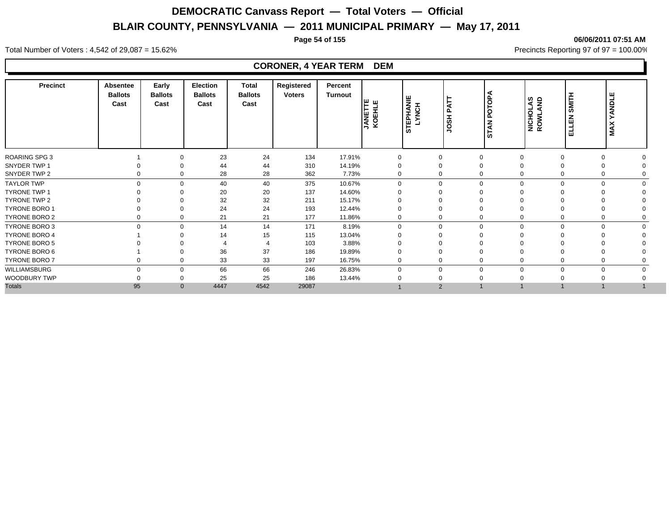#### **Page 54 of 155 06/06/2011 07:51 AM**

Total Number of Voters : 4,542 of 29,087 = 15.62% Precincts Reporting 97 of 97 = 100.00%

#### **CORONER, 4 YEAR TERM DEM**

| <b>Precinct</b>      | Absentee<br><b>Ballots</b><br>Cast | Early<br><b>Ballots</b><br>Cast | Election<br><b>Ballots</b><br>Cast | <b>Total</b><br><b>Ballots</b><br>Cast | Registered<br><b>Voters</b> | Percent<br><b>Turnout</b> | ש ש∣<br><b>JANETT</b><br>KOEHL | <b>EPHANIE</b><br>YNCH<br>۵O | <b>TAF</b><br>HSOL          | <b>OTOPA</b><br>௳<br><b>STAN</b> | NICHOLAS<br>ROWLAND | <b>SMITH</b><br>孟<br>긆     | YANDLE<br><b>MAX</b> |
|----------------------|------------------------------------|---------------------------------|------------------------------------|----------------------------------------|-----------------------------|---------------------------|--------------------------------|------------------------------|-----------------------------|----------------------------------|---------------------|----------------------------|----------------------|
| ROARING SPG 3        |                                    | $\Omega$                        | 23                                 | 24                                     | 134                         | 17.91%                    | $\Omega$                       | $\Omega$                     | $\Omega$                    |                                  | $\Omega$            | $\Omega$                   |                      |
| SNYDER TWP 1         |                                    | ∩                               | 44                                 | 44                                     | 310                         | 14.19%                    |                                | 0                            | $\Omega$                    |                                  |                     |                            |                      |
| SNYDER TWP 2         | 0                                  | $\Omega$                        | 28                                 | 28                                     | 362                         | 7.73%                     | $\Omega$                       |                              | 0<br>$\Omega$               |                                  | $\Omega$            |                            |                      |
| <b>TAYLOR TWP</b>    |                                    | $\Omega$<br>$\Omega$            | 40                                 | 40                                     | 375                         | 10.67%                    | $\Omega$                       |                              | $\mathbf 0$                 | $\Omega$                         | U                   | $\Omega$<br>$\Omega$       |                      |
| <b>TYRONE TWP 1</b>  |                                    | $\Omega$                        | 20                                 | 20                                     | 137                         | 14.60%                    |                                | 0                            | $\Omega$                    |                                  |                     |                            |                      |
| TYRONE TWP 2         |                                    | $\Omega$                        | 32                                 | 32                                     | 211                         | 15.17%                    |                                | 0                            | $\Omega$                    |                                  |                     |                            |                      |
| TYRONE BORO 1        |                                    | $\Omega$                        | 24                                 | 24                                     | 193                         | 12.44%                    |                                | 0                            | $\Omega$                    |                                  |                     |                            |                      |
| TYRONE BORO 2        |                                    | 0                               | 21                                 | 21                                     | 177                         | 11.86%                    | 0                              |                              | 0<br>$\mathbf 0$            |                                  | 0                   | 0                          |                      |
| <b>TYRONE BORO 3</b> | $\mathbf 0$                        | $\Omega$                        | 14                                 | 14                                     | 171                         | 8.19%                     | $\Omega$                       |                              | 0                           | $\mathbf 0$<br>$\Omega$          |                     | $\mathbf 0$<br>$\mathbf 0$ | $\Omega$             |
| <b>TYRONE BORO 4</b> |                                    | ∩                               | 14                                 | 15                                     | 115                         | 13.04%                    |                                | $\Omega$                     | $\Omega$                    |                                  |                     |                            |                      |
| TYRONE BORO 5        |                                    |                                 |                                    |                                        | 103                         | 3.88%                     |                                |                              |                             |                                  |                     |                            |                      |
| TYRONE BORO 6        |                                    | $\Omega$                        | 36                                 | 37                                     | 186                         | 19.89%                    | 0                              | $\Omega$                     | $\mathbf 0$                 |                                  |                     |                            |                      |
| TYRONE BORO 7        |                                    | $\Omega$                        | 33                                 | 33                                     | 197                         | 16.75%                    | $\Omega$                       | 0                            | $\Omega$                    |                                  |                     |                            |                      |
| WILLIAMSBURG         | $\Omega$                           | $\Omega$                        | 66                                 | 66                                     | 246                         | 26.83%                    | $\Omega$                       |                              | $\mathbf 0$<br>$\mathbf{0}$ |                                  | $\Omega$            | $\Omega$                   |                      |
| WOODBURY TWP         |                                    | $\Omega$                        | 25                                 | 25                                     | 186                         | 13.44%                    |                                | 0                            | $\Omega$                    |                                  |                     |                            |                      |
| <b>Totals</b>        | 95                                 | $\mathbf{0}$                    | 4447                               | 4542                                   | 29087                       |                           |                                |                              | $\overline{2}$              |                                  |                     |                            |                      |
|                      |                                    |                                 |                                    |                                        |                             |                           |                                |                              |                             |                                  |                     |                            |                      |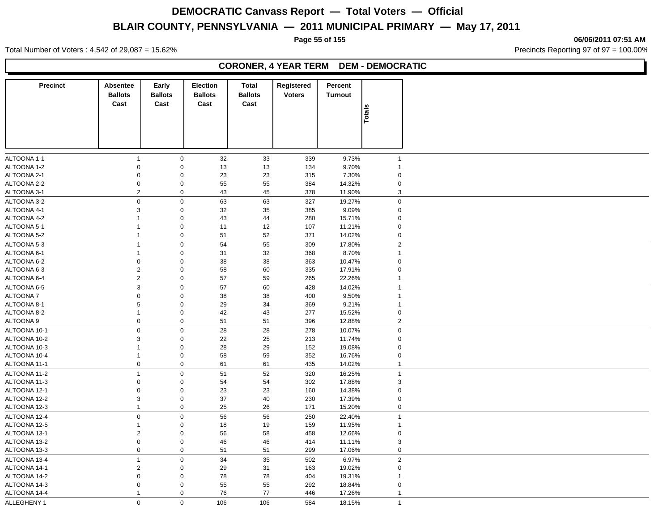Total Number of Voters : 4,542 of 29,087 = 15.62% Precincts Reporting 97 of 97 = 100.00%

#### **CORONER, 4 YEAR TERM DEM - DEMOCRATIC**

| <b>Precinct</b> | <b>Absentee</b>           | Early                  | <b>Election</b>        | <b>Total</b>           | Registered    | Percent          |                |
|-----------------|---------------------------|------------------------|------------------------|------------------------|---------------|------------------|----------------|
|                 | <b>Ballots</b><br>Cast    | <b>Ballots</b><br>Cast | <b>Ballots</b><br>Cast | <b>Ballots</b><br>Cast | <b>Voters</b> | Turnout          |                |
|                 |                           |                        |                        |                        |               |                  | Totals         |
|                 |                           |                        |                        |                        |               |                  |                |
|                 |                           |                        |                        |                        |               |                  |                |
|                 |                           |                        |                        |                        |               |                  |                |
| ALTOONA 1-1     | $\overline{1}$            | $\mathsf 0$            |                        |                        |               | 9.73%            | $\overline{1}$ |
| ALTOONA 1-2     | $\mathbf 0$               | $\mathbf 0$            | 32<br>13               | 33<br>13               | 339<br>134    | 9.70%            | $\overline{1}$ |
| ALTOONA 2-1     | $\mathbf 0$               | $\mathbf 0$            | 23                     | 23                     | 315           | 7.30%            | $\mathbf 0$    |
| ALTOONA 2-2     | $\mathbf 0$               | $\mathsf 0$            | 55                     | 55                     | 384           | 14.32%           | $\mathbf 0$    |
| ALTOONA 3-1     | $\overline{2}$            | $\mathsf 0$            | 43                     | 45                     | 378           | 11.90%           | 3              |
| ALTOONA 3-2     | $\mathbf 0$               | $\mathsf 0$            | 63                     | 63                     | 327           | 19.27%           | 0              |
| ALTOONA 4-1     | $\mathsf 3$               | $\mathbf 0$            | 32                     | 35                     | 385           | 9.09%            | $\mathbf 0$    |
| ALTOONA 4-2     | $\mathbf{1}$              | $\mathbf 0$            | 43                     | 44                     | 280           | 15.71%           | $\mathbf 0$    |
| ALTOONA 5-1     | $\mathbf{1}$              | $\mathbf 0$            | 11                     | 12                     | 107           | 11.21%           | $\mathbf 0$    |
| ALTOONA 5-2     | $\mathbf{1}$              | $\mathbf 0$            | 51                     | 52                     | 371           | 14.02%           | 0              |
| ALTOONA 5-3     | $\mathbf{1}$              | $\mathsf 0$            | 54                     |                        | 309           |                  | $\sqrt{2}$     |
| ALTOONA 6-1     | $\mathbf{1}$              | $\mathbf 0$            | 31                     | 55                     | 368           | 17.80%<br>8.70%  | $\mathbf{1}$   |
| ALTOONA 6-2     | $\mathbf 0$               | $\mathbf 0$            | 38                     | 32                     |               | 10.47%           | $\mathbf 0$    |
|                 | $\overline{2}$            | $\mathsf 0$            |                        | 38                     | 363<br>335    |                  | $\mathbf 0$    |
| ALTOONA 6-3     | $\overline{2}$            | $\mathbf 0$            | 58<br>57               | 60                     | 265           | 17.91%<br>22.26% | $\mathbf{1}$   |
| ALTOONA 6-4     |                           |                        |                        | 59                     |               |                  |                |
| ALTOONA 6-5     | $\ensuremath{\mathsf{3}}$ | $\mathsf 0$            | 57                     | 60                     | 428           | 14.02%           | $\mathbf{1}$   |
| ALTOONA 7       | $\mathbf 0$               | $\mathbf 0$            | 38                     | 38                     | 400           | 9.50%            | $\mathbf{1}$   |
| ALTOONA 8-1     | 5                         | $\mathbf 0$            | 29                     | 34                     | 369           | 9.21%            | $\mathbf{1}$   |
| ALTOONA 8-2     | $\mathbf{1}$              | $\mathbf 0$            | 42                     | 43                     | 277           | 15.52%           | $\pmb{0}$      |
| ALTOONA 9       | $\mathbf 0$               | $\mathbf 0$            | 51                     | 51                     | 396           | 12.88%           | $\overline{2}$ |
| ALTOONA 10-1    | $\mathbf 0$               | $\mathbf 0$            | 28                     | 28                     | 278           | 10.07%           | 0              |
| ALTOONA 10-2    | 3                         | $\mathbf 0$            | 22                     | 25                     | 213           | 11.74%           | 0              |
| ALTOONA 10-3    | $\mathbf{1}$              | $\mathbf 0$            | 28                     | 29                     | 152           | 19.08%           | $\mathbf 0$    |
| ALTOONA 10-4    | $\mathbf{1}$              | $\mathbf 0$            | 58                     | 59                     | 352           | 16.76%           | 0              |
| ALTOONA 11-1    | $\mathsf{O}\xspace$       | $\mathsf 0$            | 61                     | 61                     | 435           | 14.02%           | $\mathbf{1}$   |
| ALTOONA 11-2    | $\overline{1}$            | $\mathbf 0$            | 51                     | 52                     | 320           | 16.25%           | $\mathbf{1}$   |
| ALTOONA 11-3    | $\mathbf 0$               | $\mathbf 0$            | 54                     | 54                     | 302           | 17.88%           | $\sqrt{3}$     |
| ALTOONA 12-1    | $\mathbf 0$               | $\mathbf 0$            | 23                     | 23                     | 160           | 14.38%           | $\mathbf 0$    |
| ALTOONA 12-2    | 3                         | $\mathbf 0$            | 37                     | 40                     | 230           | 17.39%           | $\mathbf 0$    |
| ALTOONA 12-3    | $\mathbf{1}$              | $\mathsf 0$            | 25                     | 26                     | 171           | 15.20%           | 0              |
| ALTOONA 12-4    | $\mathbf 0$               | $\mathbf 0$            | 56                     | 56                     | 250           | 22.40%           | $\mathbf{1}$   |
| ALTOONA 12-5    | 1                         | $\mathbf 0$            | 18                     | 19                     | 159           | 11.95%           | $\mathbf{1}$   |
| ALTOONA 13-1    | $\overline{2}$            | $\mathbf 0$            | 56                     | 58                     | 458           | 12.66%           | $\mathbf 0$    |
| ALTOONA 13-2    | $\mathbf 0$               | $\mathbf 0$            | 46                     | 46                     | 414           | 11.11%           | 3              |
| ALTOONA 13-3    | $\mathbf 0$               | $\mathbf 0$            | 51                     | 51                     | 299           | 17.06%           | $\pmb{0}$      |
| ALTOONA 13-4    | $\mathbf{1}$              | $\mathbf 0$            | 34                     | 35                     | 502           | 6.97%            | $\overline{2}$ |
| ALTOONA 14-1    | $\overline{2}$            | $\mathbf 0$            | 29                     | 31                     | 163           | 19.02%           | 0              |
| ALTOONA 14-2    | $\mathbf 0$               | $\mathbf 0$            | 78                     | 78                     | 404           | 19.31%           | $\mathbf{1}$   |
| ALTOONA 14-3    | $\mathbf 0$               | $\mathbf 0$            | 55                     | 55                     | 292           | 18.84%           | $\mathbf 0$    |
| ALTOONA 14-4    | $\mathbf{1}$              | $\mathbf 0$            | 76                     | 77                     | 446           | 17.26%           | $\mathbf{1}$   |
| ALLEGHENY 1     | $\mathbf 0$               | $\mathbf 0$            | 106                    | 106                    | 584           | 18.15%           | $\overline{1}$ |

#### **Page 55 of 155 06/06/2011 07:51 AM**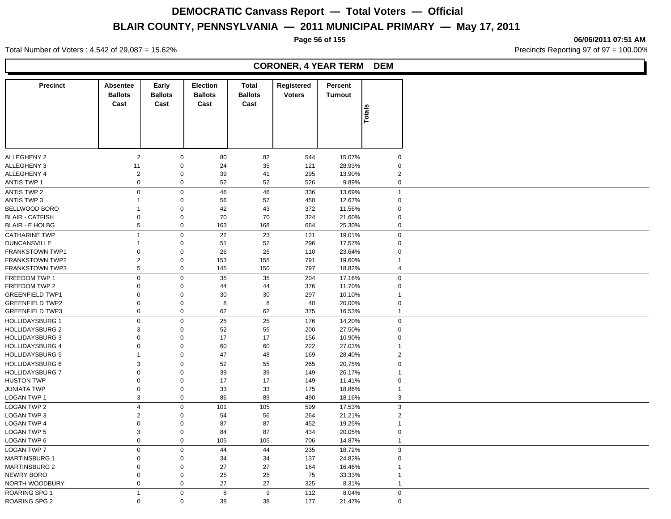**Page 56 of 155 06/06/2011 07:51 AM**

Total Number of Voters : 4,542 of 29,087 = 15.62% Precincts Reporting 97 of 97 = 100.00%

|                        |                                    |                                 |                                           |                                 | <b>CORONER, 4 YEAR TERM</b> |                           | <b>DEM</b>              |
|------------------------|------------------------------------|---------------------------------|-------------------------------------------|---------------------------------|-----------------------------|---------------------------|-------------------------|
| <b>Precinct</b>        | Absentee<br><b>Ballots</b><br>Cast | Early<br><b>Ballots</b><br>Cast | <b>Election</b><br><b>Ballots</b><br>Cast | Total<br><b>Ballots</b><br>Cast | Registered<br><b>Voters</b> | Percent<br><b>Turnout</b> | Total                   |
|                        |                                    |                                 |                                           |                                 |                             |                           |                         |
| <b>ALLEGHENY 2</b>     | 2                                  | $\mathbf 0$                     | 80                                        | 82                              | 544                         | 15.07%                    | $\mathbf 0$             |
| <b>ALLEGHENY 3</b>     | 11                                 | $\mathbf 0$                     | 24                                        | 35                              | 121                         | 28.93%                    | $\Omega$                |
| <b>ALLEGHENY 4</b>     | $\overline{\mathbf{c}}$            | $\pmb{0}$                       | 39                                        | 41                              | 295                         | 13.90%                    | $\overline{\mathbf{c}}$ |
| <b>ANTIS TWP 1</b>     | 0                                  | $\mathbf 0$                     | 52                                        | 52                              | 526                         | 9.89%                     | $\mathbf 0$             |
| <b>ANTIS TWP 2</b>     | 0                                  | $\mathbf 0$                     | 46                                        | 46                              | 336                         | 13.69%                    | $\mathbf{1}$            |
| ANTIS TWP 3            | 1                                  | $\mathbf 0$                     | 56                                        | 57                              | 450                         | 12.67%                    | $\mathbf 0$             |
|                        |                                    |                                 |                                           |                                 |                             |                           |                         |
| <b>BELLWOOD BORO</b>   | 1                                  | $\mathbf 0$                     | 42                                        | 43                              | 372                         | 11.56%                    | $\mathbf 0$             |
| <b>BLAIR - CATFISH</b> | 0                                  | $\pmb{0}$                       | 70                                        | 70                              | 324                         | 21.60%                    | $\Omega$                |
| <b>BLAIR - E HOLBG</b> | 5                                  | $\pmb{0}$                       | 163                                       | 168                             | 664                         | 25.30%                    | 0                       |
| <b>CATHARINE TWP</b>   | 1                                  | $\mathbf{0}$                    | 22                                        | 23                              | 121                         | 19.01%                    | $\Omega$                |
| <b>DUNCANSVILLE</b>    | 1                                  | $\pmb{0}$                       | 51                                        | 52                              | 296                         | 17.57%                    | $\mathbf 0$             |
| FRANKSTOWN TWP1        | 0                                  | $\mathbf 0$                     | 26                                        | 26                              | 110                         | 23.64%                    | $\mathbf 0$             |
| <b>FRANKSTOWN TWP2</b> | $\overline{c}$                     | $\mathbf 0$                     | 153                                       | 155                             | 791                         | 19.60%                    |                         |
| <b>FRANKSTOWN TWP3</b> | 5                                  | $\mathbf 0$                     | 145                                       | 150                             | 797                         | 18.82%                    | $\overline{4}$          |
| FREEDOM TWP 1          | $\pmb{0}$                          | $\mathbf 0$                     | 35                                        | 35                              | 204                         | 17.16%                    | $\boldsymbol{0}$        |
|                        |                                    |                                 |                                           |                                 |                             |                           |                         |
| FREEDOM TWP 2          | 0                                  | $\pmb{0}$                       | 44                                        | 44                              | 376                         | 11.70%                    | $\Omega$                |
| <b>GREENFIELD TWP1</b> | 0                                  | $\pmb{0}$                       | 30                                        | 30                              | 297                         | 10.10%                    |                         |
| <b>GREENFIELD TWP2</b> | 0                                  | $\mathbf 0$                     | 8                                         | 8                               | 40                          | 20.00%                    | $\mathbf 0$             |
| <b>GREENFIELD TWP3</b> | 0                                  | $\mathbf 0$                     | 62                                        | 62                              | 375                         | 16.53%                    | -1                      |
| <b>HOLLIDAYSBURG 1</b> | $\mathbf 0$                        | $\mathbf 0$                     | 25                                        | 25                              | 176                         | 14.20%                    | $\mathsf 0$             |
| <b>HOLLIDAYSBURG 2</b> | 3                                  | $\mathbf 0$                     | 52                                        | 55                              | 200                         | 27.50%                    | $\mathbf 0$             |
| <b>HOLLIDAYSBURG 3</b> | $\Omega$                           | $\pmb{0}$                       | 17                                        | 17                              | 156                         | 10.90%                    | $\Omega$                |
| <b>HOLLIDAYSBURG 4</b> | 0                                  | $\pmb{0}$                       | 60                                        | 60                              | 222                         | 27.03%                    | 1                       |
| <b>HOLLIDAYSBURG 5</b> | $\mathbf{1}$                       | $\mathbf 0$                     | 47                                        | 48                              | 169                         | 28.40%                    | $\overline{c}$          |
|                        |                                    |                                 |                                           |                                 |                             |                           |                         |
| <b>HOLLIDAYSBURG 6</b> | 3                                  | $\mathbf 0$                     | 52                                        | 55                              | 265                         | 20.75%                    | $\boldsymbol{0}$        |
| <b>HOLLIDAYSBURG 7</b> | 0                                  | $\mathbf 0$                     | 39                                        | 39                              | 149                         | 26.17%                    | $\mathbf{1}$            |
| <b>HUSTON TWP</b>      | $\Omega$                           | $\mathbf 0$                     | 17                                        | 17                              | 149                         | 11.41%                    | $\Omega$                |
| <b>JUNIATA TWP</b>     | 0                                  | $\mathbf 0$                     | 33                                        | 33                              | 175                         | 18.86%                    | -1                      |
| <b>LOGAN TWP 1</b>     | 3                                  | $\mathbf 0$                     | 86                                        | 89                              | 490                         | 18.16%                    | 3                       |
| LOGAN TWP 2            | $\overline{4}$                     | $\pmb{0}$                       | 101                                       | 105                             | 599                         | 17.53%                    | 3                       |
| LOGAN TWP 3            | $\overline{c}$                     | $\mathbf 0$                     | 54                                        | 56                              | 264                         | 21.21%                    | $\overline{c}$          |
|                        | $\mathbf 0$                        |                                 |                                           |                                 |                             |                           |                         |
| LOGAN TWP 4            |                                    | $\mathbf 0$                     | 87                                        | 87                              | 452                         | 19.25%                    | -1                      |
| LOGAN TWP 5            | 3                                  | $\mathbf{0}$                    | 84                                        | 87                              | 434                         | 20.05%                    | $\Omega$                |
| LOGAN TWP 6            | 0                                  | $\mathbf 0$                     | 105                                       | 105                             | 706                         | 14.87%                    | $\mathbf{1}$            |
| <b>LOGAN TWP 7</b>     | $\boldsymbol{0}$                   | $\mathbf{0}$                    | 44                                        | 44                              | 235                         | 18.72%                    | 3                       |
| <b>MARTINSBURG 1</b>   | $\Omega$                           | $\mathbf 0$                     | 34                                        | 34                              | 137                         | 24.82%                    | $\Omega$                |
| <b>MARTINSBURG 2</b>   | 0                                  | $\mathbf 0$                     | 27                                        | 27                              | 164                         | 16.46%                    |                         |
| NEWRY BORO             | 0                                  | $\mathbf 0$                     | 25                                        | 25                              | 75                          | 33.33%                    |                         |
| NORTH WOODBURY         | 0                                  | $\pmb{0}$                       | 27                                        | 27                              | 325                         | 8.31%                     | -1                      |
|                        | $\overline{1}$                     | $\mathbf 0$                     | 8                                         | 9                               | 112                         | 8.04%                     | $\Omega$                |
| ROARING SPG 1          |                                    |                                 |                                           |                                 |                             |                           |                         |

ROARING SPG 2 0 0 38 38 177 21.47% 0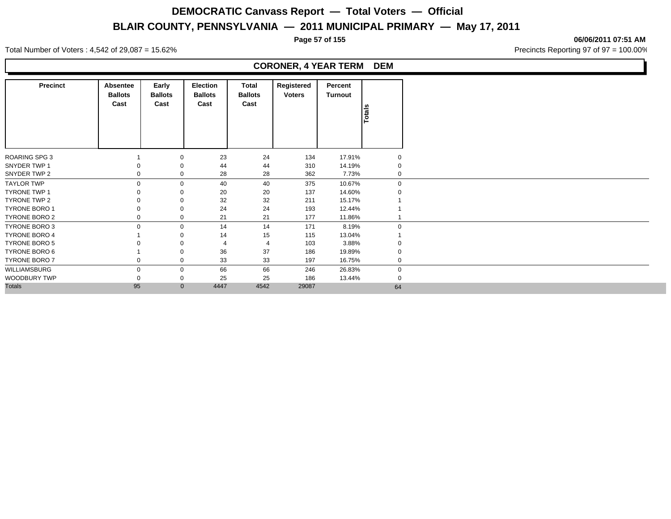**Page 57 of 155 06/06/2011 07:51 AM**

|                      |                                    |                                 |                                    |                                 | <b>CORONER, 4 YEAR TERM DEM</b> |                    |             |
|----------------------|------------------------------------|---------------------------------|------------------------------------|---------------------------------|---------------------------------|--------------------|-------------|
| <b>Precinct</b>      | Absentee<br><b>Ballots</b><br>Cast | Early<br><b>Ballots</b><br>Cast | Election<br><b>Ballots</b><br>Cast | Total<br><b>Ballots</b><br>Cast | Registered<br><b>Voters</b>     | Percent<br>Turnout | otals       |
| ROARING SPG 3        |                                    | $\Omega$                        | 23                                 | 24                              | 134                             | 17.91%             |             |
| SNYDER TWP 1         |                                    | $\Omega$                        | 44                                 | 44                              | 310                             | 14.19%             | 0           |
| SNYDER TWP 2         |                                    | $\mathbf 0$                     | 28                                 | 28                              | 362                             | 7.73%              |             |
| <b>TAYLOR TWP</b>    | $\Omega$                           | $\Omega$                        | 40                                 | 40                              | 375                             | 10.67%             | $\mathbf 0$ |
| <b>TYRONE TWP 1</b>  |                                    |                                 | 20                                 | 20                              | 137                             | 14.60%             |             |
| TYRONE TWP 2         |                                    |                                 | 32                                 | 32                              | 211                             | 15.17%             |             |
| <b>TYRONE BORO 1</b> |                                    | $\Omega$                        | 24                                 | 24                              | 193                             | 12.44%             |             |
| TYRONE BORO 2        |                                    | $\mathbf 0$                     | 21                                 | 21                              | 177                             | 11.86%             |             |
| TYRONE BORO 3        |                                    | $\mathbf 0$                     | 14                                 | 14                              | 171                             | 8.19%              | $\Omega$    |
| <b>TYRONE BORO 4</b> |                                    |                                 | 14                                 | 15                              | 115                             | 13.04%             |             |
| <b>TYRONE BORO 5</b> |                                    |                                 |                                    |                                 | 103                             | 3.88%              |             |
| TYRONE BORO 6        |                                    | $\Omega$                        | 36                                 | 37                              | 186                             | 19.89%             | $\Omega$    |
| TYRONE BORO 7        |                                    | $\mathbf 0$                     | 33                                 | 33                              | 197                             | 16.75%             | 0           |
| WILLIAMSBURG         | 0                                  | $\mathbf 0$                     | 66                                 | 66                              | 246                             | 26.83%             | $\mathbf 0$ |
| WOODBURY TWP         |                                    | $\Omega$                        | 25                                 | 25                              | 186                             | 13.44%             | $\Omega$    |
| <b>Totals</b>        | 95                                 | $\mathbf 0$                     | 4447                               | 4542                            | 29087                           |                    | 64          |

Total Number of Voters : 4,542 of 29,087 = 15.62% Precincts Reporting 97 of 97 = 100.00%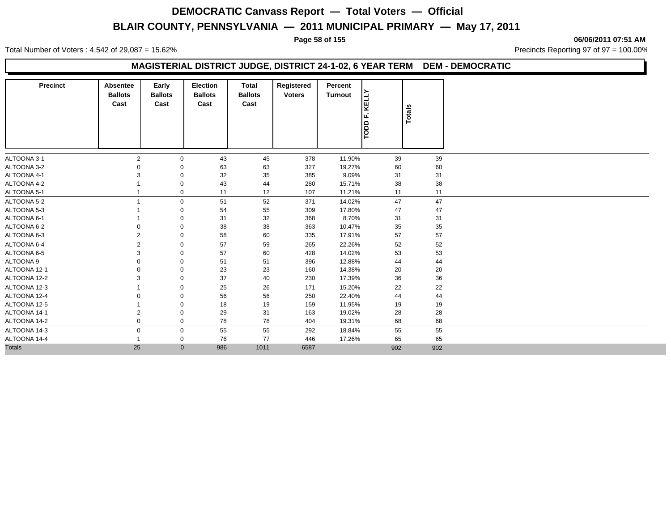Total Number of Voters : 4,542 of 29,087 = 15.62% Precincts Reporting 97 of 97 = 100.00%

**Page 58 of 155 06/06/2011 07:51 AM**

### **MAGISTERIAL DISTRICT JUDGE, DISTRICT 24-1-02, 6 YEAR TERM DEM - DEMOCRATIC**

| <b>Precinct</b> | <b>Absentee</b><br><b>Ballots</b><br>Cast | Early<br><b>Ballots</b><br>Cast | <b>Election</b><br><b>Ballots</b><br>Cast | Total<br><b>Ballots</b><br>Cast | Registered<br><b>Voters</b> | Percent<br>Turnout | KELLY<br>TODD F. | Totals |
|-----------------|-------------------------------------------|---------------------------------|-------------------------------------------|---------------------------------|-----------------------------|--------------------|------------------|--------|
| ALTOONA 3-1     | $\overline{2}$                            | $\mathbf 0$                     | 43                                        | 45                              | 378                         | 11.90%             | 39               | 39     |
| ALTOONA 3-2     |                                           | $\mathbf 0$                     | 63                                        | 63                              | 327                         | 19.27%             | 60               | 60     |
| ALTOONA 4-1     |                                           | $\mathbf 0$                     | 32                                        | 35                              | 385                         | 9.09%              | 31               | 31     |
| ALTOONA 4-2     |                                           | 0                               | 43                                        | 44                              | 280                         | 15.71%             | 38               | 38     |
| ALTOONA 5-1     |                                           | $\mathbf 0$                     | 11                                        | 12                              | 107                         | 11.21%             | 11               | 11     |
| ALTOONA 5-2     |                                           | $\mathbf 0$                     | 51                                        | 52                              | 371                         | 14.02%             | 47               | 47     |
| ALTOONA 5-3     |                                           | 0                               | 54                                        | 55                              | 309                         | 17.80%             | 47               | 47     |
| ALTOONA 6-1     |                                           | $\mathbf 0$                     | 31                                        | 32                              | 368                         | 8.70%              | 31               | 31     |
| ALTOONA 6-2     |                                           | $\mathbf 0$                     | 38                                        | 38                              | 363                         | 10.47%             | 35               | 35     |
| ALTOONA 6-3     | $\overline{2}$                            | $\mathbf 0$                     | 58                                        | 60                              | 335                         | 17.91%             | 57               | 57     |
| ALTOONA 6-4     | $\overline{2}$                            | $\mathbf 0$                     | 57                                        | 59                              | 265                         | 22.26%             | 52               | 52     |
| ALTOONA 6-5     |                                           | 0                               | 57                                        | 60                              | 428                         | 14.02%             | 53               | 53     |
| ALTOONA 9       |                                           | 0                               | 51                                        | 51                              | 396                         | 12.88%             | 44               | 44     |
| ALTOONA 12-1    |                                           | 0                               | 23                                        | 23                              | 160                         | 14.38%             | 20               | 20     |
| ALTOONA 12-2    | 3                                         | $\mathbf 0$                     | 37                                        | 40                              | 230                         | 17.39%             | 36               | 36     |
| ALTOONA 12-3    |                                           | $\mathbf 0$                     | 25                                        | 26                              | 171                         | 15.20%             | 22               | 22     |
| ALTOONA 12-4    |                                           | 0                               | 56                                        | 56                              | 250                         | 22.40%             | 44               | 44     |
| ALTOONA 12-5    |                                           | $\mathbf 0$                     | 18                                        | 19                              | 159                         | 11.95%             | 19               | 19     |
| ALTOONA 14-1    |                                           | $\mathbf 0$                     | 29                                        | 31                              | 163                         | 19.02%             | 28               | 28     |
| ALTOONA 14-2    | 0                                         | $\mathbf 0$                     | 78                                        | 78                              | 404                         | 19.31%             | 68               | 68     |
| ALTOONA 14-3    | $\mathbf 0$                               | $\mathbf 0$                     | 55                                        | 55                              | 292                         | 18.84%             | 55               | 55     |
| ALTOONA 14-4    |                                           | $\mathbf 0$                     | 76                                        | 77                              | 446                         | 17.26%             | 65               | 65     |
| <b>Totals</b>   | 25                                        | $\mathbf{0}$                    | 986                                       | 1011                            | 6587                        |                    | 902              | 902    |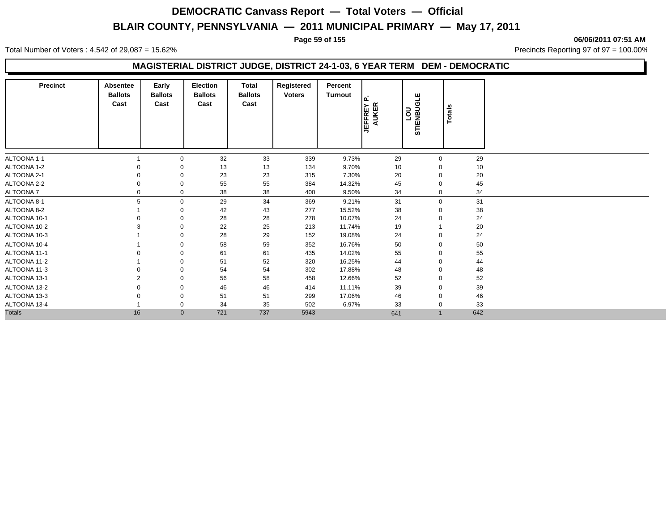**Page 59 of 155 06/06/2011 07:51 AM**

Total Number of Voters : 4,542 of 29,087 = 15.62% Precincts Reporting 97 of 97 = 100.00%

### **MAGISTERIAL DISTRICT JUDGE, DISTRICT 24-1-03, 6 YEAR TERM DEM - DEMOCRATIC**

| <b>Precinct</b> | Absentee<br><b>Ballots</b><br>Cast | Early<br><b>Ballots</b><br>Cast | Election<br><b>Ballots</b><br>Cast | Total<br><b>Ballots</b><br>Cast | Registered<br><b>Voters</b> | Percent<br>Turnout | <b>JEFFREY</b><br>AUKER | GLE<br>non<br><b>STIENBU</b> | Totals |  |
|-----------------|------------------------------------|---------------------------------|------------------------------------|---------------------------------|-----------------------------|--------------------|-------------------------|------------------------------|--------|--|
| ALTOONA 1-1     |                                    | 0                               | 32                                 | 33                              | 339                         | 9.73%              | 29                      | $\mathbf 0$                  | 29     |  |
| ALTOONA 1-2     |                                    |                                 | 13                                 | 13                              | 134                         | 9.70%              | 10                      | $\Omega$                     | 10     |  |
| ALTOONA 2-1     |                                    |                                 | 23                                 | 23                              | 315                         | 7.30%              | 20                      | $\Omega$                     | 20     |  |
| ALTOONA 2-2     |                                    | 0                               | 55                                 | 55                              | 384                         | 14.32%             | 45                      |                              | 45     |  |
| ALTOONA 7       |                                    | 0                               | 38                                 | 38                              | 400                         | 9.50%              | 34                      | $\mathbf 0$                  | 34     |  |
| ALTOONA 8-1     | 5                                  | $\mathbf{0}$                    | 29                                 | 34                              | 369                         | 9.21%              | 31                      | $\mathbf 0$                  | 31     |  |
| ALTOONA 8-2     |                                    |                                 | 42                                 | 43                              | 277                         | 15.52%             | 38                      |                              | 38     |  |
| ALTOONA 10-1    |                                    |                                 | 28                                 | 28                              | 278                         | 10.07%             | 24                      |                              | 24     |  |
| ALTOONA 10-2    |                                    | 0                               | 22                                 | 25                              | 213                         | 11.74%             | 19                      |                              | 20     |  |
| ALTOONA 10-3    |                                    | 0                               | 28                                 | 29                              | 152                         | 19.08%             | 24                      | $\mathbf 0$                  | 24     |  |
| ALTOONA 10-4    |                                    | $\mathbf{0}$                    | 58                                 | 59                              | 352                         | 16.76%             | 50                      | $\mathbf 0$                  | 50     |  |
| ALTOONA 11-1    |                                    |                                 | 61                                 | 61                              | 435                         | 14.02%             | 55                      | $\mathbf 0$                  | 55     |  |
| ALTOONA 11-2    |                                    | 0                               | 51                                 | 52                              | 320                         | 16.25%             | 44                      | $\mathbf 0$                  | 44     |  |
| ALTOONA 11-3    |                                    | 0                               | 54                                 | 54                              | 302                         | 17.88%             | 48                      | 0                            | 48     |  |
| ALTOONA 13-1    | 2                                  | $\mathbf{0}$                    | 56                                 | 58                              | 458                         | 12.66%             | 52                      | $\mathbf 0$                  | 52     |  |
| ALTOONA 13-2    | 0                                  | 0                               | 46                                 | 46                              | 414                         | 11.11%             | 39                      | $\mathbf 0$                  | 39     |  |
| ALTOONA 13-3    |                                    | 0                               | 51                                 | 51                              | 299                         | 17.06%             | 46                      | 0                            | 46     |  |
| ALTOONA 13-4    |                                    | 0                               | 34                                 | 35                              | 502                         | 6.97%              | 33                      | $\mathbf 0$                  | 33     |  |
| <b>Totals</b>   | 16                                 | $\mathbf{0}$                    | 721                                | 737                             | 5943                        |                    | 641                     | $\overline{1}$               | 642    |  |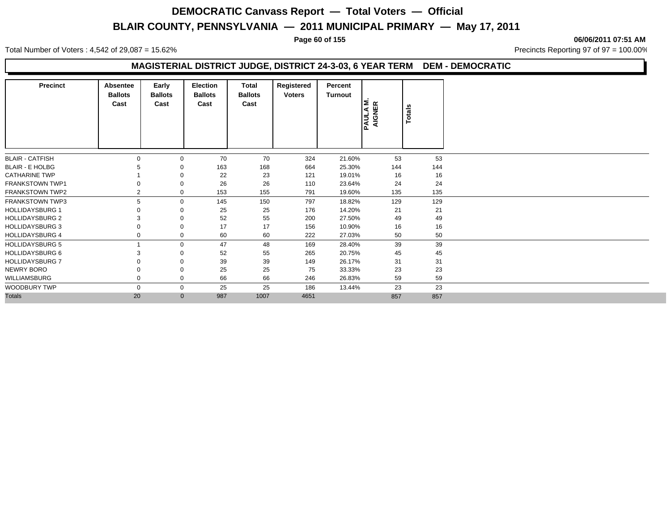**Page 60 of 155 06/06/2011 07:51 AM**

Total Number of Voters : 4,542 of 29,087 = 15.62% Precincts Reporting 97 of 97 = 100.00%

### **MAGISTERIAL DISTRICT JUDGE, DISTRICT 24-3-03, 6 YEAR TERM DEM - DEMOCRATIC**

| <b>Precinct</b>        | <b>Absentee</b><br><b>Ballots</b><br>Cast | Early<br><b>Ballots</b><br>Cast | <b>Election</b><br><b>Ballots</b><br>Cast | Total<br><b>Ballots</b><br>Cast | Registered<br><b>Voters</b> | Percent<br>Turnout | <b>PAULA M.<br/>AIGNER</b> | <b>Totals</b> |     |
|------------------------|-------------------------------------------|---------------------------------|-------------------------------------------|---------------------------------|-----------------------------|--------------------|----------------------------|---------------|-----|
| <b>BLAIR - CATFISH</b> |                                           | 0                               | 70                                        | 70                              | 324                         | 21.60%             | 53                         |               | 53  |
| <b>BLAIR - E HOLBG</b> |                                           |                                 | 163                                       | 168                             | 664                         | 25.30%             | 144                        |               | 144 |
| <b>CATHARINE TWP</b>   |                                           |                                 | 22                                        | 23                              | 121                         | 19.01%             | 16                         |               | 16  |
| <b>FRANKSTOWN TWP1</b> |                                           | 0                               | 26                                        | 26                              | 110                         | 23.64%             | 24                         |               | 24  |
| <b>FRANKSTOWN TWP2</b> | 2                                         | 0                               | 153                                       | 155                             | 791                         | 19.60%             | 135                        |               | 135 |
| <b>FRANKSTOWN TWP3</b> | 5                                         | 0                               | 145                                       | 150                             | 797                         | 18.82%             | 129                        |               | 129 |
| <b>HOLLIDAYSBURG 1</b> |                                           | 0                               | 25                                        | 25                              | 176                         | 14.20%             | 21                         |               | 21  |
| <b>HOLLIDAYSBURG 2</b> |                                           |                                 | 52                                        | 55                              | 200                         | 27.50%             | 49                         |               | 49  |
| <b>HOLLIDAYSBURG 3</b> |                                           | 0                               | 17                                        | 17                              | 156                         | 10.90%             | 16                         |               | 16  |
| <b>HOLLIDAYSBURG 4</b> |                                           | 0                               | 60                                        | 60                              | 222                         | 27.03%             | 50                         |               | 50  |
| <b>HOLLIDAYSBURG 5</b> |                                           | $\Omega$                        | 47                                        | 48                              | 169                         | 28.40%             | 39                         |               | 39  |
| <b>HOLLIDAYSBURG 6</b> |                                           |                                 | 52                                        | 55                              | 265                         | 20.75%             | 45                         |               | 45  |
| <b>HOLLIDAYSBURG 7</b> |                                           |                                 | 39                                        | 39                              | 149                         | 26.17%             | 31                         |               | 31  |
| NEWRY BORO             |                                           | 0                               | 25                                        | 25                              | 75                          | 33.33%             | 23                         |               | 23  |
| <b>WILLIAMSBURG</b>    |                                           | 0                               | 66                                        | 66                              | 246                         | 26.83%             | 59                         |               | 59  |
| <b>WOODBURY TWP</b>    | $\Omega$                                  | $\mathbf{0}$                    | 25                                        | 25                              | 186                         | 13.44%             | 23                         |               | 23  |
| <b>Totals</b>          | 20                                        | $\mathbf{0}$                    | 987                                       | 1007                            | 4651                        |                    | 857                        |               | 857 |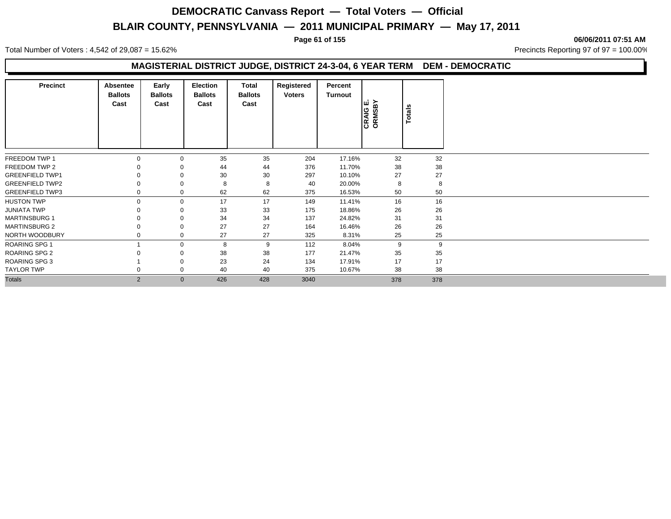**Page 61 of 155 06/06/2011 07:51 AM**

Total Number of Voters : 4,542 of 29,087 = 15.62% Precincts Reporting 97 of 97 = 100.00%

### **MAGISTERIAL DISTRICT JUDGE, DISTRICT 24-3-04, 6 YEAR TERM DEM - DEMOCRATIC**

| <b>Precinct</b>        | Absentee<br><b>Ballots</b><br>Cast | Early<br><b>Ballots</b><br>Cast | <b>Election</b><br><b>Ballots</b><br>Cast | Total<br><b>Ballots</b><br>Cast | Registered<br><b>Voters</b> | Percent<br>Turnout | CRAIG E.<br>ORMSBY | Totals |
|------------------------|------------------------------------|---------------------------------|-------------------------------------------|---------------------------------|-----------------------------|--------------------|--------------------|--------|
| FREEDOM TWP 1          | $\Omega$                           | $\mathbf{0}$                    | 35                                        | 35                              | 204                         | 17.16%             | 32                 | 32     |
| FREEDOM TWP 2          |                                    | $\mathbf 0$                     | 44                                        | 44                              | 376                         | 11.70%             | 38                 | 38     |
| <b>GREENFIELD TWP1</b> |                                    | $\Omega$                        | 30                                        | 30                              | 297                         | 10.10%             | 27                 | 27     |
| <b>GREENFIELD TWP2</b> |                                    | $\mathbf 0$                     | 8                                         | 8                               | 40                          | 20.00%             | 8                  | 8      |
| <b>GREENFIELD TWP3</b> |                                    | 0                               | 62                                        | 62                              | 375                         | 16.53%             | 50                 | 50     |
| <b>HUSTON TWP</b>      | $\Omega$                           | $\mathbf{0}$                    | 17                                        | 17                              | 149                         | 11.41%             | 16                 | 16     |
| <b>JUNIATA TWP</b>     |                                    | $\mathbf 0$                     | 33                                        | 33                              | 175                         | 18.86%             | 26                 | 26     |
| <b>MARTINSBURG 1</b>   |                                    | $\Omega$                        | 34                                        | 34                              | 137                         | 24.82%             | 31                 | 31     |
| <b>MARTINSBURG 2</b>   |                                    | $\mathbf 0$                     | 27                                        | 27                              | 164                         | 16.46%             | 26                 | 26     |
| NORTH WOODBURY         |                                    | $\mathbf 0$                     | 27                                        | 27                              | 325                         | 8.31%              | 25                 | 25     |
| <b>ROARING SPG 1</b>   |                                    | $\mathbf 0$                     | 8                                         | 9                               | 112                         | 8.04%              | 9                  | 9      |
| <b>ROARING SPG 2</b>   |                                    | 0                               | 38                                        | 38                              | 177                         | 21.47%             | 35                 | 35     |
| <b>ROARING SPG 3</b>   |                                    | $\mathbf 0$                     | 23                                        | 24                              | 134                         | 17.91%             | 17                 | 17     |
| <b>TAYLOR TWP</b>      |                                    | $\mathbf 0$                     | 40                                        | 40                              | 375                         | 10.67%             | 38                 | 38     |
| <b>Totals</b>          | 2                                  | $\mathbf{0}$                    | 426                                       | 428                             | 3040                        |                    | 378                | 378    |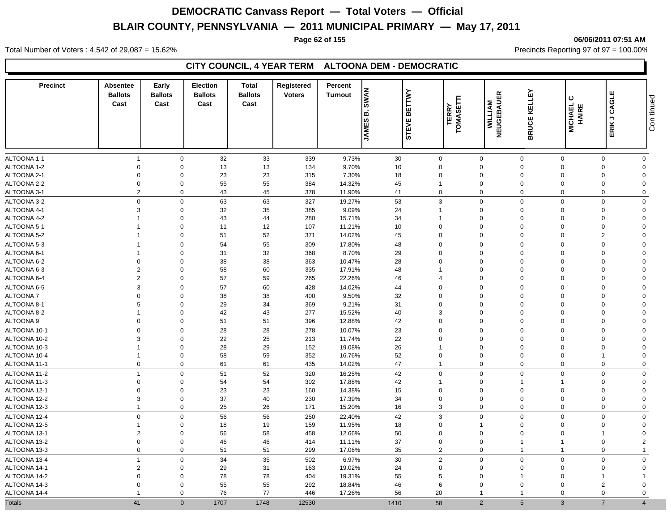#### **Page 62 of 155 06/06/2011 07:51 AM**

Total Number of Voters : 4,542 of 29,087 = 15.62% Precincts Reporting 97 of 97 = 100.00%

### **CITY COUNCIL, 4 YEAR TERM ALTOONA DEM - DEMOCRATIC**

| <b>Precinct</b> | <b>Absentee</b><br><b>Ballots</b><br>Cast | Early<br><b>Ballots</b><br>Cast | <b>Election</b><br><b>Ballots</b><br>Cast | <b>Total</b><br><b>Ballots</b><br>Cast | Registered<br><b>Voters</b> | Percent<br><b>Turnout</b> | <b>BWAN</b><br>ه ا<br><b>JAMES</b> | <b>BETTWY</b><br><b>STEVE</b> | E<br><b>TERRY</b><br>TOMASET | 띥<br><b>WILLIAM</b><br>NEUGEBAUE | KELLEY<br><b>BRUCE</b> | ပ<br><b>MICHAEL</b><br>HAIRE | ш<br>CAGLI<br>$\overline{\phantom{a}}$<br>ERIK | Con tinued   |
|-----------------|-------------------------------------------|---------------------------------|-------------------------------------------|----------------------------------------|-----------------------------|---------------------------|------------------------------------|-------------------------------|------------------------------|----------------------------------|------------------------|------------------------------|------------------------------------------------|--------------|
| ALTOONA 1-1     | $\overline{1}$                            | $\mathbf 0$                     | 32                                        | 33                                     | 339                         | 9.73%                     | 30                                 | $\mathbf 0$                   | $\mathbf 0$                  | $\mathbf 0$                      | $\Omega$               |                              | $\Omega$                                       | $\mathbf 0$  |
| ALTOONA 1-2     | $\mathbf 0$                               | $\mathbf 0$                     | 13                                        | 13                                     | 134                         | 9.70%                     | 10                                 | $\mathbf 0$                   | $\mathbf 0$                  | $\mathbf 0$                      | $\Omega$               |                              | $\Omega$                                       | $\mathbf 0$  |
| ALTOONA 2-1     | $\mathbf 0$                               | $\mathbf 0$                     | 23                                        | 23                                     | 315                         | 7.30%                     | 18                                 | $\mathbf 0$                   | $\mathbf 0$                  | $\mathbf 0$                      | $\Omega$               |                              | $\Omega$<br>$\Omega$                           |              |
| ALTOONA 2-2     | $\mathbf 0$                               | $\mathbf 0$                     | 55                                        | 55                                     | 384                         | 14.32%                    | 45                                 | 1                             | $\mathbf 0$                  | $\mathbf 0$                      | $\Omega$               |                              | $\mathbf 0$<br>$\Omega$                        |              |
| ALTOONA 3-1     | $\overline{2}$                            | $\mathbf 0$                     | 43                                        | 45                                     | 378                         | 11.90%                    | 41                                 | $\pmb{0}$                     | $\mathbf 0$                  | $\mathbf 0$                      | $\Omega$               |                              | $\Omega$                                       | $\mathbf 0$  |
| ALTOONA 3-2     | $\mathbf 0$                               | $\mathbf 0$                     | 63                                        | 63                                     | 327                         | 19.27%                    | 53                                 | 3                             | $\mathbf 0$                  | $\Omega$                         | $\Omega$               |                              | $\Omega$                                       | $\mathbf 0$  |
| ALTOONA 4-1     | 3                                         | $\mathbf 0$                     | 32                                        | 35                                     | 385                         | 9.09%                     | 24                                 | 1                             | $\mathbf 0$                  | $\mathbf 0$                      | $\Omega$               |                              | $\mathbf 0$<br>$\overline{0}$                  |              |
| ALTOONA 4-2     | $\overline{1}$                            | $\mathbf 0$                     | 43                                        | 44                                     | 280                         | 15.71%                    | 34                                 | $\mathbf{1}$                  | $\mathbf 0$                  | $\mathbf 0$                      | $\Omega$               |                              | $\mathbf 0$<br>$\Omega$                        |              |
| ALTOONA 5-1     | -1                                        | $\mathbf 0$                     | 11                                        | 12                                     | 107                         | 11.21%                    | 10                                 | $\mathbf 0$                   | $\mathbf 0$                  | $\overline{0}$                   | $\Omega$               |                              | $\mathbf 0$                                    | $\Omega$     |
| ALTOONA 5-2     | $\overline{1}$                            | $\mathbf 0$                     | 51                                        | 52                                     | 371                         | 14.02%                    | 45                                 | $\mathbf 0$                   | $\mathbf 0$                  | $\mathbf 0$                      | $\mathbf 0$            |                              | $\overline{2}$                                 | $\mathbf 0$  |
| ALTOONA 5-3     | $\overline{1}$                            | $\mathbf 0$                     | 54                                        | 55                                     | 309                         | 17.80%                    | 48                                 | $\Omega$                      | $\mathbf 0$                  | $\Omega$                         | $\Omega$               |                              | $\Omega$                                       | $\mathbf 0$  |
| ALTOONA 6-1     | $\overline{1}$                            | $\mathbf 0$                     | 31                                        | 32                                     | 368                         | 8.70%                     | 29                                 | $\mathbf 0$                   | $\mathbf 0$                  | $\mathbf 0$                      | $\Omega$               |                              | $\mathbf 0$<br>$\overline{0}$                  |              |
| ALTOONA 6-2     | $\mathbf 0$                               | $\mathbf 0$                     | 38                                        | 38                                     | 363                         | 10.47%                    | 28                                 | 0                             | $\mathbf 0$                  | $\mathbf 0$                      | $\Omega$               |                              | $\Omega$                                       | $\mathbf 0$  |
| ALTOONA 6-3     | $\overline{2}$                            | $\mathbf 0$                     | 58                                        | 60                                     | 335                         | 17.91%                    | 48                                 | 1                             | $\mathbf 0$                  | $\mathbf 0$                      | $\Omega$               |                              | $\mathbf 0$<br>$\Omega$                        |              |
| ALTOONA 6-4     | $\overline{2}$                            | $\mathbf 0$                     | 57                                        | 59                                     | 265                         | 22.26%                    | 46                                 | $\overline{4}$                | $\mathbf 0$                  | $\Omega$                         | $\Omega$               |                              | $\Omega$                                       | $\mathbf 0$  |
| ALTOONA 6-5     | 3                                         | $\mathbf 0$                     | 57                                        | 60                                     | 428                         | 14.02%                    | 44                                 | $\mathbf 0$                   | $\mathbf 0$                  | $\Omega$                         | $\Omega$               |                              | $\Omega$                                       | $\mathbf 0$  |
| <b>ALTOONA7</b> | $\mathbf 0$                               | $\mathbf 0$                     | 38                                        | 38                                     | 400                         | 9.50%                     | 32                                 | $\mathbf 0$                   | $\mathbf 0$                  | $\mathbf 0$                      | $\Omega$               |                              | $\Omega$                                       | $\Omega$     |
| ALTOONA 8-1     | 5                                         | $\mathbf 0$                     | 29                                        | 34                                     | 369                         | 9.21%                     | 31                                 | $\mathbf 0$                   | $\mathbf 0$                  | $\mathbf 0$                      | $\Omega$               |                              | $\Omega$<br>$\Omega$                           |              |
| ALTOONA 8-2     | $\mathbf{1}$                              | $\mathbf 0$                     | 42                                        | 43                                     | 277                         | 15.52%                    | 40                                 | 3                             | $\mathbf 0$                  | $\Omega$                         | $\Omega$               |                              | $\Omega$<br>$\Omega$                           |              |
| ALTOONA 9       | $\mathbf 0$                               | $\mathbf 0$                     | 51                                        | 51                                     | 396                         | 12.88%                    | 42                                 | $\mathbf 0$                   | $\mathbf 0$                  | $\Omega$                         | $\mathbf 0$            |                              | $\mathbf 0$                                    | $\mathbf 0$  |
| ALTOONA 10-1    | $\Omega$                                  | $\mathbf 0$                     | 28                                        | 28                                     | 278                         | 10.07%                    | 23                                 | $\mathbf 0$                   | $\mathbf 0$                  | $\mathbf 0$                      | $\Omega$               |                              | $\Omega$                                       | $\mathbf 0$  |
| ALTOONA 10-2    | 3                                         | $\mathbf 0$                     | 22                                        | 25                                     | 213                         | 11.74%                    | 22                                 | $\mathbf 0$                   | $\mathbf 0$                  | $\mathbf 0$                      | $\Omega$               |                              | $\Omega$                                       | $\mathbf{0}$ |
| ALTOONA 10-3    |                                           | $\mathbf 0$                     | 28                                        | 29                                     | 152                         | 19.08%                    | 26                                 | 1                             | $\mathbf 0$                  | $\mathbf 0$                      | $\Omega$               |                              | $\Omega$<br>$\overline{0}$                     |              |
| ALTOONA 10-4    | -1                                        | $\mathbf 0$                     | 58                                        | 59                                     | 352                         | 16.76%                    | 52                                 | $\mathbf 0$                   | $\mathbf 0$                  | $\mathbf 0$                      | $\Omega$               |                              | $\overline{0}$<br>1                            |              |
| ALTOONA 11-1    | $\mathbf 0$                               | $\mathbf 0$                     | 61                                        | 61                                     | 435                         | 14.02%                    | 47                                 | $\overline{1}$                | $\mathbf 0$                  | $\mathbf 0$                      | $\mathbf 0$            |                              | $\mathbf 0$                                    | $\mathbf 0$  |
| ALTOONA 11-2    | $\overline{1}$                            | $\mathbf 0$                     | 51                                        | 52                                     | 320                         | 16.25%                    | 42                                 | $\mathbf 0$                   | $\mathbf 0$                  | $\mathbf 0$                      | $\Omega$               |                              | $\mathbf 0$                                    | $\mathbf 0$  |
| ALTOONA 11-3    | $\mathbf 0$                               | $\mathbf 0$                     | 54                                        | 54                                     | 302                         | 17.88%                    | 42                                 | $\mathbf{1}$                  | $\mathbf 0$                  | $\overline{1}$                   |                        |                              | $\overline{0}$<br>$\mathbf 0$                  |              |
| ALTOONA 12-1    | $\mathbf 0$                               | $\mathbf 0$                     | 23                                        | 23                                     | 160                         | 14.38%                    | 15                                 | $\mathbf 0$                   | $\mathbf 0$                  | $\Omega$                         | $\Omega$               |                              | $\overline{0}$<br>$\Omega$                     |              |
| ALTOONA 12-2    | 3                                         | $\mathbf 0$                     | 37                                        | 40                                     | 230                         | 17.39%                    | 34                                 | $\mathbf 0$                   | $\mathbf 0$                  | $\mathbf 0$                      | $\Omega$               |                              | $\Omega$<br>$\Omega$                           |              |
| ALTOONA 12-3    | $\overline{1}$                            | $\mathbf 0$                     | 25                                        | 26                                     | 171                         | 15.20%                    | 16                                 | 3                             | $\mathbf 0$                  | $\mathbf 0$                      | $\mathbf 0$            |                              | $\Omega$                                       | $\mathbf 0$  |
| ALTOONA 12-4    | $\mathbf 0$                               | $\mathbf 0$                     | 56                                        | 56                                     | 250                         | 22.40%                    | 42                                 | $\ensuremath{\mathsf{3}}$     | $\mathbf 0$                  | $\Omega$                         | $\Omega$               |                              | $\Omega$                                       | $\mathbf 0$  |
| ALTOONA 12-5    | -1                                        | $\mathbf 0$                     | 18                                        | 19                                     | 159                         | 11.95%                    | 18                                 | $\mathbf 0$                   | $\overline{1}$               | $\mathbf 0$                      | $\Omega$               |                              | $\Omega$                                       | $\mathbf 0$  |
| ALTOONA 13-1    | $\overline{2}$                            | $\mathbf 0$                     | 56                                        | 58                                     | 458                         | 12.66%                    | 50                                 | $\mathbf 0$                   | $\mathbf 0$                  | $\Omega$                         | $\Omega$               |                              | 1                                              | $\mathbf 0$  |
| ALTOONA 13-2    | $\mathbf 0$                               | $\mathbf 0$                     | 46                                        | 46                                     | 414                         | 11.11%                    | 37                                 | $\mathbf 0$                   | $\mathbf 0$                  | -1                               |                        |                              | $\overline{2}$<br>$\mathbf 0$                  |              |
| ALTOONA 13-3    | $\mathbf 0$                               | $\mathbf 0$                     | 51                                        | 51                                     | 299                         | 17.06%                    | 35                                 | $\overline{2}$                | $\mathbf 0$                  | 1                                |                        |                              | $\Omega$<br>$\overline{1}$                     |              |
| ALTOONA 13-4    | $\overline{1}$                            | $\mathbf 0$                     | 34                                        | 35                                     | 502                         | 6.97%                     | 30                                 | $\sqrt{2}$                    | $\mathbf 0$                  | $\mathbf 0$                      | $\Omega$               |                              | $\Omega$                                       | $\mathbf 0$  |
| ALTOONA 14-1    | $\overline{2}$                            | $\mathbf 0$                     | 29                                        | 31                                     | 163                         | 19.02%                    | 24                                 | $\mathbf 0$                   | $\mathbf 0$                  | $\Omega$                         | $\Omega$               |                              | $\Omega$<br>$\Omega$                           |              |
| ALTOONA 14-2    | $\mathbf 0$                               | $\mathbf 0$                     | 78                                        | 78                                     | 404                         | 19.31%                    | 55                                 | 5                             | $\mathbf 0$                  | -1                               | $\Omega$               |                              | 1                                              |              |
| ALTOONA 14-3    | $\Omega$                                  | $\Omega$                        | 55                                        | 55                                     | 292                         | 18.84%                    | 46                                 | 6                             | $\Omega$                     | $\Omega$                         | $\Omega$               |                              | $\overline{2}$<br>$\Omega$                     |              |
| ALTOONA 14-4    | -1                                        | $\mathbf 0$                     | 76                                        | 77                                     | 446                         | 17.26%                    | 56                                 | 20                            | $\overline{1}$               |                                  | $\Omega$               |                              | $\Omega$                                       | $\mathbf 0$  |
| <b>Totals</b>   | 41                                        | $\Omega$                        | 1707                                      | 1748                                   | 12530                       |                           | 1410                               | 58                            | $\overline{2}$               | 5                                | $\mathbf{3}$           |                              | $\overline{7}$<br>$\overline{4}$               |              |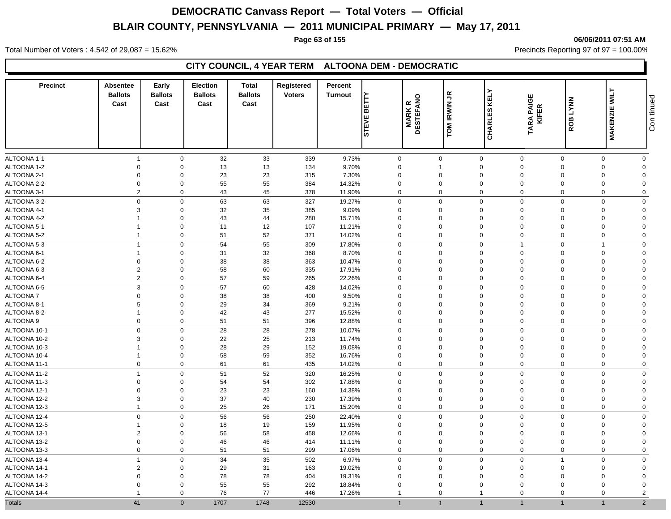#### **Page 63 of 155 06/06/2011 07:51 AM**

Total Number of Voters : 4,542 of 29,087 = 15.62% Precincts Reporting 97 of 97 = 100.00%

### **CITY COUNCIL, 4 YEAR TERM ALTOONA DEM - DEMOCRATIC**

| <b>Precinct</b> | Absentee<br><b>Ballots</b><br>Cast | Early<br><b>Ballots</b><br>Cast | <b>Election</b><br><b>Ballots</b><br>Cast | Total<br><b>Ballots</b><br>Cast | Registered<br><b>Voters</b> | Percent<br><b>Turnout</b> | È<br>Ιm<br>ш | <b>MARK R<br/>DESTEFANO</b> | TOM IRWIN JR     | KELY                | <b>TARA PAIGE<br/>KIFER</b> | ROB LYNN    | <b>MAKENZIE WILT</b> | Con tinued     |
|-----------------|------------------------------------|---------------------------------|-------------------------------------------|---------------------------------|-----------------------------|---------------------------|--------------|-----------------------------|------------------|---------------------|-----------------------------|-------------|----------------------|----------------|
|                 |                                    |                                 |                                           |                                 |                             |                           | <b>STEVI</b> |                             |                  | <b>CHARLES</b>      |                             |             |                      |                |
| ALTOONA 1-1     | $\overline{1}$                     | $\mathbf 0$                     | 32                                        | 33                              | 339                         | 9.73%                     | 0            |                             | $\mathbf 0$      | $\mathbf 0$         | $\mathbf 0$                 | $\mathbf 0$ | $\Omega$             | $\mathbf 0$    |
| ALTOONA 1-2     | $\mathbf 0$                        | $\mathbf 0$                     | 13                                        | 13                              | 134                         | 9.70%                     | $\Omega$     |                             | $\mathbf 1$      | $\mathbf 0$         | $\Omega$                    | $\Omega$    | $\Omega$             | $\Omega$       |
| ALTOONA 2-1     | $\mathbf 0$                        | $\mathbf 0$                     | 23                                        | 23                              | 315                         | 7.30%                     | $\Omega$     |                             | $\Omega$         | $\mathbf 0$         | $\Omega$                    | $\Omega$    | $\Omega$             | $\Omega$       |
| ALTOONA 2-2     | $\mathbf 0$                        | $\mathbf 0$                     | 55                                        | 55                              | 384                         | 14.32%                    | $\mathbf 0$  |                             | $\mathbf 0$      | $\mathbf 0$         | $\Omega$                    | $\Omega$    | $\Omega$             | $\Omega$       |
| ALTOONA 3-1     | $\overline{2}$                     | $\mathbf 0$                     | 43                                        | 45                              | 378                         | 11.90%                    | $\Omega$     |                             | $\mathbf 0$      | $\mathbf 0$         | $\mathbf 0$                 | $\Omega$    | $\Omega$             | $\mathbf 0$    |
| ALTOONA 3-2     | $\mathbf 0$                        | $\mathbf 0$                     | 63                                        | 63                              | 327                         | 19.27%                    | $\Omega$     |                             | $\Omega$         | $\mathbf 0$         | $\Omega$                    | $\Omega$    | $\Omega$             | $\Omega$       |
| ALTOONA 4-1     | 3                                  | $\mathbf 0$                     | 32                                        | $35\,$                          | 385                         | 9.09%                     | $\Omega$     |                             | $\Omega$         | $\mathbf 0$         | $\Omega$                    | $\Omega$    | $\Omega$             | $\Omega$       |
| ALTOONA 4-2     |                                    | $\mathbf 0$                     | 43                                        | 44                              | 280                         | 15.71%                    | $\Omega$     |                             | $\Omega$         | $\mathbf 0$         | $\Omega$                    | $\Omega$    | $\Omega$             | $\Omega$       |
| ALTOONA 5-1     | $\overline{1}$                     | $\mathbf 0$                     | 11                                        | 12                              | 107                         | 11.21%                    | $\mathbf 0$  |                             | $\mathbf 0$      | $\mathbf 0$         | $\mathbf 0$                 | $\Omega$    | $\Omega$             | $\Omega$       |
| ALTOONA 5-2     | $\overline{1}$                     | $\mathbf 0$                     | 51                                        | 52                              | 371                         | 14.02%                    | $\mathbf 0$  |                             | $\mathbf 0$      | $\mathbf 0$         | $\mathbf 0$                 | $\Omega$    | $\Omega$             | $\mathbf 0$    |
| ALTOONA 5-3     | $\overline{1}$                     | $\mathbf 0$                     | 54                                        | 55                              | 309                         | 17.80%                    | $\mathbf{0}$ |                             | $\mathbf 0$      | $\mathbf 0$         | $\overline{1}$              | $\Omega$    | 1                    | $\mathbf 0$    |
| ALTOONA 6-1     | $\overline{1}$                     | $\mathbf 0$                     | 31                                        | 32                              | 368                         | 8.70%                     | $\Omega$     |                             | $\Omega$         | $\mathbf 0$         | $\Omega$                    | $\Omega$    | $\Omega$             | $\Omega$       |
| ALTOONA 6-2     | $\mathbf 0$                        | $\mathbf 0$                     | 38                                        | 38                              | 363                         | 10.47%                    | $\mathbf 0$  |                             | 0                | $\mathbf 0$         | $\mathbf 0$                 | $\Omega$    | $\Omega$             | $\mathbf{0}$   |
| ALTOONA 6-3     | $\overline{2}$                     | $\mathbf 0$                     | 58                                        | 60                              | 335                         | 17.91%                    | $\mathbf 0$  |                             | $\mathbf 0$      | $\mathbf 0$         | $\mathbf 0$                 | $\Omega$    | $\mathbf 0$          | $\Omega$       |
| ALTOONA 6-4     | $\overline{2}$                     | $\mathbf 0$                     | 57                                        | 59                              | 265                         | 22.26%                    | $\Omega$     |                             | $\mathbf 0$      | $\mathbf 0$         | $\Omega$                    | $\Omega$    | $\Omega$             | $\mathbf 0$    |
| ALTOONA 6-5     | $\mathbf{3}$                       | $\mathbf 0$                     | 57                                        | 60                              | 428                         | 14.02%                    | 0            |                             | $\Omega$         | $\mathbf 0$         | $\Omega$                    | $\Omega$    | $\Omega$             | $\mathbf 0$    |
| ALTOONA 7       | $\mathbf 0$                        | $\mathbf 0$                     | 38                                        | 38                              | 400                         | 9.50%                     | $\mathbf 0$  |                             | $\mathbf 0$      | $\mathbf 0$         | $\mathbf 0$                 | $\Omega$    | $\Omega$             | $\Omega$       |
| ALTOONA 8-1     | 5                                  | $\mathbf 0$                     | 29                                        | 34                              | 369                         | 9.21%                     | $\mathbf 0$  |                             | $\mathbf 0$      | $\mathbf 0$         | $\mathbf 0$                 | $\Omega$    | $\Omega$             | $\Omega$       |
| ALTOONA 8-2     | $\overline{1}$                     | $\mathbf 0$                     | 42                                        | 43                              | 277                         | 15.52%                    | $\mathbf 0$  |                             | $\mathbf 0$      | $\mathbf 0$         | $\mathbf 0$                 | $\Omega$    | $\Omega$             | $\Omega$       |
| ALTOONA 9       | $\mathbf 0$                        | $\mathbf 0$                     | 51                                        | 51                              | 396                         | 12.88%                    | 0            |                             | $\mathbf 0$      | $\mathbf 0$         | $\mathbf 0$                 | $\mathbf 0$ | $\mathbf 0$          | $\mathbf 0$    |
| ALTOONA 10-1    | $\mathbf 0$                        | $\mathbf 0$                     | 28                                        | 28                              | 278                         | 10.07%                    | 0            |                             | $\mathbf 0$      | $\pmb{0}$           | $\mathbf 0$                 | $\Omega$    | $\Omega$             | $\mathbf 0$    |
| ALTOONA 10-2    | $\mathbf{3}$                       | $\mathbf 0$                     | 22                                        | 25                              | 213                         | 11.74%                    | $\mathbf 0$  |                             | $\mathbf 0$      | $\mathbf 0$         | $\mathbf 0$                 | $\Omega$    | $\Omega$             | $\Omega$       |
| ALTOONA 10-3    |                                    | $\mathbf 0$                     | 28                                        | 29                              | 152                         | 19.08%                    | $\mathbf 0$  |                             | $\mathbf 0$      | $\mathbf 0$         | $\mathbf 0$                 | $\Omega$    | $\Omega$             | $\Omega$       |
| ALTOONA 10-4    | $\overline{1}$                     | $\mathbf 0$                     | 58                                        | 59                              | 352                         | 16.76%                    | $\mathbf 0$  |                             | $\mathbf 0$      | $\mathbf 0$         | $\mathbf 0$                 | $\Omega$    | $\Omega$             | $\Omega$       |
| ALTOONA 11-1    | $\mathbf 0$                        | $\mathbf 0$                     | 61                                        | 61                              | 435                         | 14.02%                    | 0            |                             | $\boldsymbol{0}$ | $\mathsf{O}\xspace$ | $\mathbf 0$                 | $\mathbf 0$ | $\mathbf 0$          | $\mathbf 0$    |
| ALTOONA 11-2    | $\overline{1}$                     | $\Omega$                        | 51                                        | 52                              | 320                         | 16.25%                    | $\mathbf 0$  |                             | $\mathbf 0$      | $\mathsf 0$         | $\mathbf 0$                 | $\Omega$    | $\Omega$             | $\mathbf 0$    |
| ALTOONA 11-3    | $\overline{0}$                     | $\mathbf 0$                     | 54                                        | 54                              | 302                         | 17.88%                    | $\mathbf 0$  |                             | $\mathbf 0$      | $\mathbf 0$         | $\mathbf 0$                 | $\Omega$    | $\Omega$             | $\Omega$       |
| ALTOONA 12-1    | $\mathbf 0$                        | $\mathbf 0$                     | 23                                        | 23                              | 160                         | 14.38%                    | $\Omega$     |                             | $\mathbf 0$      | $\mathbf 0$         | $\Omega$                    | $\Omega$    | $\Omega$             | $\Omega$       |
| ALTOONA 12-2    | 3                                  | $\mathbf 0$                     | 37                                        | 40                              | 230                         | 17.39%                    | $\Omega$     |                             | $\mathbf 0$      | $\mathbf 0$         | $\Omega$                    | $\Omega$    | $\Omega$             | $\Omega$       |
| ALTOONA 12-3    | $\overline{1}$                     | $\mathbf 0$                     | 25                                        | 26                              | 171                         | 15.20%                    | 0            |                             | $\mathbf 0$      | $\mathbf 0$         | $\mathbf 0$                 | $\Omega$    | $\Omega$             | $\mathbf 0$    |
| ALTOONA 12-4    | $\mathbf 0$                        | $\mathbf 0$                     | 56                                        | 56                              | 250                         | 22.40%                    | $\mathbf 0$  |                             | $\mathbf 0$      | $\mathbf 0$         | $\mathbf 0$                 | $\mathbf 0$ | $\mathbf 0$          | $\mathbf 0$    |
| ALTOONA 12-5    | $\mathbf 1$                        | $\mathbf 0$                     | 18                                        | 19                              | 159                         | 11.95%                    | $\Omega$     |                             | $\mathbf 0$      | $\mathbf 0$         | $\Omega$                    | $\Omega$    | $\Omega$             | $\Omega$       |
| ALTOONA 13-1    | $\overline{2}$                     | $\mathbf 0$                     | 56                                        | 58                              | 458                         | 12.66%                    | $\Omega$     |                             | $\mathbf 0$      | $\mathbf 0$         | $\Omega$                    | $\Omega$    | $\Omega$             | $\Omega$       |
| ALTOONA 13-2    | $\mathbf 0$                        | $\mathbf 0$                     | 46                                        | 46                              | 414                         | 11.11%                    | $\Omega$     |                             | $\Omega$         | $\mathbf 0$         | $\Omega$                    | $\Omega$    | $\Omega$             | $\Omega$       |
| ALTOONA 13-3    | $\mathbf 0$                        | $\mathbf 0$                     | 51                                        | 51                              | 299                         | 17.06%                    | $\mathbf 0$  |                             | $\mathbf 0$      | $\mathbf 0$         | $\mathbf 0$                 | $\Omega$    | $\Omega$             | $\mathbf 0$    |
| ALTOONA 13-4    | $\overline{1}$                     | $\mathbf 0$                     | 34                                        | 35                              | 502                         | 6.97%                     | $\mathbf{0}$ |                             | $\mathbf 0$      | $\mathbf 0$         | $\Omega$                    | -1          | $\mathbf 0$          | $\mathbf 0$    |
| ALTOONA 14-1    | $\overline{2}$                     | $\mathbf 0$                     | 29                                        | 31                              | 163                         | 19.02%                    | $\Omega$     |                             | $\Omega$         | $\mathbf 0$         | $\Omega$                    | $\Omega$    | $\Omega$             | $\mathbf 0$    |
| ALTOONA 14-2    | $\mathbf 0$                        | $\Omega$                        | 78                                        | 78                              | 404                         | 19.31%                    | $\Omega$     |                             | $\Omega$         | $\mathbf 0$         | $\Omega$                    | $\Omega$    | $\Omega$             | $\Omega$       |
| ALTOONA 14-3    | $\Omega$                           | $\mathbf 0$                     | 55                                        | 55                              | 292                         | 18.84%                    | $\mathbf 0$  |                             | $\Omega$         | $\mathbf 0$         | $\Omega$                    | $\Omega$    | $\Omega$             | $\Omega$       |
| ALTOONA 14-4    |                                    | $\mathbf 0$                     | 76                                        | 77                              | 446                         | 17.26%                    | $\mathbf{1}$ |                             | $\mathbf 0$      | $\overline{1}$      | $\mathbf 0$                 | $\Omega$    | $\Omega$             | $\overline{2}$ |
| <b>Totals</b>   | 41                                 | $\mathbf 0$                     | 1707                                      | 1748                            | 12530                       |                           | $\mathbf{1}$ |                             | $\overline{1}$   | $\overline{1}$      | $\overline{1}$              |             | $\overline{1}$       | $\overline{2}$ |
|                 |                                    |                                 |                                           |                                 |                             |                           |              |                             |                  |                     |                             |             |                      |                |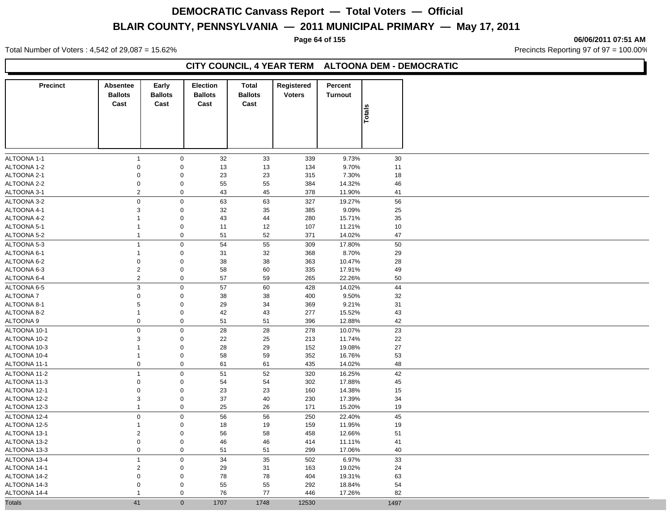**Page 64 of 155 06/06/2011 07:51 AM**

Total Number of Voters : 4,542 of 29,087 = 15.62% Precincts Reporting 97 of 97 = 100.00%

### **CITY COUNCIL, 4 YEAR TERM ALTOONA DEM - DEMOCRATIC**

| <b>Precinct</b> | Absentee<br><b>Ballots</b><br>Cast | Early<br><b>Ballots</b><br>Cast | <b>Election</b><br><b>Ballots</b><br>Cast | <b>Total</b><br><b>Ballots</b><br>Cast | Registered<br><b>Voters</b> | Percent<br><b>Turnout</b> |               |
|-----------------|------------------------------------|---------------------------------|-------------------------------------------|----------------------------------------|-----------------------------|---------------------------|---------------|
|                 |                                    |                                 |                                           |                                        |                             |                           | <b>Totals</b> |
|                 |                                    |                                 |                                           |                                        |                             |                           |               |
| ALTOONA 1-1     | $\mathbf{1}$                       | $\mathbf 0$                     | 32                                        | 33                                     | 339                         | 9.73%                     | 30            |
| ALTOONA 1-2     | 0                                  | $\mathbf 0$                     | 13                                        | 13                                     | 134                         | 9.70%                     | 11            |
| ALTOONA 2-1     | 0                                  | $\mathbf 0$                     | 23                                        | 23                                     | 315                         | 7.30%                     | 18            |
| ALTOONA 2-2     | $\mathbf 0$                        | $\mathbf 0$                     | 55                                        | 55                                     | 384                         | 14.32%                    | 46            |
| ALTOONA 3-1     | $\overline{2}$                     | $\mathbf 0$                     | 43                                        | 45                                     | 378                         | 11.90%                    | 41            |
| ALTOONA 3-2     | $\mathbf 0$                        | $\mathbf 0$                     | 63                                        | 63                                     | 327                         | 19.27%                    | 56            |
| ALTOONA 4-1     | 3                                  | $\mathbf 0$                     | 32                                        | 35                                     | 385                         | 9.09%                     | 25            |
| ALTOONA 4-2     | $\mathbf{1}$                       | $\mathbf 0$                     | 43                                        | 44                                     | 280                         | 15.71%                    | 35            |
| ALTOONA 5-1     | $\mathbf{1}$                       | $\mathbf 0$                     | 11                                        | 12                                     | 107                         | 11.21%                    | 10            |
| ALTOONA 5-2     | $\mathbf{1}$                       | $\mathbf 0$                     | 51                                        | 52                                     | 371                         | 14.02%                    | 47            |
| ALTOONA 5-3     | $\mathbf{1}$                       | $\mathbf 0$                     | 54                                        | 55                                     | 309                         | 17.80%                    | 50            |
| ALTOONA 6-1     | $\mathbf{1}$                       | $\mathbf 0$                     | 31                                        | 32                                     | 368                         | 8.70%                     | 29            |
| ALTOONA 6-2     | $\mathbf 0$                        | $\mathbf 0$                     | 38                                        | 38                                     | 363                         | 10.47%                    | 28            |
| ALTOONA 6-3     | $\overline{2}$                     | $\mathbf 0$                     | 58                                        | 60                                     | 335                         | 17.91%                    | 49            |
| ALTOONA 6-4     | $\overline{2}$                     | $\mathbf 0$                     | 57                                        | 59                                     | 265                         | 22.26%                    | 50            |
| ALTOONA 6-5     | $\ensuremath{\mathsf{3}}$          | $\mathbf 0$                     | 57                                        | 60                                     | 428                         | 14.02%                    | 44            |
| <b>ALTOONA7</b> | $\pmb{0}$                          | $\mathbf 0$                     | 38                                        | 38                                     | 400                         | 9.50%                     | 32            |
| ALTOONA 8-1     | 5                                  | $\mathbf 0$                     | 29                                        | 34                                     | 369                         | 9.21%                     | 31            |
| ALTOONA 8-2     | $\mathbf{1}$                       | $\mathbf 0$                     | 42                                        | 43                                     | 277                         | 15.52%                    | 43            |
| ALTOONA 9       | $\mathbf 0$                        | $\mathbf 0$                     | 51                                        | 51                                     | 396                         | 12.88%                    | 42            |
| ALTOONA 10-1    | $\pmb{0}$                          | $\mathsf 0$                     | 28                                        | 28                                     | 278                         | 10.07%                    | 23            |
| ALTOONA 10-2    | 3                                  | $\mathbf 0$                     | 22                                        | 25                                     | 213                         | 11.74%                    | 22            |
| ALTOONA 10-3    | $\mathbf{1}$                       | $\mathbf 0$                     | 28                                        | 29                                     | 152                         | 19.08%                    | 27            |
| ALTOONA 10-4    | $\mathbf{1}$                       | $\mathbf 0$                     | 58                                        | 59                                     | 352                         | 16.76%                    | 53            |
| ALTOONA 11-1    | $\mathbf 0$                        | $\mathbf 0$                     | 61                                        | 61                                     | 435                         | 14.02%                    | 48            |
| ALTOONA 11-2    | $\mathbf{1}$                       | $\pmb{0}$                       | 51                                        | 52                                     | 320                         | 16.25%                    | 42            |
| ALTOONA 11-3    | $\pmb{0}$                          | $\mathbf 0$                     | 54                                        | 54                                     | 302                         | 17.88%                    | 45            |
| ALTOONA 12-1    | $\mathsf 0$                        | $\mathsf 0$                     | 23                                        | 23                                     | 160                         | 14.38%                    | 15            |
| ALTOONA 12-2    | $\mathsf 3$                        | $\mathbf 0$                     | 37                                        | 40                                     | 230                         | 17.39%                    | 34            |
| ALTOONA 12-3    | $\mathbf{1}$                       | $\mathbf 0$                     | 25                                        | 26                                     | 171                         | 15.20%                    | 19            |
| ALTOONA 12-4    | $\pmb{0}$                          | $\pmb{0}$                       | 56                                        | 56                                     | 250                         | 22.40%                    | 45            |
| ALTOONA 12-5    | $\mathbf{1}$                       | $\mathbf 0$                     | 18                                        | 19                                     | 159                         | 11.95%                    | 19            |
| ALTOONA 13-1    | $\overline{2}$                     | $\mathbf 0$                     | 56                                        | 58                                     | 458                         | 12.66%                    |               |
| ALTOONA 13-2    | $\mathbf 0$                        | $\mathbf 0$                     | 46                                        | 46                                     | 414                         | 11.11%                    | 51<br>41      |
| ALTOONA 13-3    | $\mathbf 0$                        | $\mathbf 0$                     | 51                                        | 51                                     | 299                         | 17.06%                    | 40            |
|                 |                                    |                                 |                                           |                                        |                             |                           |               |
| ALTOONA 13-4    | $\mathbf{1}$                       | $\pmb{0}$                       | 34                                        | 35                                     | 502                         | 6.97%                     | 33            |
| ALTOONA 14-1    | $\overline{c}$                     | $\mathbf 0$                     | 29                                        | 31                                     | 163                         | 19.02%                    | 24            |
| ALTOONA 14-2    | $\mathsf 0$                        | $\mathsf 0$                     | 78                                        | 78                                     | 404                         | 19.31%                    | 63            |
| ALTOONA 14-3    | $\mathbf 0$                        | $\mathbf 0$                     | 55                                        | 55                                     | 292                         | 18.84%                    | 54            |
| ALTOONA 14-4    | $\mathbf{1}$                       | $\mathbf 0$                     | 76                                        | 77                                     | 446                         | 17.26%                    | 82            |
| <b>Totals</b>   | 41                                 | $\mathbf 0$                     | 1707                                      | 1748                                   | 12530                       |                           | 1497          |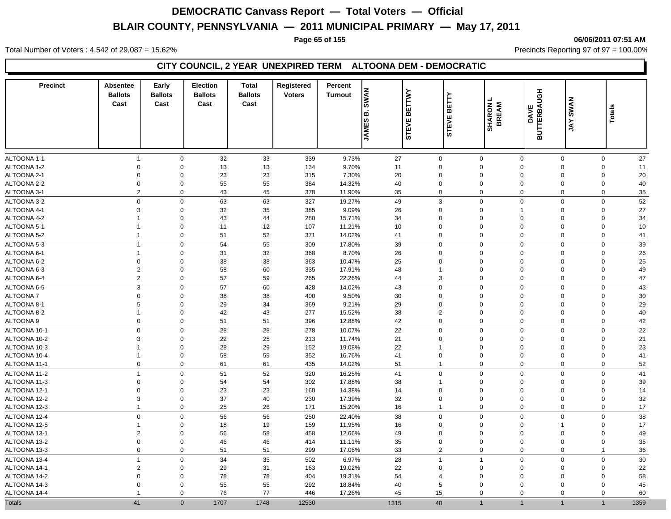#### **Page 65 of 155 06/06/2011 07:51 AM**

Total Number of Voters : 4,542 of 29,087 = 15.62% Precincts Reporting 97 of 97 = 100.00%

### **CITY COUNCIL, 2 YEAR UNEXPIRED TERM ALTOONA DEM - DEMOCRATIC**

| <b>Precinct</b>            | <b>Absentee</b><br><b>Ballots</b><br>Cast | Early<br><b>Ballots</b><br>Cast | <b>Election</b><br><b>Ballots</b><br>Cast | <b>Total</b><br><b>Ballots</b><br>Cast | Registered<br><b>Voters</b> | Percent<br><b>Turnout</b> | <b>SWAN</b><br>نم ا<br><b>JAMES</b> | <b>BETTWY</b><br><b>BETTY</b><br><b>STEVE</b><br><b>STEVE</b> |                            | <b>SHARON I</b><br>BREAM<br><b>DAVE</b> | <b>BUTTERBAUGH</b><br><b>SWAN</b><br><b>AY</b> | Totals                     |          |
|----------------------------|-------------------------------------------|---------------------------------|-------------------------------------------|----------------------------------------|-----------------------------|---------------------------|-------------------------------------|---------------------------------------------------------------|----------------------------|-----------------------------------------|------------------------------------------------|----------------------------|----------|
|                            |                                           |                                 |                                           |                                        |                             |                           |                                     |                                                               |                            |                                         |                                                |                            |          |
| ALTOONA 1-1                | $\mathbf{1}$                              | $\mathbf 0$                     | 32                                        | 33                                     | 339                         | 9.73%                     | 27                                  | $\mathbf 0$                                                   | $\mathbf 0$<br>$\mathbf 0$ | $\Omega$<br>$\mathbf 0$                 | $\mathbf 0$                                    | $\mathbf 0$                | 27       |
| ALTOONA 1-2                | $\mathbf 0$                               | $\mathbf 0$                     | 13                                        | 13                                     | 134                         | 9.70%                     | 11                                  | 0                                                             |                            |                                         | $\mathbf 0$                                    | $\mathbf 0$                | 11       |
| ALTOONA 2-1<br>ALTOONA 2-2 | $\mathbf 0$<br>$\mathbf 0$                | $\mathbf 0$<br>$\mathbf 0$      | 23<br>55                                  | 23<br>55                               | 315<br>384                  | 7.30%<br>14.32%           | 20<br>40                            | $\mathbf 0$<br>$\mathbf 0$                                    | $\mathbf 0$<br>$\mathbf 0$ | $\mathbf 0$<br>$\mathbf 0$              | $\mathbf 0$<br>$\mathbf 0$                     | $\mathbf 0$<br>$\mathbf 0$ | 20<br>40 |
| ALTOONA 3-1                | $\overline{2}$                            | $\mathbf 0$                     | 43                                        | 45                                     | 378                         | 11.90%                    | 35                                  | 0                                                             | $\mathbf 0$                | $\mathbf 0$                             | $\mathbf 0$                                    | 0                          | 35       |
|                            | $\Omega$                                  |                                 |                                           |                                        |                             |                           |                                     |                                                               |                            |                                         |                                                |                            |          |
| ALTOONA 3-2                | 3                                         | $\mathbf 0$                     | 63                                        | 63                                     | 327                         | 19.27%                    | 49                                  | 3                                                             | $\mathbf 0$<br>$\mathbf 0$ | $\mathbf 0$                             | $\Omega$                                       | $\mathbf 0$                | 52       |
| ALTOONA 4-1<br>ALTOONA 4-2 | $\mathbf{1}$                              | $\mathbf 0$<br>$\mathbf 0$      | 32<br>43                                  | 35<br>44                               | 385<br>280                  | 9.09%<br>15.71%           | 26<br>34                            | 0<br>$\mathbf 0$                                              | $\mathbf 0$                | $\mathbf 0$                             | $\mathbf 0$<br>$\mathbf 0$                     | $\mathbf 0$<br>0           | 27<br>34 |
| ALTOONA 5-1                | $\mathbf{1}$                              | $\mathbf 0$                     | 11                                        | 12                                     | 107                         | 11.21%                    | 10                                  | 0                                                             | $\mathbf 0$                | $\mathbf 0$                             | $\mathbf 0$                                    | 0                          | 10       |
| ALTOONA 5-2                | $\overline{1}$                            | $\mathbf 0$                     | 51                                        | 52                                     | 371                         | 14.02%                    | 41                                  | 0                                                             | $\mathbf 0$                | $\mathbf 0$                             | $\mathbf 0$                                    | $\mathbf 0$                | 41       |
| ALTOONA 5-3                | $\mathbf{1}$                              | $\mathbf 0$                     | 54                                        | 55                                     | 309                         | 17.80%                    | 39                                  | $\mathbf 0$                                                   | $\mathbf 0$                | $\Omega$                                | $\Omega$                                       | $\mathbf 0$                | 39       |
| ALTOONA 6-1                | $\mathbf{1}$                              | $\mathbf 0$                     | 31                                        | 32                                     | 368                         | 8.70%                     | 26                                  | $\mathbf 0$                                                   | $\mathbf 0$                | $\mathbf 0$                             | $\mathbf 0$                                    | 0                          | 26       |
| ALTOONA 6-2                | $\mathbf 0$                               | $\mathbf 0$                     | 38                                        | 38                                     | 363                         | 10.47%                    | 25                                  | $\mathbf 0$                                                   | $\mathbf 0$                | $\mathbf 0$                             | $\mathbf 0$                                    | 0                          | 25       |
| ALTOONA 6-3                | $\overline{2}$                            | $\mathbf 0$                     | 58                                        | 60                                     | 335                         | 17.91%                    | 48                                  | $\overline{1}$                                                | $\mathbf 0$                | $\mathbf 0$                             | $\mathbf 0$                                    | $\mathbf 0$                | 49       |
| ALTOONA 6-4                | $\overline{2}$                            | $\mathbf 0$                     | 57                                        | 59                                     | 265                         | 22.26%                    | 44                                  | 3                                                             | $\mathbf 0$                | $\mathbf 0$                             | $\mathbf 0$                                    | $\mathbf 0$                | 47       |
| ALTOONA 6-5                | 3                                         | $\mathbf 0$                     | 57                                        | 60                                     | 428                         | 14.02%                    | 43                                  | $\mathbf 0$                                                   | $\mathbf 0$                | $\mathbf 0$                             | $\mathbf 0$                                    | $\mathbf 0$                | 43       |
| <b>ALTOONA7</b>            | $\mathbf 0$                               | $\mathbf 0$                     | 38                                        | 38                                     | 400                         | 9.50%                     | 30                                  | 0                                                             | $\mathbf 0$                | $\mathbf 0$                             | $\mathbf 0$                                    | 0                          | 30       |
| ALTOONA 8-1                | 5                                         | $\mathbf 0$                     | 29                                        | 34                                     | 369                         | 9.21%                     | 29                                  | $\mathbf 0$                                                   | $\mathbf 0$                | $\Omega$                                | $\mathbf 0$                                    | 0                          | 29       |
| ALTOONA 8-2                | $\mathbf{1}$                              | $\mathbf 0$                     | 42                                        | 43                                     | 277                         | 15.52%                    | 38                                  | $\overline{2}$                                                | $\mathbf 0$                | $\Omega$                                | $\mathbf 0$                                    | 0                          | 40       |
| <b>ALTOONA 9</b>           | $\mathbf 0$                               | $\mathbf 0$                     | 51                                        | 51                                     | 396                         | 12.88%                    | 42                                  | $\mathbf 0$                                                   | $\mathbf 0$                | $\mathbf 0$                             | $\mathbf 0$                                    | $\mathbf 0$                | 42       |
| ALTOONA 10-1               | $\Omega$                                  | $\mathbf 0$                     | 28                                        | 28                                     | 278                         | 10.07%                    | 22                                  | 0                                                             | $\mathbf 0$                | $\Omega$                                | $\Omega$                                       | 0                          | 22       |
| ALTOONA 10-2               | 3                                         | $\mathbf 0$                     | 22                                        | 25                                     | 213                         | 11.74%                    | 21                                  | 0                                                             | $\mathbf 0$                | $\mathbf 0$                             | $\mathbf 0$                                    | 0                          | 21       |
| ALTOONA 10-3               | $\mathbf{1}$                              | $\mathbf 0$                     | 28                                        | 29                                     | 152                         | 19.08%                    | 22                                  | $\mathbf 1$                                                   | $\mathbf 0$                | $\Omega$                                | $\mathbf 0$                                    | 0                          | 23       |
| ALTOONA 10-4               | $\mathbf{1}$                              | $\mathbf 0$                     | 58                                        | 59                                     | 352                         | 16.76%                    | 41                                  | $\mathbf 0$                                                   | $\mathbf 0$                | $\mathbf 0$                             | $\mathbf 0$                                    | $\mathbf 0$                | 41       |
| ALTOONA 11-1               | $\mathbf 0$                               | $\mathbf 0$                     | 61                                        | 61                                     | 435                         | 14.02%                    | 51                                  | $\overline{1}$                                                | $\mathbf 0$                | $\mathbf 0$                             | $\mathbf 0$                                    | $\mathbf 0$                | 52       |
| ALTOONA 11-2               | $\mathbf{1}$                              | $\mathbf 0$                     | 51                                        | 52                                     | 320                         | 16.25%                    | 41                                  | $\mathbf 0$                                                   | $\mathbf 0$                | $\mathbf 0$                             | $\mathbf 0$                                    | $\mathbf 0$                | 41       |
| ALTOONA 11-3               | $\mathbf 0$                               | $\mathbf 0$                     | 54                                        | 54                                     | 302                         | 17.88%                    | 38                                  | $\mathbf{1}$                                                  | $\mathbf 0$                | $\mathbf 0$                             | $\mathbf 0$                                    | 0                          | 39       |
| ALTOONA 12-1               | $\mathbf 0$                               | $\mathbf 0$                     | 23                                        | 23                                     | 160                         | 14.38%                    | 14                                  | $\mathbf 0$                                                   | $\mathbf 0$                | $\mathbf 0$                             | $\mathbf 0$                                    | $\mathbf 0$                | 14       |
| ALTOONA 12-2               | 3                                         | $\mathbf 0$                     | 37                                        | 40                                     | 230                         | 17.39%                    | 32                                  | $\mathbf 0$                                                   | $\mathbf 0$                | $\mathbf 0$                             | $\mathbf 0$                                    | $\mathbf 0$                | 32       |
| ALTOONA 12-3               | $\overline{1}$                            | $\mathbf 0$                     | 25                                        | 26                                     | 171                         | 15.20%                    | 16                                  | $\overline{1}$                                                | $\mathbf 0$                | $\mathbf 0$                             | $\mathbf 0$                                    | $\mathbf 0$                | 17       |
| ALTOONA 12-4               | 0                                         | $\mathbf 0$                     | 56                                        | 56                                     | 250                         | 22.40%                    | 38                                  | $\mathbf 0$                                                   | $\mathbf 0$                | $\mathbf 0$                             | $\Omega$                                       | $\mathbf 0$                | 38       |
| ALTOONA 12-5               | $\mathbf{1}$                              | $\mathbf 0$                     | 18                                        | 19                                     | 159                         | 11.95%                    | 16                                  | 0                                                             | $\mathbf 0$                | $\mathbf 0$                             | $\overline{1}$                                 | $\mathbf 0$                | 17       |
| ALTOONA 13-1               | $\overline{2}$                            | $\mathbf 0$                     | 56                                        | 58                                     | 458                         | 12.66%                    | 49                                  | 0                                                             | $\mathbf 0$                | $\mathbf 0$                             | $\mathbf 0$                                    | $\mathbf 0$                | 49       |
| ALTOONA 13-2               | $\mathbf 0$                               | $\mathbf 0$                     | 46                                        | 46                                     | 414                         | 11.11%                    | 35                                  | 0                                                             | $\mathbf 0$                | $\mathbf 0$                             | $\mathbf 0$                                    | $\mathbf 0$                | 35       |
| ALTOONA 13-3               | 0                                         | $\mathbf 0$                     | 51                                        | 51                                     | 299                         | 17.06%                    | 33                                  | $\overline{2}$                                                | $\mathbf 0$                | $\Omega$                                | $\mathbf 0$                                    | $\mathbf{1}$               | 36       |
| ALTOONA 13-4               | $\mathbf{1}$                              | $\mathbf 0$                     | 34                                        | 35                                     | 502                         | 6.97%                     | 28                                  | $\overline{1}$                                                | $\mathbf{1}$               | $\mathbf 0$                             | $\mathbf 0$                                    | $\mathbf 0$                | 30       |
| ALTOONA 14-1               | $\overline{2}$                            | $\mathbf 0$                     | 29                                        | 31                                     | 163                         | 19.02%                    | 22                                  | $\mathbf 0$                                                   | $\mathbf 0$                | $\Omega$                                | $\mathbf 0$                                    | $\mathbf 0$                | 22       |
| ALTOONA 14-2               | $\mathbf 0$                               | $\mathbf 0$                     | 78                                        | 78                                     | 404                         | 19.31%                    | 54                                  | $\overline{4}$                                                | $\mathbf 0$                | $\Omega$                                | $\mathbf 0$                                    | 0                          | 58       |
| ALTOONA 14-3               | $\Omega$                                  | $\mathbf{0}$                    | 55                                        | 55                                     | 292                         | 18.84%                    | 40                                  | 5                                                             | $\Omega$                   | $\Omega$                                | $\Omega$                                       | $\mathbf 0$                | 45       |
| ALTOONA 14-4               | $\mathbf{1}$                              | $\Omega$                        | 76                                        | 77                                     | 446                         | 17.26%                    | 45                                  | 15                                                            | $\mathbf 0$                | $\Omega$                                | 0                                              | $\mathbf 0$                | 60       |
| <b>Totals</b>              | 41                                        | $\mathbf{0}$                    | 1707                                      | 1748                                   | 12530                       |                           | 1315                                | 40                                                            | $\overline{1}$             | $\overline{1}$                          | $\overline{1}$                                 | $\overline{1}$             | 1359     |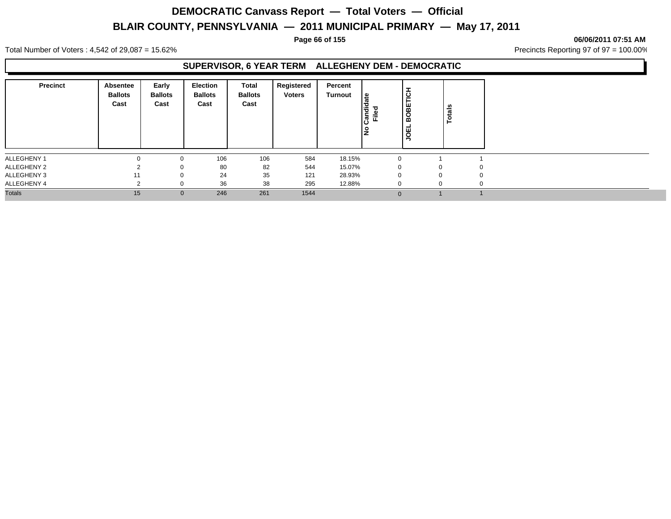#### **Page 66 of 155 06/06/2011 07:51 AM**

Total Number of Voters : 4,542 of 29,087 = 15.62% Precincts Reporting 97 of 97 = 100.00%

### **SUPERVISOR, 6 YEAR TERM ALLEGHENY DEM - DEMOCRATIC**

| <b>Precinct</b> | Absentee<br><b>Ballots</b><br>Cast | Early<br><b>Ballots</b><br>Cast | Election<br><b>Ballots</b><br>Cast | Total<br><b>Ballots</b><br>Cast | Registered<br><b>Voters</b> | Percent<br>Turnout | ீ<br>andied<br>Filed | $\frac{1}{100}$<br><b>JOEL</b> | នឹ<br>ਠ  |             |  |
|-----------------|------------------------------------|---------------------------------|------------------------------------|---------------------------------|-----------------------------|--------------------|----------------------|--------------------------------|----------|-------------|--|
| ALLEGHENY 1     | $\Omega$                           | $\mathbf 0$                     | 106                                | 106                             | 584                         | 18.15%             | $\Omega$             |                                |          |             |  |
| ALLEGHENY 2     |                                    |                                 | 80                                 | 82                              | 544                         | 15.07%             | $\Omega$             |                                |          | $\mathbf 0$ |  |
| ALLEGHENY 3     | 11                                 |                                 | 24                                 | 35                              | 121                         | 28.93%             | $\Omega$             |                                | $\Omega$ | 0           |  |
| ALLEGHENY 4     | $\sim$                             |                                 | 36                                 | 38                              | 295                         | 12.88%             | $\Omega$             |                                |          | 0           |  |
| <b>Totals</b>   | 15                                 | $\mathbf{0}$                    | 246                                | 261                             | 1544                        |                    | $\Omega$             |                                |          |             |  |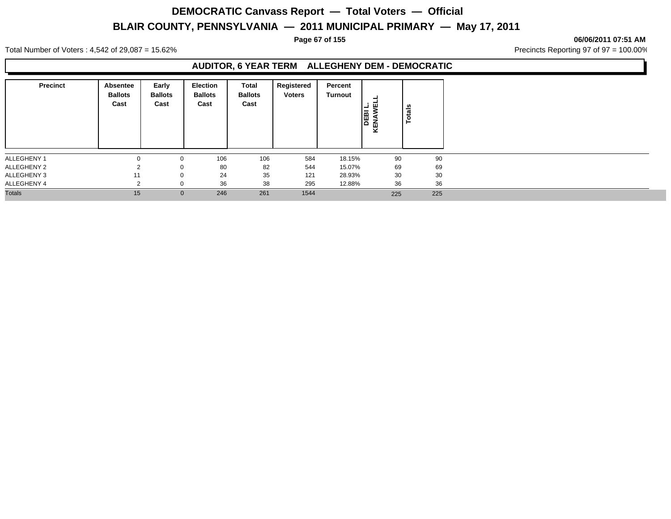#### **Page 67 of 155 06/06/2011 07:51 AM**

Total Number of Voters : 4,542 of 29,087 = 15.62% Precincts Reporting 97 of 97 = 100.00%

### **AUDITOR, 6 YEAR TERM ALLEGHENY DEM - DEMOCRATIC**

| <b>Precinct</b> | Absentee<br><b>Ballots</b><br>Cast | Early<br><b>Ballots</b><br>Cast | Election<br><b>Ballots</b><br>Cast | Total<br><b>Ballots</b><br>Cast | Registered<br><b>Voters</b> | Percent<br><b>Turnout</b> | 茴<br>-<br><b>DEBI</b><br>KENAW | <b>Totals</b> |
|-----------------|------------------------------------|---------------------------------|------------------------------------|---------------------------------|-----------------------------|---------------------------|--------------------------------|---------------|
| ALLEGHENY 1     | $\Omega$                           | $\mathbf{0}$                    | 106                                | 106                             | 584                         | 18.15%                    | 90                             | 90            |
| ALLEGHENY 2     |                                    | $\mathbf 0$                     | 80                                 | 82                              | 544                         | 15.07%                    | 69                             | 69            |
| ALLEGHENY 3     | 11                                 | $\mathbf{0}$                    | 24                                 | 35                              | 121                         | 28.93%                    | 30                             | 30            |
| ALLEGHENY 4     | $\sim$                             | 0                               | 36                                 | 38                              | 295                         | 12.88%                    | 36                             | 36            |
| <b>Totals</b>   | 15                                 | $\mathbf 0$                     | 246                                | 261                             | 1544                        |                           | 225                            | 225           |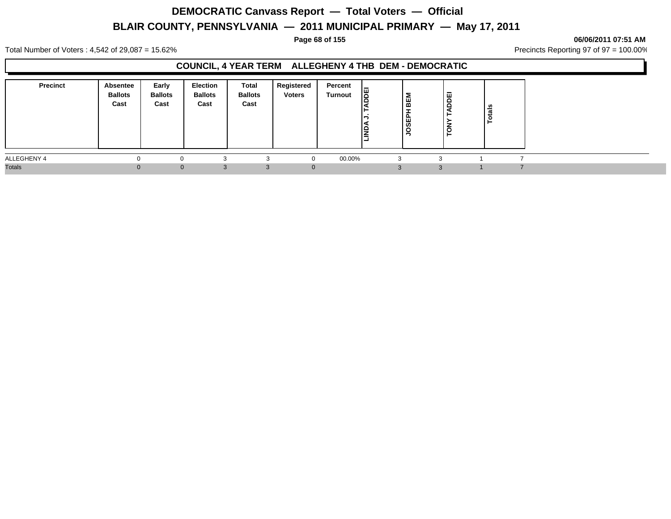#### **Page 68 of 155 06/06/2011 07:51 AM**

Total Number of Voters : 4,542 of 29,087 = 15.62% Precincts Reporting 97 of 97 = 100.00%

### **COUNCIL, 4 YEAR TERM ALLEGHENY 4 THB DEM - DEMOCRATIC**

| <b>Precinct</b> | Absentee<br><b>Ballots</b><br>Cast | Early<br><b>Ballots</b><br>Cast | Election<br><b>Ballots</b><br>Cast | <b>Total</b><br><b>Ballots</b><br>Cast | <b>Registered</b><br><b>Voters</b> | Percent<br>Turnout | E<br>lê | BEM<br>-<br>JOSEPI | <b>ADDEI</b><br>►<br>╭<br>TON | tais |  |
|-----------------|------------------------------------|---------------------------------|------------------------------------|----------------------------------------|------------------------------------|--------------------|---------|--------------------|-------------------------------|------|--|
| ALLEGHENY 4     | $\Omega$                           |                                 |                                    |                                        |                                    | 00.00%             |         | 3                  |                               |      |  |
| <b>Totals</b>   | ∩                                  |                                 | 0<br>3                             |                                        |                                    |                    |         |                    | ર                             |      |  |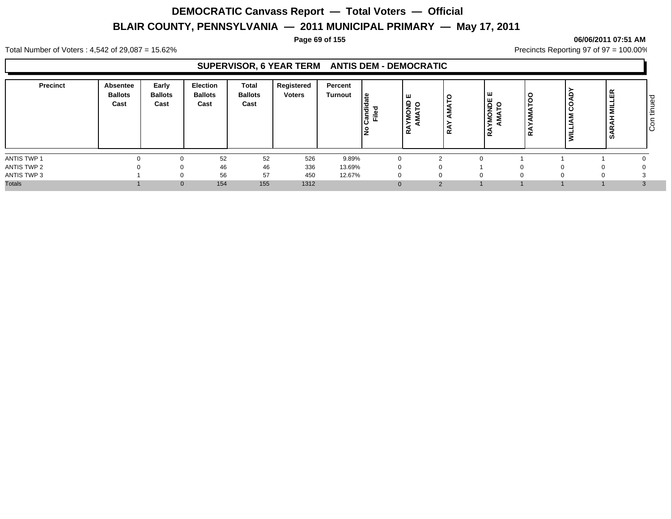#### **Page 69 of 155 06/06/2011 07:51 AM**

Total Number of Voters : 4,542 of 29,087 = 15.62% Precincts Reporting 97 of 97 = 100.00%

### **SUPERVISOR, 6 YEAR TERM ANTIS DEM - DEMOCRATIC**

| <b>Precinct</b> | Absentee<br><b>Ballots</b><br>Cast | Early<br><b>Ballots</b><br>Cast | Election<br><b>Ballots</b><br>Cast | Total<br><b>Ballots</b><br>Cast | Registered<br><b>Voters</b> | Percent<br><b>Turnout</b> | ி<br>ಕ<br>١÷<br>. តី ដី | ш<br>ş<br>ч<br>2<br>$\alpha$ | ≃        | ∣ш<br>) 일<br>이 드<br>$\circ$<br>œ | ه ا<br>∣≃ | $\mathbf{Q}$<br>့8<br>Σ<br>$\vec{z}$ | ≃<br>ш<br>-<br>Ē<br>-<br>ᅩ | ס י<br>Φ<br>$\overline{\phantom{0}}$<br>ŀΞ<br>ΙO |
|-----------------|------------------------------------|---------------------------------|------------------------------------|---------------------------------|-----------------------------|---------------------------|-------------------------|------------------------------|----------|----------------------------------|-----------|--------------------------------------|----------------------------|--------------------------------------------------|
| ANTIS TWP 1     |                                    |                                 | 52                                 | 52                              | 526                         | 9.89%                     |                         | $\Omega$                     | ົ        |                                  |           |                                      |                            |                                                  |
| ANTIS TWP 2     |                                    |                                 | 46                                 | 46                              | 336                         | 13.69%                    |                         | $\Omega$                     |          |                                  |           |                                      |                            |                                                  |
| ANTIS TWP 3     |                                    |                                 | 56                                 | 57                              | 450                         | 12.67%                    |                         | $\Omega$                     |          | -0                               |           |                                      |                            |                                                  |
| <b>Totals</b>   |                                    | $\Omega$                        | 154                                | 155                             | 1312                        |                           |                         |                              | $\Omega$ |                                  |           |                                      |                            |                                                  |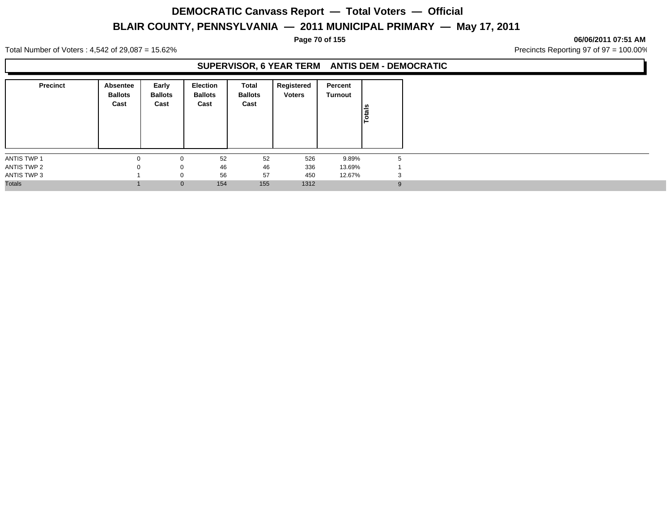#### **Page 70 of 155 06/06/2011 07:51 AM**

Total Number of Voters : 4,542 of 29,087 = 15.62% Precincts Reporting 97 of 97 = 100.00%

### **SUPERVISOR, 6 YEAR TERM ANTIS DEM - DEMOCRATIC**

| <b>Precinct</b> | Absentee<br><b>Ballots</b><br>Cast | Early<br><b>Ballots</b><br>Cast | Election<br><b>Ballots</b><br>Cast | Total<br><b>Ballots</b><br>Cast | Registered<br><b>Voters</b> | Percent<br><b>Turnout</b> | otals |
|-----------------|------------------------------------|---------------------------------|------------------------------------|---------------------------------|-----------------------------|---------------------------|-------|
| ANTIS TWP 1     |                                    |                                 | 52                                 | 52                              | 526                         | 9.89%                     | 5     |
| ANTIS TWP 2     | $\Omega$                           | $\Omega$                        | 46                                 | 46                              | 336                         | 13.69%                    |       |
| ANTIS TWP 3     |                                    |                                 | 56                                 | 57                              | 450                         | 12.67%                    | 3     |
| <b>Totals</b>   |                                    | $\mathbf{0}$                    | 154                                | 155                             | 1312                        |                           | 9     |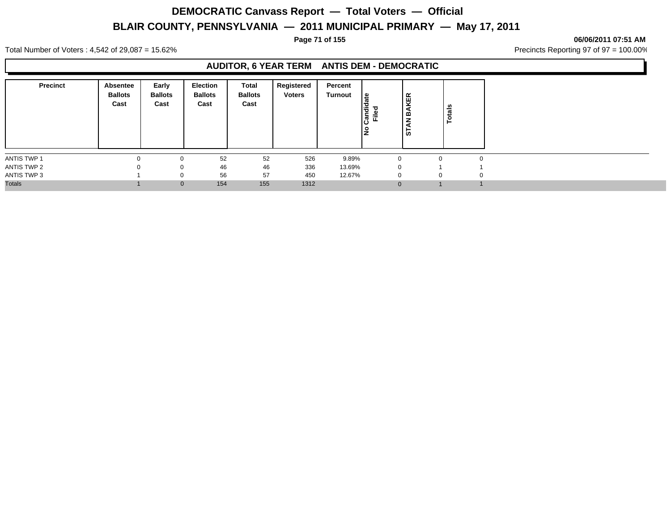**Page 71 of 155 06/06/2011 07:51 AM**

Total Number of Voters : 4,542 of 29,087 = 15.62% Precincts Reporting 97 of 97 = 100.00%

### **AUDITOR, 6 YEAR TERM ANTIS DEM - DEMOCRATIC**

| <b>Precinct</b>    | <b>Absentee</b><br><b>Ballots</b><br>Cast | Early<br><b>Ballots</b><br>Cast | <b>Election</b><br><b>Ballots</b><br>Cast | Total<br><b>Ballots</b><br>Cast | Registered<br><b>Voters</b> | Percent<br>Turnout | ீ<br>andid<br>Filed<br>l是 | KER<br>∣≃<br>z<br>  წ | otals<br>►  |          |
|--------------------|-------------------------------------------|---------------------------------|-------------------------------------------|---------------------------------|-----------------------------|--------------------|---------------------------|-----------------------|-------------|----------|
| <b>ANTIS TWP 1</b> |                                           | 0                               | 52                                        | 52                              | 526                         | 9.89%              |                           |                       | $\Omega$    |          |
| ANTIS TWP 2        | $\Omega$                                  | $\Omega$                        | 46                                        | 46                              | 336                         | 13.69%             | $\Omega$                  |                       |             |          |
| ANTIS TWP 3        |                                           | 0                               | 56                                        | 57                              | 450                         | 12.67%             | $\mathbf 0$               |                       | $\mathbf 0$ | $\Omega$ |
| <b>Totals</b>      |                                           | $\mathbf{0}$                    | 154                                       | 155                             | 1312                        |                    | $\Omega$                  |                       |             |          |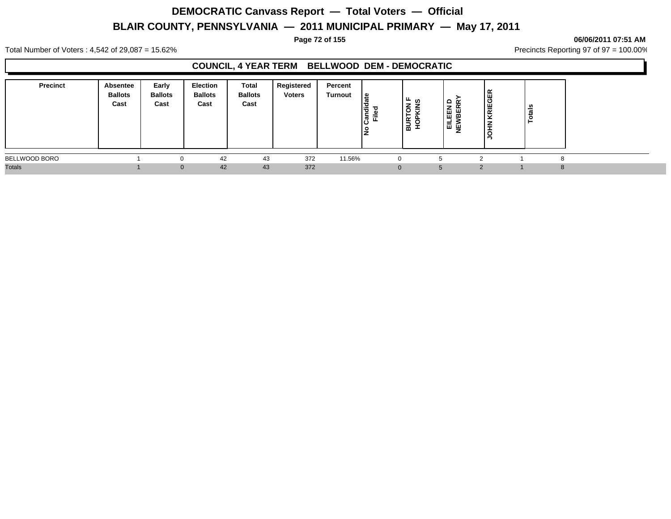#### **Page 72 of 155 06/06/2011 07:51 AM**

Total Number of Voters : 4,542 of 29,087 = 15.62% Precincts Reporting 97 of 97 = 100.00%

### **COUNCIL, 4 YEAR TERM BELLWOOD DEM - DEMOCRATIC**

| <b>Precinct</b> | Absentee<br><b>Ballots</b><br>Cast | Early<br><b>Ballots</b><br>Cast | Election<br><b>Ballots</b><br>Cast | <b>Total</b><br><b>Ballots</b><br>Cast | Registered<br><b>Voters</b> | Percent<br><b>Turnout</b> | ∣≗<br>۱ã<br>ြွှန်<br>Ē. | ∟ ഗ<br><b>BURTON</b><br>HOPKINS<br>ੂ | $\circ$<br>및 ભ<br>EILEI<br>IEWB | ∝<br>GE<br>KRIE<br>z<br>ᆂ | ≝ |   |  |
|-----------------|------------------------------------|---------------------------------|------------------------------------|----------------------------------------|-----------------------------|---------------------------|-------------------------|--------------------------------------|---------------------------------|---------------------------|---|---|--|
| BELLWOOD BORO   |                                    |                                 | 42                                 | 43                                     | 372                         | 11.56%                    |                         | $\Omega$                             |                                 |                           |   |   |  |
| <b>Totals</b>   |                                    |                                 | 42<br>$\Omega$                     | 43                                     | 372                         |                           |                         | $\Omega$                             |                                 |                           |   | 8 |  |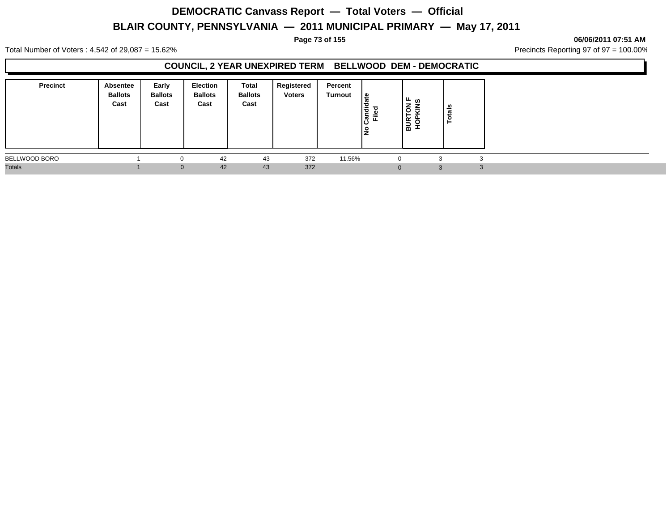#### **Page 73 of 155 06/06/2011 07:51 AM**

Total Number of Voters : 4,542 of 29,087 = 15.62% Precincts Reporting 97 of 97 = 100.00%

### **COUNCIL, 2 YEAR UNEXPIRED TERM BELLWOOD DEM - DEMOCRATIC**

| <b>Precinct</b> | <b>Absentee</b><br><b>Ballots</b><br>Cast | Early<br><b>Ballots</b><br>Cast | <b>Election</b><br><b>Ballots</b><br>Cast | Total<br><b>Ballots</b><br>Cast | Registered<br><b>Voters</b> | Percent<br>Turnout | ا ≅<br>Candie<br>Filed | ∣≞ ഗ<br>$\overline{6}$<br>≂<br>−<br>BUR <sup>-</sup> | n<br>្ថិ<br>Ö |  |
|-----------------|-------------------------------------------|---------------------------------|-------------------------------------------|---------------------------------|-----------------------------|--------------------|------------------------|------------------------------------------------------|---------------|--|
| BELLWOOD BORO   |                                           | 0                               | 42                                        | 43                              | 372                         | 11.56%             |                        |                                                      | 3             |  |
| <b>Totals</b>   |                                           | $\Omega$                        | 42                                        | 43                              | 372                         |                    |                        |                                                      | 3             |  |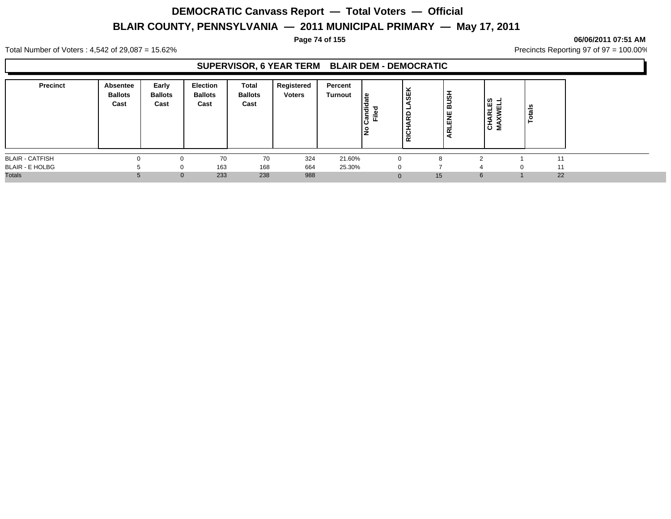#### **Page 74 of 155 06/06/2011 07:51 AM**

Total Number of Voters : 4,542 of 29,087 = 15.62% Precincts Reporting 97 of 97 = 100.00%

## **SUPERVISOR, 6 YEAR TERM BLAIR DEM - DEMOCRATIC**

| <b>Precinct</b>        | Absentee<br><b>Ballots</b><br>Cast | Early<br><b>Ballots</b><br>Cast | <b>Election</b><br><b>Ballots</b><br>Cast | Total<br><b>Ballots</b><br>Cast | Registered<br><b>Voters</b> | Percent<br><b>Turnout</b> | ا ≅<br>andic<br>Filed | ₩<br><b>Q</b><br><b>RICH</b> | <b>HSUB</b><br><b>HE</b><br>ᇎ | <b>NELL</b><br>WELL<br>⋖<br>$\overline{5}$ $\overline{2}$ | Totals |
|------------------------|------------------------------------|---------------------------------|-------------------------------------------|---------------------------------|-----------------------------|---------------------------|-----------------------|------------------------------|-------------------------------|-----------------------------------------------------------|--------|
| <b>BLAIR - CATFISH</b> | 0                                  | 0                               | 70                                        | 70                              | 324                         | 21.60%                    | $\mathbf 0$           |                              |                               |                                                           | 11     |
| <b>BLAIR - E HOLBG</b> |                                    | 0                               | 163                                       | 168                             | 664                         | 25.30%                    | $\Omega$              |                              |                               | $\Omega$                                                  | 11     |
| <b>Totals</b>          |                                    | $\mathbf{0}$                    | 233                                       | 238                             | 988                         |                           | $\Omega$              | 15                           | 6                             |                                                           | 22     |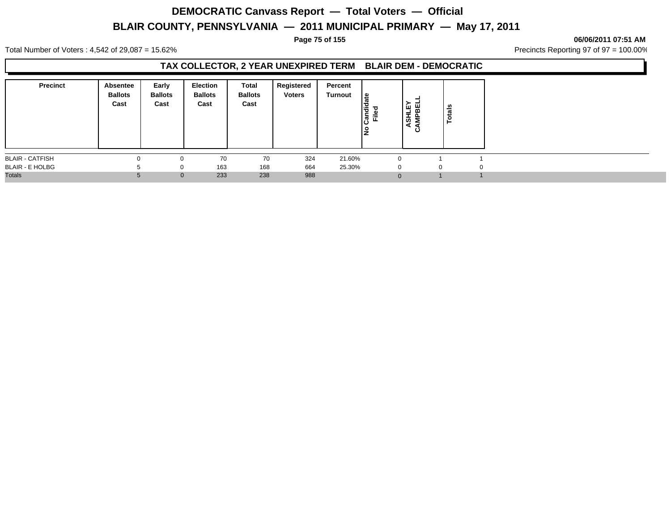#### **Page 75 of 155 06/06/2011 07:51 AM**

Total Number of Voters : 4,542 of 29,087 = 15.62% Precincts Reporting 97 of 97 = 100.00%

## **TAX COLLECTOR, 2 YEAR UNEXPIRED TERM BLAIR DEM - DEMOCRATIC**

| <b>Precinct</b>        | Absentee<br><b>Ballots</b><br>Cast | Early<br><b>Ballots</b><br>Cast | Election<br><b>Ballots</b><br>Cast | Total<br><b>Ballots</b><br>Cast | Registered<br><b>Voters</b> | Percent<br>Turnout | l≌<br>ω<br>Candi<br><u>ី</u><br>١是 | ASHLEY<br>AMPBEL<br>ن | otals    |  |
|------------------------|------------------------------------|---------------------------------|------------------------------------|---------------------------------|-----------------------------|--------------------|------------------------------------|-----------------------|----------|--|
| <b>BLAIR - CATFISH</b> |                                    |                                 | 70                                 | 70                              | 324                         | 21.60%             |                                    | $\Omega$              |          |  |
| <b>BLAIR - E HOLBG</b> |                                    | $\Omega$                        | 163                                | 168                             | 664                         | 25.30%             |                                    | $\Omega$              | $\Omega$ |  |
| <b>Totals</b>          |                                    | $\mathbf{0}$                    | 233                                | 238                             | 988                         |                    |                                    | $\Omega$              |          |  |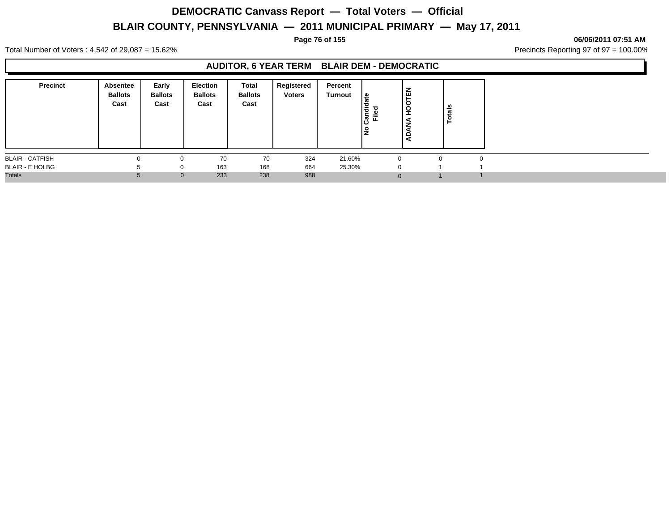#### **Page 76 of 155 06/06/2011 07:51 AM**

Total Number of Voters : 4,542 of 29,087 = 15.62% Precincts Reporting 97 of 97 = 100.00%

## **AUDITOR, 6 YEAR TERM BLAIR DEM - DEMOCRATIC**

| <b>Precinct</b>        | Absentee<br><b>Ballots</b><br>Cast | Early<br><b>Ballots</b><br>Cast | <b>Election</b><br><b>Ballots</b><br>Cast | Total<br><b>Ballots</b><br>Cast | Registered<br><b>Voters</b> | Percent<br>Turnout | ீ<br>iandid<br>Filed<br>ن١<br>١是 | Έ<br>$\circ$<br>$\overline{a}$<br>ᅩ<br>⇁<br>$\Omega$ | U<br>otai<br>► |  |
|------------------------|------------------------------------|---------------------------------|-------------------------------------------|---------------------------------|-----------------------------|--------------------|----------------------------------|------------------------------------------------------|----------------|--|
| <b>BLAIR - CATFISH</b> |                                    |                                 | 70                                        | 70                              | 324                         | 21.60%             | $\Omega$                         |                                                      | ∩              |  |
| <b>BLAIR - E HOLBG</b> |                                    | $\Omega$                        | 163                                       | 168                             | 664                         | 25.30%             | $\Omega$                         |                                                      |                |  |
| <b>Totals</b>          |                                    | $\mathbf{0}$                    | 233                                       | 238                             | 988                         |                    | $\Omega$                         |                                                      |                |  |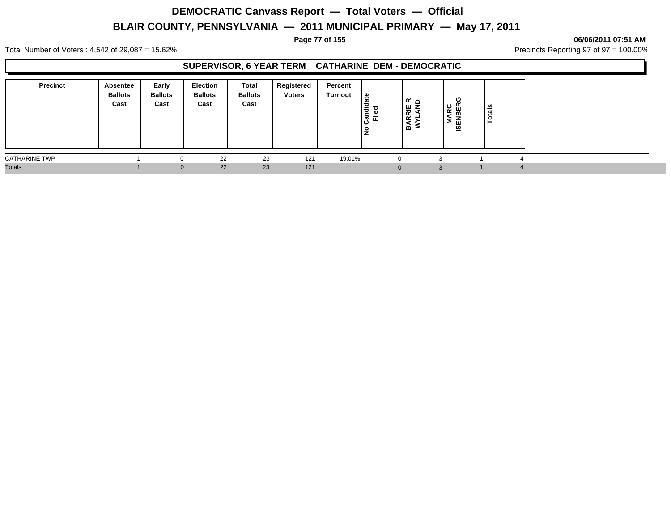#### **Page 77 of 155 06/06/2011 07:51 AM**

Total Number of Voters : 4,542 of 29,087 = 15.62% Precincts Reporting 97 of 97 = 100.00%

## **SUPERVISOR, 6 YEAR TERM CATHARINE DEM - DEMOCRATIC**

| <b>Precinct</b>      | Absentee<br><b>Ballots</b><br>Cast | Early<br><b>Ballots</b><br>Cast | Election<br><b>Ballots</b><br>Cast | Total<br><b>Ballots</b><br>Cast | Registered<br><b>Voters</b> | Percent<br>Turnout | ہ  <br>۱ā<br>ے قا | ہ ∡ ا<br><b>RRIE</b><br>YLANI<br>⋖<br>۱m | υ<br>ဥ<br>ш<br>œ<br>៲ឨៜ | s,<br>∸<br>ಥ |  |
|----------------------|------------------------------------|---------------------------------|------------------------------------|---------------------------------|-----------------------------|--------------------|-------------------|------------------------------------------|-------------------------|--------------|--|
| <b>CATHARINE TWP</b> |                                    | 0                               | 22                                 | 23                              | 121                         | 19.01%             |                   |                                          |                         |              |  |
| <b>Totals</b>        |                                    | $\mathbf{0}$                    | 22                                 | 23                              | 121                         |                    |                   |                                          |                         |              |  |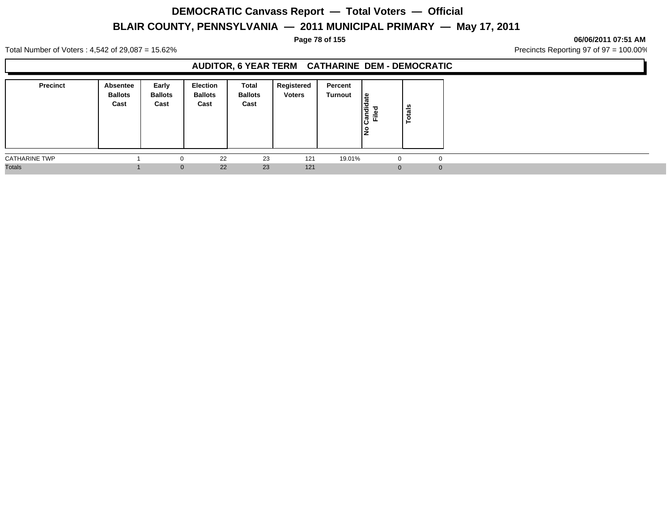#### **Page 78 of 155 06/06/2011 07:51 AM**

Total Number of Voters : 4,542 of 29,087 = 15.62% Precincts Reporting 97 of 97 = 100.00%

## **AUDITOR, 6 YEAR TERM CATHARINE DEM - DEMOCRATIC**

| <b>Precinct</b>      | <b>Absentee</b><br><b>Ballots</b><br>Cast | Early<br><b>Ballots</b><br>Cast | Election<br><b>Ballots</b><br>Cast | Total<br><b>Ballots</b><br>Cast | Registered<br><b>Voters</b> | Percent<br><b>Turnout</b> | <sub>සි</sub><br>l≝.<br>$\overline{\phantom{a}}$<br>פי<br>É<br>ခြ<br>ę | otals<br>- |
|----------------------|-------------------------------------------|---------------------------------|------------------------------------|---------------------------------|-----------------------------|---------------------------|------------------------------------------------------------------------|------------|
| <b>CATHARINE TWP</b> |                                           | u                               | 22                                 | 23                              | 121                         | 19.01%                    | 0                                                                      | 0          |
| <b>Totals</b>        |                                           | $\mathbf{0}$                    | 22                                 | 23                              | 121                         |                           | $\Omega$                                                               | O          |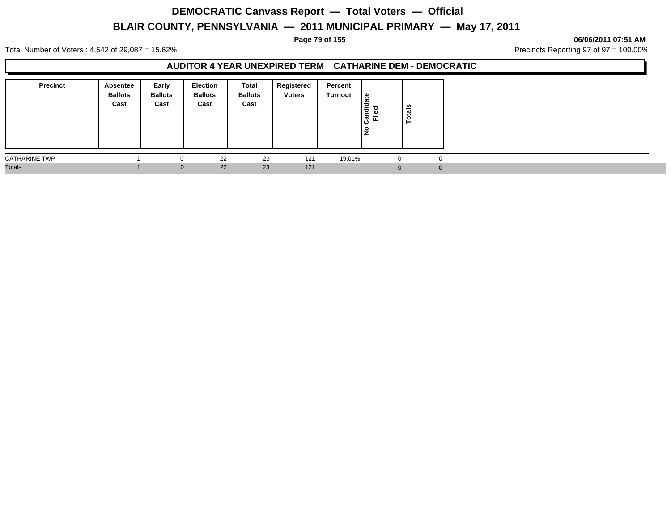#### **Page 79 of 155 06/06/2011 07:51 AM**

Total Number of Voters : 4,542 of 29,087 = 15.62% Precincts Reporting 97 of 97 = 100.00%

### **AUDITOR 4 YEAR UNEXPIRED TERM CATHARINE DEM - DEMOCRATIC**

| <b>Precinct</b>      | Absentee<br><b>Ballots</b><br>Cast | Early<br><b>Ballots</b><br>Cast | Election<br><b>Ballots</b><br>Cast | Total<br><b>Ballots</b><br>Cast | Registered<br><b>Voters</b> | Percent<br>Turnout | . ≅ا<br>ω<br>$\overline{\overline{\overline{a}}}$<br><u>ដ</u> ី<br>$\boldsymbol{\varpi}$<br>ιω<br>١ž | tals<br><u>م</u> |  |
|----------------------|------------------------------------|---------------------------------|------------------------------------|---------------------------------|-----------------------------|--------------------|------------------------------------------------------------------------------------------------------|------------------|--|
| <b>CATHARINE TWP</b> |                                    |                                 | 22                                 | 23                              | 121                         | 19.01%             | $\Omega$                                                                                             | $\Omega$         |  |
| <b>Totals</b>        |                                    | $\Omega$                        | 22                                 | 23                              | 121                         |                    | $\Omega$                                                                                             | $\Omega$         |  |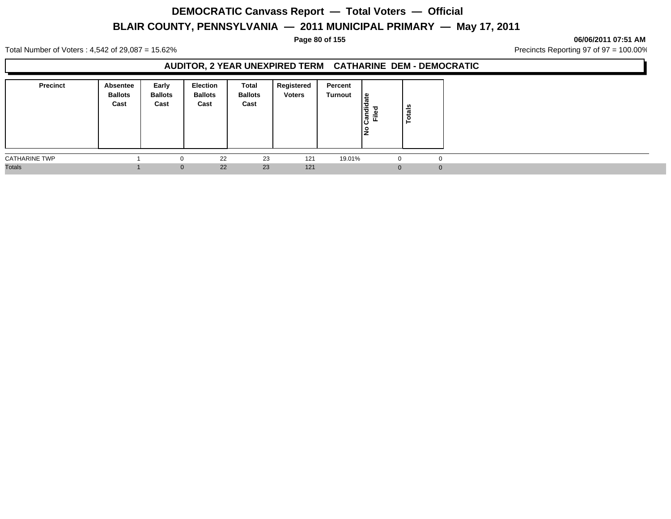#### **Page 80 of 155 06/06/2011 07:51 AM**

Total Number of Voters : 4,542 of 29,087 = 15.62% Precincts Reporting 97 of 97 = 100.00%

### **AUDITOR, 2 YEAR UNEXPIRED TERM CATHARINE DEM - DEMOCRATIC**

| <b>Precinct</b>      | Absentee<br><b>Ballots</b><br>Cast | Early<br><b>Ballots</b><br>Cast | Election<br><b>Ballots</b><br>Cast | Total<br><b>Ballots</b><br>Cast | Registered<br><b>Voters</b> | Percent<br>Turnout | ا≅<br>ο<br>Candied<br>Filed | tals<br>ě |  |
|----------------------|------------------------------------|---------------------------------|------------------------------------|---------------------------------|-----------------------------|--------------------|-----------------------------|-----------|--|
| <b>CATHARINE TWP</b> |                                    | $\Omega$                        | 22                                 | 23                              | 121                         | 19.01%             | 0                           |           |  |
| <b>Totals</b>        |                                    | $\mathbf{0}$                    | 22                                 | 23                              | 121                         |                    |                             | 0         |  |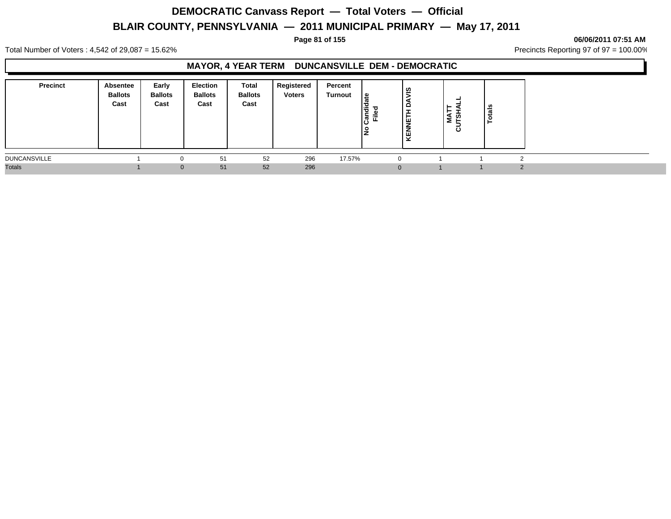#### **Page 81 of 155 06/06/2011 07:51 AM**

Total Number of Voters : 4,542 of 29,087 = 15.62% Precincts Reporting 97 of 97 = 100.00%

## **MAYOR, 4 YEAR TERM DUNCANSVILLE DEM - DEMOCRATIC**

| <b>Precinct</b>     | Absentee<br><b>Ballots</b><br>Cast | Early<br><b>Ballots</b><br>Cast | <b>Election</b><br><b>Ballots</b><br>Cast | Total<br><b>Ballots</b><br>Cast | <b>Registered</b><br><b>Voters</b> | Percent<br>Turnout | ∣ْ ع<br>ē<br>ъ<br>Ē<br>ြီ<br>o | ၑၟႍ<br>≏<br>−<br>粤<br>≒<br>KEN | ⊢<br>►<br>Š<br>ັ | នឹ |  |
|---------------------|------------------------------------|---------------------------------|-------------------------------------------|---------------------------------|------------------------------------|--------------------|--------------------------------|--------------------------------|------------------|----|--|
| <b>DUNCANSVILLE</b> |                                    |                                 | 51                                        | 52                              | 296                                | 17.57%             |                                |                                |                  |    |  |
| <b>Totals</b>       |                                    | 0                               | 51                                        | 52                              | 296                                |                    |                                |                                |                  |    |  |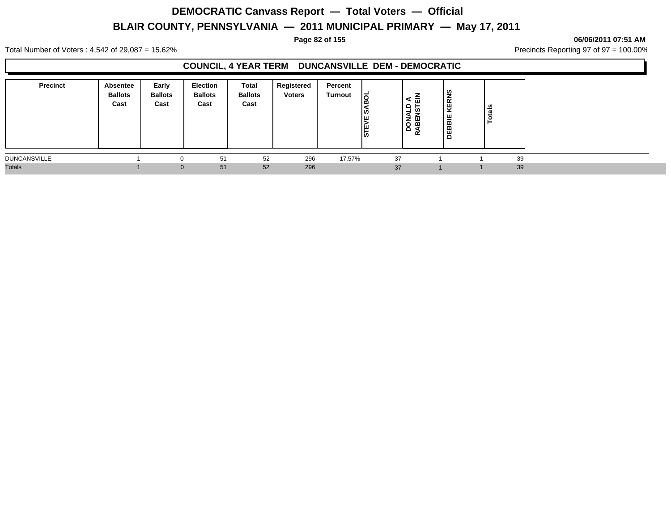#### **Page 82 of 155 06/06/2011 07:51 AM**

Total Number of Voters : 4,542 of 29,087 = 15.62% Precincts Reporting 97 of 97 = 100.00%

## **COUNCIL, 4 YEAR TERM DUNCANSVILLE DEM - DEMOCRATIC**

| <b>Precinct</b>     | Absentee<br><b>Ballots</b><br>Cast | Early<br><b>Ballots</b><br>Cast | <b>Election</b><br><b>Ballots</b><br>Cast | <b>Total</b><br><b>Ballots</b><br>Cast | Registered<br><b>Voters</b> | Percent<br>Turnout | ಠ<br>ı۵<br>∣\$<br><b>STEVE</b> | -<br>⋖<br>ш<br><u>មិ ក្ន</u><br>DONA<br>RABEN | <b>KERNS</b><br>л.<br>DEBBIE | otals |    |  |
|---------------------|------------------------------------|---------------------------------|-------------------------------------------|----------------------------------------|-----------------------------|--------------------|--------------------------------|-----------------------------------------------|------------------------------|-------|----|--|
| <b>DUNCANSVILLE</b> |                                    |                                 | 51                                        | 52                                     | 296                         | 17.57%             |                                | 37                                            |                              |       | 39 |  |
| <b>Totals</b>       |                                    |                                 | 51<br>$\Omega$                            | 52                                     | 296                         |                    |                                | 37                                            |                              |       | 39 |  |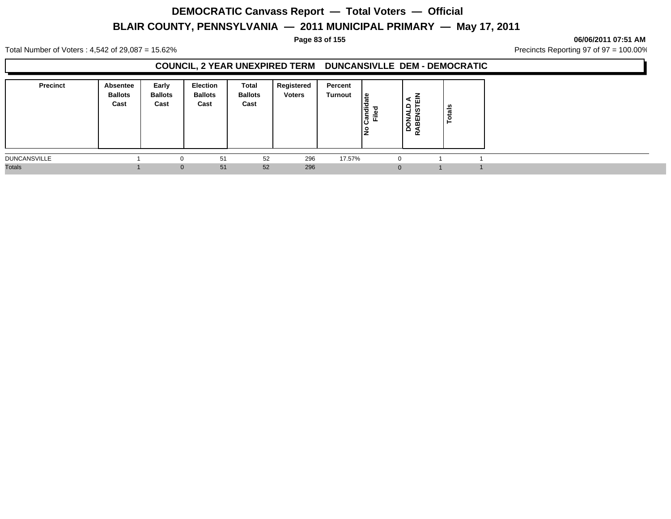#### **Page 83 of 155 06/06/2011 07:51 AM**

Total Number of Voters : 4,542 of 29,087 = 15.62% Precincts Reporting 97 of 97 = 100.00%

### **COUNCIL, 2 YEAR UNEXPIRED TERM DUNCANSIVLLE DEM - DEMOCRATIC**

| <b>Precinct</b>     | Absentee<br><b>Ballots</b><br>Cast | Early<br><b>Ballots</b><br>Cast | Election<br><b>Ballots</b><br>Cast | <b>Total</b><br><b>Ballots</b><br>Cast | Registered<br><b>Voters</b> | Percent<br>Turnout | ا ≅<br>Candi<br>Filed<br>١ş | -<br>⋖<br>ш<br>$\frac{1}{2}$<br><b>in</b><br>⋖<br>DON<br>RABEI | tals<br>c<br>► |  |
|---------------------|------------------------------------|---------------------------------|------------------------------------|----------------------------------------|-----------------------------|--------------------|-----------------------------|----------------------------------------------------------------|----------------|--|
| <b>DUNCANSVILLE</b> |                                    |                                 | 51                                 | 52                                     | 296                         | 17.57%             |                             | $\Omega$                                                       |                |  |
| <b>Totals</b>       |                                    | $\Omega$                        | 51                                 | 52                                     | 296                         |                    |                             | $\Omega$                                                       |                |  |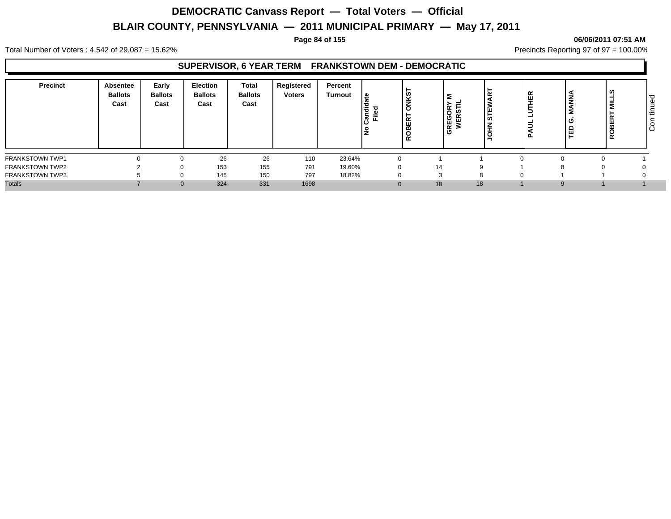#### **Page 84 of 155 06/06/2011 07:51 AM**

Total Number of Voters : 4,542 of 29,087 = 15.62% Precincts Reporting 97 of 97 = 100.00%

## **SUPERVISOR, 6 YEAR TERM FRANKSTOWN DEM - DEMOCRATIC**

| <b>Precinct</b>        | Absentee<br><b>Ballots</b><br>Cast | Early<br><b>Ballots</b><br>Cast | <b>Election</b><br><b>Ballots</b><br>Cast | <b>Total</b><br><b>Ballots</b><br>Cast | Registered<br><b>Voters</b> | Percent<br>Turnout | ഉ<br>੶ਜ਼<br>≂<br>ω | ၊ ဟ<br>×<br>-<br>$\circ$<br>≃<br>◡<br>$\alpha$ | '∝ F<br><b>REGOF<br/>WERS</b> | ய<br>၊ ဖာ<br>- 11 | l ස | ۰<br>-<br>ź<br>O<br>ΓÊ | =<br>Σ<br>ш<br>≃ | Φ<br>-<br>-<br>ŀΞ<br>o<br>ΙÖ |
|------------------------|------------------------------------|---------------------------------|-------------------------------------------|----------------------------------------|-----------------------------|--------------------|--------------------|------------------------------------------------|-------------------------------|-------------------|-----|------------------------|------------------|------------------------------|
| <b>FRANKSTOWN TWP1</b> |                                    |                                 | 26                                        | 26                                     | 110                         | 23.64%             | $\Omega$           |                                                |                               |                   |     |                        |                  |                              |
| <b>FRANKSTOWN TWP2</b> |                                    |                                 | 153                                       | 155                                    | 791                         | 19.60%             | $\mathbf{0}$       |                                                | 14                            | a                 |     |                        |                  |                              |
| <b>FRANKSTOWN TWP3</b> |                                    |                                 | 145                                       | 150                                    | 797                         | 18.82%             | $\Omega$           |                                                | ◠                             | C                 |     |                        |                  |                              |
| <b>Totals</b>          |                                    | $\Omega$                        | 324                                       | 331                                    | 1698                        |                    |                    |                                                | 18                            | 18                |     |                        |                  |                              |
|                        |                                    |                                 |                                           |                                        |                             |                    |                    |                                                |                               |                   |     |                        |                  |                              |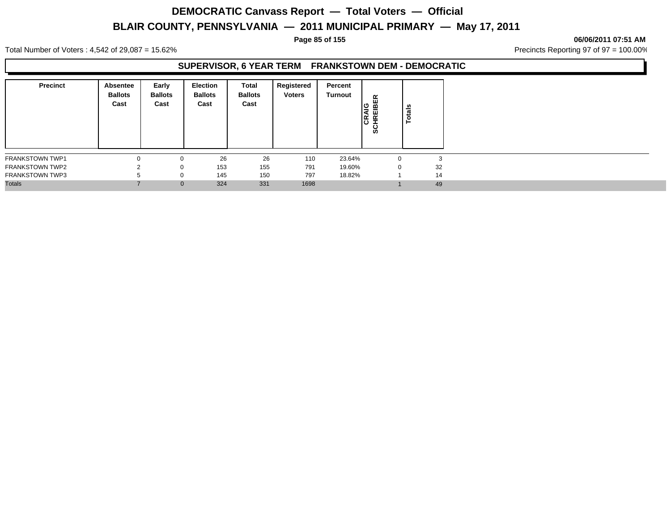#### **Page 85 of 155 06/06/2011 07:51 AM**

Total Number of Voters : 4,542 of 29,087 = 15.62% Precincts Reporting 97 of 97 = 100.00%

### **SUPERVISOR, 6 YEAR TERM FRANKSTOWN DEM - DEMOCRATIC**

| <b>Precinct</b>        | Absentee<br><b>Ballots</b><br>Cast | Early<br><b>Ballots</b><br>Cast | <b>Election</b><br><b>Ballots</b><br>Cast | Total<br><b>Ballots</b><br>Cast | Registered<br><b>Voters</b> | Percent<br>Turnout | CRAIG<br>SCHREIBER | otals<br>⊢ |    |
|------------------------|------------------------------------|---------------------------------|-------------------------------------------|---------------------------------|-----------------------------|--------------------|--------------------|------------|----|
| <b>FRANKSTOWN TWP1</b> |                                    | $\Omega$                        | 26                                        | 26                              | 110                         | 23.64%             |                    |            |    |
| <b>FRANKSTOWN TWP2</b> |                                    | 0                               | 153                                       | 155                             | 791                         | 19.60%             | 0                  |            | 32 |
| <b>FRANKSTOWN TWP3</b> |                                    | $\mathbf 0$                     | 145                                       | 150                             | 797                         | 18.82%             |                    |            | 14 |
| <b>Totals</b>          |                                    | $\mathbf{0}$                    | 324                                       | 331                             | 1698                        |                    |                    |            | 49 |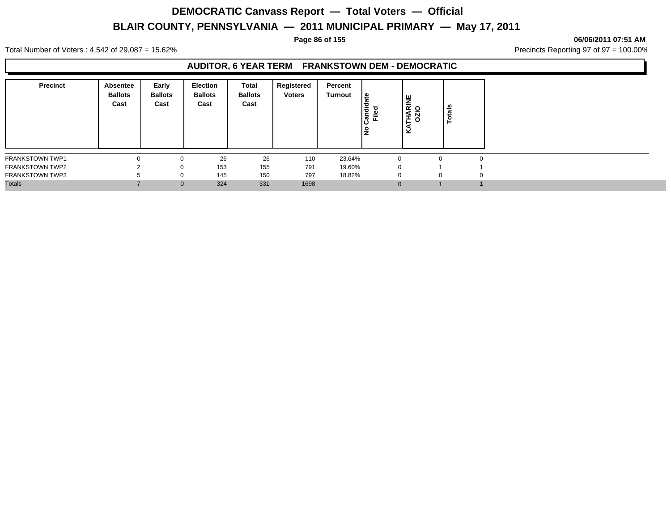#### **Page 86 of 155 06/06/2011 07:51 AM**

Total Number of Voters : 4,542 of 29,087 = 15.62% Precincts Reporting 97 of 97 = 100.00%

## **AUDITOR, 6 YEAR TERM FRANKSTOWN DEM - DEMOCRATIC**

| <b>Precinct</b>        | Absentee<br><b>Ballots</b><br>Cast | Early<br><b>Ballots</b><br>Cast | Election<br><b>Ballots</b><br>Cast | <b>Total</b><br><b>Ballots</b><br>Cast | Registered<br><b>Voters</b> | Percent<br>Turnout | ீ<br>andie<br>Filed | RINE<br>O<br><b>THAI</b><br>⊻ | otals    |  |
|------------------------|------------------------------------|---------------------------------|------------------------------------|----------------------------------------|-----------------------------|--------------------|---------------------|-------------------------------|----------|--|
| <b>FRANKSTOWN TWP1</b> | $\Omega$                           | $\Omega$                        | 26                                 | 26                                     | 110                         | 23.64%             |                     | -0                            | $\Omega$ |  |
| <b>FRANKSTOWN TWP2</b> |                                    | 0                               | 153                                | 155                                    | 791                         | 19.60%             |                     | $\Omega$                      |          |  |
| <b>FRANKSTOWN TWP3</b> |                                    | $\Omega$                        | 145                                | 150                                    | 797                         | 18.82%             |                     |                               | $\Omega$ |  |
| <b>Totals</b>          |                                    | $\mathbf{0}$                    | 324                                | 331                                    | 1698                        |                    |                     | $\Omega$                      |          |  |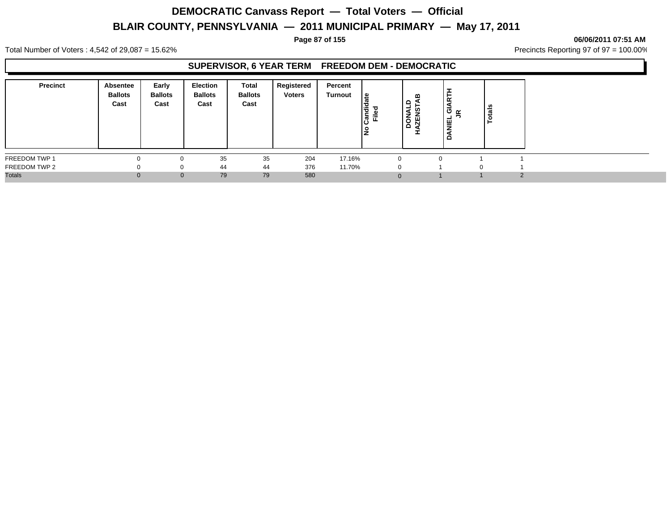#### **Page 87 of 155 06/06/2011 07:51 AM**

Total Number of Voters : 4,542 of 29,087 = 15.62% Precincts Reporting 97 of 97 = 100.00%

#### **SUPERVISOR, 6 YEAR TERM FREEDOM DEM - DEMOCRATIC**

| <b>Precinct</b> | <b>Absentee</b><br><b>Ballots</b><br>Cast | Early<br><b>Ballots</b><br>Cast | <b>Election</b><br><b>Ballots</b><br>Cast | Total<br><b>Ballots</b><br>Cast | Registered<br><b>Voters</b> | Percent<br>Turnout | ⊕<br>Candi<br>Ě | ≃<br>٩<br>ဖာ<br>DONA<br>円<br>I | œ<br>ືອ໋∝<br><b>NIEL</b><br>$\Omega$ | នឹ<br>تت |  |
|-----------------|-------------------------------------------|---------------------------------|-------------------------------------------|---------------------------------|-----------------------------|--------------------|-----------------|--------------------------------|--------------------------------------|----------|--|
| FREEDOM TWP 1   |                                           |                                 | 35                                        | 35                              | 204                         | 17.16%             | $\Omega$        |                                | n                                    |          |  |
| FREEDOM TWP 2   |                                           |                                 | 44                                        | 44                              | 376                         | 11.70%             | $\Omega$        |                                |                                      |          |  |
| <b>Totals</b>   |                                           | $\Omega$                        | 79                                        | 79                              | 580                         |                    | $\Omega$        |                                |                                      |          |  |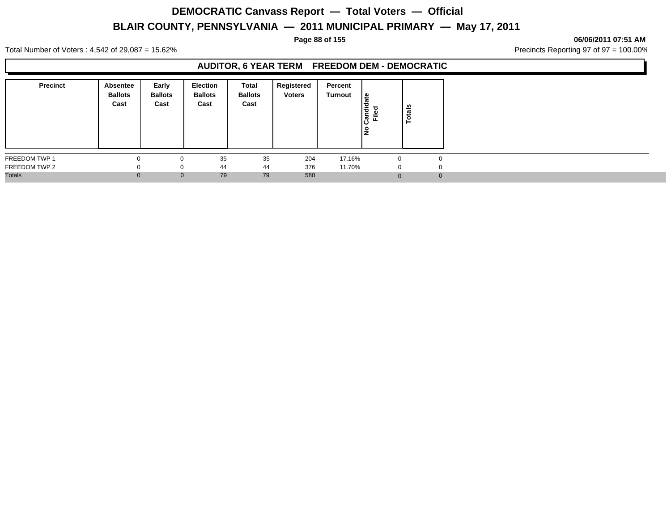#### **Page 88 of 155 06/06/2011 07:51 AM**

Total Number of Voters : 4,542 of 29,087 = 15.62% Precincts Reporting 97 of 97 = 100.00%

## **AUDITOR, 6 YEAR TERM FREEDOM DEM - DEMOCRATIC**

| <b>Precinct</b> | Absentee<br><b>Ballots</b><br>Cast | Early<br><b>Ballots</b><br>Cast | <b>Election</b><br><b>Ballots</b><br>Cast | Total<br><b>Ballots</b><br>Cast | Registered<br><b>Voters</b> | Percent<br><b>Turnout</b> | ∣≗<br>Candi<br>Filed | <b>otals</b><br>- |
|-----------------|------------------------------------|---------------------------------|-------------------------------------------|---------------------------------|-----------------------------|---------------------------|----------------------|-------------------|
| FREEDOM TWP 1   |                                    |                                 | 35                                        | 35                              | 204                         | 17.16%                    | 0                    |                   |
| FREEDOM TWP 2   | 0                                  | 0                               | 44                                        | 44                              | 376                         | 11.70%                    | $\mathbf{0}$         |                   |
| <b>Totals</b>   | 0                                  | $\mathbf 0$                     | 79                                        | 79                              | 580                         |                           | $\mathbf{0}$         |                   |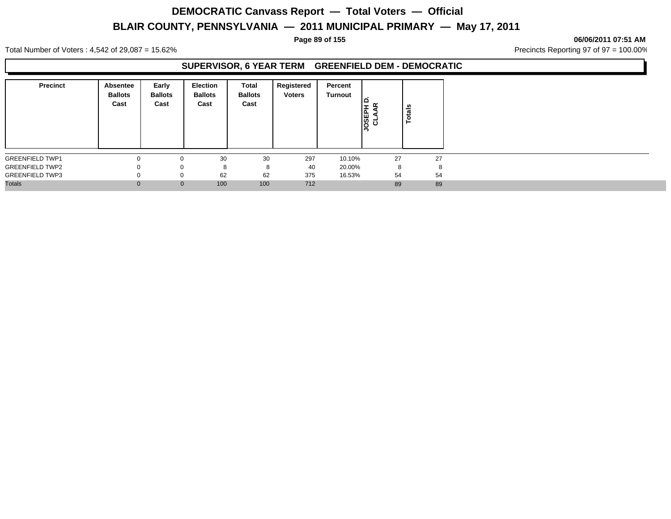#### **Page 89 of 155 06/06/2011 07:51 AM**

Total Number of Voters : 4,542 of 29,087 = 15.62% Precincts Reporting 97 of 97 = 100.00%

### **SUPERVISOR, 6 YEAR TERM GREENFIELD DEM - DEMOCRATIC**

| <b>Precinct</b>        | <b>Absentee</b><br><b>Ballots</b><br>Cast | Early<br><b>Ballots</b><br>Cast | <b>Election</b><br><b>Ballots</b><br>Cast | <b>Total</b><br><b>Ballots</b><br>Cast | Registered<br><b>Voters</b> | Percent<br>Turnout | <b>OSEPI</b><br>CLAA | otals<br>⊢ |
|------------------------|-------------------------------------------|---------------------------------|-------------------------------------------|----------------------------------------|-----------------------------|--------------------|----------------------|------------|
| <b>GREENFIELD TWP1</b> |                                           | $\Omega$                        | 30                                        | 30                                     | 297                         | 10.10%             | 27                   | 27         |
| <b>GREENFIELD TWP2</b> |                                           | 0                               | 8                                         | 8                                      | 40                          | 20.00%             | 8                    | 8          |
| <b>GREENFIELD TWP3</b> |                                           | 0                               | 62                                        | 62                                     | 375                         | 16.53%             | 54                   | 54         |
| <b>Totals</b>          | $\Omega$                                  | $\mathbf 0$                     | 100                                       | 100                                    | 712                         |                    | 89                   | 89         |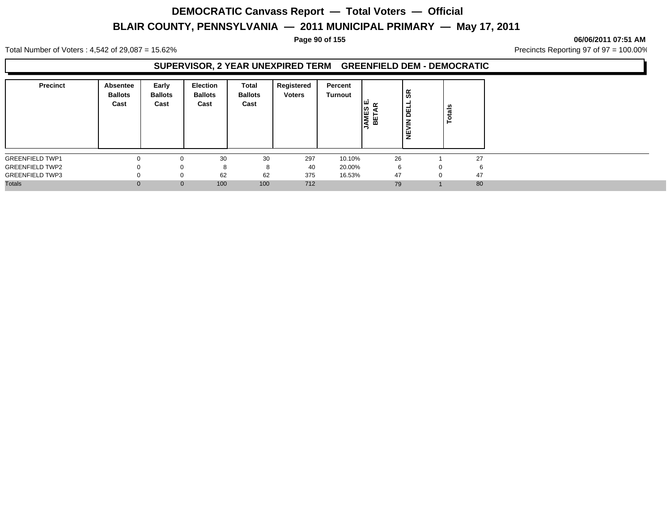#### **Page 90 of 155 06/06/2011 07:51 AM**

Total Number of Voters : 4,542 of 29,087 = 15.62% Precincts Reporting 97 of 97 = 100.00%

#### **SUPERVISOR, 2 YEAR UNEXPIRED TERM GREENFIELD DEM - DEMOCRATIC**

| <b>Precinct</b>        | Absentee<br><b>Ballots</b><br>Cast | Early<br><b>Ballots</b><br>Cast | Election<br><b>Ballots</b><br>Cast | Total<br><b>Ballots</b><br>Cast | Registered<br><b>Voters</b> | Percent<br>Turnout | ၊ဖာ<br>AME:<br>BETA | န္တ<br>핑<br>₹<br>쁮 | Totals |    |
|------------------------|------------------------------------|---------------------------------|------------------------------------|---------------------------------|-----------------------------|--------------------|---------------------|--------------------|--------|----|
| <b>GREENFIELD TWP1</b> | 0                                  |                                 | 30                                 | 30                              | 297                         | 10.10%             | 26                  |                    |        | 27 |
| <b>GREENFIELD TWP2</b> | $\Omega$                           |                                 | 8                                  | 8                               | 40                          | 20.00%             | 6                   |                    | 0      | 6  |
| <b>GREENFIELD TWP3</b> | $\Omega$                           |                                 | 62                                 | 62                              | 375                         | 16.53%             | 47                  |                    |        | 47 |
| <b>Totals</b>          | $\Omega$                           | $\mathbf{0}$                    | 100                                | 100                             | 712                         |                    | 79                  |                    |        | 80 |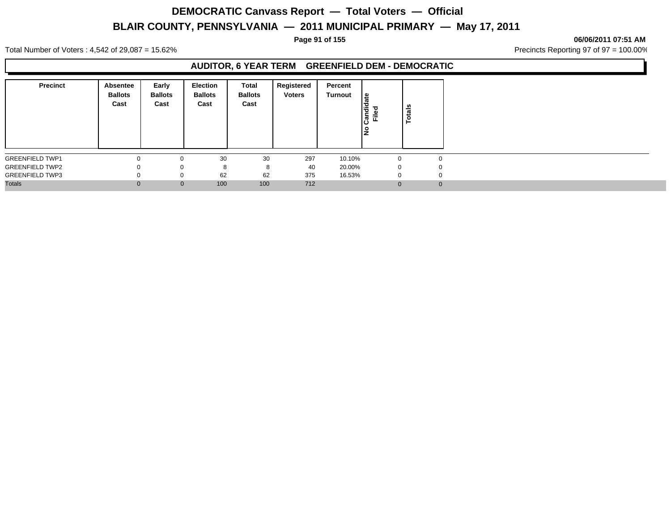#### **Page 91 of 155 06/06/2011 07:51 AM**

Total Number of Voters : 4,542 of 29,087 = 15.62% Precincts Reporting 97 of 97 = 100.00%

### **AUDITOR, 6 YEAR TERM GREENFIELD DEM - DEMOCRATIC**

| <b>Precinct</b>        | Absentee<br><b>Ballots</b><br>Cast | Early<br><b>Ballots</b><br>Cast | <b>Election</b><br><b>Ballots</b><br>Cast | Total<br><b>Ballots</b><br>Cast | Registered<br><b>Voters</b> | Percent<br><b>Turnout</b> | ≗<br>andid<br>Filed | otals<br>- |
|------------------------|------------------------------------|---------------------------------|-------------------------------------------|---------------------------------|-----------------------------|---------------------------|---------------------|------------|
| <b>GREENFIELD TWP1</b> |                                    | $\Omega$                        | 30                                        | 30                              | 297                         | 10.10%                    | $\Omega$            |            |
| <b>GREENFIELD TWP2</b> |                                    | 0                               | 8                                         | 8                               | 40                          | 20.00%                    | 0                   |            |
| <b>GREENFIELD TWP3</b> |                                    | 0                               | 62                                        | 62                              | 375                         | 16.53%                    | 0                   |            |
| <b>Totals</b>          | $\Omega$                           | $\mathbf 0$                     | 100                                       | 100                             | 712                         |                           | $\Omega$            |            |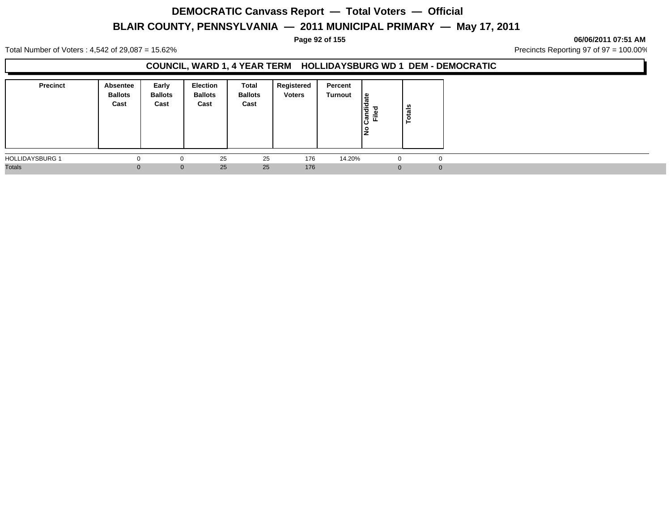#### **Page 92 of 155 06/06/2011 07:51 AM**

Total Number of Voters : 4,542 of 29,087 = 15.62% Precincts Reporting 97 of 97 = 100.00%

### **COUNCIL, WARD 1, 4 YEAR TERM HOLLIDAYSBURG WD 1 DEM - DEMOCRATIC**

| <b>Precinct</b>        | Absentee<br><b>Ballots</b><br>Cast | Early<br><b>Ballots</b><br>Cast | <b>Election</b><br><b>Ballots</b><br>Cast | Total<br><b>Ballots</b><br>Cast | Registered<br><b>Voters</b> | Percent<br>Turnout | ∣≗<br>ω<br>Ιä<br>ခြံ<br>Ě<br>l是 | ន់<br>Tot |          |
|------------------------|------------------------------------|---------------------------------|-------------------------------------------|---------------------------------|-----------------------------|--------------------|---------------------------------|-----------|----------|
| <b>HOLLIDAYSBURG 1</b> |                                    |                                 | 25                                        | 25                              | 176                         | 14.20%             | $\Omega$                        |           | $\Omega$ |
| <b>Totals</b>          |                                    | $\mathbf{0}$                    | 25                                        | 25                              | 176                         |                    | $\Omega$                        |           | $\Omega$ |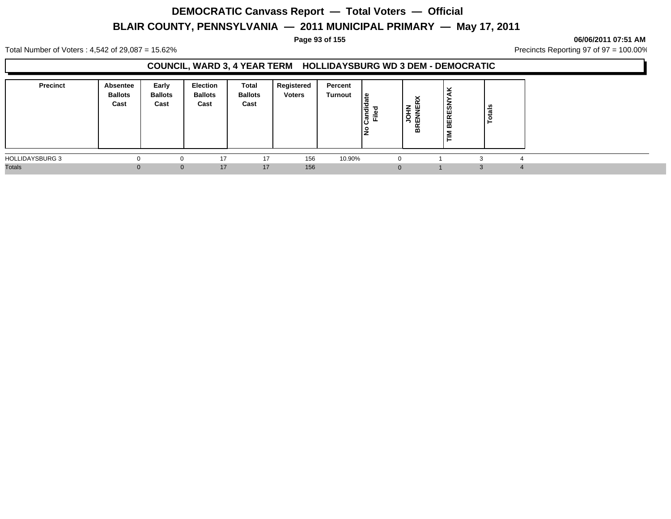#### **Page 93 of 155 06/06/2011 07:51 AM**

Total Number of Voters : 4,542 of 29,087 = 15.62% Precincts Reporting 97 of 97 = 100.00%

### **COUNCIL, WARD 3, 4 YEAR TERM HOLLIDAYSBURG WD 3 DEM - DEMOCRATIC**

| <b>Precinct</b>        | <b>Absentee</b><br><b>Ballots</b><br>Cast | Early<br><b>Ballots</b><br>Cast | Election<br><b>Ballots</b><br>Cast | Total<br><b>Ballots</b><br>Cast | Registered<br><b>Voters</b> | Percent<br>Turnout | ہ  <br>ja<br>ъ<br>⋍<br>∼<br><b>. m</b><br>ட | ີ<br>⌒<br>$\sim$<br>. Z W<br>l s<br>血<br><b>BR</b> | ٠.<br><b>BERESN</b><br>Σ<br>- | u<br>ਛ |  |
|------------------------|-------------------------------------------|---------------------------------|------------------------------------|---------------------------------|-----------------------------|--------------------|---------------------------------------------|----------------------------------------------------|-------------------------------|--------|--|
| <b>HOLLIDAYSBURG 3</b> |                                           |                                 | 17                                 | 17                              | 156                         | 10.90%             |                                             |                                                    |                               |        |  |
| <b>Totals</b>          |                                           | $\Omega$                        | 17                                 | 17                              | 156                         |                    |                                             |                                                    |                               |        |  |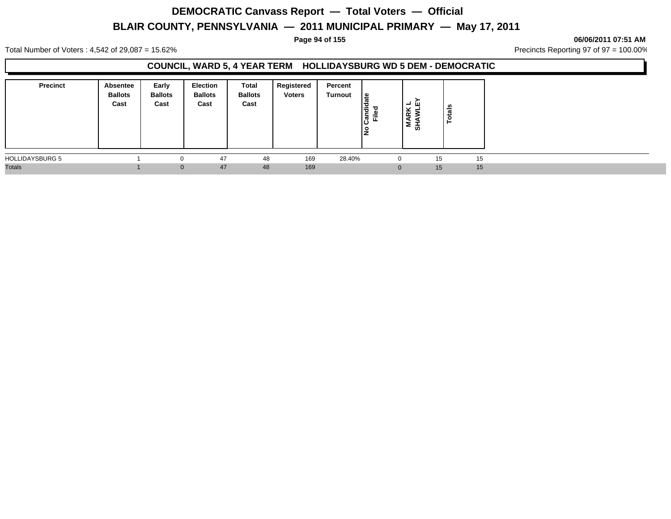**Page 94 of 155 06/06/2011 07:51 AM**

Total Number of Voters : 4,542 of 29,087 = 15.62% Precincts Reporting 97 of 97 = 100.00%

### **COUNCIL, WARD 5, 4 YEAR TERM HOLLIDAYSBURG WD 5 DEM - DEMOCRATIC**

| <b>Precinct</b>        | Absentee<br><b>Ballots</b><br>Cast | Early<br><b>Ballots</b><br>Cast | Election<br><b>Ballots</b><br>Cast | Total<br><b>Ballots</b><br>Cast | Registered<br><b>Voters</b> | Percent<br>Turnout | ا ≅<br>Candi<br>۴Ë<br>١ş | ᆜ<br>்ப<br>$\frac{1}{2}$ $\frac{1}{2}$<br>а<br>'≅ ਛੋ | <b>S</b><br>ថ្មី |    |  |
|------------------------|------------------------------------|---------------------------------|------------------------------------|---------------------------------|-----------------------------|--------------------|--------------------------|------------------------------------------------------|------------------|----|--|
| <b>HOLLIDAYSBURG 5</b> |                                    |                                 | 47                                 | 48                              | 169                         | 28.40%             | 0                        |                                                      | 15               | 15 |  |
| <b>Totals</b>          |                                    | $\Omega$                        | 47                                 | 48                              | 169                         |                    |                          |                                                      | 15               | 15 |  |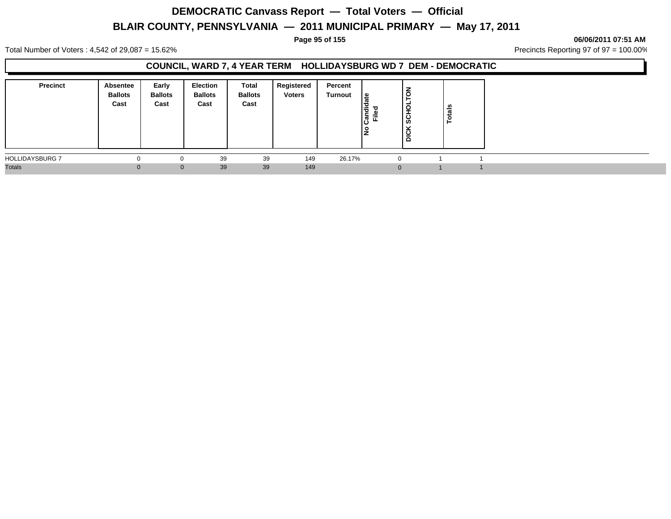#### **Page 95 of 155 06/06/2011 07:51 AM**

Total Number of Voters : 4,542 of 29,087 = 15.62% Precincts Reporting 97 of 97 = 100.00%

### **COUNCIL, WARD 7, 4 YEAR TERM HOLLIDAYSBURG WD 7 DEM - DEMOCRATIC**

| <b>Precinct</b>        | Absentee<br><b>Ballots</b><br>Cast | Early<br><b>Ballots</b><br>Cast | <b>Election</b><br><b>Ballots</b><br>Cast | Total<br><b>Ballots</b><br>Cast | Registered<br><b>Voters</b> | Percent<br>Turnout | . م<br>I÷<br>ခြံ<br>Ē. | š<br>۳<br>C<br>-<br>ន្ល<br><b>DICK</b> | otals<br>► |  |
|------------------------|------------------------------------|---------------------------------|-------------------------------------------|---------------------------------|-----------------------------|--------------------|------------------------|----------------------------------------|------------|--|
| <b>HOLLIDAYSBURG 7</b> |                                    |                                 | 39                                        | 39                              | 149                         | 26.17%             | $\Omega$               |                                        |            |  |
| <b>Totals</b>          |                                    | $\Omega$                        | 39                                        | 39                              | 149                         |                    | $\Omega$               |                                        |            |  |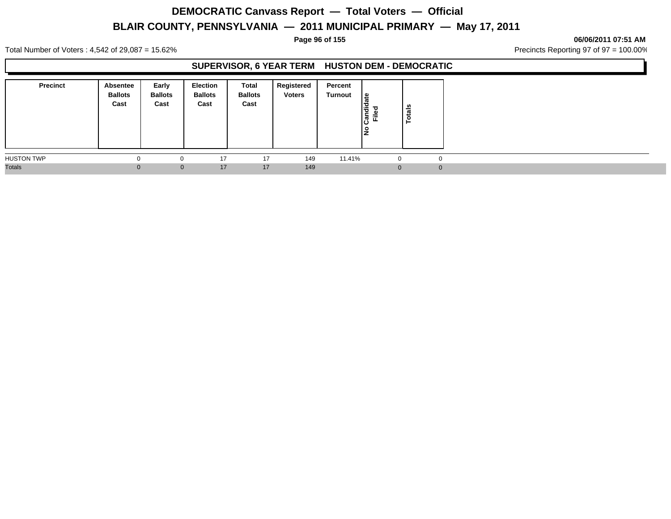#### **Page 96 of 155 06/06/2011 07:51 AM**

Total Number of Voters : 4,542 of 29,087 = 15.62% Precincts Reporting 97 of 97 = 100.00%

### **SUPERVISOR, 6 YEAR TERM HUSTON DEM - DEMOCRATIC**

| <b>Precinct</b>   | Absentee<br><b>Ballots</b><br>Cast | Early<br><b>Ballots</b><br>Cast | <b>Election</b><br><b>Ballots</b><br>Cast | <b>Total</b><br><b>Ballots</b><br>Cast | Registered<br><b>Voters</b> | Percent<br><b>Turnout</b> | <sub>≋</sub><br>I÷<br>Ѣ<br>⋍<br>ႜႍ<br>ட<br>∣o | otals<br>- |  |
|-------------------|------------------------------------|---------------------------------|-------------------------------------------|----------------------------------------|-----------------------------|---------------------------|-----------------------------------------------|------------|--|
| <b>HUSTON TWP</b> |                                    |                                 | 17                                        | 17                                     | 149                         | 11.41%                    | 0                                             | 0          |  |
| <b>Totals</b>     | $\Omega$                           | $\mathbf{0}$                    | 17                                        | 17                                     | 149                         |                           | $\Omega$                                      | 0          |  |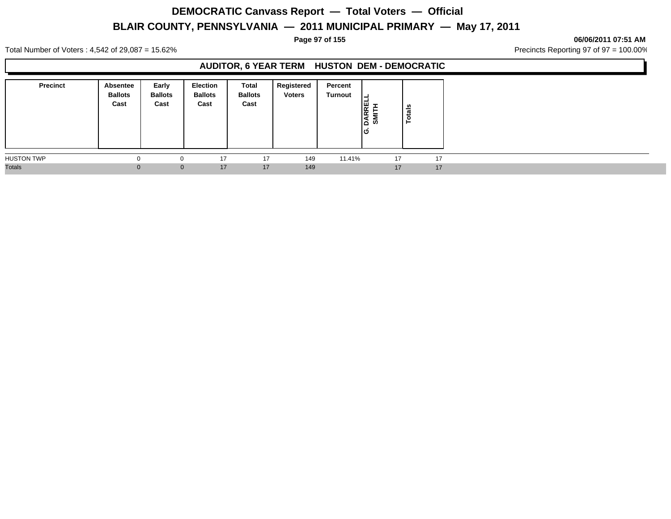#### **Page 97 of 155 06/06/2011 07:51 AM**

Total Number of Voters : 4,542 of 29,087 = 15.62% Precincts Reporting 97 of 97 = 100.00%

## **AUDITOR, 6 YEAR TERM HUSTON DEM - DEMOCRATIC**

| <b>Precinct</b>   | Absentee<br><b>Ballots</b><br>Cast | Early<br><b>Ballots</b><br>Cast | <b>Election</b><br><b>Ballots</b><br>Cast | Total<br><b>Ballots</b><br>Cast | Registered<br><b>Voters</b> | Percent<br><b>Turnout</b> | ┙<br>DARREI<br>SMITH<br>lဟ | otals<br>- |
|-------------------|------------------------------------|---------------------------------|-------------------------------------------|---------------------------------|-----------------------------|---------------------------|----------------------------|------------|
| <b>HUSTON TWP</b> |                                    |                                 | 17                                        | 17                              | 149                         | 11.41%                    | 17                         | 17         |
| <b>Totals</b>     |                                    |                                 | 17<br>$\mathbf{0}$                        | 17                              | 149                         |                           | 17                         | 17         |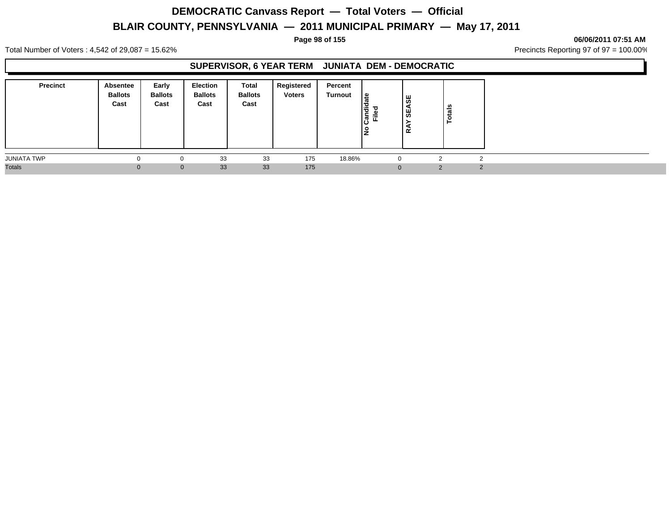#### **Page 98 of 155 06/06/2011 07:51 AM**

Total Number of Voters : 4,542 of 29,087 = 15.62% Precincts Reporting 97 of 97 = 100.00%

## **SUPERVISOR, 6 YEAR TERM JUNIATA DEM - DEMOCRATIC**

| <b>Precinct</b> | Absentee<br><b>Ballots</b><br>Cast | Early<br><b>Ballots</b><br>Cast | <b>Election</b><br><b>Ballots</b><br>Cast | Total<br><b>Ballots</b><br>Cast | Registered<br><b>Voters</b> | Percent<br>Turnout | 9  <br>w<br>Candi<br>Ē<br>1 O<br>ΙŽ | 9S<br>₩,<br>≃ | otals<br>⊢ |        |  |
|-----------------|------------------------------------|---------------------------------|-------------------------------------------|---------------------------------|-----------------------------|--------------------|-------------------------------------|---------------|------------|--------|--|
| JUNIATA TWP     |                                    |                                 | 33                                        | 33                              | 175                         | 18.86%             | $\Omega$                            |               |            |        |  |
| <b>Totals</b>   |                                    | $\Omega$                        | 33                                        | 33                              | 175                         |                    | $\Omega$                            |               | $\Omega$   | $\sim$ |  |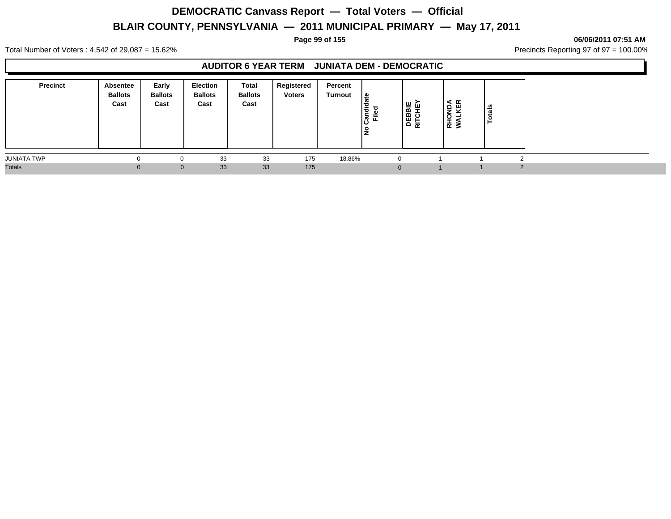#### **Page 99 of 155 06/06/2011 07:51 AM**

Total Number of Voters : 4,542 of 29,087 = 15.62% Precincts Reporting 97 of 97 = 100.00%

## **AUDITOR 6 YEAR TERM JUNIATA DEM - DEMOCRATIC**

| <b>Precinct</b>    | Absentee<br><b>Ballots</b><br>Cast | Early<br><b>Ballots</b><br>Cast | <b>Election</b><br><b>Ballots</b><br>Cast | <b>Total</b><br><b>Ballots</b><br>Cast | Registered<br><b>Voters</b> | Percent<br>Turnout | ہ ¦<br>ాం<br>٠ | DEBBIE<br>RITCHEY | ∢ ∝<br><b>RHONDA</b><br>WALKEI | -<br>- |  |
|--------------------|------------------------------------|---------------------------------|-------------------------------------------|----------------------------------------|-----------------------------|--------------------|----------------|-------------------|--------------------------------|--------|--|
| <b>JUNIATA TWP</b> |                                    | $\Omega$                        | 33                                        | 33                                     | 175                         | 18.86%             | $\Omega$       |                   |                                |        |  |
| <b>Totals</b>      | 0.                                 | $\mathbf 0$                     | 33                                        | 33                                     | 175                         |                    | $\Omega$       |                   |                                |        |  |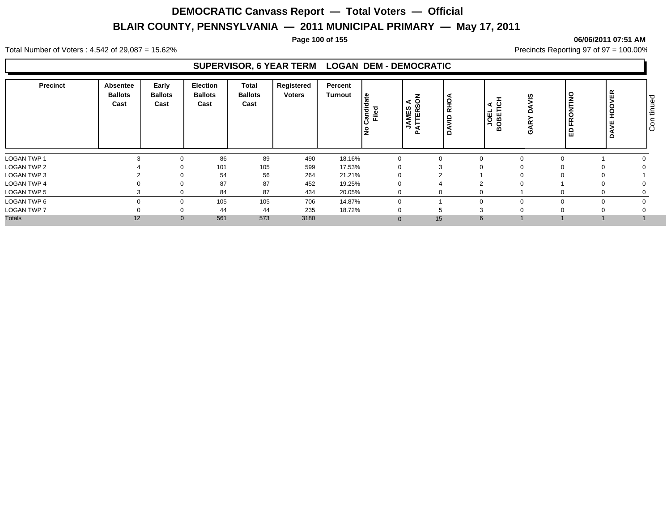#### **Page 100 of 155 06/06/2011 07:51 AM**

Total Number of Voters : 4,542 of 29,087 = 15.62% Precincts Reporting 97 of 97 = 100.00%

### **SUPERVISOR, 6 YEAR TERM LOGAN DEM - DEMOCRATIC**

| <b>Precinct</b>    | Absentee<br><b>Ballots</b><br>Cast | Early<br><b>Ballots</b><br>Cast | Election<br><b>Ballots</b><br>Cast | <b>Total</b><br><b>Ballots</b><br>Cast | Registered<br>Voters | Percent<br><b>Turnout</b> | ate<br>andie<br>Filed | $\overline{6}$<br>⋖<br>S,<br>Œ<br>AME<br>⊏<br>⊢ | 오<br>$\propto$<br>≘<br>c | ৰ ত      | ls<br>GAR <sup>'</sup> | FRONTINO<br>品 | 띥<br>∍<br>ᆂ<br>o | ס ו<br>9<br>۱Ē<br>$\overline{O}$<br>ΙÖ |
|--------------------|------------------------------------|---------------------------------|------------------------------------|----------------------------------------|----------------------|---------------------------|-----------------------|-------------------------------------------------|--------------------------|----------|------------------------|---------------|------------------|----------------------------------------|
| <b>LOGAN TWP 1</b> |                                    |                                 | 86                                 | 89                                     | 490                  | 18.16%                    |                       |                                                 |                          | 0        |                        |               |                  |                                        |
| <b>LOGAN TWP 2</b> |                                    |                                 | 101<br>v                           | 105                                    | 599                  | 17.53%                    |                       | υ                                               | 3                        | $\Omega$ |                        |               |                  |                                        |
| LOGAN TWP 3        |                                    |                                 | 54                                 | 56                                     | 264                  | 21.21%                    |                       |                                                 |                          |          |                        |               |                  |                                        |
| <b>LOGAN TWP 4</b> |                                    |                                 | 87                                 | 87                                     | 452                  | 19.25%                    |                       |                                                 |                          |          |                        |               |                  |                                        |
| <b>LOGAN TWP 5</b> |                                    |                                 | 84                                 | 87                                     | 434                  | 20.05%                    |                       |                                                 | 0                        | 0        |                        |               |                  |                                        |
| LOGAN TWP 6        |                                    |                                 | 105                                | 105                                    | 706                  | 14.87%                    |                       | $\Omega$                                        |                          | $\Omega$ |                        |               |                  |                                        |
| <b>LOGAN TWP 7</b> |                                    |                                 | 44                                 | 44                                     | 235                  | 18.72%                    |                       |                                                 |                          | 3        |                        |               |                  |                                        |
| <b>Totals</b>      | 12                                 |                                 | 561<br>$\mathbf{0}$                | 573                                    | 3180                 |                           |                       | $\Omega$                                        | 15                       | 6        |                        |               |                  |                                        |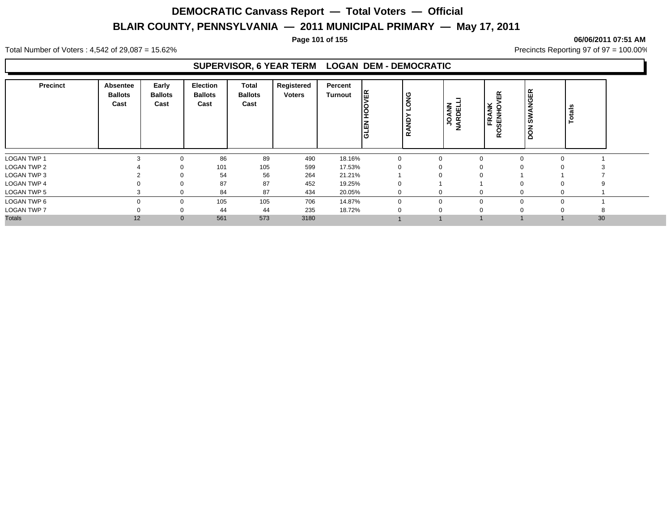#### **Page 101 of 155 06/06/2011 07:51 AM**

Total Number of Voters : 4,542 of 29,087 = 15.62% Precincts Reporting 97 of 97 = 100.00%

### **SUPERVISOR, 6 YEAR TERM LOGAN DEM - DEMOCRATIC**

| <b>Precinct</b>    | Absentee<br><b>Ballots</b><br>Cast | Early<br><b>Ballots</b><br>Cast | <b>Election</b><br><b>Ballots</b><br>Cast | Total<br><b>Ballots</b><br>Cast | Registered<br><b>Voters</b> | Percent<br>Turnout | I٣<br><b>GLEN</b> | ိပ္စ | <b>JOANN</b><br>ARDELL<br>z | 띥<br><b>ANK</b><br>또<br>띪<br>Ř. | <b>NGER</b><br>◀<br>ŠN,<br>z<br><b>S</b> | otals |    |  |
|--------------------|------------------------------------|---------------------------------|-------------------------------------------|---------------------------------|-----------------------------|--------------------|-------------------|------|-----------------------------|---------------------------------|------------------------------------------|-------|----|--|
| <b>LOGAN TWP 1</b> |                                    | 0                               | 86                                        | 89                              | 490                         | 18.16%             |                   |      |                             | $\Omega$                        | $\Omega$                                 |       |    |  |
| <b>LOGAN TWP 2</b> |                                    | 0                               | 101                                       | 105                             | 599                         | 17.53%             |                   |      |                             | $\Omega$                        |                                          |       |    |  |
| LOGAN TWP 3        |                                    | 0                               | 54                                        | 56                              | 264                         | 21.21%             |                   |      |                             | $\Omega$                        |                                          |       |    |  |
| <b>LOGAN TWP 4</b> |                                    | 0                               | 87                                        | 87                              | 452                         | 19.25%             |                   |      |                             |                                 | O                                        |       |    |  |
| LOGAN TWP 5        |                                    | 0                               | 84                                        | 87                              | 434                         | 20.05%             |                   |      |                             | $\mathbf 0$                     | 0                                        |       |    |  |
| LOGAN TWP 6        | $\Omega$                           | 0                               | 105                                       | 105                             | 706                         | 14.87%             |                   |      |                             | $\Omega$                        | $\Omega$                                 |       |    |  |
| <b>LOGAN TWP 7</b> |                                    | 0                               | 44                                        | 44                              | 235                         | 18.72%             |                   |      |                             | $\Omega$                        |                                          |       |    |  |
| <b>Totals</b>      | 12                                 | $\mathbf{0}$                    | 561                                       | 573                             | 3180                        |                    |                   |      |                             |                                 |                                          |       | 30 |  |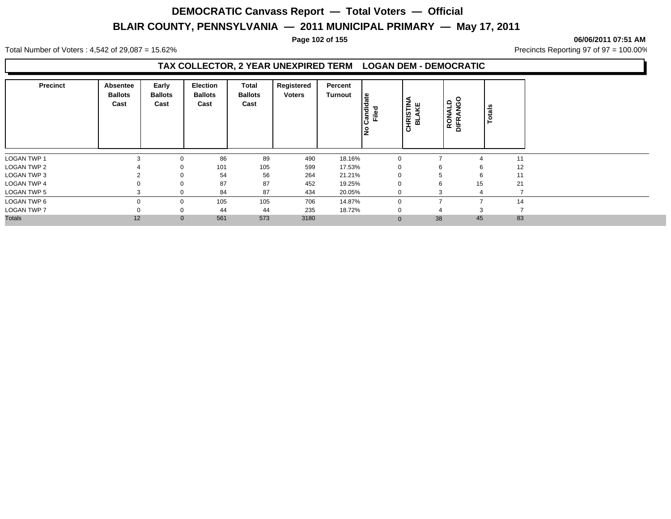#### **Page 102 of 155 06/06/2011 07:51 AM**

Total Number of Voters : 4,542 of 29,087 = 15.62% Precincts Reporting 97 of 97 = 100.00%

### **TAX COLLECTOR, 2 YEAR UNEXPIRED TERM LOGAN DEM - DEMOCRATIC**

| <b>Precinct</b>    | Absentee<br><b>Ballots</b><br>Cast | Early<br><b>Ballots</b><br>Cast | <b>Election</b><br><b>Ballots</b><br>Cast | Total<br><b>Ballots</b><br>Cast | Registered<br><b>Voters</b> | Percent<br><b>Turnout</b> | မ္ဗ<br>Candida<br>Filed | <b>CHRISTINA</b><br>BLAKE | RONALD | <b>OSN</b><br><b>DIFRA</b> | Totals |
|--------------------|------------------------------------|---------------------------------|-------------------------------------------|---------------------------------|-----------------------------|---------------------------|-------------------------|---------------------------|--------|----------------------------|--------|
| <b>LOGAN TWP 1</b> |                                    |                                 | 86                                        | 89                              | 490                         | 18.16%                    | $\Omega$                |                           |        |                            | 11     |
| <b>LOGAN TWP 2</b> |                                    |                                 | 101                                       | 105                             | 599                         | 17.53%                    |                         |                           |        | 6                          | 12     |
| LOGAN TWP 3        |                                    |                                 | 54                                        | 56                              | 264                         | 21.21%                    | $\Omega$                |                           |        | 6                          | 11     |
| <b>LOGAN TWP 4</b> |                                    |                                 | 87                                        | 87                              | 452                         | 19.25%                    | $\mathbf 0$             |                           | b      | 15                         | 21     |
| <b>LOGAN TWP 5</b> |                                    |                                 | 84                                        | 87                              | 434                         | 20.05%                    | $\mathbf 0$             |                           | 3      |                            | -      |
| LOGAN TWP 6        |                                    | $\mathbf 0$                     | 105                                       | 105                             | 706                         | 14.87%                    | $\Omega$                |                           |        |                            | 14     |
| <b>LOGAN TWP 7</b> |                                    |                                 | 44                                        | 44                              | 235                         | 18.72%                    |                         |                           |        | 3                          | -      |
| <b>Totals</b>      | 12                                 | $\mathbf{0}$                    | 561                                       | 573                             | 3180                        |                           | $\mathbf{0}$            |                           | 38     | 45                         | 83     |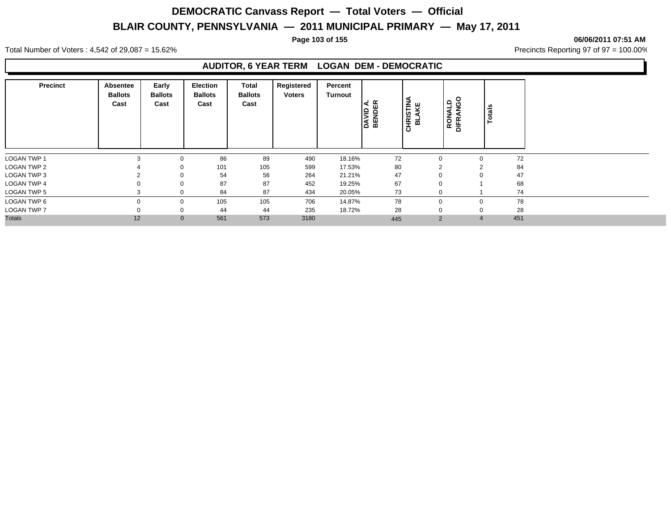#### **Page 103 of 155 06/06/2011 07:51 AM**

Total Number of Voters : 4,542 of 29,087 = 15.62% Precincts Reporting 97 of 97 = 100.00%

### **AUDITOR, 6 YEAR TERM LOGAN DEM - DEMOCRATIC**

| <b>Precinct</b>    | Absentee<br><b>Ballots</b><br>Cast | Early<br><b>Ballots</b><br>Cast | <b>Election</b><br><b>Ballots</b><br>Cast | Total<br><b>Ballots</b><br>Cast | Registered<br><b>Voters</b> | Percent<br>Turnout | DAVID A.<br>BENDER | <b>:HRISTINA</b><br>BLAKE<br>$\overline{\mathbf{o}}$ | NGO<br>G<br><b>RONAL</b><br>DIFRAN | Totals |     |
|--------------------|------------------------------------|---------------------------------|-------------------------------------------|---------------------------------|-----------------------------|--------------------|--------------------|------------------------------------------------------|------------------------------------|--------|-----|
| <b>LOGAN TWP 1</b> |                                    | 0                               | 86                                        | 89                              | 490                         | 18.16%             | 72                 |                                                      | $\mathbf 0$                        |        | 72  |
| <b>LOGAN TWP 2</b> |                                    | 0                               | 101                                       | 105                             | 599                         | 17.53%             | 80                 |                                                      | $\overline{2}$                     | $\sim$ | 84  |
| <b>LOGAN TWP 3</b> |                                    | $\mathbf 0$                     | 54                                        | 56                              | 264                         | 21.21%             | 47                 |                                                      | $\mathbf 0$                        |        | 47  |
| <b>LOGAN TWP 4</b> |                                    | 0                               | 87                                        | 87                              | 452                         | 19.25%             | 67                 |                                                      | $\mathbf 0$                        |        | 68  |
| <b>LOGAN TWP 5</b> |                                    | 0                               | 84                                        | 87                              | 434                         | 20.05%             | 73                 |                                                      | $\mathbf 0$                        |        | 74  |
| LOGAN TWP 6        |                                    | 0                               | 105                                       | 105                             | 706                         | 14.87%             | 78                 |                                                      | $\mathbf 0$                        |        | 78  |
| <b>LOGAN TWP 7</b> |                                    | 0                               | 44                                        | 44                              | 235                         | 18.72%             | 28                 |                                                      | $\mathbf 0$                        |        | 28  |
| <b>Totals</b>      | 12                                 | $\mathbf{0}$                    | 561                                       | 573                             | 3180                        |                    | 445                |                                                      | $\overline{2}$                     |        | 451 |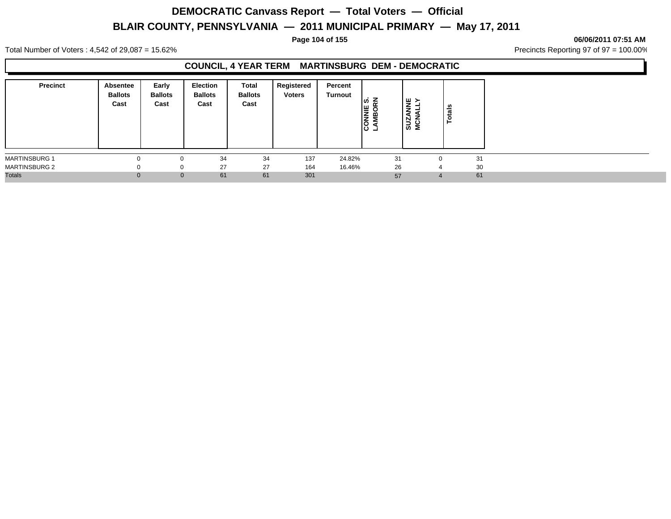#### **Page 104 of 155 06/06/2011 07:51 AM**

Total Number of Voters : 4,542 of 29,087 = 15.62% Precincts Reporting 97 of 97 = 100.00%

## **COUNCIL, 4 YEAR TERM MARTINSBURG DEM - DEMOCRATIC**

| <b>Precinct</b>      | Absentee<br><b>Ballots</b><br>Cast | Early<br><b>Ballots</b><br>Cast | Election<br><b>Ballots</b><br>Cast | Total<br><b>Ballots</b><br>Cast | Registered<br><b>Voters</b> | Percent<br>Turnout | <b>NNIE S.<br/>MBORN</b><br>ت טו | NNE<br>Jiv<br>SUZA<br>MCN/ | U.<br>ಕ |
|----------------------|------------------------------------|---------------------------------|------------------------------------|---------------------------------|-----------------------------|--------------------|----------------------------------|----------------------------|---------|
| <b>MARTINSBURG 1</b> |                                    |                                 | 34                                 | 34                              | 137                         | 24.82%             | 31                               |                            | 31      |
| <b>MARTINSBURG 2</b> |                                    | 0                               | 27                                 | 27                              | 164                         | 16.46%             | 26                               |                            | 30      |
| <b>Totals</b>        | $\Omega$                           | $\mathbf{0}$                    | 61                                 | 61                              | 301                         |                    | 57                               |                            | 61      |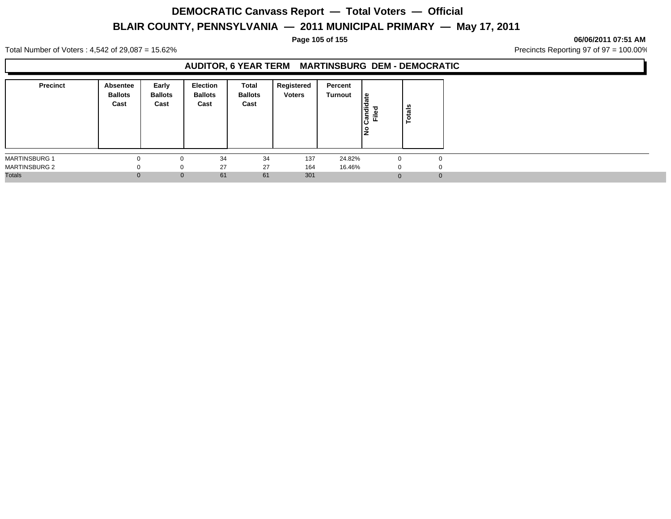#### **Page 105 of 155 06/06/2011 07:51 AM**

Total Number of Voters : 4,542 of 29,087 = 15.62% Precincts Reporting 97 of 97 = 100.00%

### **AUDITOR, 6 YEAR TERM MARTINSBURG DEM - DEMOCRATIC**

| <b>Precinct</b>      | Absentee<br><b>Ballots</b><br>Cast | Early<br><b>Ballots</b><br>Cast | <b>Election</b><br><b>Ballots</b><br>Cast | Total<br><b>Ballots</b><br>Cast | Registered<br><b>Voters</b> | Percent<br><b>Turnout</b> | ≗<br>Ιă<br>Ѣ<br>這<br>ခြံ | <b>otals</b><br>► |
|----------------------|------------------------------------|---------------------------------|-------------------------------------------|---------------------------------|-----------------------------|---------------------------|--------------------------|-------------------|
| <b>MARTINSBURG 1</b> |                                    |                                 | 34                                        | 34                              | 137                         | 24.82%                    | $\Omega$                 | ი                 |
| <b>MARTINSBURG 2</b> |                                    |                                 | 27                                        | 27                              | 164                         | 16.46%                    | 0                        | $\cup$            |
| <b>Totals</b>        |                                    |                                 | 61<br>$\mathbf{0}$                        | 61                              | 301                         |                           | $\Omega$                 | 0                 |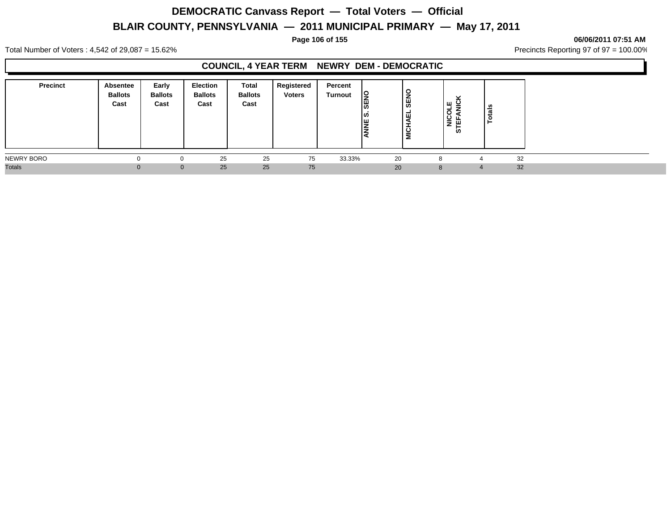#### **Page 106 of 155 06/06/2011 07:51 AM**

Total Number of Voters : 4,542 of 29,087 = 15.62% Precincts Reporting 97 of 97 = 100.00%

## **COUNCIL, 4 YEAR TERM NEWRY DEM - DEMOCRATIC**

| <b>Precinct</b> | Absentee<br><b>Ballots</b><br>Cast | Early<br><b>Ballots</b><br>Cast | <b>Election</b><br><b>Ballots</b><br>Cast | Total<br><b>Ballots</b><br>Cast | Registered<br><b>Voters</b> | Percent<br><b>Turnout</b> | ı¥<br>l≌<br>۱ω<br><b>NE</b> | <b>SENO</b><br>∣ ѿ<br><b>NICHA</b> | ⊇ ש<br>ᆜ<br>$\circ$<br> 을 또<br><b>in</b> | u<br>∸ |    |
|-----------------|------------------------------------|---------------------------------|-------------------------------------------|---------------------------------|-----------------------------|---------------------------|-----------------------------|------------------------------------|------------------------------------------|--------|----|
| NEWRY BORO      | $\Omega$                           |                                 | 25                                        | 25                              | 75                          | 33.33%                    | 20                          |                                    | C                                        |        | 32 |
| <b>Totals</b>   |                                    | $\Omega$                        | 25                                        | 25                              | 75                          |                           | 20                          |                                    | $\mathsf{R}$                             | 4      | 32 |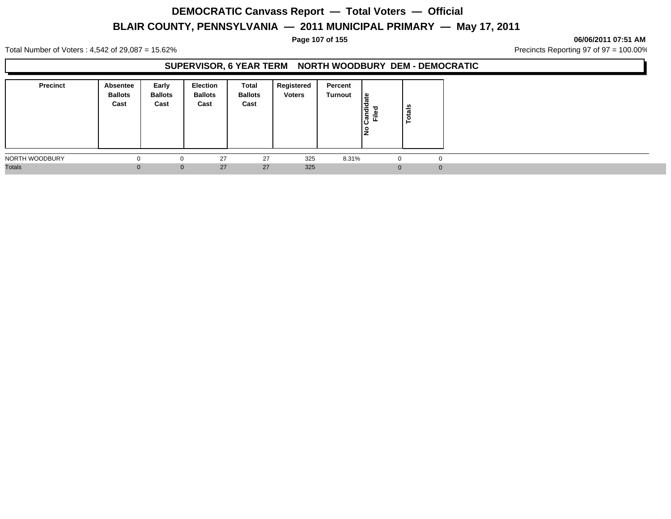#### **Page 107 of 155 06/06/2011 07:51 AM**

Total Number of Voters : 4,542 of 29,087 = 15.62% Precincts Reporting 97 of 97 = 100.00%

## **SUPERVISOR, 6 YEAR TERM NORTH WOODBURY DEM - DEMOCRATIC**

| <b>Precinct</b> | Absentee<br><b>Ballots</b><br>Cast | Early<br><b>Ballots</b><br>Cast | Election<br><b>Ballots</b><br>Cast | Total<br><b>Ballots</b><br>Cast | Registered<br><b>Voters</b> | Percent<br>Turnout | 9 ا<br>l a<br> ଞୁ ⊑ୁ | otals |
|-----------------|------------------------------------|---------------------------------|------------------------------------|---------------------------------|-----------------------------|--------------------|----------------------|-------|
| NORTH WOODBURY  |                                    |                                 | 27                                 | 27                              | 325                         | 8.31%              | $\Omega$             |       |
| <b>Totals</b>   | Æ                                  | $\mathbf{0}$                    | 27                                 | 27                              | 325                         |                    |                      |       |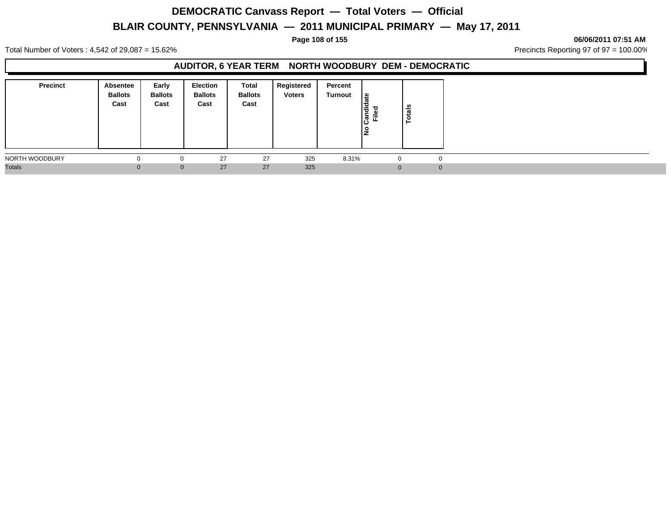#### **Page 108 of 155 06/06/2011 07:51 AM**

Total Number of Voters : 4,542 of 29,087 = 15.62% Precincts Reporting 97 of 97 = 100.00%

## **AUDITOR, 6 YEAR TERM NORTH WOODBURY DEM - DEMOCRATIC**

| <b>Precinct</b> | Absentee<br><b>Ballots</b><br>Cast | Early<br><b>Ballots</b><br>Cast | Election<br><b>Ballots</b><br>Cast | Total<br><b>Ballots</b><br>Cast | Registered<br><b>Voters</b> | Percent<br>Turnout | <u> ഉ</u><br>ω<br>∣ਵੈਂ<br>Ē.<br>$\boldsymbol{\varpi}$<br>ن١<br>$\circ$<br>IŻ | tals<br>P |  |
|-----------------|------------------------------------|---------------------------------|------------------------------------|---------------------------------|-----------------------------|--------------------|------------------------------------------------------------------------------|-----------|--|
| NORTH WOODBURY  |                                    | $\Omega$                        | 27                                 | 27                              | 325                         | 8.31%              | 0                                                                            | $\Omega$  |  |
| <b>Totals</b>   |                                    | $\Omega$                        | 27                                 | 27                              | 325                         |                    | $\Omega$                                                                     | $\Omega$  |  |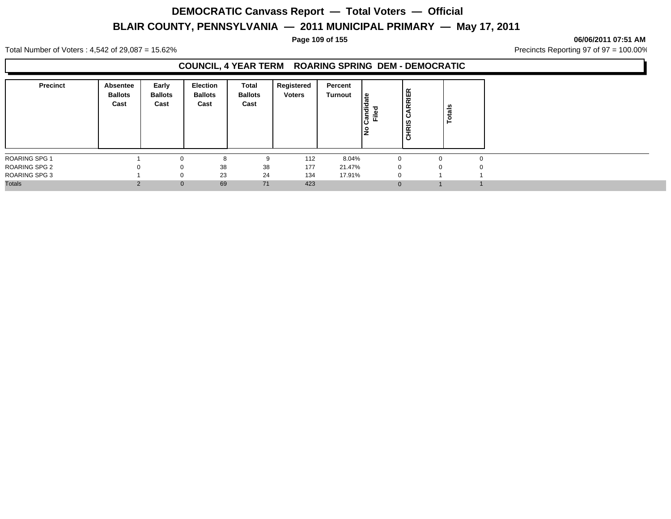#### **Page 109 of 155 06/06/2011 07:51 AM**

Total Number of Voters : 4,542 of 29,087 = 15.62% Precincts Reporting 97 of 97 = 100.00%

### **COUNCIL, 4 YEAR TERM ROARING SPRING DEM - DEMOCRATIC**

| <b>Precinct</b>      | Absentee<br><b>Ballots</b><br>Cast | Early<br><b>Ballots</b><br>Cast | <b>Election</b><br><b>Ballots</b><br>Cast | Total<br><b>Ballots</b><br>Cast | Registered<br><b>Voters</b> | Percent<br>Turnout | ¦ ⊕<br>andid<br>Filed | RRIER<br>ం<br><b>IRIS</b><br>ಕ | Totals   |   |
|----------------------|------------------------------------|---------------------------------|-------------------------------------------|---------------------------------|-----------------------------|--------------------|-----------------------|--------------------------------|----------|---|
| <b>ROARING SPG 1</b> |                                    |                                 |                                           | 9                               | 112                         | 8.04%              |                       |                                | 0        |   |
| <b>ROARING SPG 2</b> |                                    | $\Omega$                        | 38                                        | 38                              | 177                         | 21.47%             |                       | $\Omega$                       | $\Omega$ | o |
| <b>ROARING SPG 3</b> |                                    | 0                               | 23                                        | 24                              | 134                         | 17.91%             |                       | $\Omega$                       |          |   |
| <b>Totals</b>        | $\Omega$                           | $\mathbf{0}$                    | 69                                        | 71                              | 423                         |                    |                       | $\Omega$                       |          |   |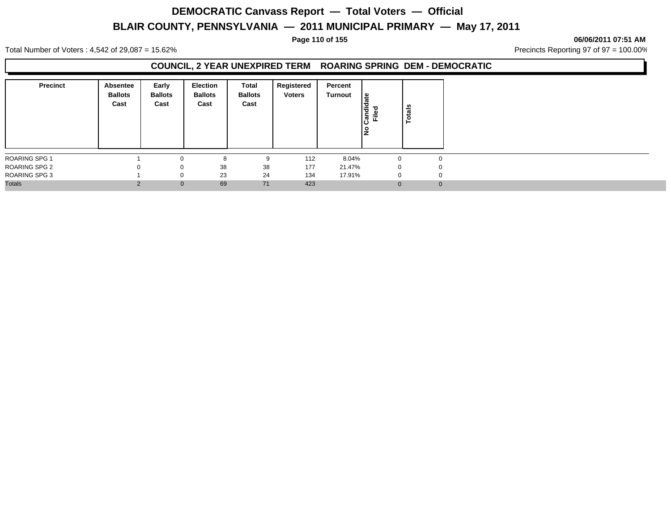#### **Page 110 of 155 06/06/2011 07:51 AM**

Total Number of Voters : 4,542 of 29,087 = 15.62% Precincts Reporting 97 of 97 = 100.00%

### **COUNCIL, 2 YEAR UNEXPIRED TERM ROARING SPRING DEM - DEMOCRATIC**

| <b>Precinct</b>      | Absentee<br><b>Ballots</b><br>Cast | Early<br><b>Ballots</b><br>Cast | Election<br><b>Ballots</b><br>Cast | Total<br><b>Ballots</b><br>Cast | Registered<br><b>Voters</b> | Percent<br><b>Turnout</b> | l e<br>Candida<br>Filed | otals<br>⊢ |
|----------------------|------------------------------------|---------------------------------|------------------------------------|---------------------------------|-----------------------------|---------------------------|-------------------------|------------|
| ROARING SPG 1        |                                    | $\Omega$                        | 8                                  | 9                               | 112                         | 8.04%                     |                         |            |
| <b>ROARING SPG 2</b> | $\Omega$                           | 0                               | 38                                 | 38                              | 177                         | 21.47%                    | 0                       |            |
| <b>ROARING SPG 3</b> |                                    | 0                               | 23                                 | 24                              | 134                         | 17.91%                    |                         |            |
| <b>Totals</b>        | $\overline{2}$                     | $\mathbf{0}$                    | 69                                 | 71                              | 423                         |                           |                         |            |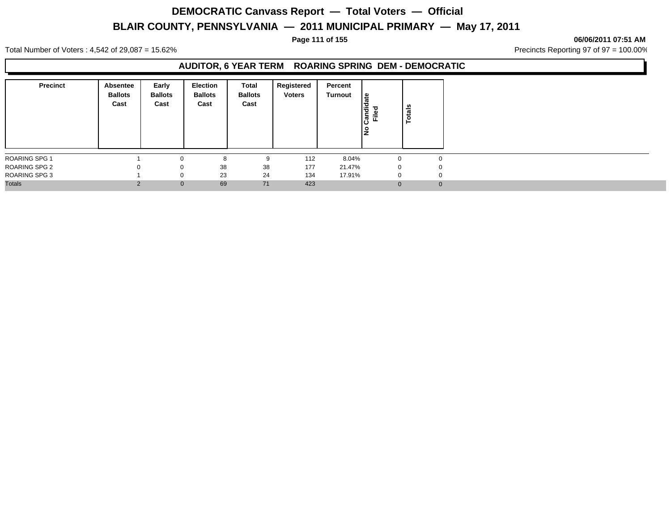#### **Page 111 of 155 06/06/2011 07:51 AM**

Total Number of Voters : 4,542 of 29,087 = 15.62% Precincts Reporting 97 of 97 = 100.00%

### **AUDITOR, 6 YEAR TERM ROARING SPRING DEM - DEMOCRATIC**

| <b>Precinct</b>      | Absentee<br><b>Ballots</b><br>Cast | Early<br><b>Ballots</b><br>Cast | <b>Election</b><br><b>Ballots</b><br>Cast | Total<br><b>Ballots</b><br>Cast | Registered<br><b>Voters</b> | Percent<br>Turnout | le<br>ठ<br>Candie<br>Filed | otals<br>E. |          |
|----------------------|------------------------------------|---------------------------------|-------------------------------------------|---------------------------------|-----------------------------|--------------------|----------------------------|-------------|----------|
| ROARING SPG 1        |                                    | n                               | 8                                         | 9                               | 112                         | 8.04%              |                            |             |          |
| <b>ROARING SPG 2</b> |                                    | 0                               | 38                                        | 38                              | 177                         | 21.47%             | 0                          |             |          |
| <b>ROARING SPG 3</b> |                                    | $\Omega$                        | 23                                        | 24                              | 134                         | 17.91%             | 0                          |             |          |
| <b>Totals</b>        | っ                                  | $\mathbf 0$                     | 69                                        | 71                              | 423                         |                    |                            |             | $\Omega$ |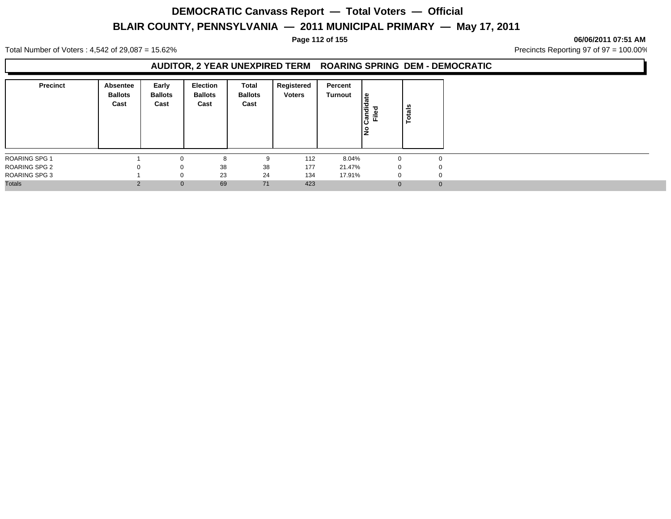#### **Page 112 of 155 06/06/2011 07:51 AM**

Total Number of Voters : 4,542 of 29,087 = 15.62% Precincts Reporting 97 of 97 = 100.00%

### **AUDITOR, 2 YEAR UNEXPIRED TERM ROARING SPRING DEM - DEMOCRATIC**

| <b>Precinct</b>      | <b>Absentee</b><br><b>Ballots</b><br>Cast | Early<br><b>Ballots</b><br>Cast | Election<br><b>Ballots</b><br>Cast | Total<br><b>Ballots</b><br>Cast | Registered<br><b>Voters</b> | Percent<br>Turnout | l e<br>Candida<br>Filed<br>١ş | otals<br>⊢ |
|----------------------|-------------------------------------------|---------------------------------|------------------------------------|---------------------------------|-----------------------------|--------------------|-------------------------------|------------|
| ROARING SPG 1        |                                           |                                 | ŏ                                  | 9                               | 112                         | 8.04%              |                               |            |
| ROARING SPG 2        | 0                                         | 0                               | 38                                 | 38                              | 177                         | 21.47%             | 0                             |            |
| <b>ROARING SPG 3</b> |                                           | 0                               | 23                                 | 24                              | 134                         | 17.91%             |                               |            |
| <b>Totals</b>        | $\Omega$                                  | $\mathbf{0}$                    | 69                                 | 71                              | 423                         |                    |                               | $\Omega$   |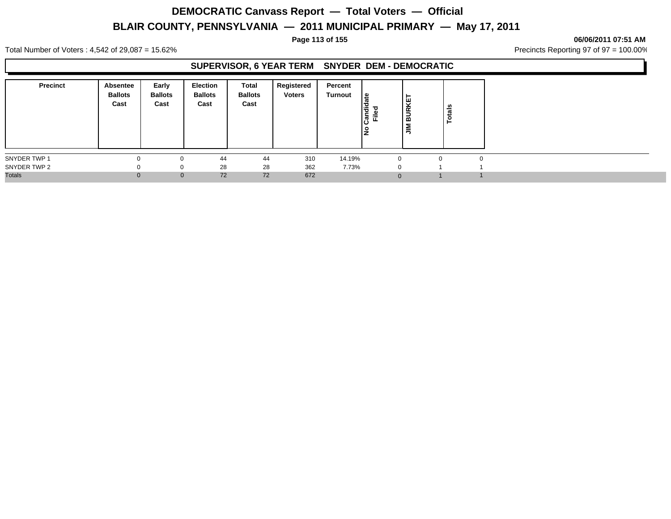#### **Page 113 of 155 06/06/2011 07:51 AM**

Total Number of Voters : 4,542 of 29,087 = 15.62% Precincts Reporting 97 of 97 = 100.00%

#### **SUPERVISOR, 6 YEAR TERM SNYDER DEM - DEMOCRATIC**

| <b>Precinct</b> | Absentee<br><b>Ballots</b><br>Cast | Early<br><b>Ballots</b><br>Cast | Election<br><b>Ballots</b><br>Cast | Total<br><b>Ballots</b><br>Cast | Registered<br><b>Voters</b> | Percent<br>Turnout | ீ<br>andie<br>Filed | KET<br>$\propto$<br>Ξ<br>l m<br>$\sum_{i=1}^{n}$ | otals |  |
|-----------------|------------------------------------|---------------------------------|------------------------------------|---------------------------------|-----------------------------|--------------------|---------------------|--------------------------------------------------|-------|--|
| SNYDER TWP 1    |                                    | 0                               | 44                                 | 44                              | 310                         | 14.19%             |                     |                                                  | O     |  |
| SNYDER TWP 2    |                                    | 0                               | 28                                 | 28                              | 362                         | 7.73%              |                     |                                                  |       |  |
| <b>Totals</b>   |                                    | $\mathbf{0}$                    | 72                                 | 72                              | 672                         |                    |                     | $\Omega$                                         |       |  |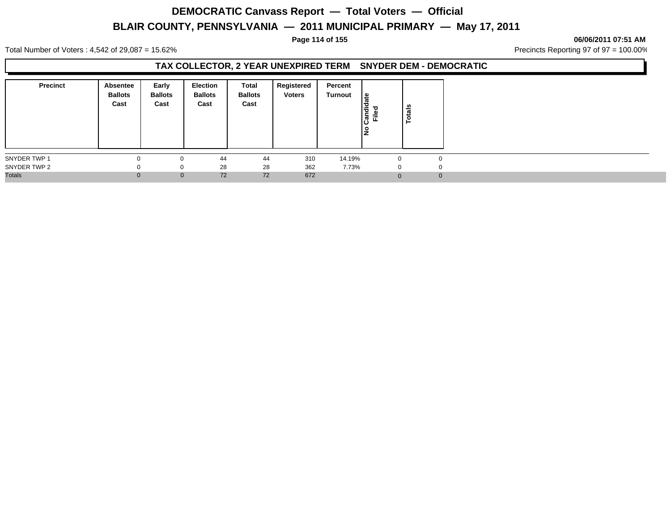#### **Page 114 of 155 06/06/2011 07:51 AM**

Total Number of Voters : 4,542 of 29,087 = 15.62% Precincts Reporting 97 of 97 = 100.00%

## **TAX COLLECTOR, 2 YEAR UNEXPIRED TERM SNYDER DEM - DEMOCRATIC**

| <b>Precinct</b> | Absentee<br><b>Ballots</b><br>Cast | Early<br><b>Ballots</b><br>Cast | Election<br><b>Ballots</b><br>Cast | Total<br><b>Ballots</b><br>Cast | Registered<br><b>Voters</b> | Percent<br>Turnout | ீ<br>andid<br>Filed | Totals   |
|-----------------|------------------------------------|---------------------------------|------------------------------------|---------------------------------|-----------------------------|--------------------|---------------------|----------|
| SNYDER TWP 1    | $\Omega$                           |                                 | 44                                 | 44                              | 310                         | 14.19%             |                     |          |
| SNYDER TWP 2    | $\Omega$                           |                                 | 28                                 | 28                              | 362                         | 7.73%              | $\Omega$            |          |
| <b>Totals</b>   | $\Omega$                           | $\Omega$                        | 72                                 | 72                              | 672                         |                    |                     | $\Omega$ |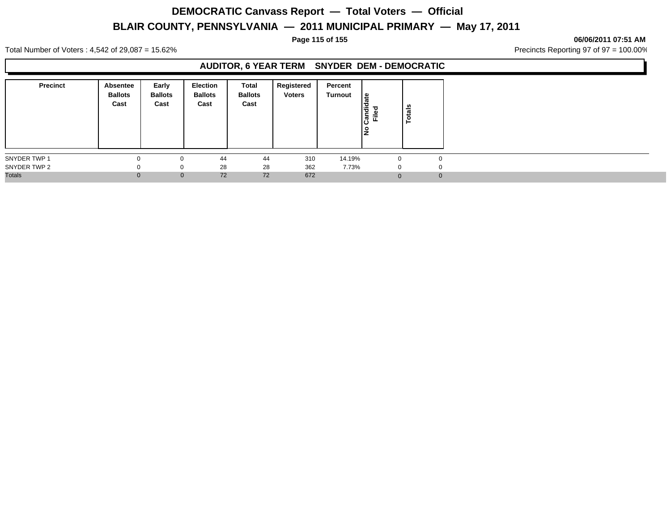#### **Page 115 of 155 06/06/2011 07:51 AM**

Total Number of Voters : 4,542 of 29,087 = 15.62% Precincts Reporting 97 of 97 = 100.00%

## **AUDITOR, 6 YEAR TERM SNYDER DEM - DEMOCRATIC**

| <b>Precinct</b> | Absentee<br><b>Ballots</b><br>Cast | Early<br><b>Ballots</b><br>Cast | <b>Election</b><br><b>Ballots</b><br>Cast | <b>Total</b><br><b>Ballots</b><br>Cast | Registered<br><b>Voters</b> | Percent<br>Turnout | <sub>₩</sub><br>١÷<br> ဇ္ဗဳ ၕံ | otals |
|-----------------|------------------------------------|---------------------------------|-------------------------------------------|----------------------------------------|-----------------------------|--------------------|--------------------------------|-------|
| SNYDER TWP 1    |                                    |                                 | 44                                        | 44                                     | 310                         | 14.19%             | 0                              |       |
| SNYDER TWP 2    |                                    | 0                               | 28                                        | 28                                     | 362                         | 7.73%              | $\Omega$                       | n     |
| <b>Totals</b>   | $\Omega$                           | $\mathbf{0}$                    | 72                                        | 72                                     | 672                         |                    |                                |       |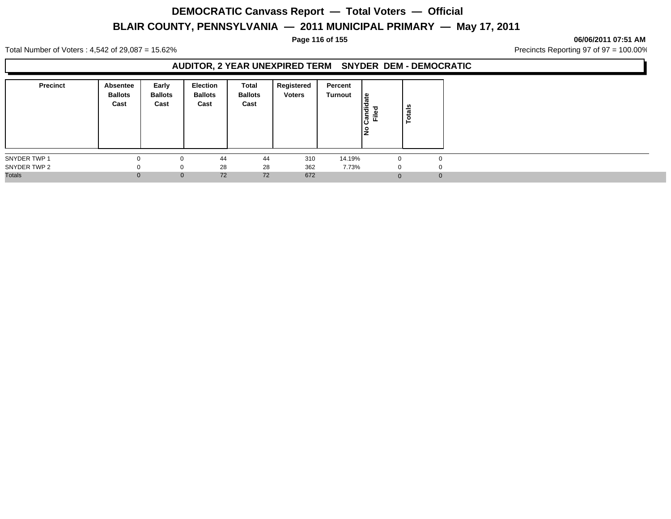#### **Page 116 of 155 06/06/2011 07:51 AM**

Total Number of Voters : 4,542 of 29,087 = 15.62% Precincts Reporting 97 of 97 = 100.00%

### **AUDITOR, 2 YEAR UNEXPIRED TERM SNYDER DEM - DEMOCRATIC**

| <b>Precinct</b> | Absentee<br><b>Ballots</b><br>Cast | Early<br><b>Ballots</b><br>Cast | Election<br><b>Ballots</b><br>Cast | Total<br><b>Ballots</b><br>Cast | Registered<br><b>Voters</b> | Percent<br>Turnout | <sub>සි</sub><br>$\frac{1}{2}$<br>Filed | Totals |
|-----------------|------------------------------------|---------------------------------|------------------------------------|---------------------------------|-----------------------------|--------------------|-----------------------------------------|--------|
| SNYDER TWP 1    | 0                                  | 0                               | 44                                 | 44                              | 310                         | 14.19%             | 0                                       |        |
| SNYDER TWP 2    | 0                                  | 0                               | 28                                 | 28                              | 362                         | 7.73%              | $\mathbf{0}$                            | ი      |
| <b>Totals</b>   | $\Omega$                           | $\mathbf{0}$                    | 72                                 | 72                              | 672                         |                    |                                         | O      |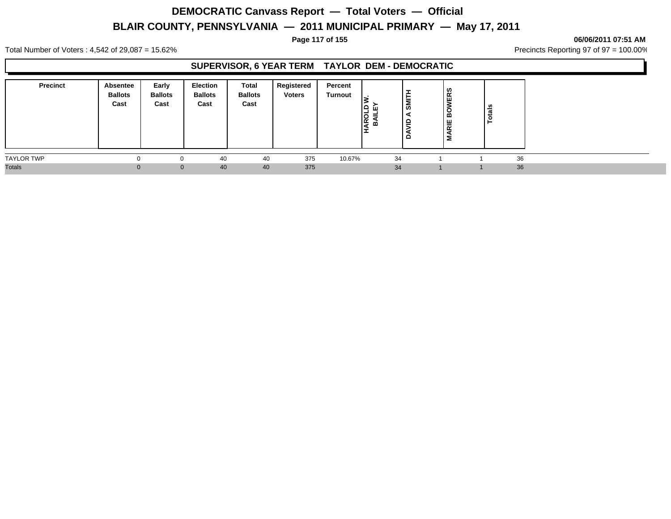#### **Page 117 of 155 06/06/2011 07:51 AM**

Total Number of Voters : 4,542 of 29,087 = 15.62% Precincts Reporting 97 of 97 = 100.00%

## **SUPERVISOR, 6 YEAR TERM TAYLOR DEM - DEMOCRATIC**

| <b>Precinct</b>   | Absentee<br><b>Ballots</b><br>Cast | Early<br><b>Ballots</b><br>Cast | <b>Election</b><br><b>Ballots</b><br>Cast | Total<br><b>Ballots</b><br>Cast | Registered<br><b>Voters</b> | Percent<br><b>Turnout</b> | ∣≏<br>ш<br>HAROL<br>≃ | -<br>►<br><b>SMI</b><br>≘<br>≏ | VERS<br>Ö<br>≃<br>ARIE<br>Σ | tals |    |  |  |
|-------------------|------------------------------------|---------------------------------|-------------------------------------------|---------------------------------|-----------------------------|---------------------------|-----------------------|--------------------------------|-----------------------------|------|----|--|--|
| <b>TAYLOR TWP</b> |                                    |                                 | 40                                        | 40                              | 375                         | 10.67%                    |                       | 34                             |                             |      | 36 |  |  |
| <b>Totals</b>     |                                    |                                 | 40<br>$\Omega$                            | 40                              | 375                         |                           |                       | 34                             |                             |      | 36 |  |  |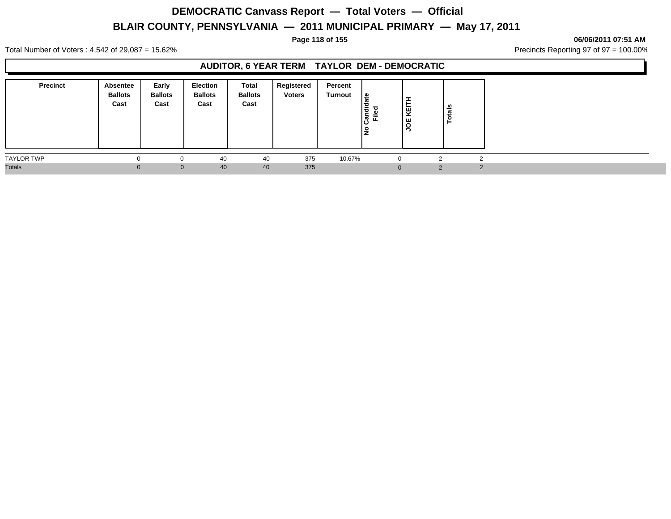#### **Page 118 of 155 06/06/2011 07:51 AM**

Total Number of Voters : 4,542 of 29,087 = 15.62% Precincts Reporting 97 of 97 = 100.00%

## **AUDITOR, 6 YEAR TERM TAYLOR DEM - DEMOCRATIC**

| <b>Precinct</b>   | Absentee<br><b>Ballots</b><br>Cast | Early<br><b>Ballots</b><br>Cast | <b>Election</b><br><b>Ballots</b><br>Cast | <b>Total</b><br><b>Ballots</b><br>Cast | <b>Registered</b><br><b>Voters</b> | Percent<br>Turnout | l≗<br>Candi<br>ъ<br>Ĕ<br>l是 | <b>.</b><br>−<br>ĶEĪ<br>υg | Totals |        |
|-------------------|------------------------------------|---------------------------------|-------------------------------------------|----------------------------------------|------------------------------------|--------------------|-----------------------------|----------------------------|--------|--------|
| <b>TAYLOR TWP</b> |                                    |                                 | 40                                        | 40                                     | 375                                | 10.67%             |                             |                            |        |        |
| <b>Totals</b>     | ∩                                  |                                 | 40<br>$\Omega$                            | 40                                     | 375                                |                    |                             |                            | ົ      | $\sim$ |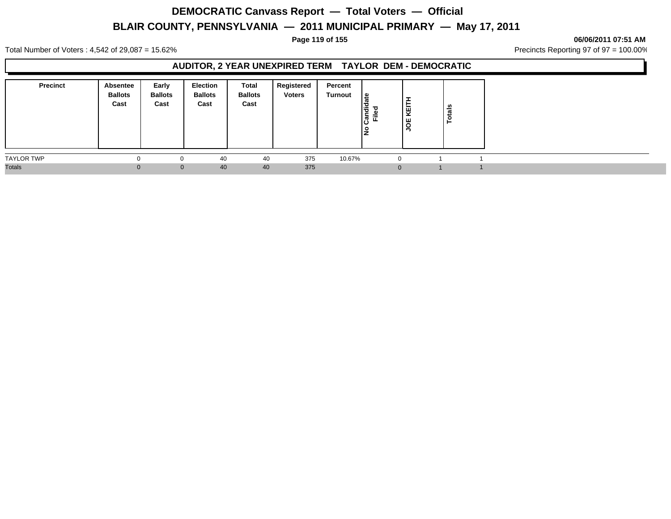#### **Page 119 of 155 06/06/2011 07:51 AM**

Total Number of Voters : 4,542 of 29,087 = 15.62% Precincts Reporting 97 of 97 = 100.00%

## **AUDITOR, 2 YEAR UNEXPIRED TERM TAYLOR DEM - DEMOCRATIC**

| <b>Precinct</b>   | Absentee<br><b>Ballots</b><br>Cast | Early<br><b>Ballots</b><br>Cast | Election<br><b>Ballots</b><br>Cast | Total<br><b>Ballots</b><br>Cast | Registered<br><b>Voters</b> | Percent<br>Turnout | ١s<br>I÷<br>ႜႍႜၜ႞<br>Ē.<br>o<br>IŻ | ÷<br>Ė<br>kEI<br>٣<br>∍ | otals |  |  |
|-------------------|------------------------------------|---------------------------------|------------------------------------|---------------------------------|-----------------------------|--------------------|------------------------------------|-------------------------|-------|--|--|
| <b>TAYLOR TWP</b> |                                    | $\Omega$                        | 40                                 | 40                              | 375                         | 10.67%             |                                    | $\Omega$                |       |  |  |
| <b>Totals</b>     |                                    | $\mathbf{0}$                    | 40                                 | 40                              | 375                         |                    |                                    | $\Omega$                |       |  |  |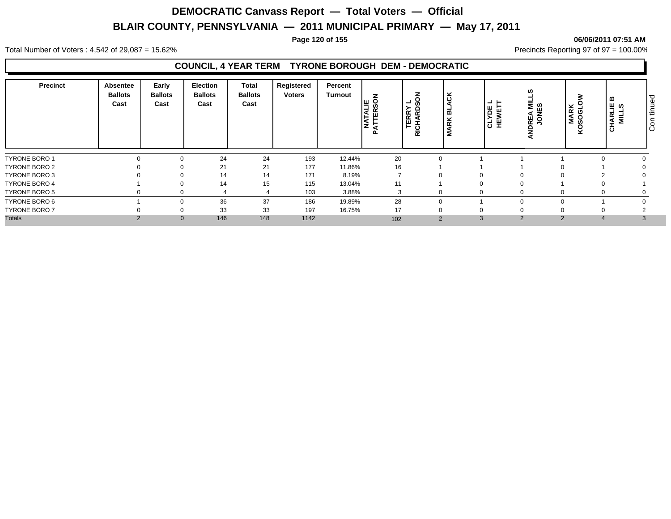#### **Page 120 of 155 06/06/2011 07:51 AM**

Total Number of Voters : 4,542 of 29,087 = 15.62% Precincts Reporting 97 of 97 = 100.00%

### **COUNCIL, 4 YEAR TERM TYRONE BOROUGH DEM - DEMOCRATIC**

| Precinct             | Absentee<br><b>Ballots</b><br>Cast | Early<br><b>Ballots</b><br>Cast | Election<br><b>Ballots</b><br>Cast | <b>Total</b><br><b>Ballots</b><br>Cast | Registered<br><b>Voters</b> | Percent<br><b>Turnout</b> | z<br><b>ALIE</b><br>ERSOI<br>⊢<br>ΪşĘ | SON<br>┙<br>≻<br>$\circ$<br><b>TERR</b><br>$\overline{\mathbf{r}}$<br>◀<br>RICH. | Ğ<br>മ<br>×<br>$\propto$<br>Σ | -−<br>۳<br><b>SEWI</b> | <b>DREA MIL<br/>JONES</b><br>z | <b>MARK</b><br>SOGLC<br>δ | ≃<br><b>CHARLIE</b><br>MILLS | ס ו<br>ğ<br>۱÷<br>$\circ$<br>ΙO |
|----------------------|------------------------------------|---------------------------------|------------------------------------|----------------------------------------|-----------------------------|---------------------------|---------------------------------------|----------------------------------------------------------------------------------|-------------------------------|------------------------|--------------------------------|---------------------------|------------------------------|---------------------------------|
| <b>TYRONE BORO 1</b> |                                    |                                 | 24                                 | 24                                     | 193                         | 12.44%                    | 20                                    |                                                                                  |                               |                        |                                |                           |                              |                                 |
| TYRONE BORO 2        |                                    |                                 | 21                                 | 21                                     | 177                         | 11.86%                    | 16                                    |                                                                                  |                               |                        |                                |                           |                              |                                 |
| TYRONE BORO 3        |                                    |                                 | 14                                 | 14                                     | 171                         | 8.19%                     |                                       |                                                                                  |                               | 0                      |                                |                           |                              |                                 |
| <b>TYRONE BORO 4</b> |                                    |                                 | 14                                 | 15                                     | 115                         | 13.04%                    | 11                                    |                                                                                  |                               |                        |                                |                           |                              |                                 |
| TYRONE BORO 5        |                                    |                                 |                                    |                                        | 103                         | 3.88%                     | 3                                     |                                                                                  | 0                             | 0                      |                                |                           |                              |                                 |
| TYRONE BORO 6        |                                    |                                 | 36                                 | 37                                     | 186                         | 19.89%                    | 28                                    |                                                                                  |                               |                        |                                |                           |                              |                                 |
| <b>TYRONE BORO 7</b> |                                    |                                 | 33                                 | 33                                     | 197                         | 16.75%                    | 17                                    |                                                                                  |                               | 0                      |                                |                           |                              |                                 |
| <b>Totals</b>        |                                    | $\mathbf{0}$                    | 146                                | 148                                    | 1142                        |                           | 102                                   |                                                                                  | $\overline{2}$                | 3                      | $\overline{2}$                 | $\sim$                    |                              |                                 |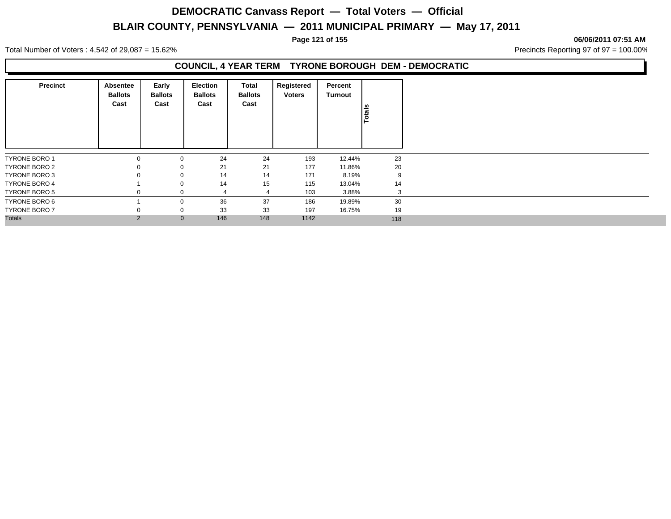#### **Page 121 of 155 06/06/2011 07:51 AM**

Total Number of Voters : 4,542 of 29,087 = 15.62% Precincts Reporting 97 of 97 = 100.00%

## **COUNCIL, 4 YEAR TERM TYRONE BOROUGH DEM - DEMOCRATIC**

| <b>Precinct</b>      | Absentee<br><b>Ballots</b><br>Cast | Early<br><b>Ballots</b><br>Cast | <b>Election</b><br><b>Ballots</b><br>Cast | Total<br><b>Ballots</b><br>Cast | Registered<br><b>Voters</b> | Percent<br><b>Turnout</b> | Totals |
|----------------------|------------------------------------|---------------------------------|-------------------------------------------|---------------------------------|-----------------------------|---------------------------|--------|
| <b>TYRONE BORO 1</b> | 0                                  | 0                               |                                           | 24<br>24                        | 193                         | 12.44%                    | 23     |
| TYRONE BORO 2        | 0                                  | 0                               |                                           | 21<br>21                        | 177                         | 11.86%                    | 20     |
| TYRONE BORO 3        | 0                                  | $\mathbf 0$                     |                                           | 14<br>14                        | 171                         | 8.19%                     | 9      |
| <b>TYRONE BORO 4</b> |                                    | 0                               |                                           | 14<br>15                        | 115                         | 13.04%                    | 14     |
| TYRONE BORO 5        | 0                                  | $\Omega$                        |                                           | 4<br>4                          | 103                         | 3.88%                     | 3      |
| TYRONE BORO 6        |                                    | 0                               |                                           | 36<br>37                        | 186                         | 19.89%                    | 30     |
| <b>TYRONE BORO 7</b> | 0                                  | $\mathbf 0$                     |                                           | 33<br>33                        | 197                         | 16.75%                    | 19     |
| <b>Totals</b>        | $\overline{2}$                     | $\mathbf{0}$                    | 146                                       | 148                             | 1142                        |                           | 118    |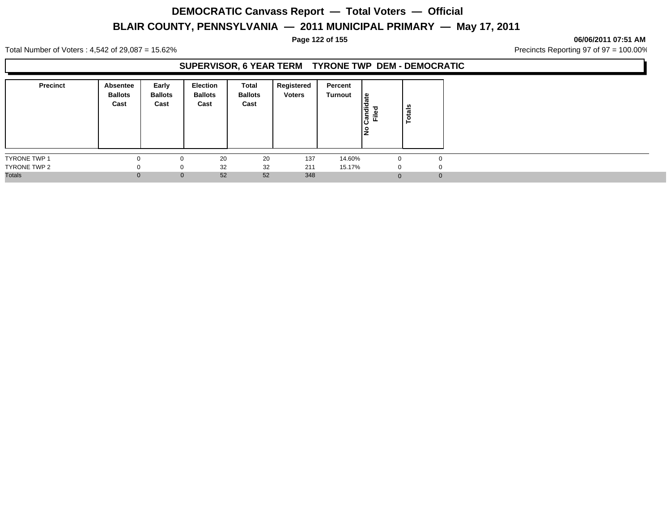#### **Page 122 of 155 06/06/2011 07:51 AM**

Total Number of Voters : 4,542 of 29,087 = 15.62% Precincts Reporting 97 of 97 = 100.00%

## **SUPERVISOR, 6 YEAR TERM TYRONE TWP DEM - DEMOCRATIC**

| <b>Precinct</b>     | Absentee<br><b>Ballots</b><br>Cast | Early<br><b>Ballots</b><br>Cast | <b>Election</b><br><b>Ballots</b><br>Cast | Total<br><b>Ballots</b><br>Cast | Registered<br><b>Voters</b> | Percent<br>Turnout | $\frac{1}{\pi}$<br>P<br>Candie<br>Filed<br>١是 | otals<br>⊢ |
|---------------------|------------------------------------|---------------------------------|-------------------------------------------|---------------------------------|-----------------------------|--------------------|-----------------------------------------------|------------|
| <b>TYRONE TWP 1</b> |                                    | 0                               | 20                                        | 20                              | 137                         | 14.60%             |                                               |            |
| TYRONE TWP 2        |                                    | 0                               | 32                                        | 32                              | 211                         | 15.17%             | $\Omega$                                      |            |
| <b>Totals</b>       |                                    | $\mathbf{0}$                    | 52                                        | 52                              | 348                         |                    |                                               |            |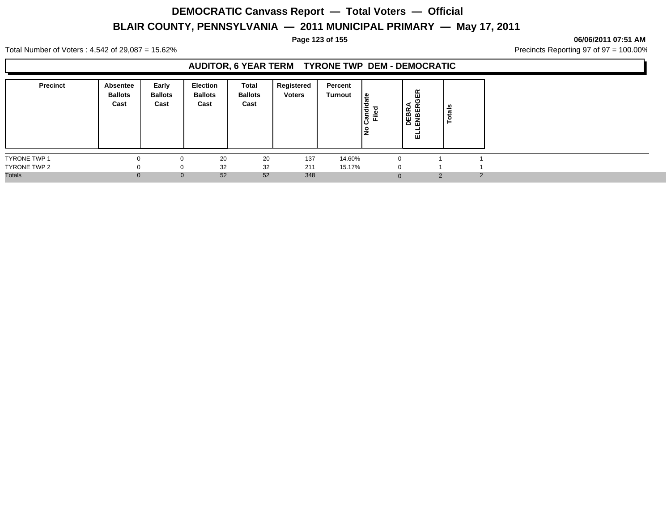#### **Page 123 of 155 06/06/2011 07:51 AM**

Total Number of Voters : 4,542 of 29,087 = 15.62% Precincts Reporting 97 of 97 = 100.00%

### **AUDITOR, 6 YEAR TERM TYRONE TWP DEM - DEMOCRATIC**

| <b>Precinct</b>     | <b>Absentee</b><br><b>Ballots</b><br>Cast | Early<br><b>Ballots</b><br>Cast | Election<br><b>Ballots</b><br>Cast | Total<br><b>Ballots</b><br>Cast | Registered<br><b>Voters</b> | Percent<br>Turnout | ீ<br>andid<br>Filed | GER<br>DEBRA<br>ENBERC<br>파 | otals<br>- |        |
|---------------------|-------------------------------------------|---------------------------------|------------------------------------|---------------------------------|-----------------------------|--------------------|---------------------|-----------------------------|------------|--------|
| <b>TYRONE TWP 1</b> | $\Omega$                                  | $\Omega$                        | 20                                 | 20                              | 137                         | 14.60%             |                     |                             |            |        |
| TYRONE TWP 2        | $\Omega$                                  | 0                               | 32                                 | 32                              | 211                         | 15.17%             |                     | $\Omega$                    |            |        |
| <b>Totals</b>       |                                           | $\mathbf{0}$                    | 52                                 | 52                              | 348                         |                    |                     | $\Omega$                    | 2          | $\sim$ |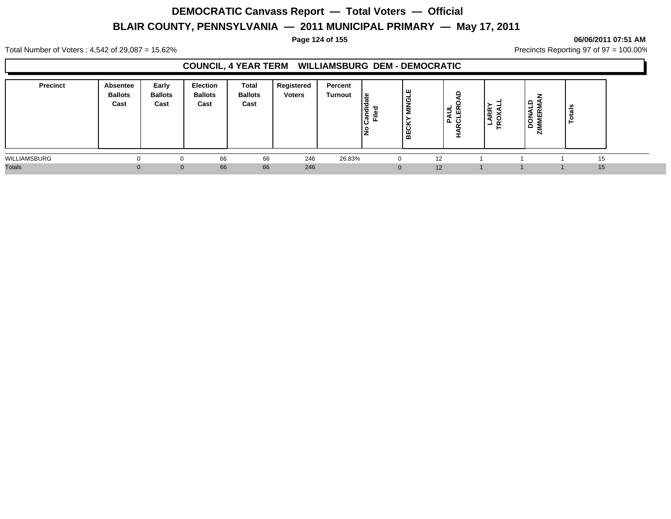#### **Page 124 of 155 06/06/2011 07:51 AM**

Total Number of Voters : 4,542 of 29,087 = 15.62% Precincts Reporting 97 of 97 = 100.00%

## **COUNCIL, 4 YEAR TERM WILLIAMSBURG DEM - DEMOCRATIC**

| <b>Precinct</b> | Absentee<br><b>Ballots</b><br>Cast | Early<br><b>Ballots</b><br>Cast | Election<br><b>Ballots</b><br>Cast | Total<br><b>Ballots</b><br>Cast | Registered<br><b>Voters</b> | Percent<br>Turnout | ہ ا<br>l o<br>င္ပြီ<br>讧<br>lŽ | ш<br>Ω<br>≂<br>ပ<br>볾 | 띥<br>AUL<br>௨<br>ပ | <b>RR</b><br>. .<br>- | ≏<br>$\sim$<br>ட<br>ا سا ہے.<br>$\circ$<br>Δ<br>N | tais<br>C<br>⊢ |  |
|-----------------|------------------------------------|---------------------------------|------------------------------------|---------------------------------|-----------------------------|--------------------|--------------------------------|-----------------------|--------------------|-----------------------|---------------------------------------------------|----------------|--|
| WILLIAMSBURG    |                                    |                                 | 66                                 | 66                              | 246                         | 26.83%             |                                | O                     | 12                 |                       |                                                   | 15             |  |
| <b>Totals</b>   |                                    | $\Omega$                        | 66                                 | 66                              | 246                         |                    |                                |                       | 12                 |                       |                                                   | 15             |  |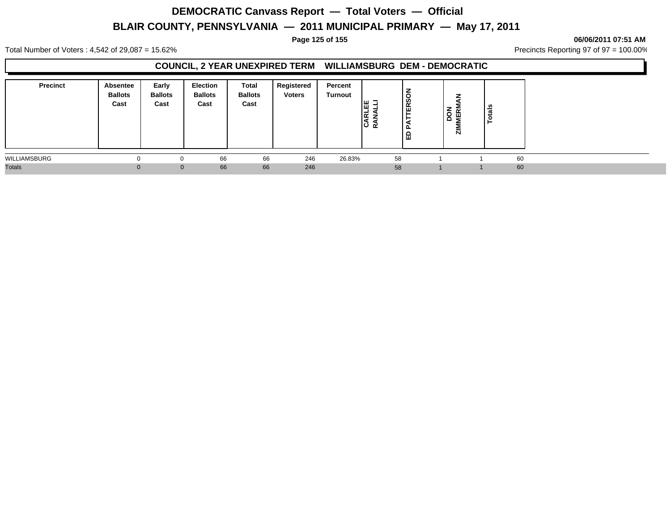#### **Page 125 of 155 06/06/2011 07:51 AM**

Total Number of Voters : 4,542 of 29,087 = 15.62% Precincts Reporting 97 of 97 = 100.00%

### **COUNCIL, 2 YEAR UNEXPIRED TERM WILLIAMSBURG DEM - DEMOCRATIC**

| <b>Precinct</b> | <b>Absentee</b><br><b>Ballots</b><br>Cast | Early<br><b>Ballots</b><br>Cast | <b>Election</b><br><b>Ballots</b><br>Cast | Total<br><b>Ballots</b><br>Cast | Registered<br><b>Voters</b> | Percent<br>Turnout | כ שו<br>1ш.<br>۱≃ | る<br>$\overline{ERS}$<br>$\mathbf{a}$<br>ᅵᆸ | $\sim$<br>DO<br>NER<br>N | ais<br>ೆ |  |
|-----------------|-------------------------------------------|---------------------------------|-------------------------------------------|---------------------------------|-----------------------------|--------------------|-------------------|---------------------------------------------|--------------------------|----------|--|
| WILLIAMSBURG    |                                           | 0                               | 66                                        | 66                              | 246                         | 26.83%             | 58                |                                             |                          | 60       |  |
| <b>Totals</b>   |                                           | $\Omega$                        | 66                                        | 66                              | 246                         |                    | 58                |                                             |                          | 60       |  |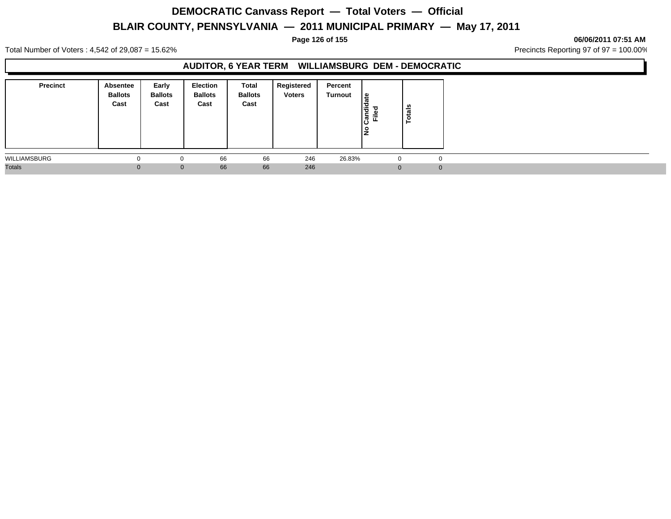#### **Page 126 of 155 06/06/2011 07:51 AM**

Total Number of Voters : 4,542 of 29,087 = 15.62% Precincts Reporting 97 of 97 = 100.00%

### **AUDITOR, 6 YEAR TERM WILLIAMSBURG DEM - DEMOCRATIC**

| <b>Precinct</b> | Absentee<br><b>Ballots</b><br>Cast | Early<br><b>Ballots</b><br>Cast | Election<br><b>Ballots</b><br>Cast | Total<br><b>Ballots</b><br>Cast | Registered<br><b>Voters</b> | Percent<br>Turnout | <u> ഉ</u><br>ᢁ<br>ರ<br>∣ਵੇਂ<br>o<br>Ē.<br>$\boldsymbol{\varpi}$<br>ن١<br>١是 | <b>Totals</b> |          |
|-----------------|------------------------------------|---------------------------------|------------------------------------|---------------------------------|-----------------------------|--------------------|-----------------------------------------------------------------------------|---------------|----------|
| WILLIAMSBURG    |                                    | $\Omega$                        | 66                                 | 66                              | 246                         | 26.83%             | 0                                                                           |               | $\Omega$ |
| <b>Totals</b>   |                                    | $\mathbf{0}$                    | 66                                 | 66                              | 246                         |                    | $\Omega$                                                                    |               | $\Omega$ |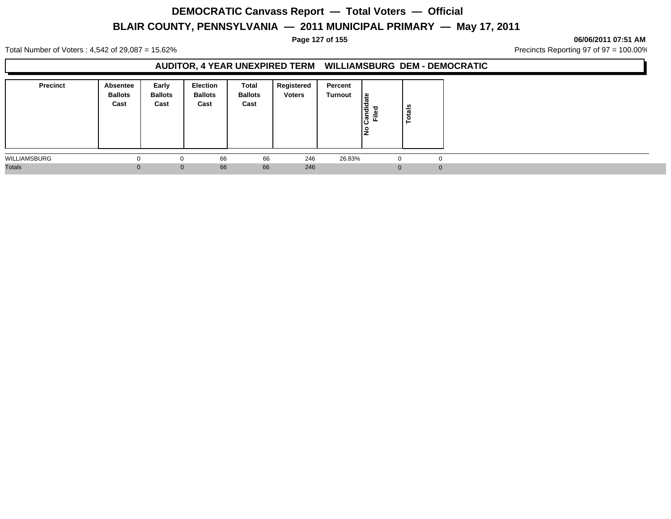#### **Page 127 of 155 06/06/2011 07:51 AM**

Total Number of Voters : 4,542 of 29,087 = 15.62% Precincts Reporting 97 of 97 = 100.00%

### **AUDITOR, 4 YEAR UNEXPIRED TERM WILLIAMSBURG DEM - DEMOCRATIC**

| <b>Precinct</b> | Absentee<br><b>Ballots</b><br>Cast | Early<br><b>Ballots</b><br>Cast | <b>Election</b><br><b>Ballots</b><br>Cast | Total<br><b>Ballots</b><br>Cast | Registered<br><b>Voters</b> | Percent<br>Turnout | l≗<br>ത<br>Candid<br>Filed<br>l是 | otals<br>► |          |
|-----------------|------------------------------------|---------------------------------|-------------------------------------------|---------------------------------|-----------------------------|--------------------|----------------------------------|------------|----------|
| WILLIAMSBURG    |                                    | O                               | 66                                        | 66                              | 246                         | 26.83%             | -0                               |            | $\Omega$ |
| <b>Totals</b>   |                                    | $\mathbf{0}$                    | 66                                        | 66                              | 246                         |                    | $\Omega$                         |            | $\Omega$ |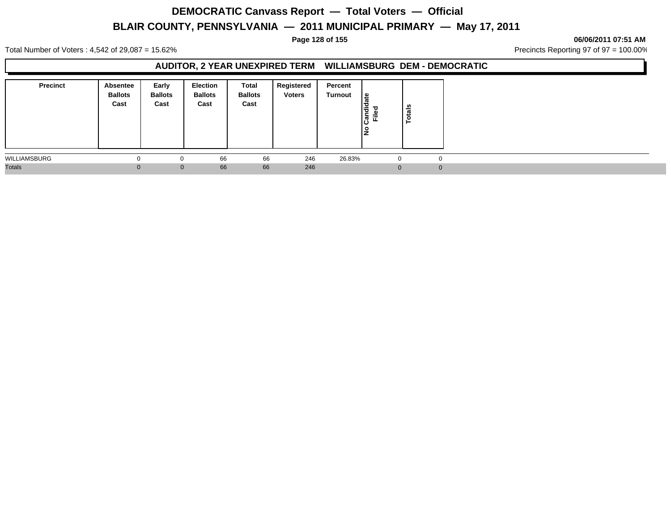#### **Page 128 of 155 06/06/2011 07:51 AM**

Total Number of Voters : 4,542 of 29,087 = 15.62% Precincts Reporting 97 of 97 = 100.00%

### **AUDITOR, 2 YEAR UNEXPIRED TERM WILLIAMSBURG DEM - DEMOCRATIC**

| <b>Precinct</b> | <b>Absentee</b><br><b>Ballots</b><br>Cast | Early<br><b>Ballots</b><br>Cast | <b>Election</b><br><b>Ballots</b><br>Cast | Total<br><b>Ballots</b><br>Cast | Registered<br><b>Voters</b> | Percent<br>Turnout | ீ<br>andid<br>Filed<br>ن١<br>o | $\frac{1}{2}$<br>Ö |  |
|-----------------|-------------------------------------------|---------------------------------|-------------------------------------------|---------------------------------|-----------------------------|--------------------|--------------------------------|--------------------|--|
| WILLIAMSBURG    | -0                                        | $\Omega$                        | 66                                        | 66                              | 246                         | 26.83%             |                                | $\Omega$           |  |
| <b>Totals</b>   |                                           | $\mathbf{0}$                    | 66                                        | 66                              | 246                         |                    | $\Omega$                       | $\Omega$           |  |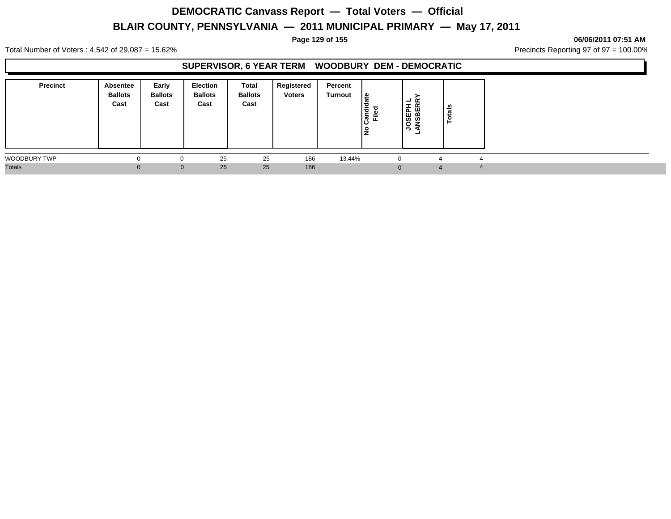#### **Page 129 of 155 06/06/2011 07:51 AM**

Total Number of Voters : 4,542 of 29,087 = 15.62% Precincts Reporting 97 of 97 = 100.00%

## **SUPERVISOR, 6 YEAR TERM WOODBURY DEM - DEMOCRATIC**

| <b>Precinct</b> | Absentee<br><b>Ballots</b><br>Cast | Early<br><b>Ballots</b><br>Cast | Election<br><b>Ballots</b><br>Cast | <b>Total</b><br><b>Ballots</b><br>Cast | <b>Registered</b><br><b>Voters</b> | Percent<br>Turnout | l≗<br>Candi<br>Ē<br>0<br>ΙŻ | $ \alpha$<br>JOSEPH<br>ANSBERI<br>۰ | otals<br>► |  |
|-----------------|------------------------------------|---------------------------------|------------------------------------|----------------------------------------|------------------------------------|--------------------|-----------------------------|-------------------------------------|------------|--|
| WOODBURY TWP    |                                    |                                 | 25                                 | 25                                     | 186                                | 13.44%             |                             |                                     |            |  |
| <b>Totals</b>   |                                    |                                 | 25<br>$\Omega$                     | 25                                     | 186                                |                    |                             |                                     |            |  |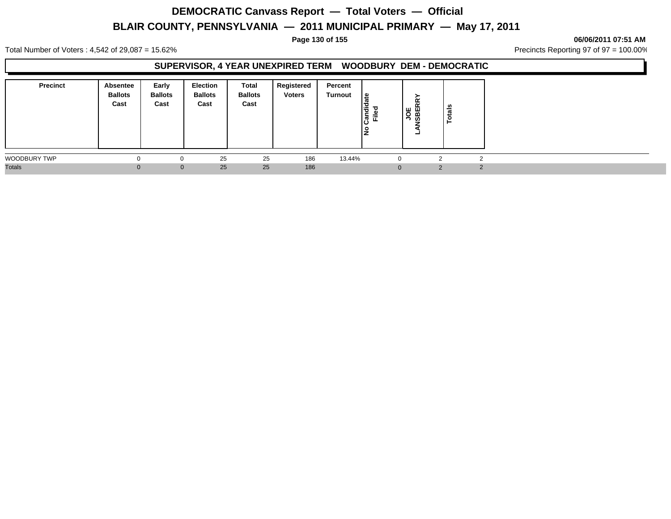#### **Page 130 of 155 06/06/2011 07:51 AM**

Total Number of Voters : 4,542 of 29,087 = 15.62% Precincts Reporting 97 of 97 = 100.00%

### **SUPERVISOR, 4 YEAR UNEXPIRED TERM WOODBURY DEM - DEMOCRATIC**

| <b>Precinct</b> | <b>Absentee</b><br><b>Ballots</b><br>Cast | Early<br><b>Ballots</b><br>Cast | <b>Election</b><br><b>Ballots</b><br>Cast | Total<br><b>Ballots</b><br>Cast | Registered<br><b>Voters</b> | Percent<br>Turnout | ¦≌<br>$\frac{1}{2}$<br>Filed | <b>JOE</b><br>VSBERR'<br>- | tais |  |
|-----------------|-------------------------------------------|---------------------------------|-------------------------------------------|---------------------------------|-----------------------------|--------------------|------------------------------|----------------------------|------|--|
| WOODBURY TWP    |                                           | 0                               | 25                                        | 25                              | 186                         | 13.44%             |                              |                            |      |  |
| <b>Totals</b>   |                                           | $\mathbf{0}$                    | 25                                        | 25                              | 186                         |                    |                              |                            | ◠    |  |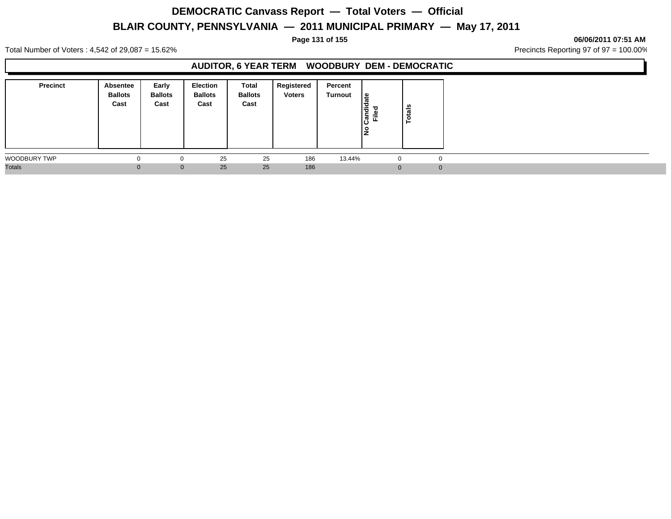#### **Page 131 of 155 06/06/2011 07:51 AM**

Total Number of Voters : 4,542 of 29,087 = 15.62% Precincts Reporting 97 of 97 = 100.00%

## **AUDITOR, 6 YEAR TERM WOODBURY DEM - DEMOCRATIC**

| <b>Precinct</b> | Absentee<br><b>Ballots</b><br>Cast | Early<br><b>Ballots</b><br>Cast | <b>Election</b><br><b>Ballots</b><br>Cast | <b>Total</b><br><b>Ballots</b><br>Cast | <b>Registered</b><br><b>Voters</b> | Percent<br>Turnout | ∣≗<br>Candid<br>Ţ<br>۴Ë<br>١是 | ន់<br>ᅙ |          |
|-----------------|------------------------------------|---------------------------------|-------------------------------------------|----------------------------------------|------------------------------------|--------------------|-------------------------------|---------|----------|
| WOODBURY TWP    | 0                                  |                                 | 25                                        | 25                                     | 186                                | 13.44%             | -0                            |         | $\Omega$ |
| <b>Totals</b>   | 0.                                 | $\Omega$                        | 25                                        | 25                                     | 186                                |                    |                               |         | $\Omega$ |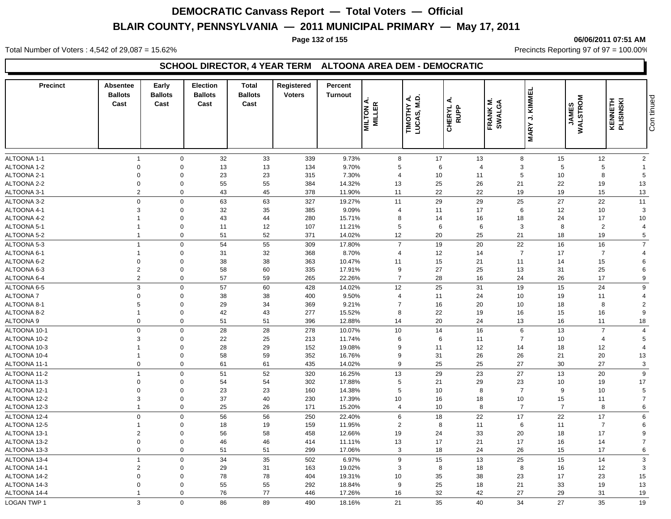#### **Page 132 of 155 06/06/2011 07:51 AM**

Total Number of Voters : 4,542 of 29,087 = 15.62% Precincts Reporting 97 of 97 = 100.00%

### **SCHOOL DIRECTOR, 4 YEAR TERM ALTOONA AREA DEM - DEMOCRATIC**

| <b>Precinct</b>    | <b>Absentee</b><br><b>Ballots</b><br>Cast | Early<br><b>Ballots</b><br>Cast | <b>Election</b><br><b>Ballots</b><br>Cast | <b>Total</b><br><b>Ballots</b><br>Cast | Registered<br><b>Voters</b> | Percent<br><b>Turnout</b> | <b>MILTON A.</b><br>MILLER | TIMOTHY A.<br>LUCAS, M.D. | ⋖<br>CHERYL<br>RUPP | FRANK M.<br>SWALGA | <b>MARY J. KIMMEL</b> | <b>JAMES</b>   | WALSTROM<br><b>KENNETH</b><br>PLISINSKI | Con tinued       |
|--------------------|-------------------------------------------|---------------------------------|-------------------------------------------|----------------------------------------|-----------------------------|---------------------------|----------------------------|---------------------------|---------------------|--------------------|-----------------------|----------------|-----------------------------------------|------------------|
| ALTOONA 1-1        | $\overline{1}$                            | $\mathbf 0$                     | 32                                        | 33                                     | 339                         | 9.73%                     | 8                          |                           | 17                  | 13                 | 8                     | 15             | 12                                      | 2                |
| ALTOONA 1-2        | $\mathbf 0$                               | $\mathbf 0$                     | 13                                        | 13                                     | 134                         | 9.70%                     | 5                          |                           | 6                   | $\overline{4}$     | 3                     | 5              | 5                                       | $\overline{1}$   |
| ALTOONA 2-1        | $\mathbf 0$                               | $\Omega$                        | 23                                        | 23                                     | 315                         | 7.30%                     | $\overline{4}$             |                           | 10                  | 11                 | 5                     | 10             | 8                                       | 5                |
| ALTOONA 2-2        | $\mathbf 0$                               | $\mathbf 0$                     | 55                                        | 55                                     | 384                         | 14.32%                    | 13                         |                           | 25                  | 26                 | 21                    | 22             | 19                                      | 13               |
| ALTOONA 3-1        | $\overline{2}$                            | $\mathbf 0$                     | 43                                        | 45                                     | 378                         | 11.90%                    | 11                         |                           | 22                  | 22                 | 19                    | 19             | 15                                      | 13               |
| ALTOONA 3-2        | $\mathbf 0$                               | $\mathbf 0$                     | 63                                        | 63                                     | 327                         | 19.27%                    | 11                         |                           | 29                  | 29                 | 25                    | 27             | 22                                      | 11               |
| ALTOONA 4-1        | 3                                         | $\mathbf 0$                     | 32                                        | 35                                     | 385                         | 9.09%                     | $\overline{4}$             |                           | 11                  | 17                 | 6                     | 12             | 10                                      | 3                |
| ALTOONA 4-2        | $\overline{1}$                            | $\mathbf 0$                     | 43                                        | 44                                     | 280                         | 15.71%                    | 8                          |                           | 14                  | 16                 | 18                    | 24             | 17                                      | 10               |
| ALTOONA 5-1        | $\overline{1}$                            | $\Omega$                        | 11                                        | 12                                     | 107                         | 11.21%                    | 5                          |                           | 6                   | 6                  | 3                     | 8              | $\overline{2}$                          | $\overline{4}$   |
| ALTOONA 5-2        | $\overline{1}$                            | $\mathbf 0$                     | 51                                        | 52                                     | 371                         | 14.02%                    | 12                         |                           | 20                  | 25                 | 21                    | 18             | 19                                      | $\sqrt{5}$       |
| ALTOONA 5-3        | $\overline{1}$                            | $\mathbf 0$                     | 54                                        | 55                                     | 309                         | 17.80%                    | $\overline{7}$             |                           | 19                  | 20                 | 22                    | 16             | 16                                      | $\overline{7}$   |
| ALTOONA 6-1        | $\overline{1}$                            | $\mathbf 0$                     | 31                                        | 32                                     | 368                         | 8.70%                     | $\overline{4}$             |                           | 12                  | 14                 | $\overline{7}$        | 17             | $\overline{7}$                          | $\overline{4}$   |
| ALTOONA 6-2        | $\mathbf 0$                               | $\mathbf 0$                     | 38                                        | $38\,$                                 | 363                         | 10.47%                    | 11                         |                           | 15                  | 21                 | 11                    | 14             | 15                                      | 6                |
| ALTOONA 6-3        | $\overline{c}$                            | $\mathbf 0$                     | 58                                        | 60                                     | 335                         | 17.91%                    | 9                          |                           | 27                  | 25                 | 13                    | 31             | 25                                      | 6                |
| ALTOONA 6-4        | $\overline{2}$                            | $\mathbf 0$                     | 57                                        | 59                                     | 265                         | 22.26%                    | $\overline{7}$             |                           | 28                  | 16                 | 24                    | 26             | 17                                      | 9                |
| ALTOONA 6-5        | 3                                         | $\mathbf 0$                     | 57                                        | 60                                     | 428                         | 14.02%                    | 12                         |                           | 25                  | 31                 | 19                    | 15             | 24                                      | 9                |
| <b>ALTOONA7</b>    | $\mathbf 0$                               | $\mathbf 0$                     | 38                                        | 38                                     | 400                         | 9.50%                     | $\overline{4}$             |                           | 11                  | 24                 | 10                    | 19             | 11                                      | $\overline{4}$   |
| ALTOONA 8-1        | 5                                         | $\Omega$                        | 29                                        | 34                                     | 369                         | 9.21%                     | $\overline{7}$             |                           | 16                  | 20                 | 10                    | 18             | 8                                       | $\overline{2}$   |
| ALTOONA 8-2        | $\overline{1}$                            | $\mathbf 0$                     | 42                                        | 43                                     | 277                         | 15.52%                    | 8                          |                           | 22                  | 19                 | 16                    | 15             | 16                                      | 9                |
| ALTOONA 9          | $\mathbf{0}$                              | $\mathbf 0$                     | 51                                        | 51                                     | 396                         | 12.88%                    | 14                         |                           | 20                  | 24                 | 13                    | 16             | 11                                      | 18               |
| ALTOONA 10-1       | $\mathbf 0$                               | $\mathbf 0$                     | 28                                        | 28                                     | 278                         | 10.07%                    | 10                         |                           | 14                  | 16                 | $6\phantom{1}6$       | 13             | $\overline{7}$                          | $\overline{4}$   |
| ALTOONA 10-2       | 3                                         | $\mathbf 0$                     | 22                                        | 25                                     | 213                         | 11.74%                    | 6                          |                           | 6                   | 11                 | $\overline{7}$        | 10             | $\overline{4}$                          | 5                |
| ALTOONA 10-3       |                                           | $\mathbf 0$                     | 28                                        | 29                                     | 152                         | 19.08%                    | 9                          |                           | 11                  | 12                 | 14                    | 18             | 12                                      | $\overline{4}$   |
| ALTOONA 10-4       | -1                                        | $\mathbf 0$                     | 58                                        | 59                                     | 352                         | 16.76%                    | 9                          |                           | 31                  | 26                 | 26                    | 21             | 20                                      | 13               |
| ALTOONA 11-1       | $\mathbf 0$                               | $\mathbf 0$                     | 61                                        | 61                                     | 435                         | 14.02%                    | 9                          |                           | 25                  | 25                 | 27                    | 30             | 27                                      | $\sqrt{3}$       |
| ALTOONA 11-2       | $\overline{1}$                            | $\mathbf 0$                     | 51                                        | 52                                     | 320                         | 16.25%                    | 13                         |                           | 29                  | 23                 | 27                    | 13             | 20                                      | $\boldsymbol{9}$ |
| ALTOONA 11-3       | $\mathbf 0$                               | $\mathbf 0$                     | 54                                        | 54                                     | 302                         | 17.88%                    | 5                          |                           | 21                  | 29                 | 23                    | 10             | 19                                      | 17               |
| ALTOONA 12-1       | $\mathbf 0$                               | $\mathbf 0$                     | 23                                        | 23                                     | 160                         | 14.38%                    | 5                          |                           | 10                  | 8                  | $\overline{7}$        | 9              | 10                                      | 5                |
| ALTOONA 12-2       | 3                                         | $\mathbf 0$                     | 37                                        | 40                                     | 230                         | 17.39%                    | 10                         |                           | 16                  | 18                 | 10                    | 15             | 11                                      | $\overline{7}$   |
| ALTOONA 12-3       | $\mathbf{1}$                              | $\mathbf 0$                     | 25                                        | 26                                     | 171                         | 15.20%                    | 4                          |                           | 10                  | 8                  | $\overline{7}$        | $\overline{7}$ | 8                                       | 6                |
| ALTOONA 12-4       | $\mathbf 0$                               | $\mathbf 0$                     | 56                                        | 56                                     | 250                         | 22.40%                    | 6                          |                           | 18                  | 22                 | 17                    | 22             | 17                                      | 6                |
| ALTOONA 12-5       | $\mathbf{1}$                              | $\mathbf 0$                     | 18                                        | 19                                     | 159                         | 11.95%                    | 2                          |                           | 8                   | 11                 | 6                     | 11             | $\overline{7}$                          | 6                |
| ALTOONA 13-1       | $\overline{2}$                            | $\mathbf 0$                     | 56                                        | 58                                     | 458                         | 12.66%                    | 19                         |                           | 24                  | 33                 | 20                    | 18             | 17                                      | 9                |
| ALTOONA 13-2       | $\mathbf 0$                               | $\mathbf 0$                     | 46                                        | 46                                     | 414                         | 11.11%                    | 13                         |                           | 17                  | 21                 | 17                    | 16             | 14                                      | $\overline{7}$   |
| ALTOONA 13-3       | $\mathbf 0$                               | $\mathbf 0$                     | 51                                        | 51                                     | 299                         | 17.06%                    | 3                          |                           | 18                  | 24                 | 26                    | 15             | 17                                      | 6                |
| ALTOONA 13-4       | $\overline{1}$                            | $\mathbf 0$                     | 34                                        | 35                                     | 502                         | 6.97%                     | 9                          |                           | 15                  | 13                 | 25                    | 15             | 14                                      | 3                |
| ALTOONA 14-1       | $\overline{2}$                            | $\mathbf 0$                     | 29                                        | 31                                     | 163                         | 19.02%                    | 3                          |                           | 8                   | 18                 | 8                     | 16             | 12                                      | 3                |
| ALTOONA 14-2       | $\Omega$                                  | $\mathbf 0$                     | 78                                        | 78                                     | 404                         | 19.31%                    | 10                         |                           | 35                  | 38                 | 23                    | 17             | 23                                      | 15               |
| ALTOONA 14-3       | $\Omega$                                  | $\Omega$                        | 55                                        | 55                                     | 292                         | 18.84%                    | 9                          |                           | 25                  | 18                 | 21                    | 33             | 19                                      | 13               |
| ALTOONA 14-4       |                                           | $\Omega$                        | 76                                        | 77                                     | 446                         | 17.26%                    | 16                         |                           | 32                  | 42                 | 27                    | 29             | 31                                      | 19               |
| <b>LOGAN TWP 1</b> | 3                                         | $\mathbf 0$                     | 86                                        | 89                                     | 490                         | 18.16%                    | 21                         |                           | 35                  | 40                 | 34                    | 27             | 35                                      | 19               |
|                    |                                           |                                 |                                           |                                        |                             |                           |                            |                           |                     |                    |                       |                |                                         |                  |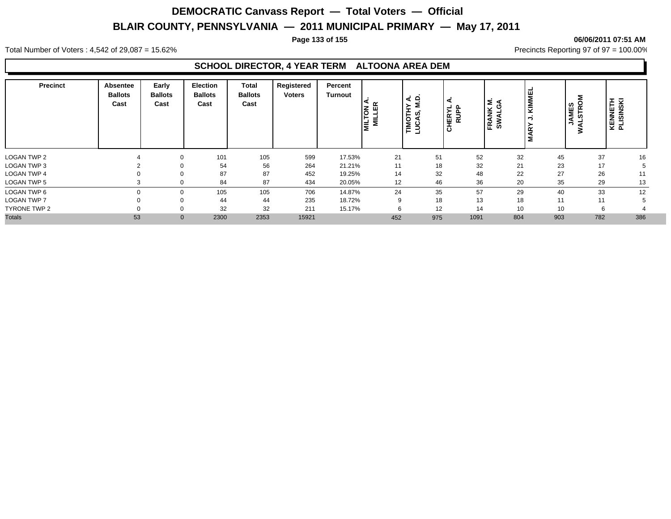#### **Page 133 of 155 06/06/2011 07:51 AM**

Total Number of Voters : 4,542 of 29,087 = 15.62% Precincts Reporting 97 of 97 = 100.00%

#### **SCHOOL DIRECTOR, 4 YEAR TERM ALTOONA AREA DEM**

| <b>Precinct</b>     | Absentee<br><b>Ballots</b><br>Cast | Early<br><b>Ballots</b><br>Cast | <b>Election</b><br><b>Ballots</b><br>Cast | <b>Total</b><br><b>Ballots</b><br>Cast | Registered<br><b>Voters</b> | Percent<br>Turnout | Ιš<br>Ξ<br>ΙĔ | ◀<br><b>TIMOTHY</b> | ◀<br>CHERYL<br>RUPP | ANK M.<br>VALGA<br>$\ddot{s}$<br>띥 | KIMMEI<br>$\tilde{a}$<br>Σ | <b>STRO</b><br>S<br><b>JAME</b><br>ಕ<br>∍ | KENNETH<br>PLISINSKI |     |
|---------------------|------------------------------------|---------------------------------|-------------------------------------------|----------------------------------------|-----------------------------|--------------------|---------------|---------------------|---------------------|------------------------------------|----------------------------|-------------------------------------------|----------------------|-----|
| LOGAN TWP 2         |                                    | $\Omega$                        | 101                                       | 105                                    | 599                         | 17.53%             | 21            |                     | 51                  | 52                                 | 32                         | 45                                        | 37                   | 16  |
| LOGAN TWP 3         |                                    |                                 | 54                                        | 56                                     | 264                         | 21.21%             | 11            |                     | 18                  | 32                                 | 21                         | 23                                        | 17                   |     |
| LOGAN TWP 4         | υ                                  | $\Omega$                        | 87                                        | 87                                     | 452                         | 19.25%             | 14            |                     | 32                  | 48                                 | 22                         | 27                                        | 26                   | 11  |
| <b>LOGAN TWP 5</b>  |                                    | $\Omega$                        | 84                                        | 87                                     | 434                         | 20.05%             | 12            |                     | 46                  | 36                                 | 20                         | 35                                        | 29                   | 13  |
| LOGAN TWP 6         |                                    | $\Omega$                        | 105                                       | 105                                    | 706                         | 14.87%             | 24            |                     | 35                  | 57                                 | 29                         | 40                                        | 33                   | 12  |
| <b>LOGAN TWP 7</b>  |                                    | $\Omega$                        | 44                                        | 44                                     | 235                         | 18.72%             | 9             |                     | 18                  | 13                                 | 18                         | 11                                        | 11                   |     |
| <b>TYRONE TWP 2</b> |                                    | $\Omega$                        | 32                                        | 32                                     | 211                         | 15.17%             |               |                     | 12                  | 14                                 | 10                         | 10                                        | 6                    |     |
| <b>Totals</b>       | 53                                 | $\mathbf 0$                     | 2300                                      | 2353                                   | 15921                       |                    | 452           | 975                 | 1091                |                                    | 804                        | 903                                       | 782                  | 386 |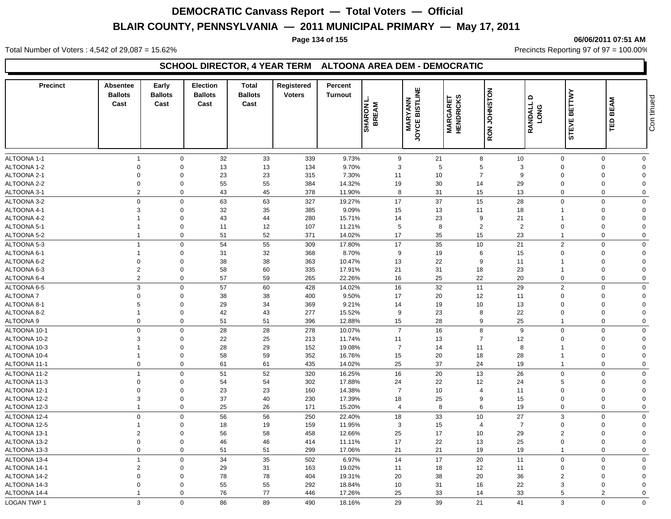#### **Page 134 of 155 06/06/2011 07:51 AM**

Total Number of Voters : 4,542 of 29,087 = 15.62% Precincts Reporting 97 of 97 = 100.00%

### **SCHOOL DIRECTOR, 4 YEAR TERM ALTOONA AREA DEM - DEMOCRATIC**

| <b>Precinct</b>    | <b>Absentee</b><br><b>Ballots</b><br>Cast | Early<br><b>Ballots</b><br>Cast | <b>Election</b><br><b>Ballots</b><br>Cast | <b>Total</b><br><b>Ballots</b><br>Cast | Registered<br><b>Voters</b> | Percent<br><b>Turnout</b> | <b>SHARON I</b><br>BREAM | JOYCE BISTLINE<br><b>MARYANN</b> | <b>MARGARET</b><br>HENDRICKS | <b>RON JOHNSTON</b> | $\mathbf{\Omega}$<br>RANDALL<br><b>LONG</b> | <b>BETTWY</b><br><b>STEVE</b> | <b>BEAM</b><br>ΓЮ | Con tinued     |
|--------------------|-------------------------------------------|---------------------------------|-------------------------------------------|----------------------------------------|-----------------------------|---------------------------|--------------------------|----------------------------------|------------------------------|---------------------|---------------------------------------------|-------------------------------|-------------------|----------------|
| ALTOONA 1-1        | $\overline{1}$                            | $\mathbf 0$                     | 32                                        | 33                                     | 339                         | 9.73%                     | 9                        |                                  | 21                           | 8                   | 10                                          | $\Omega$                      | $\Omega$          | $\mathbf 0$    |
| ALTOONA 1-2        | $\mathbf 0$                               | $\mathbf 0$                     | 13                                        | 13                                     | 134                         | 9.70%                     | 3                        |                                  | 5                            | $\sqrt{5}$          | 3                                           | $\Omega$                      | $\Omega$          | $\mathbf 0$    |
| ALTOONA 2-1        | $\mathbf 0$                               | $\mathbf 0$                     | 23                                        | 23                                     | 315                         | 7.30%                     | 11                       |                                  | 10                           | $\overline{7}$      | 9                                           | $\Omega$                      | $\Omega$          | $\overline{0}$ |
| ALTOONA 2-2        | $\mathbf 0$                               | $\mathbf 0$                     | 55                                        | 55                                     | 384                         | 14.32%                    | 19                       |                                  | 30                           | 14                  | 29                                          | $\Omega$                      | $\mathbf 0$       | $\Omega$       |
| ALTOONA 3-1        | $\overline{2}$                            | $\mathbf 0$                     | 43                                        | 45                                     | 378                         | 11.90%                    | 8                        |                                  | 31                           | 15                  | 13                                          | $\mathbf 0$                   | $\Omega$          | $\mathbf 0$    |
| ALTOONA 3-2        | $\mathbf 0$                               | $\mathbf 0$                     | 63                                        | 63                                     | 327                         | 19.27%                    | 17                       |                                  | 37                           | 15                  | 28                                          | $\Omega$                      | $\Omega$          | $\mathbf 0$    |
| ALTOONA 4-1        | 3                                         | $\mathbf 0$                     | 32                                        | 35                                     | 385                         | 9.09%                     | 15                       |                                  | 13                           | 11                  | 18                                          |                               | $\mathbf 0$       | $\overline{0}$ |
| ALTOONA 4-2        | $\mathbf{1}$                              | $\mathbf 0$                     | 43                                        | 44                                     | 280                         | 15.71%                    | 14                       |                                  | 23                           | 9                   | 21                                          |                               | $\mathbf 0$       | $\mathbf 0$    |
| ALTOONA 5-1        | $\overline{1}$                            | $\mathbf 0$                     | 11                                        | 12                                     | 107                         | 11.21%                    | $5\phantom{.0}$          |                                  | 8                            | $\overline{2}$      | $\overline{2}$                              | $\Omega$                      | $\Omega$          | $\mathbf 0$    |
| ALTOONA 5-2        | $\overline{1}$                            | $\mathbf 0$                     | 51                                        | 52                                     | 371                         | 14.02%                    | 17                       |                                  | 35                           | 15                  | 23                                          | $\overline{1}$                | $\Omega$          | $\mathbf 0$    |
| ALTOONA 5-3        | $\overline{1}$                            | $\mathbf 0$                     | 54                                        | 55                                     | 309                         | 17.80%                    | $17$                     |                                  | 35                           | 10                  | 21                                          | 2                             | $\Omega$          | $\mathbf 0$    |
| ALTOONA 6-1        | $\overline{1}$                            | $\mathbf 0$                     | 31                                        | 32                                     | 368                         | 8.70%                     | 9                        |                                  | 19                           | 6                   | 15                                          | $\Omega$                      | $\mathbf 0$       | $\overline{0}$ |
| ALTOONA 6-2        | $\mathbf 0$                               | $\mathbf 0$                     | 38                                        | 38                                     | 363                         | 10.47%                    | 13                       |                                  | 22                           | 9                   | 11                                          |                               | $\Omega$          | $\mathbf 0$    |
| ALTOONA 6-3        | $\overline{2}$                            | $\mathbf 0$                     | 58                                        | 60                                     | 335                         | 17.91%                    | 21                       |                                  | 31                           | 18                  | 23                                          |                               | $\mathbf 0$       | $\Omega$       |
| ALTOONA 6-4        | $\overline{2}$                            | $\mathbf 0$                     | 57                                        | 59                                     | 265                         | 22.26%                    | 16                       |                                  | 25                           | 22                  | 20                                          | $\mathbf 0$                   | $\mathbf 0$       | $\mathbf 0$    |
| ALTOONA 6-5        | 3                                         | $\mathbf 0$                     | 57                                        | 60                                     | 428                         | 14.02%                    | 16                       |                                  | 32                           | 11                  | 29                                          | 2                             | $\Omega$          | $\mathbf 0$    |
| <b>ALTOONA7</b>    | $\mathbf 0$                               | $\mathbf 0$                     | 38                                        | 38                                     | 400                         | 9.50%                     | 17                       |                                  | 20                           | 12                  | 11                                          | $\Omega$                      | $\mathbf 0$       | $\mathbf 0$    |
| ALTOONA 8-1        | 5                                         | $\mathbf 0$                     | 29                                        | 34                                     | 369                         | 9.21%                     | 14                       |                                  | 19                           | 10                  | 13                                          | $\Omega$                      | $\Omega$          | $\overline{0}$ |
| ALTOONA 8-2        | $\overline{1}$                            | $\mathbf 0$                     | 42                                        | 43                                     | 277                         | 15.52%                    | 9                        |                                  | 23                           | 8                   | 22                                          | $\Omega$                      | $\Omega$          | $\mathbf 0$    |
| ALTOONA 9          | $\mathbf 0$                               | $\mathbf 0$                     | 51                                        | 51                                     | 396                         | 12.88%                    | 15                       |                                  | 28                           | 9                   | 25                                          | $\overline{1}$                | $\mathbf 0$       | $\mathbf 0$    |
| ALTOONA 10-1       | $\Omega$                                  | $\mathbf 0$                     | 28                                        | 28                                     | 278                         | 10.07%                    | $\overline{7}$           |                                  | 16                           | 8                   | 9                                           | $\Omega$                      | $\Omega$          | $\mathbf 0$    |
| ALTOONA 10-2       | 3                                         | $\mathbf 0$                     | 22                                        | 25                                     | 213                         | 11.74%                    | 11                       |                                  | 13                           | $\overline{7}$      | 12                                          | $\Omega$                      | $\Omega$          | $\mathbf 0$    |
| ALTOONA 10-3       |                                           | $\mathbf 0$                     | 28                                        | 29                                     | 152                         | 19.08%                    | $\overline{7}$           |                                  | 14                           | 11                  | 8                                           |                               | 0                 | $\overline{0}$ |
| ALTOONA 10-4       | $\mathbf{1}$                              | $\mathbf 0$                     | 58                                        | 59                                     | 352                         | 16.76%                    | 15                       |                                  | 20                           | 18                  | 28                                          | -1                            | $\mathbf 0$       | $\mathbf 0$    |
| ALTOONA 11-1       | $\mathbf 0$                               | $\mathbf 0$                     | 61                                        | 61                                     | 435                         | 14.02%                    | 25                       |                                  | 37                           | 24                  | 19                                          | $\mathbf{1}$                  | $\mathbf 0$       | $\mathbf 0$    |
| ALTOONA 11-2       | $\overline{1}$                            | $\mathbf 0$                     | 51                                        | 52                                     | 320                         | 16.25%                    | 16                       |                                  | 20                           | 13                  | 26                                          | $\mathbf 0$                   | $\mathbf 0$       | $\mathbf 0$    |
| ALTOONA 11-3       | $\mathbf 0$                               | $\mathbf 0$                     | 54                                        | 54                                     | 302                         | 17.88%                    | 24                       |                                  | 22                           | 12                  | 24                                          | 5                             | $\mathbf 0$       | $\overline{0}$ |
| ALTOONA 12-1       | $\mathbf 0$                               | $\mathbf 0$                     | 23                                        | 23                                     | 160                         | 14.38%                    | $\overline{7}$           |                                  | 10                           | $\overline{4}$      | 11                                          | $\Omega$                      | $\Omega$          | $\overline{0}$ |
| ALTOONA 12-2       | 3                                         | $\mathbf 0$                     | 37                                        | 40                                     | 230                         | 17.39%                    | 18                       |                                  | 25                           | 9                   | 15                                          | $\Omega$                      | $\Omega$          | $\mathbf 0$    |
| ALTOONA 12-3       | $\overline{1}$                            | $\mathbf 0$                     | 25                                        | 26                                     | 171                         | 15.20%                    | $\overline{4}$           |                                  | 8                            | 6                   | 19                                          | $\mathbf 0$                   | $\Omega$          | $\mathbf 0$    |
| ALTOONA 12-4       | $\mathbf 0$                               | $\mathbf 0$                     | 56                                        | 56                                     | 250                         | 22.40%                    | 18                       |                                  | 33                           | 10                  | 27                                          | 3                             | $\Omega$          | $\mathbf 0$    |
| ALTOONA 12-5       | $\overline{1}$                            | $\mathbf 0$                     | 18                                        | 19                                     | 159                         | 11.95%                    | 3                        |                                  | 15                           | $\overline{4}$      | $\overline{7}$                              | $\Omega$                      | $\Omega$          | $\mathbf 0$    |
| ALTOONA 13-1       | $\overline{2}$                            | $\mathbf 0$                     | 56                                        | 58                                     | 458                         | 12.66%                    | 25                       |                                  | 17                           | 10                  | 29                                          | $\overline{2}$                | $\Omega$          | $\mathbf 0$    |
| ALTOONA 13-2       | $\mathbf 0$                               | $\mathbf 0$                     | 46                                        | 46                                     | 414                         | 11.11%                    | 17                       |                                  | 22                           | 13                  | 25                                          | $\mathbf 0$                   | $\Omega$          | $\mathbf 0$    |
| ALTOONA 13-3       | $\mathbf 0$                               | $\mathbf 0$                     | 51                                        | 51                                     | 299                         | 17.06%                    | 21                       |                                  | 21                           | 19                  | 19                                          | -1                            | $\Omega$          | $\mathbf 0$    |
| ALTOONA 13-4       | $\overline{1}$                            | $\mathbf 0$                     | 34                                        | 35                                     | 502                         | 6.97%                     | 14                       |                                  | 17                           | 20                  | 11                                          | $\Omega$                      | $\Omega$          | $\mathbf 0$    |
| ALTOONA 14-1       | $\overline{2}$                            | $\mathbf 0$                     | 29                                        | 31                                     | 163                         | 19.02%                    | 11                       |                                  | 18                           | 12                  | 11                                          | $\Omega$                      | $\Omega$          | $\mathbf 0$    |
| ALTOONA 14-2       | $\mathbf 0$                               | $\mathbf 0$                     | 78                                        | 78                                     | 404                         | 19.31%                    | 20                       |                                  | 38                           | 20                  | 36                                          | $\overline{2}$                | $\Omega$          | $\Omega$       |
| ALTOONA 14-3       | $\Omega$                                  | $\Omega$                        | 55                                        | 55                                     | 292                         | 18.84%                    | 10                       |                                  | 31                           | 16                  | 22                                          | 3                             | $\Omega$          | $\Omega$       |
| ALTOONA 14-4       |                                           | $\Omega$                        | 76                                        | 77                                     | 446                         | 17.26%                    | 25                       |                                  | 33                           | 14                  | 33                                          | 5                             | $\overline{2}$    | $\Omega$       |
| <b>LOGAN TWP 1</b> | 3                                         | $\mathbf 0$                     | 86                                        | 89                                     | 490                         | 18.16%                    | 29                       |                                  | 39                           | 21                  | 41                                          | 3                             | $\mathbf 0$       | $\mathbf 0$    |
|                    |                                           |                                 |                                           |                                        |                             |                           |                          |                                  |                              |                     |                                             |                               |                   |                |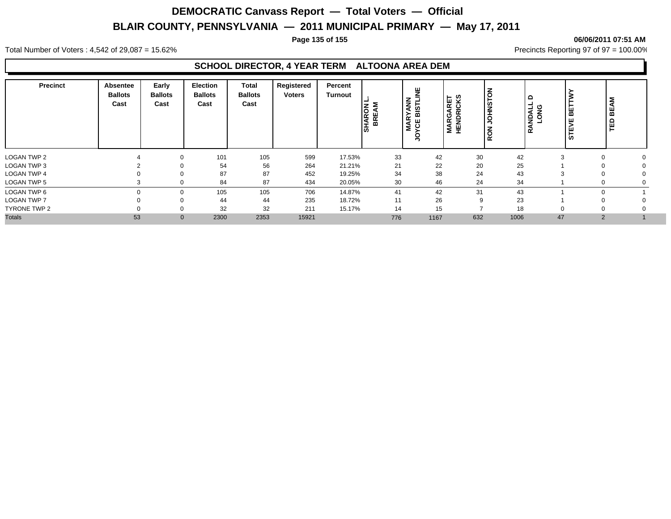#### **Page 135 of 155 06/06/2011 07:51 AM**

Total Number of Voters : 4,542 of 29,087 = 15.62% Precincts Reporting 97 of 97 = 100.00%

#### **SCHOOL DIRECTOR, 4 YEAR TERM ALTOONA AREA DEM**

| <b>Precinct</b>    | Absentee<br><b>Ballots</b><br>Cast | Early<br><b>Ballots</b><br>Cast | <b>Election</b><br><b>Ballots</b><br>Cast | Total<br><b>Ballots</b><br>Cast | Registered<br><b>Voters</b> | Percent<br>Turnout | ξ<br><b>SHARON</b><br>BREAM | 漢<br>≤<br>ANN<br><b>BISTL</b><br><b>MARY</b><br>෪ | <b>MARGARET</b><br>HENDRICKS | <b>JOHNSTON</b><br>RON | ≏<br>LONG<br>TONG<br>œ | 볾              | Σ<br>$\overline{a}$<br>ū |  |
|--------------------|------------------------------------|---------------------------------|-------------------------------------------|---------------------------------|-----------------------------|--------------------|-----------------------------|---------------------------------------------------|------------------------------|------------------------|------------------------|----------------|--------------------------|--|
| <b>LOGAN TWP 2</b> |                                    |                                 | 101                                       | 105                             | 599                         | 17.53%             | 33                          | 42                                                | 30                           | 42                     | $\sqrt{2}$             |                |                          |  |
| LOGAN TWP 3        |                                    |                                 | 54                                        | 56                              | 264                         | 21.21%             | 21                          | 22                                                | 20                           | 25                     |                        |                |                          |  |
| LOGAN TWP 4        |                                    |                                 | 87                                        | 87                              | 452                         | 19.25%             | 34                          | 38                                                | 24                           | 43                     |                        |                |                          |  |
| <b>LOGAN TWP 5</b> |                                    |                                 | 84                                        | 87                              | 434                         | 20.05%             | 30                          | 46                                                | 24                           | 34                     |                        |                |                          |  |
| LOGAN TWP 6        |                                    | $\Omega$                        | 105                                       | 105                             | 706                         | 14.87%             | 41                          | 42                                                | 31                           | 43                     |                        |                |                          |  |
| <b>LOGAN TWP 7</b> |                                    |                                 | 44                                        | 44                              | 235                         | 18.72%             | 11                          | 26                                                | 9                            | 23                     |                        |                |                          |  |
| TYRONE TWP 2       |                                    |                                 | 32                                        | 32                              | 211                         | 15.17%             | 14                          | 15                                                |                              | 18                     |                        |                |                          |  |
| <b>Totals</b>      | 53                                 | $\mathbf 0$                     | 2300                                      | 2353                            | 15921                       |                    | 776                         | 1167                                              | 632                          | 1006                   | 47                     | $\overline{2}$ |                          |  |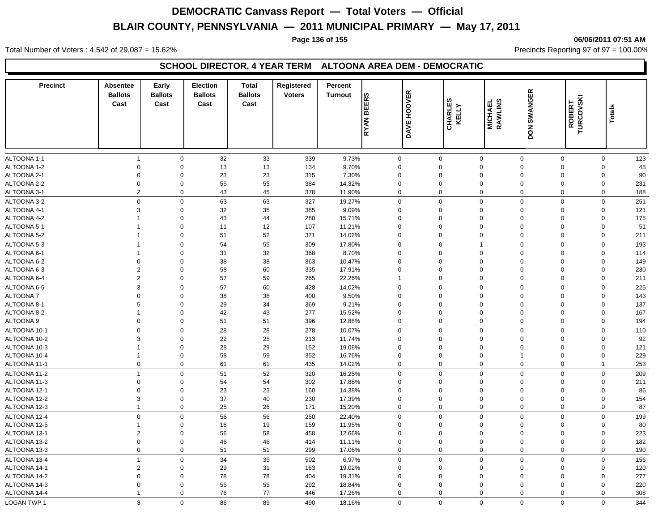#### **Page 136 of 155 06/06/2011 07:51 AM**

Total Number of Voters : 4,542 of 29,087 = 15.62% Precincts Reporting 97 of 97 = 100.00%

### **SCHOOL DIRECTOR, 4 YEAR TERM ALTOONA AREA DEM - DEMOCRATIC**

| <b>Precinct</b>    | <b>Absentee</b><br><b>Ballots</b><br>Cast | Early<br><b>Ballots</b><br>Cast | <b>Election</b><br><b>Ballots</b><br>Cast | <b>Total</b><br><b>Ballots</b><br>Cast | Registered<br><b>Voters</b> | Percent<br><b>Turnout</b> | RYAN BEERS   | <b>DAVE HOOVER</b> | CHARLES<br>KELLY | <b>MICHAEL</b><br>RAWLINS | <b>DON SWANGER</b>            | <b>ROBERT<br/>TURCOVSKI</b> | ≝<br>Total   |     |
|--------------------|-------------------------------------------|---------------------------------|-------------------------------------------|----------------------------------------|-----------------------------|---------------------------|--------------|--------------------|------------------|---------------------------|-------------------------------|-----------------------------|--------------|-----|
| ALTOONA 1-1        | $\overline{1}$                            | $\mathbf 0$                     | 32                                        | 33                                     | 339                         | 9.73%                     | $\mathbf 0$  | $\mathbf 0$        |                  | $\mathbf 0$               | $\mathbf 0$<br>$\mathbf 0$    |                             | $\mathbf 0$  | 123 |
| ALTOONA 1-2        | $\Omega$                                  | $\mathbf 0$                     | 13                                        | 13                                     | 134                         | 9.70%                     | $\mathbf 0$  | $\Omega$           |                  | $\mathbf 0$               | $\mathbf 0$<br>$\Omega$       |                             | 0            | 45  |
| ALTOONA 2-1        | $\mathbf 0$                               | $\mathbf 0$                     | 23                                        | 23                                     | 315                         | 7.30%                     | $\mathbf 0$  | $\mathbf 0$        |                  | $\mathbf 0$               | $\mathbf 0$<br>$\mathbf 0$    |                             | 0            | 90  |
| ALTOONA 2-2        | $\mathbf 0$                               | $\mathbf 0$                     | 55                                        | 55                                     | 384                         | 14.32%                    | $\mathbf 0$  | $\mathbf 0$        |                  | $\mathbf 0$               | $\mathbf 0$<br>$\mathbf 0$    |                             | 0            | 231 |
| ALTOONA 3-1        | $\overline{2}$                            | $\mathbf 0$                     | 43                                        | 45                                     | 378                         | 11.90%                    | $\Omega$     | $\mathbf 0$        |                  | $\mathbf 0$               | $\mathbf 0$<br>$\mathbf 0$    |                             | $\mathbf 0$  | 188 |
| ALTOONA 3-2        | $\Omega$                                  | $\mathbf 0$                     | 63                                        | 63                                     | 327                         | 19.27%                    | $\Omega$     | $\mathbf{0}$       |                  | $\mathbf 0$               | $\mathbf 0$<br>$\mathbf 0$    |                             | $\mathbf 0$  | 251 |
| ALTOONA 4-1        | 3                                         | $\mathbf 0$                     | 32                                        | 35                                     | 385                         | 9.09%                     | $\Omega$     | $\mathbf 0$        |                  | $\mathbf 0$               | $\Omega$<br>$\Omega$          |                             | 0            | 121 |
| ALTOONA 4-2        | 1                                         | $\mathbf 0$                     | 43                                        | 44                                     | 280                         | 15.71%                    | $\mathbf 0$  | $\mathbf 0$        |                  | $\mathbf 0$               | $\mathbf 0$<br>$\mathbf 0$    |                             | 0            | 175 |
| ALTOONA 5-1        | $\overline{1}$                            | $\mathbf 0$                     | 11                                        | 12                                     | 107                         | 11.21%                    | $\mathbf 0$  | $\mathbf 0$        |                  | $\mathbf 0$               | $\mathbf 0$<br>$\mathbf 0$    |                             | 0            | 51  |
| ALTOONA 5-2        | $\overline{1}$                            | $\mathbf 0$                     | 51                                        | 52                                     | 371                         | 14.02%                    | $\Omega$     | $\mathbf 0$        |                  | $\mathbf 0$               | $\mathbf 0$<br>$\mathbf 0$    |                             | $\mathbf 0$  | 211 |
| ALTOONA 5-3        | $\overline{1}$                            | $\mathbf 0$                     | 54                                        | 55                                     | 309                         | 17.80%                    | $\Omega$     | $\mathbf{0}$       |                  | $\mathbf{1}$              | $\Omega$<br>$\mathbf 0$       |                             | $\mathsf 0$  | 193 |
| ALTOONA 6-1        | $\overline{1}$                            | $\mathbf 0$                     | 31                                        | 32                                     | 368                         | 8.70%                     | $\Omega$     | $\Omega$           |                  | $\mathbf 0$               | 0<br>$\Omega$                 |                             | 0            | 114 |
| ALTOONA 6-2        | $\mathbf 0$                               | $\mathbf 0$                     | 38                                        | 38                                     | 363                         | 10.47%                    | $\mathbf 0$  | $\mathbf 0$        |                  | $\mathbf 0$               | $\Omega$<br>$\mathbf 0$       |                             | 0            | 149 |
| ALTOONA 6-3        | $\overline{2}$                            | $\mathbf 0$                     | 58                                        | 60                                     | 335                         | 17.91%                    | $\mathbf 0$  | $\mathbf 0$        |                  | $\mathbf 0$               | $\mathbf 0$<br>$\mathbf 0$    |                             | $\mathbf 0$  | 230 |
| ALTOONA 6-4        | $\overline{2}$                            | $\mathbf 0$                     | 57                                        | 59                                     | 265                         | 22.26%                    | $\mathbf{1}$ | $\mathbf 0$        |                  | $\mathbf 0$               | $\mathbf 0$<br>$\overline{0}$ |                             | $\mathbf 0$  | 211 |
| ALTOONA 6-5        | 3                                         | $\mathbf 0$                     | 57                                        | 60                                     | 428                         | 14.02%                    | $\Omega$     | $\mathbf 0$        |                  | $\mathbf 0$               | $\mathbf 0$<br>$\mathbf 0$    |                             | $\mathbf 0$  | 225 |
| ALTOONA 7          | $\Omega$                                  | $\Omega$                        | 38                                        | 38                                     | 400                         | 9.50%                     | $\Omega$     | $\Omega$           |                  | $\mathbf 0$               | $\Omega$<br>$\Omega$          |                             | 0            | 143 |
| ALTOONA 8-1        | 5                                         | $\mathbf 0$                     | 29                                        | 34                                     | 369                         | 9.21%                     | $\mathbf 0$  | $\mathbf 0$        |                  | $\mathbf 0$               | $\mathbf 0$<br>$\mathbf 0$    |                             | $\mathbf 0$  | 137 |
| ALTOONA 8-2        | $\overline{1}$                            | $\mathbf 0$                     | 42                                        | 43                                     | 277                         | 15.52%                    | $\mathbf 0$  | $\mathbf 0$        |                  | $\mathbf 0$               | $\mathbf 0$<br>$\overline{0}$ |                             | $\mathbf 0$  | 167 |
| ALTOONA 9          | $\mathbf 0$                               | $\mathbf 0$                     | 51                                        | 51                                     | 396                         | 12.88%                    | $\mathbf 0$  | $\mathbf 0$        |                  | $\mathbf 0$               | $\mathbf 0$                   | $\mathbf 0$                 | $\mathbf 0$  | 194 |
| ALTOONA 10-1       | $\Omega$                                  | $\mathbf 0$                     | 28                                        | 28                                     | 278                         | 10.07%                    | $\Omega$     | $\Omega$           |                  | $\mathsf{O}\xspace$       | $\mathbf 0$<br>$\Omega$       |                             | $\mathbf 0$  | 110 |
| ALTOONA 10-2       | 3                                         | $\mathbf 0$                     | 22                                        | 25                                     | 213                         | 11.74%                    | $\mathbf 0$  | $\mathbf 0$        |                  | $\mathbf 0$               | $\mathbf 0$<br>0              |                             | 0            | 92  |
| ALTOONA 10-3       | 1                                         | $\mathbf 0$                     | 28                                        | 29                                     | 152                         | 19.08%                    | $\mathbf 0$  | $\mathbf 0$        |                  | $\mathbf 0$               | $\mathbf 0$<br>$\mathbf 0$    |                             | 0            | 121 |
| ALTOONA 10-4       | $\mathbf{1}$                              | $\mathbf 0$                     | 58                                        | 59                                     | 352                         | 16.76%                    | $\mathbf 0$  | $\mathbf 0$        |                  | $\mathbf 0$               | $\mathbf 0$<br>$\overline{1}$ |                             | $\mathbf 0$  | 229 |
| ALTOONA 11-1       | $\mathbf 0$                               | $\mathbf 0$                     | 61                                        | 61                                     | 435                         | 14.02%                    | $\mathbf 0$  | $\mathbf 0$        |                  | $\mathbf 0$               | $\mathbf 0$                   | $\mathbf 0$                 | $\mathbf{1}$ | 253 |
| ALTOONA 11-2       | $\overline{1}$                            | $\mathbf 0$                     | 51                                        | 52                                     | 320                         | 16.25%                    | $\Omega$     | $\Omega$           |                  | $\mathbf 0$               | $\mathbf 0$<br>$\Omega$       |                             | $\mathbf 0$  | 209 |
| ALTOONA 11-3       | $\Omega$                                  | $\mathbf 0$                     | 54                                        | 54                                     | 302                         | 17.88%                    | $\Omega$     | $\Omega$           |                  | $\mathbf 0$               | $\Omega$<br>$\Omega$          |                             | 0            | 211 |
| ALTOONA 12-1       | $\mathbf 0$                               | $\mathbf 0$                     | 23                                        | 23                                     | 160                         | 14.38%                    | $\mathbf 0$  | $\mathbf 0$        |                  | $\mathbf 0$               | $\mathbf 0$<br>$\mathbf 0$    |                             | 0            | 86  |
| ALTOONA 12-2       | 3                                         | $\mathbf 0$                     | 37                                        | 40                                     | 230                         | 17.39%                    | $\mathbf 0$  | $\mathbf 0$        |                  | $\mathbf 0$               | $\mathbf 0$<br>$\mathbf 0$    |                             | $\mathbf 0$  | 154 |
| ALTOONA 12-3       | $\mathbf{1}$                              | $\mathbf 0$                     | 25                                        | 26                                     | 171                         | 15.20%                    | $\mathbf 0$  | 0                  |                  | $\mathbf 0$               | $\mathbf 0$<br>$\mathbf 0$    |                             | 0            | 87  |
| ALTOONA 12-4       | $\mathbf{0}$                              | $\mathbf 0$                     | 56                                        | 56                                     | 250                         | 22.40%                    | $\mathbf 0$  | $\mathbf 0$        |                  | $\mathbf 0$               | $\mathbf 0$<br>$\mathbf 0$    |                             | $\mathbf 0$  | 199 |
| ALTOONA 12-5       | -1                                        | $\mathbf 0$                     | 18                                        | 19                                     | 159                         | 11.95%                    | $\Omega$     | $\Omega$           |                  | $\mathbf 0$               | $\mathbf 0$<br>$\Omega$       |                             | 0            | 80  |
| ALTOONA 13-1       | $\overline{2}$                            | $\mathbf 0$                     | 56                                        | 58                                     | 458                         | 12.66%                    | $\mathbf 0$  | $\mathbf 0$        |                  | $\mathbf 0$               | $\mathbf 0$<br>$\mathbf 0$    |                             | 0            | 223 |
| ALTOONA 13-2       | $\mathbf 0$                               | $\mathbf 0$                     | 46                                        | 46                                     | 414                         | 11.11%                    | $\mathbf 0$  | $\mathbf 0$        |                  | $\mathbf 0$               | $\mathbf 0$<br>$\mathbf 0$    |                             | $\mathbf 0$  | 182 |
| ALTOONA 13-3       | $\mathbf 0$                               | $\mathbf 0$                     | 51                                        | 51                                     | 299                         | 17.06%                    | $\Omega$     | 0                  |                  | $\mathbf 0$               | $\mathbf 0$<br>$\mathbf 0$    |                             | $\mathbf 0$  | 190 |
| ALTOONA 13-4       | $\mathbf{1}$                              | $\mathbf 0$                     | 34                                        | 35                                     | 502                         | 6.97%                     | $\mathbf 0$  | $\mathbf 0$        |                  | $\mathbf 0$               | $\mathbf 0$                   | $\mathbf 0$                 | $\mathbf 0$  | 156 |
| ALTOONA 14-1       | $\overline{2}$                            | $\mathbf 0$                     | 29                                        | 31                                     | 163                         | 19.02%                    | $\mathbf 0$  | $\mathbf 0$        |                  | $\mathbf 0$               | $\mathbf 0$<br>$\mathbf 0$    |                             | 0            | 120 |
| ALTOONA 14-2       | 0                                         | $\mathbf 0$                     | 78                                        | 78                                     | 404                         | 19.31%                    | $\Omega$     | 0                  |                  | $\mathbf 0$               | $\mathbf 0$<br>$\Omega$       |                             | 0            | 277 |
| ALTOONA 14-3       | $\mathbf 0$                               | $\mathbf 0$                     | 55                                        | 55                                     | 292                         | 18.84%                    | $\Omega$     | $\mathbf 0$        |                  | $\mathbf 0$               | $\Omega$<br>$\mathbf 0$       |                             | $\mathbf 0$  | 220 |
| ALTOONA 14-4       | $\mathbf{1}$                              | $\mathbf 0$                     | 76                                        | 77                                     | 446                         | 17.26%                    | $\Omega$     | $\mathbf 0$        |                  | $\mathbf 0$               | $\Omega$<br>$\mathbf 0$       |                             | $\mathbf 0$  | 308 |
| <b>LOGAN TWP 1</b> | 3                                         | $\mathbf 0$                     | 86                                        | 89                                     | 490                         | 18.16%                    | $\mathbf 0$  | $\mathbf 0$        |                  | $\mathbf 0$               | $\mathbf 0$                   | $\mathbf 0$                 | $\mathbf 0$  | 344 |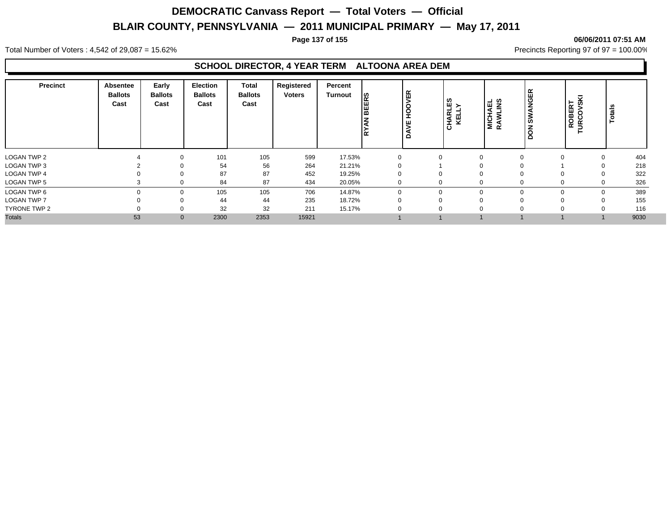#### **Page 137 of 155 06/06/2011 07:51 AM**

Total Number of Voters : 4,542 of 29,087 = 15.62% Precincts Reporting 97 of 97 = 100.00%

#### **SCHOOL DIRECTOR, 4 YEAR TERM ALTOONA AREA DEM**

| Precinct           | <b>Absentee</b><br><b>Ballots</b><br>Cast | Early<br><b>Ballots</b><br>Cast | <b>Election</b><br><b>Ballots</b><br>Cast | <b>Total</b><br><b>Ballots</b><br>Cast | Registered<br><b>Voters</b> | Percent<br>Turnout | <b>BEERS</b><br><b>RYAN</b> | VER<br><b>POH</b><br>щ<br>ă | ∣ຜຼ≻<br><b>CHARLI</b><br>KELLY | <b>MICHAEL</b><br>RAWLINS | <b>SWANGER</b><br>z<br>$\circ$<br>Ă | VSKI<br>ROBERT<br>$\circ$<br>Š<br>► | <b>Totals</b> |
|--------------------|-------------------------------------------|---------------------------------|-------------------------------------------|----------------------------------------|-----------------------------|--------------------|-----------------------------|-----------------------------|--------------------------------|---------------------------|-------------------------------------|-------------------------------------|---------------|
| <b>LOGAN TWP 2</b> |                                           | 0                               | 101                                       | 105                                    | 599                         | 17.53%             |                             |                             |                                | $\Omega$                  |                                     |                                     | 404<br>0      |
| LOGAN TWP 3        |                                           | $\Omega$                        | 54                                        | 56                                     | 264                         | 21.21%             |                             |                             |                                |                           |                                     |                                     | 218<br>0      |
| <b>LOGAN TWP 4</b> |                                           | $\Omega$                        | 87                                        | 87                                     | 452                         | 19.25%             |                             |                             | U                              | $\mathbf 0$               |                                     | $\Omega$                            | 322<br>0      |
| LOGAN TWP 5        |                                           | ∩                               | 84                                        | 87                                     | 434                         | 20.05%             |                             |                             | $\mathbf{0}$                   | $\Omega$                  |                                     | $\Omega$                            | 326<br>0      |
| LOGAN TWP 6        |                                           | $\Omega$                        | 105                                       | 105                                    | 706                         | 14.87%             |                             |                             | 0                              | $\Omega$                  |                                     | $\Omega$                            | 389<br>0      |
| <b>LOGAN TWP 7</b> |                                           | $\Omega$                        | 44                                        | 44                                     | 235                         | 18.72%             |                             |                             | 0                              | $\Omega$                  |                                     | $\Omega$                            | 155<br>0      |
| TYRONE TWP 2       |                                           | 0                               | 32                                        | 32                                     | 211                         | 15.17%             |                             |                             | 0                              | $\Omega$                  |                                     |                                     | 116           |
| <b>Totals</b>      | 53                                        | $\mathbf{0}$                    | 2300                                      | 2353                                   | 15921                       |                    |                             |                             |                                |                           |                                     |                                     | 9030          |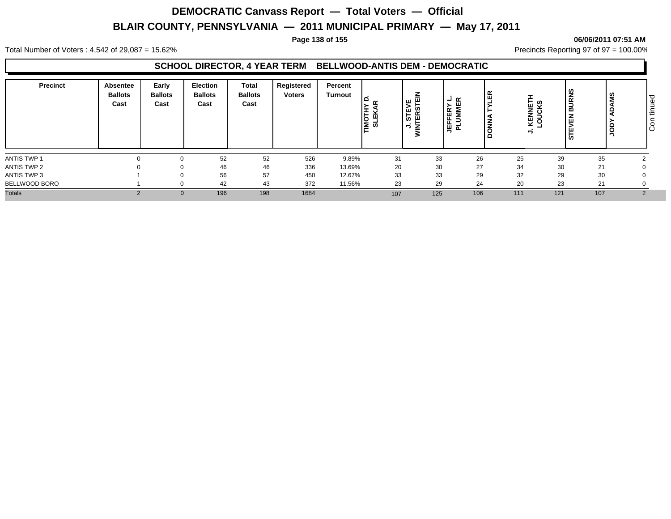#### **Page 138 of 155 06/06/2011 07:51 AM**

Total Number of Voters : 4,542 of 29,087 = 15.62% Precincts Reporting 97 of 97 = 100.00%

### **SCHOOL DIRECTOR, 4 YEAR TERM BELLWOOD-ANTIS DEM - DEMOCRATIC**

| 526<br>9.89%<br>35<br>52<br>52<br>31<br>33<br>26<br>25<br>39<br>27<br>46<br>20<br>30<br>46<br>336<br>34<br>30<br>13.69%<br>21<br>33<br>29<br>33<br>32<br>56<br>57<br>29<br>30<br>450<br>12.67%<br>29<br>24<br>42<br>43<br>23<br>20<br>23<br>372<br>11.56%<br>21<br>1684<br>121<br>107<br>196<br>198<br>106<br>111<br>125<br>107<br>$\Omega$ | <b>Precinct</b> | Absentee<br><b>Ballots</b><br>Cast | Early<br><b>Ballots</b><br>Cast | <b>Election</b><br><b>Ballots</b><br>Cast | <b>Total</b><br><b>Ballots</b><br>Cast | Registered<br><b>Voters</b> | Percent<br>Turnout | - 1<br>◡<br>∣≦ ಠ | $\leq$<br>ಜ<br>ш<br>∍ | $ \alpha$<br>$\alpha$<br>ш<br>ш.<br>ш<br>$\vec{a}$<br>- | ≃<br>- | <b>KENNETI</b><br>LOUCKS | <b>BURNS</b><br><b>EVEN</b><br>⊢<br>  ဟ | SM | ס ו<br>ு<br>۰<br>$\overline{\phantom{0}}$<br>⊫ا<br>$\circ$<br>Iō |
|---------------------------------------------------------------------------------------------------------------------------------------------------------------------------------------------------------------------------------------------------------------------------------------------------------------------------------------------|-----------------|------------------------------------|---------------------------------|-------------------------------------------|----------------------------------------|-----------------------------|--------------------|------------------|-----------------------|---------------------------------------------------------|--------|--------------------------|-----------------------------------------|----|------------------------------------------------------------------|
|                                                                                                                                                                                                                                                                                                                                             | ANTIS TWP 1     |                                    |                                 |                                           |                                        |                             |                    |                  |                       |                                                         |        |                          |                                         |    |                                                                  |
|                                                                                                                                                                                                                                                                                                                                             | ANTIS TWP 2     |                                    |                                 |                                           |                                        |                             |                    |                  |                       |                                                         |        |                          |                                         |    |                                                                  |
|                                                                                                                                                                                                                                                                                                                                             | ANTIS TWP 3     |                                    |                                 |                                           |                                        |                             |                    |                  |                       |                                                         |        |                          |                                         |    |                                                                  |
|                                                                                                                                                                                                                                                                                                                                             | BELLWOOD BORO   |                                    |                                 |                                           |                                        |                             |                    |                  |                       |                                                         |        |                          |                                         |    |                                                                  |
|                                                                                                                                                                                                                                                                                                                                             | <b>Totals</b>   |                                    |                                 |                                           |                                        |                             |                    |                  |                       |                                                         |        |                          |                                         |    |                                                                  |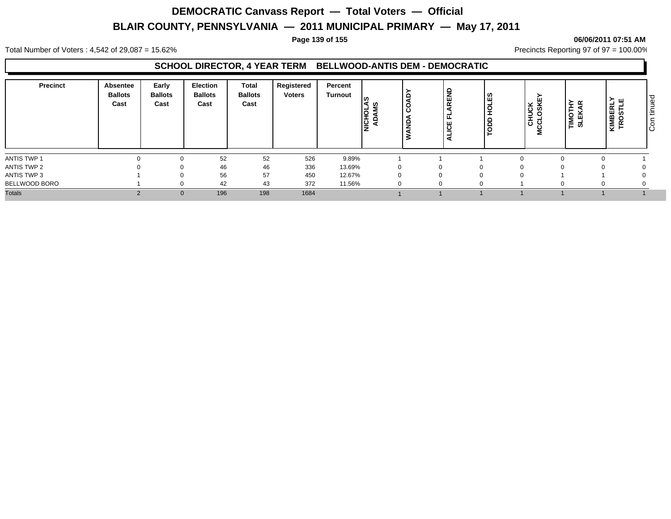#### **Page 139 of 155 06/06/2011 07:51 AM**

Total Number of Voters : 4,542 of 29,087 = 15.62% Precincts Reporting 97 of 97 = 100.00%

### **SCHOOL DIRECTOR, 4 YEAR TERM BELLWOOD-ANTIS DEM - DEMOCRATIC**

| <b>Precinct</b> | Absentee<br><b>Ballots</b><br>Cast | Early<br><b>Ballots</b><br>Cast | <b>Election</b><br><b>Ballots</b><br>Cast | <b>Total</b><br><b>Ballots</b><br>Cast | Registered<br><b>Voters</b> | Percent<br>Turnout | ທ<br>六<br>Ιă | - | 욻<br>$\propto$ | ທ<br>Ű.<br>- | ᇟ<br>MCCLOSKE | TIMOTHY<br>SLEKAR | こせ<br>$\bar{\alpha}$<br><b>KIMBEI<br/>TROST</b> | l o<br>∣ق<br>$\overline{\phantom{0}}$<br>l÷<br>$\overline{\circ}$<br>ΙO |
|-----------------|------------------------------------|---------------------------------|-------------------------------------------|----------------------------------------|-----------------------------|--------------------|--------------|---|----------------|--------------|---------------|-------------------|-------------------------------------------------|-------------------------------------------------------------------------|
| ANTIS TWP 1     |                                    |                                 | 52                                        | 52                                     | 526                         | 9.89%              |              |   |                |              |               |                   |                                                 |                                                                         |
| ANTIS TWP 2     |                                    |                                 | 46                                        | 46                                     | 336                         | 13.69%             |              |   |                | 0            |               |                   |                                                 |                                                                         |
| ANTIS TWP 3     |                                    |                                 | 56                                        | 57                                     | 450                         | 12.67%             | 0            |   |                | $\Omega$     |               |                   |                                                 |                                                                         |
| BELLWOOD BORO   |                                    |                                 | 42                                        | 43                                     | 372                         | 11.56%             |              |   |                | 0            |               |                   |                                                 |                                                                         |
| <b>Totals</b>   |                                    | $\Omega$                        | 196                                       | 198                                    | 1684                        |                    |              |   |                |              |               |                   |                                                 |                                                                         |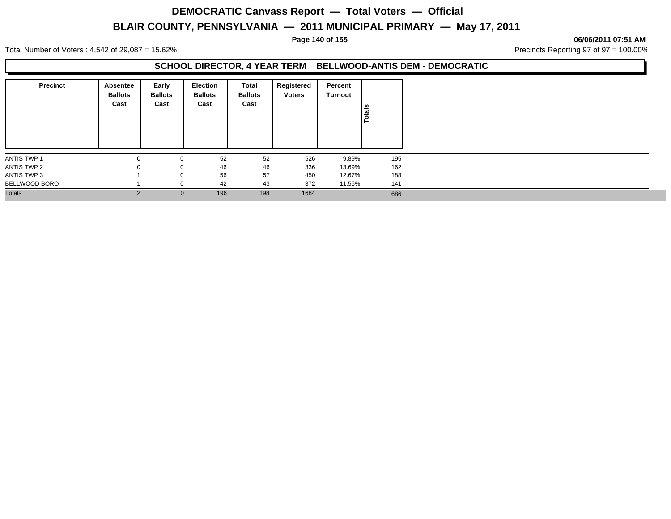#### **Page 140 of 155 06/06/2011 07:51 AM**

Total Number of Voters : 4,542 of 29,087 = 15.62% Precincts Reporting 97 of 97 = 100.00%

### **SCHOOL DIRECTOR, 4 YEAR TERM BELLWOOD-ANTIS DEM - DEMOCRATIC**

| <b>Precinct</b> | Absentee<br><b>Ballots</b><br>Cast | Early<br><b>Ballots</b><br>Cast | Election<br><b>Ballots</b><br>Cast | Total<br><b>Ballots</b><br>Cast | Registered<br><b>Voters</b> | Percent<br>Turnout | lais<br>$\circ$ |
|-----------------|------------------------------------|---------------------------------|------------------------------------|---------------------------------|-----------------------------|--------------------|-----------------|
| ANTIS TWP 1     | $\mathbf{0}$                       | 0                               | 52                                 | 52                              | 526                         | 9.89%              | 195             |
| ANTIS TWP 2     | 0                                  | 0                               | 46                                 | 46                              | 336                         | 13.69%             | 162             |
| ANTIS TWP 3     |                                    | $\mathbf 0$                     | 56                                 | 57                              | 450                         | 12.67%             | 188             |
| BELLWOOD BORO   |                                    | $\mathbf{0}$                    | 42                                 | 43                              | 372                         | 11.56%             | 141             |
| <b>Totals</b>   |                                    | $\mathbf{0}$                    | 196                                | 198                             | 1684                        |                    | 686             |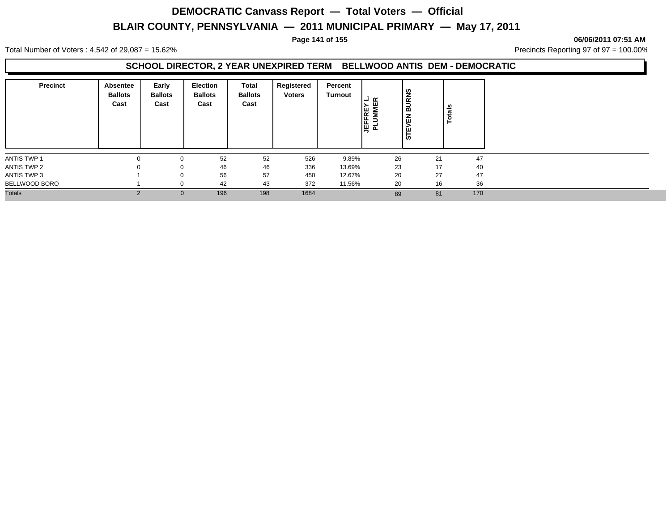**Page 141 of 155 06/06/2011 07:51 AM**

Total Number of Voters : 4,542 of 29,087 = 15.62% Precincts Reporting 97 of 97 = 100.00%

### **SCHOOL DIRECTOR, 2 YEAR UNEXPIRED TERM BELLWOOD ANTIS DEM - DEMOCRATIC**

| <b>Precinct</b> | Absentee<br><b>Ballots</b><br>Cast | Early<br><b>Ballots</b><br>Cast | <b>Election</b><br><b>Ballots</b><br>Cast | <b>Total</b><br><b>Ballots</b><br>Cast | Registered<br><b>Voters</b> | Percent<br>Turnout | $\alpha$<br>┙<br>REN<br>MMI<br>Σ<br>1박 호 | <b>BURNS</b><br><b>STEVEN</b> | als<br>ಕ |  |
|-----------------|------------------------------------|---------------------------------|-------------------------------------------|----------------------------------------|-----------------------------|--------------------|------------------------------------------|-------------------------------|----------|--|
| ANTIS TWP 1     | $\Omega$                           | 0                               | 52                                        | 52                                     | 526                         | 9.89%              | 26                                       | 21                            | 47       |  |
| ANTIS TWP 2     | $\Omega$                           | 0                               | 46                                        | 46                                     | 336                         | 13.69%             | 23                                       | 17                            | 40       |  |
| ANTIS TWP 3     |                                    | 0                               | 56                                        | 57                                     | 450                         | 12.67%             | 20                                       | 27                            | 47       |  |
| BELLWOOD BORO   |                                    | 0                               | 42                                        | 43                                     | 372                         | 11.56%             | 20                                       | 16                            | 36       |  |
| <b>Totals</b>   | $\Omega$                           | $\mathbf{0}$                    | 196                                       | 198                                    | 1684                        |                    | 89                                       | 81                            | 170      |  |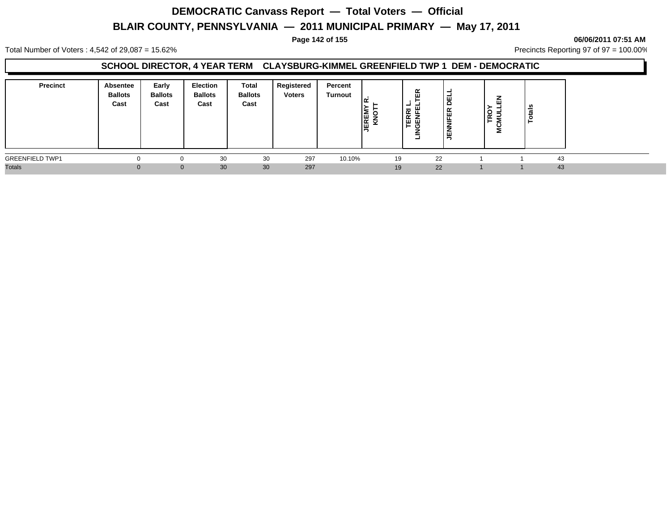#### **Page 142 of 155 06/06/2011 07:51 AM**

Total Number of Voters : 4,542 of 29,087 = 15.62% Precincts Reporting 97 of 97 = 100.00%

#### **SCHOOL DIRECTOR, 4 YEAR TERM CLAYSBURG-KIMMEL GREENFIELD TWP 1 DEM - DEMOCRATIC**

| <b>Precinct</b>        | Absentee<br><b>Ballots</b><br>Cast | Early<br><b>Ballots</b><br>Cast | <b>Election</b><br><b>Ballots</b><br>Cast | Total<br><b>Ballots</b><br>Cast | Registered<br><b>Voters</b> | Percent<br><b>Turnout</b> | <b>JEREM</b><br>KNO | 띥<br>-<br>ш<br><b>TERRI</b><br>GENFE<br>໐<br>۰ | -<br>ョ<br><b>INIFER</b><br>ξ |  |    |  |
|------------------------|------------------------------------|---------------------------------|-------------------------------------------|---------------------------------|-----------------------------|---------------------------|---------------------|------------------------------------------------|------------------------------|--|----|--|
| <b>GREENFIELD TWP1</b> |                                    |                                 | 30                                        | 30                              | 297                         | 10.10%                    |                     | 19                                             | 22                           |  | 43 |  |
| <b>Totals</b>          |                                    | $\Omega$                        | 30                                        | 30                              | 297                         |                           |                     | 19                                             | 22                           |  | 43 |  |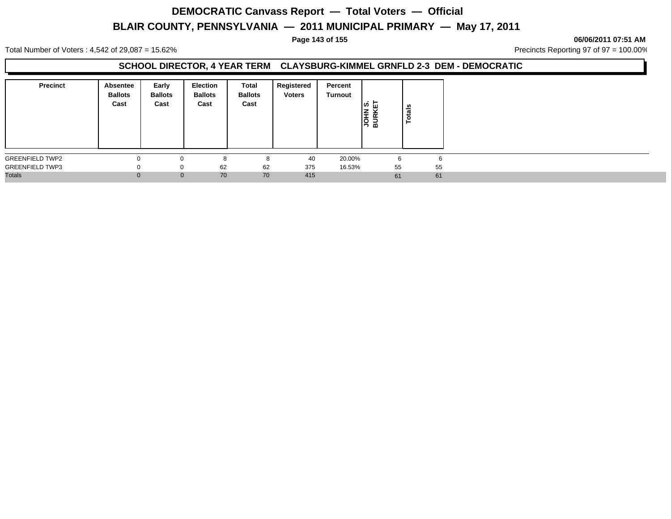#### **Page 143 of 155 06/06/2011 07:51 AM**

Total Number of Voters : 4,542 of 29,087 = 15.62% Precincts Reporting 97 of 97 = 100.00%

### **SCHOOL DIRECTOR, 4 YEAR TERM CLAYSBURG-KIMMEL GRNFLD 2-3 DEM - DEMOCRATIC**

| <b>Precinct</b>        | Absentee<br><b>Ballots</b><br>Cast | Early<br><b>Ballots</b><br>Cast | Election<br><b>Ballots</b><br>Cast | <b>Total</b><br><b>Ballots</b><br>Cast | Registered<br><b>Voters</b> | Percent<br>Turnout | ∣ທ່ ြ⊔<br>–<br><b>ASS</b> | ន់<br>ਠ<br>► |
|------------------------|------------------------------------|---------------------------------|------------------------------------|----------------------------------------|-----------------------------|--------------------|---------------------------|--------------|
| <b>GREENFIELD TWP2</b> |                                    |                                 | ິ                                  |                                        | 40                          | 20.00%             | 6                         | h            |
| <b>GREENFIELD TWP3</b> |                                    | 0                               | 62                                 | 62                                     | 375                         | 16.53%             | 55                        | 55           |
| <b>Totals</b>          |                                    | $\mathbf{0}$                    | 70                                 | 70                                     | 415                         |                    | 61                        | 61           |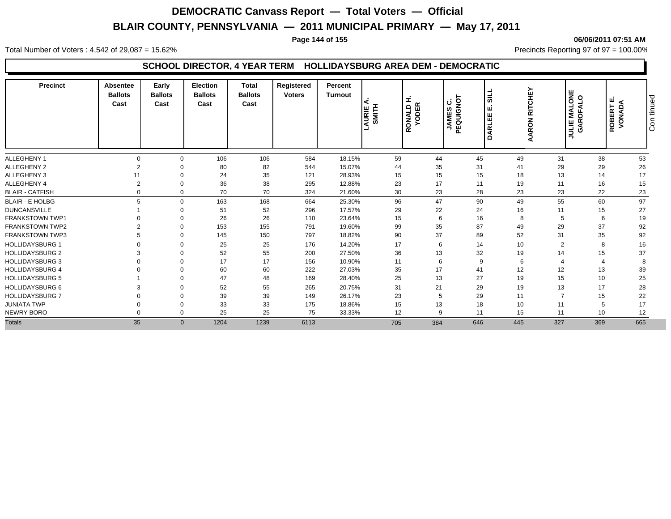#### **Page 144 of 155 06/06/2011 07:51 AM**

Total Number of Voters : 4,542 of 29,087 = 15.62% Precincts Reporting 97 of 97 = 100.00%

### **SCHOOL DIRECTOR, 4 YEAR TERM HOLLIDAYSBURG AREA DEM - DEMOCRATIC**

| <b>Precinct</b>        | Absentee<br><b>Ballots</b><br>Cast | Early<br><b>Ballots</b><br>Cast | <b>Election</b><br><b>Ballots</b><br>Cast | <b>Total</b><br><b>Ballots</b><br>Cast | Registered<br><b>Voters</b> | Percent<br><b>Turnout</b> | ∢<br>AURIE | I<br><b>YODER</b><br>RONALD | PEQUIGNO<br>ပ<br>ဖာ<br><b>JAME</b> | ಕ<br>ш<br>ш<br>DARLEI | <b>RITCHEY</b><br>AARON | <b>ULIE MALONE<br/>GAROFALO</b><br><b>JULIE</b> | ш<br><b>ROBERT I</b><br>VONADA | tinued<br>င်္ |
|------------------------|------------------------------------|---------------------------------|-------------------------------------------|----------------------------------------|-----------------------------|---------------------------|------------|-----------------------------|------------------------------------|-----------------------|-------------------------|-------------------------------------------------|--------------------------------|---------------|
| <b>ALLEGHENY 1</b>     | $\Omega$                           | $\Omega$                        | 106                                       | 106                                    | 584                         | 18.15%                    | 59         | 44                          | 45                                 | 49                    | 31                      | 38                                              | 53                             |               |
| <b>ALLEGHENY 2</b>     | $\overline{2}$                     |                                 | 80                                        | 82                                     | 544                         | 15.07%                    | 44         | 35                          | 31                                 | 41                    | 29                      | 29                                              | 26                             |               |
| ALLEGHENY 3            | 11                                 | $\Omega$                        | 24                                        | 35                                     | 121                         | 28.93%                    | 15         | 15                          | 15                                 | 18                    | 13                      | 14                                              | 17                             |               |
| ALLEGHENY 4            | $\overline{2}$                     | $\Omega$                        | 36                                        | 38                                     | 295                         | 12.88%                    | 23         | 17                          | 11                                 | 19                    | 11                      | 16                                              | 15                             |               |
| <b>BLAIR - CATFISH</b> |                                    | $\Omega$                        | 70                                        | 70                                     | 324                         | 21.60%                    | 30         | 23                          | 28                                 | 23                    | 23                      | 22                                              | 23                             |               |
| <b>BLAIR - E HOLBG</b> | 5                                  | $\Omega$                        | 163                                       | 168                                    | 664                         | 25.30%                    | 96         | 47                          | 90                                 | 49                    | 55                      | 60                                              | 97                             |               |
| <b>DUNCANSVILLE</b>    |                                    | $\Omega$                        | 51                                        | 52                                     | 296                         | 17.57%                    | 29         | 22                          | 24                                 | 16                    | 11                      | 15                                              | 27                             |               |
| <b>FRANKSTOWN TWP1</b> |                                    | $\Omega$                        | 26                                        | 26                                     | 110                         | 23.64%                    | 15         | 6                           | 16                                 | 8                     | 5                       | 6                                               | 19                             |               |
| <b>FRANKSTOWN TWP2</b> | $\mathcal{P}$                      | $\Omega$                        | 153                                       | 155                                    | 791                         | 19.60%                    | 99         | 35                          | 87                                 | 49                    | 29                      | 37                                              | 92                             |               |
| <b>FRANKSTOWN TWP3</b> | 5                                  | $\Omega$                        | 145                                       | 150                                    | 797                         | 18.82%                    | 90         | 37                          | 89                                 | 52                    | 31                      | 35                                              | 92                             |               |
| <b>HOLLIDAYSBURG 1</b> | $\Omega$                           | $\Omega$                        | 25                                        | 25                                     | 176                         | 14.20%                    | 17         | 6                           | 14                                 | 10                    | $\overline{2}$          | 8                                               | 16                             |               |
| <b>HOLLIDAYSBURG 2</b> |                                    |                                 | 52                                        | 55                                     | 200                         | 27.50%                    | 36         | 13                          | 32                                 | 19                    | 14                      | 15                                              | 37                             |               |
| <b>HOLLIDAYSBURG 3</b> |                                    |                                 | 17                                        | 17                                     | 156                         | 10.90%                    | 11         | 6                           | 9                                  | 6                     |                         |                                                 | -8                             |               |
| <b>HOLLIDAYSBURG 4</b> |                                    | $\Omega$                        | 60                                        | 60                                     | 222                         | 27.03%                    | 35         | 17                          | 41                                 | 12                    | 12                      | 13                                              | 39                             |               |
| <b>HOLLIDAYSBURG 5</b> |                                    | $\mathbf 0$                     | 47                                        | 48                                     | 169                         | 28.40%                    | 25         | 13                          | 27                                 | 19                    | 15                      | 10                                              | 25                             |               |
| <b>HOLLIDAYSBURG 6</b> | 3                                  | $\Omega$                        | 52                                        | 55                                     | 265                         | 20.75%                    | 31         | 21                          | 29                                 | 19                    | 13                      | 17                                              | 28                             |               |
| <b>HOLLIDAYSBURG 7</b> |                                    | $\Omega$                        | 39                                        | 39                                     | 149                         | 26.17%                    | 23         | 5                           | 29                                 | 11                    |                         | 15                                              | 22                             |               |
| <b>JUNIATA TWP</b>     |                                    | $\Omega$                        | 33                                        | 33                                     | 175                         | 18.86%                    | 15         | 13                          | 18                                 | 10                    | 11                      | 5                                               | 17                             |               |
| NEWRY BORO             |                                    | $\Omega$                        | 25                                        | 25                                     | 75                          | 33.33%                    | 12         | 9                           | 11                                 | 15                    | 11                      | 10                                              | 12                             |               |
| <b>Totals</b>          | 35                                 | $\mathbf{0}$                    | 1204                                      | 1239                                   | 6113                        |                           | 705        | 384                         | 646                                | 445                   | 327                     | 369                                             | 665                            |               |
|                        |                                    |                                 |                                           |                                        |                             |                           |            |                             |                                    |                       |                         |                                                 |                                |               |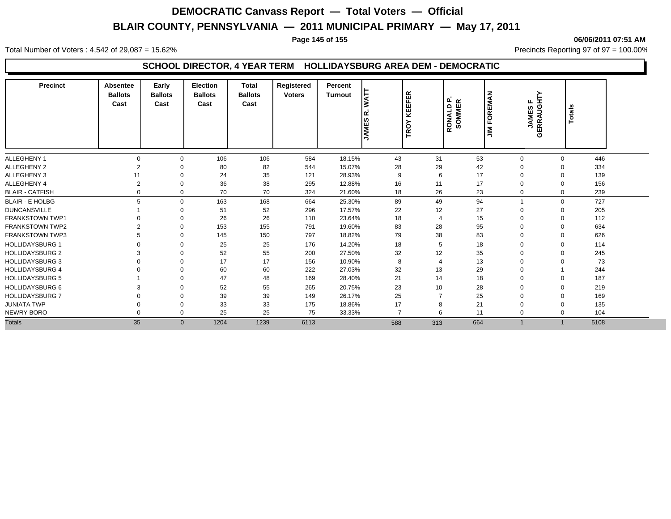#### **Page 145 of 155 06/06/2011 07:51 AM**

Total Number of Voters : 4,542 of 29,087 = 15.62% Precincts Reporting 97 of 97 = 100.00%

### **SCHOOL DIRECTOR, 4 YEAR TERM HOLLIDAYSBURG AREA DEM - DEMOCRATIC**

| <b>Precinct</b>        | Absentee<br><b>Ballots</b><br>Cast | Early<br><b>Ballots</b><br>Cast | <b>Election</b><br><b>Ballots</b><br>Cast | <b>Total</b><br><b>Ballots</b><br>Cast | Registered<br><b>Voters</b> | Percent<br><b>Turnout</b> | <b>TAW</b><br><b>JAMES</b> | EFER<br>뀢<br>$\circ$<br>Ě | RONALD P.<br>SOMMER<br>RONALD | <b>FOREMAN</b><br>$\tilde{z}$ | <b>JAMESF</b><br>GERRAUGHTY | <b>Totals</b> |  |
|------------------------|------------------------------------|---------------------------------|-------------------------------------------|----------------------------------------|-----------------------------|---------------------------|----------------------------|---------------------------|-------------------------------|-------------------------------|-----------------------------|---------------|--|
| <b>ALLEGHENY 1</b>     | $\Omega$                           | $\Omega$                        | 106                                       | 106                                    | 584                         | 18.15%                    | 43                         | 31                        | 53                            | $\mathbf 0$                   | 0                           | 446           |  |
| <b>ALLEGHENY 2</b>     | $\overline{2}$                     | 0                               | 80                                        | 82                                     | 544                         | 15.07%                    | 28                         | 29                        | 42                            | 0                             | $\Omega$                    | 334           |  |
| <b>ALLEGHENY 3</b>     | 11                                 | $\Omega$                        | 24                                        | 35                                     | 121                         | 28.93%                    | 9                          | 6                         | 17                            | $\Omega$                      | $\Omega$                    | 139           |  |
| ALLEGHENY 4            | $\overline{2}$                     | 0                               | 36                                        | 38                                     | 295                         | 12.88%                    | 16                         | 11                        | 17                            | $\Omega$                      | 0                           | 156           |  |
| <b>BLAIR - CATFISH</b> | 0                                  | $\Omega$                        | 70                                        | 70                                     | 324                         | 21.60%                    | 18                         | 26                        | 23                            | 0                             | 0                           | 239           |  |
| <b>BLAIR - E HOLBG</b> | 5                                  | $\Omega$                        | 163                                       | 168                                    | 664                         | 25.30%                    | 89                         | 49                        | 94                            |                               | $\Omega$                    | 727           |  |
| <b>DUNCANSVILLE</b>    |                                    |                                 | 51                                        | 52                                     | 296                         | 17.57%                    | 22                         | 12                        | 27                            |                               | 0                           | 205           |  |
| <b>FRANKSTOWN TWP1</b> |                                    |                                 | 26                                        | 26                                     | 110                         | 23.64%                    | 18                         | 4                         | 15                            |                               | $\Omega$                    | 112           |  |
| <b>FRANKSTOWN TWP2</b> | $\overline{2}$                     | 0                               | 153                                       | 155                                    | 791                         | 19.60%                    | 83                         | 28                        | 95                            | $\mathbf 0$                   | $\Omega$                    | 634           |  |
| <b>FRANKSTOWN TWP3</b> | 5                                  | $\Omega$                        | 145                                       | 150                                    | 797                         | 18.82%                    | 79                         | 38                        | 83                            | $\mathbf 0$                   | $\mathbf{0}$                | 626           |  |
| <b>HOLLIDAYSBURG 1</b> | $\mathbf{0}$                       | $\Omega$                        | 25                                        | 25                                     | 176                         | 14.20%                    | 18                         | 5                         | 18                            | 0                             | $\Omega$                    | 114           |  |
| <b>HOLLIDAYSBURG 2</b> | 3                                  | $\Omega$                        | 52                                        | 55                                     | 200                         | 27.50%                    | 32                         | 12                        | 35                            | $\Omega$                      | $\Omega$                    | 245           |  |
| <b>HOLLIDAYSBURG 3</b> | $\Omega$                           | 0                               | 17                                        | 17                                     | 156                         | 10.90%                    | 8                          | $\overline{4}$            | 13                            | 0                             | $\Omega$                    | 73            |  |
| <b>HOLLIDAYSBURG 4</b> |                                    | 0                               | 60                                        | 60                                     | 222                         | 27.03%                    | 32                         | 13                        | 29                            | 0                             |                             | 244           |  |
| <b>HOLLIDAYSBURG 5</b> |                                    | $\mathbf 0$                     | 47                                        | 48                                     | 169                         | 28.40%                    | 21                         | 14                        | 18                            | 0                             | 0                           | 187           |  |
| <b>HOLLIDAYSBURG 6</b> | 3                                  | 0                               | 52                                        | 55                                     | 265                         | 20.75%                    | 23                         | 10 <sup>10</sup>          | 28                            | $\mathbf 0$                   | 0                           | 219           |  |
| <b>HOLLIDAYSBURG 7</b> | $\Omega$                           | 0                               | 39                                        | 39                                     | 149                         | 26.17%                    | 25                         |                           | 25                            | 0                             | $\Omega$                    | 169           |  |
| <b>JUNIATA TWP</b>     | $\Omega$                           | $\Omega$                        | 33                                        | 33                                     | 175                         | 18.86%                    | 17                         | 8                         | 21                            | 0                             | $\Omega$                    | 135           |  |
| <b>NEWRY BORO</b>      | $\Omega$                           | $\Omega$                        | 25                                        | 25                                     | 75                          | 33.33%                    | $\overline{7}$             | 6                         | 11                            | 0                             | $\Omega$                    | 104           |  |
| <b>Totals</b>          | 35                                 | $\overline{0}$                  | 1204                                      | 1239                                   | 6113                        |                           | 588                        | 313                       | 664                           | $\overline{1}$                |                             | 5108          |  |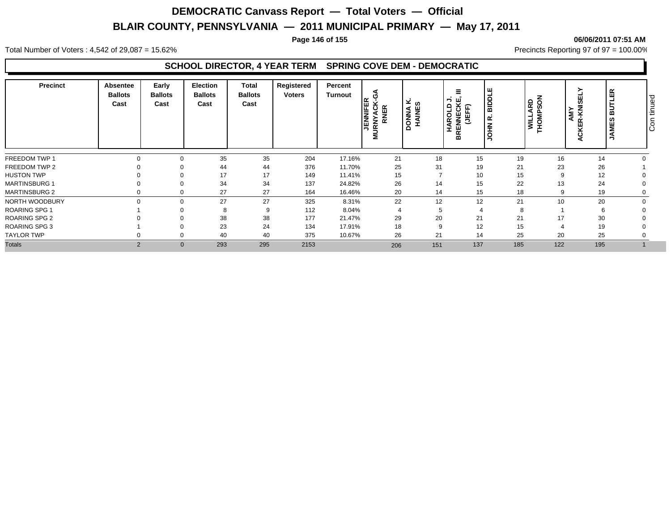#### **Page 146 of 155 06/06/2011 07:51 AM**

Total Number of Voters : 4,542 of 29,087 = 15.62% Precincts Reporting 97 of 97 = 100.00%

### **SCHOOL DIRECTOR, 4 YEAR TERM SPRING COVE DEM - DEMOCRATIC**

| <b>Precinct</b>      | Absentee<br><b>Ballots</b><br>Cast | Early<br><b>Ballots</b><br>Cast | <b>Election</b><br><b>Ballots</b><br>Cast | Total<br><b>Ballots</b><br>Cast | Registered<br>Voters | Percent<br>Turnout | ર્િ<br><b>RNER</b><br>Ë<br>⋖<br>z<br>$\overline{\alpha}$<br>Σ | ⊻ ശ<br><b>HAINE</b><br><b>PONNA</b> | Ξ<br><u>을 주</u><br><b>HAROLD</b><br>RENNECK<br>(JEFF)<br>m | щ<br><b>Tidala</b><br>œ | NOS<br>ARD<br>THOMP: | ≻<br>59<br><b>EX</b><br>AMY<br>ᅶ<br>УË<br>$\circ$ | 띥<br>ā<br>ທ<br><b>JAME</b> | ਠ<br>tinue<br>$\overline{\circ}$<br>Iō |
|----------------------|------------------------------------|---------------------------------|-------------------------------------------|---------------------------------|----------------------|--------------------|---------------------------------------------------------------|-------------------------------------|------------------------------------------------------------|-------------------------|----------------------|---------------------------------------------------|----------------------------|----------------------------------------|
| FREEDOM TWP 1        |                                    |                                 | 35                                        | 35                              | 204                  | 17.16%             | 21                                                            | 18                                  | 15                                                         | 19                      | 16                   | 14                                                |                            |                                        |
| FREEDOM TWP 2        |                                    |                                 | 44                                        | 44                              | 376                  | 11.70%             | 25                                                            | 31                                  | 19                                                         | 21                      | 23                   | 26                                                |                            |                                        |
| <b>HUSTON TWP</b>    |                                    |                                 | 17                                        | 17                              | 149                  | 11.41%             | 15                                                            |                                     | 10                                                         | 15                      |                      | 12                                                |                            |                                        |
| <b>MARTINSBURG 1</b> |                                    |                                 | 34                                        | 34                              | 137                  | 24.82%             | 26                                                            | 14                                  | 15                                                         | 22                      | 13                   | 24                                                |                            |                                        |
| <b>MARTINSBURG 2</b> |                                    |                                 | 27                                        | 27                              | 164                  | 16.46%             | 20                                                            | 14                                  | 15                                                         | 18                      |                      | 19                                                |                            |                                        |
| NORTH WOODBURY       |                                    | $\Omega$                        | 27                                        | 27                              | 325                  | 8.31%              | 22                                                            | 12                                  | 12                                                         | 21                      | 10                   | 20                                                |                            |                                        |
| <b>ROARING SPG 1</b> |                                    |                                 | 8                                         | 9                               | 112                  | 8.04%              | $\overline{4}$                                                | 5                                   |                                                            |                         |                      |                                                   |                            |                                        |
| <b>ROARING SPG 2</b> |                                    |                                 | 38                                        | 38                              | 177                  | 21.47%             | 29                                                            | 20                                  | 21                                                         | 21                      | 17                   | 30                                                |                            |                                        |
| <b>ROARING SPG 3</b> |                                    |                                 | 23                                        | 24                              | 134                  | 17.91%             | 18                                                            | 9                                   | 12                                                         | 15                      |                      | 19                                                |                            |                                        |
| <b>TAYLOR TWP</b>    |                                    | $\Omega$                        | 40                                        | 40                              | 375                  | 10.67%             | 26                                                            | 21                                  | 14                                                         | 25                      | 20                   | 25                                                |                            |                                        |
| <b>Totals</b>        | $\overline{2}$                     | $\mathbf{0}$                    | 293                                       | 295                             | 2153                 |                    | 206                                                           | 151                                 | 137                                                        | 185                     | 122                  | 195                                               |                            |                                        |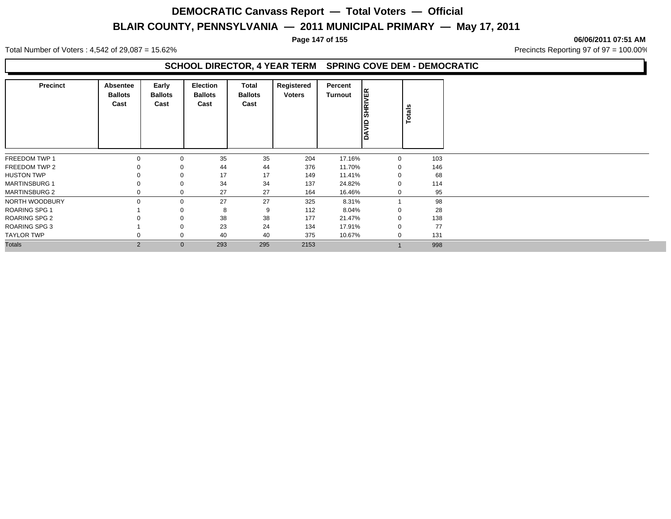#### **Page 147 of 155 06/06/2011 07:51 AM**

Total Number of Voters : 4,542 of 29,087 = 15.62% Precincts Reporting 97 of 97 = 100.00%

### **SCHOOL DIRECTOR, 4 YEAR TERM SPRING COVE DEM - DEMOCRATIC**

| Precinct             | Absentee<br><b>Ballots</b><br>Cast | Early<br><b>Ballots</b><br>Cast | Election<br><b>Ballots</b><br>Cast | Total<br><b>Ballots</b><br>Cast | Registered<br><b>Voters</b> | Percent<br>Turnout | <b>SHRIVER</b><br>DAVID: | Totals |     |
|----------------------|------------------------------------|---------------------------------|------------------------------------|---------------------------------|-----------------------------|--------------------|--------------------------|--------|-----|
| FREEDOM TWP 1        | $\Omega$                           | 0                               | 35                                 | 35                              | 204                         | 17.16%             | 0                        |        | 103 |
| FREEDOM TWP 2        |                                    | $\Omega$                        | 44                                 | 44                              | 376                         | 11.70%             | $\Omega$                 |        | 146 |
| <b>HUSTON TWP</b>    |                                    | 0                               | 17                                 | 17                              | 149                         | 11.41%             | $\Omega$                 |        | 68  |
| <b>MARTINSBURG 1</b> |                                    | 0                               | 34                                 | 34                              | 137                         | 24.82%             |                          |        | 114 |
| <b>MARTINSBURG 2</b> |                                    | 0                               | 27                                 | 27                              | 164                         | 16.46%             | 0                        |        | 95  |
| NORTH WOODBURY       | $\Omega$                           | 0                               | 27                                 | 27                              | 325                         | 8.31%              |                          |        | 98  |
| <b>ROARING SPG 1</b> |                                    |                                 | 8                                  | 9                               | 112                         | 8.04%              | $\Omega$                 |        | 28  |
| <b>ROARING SPG 2</b> |                                    |                                 | 38                                 | 38                              | 177                         | 21.47%             |                          |        | 138 |
| <b>ROARING SPG 3</b> |                                    | 0                               | 23                                 | 24                              | 134                         | 17.91%             |                          |        | 77  |
| TAYLOR TWP           |                                    | 0                               | 40                                 | 40                              | 375                         | 10.67%             |                          |        | 131 |
| <b>Totals</b>        | 2                                  | $\mathbf{0}$                    | 293                                | 295                             | 2153                        |                    |                          |        | 998 |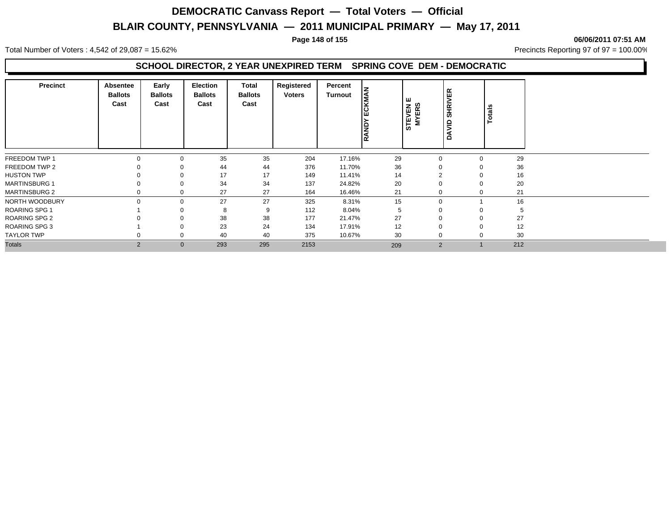#### **Page 148 of 155 06/06/2011 07:51 AM**

Total Number of Voters : 4,542 of 29,087 = 15.62% Precincts Reporting 97 of 97 = 100.00%

## **SCHOOL DIRECTOR, 2 YEAR UNEXPIRED TERM SPRING COVE DEM - DEMOCRATIC**

| <b>Precinct</b>      | Absentee<br><b>Ballots</b><br>Cast | Early<br><b>Ballots</b><br>Cast | Election<br><b>Ballots</b><br>Cast | Total<br><b>Ballots</b><br>Cast | Registered<br><b>Voters</b> | Percent<br>Turnout | <b>CKMAN</b><br>ш<br><b>RAND</b> | <b>TEVEN</b><br>MYERS<br>STE | <b>SHRIVER</b><br>$\epsilon$<br>⋖<br>$\Omega$ | Totals |    |
|----------------------|------------------------------------|---------------------------------|------------------------------------|---------------------------------|-----------------------------|--------------------|----------------------------------|------------------------------|-----------------------------------------------|--------|----|
| FREEDOM TWP 1        | 0                                  |                                 | 35                                 | 35                              | 204                         | 17.16%             | 29                               | 0                            |                                               | 29     |    |
| FREEDOM TWP 2        |                                    |                                 | 44                                 | 44                              | 376                         | 11.70%             | 36                               |                              |                                               | 36     |    |
| <b>HUSTON TWP</b>    |                                    |                                 | 17                                 | 17                              | 149                         | 11.41%             | 14                               | $\sim$                       |                                               | 16     |    |
| <b>MARTINSBURG 1</b> |                                    |                                 | 34                                 | 34                              | 137                         | 24.82%             | 20                               |                              |                                               | 20     |    |
| <b>MARTINSBURG 2</b> | 0                                  |                                 | 27                                 | 27                              | 164                         | 16.46%             | 21                               | $\Omega$                     |                                               | 21     |    |
| NORTH WOODBURY       | $\Omega$                           | $\mathbf 0$                     | 27                                 | 27                              | 325                         | 8.31%              | 15                               | $\mathbf 0$                  |                                               | 16     |    |
| <b>ROARING SPG 1</b> |                                    |                                 | 8                                  | 9                               | 112                         | 8.04%              | 5                                |                              |                                               |        | .b |
| <b>ROARING SPG 2</b> |                                    |                                 | 38                                 | 38                              | 177                         | 21.47%             | 27                               |                              |                                               | 27     |    |
| <b>ROARING SPG 3</b> |                                    |                                 | 23                                 | 24                              | 134                         | 17.91%             | 12                               |                              |                                               | 12     |    |
| <b>TAYLOR TWP</b>    | 0                                  | 0                               | 40                                 | 40                              | 375                         | 10.67%             | 30                               | $\mathbf 0$                  |                                               | 30     |    |
| <b>Totals</b>        | $\overline{2}$                     | $\mathbf{0}$                    | 293                                | 295                             | 2153                        |                    | 209                              | $\overline{2}$               |                                               | 212    |    |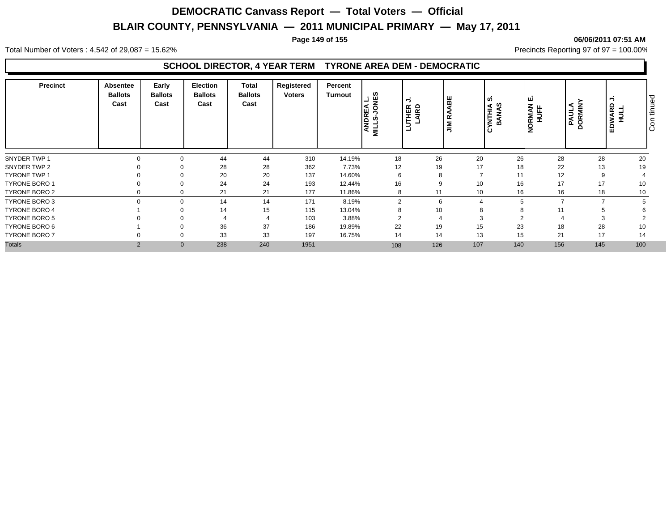#### **Page 149 of 155 06/06/2011 07:51 AM**

Total Number of Voters : 4,542 of 29,087 = 15.62% Precincts Reporting 97 of 97 = 100.00%

### **SCHOOL DIRECTOR, 4 YEAR TERM TYRONE AREA DEM - DEMOCRATIC**

| <b>Precinct</b>      | Absentee<br><b>Ballots</b><br>Cast | Early<br><b>Ballots</b><br>Cast | <b>Election</b><br><b>Ballots</b><br>Cast | Total<br><b>Ballots</b><br>Cast | Registered<br><b>Voters</b> | Percent<br><b>Turnout</b> | ្ធ<br>ក<br>ANDRE<br>MILLS-JC | ∍<br>THER<br>LAIRD<br>∍ | ABE<br>œ<br>$\leq$ | <b>UD</b><br><b>NTHIA<br/>BANAS</b> | ய<br>NORMAN I<br>HUFF | <b>PAULA</b><br>DORMINI | ∍<br>EDWARD<br>HULL | tinued<br>$\circ$<br>ΙO |
|----------------------|------------------------------------|---------------------------------|-------------------------------------------|---------------------------------|-----------------------------|---------------------------|------------------------------|-------------------------|--------------------|-------------------------------------|-----------------------|-------------------------|---------------------|-------------------------|
| SNYDER TWP 1         |                                    |                                 | 44                                        | 44                              | 310                         | 14.19%                    | 18                           | 26                      | 20                 | 26                                  | 28                    | 28                      | 20                  |                         |
| SNYDER TWP 2         |                                    |                                 | 28                                        | 28                              | 362                         | 7.73%                     | 12                           | 19                      | 17                 | 18                                  | 22                    | 13                      | 19                  |                         |
| <b>TYRONE TWP 1</b>  |                                    |                                 | 20                                        | 20                              | 137                         | 14.60%                    | 6                            | 8                       | $\overline{ }$     | 11                                  | 12                    |                         |                     |                         |
| <b>TYRONE BORO 1</b> |                                    |                                 | 24                                        | 24                              | 193                         | 12.44%                    | 16                           | 9                       | 10                 | 16                                  | 17                    | 17                      | 10                  |                         |
| TYRONE BORO 2        |                                    |                                 | 21                                        | 21                              | 177                         | 11.86%                    | 8                            | 11                      | 10                 | 16                                  | 16                    | 18                      | 10                  |                         |
| TYRONE BORO 3        |                                    | $\Omega$                        | 14                                        | 14                              | 171                         | 8.19%                     | 2                            | 6                       |                    |                                     |                       |                         |                     |                         |
| <b>TYRONE BORO 4</b> |                                    |                                 | 14                                        | 15                              | 115                         | 13.04%                    | 8                            | 10                      | 8                  |                                     |                       |                         |                     |                         |
| <b>TYRONE BORO 5</b> |                                    |                                 |                                           |                                 | 103                         | 3.88%                     | 2                            |                         |                    |                                     |                       |                         |                     |                         |
| TYRONE BORO 6        |                                    |                                 | 36                                        | 37                              | 186                         | 19.89%                    | 22                           | 19                      | 15                 | 23                                  | 18                    | 28                      | 10                  |                         |
| <b>TYRONE BORO 7</b> |                                    | $\Omega$                        | 33                                        | 33                              | 197                         | 16.75%                    | 14                           | 14                      | 13                 | 15                                  | 21                    | 17                      | 14                  |                         |
| <b>Totals</b>        | $\overline{2}$                     | $\mathbf{0}$                    | 238                                       | 240                             | 1951                        |                           | 108                          | 126                     | 107                | 140                                 | 156                   | 145                     | 100                 |                         |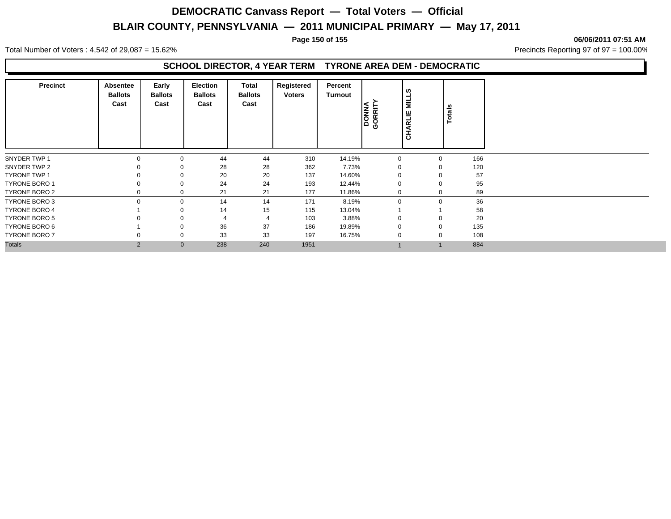#### **Page 150 of 155 06/06/2011 07:51 AM**

Total Number of Voters : 4,542 of 29,087 = 15.62% Precincts Reporting 97 of 97 = 100.00%

## **SCHOOL DIRECTOR, 4 YEAR TERM TYRONE AREA DEM - DEMOCRATIC**

| Precinct             | Absentee<br><b>Ballots</b><br>Cast | Early<br><b>Ballots</b><br>Cast | Election<br><b>Ballots</b><br>Cast | Total<br><b>Ballots</b><br>Cast | Registered<br><b>Voters</b> | Percent<br><b>Turnout</b> | <b>DONNA</b><br>GORRITY | $\overline{\mathbf{z}}$<br>쁙<br>CHARI | Totals      |     |
|----------------------|------------------------------------|---------------------------------|------------------------------------|---------------------------------|-----------------------------|---------------------------|-------------------------|---------------------------------------|-------------|-----|
| SNYDER TWP 1         | $\Omega$                           | $\mathbf 0$                     | 44                                 | 44                              | 310                         | 14.19%                    | $\Omega$                |                                       | $\mathbf 0$ | 166 |
| SNYDER TWP 2         |                                    | 0                               | 28                                 | 28                              | 362                         | 7.73%                     |                         |                                       | 0           | 120 |
| <b>TYRONE TWP 1</b>  |                                    | 0                               | 20                                 | 20                              | 137                         | 14.60%                    |                         |                                       | $\Omega$    | 57  |
| <b>TYRONE BORO 1</b> |                                    | 0                               | 24                                 | 24                              | 193                         | 12.44%                    |                         |                                       | $\mathbf 0$ | 95  |
| <b>TYRONE BORO 2</b> | 0                                  | 0                               | 21                                 | 21                              | 177                         | 11.86%                    | $\Omega$                |                                       | 0           | 89  |
| TYRONE BORO 3        | $\Omega$                           | 0                               | 14                                 | 14                              | 171                         | 8.19%                     | $\Omega$                |                                       | $\mathbf 0$ | 36  |
| <b>TYRONE BORO 4</b> |                                    | 0                               | 14                                 | 15                              | 115                         | 13.04%                    |                         |                                       |             | 58  |
| <b>TYRONE BORO 5</b> |                                    | 0                               |                                    | 4                               | 103                         | 3.88%                     |                         |                                       | $\mathbf 0$ | 20  |
| <b>TYRONE BORO 6</b> |                                    | 0                               | 36                                 | 37                              | 186                         | 19.89%                    |                         |                                       | 0           | 135 |
| TYRONE BORO 7        | 0                                  | 0                               | 33                                 | 33                              | 197                         | 16.75%                    | $\Omega$                |                                       | 0           | 108 |
| <b>Totals</b>        | 2                                  | $\mathbf{0}$                    | 238                                | 240                             | 1951                        |                           |                         |                                       |             | 884 |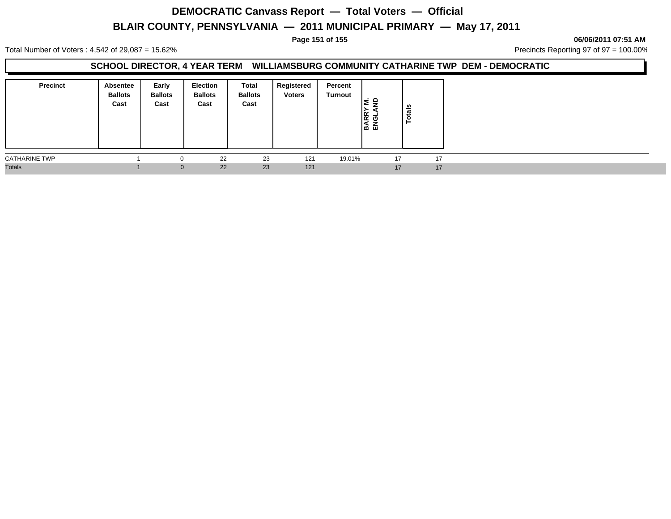**Page 151 of 155 06/06/2011 07:51 AM**

Total Number of Voters : 4,542 of 29,087 = 15.62% Precincts Reporting 97 of 97 = 100.00%

### **SCHOOL DIRECTOR, 4 YEAR TERM WILLIAMSBURG COMMUNITY CATHARINE TWP DEM - DEMOCRATIC**

| <b>Precinct</b>      | Absentee<br><b>Ballots</b><br>Cast | Early<br><b>Ballots</b><br>Cast | Election<br><b>Ballots</b><br>Cast | Total<br><b>Ballots</b><br>Cast | Registered<br><b>Voters</b> | Percent<br>Turnout | ≏<br>또 의<br>肾 | <b>Totals</b> |    |
|----------------------|------------------------------------|---------------------------------|------------------------------------|---------------------------------|-----------------------------|--------------------|---------------|---------------|----|
| <b>CATHARINE TWP</b> |                                    |                                 | 22                                 | 23                              | 121                         | 19.01%             | 17            |               | 17 |
| <b>Totals</b>        |                                    | $\mathbf{0}$                    | 22                                 | 23                              | 121                         |                    | 17            |               | 17 |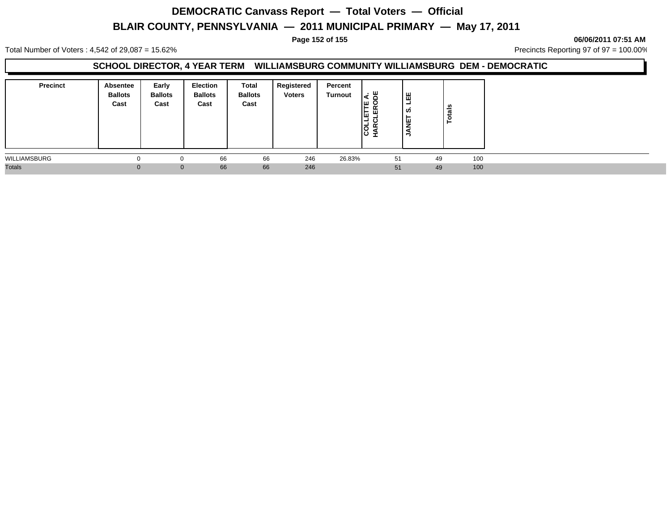**Page 152 of 155 06/06/2011 07:51 AM**

Total Number of Voters : 4,542 of 29,087 = 15.62% Precincts Reporting 97 of 97 = 100.00%

## **SCHOOL DIRECTOR, 4 YEAR TERM WILLIAMSBURG COMMUNITY WILLIAMSBURG DEM - DEMOCRATIC**

| <b>Precinct</b> | <b>Absentee</b><br><b>Ballots</b><br>Cast | Early<br><b>Ballots</b><br>Cast | <b>Election</b><br><b>Ballots</b><br>Cast | Total<br><b>Ballots</b><br>Cast | Registered<br><b>Voters</b> | Percent<br><b>Turnout</b> | I∢ a<br>ш.<br>≃<br>⊩ ш<br>ш<br>-<br>lō<br>ιပ | ' ⊞<br>-<br>ဖာ<br>⊢<br>빃<br>⇒ | Totals |  |
|-----------------|-------------------------------------------|---------------------------------|-------------------------------------------|---------------------------------|-----------------------------|---------------------------|----------------------------------------------|-------------------------------|--------|--|
| WILLIAMSBURG    |                                           | $\Omega$                        | 66                                        | 66                              | 246                         | 26.83%                    | 51                                           | 49                            | 100    |  |
| <b>Totals</b>   | 0                                         | $\mathbf{0}$                    | 66                                        | 66                              | 246                         |                           | 51                                           | 49                            | 100    |  |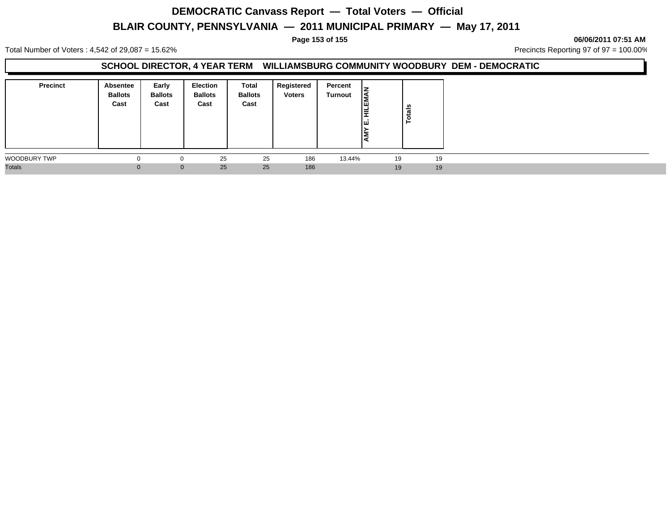#### **Page 153 of 155 06/06/2011 07:51 AM**

Total Number of Voters : 4,542 of 29,087 = 15.62% Precincts Reporting 97 of 97 = 100.00%

#### **SCHOOL DIRECTOR, 4 YEAR TERM WILLIAMSBURG COMMUNITY WOODBURY DEM - DEMOCRATIC**

| <b>Precinct</b> | Absentee<br><b>Ballots</b><br>Cast | Early<br><b>Ballots</b><br>Cast | <b>Election</b><br><b>Ballots</b><br>Cast | Total<br><b>Ballots</b><br>Cast | Registered<br><b>Voters</b> | Percent<br>Turnout | lz<br>l≦<br>lΞ | <b>Totals</b> |  |
|-----------------|------------------------------------|---------------------------------|-------------------------------------------|---------------------------------|-----------------------------|--------------------|----------------|---------------|--|
| WOODBURY TWP    |                                    | $^{(1)}$                        | 25                                        | 25                              | 186                         | 13.44%             | 19             | 19            |  |
| <b>Totals</b>   |                                    | $\mathbf{0}$                    | 25                                        | 25                              | 186                         |                    | 19             | 19            |  |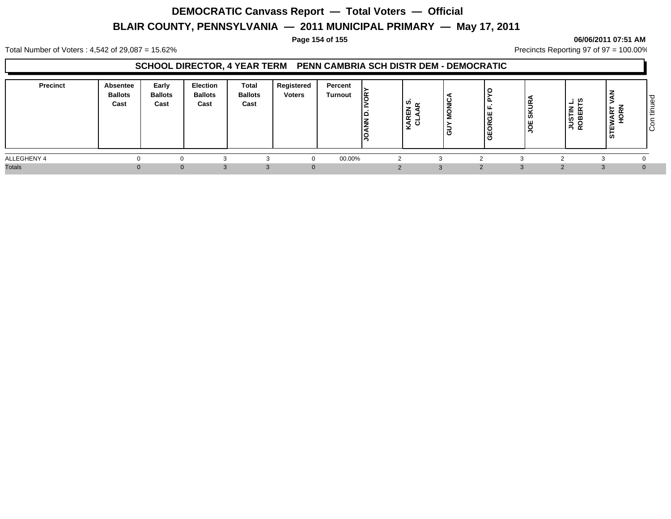#### **Page 154 of 155 06/06/2011 07:51 AM**

Total Number of Voters : 4,542 of 29,087 = 15.62% Precincts Reporting 97 of 97 = 100.00%

## **SCHOOL DIRECTOR, 4 YEAR TERM PENN CAMBRIA SCH DISTR DEM - DEMOCRATIC**

| <b>Precinct</b> | Absentee<br><b>Ballots</b><br>Cast | Early<br><b>Ballots</b><br>Cast | <b>Election</b><br><b>Ballots</b><br>Cast | Total<br><b>Ballots</b><br>Cast | Registered<br><b>Voters</b> | Percent<br>Turnout | ı≃ | ທ<br>▴<br>$\propto$ | ட<br> ଞ<br><b>GEOR</b> | ◡<br>  રુ<br>١ж<br>ັບ | ິທ<br>−<br><b>JUSTIN</b><br>ROBERT | z<br>ικα<br>₹ | ் ப<br>$\Omega$<br>$\overline{\phantom{a}}$<br>l ÷<br>ΙÖ |
|-----------------|------------------------------------|---------------------------------|-------------------------------------------|---------------------------------|-----------------------------|--------------------|----|---------------------|------------------------|-----------------------|------------------------------------|---------------|----------------------------------------------------------|
| ALLEGHENY 4     |                                    |                                 |                                           |                                 |                             | 00.00%             |    |                     |                        |                       |                                    |               |                                                          |
| <b>Totals</b>   |                                    | $\Omega$                        |                                           |                                 |                             |                    |    |                     |                        |                       |                                    |               |                                                          |